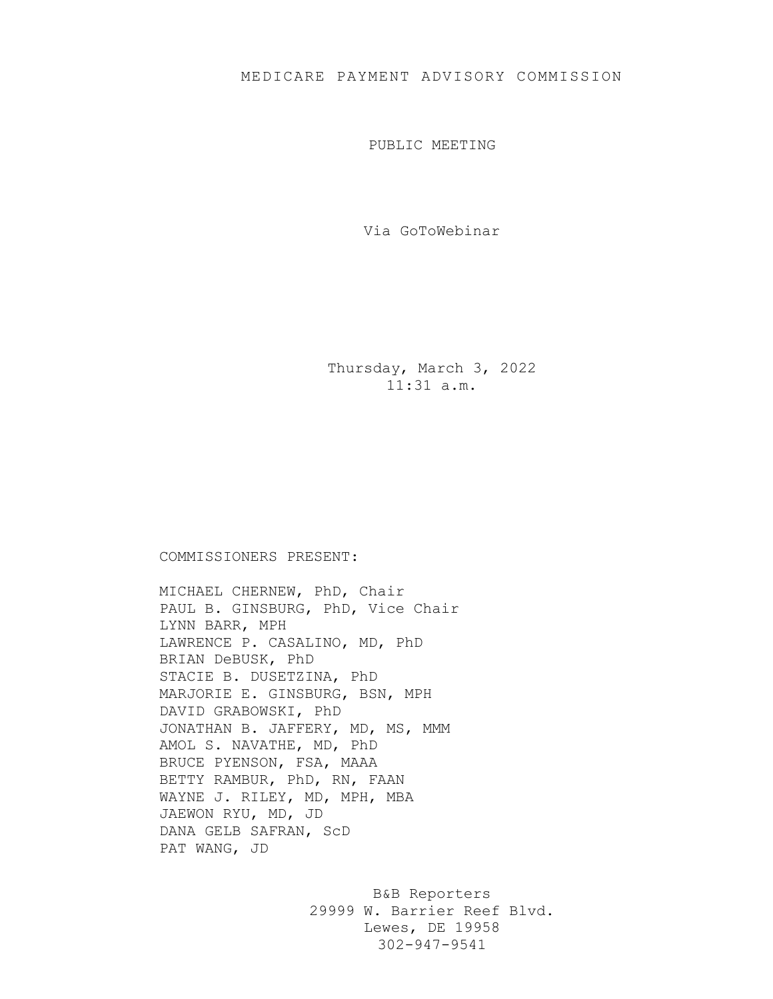PUBLIC MEETING

Via GoToWebinar

Thursday, March 3, 2022 11:31 a.m.

## COMMISSIONERS PRESENT:

MICHAEL CHERNEW, PhD, Chair PAUL B. GINSBURG, PhD, Vice Chair LYNN BARR, MPH LAWRENCE P. CASALINO, MD, PhD BRIAN DeBUSK, PhD STACIE B. DUSETZINA, PhD MARJORIE E. GINSBURG, BSN, MPH DAVID GRABOWSKI, PhD JONATHAN B. JAFFERY, MD, MS, MMM AMOL S. NAVATHE, MD, PhD BRUCE PYENSON, FSA, MAAA BETTY RAMBUR, PhD, RN, FAAN WAYNE J. RILEY, MD, MPH, MBA JAEWON RYU, MD, JD DANA GELB SAFRAN, ScD PAT WANG, JD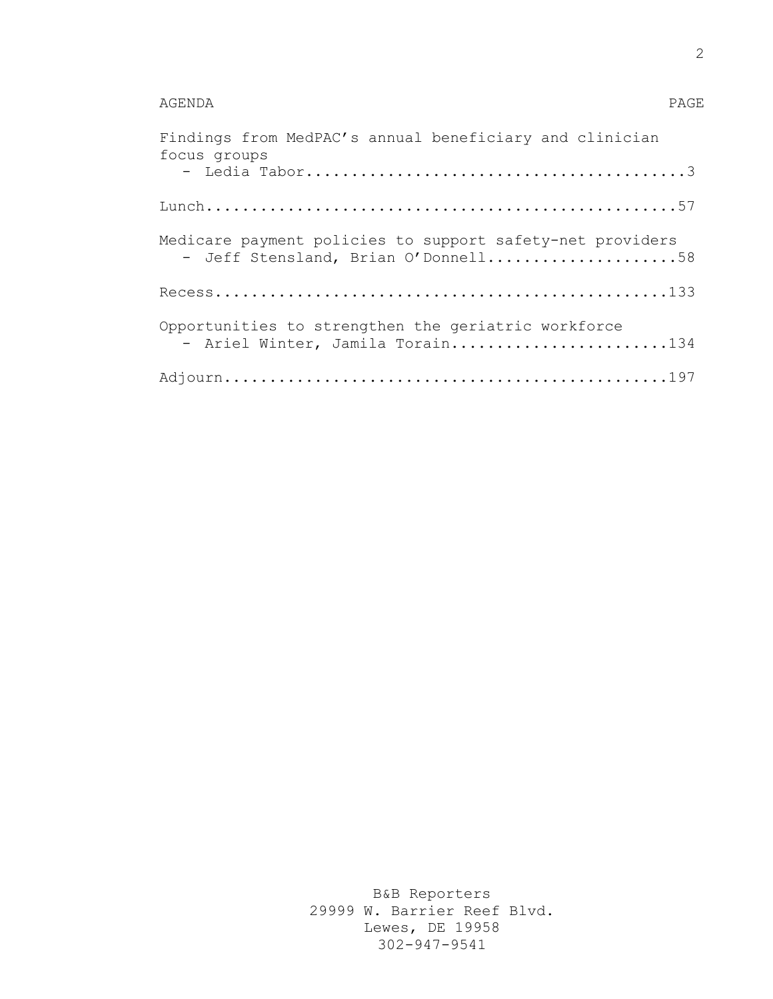## AGENDA PAGE

| Findings from MedPAC's annual beneficiary and clinician<br>focus groups                          |
|--------------------------------------------------------------------------------------------------|
|                                                                                                  |
|                                                                                                  |
| Medicare payment policies to support safety-net providers<br>- Jeff Stensland, Brian O'Donnell58 |
|                                                                                                  |
| Opportunities to strengthen the geriatric workforce<br>- Ariel Winter, Jamila Torain134          |
|                                                                                                  |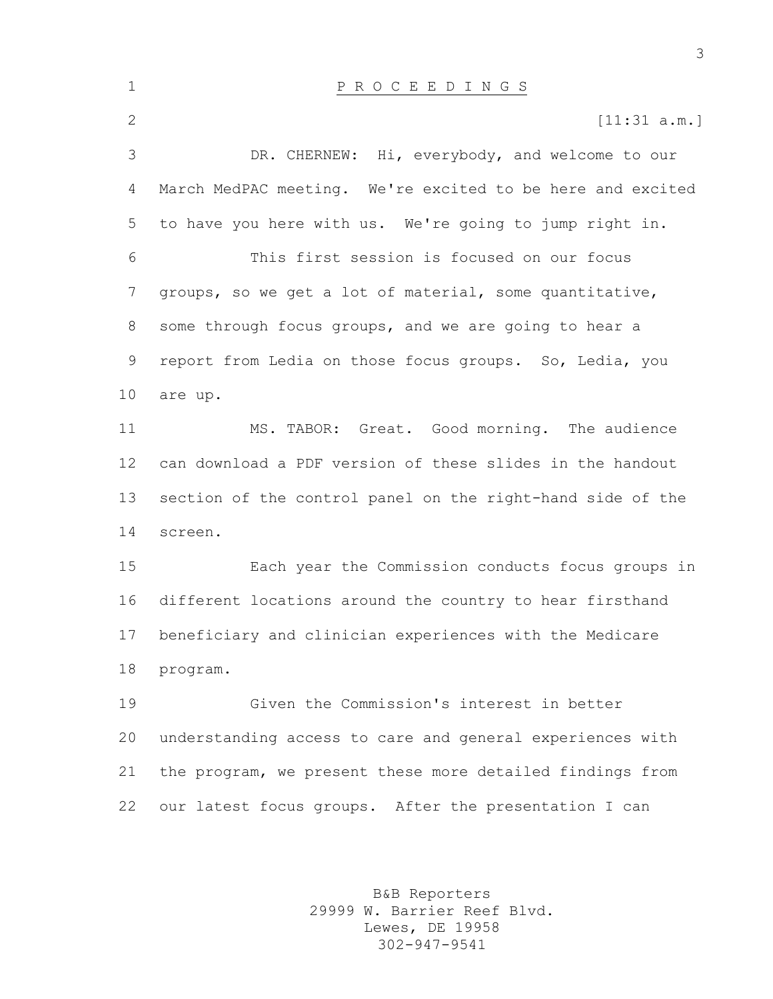| $\mathbf 1$  | P R O C E E D I N G S                                      |
|--------------|------------------------------------------------------------|
| $\mathbf{2}$ | [11:31 a.m.]                                               |
| 3            | DR. CHERNEW: Hi, everybody, and welcome to our             |
| 4            | March MedPAC meeting. We're excited to be here and excited |
| 5            | to have you here with us. We're going to jump right in.    |
| 6            | This first session is focused on our focus                 |
| 7            | groups, so we get a lot of material, some quantitative,    |
| 8            | some through focus groups, and we are going to hear a      |
| 9            | report from Ledia on those focus groups. So, Ledia, you    |
| 10           | are up.                                                    |
| 11           | MS. TABOR: Great. Good morning. The audience               |
| 12           | can download a PDF version of these slides in the handout  |
| 13           | section of the control panel on the right-hand side of the |
| 14           | screen.                                                    |
| 15           | Each year the Commission conducts focus groups in          |
| 16           | different locations around the country to hear firsthand   |
| 17           | beneficiary and clinician experiences with the Medicare    |
| 18           | program.                                                   |
| 19           | Given the Commission's interest in better                  |
| 20           | understanding access to care and general experiences with  |
| 21           | the program, we present these more detailed findings from  |
| 22           | our latest focus groups. After the presentation I can      |
|              |                                                            |

B&B Reporters 29999 W. Barrier Reef Blvd. Lewes, DE 19958 302-947-9541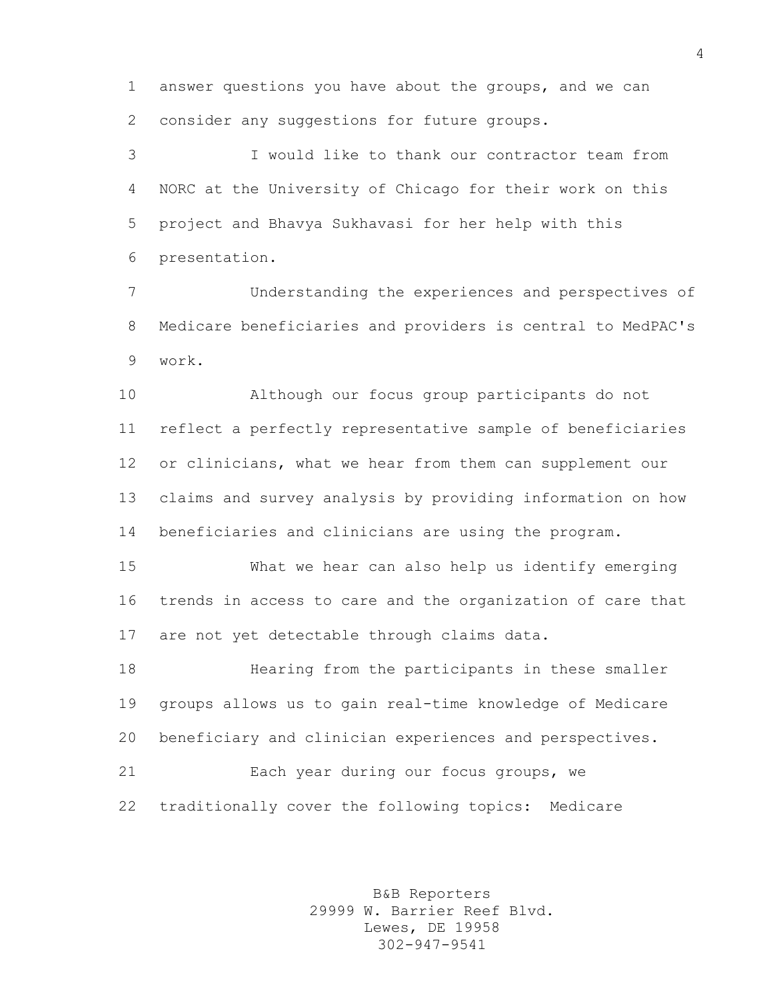answer questions you have about the groups, and we can consider any suggestions for future groups.

 I would like to thank our contractor team from NORC at the University of Chicago for their work on this project and Bhavya Sukhavasi for her help with this presentation.

 Understanding the experiences and perspectives of Medicare beneficiaries and providers is central to MedPAC's work.

 Although our focus group participants do not reflect a perfectly representative sample of beneficiaries or clinicians, what we hear from them can supplement our claims and survey analysis by providing information on how beneficiaries and clinicians are using the program.

 What we hear can also help us identify emerging trends in access to care and the organization of care that are not yet detectable through claims data.

 Hearing from the participants in these smaller groups allows us to gain real-time knowledge of Medicare beneficiary and clinician experiences and perspectives.

 Each year during our focus groups, we traditionally cover the following topics: Medicare

> B&B Reporters 29999 W. Barrier Reef Blvd. Lewes, DE 19958 302-947-9541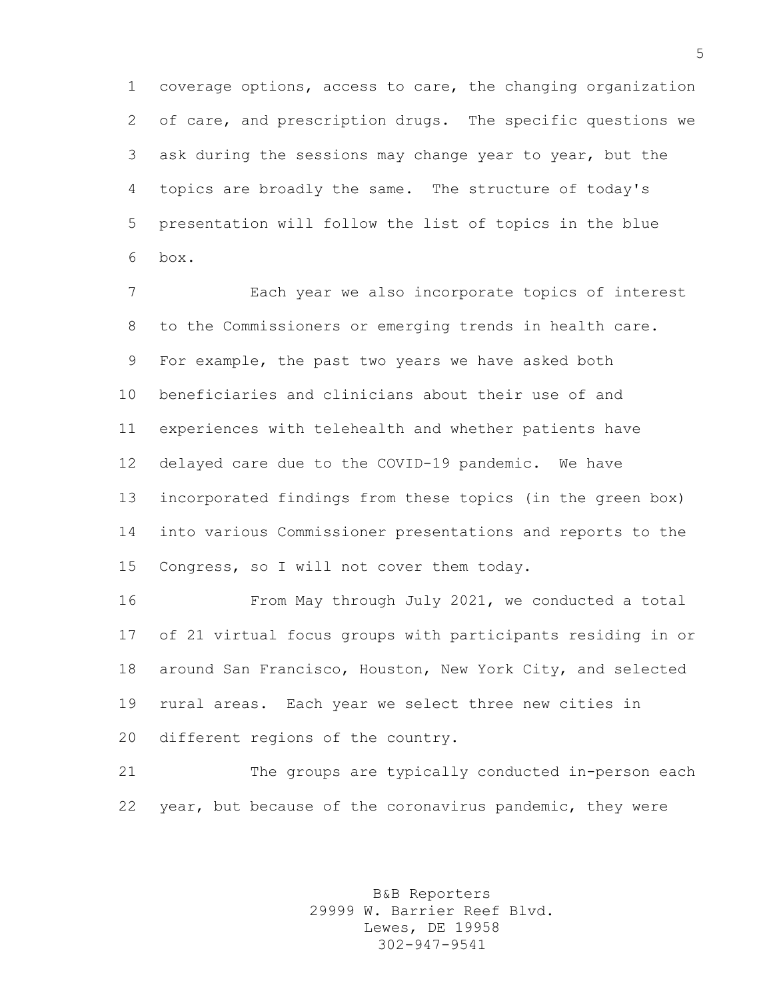coverage options, access to care, the changing organization of care, and prescription drugs. The specific questions we ask during the sessions may change year to year, but the topics are broadly the same. The structure of today's presentation will follow the list of topics in the blue box.

 Each year we also incorporate topics of interest to the Commissioners or emerging trends in health care. For example, the past two years we have asked both beneficiaries and clinicians about their use of and experiences with telehealth and whether patients have delayed care due to the COVID-19 pandemic. We have incorporated findings from these topics (in the green box) into various Commissioner presentations and reports to the Congress, so I will not cover them today.

 From May through July 2021, we conducted a total of 21 virtual focus groups with participants residing in or around San Francisco, Houston, New York City, and selected rural areas. Each year we select three new cities in different regions of the country.

 The groups are typically conducted in-person each year, but because of the coronavirus pandemic, they were

> B&B Reporters 29999 W. Barrier Reef Blvd. Lewes, DE 19958 302-947-9541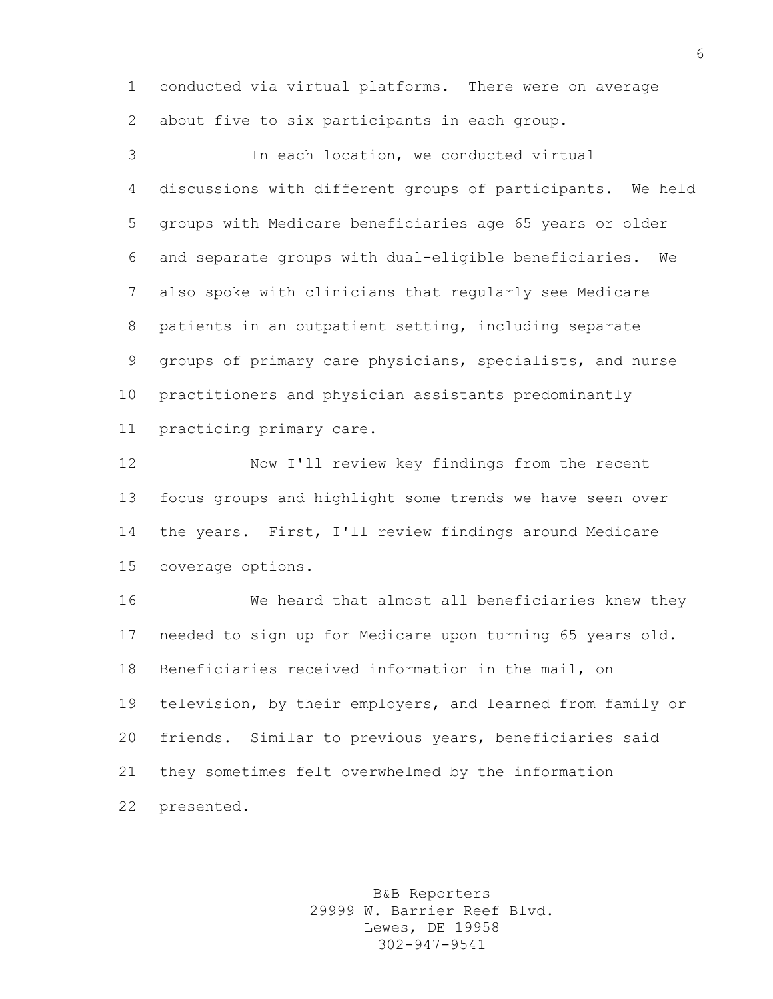conducted via virtual platforms. There were on average about five to six participants in each group.

 In each location, we conducted virtual discussions with different groups of participants. We held groups with Medicare beneficiaries age 65 years or older and separate groups with dual-eligible beneficiaries. We also spoke with clinicians that regularly see Medicare patients in an outpatient setting, including separate groups of primary care physicians, specialists, and nurse practitioners and physician assistants predominantly practicing primary care.

 Now I'll review key findings from the recent focus groups and highlight some trends we have seen over the years. First, I'll review findings around Medicare coverage options.

 We heard that almost all beneficiaries knew they needed to sign up for Medicare upon turning 65 years old. Beneficiaries received information in the mail, on television, by their employers, and learned from family or friends. Similar to previous years, beneficiaries said they sometimes felt overwhelmed by the information presented.

> B&B Reporters 29999 W. Barrier Reef Blvd. Lewes, DE 19958 302-947-9541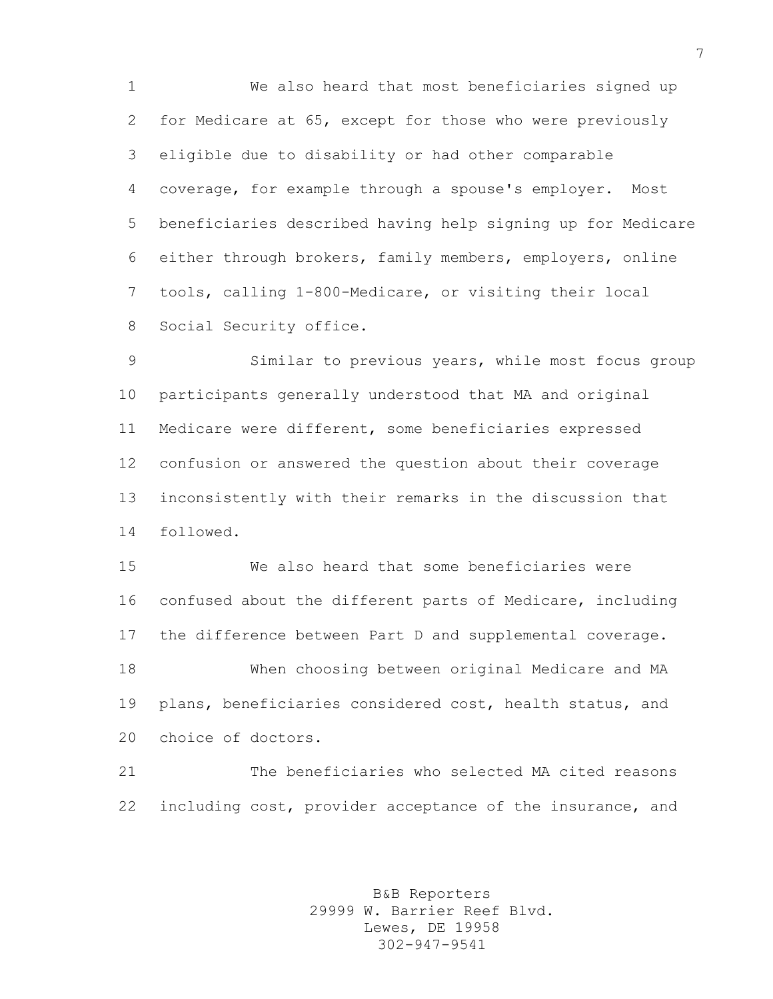We also heard that most beneficiaries signed up for Medicare at 65, except for those who were previously eligible due to disability or had other comparable coverage, for example through a spouse's employer. Most beneficiaries described having help signing up for Medicare either through brokers, family members, employers, online tools, calling 1-800-Medicare, or visiting their local Social Security office.

 Similar to previous years, while most focus group participants generally understood that MA and original Medicare were different, some beneficiaries expressed confusion or answered the question about their coverage inconsistently with their remarks in the discussion that followed.

 We also heard that some beneficiaries were confused about the different parts of Medicare, including the difference between Part D and supplemental coverage. When choosing between original Medicare and MA plans, beneficiaries considered cost, health status, and choice of doctors.

 The beneficiaries who selected MA cited reasons including cost, provider acceptance of the insurance, and

> B&B Reporters 29999 W. Barrier Reef Blvd. Lewes, DE 19958 302-947-9541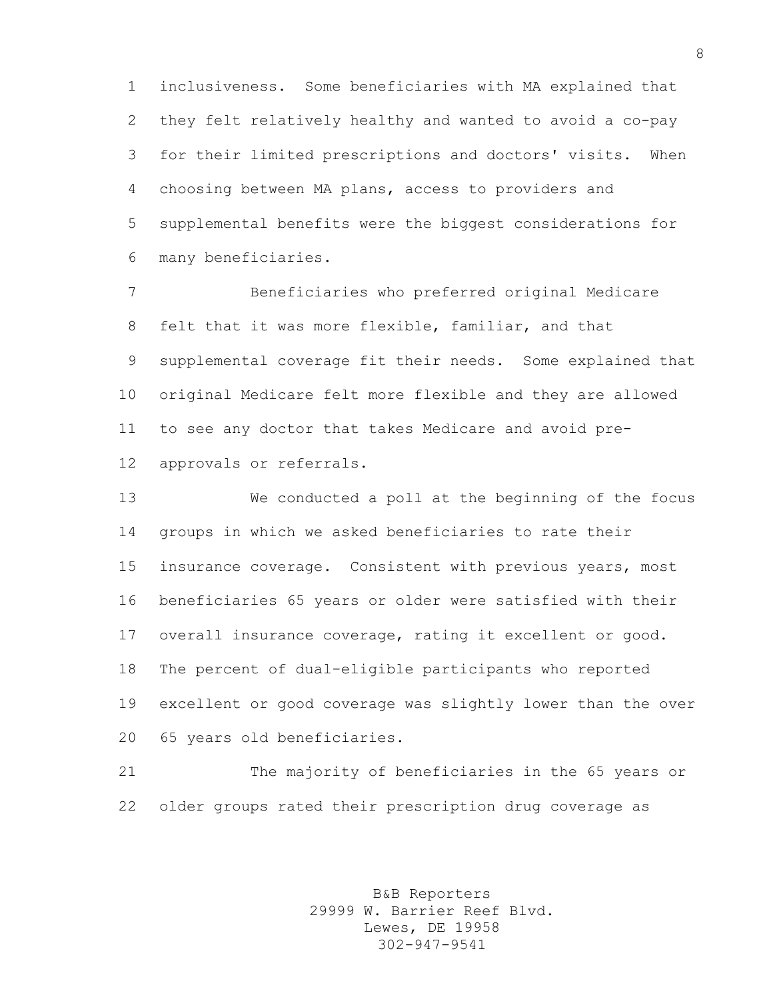inclusiveness. Some beneficiaries with MA explained that they felt relatively healthy and wanted to avoid a co-pay for their limited prescriptions and doctors' visits. When choosing between MA plans, access to providers and supplemental benefits were the biggest considerations for many beneficiaries.

 Beneficiaries who preferred original Medicare felt that it was more flexible, familiar, and that supplemental coverage fit their needs. Some explained that original Medicare felt more flexible and they are allowed to see any doctor that takes Medicare and avoid pre-approvals or referrals.

 We conducted a poll at the beginning of the focus groups in which we asked beneficiaries to rate their insurance coverage. Consistent with previous years, most beneficiaries 65 years or older were satisfied with their overall insurance coverage, rating it excellent or good. The percent of dual-eligible participants who reported excellent or good coverage was slightly lower than the over 65 years old beneficiaries.

 The majority of beneficiaries in the 65 years or older groups rated their prescription drug coverage as

> B&B Reporters 29999 W. Barrier Reef Blvd. Lewes, DE 19958 302-947-9541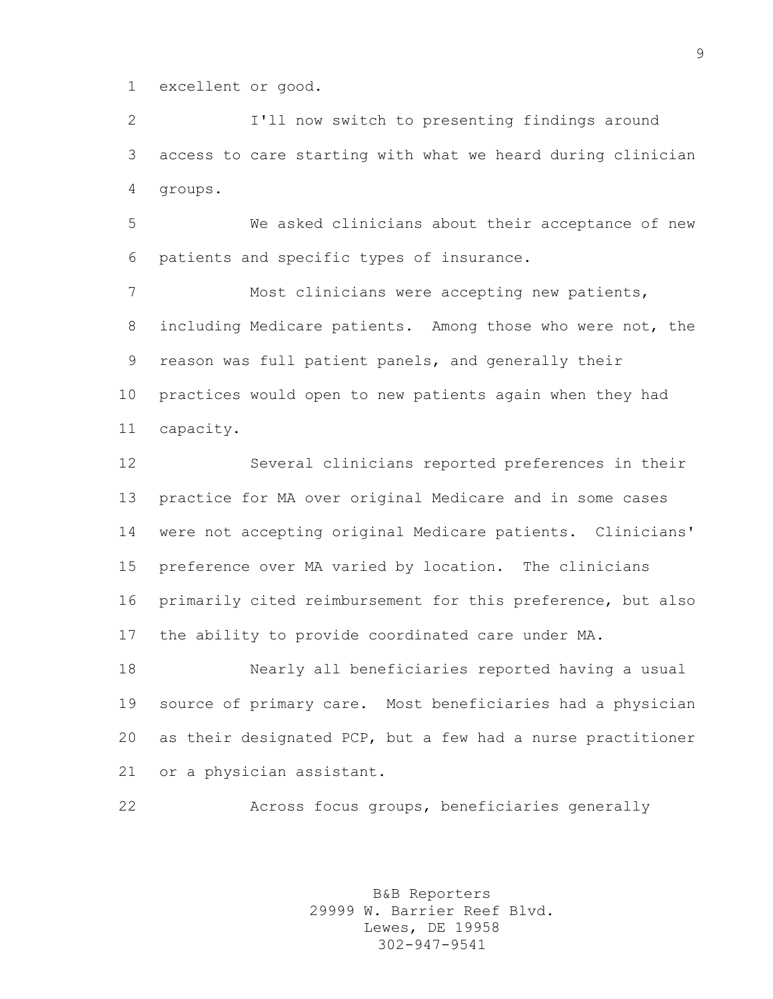excellent or good.

 I'll now switch to presenting findings around access to care starting with what we heard during clinician groups.

 We asked clinicians about their acceptance of new patients and specific types of insurance.

 Most clinicians were accepting new patients, including Medicare patients. Among those who were not, the reason was full patient panels, and generally their practices would open to new patients again when they had capacity.

 Several clinicians reported preferences in their practice for MA over original Medicare and in some cases were not accepting original Medicare patients. Clinicians' preference over MA varied by location. The clinicians primarily cited reimbursement for this preference, but also the ability to provide coordinated care under MA.

 Nearly all beneficiaries reported having a usual source of primary care. Most beneficiaries had a physician as their designated PCP, but a few had a nurse practitioner or a physician assistant.

```
22 Across focus groups, beneficiaries generally
```
B&B Reporters 29999 W. Barrier Reef Blvd. Lewes, DE 19958 302-947-9541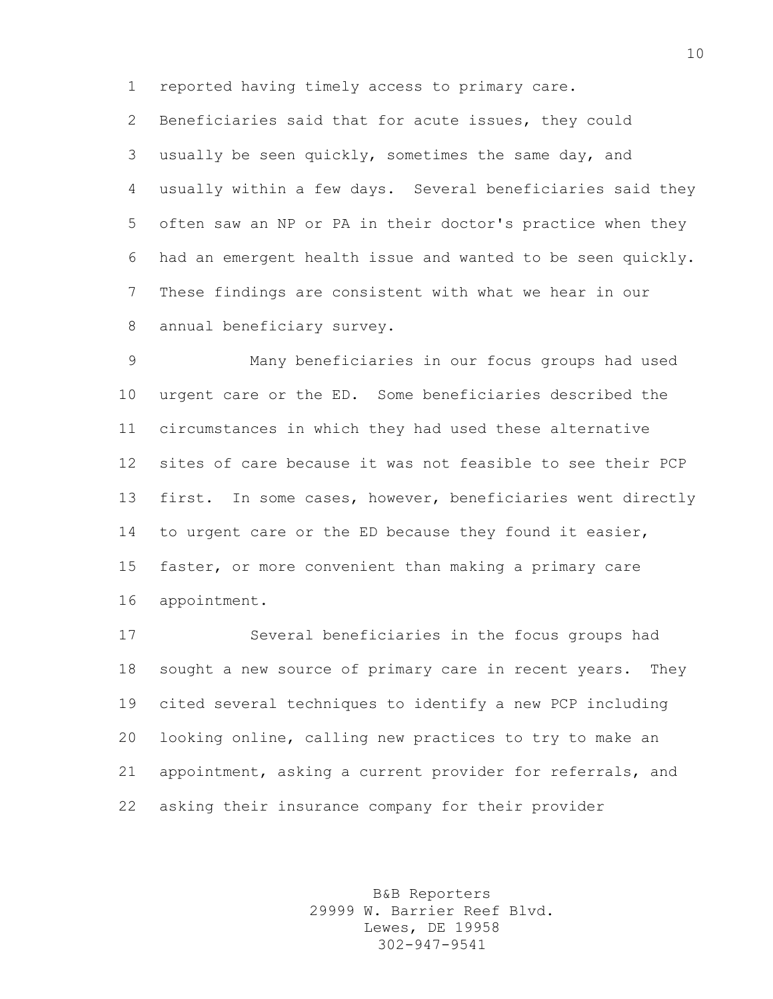reported having timely access to primary care.

 Beneficiaries said that for acute issues, they could usually be seen quickly, sometimes the same day, and usually within a few days. Several beneficiaries said they often saw an NP or PA in their doctor's practice when they had an emergent health issue and wanted to be seen quickly. These findings are consistent with what we hear in our annual beneficiary survey.

 Many beneficiaries in our focus groups had used urgent care or the ED. Some beneficiaries described the circumstances in which they had used these alternative sites of care because it was not feasible to see their PCP first. In some cases, however, beneficiaries went directly to urgent care or the ED because they found it easier, faster, or more convenient than making a primary care appointment.

 Several beneficiaries in the focus groups had sought a new source of primary care in recent years. They cited several techniques to identify a new PCP including looking online, calling new practices to try to make an appointment, asking a current provider for referrals, and asking their insurance company for their provider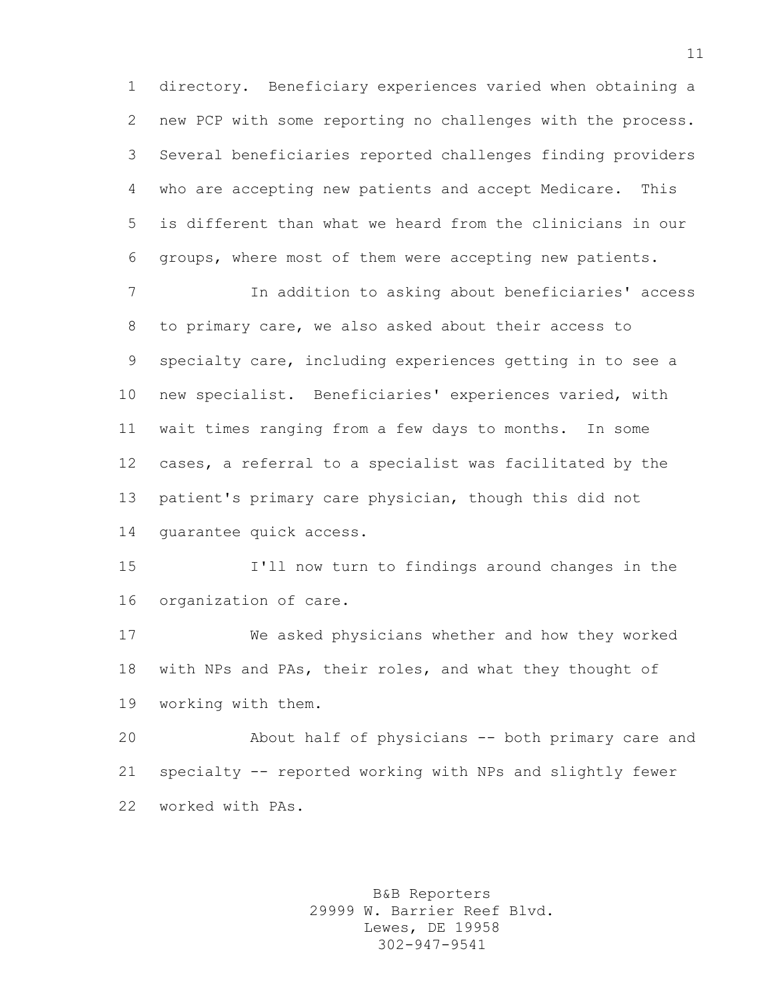directory. Beneficiary experiences varied when obtaining a new PCP with some reporting no challenges with the process. Several beneficiaries reported challenges finding providers who are accepting new patients and accept Medicare. This is different than what we heard from the clinicians in our groups, where most of them were accepting new patients.

 In addition to asking about beneficiaries' access to primary care, we also asked about their access to specialty care, including experiences getting in to see a new specialist. Beneficiaries' experiences varied, with wait times ranging from a few days to months. In some cases, a referral to a specialist was facilitated by the patient's primary care physician, though this did not guarantee quick access.

 I'll now turn to findings around changes in the organization of care.

 We asked physicians whether and how they worked with NPs and PAs, their roles, and what they thought of working with them.

 About half of physicians -- both primary care and specialty -- reported working with NPs and slightly fewer worked with PAs.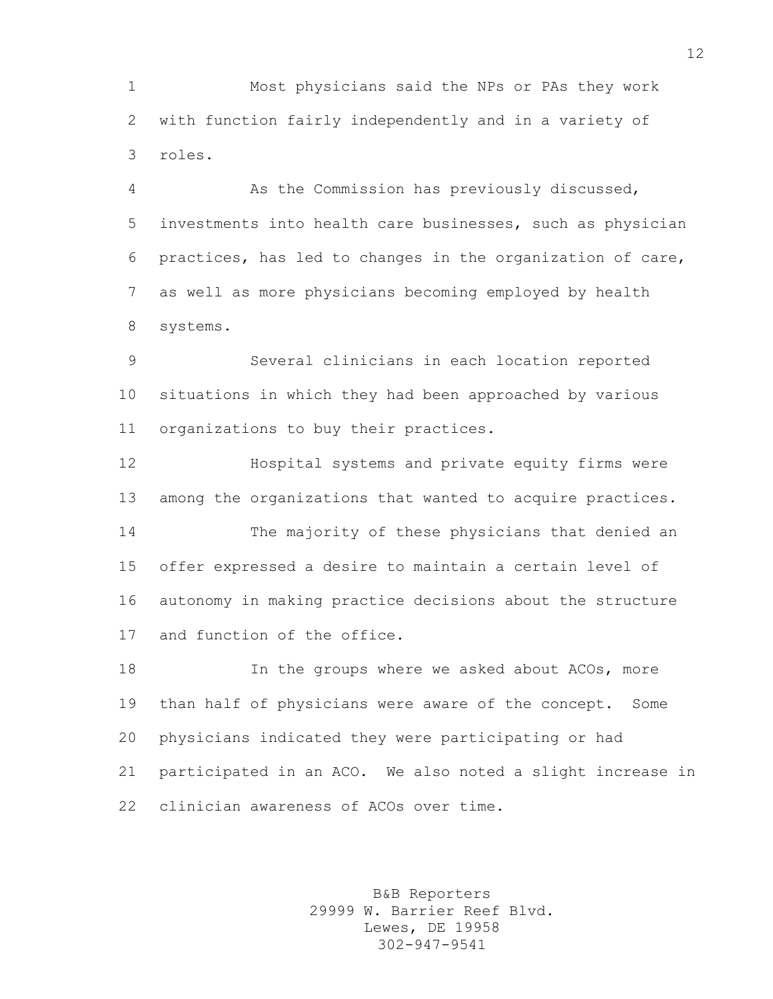Most physicians said the NPs or PAs they work with function fairly independently and in a variety of roles.

 As the Commission has previously discussed, investments into health care businesses, such as physician practices, has led to changes in the organization of care, as well as more physicians becoming employed by health systems.

 Several clinicians in each location reported situations in which they had been approached by various organizations to buy their practices.

 Hospital systems and private equity firms were among the organizations that wanted to acquire practices.

 The majority of these physicians that denied an offer expressed a desire to maintain a certain level of autonomy in making practice decisions about the structure and function of the office.

 In the groups where we asked about ACOs, more than half of physicians were aware of the concept. Some physicians indicated they were participating or had participated in an ACO. We also noted a slight increase in clinician awareness of ACOs over time.

> B&B Reporters 29999 W. Barrier Reef Blvd. Lewes, DE 19958 302-947-9541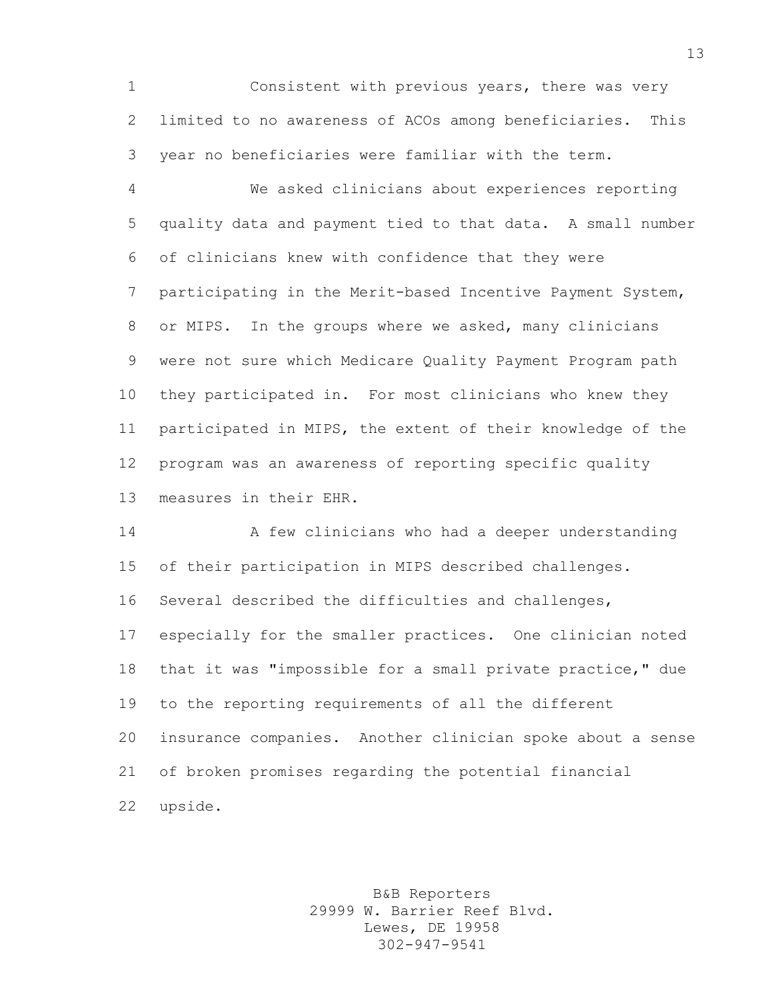Consistent with previous years, there was very limited to no awareness of ACOs among beneficiaries. This year no beneficiaries were familiar with the term.

 We asked clinicians about experiences reporting quality data and payment tied to that data. A small number of clinicians knew with confidence that they were participating in the Merit-based Incentive Payment System, or MIPS. In the groups where we asked, many clinicians were not sure which Medicare Quality Payment Program path they participated in. For most clinicians who knew they participated in MIPS, the extent of their knowledge of the program was an awareness of reporting specific quality measures in their EHR.

 A few clinicians who had a deeper understanding of their participation in MIPS described challenges. Several described the difficulties and challenges, especially for the smaller practices. One clinician noted that it was "impossible for a small private practice," due to the reporting requirements of all the different insurance companies. Another clinician spoke about a sense of broken promises regarding the potential financial upside.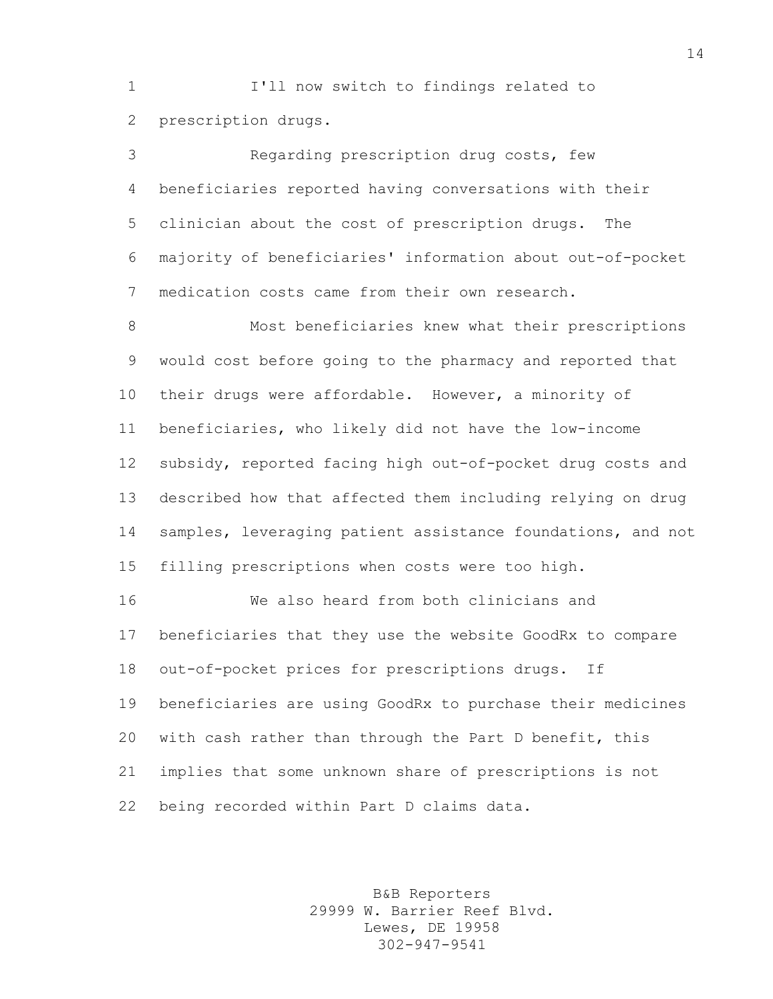I'll now switch to findings related to prescription drugs.

 Regarding prescription drug costs, few beneficiaries reported having conversations with their clinician about the cost of prescription drugs. The majority of beneficiaries' information about out-of-pocket medication costs came from their own research.

 Most beneficiaries knew what their prescriptions would cost before going to the pharmacy and reported that their drugs were affordable. However, a minority of beneficiaries, who likely did not have the low-income subsidy, reported facing high out-of-pocket drug costs and described how that affected them including relying on drug samples, leveraging patient assistance foundations, and not filling prescriptions when costs were too high.

 We also heard from both clinicians and beneficiaries that they use the website GoodRx to compare out-of-pocket prices for prescriptions drugs. If beneficiaries are using GoodRx to purchase their medicines with cash rather than through the Part D benefit, this implies that some unknown share of prescriptions is not being recorded within Part D claims data.

> B&B Reporters 29999 W. Barrier Reef Blvd. Lewes, DE 19958 302-947-9541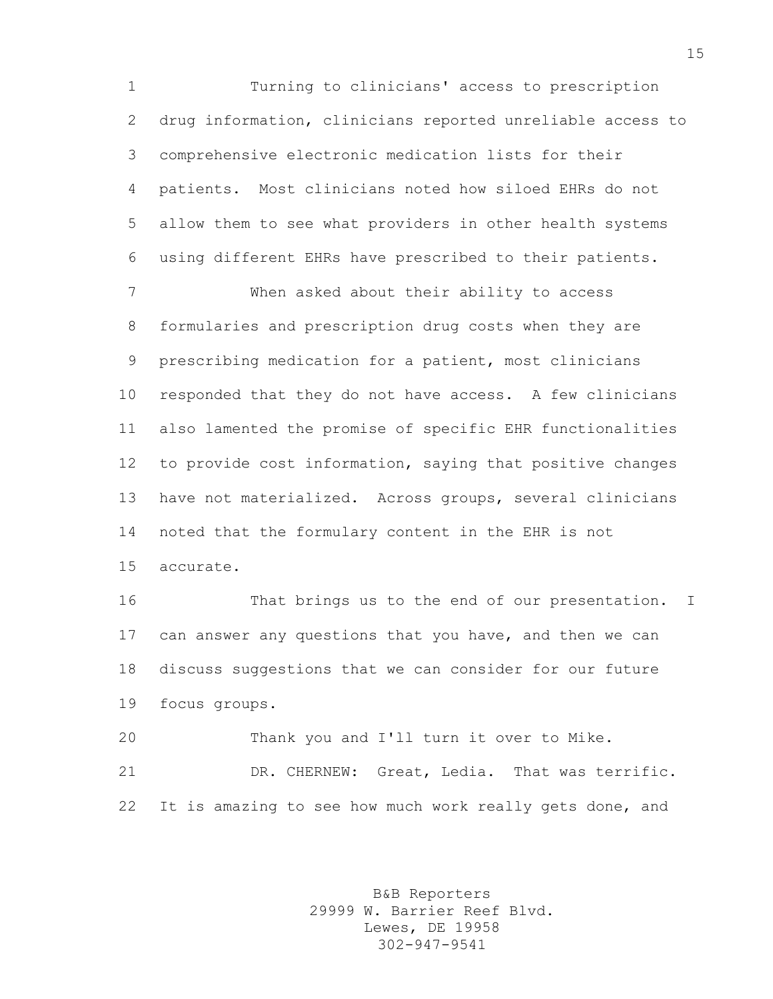Turning to clinicians' access to prescription drug information, clinicians reported unreliable access to comprehensive electronic medication lists for their patients. Most clinicians noted how siloed EHRs do not allow them to see what providers in other health systems using different EHRs have prescribed to their patients.

 When asked about their ability to access formularies and prescription drug costs when they are prescribing medication for a patient, most clinicians responded that they do not have access. A few clinicians also lamented the promise of specific EHR functionalities to provide cost information, saying that positive changes have not materialized. Across groups, several clinicians noted that the formulary content in the EHR is not accurate.

 That brings us to the end of our presentation. I can answer any questions that you have, and then we can discuss suggestions that we can consider for our future focus groups.

 Thank you and I'll turn it over to Mike. DR. CHERNEW: Great, Ledia. That was terrific. It is amazing to see how much work really gets done, and

> B&B Reporters 29999 W. Barrier Reef Blvd. Lewes, DE 19958 302-947-9541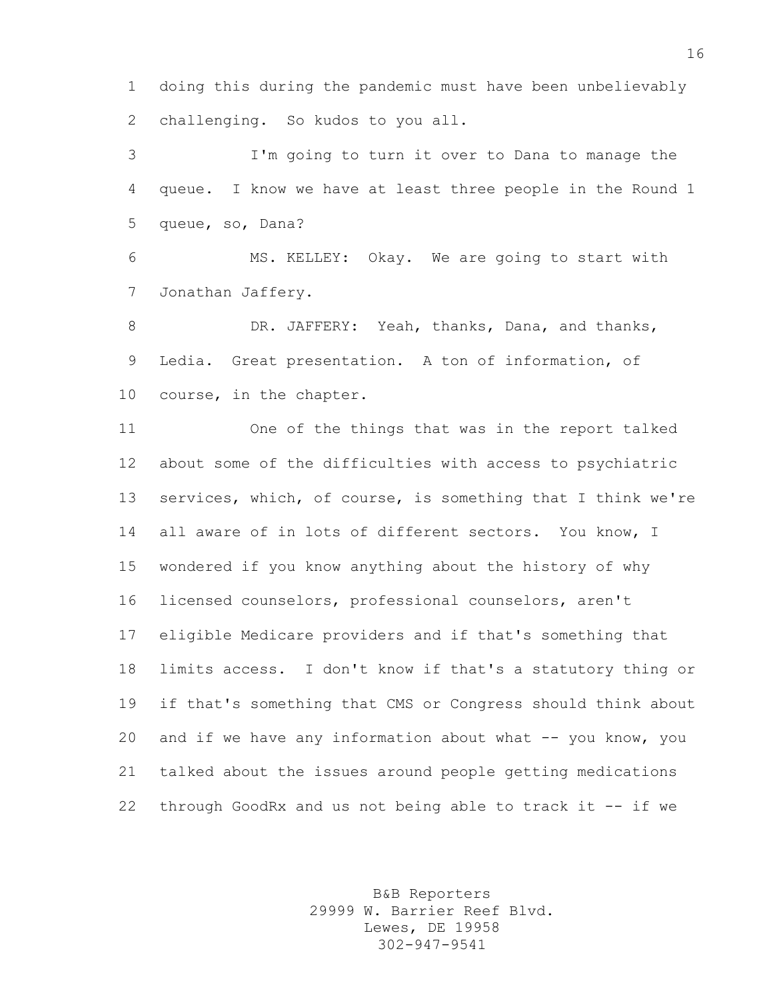doing this during the pandemic must have been unbelievably challenging. So kudos to you all.

 I'm going to turn it over to Dana to manage the queue. I know we have at least three people in the Round 1 queue, so, Dana?

 MS. KELLEY: Okay. We are going to start with Jonathan Jaffery.

8 DR. JAFFERY: Yeah, thanks, Dana, and thanks, Ledia. Great presentation. A ton of information, of course, in the chapter.

 One of the things that was in the report talked about some of the difficulties with access to psychiatric services, which, of course, is something that I think we're 14 all aware of in lots of different sectors. You know, I wondered if you know anything about the history of why licensed counselors, professional counselors, aren't eligible Medicare providers and if that's something that limits access. I don't know if that's a statutory thing or if that's something that CMS or Congress should think about 20 and if we have any information about what -- you know, you talked about the issues around people getting medications through GoodRx and us not being able to track it -- if we

> B&B Reporters 29999 W. Barrier Reef Blvd. Lewes, DE 19958 302-947-9541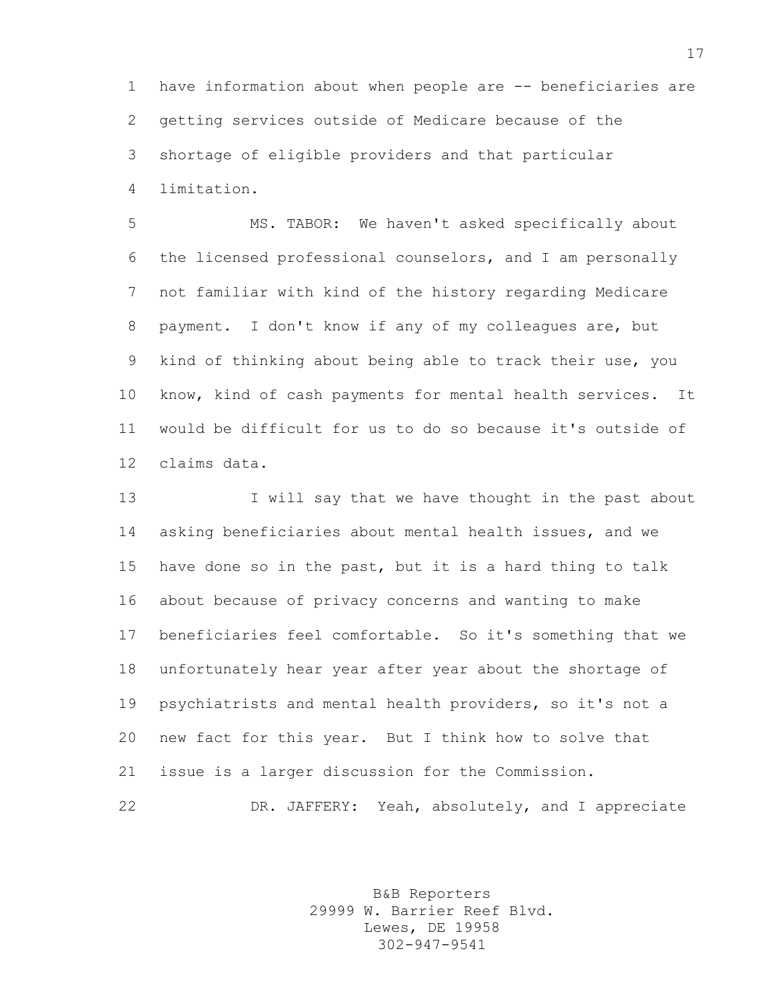have information about when people are -- beneficiaries are getting services outside of Medicare because of the shortage of eligible providers and that particular limitation.

 MS. TABOR: We haven't asked specifically about the licensed professional counselors, and I am personally not familiar with kind of the history regarding Medicare payment. I don't know if any of my colleagues are, but kind of thinking about being able to track their use, you know, kind of cash payments for mental health services. It would be difficult for us to do so because it's outside of claims data.

13 I will say that we have thought in the past about asking beneficiaries about mental health issues, and we have done so in the past, but it is a hard thing to talk about because of privacy concerns and wanting to make beneficiaries feel comfortable. So it's something that we unfortunately hear year after year about the shortage of psychiatrists and mental health providers, so it's not a new fact for this year. But I think how to solve that issue is a larger discussion for the Commission. DR. JAFFERY: Yeah, absolutely, and I appreciate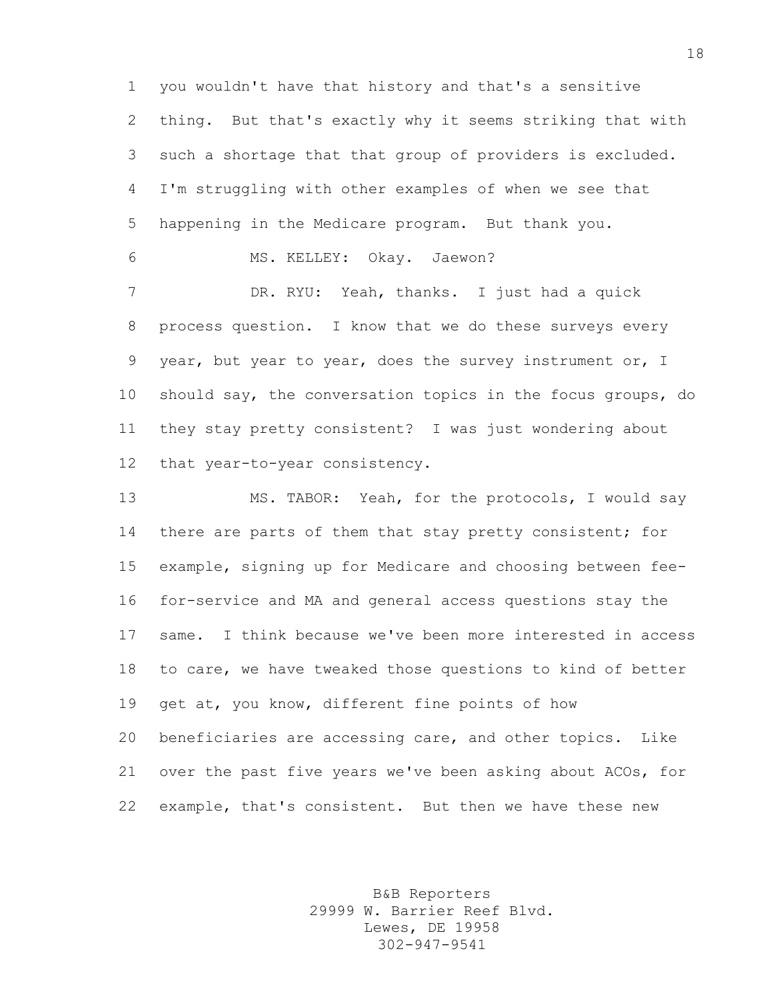you wouldn't have that history and that's a sensitive thing. But that's exactly why it seems striking that with such a shortage that that group of providers is excluded. I'm struggling with other examples of when we see that happening in the Medicare program. But thank you.

MS. KELLEY: Okay. Jaewon?

 DR. RYU: Yeah, thanks. I just had a quick process question. I know that we do these surveys every year, but year to year, does the survey instrument or, I should say, the conversation topics in the focus groups, do they stay pretty consistent? I was just wondering about that year-to-year consistency.

 MS. TABOR: Yeah, for the protocols, I would say 14 there are parts of them that stay pretty consistent; for example, signing up for Medicare and choosing between fee- for-service and MA and general access questions stay the same. I think because we've been more interested in access to care, we have tweaked those questions to kind of better 19 get at, you know, different fine points of how beneficiaries are accessing care, and other topics. Like over the past five years we've been asking about ACOs, for example, that's consistent. But then we have these new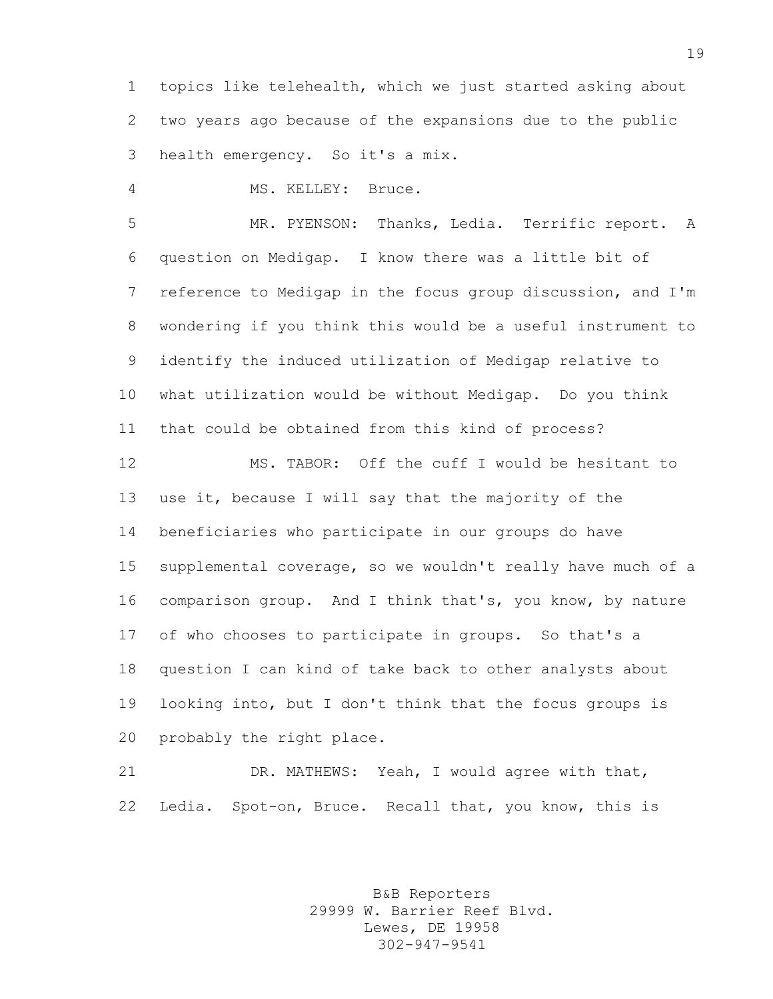topics like telehealth, which we just started asking about two years ago because of the expansions due to the public health emergency. So it's a mix.

MS. KELLEY: Bruce.

 MR. PYENSON: Thanks, Ledia. Terrific report. A question on Medigap. I know there was a little bit of reference to Medigap in the focus group discussion, and I'm wondering if you think this would be a useful instrument to identify the induced utilization of Medigap relative to what utilization would be without Medigap. Do you think that could be obtained from this kind of process?

 MS. TABOR: Off the cuff I would be hesitant to use it, because I will say that the majority of the beneficiaries who participate in our groups do have supplemental coverage, so we wouldn't really have much of a comparison group. And I think that's, you know, by nature of who chooses to participate in groups. So that's a question I can kind of take back to other analysts about looking into, but I don't think that the focus groups is probably the right place.

 DR. MATHEWS: Yeah, I would agree with that, Ledia. Spot-on, Bruce. Recall that, you know, this is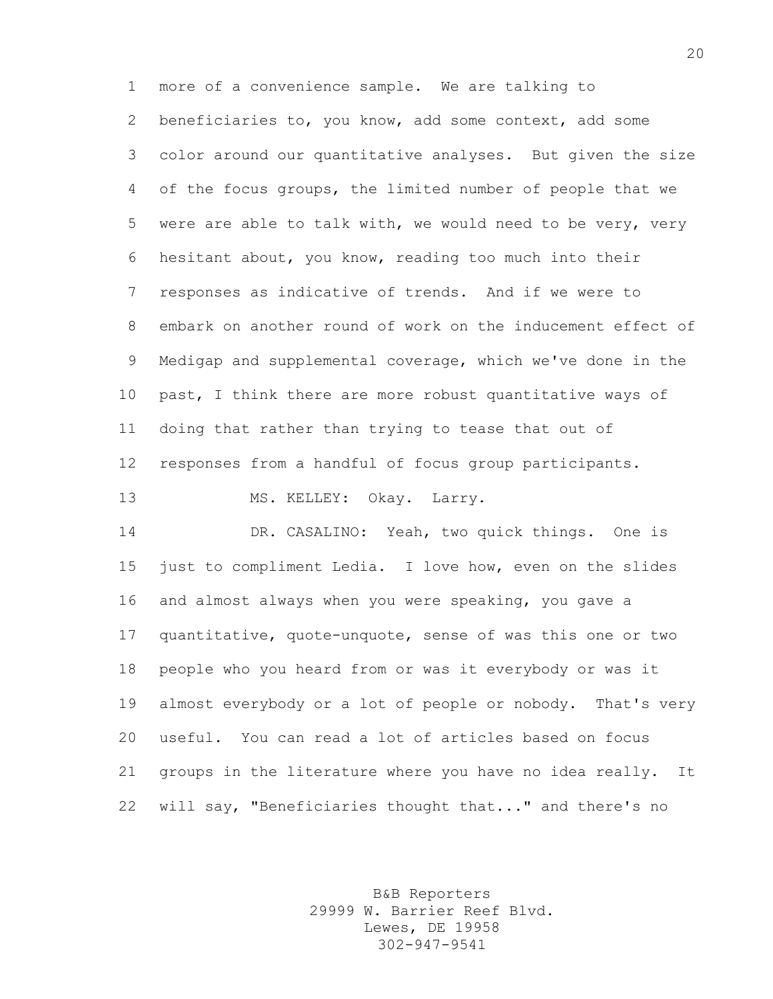more of a convenience sample. We are talking to beneficiaries to, you know, add some context, add some color around our quantitative analyses. But given the size of the focus groups, the limited number of people that we were are able to talk with, we would need to be very, very hesitant about, you know, reading too much into their responses as indicative of trends. And if we were to embark on another round of work on the inducement effect of Medigap and supplemental coverage, which we've done in the past, I think there are more robust quantitative ways of doing that rather than trying to tease that out of responses from a handful of focus group participants. 13 MS. KELLEY: Okay. Larry.

 DR. CASALINO: Yeah, two quick things. One is just to compliment Ledia. I love how, even on the slides and almost always when you were speaking, you gave a quantitative, quote-unquote, sense of was this one or two people who you heard from or was it everybody or was it almost everybody or a lot of people or nobody. That's very useful. You can read a lot of articles based on focus groups in the literature where you have no idea really. It will say, "Beneficiaries thought that..." and there's no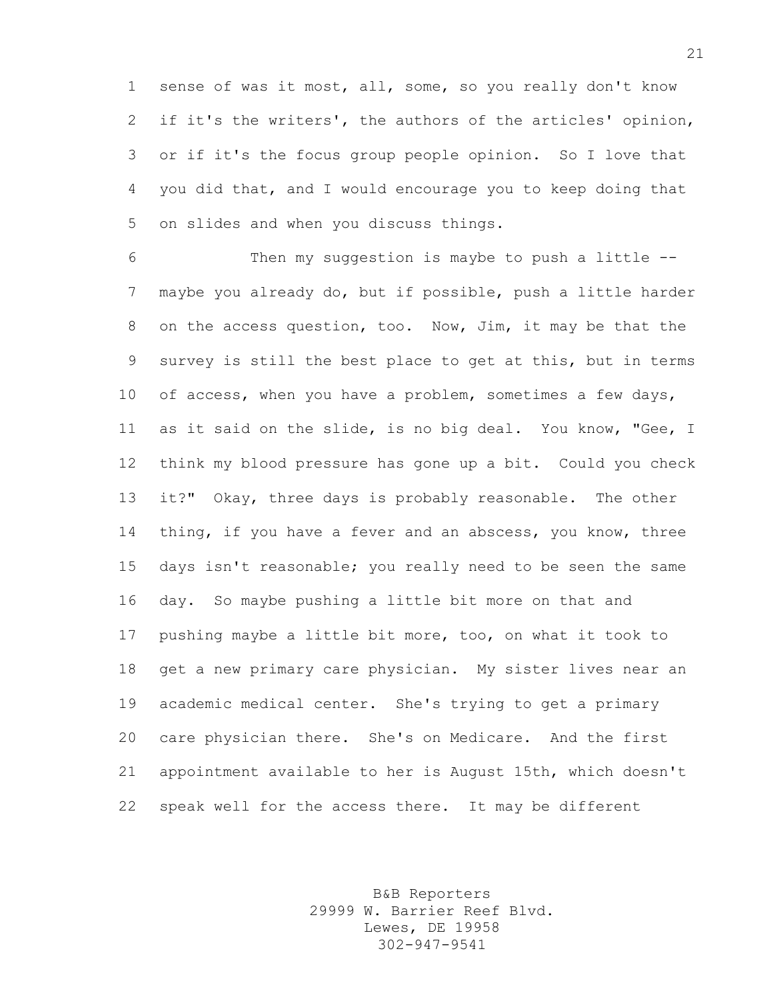sense of was it most, all, some, so you really don't know if it's the writers', the authors of the articles' opinion, or if it's the focus group people opinion. So I love that you did that, and I would encourage you to keep doing that on slides and when you discuss things.

 Then my suggestion is maybe to push a little -- maybe you already do, but if possible, push a little harder on the access question, too. Now, Jim, it may be that the survey is still the best place to get at this, but in terms 10 of access, when you have a problem, sometimes a few days, as it said on the slide, is no big deal. You know, "Gee, I think my blood pressure has gone up a bit. Could you check it?" Okay, three days is probably reasonable. The other 14 thing, if you have a fever and an abscess, you know, three days isn't reasonable; you really need to be seen the same day. So maybe pushing a little bit more on that and pushing maybe a little bit more, too, on what it took to get a new primary care physician. My sister lives near an academic medical center. She's trying to get a primary care physician there. She's on Medicare. And the first appointment available to her is August 15th, which doesn't speak well for the access there. It may be different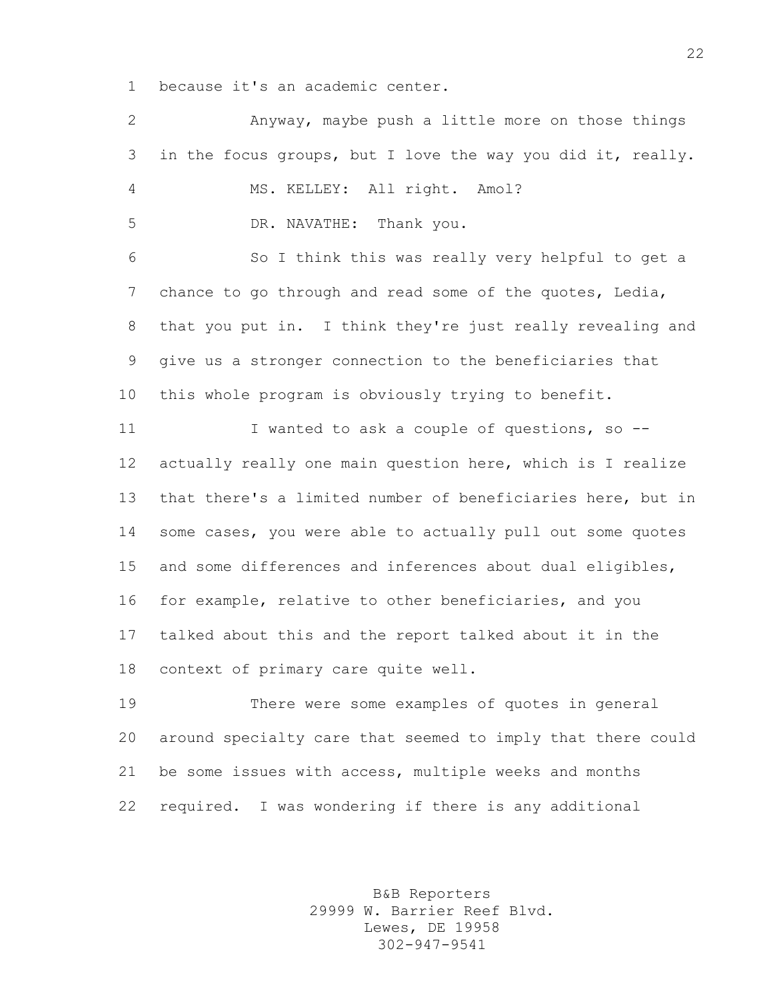because it's an academic center.

 Anyway, maybe push a little more on those things in the focus groups, but I love the way you did it, really. MS. KELLEY: All right. Amol? DR. NAVATHE: Thank you. So I think this was really very helpful to get a 7 chance to go through and read some of the quotes, Ledia, that you put in. I think they're just really revealing and give us a stronger connection to the beneficiaries that this whole program is obviously trying to benefit. 11 I wanted to ask a couple of questions, so -- actually really one main question here, which is I realize that there's a limited number of beneficiaries here, but in some cases, you were able to actually pull out some quotes and some differences and inferences about dual eligibles, for example, relative to other beneficiaries, and you talked about this and the report talked about it in the context of primary care quite well. There were some examples of quotes in general around specialty care that seemed to imply that there could be some issues with access, multiple weeks and months required. I was wondering if there is any additional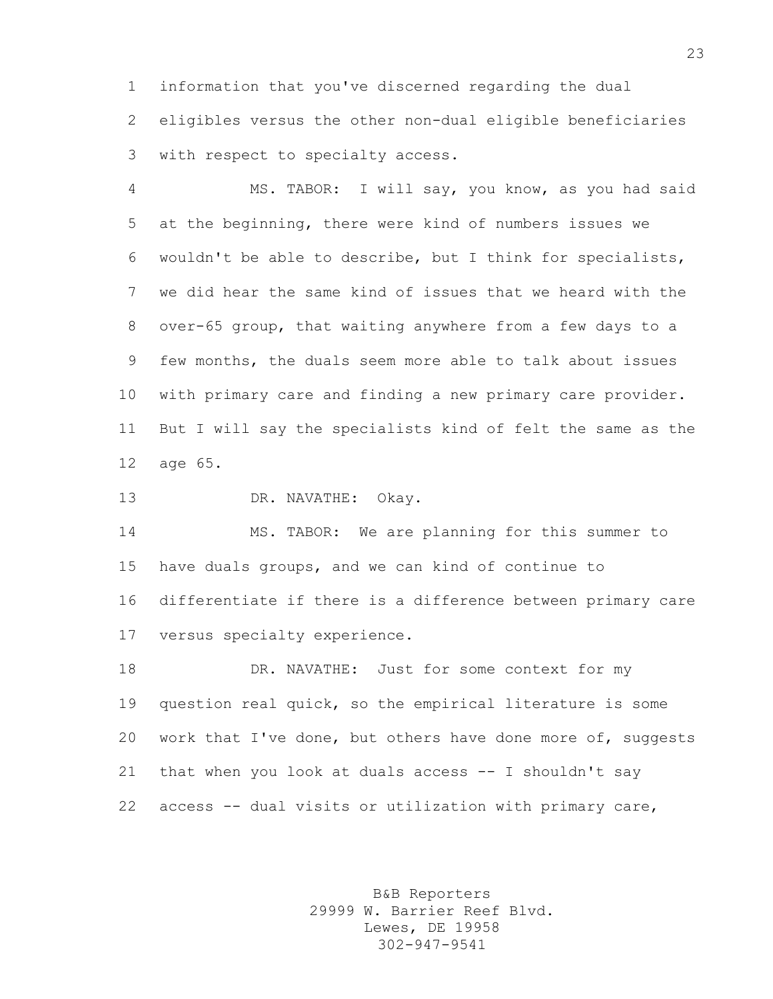information that you've discerned regarding the dual eligibles versus the other non-dual eligible beneficiaries with respect to specialty access.

 MS. TABOR: I will say, you know, as you had said at the beginning, there were kind of numbers issues we wouldn't be able to describe, but I think for specialists, we did hear the same kind of issues that we heard with the over-65 group, that waiting anywhere from a few days to a few months, the duals seem more able to talk about issues with primary care and finding a new primary care provider. But I will say the specialists kind of felt the same as the age 65.

DR. NAVATHE: Okay.

 MS. TABOR: We are planning for this summer to have duals groups, and we can kind of continue to differentiate if there is a difference between primary care versus specialty experience.

18 DR. NAVATHE: Just for some context for my question real quick, so the empirical literature is some 20 work that I've done, but others have done more of, suggests that when you look at duals access -- I shouldn't say access -- dual visits or utilization with primary care,

> B&B Reporters 29999 W. Barrier Reef Blvd. Lewes, DE 19958 302-947-9541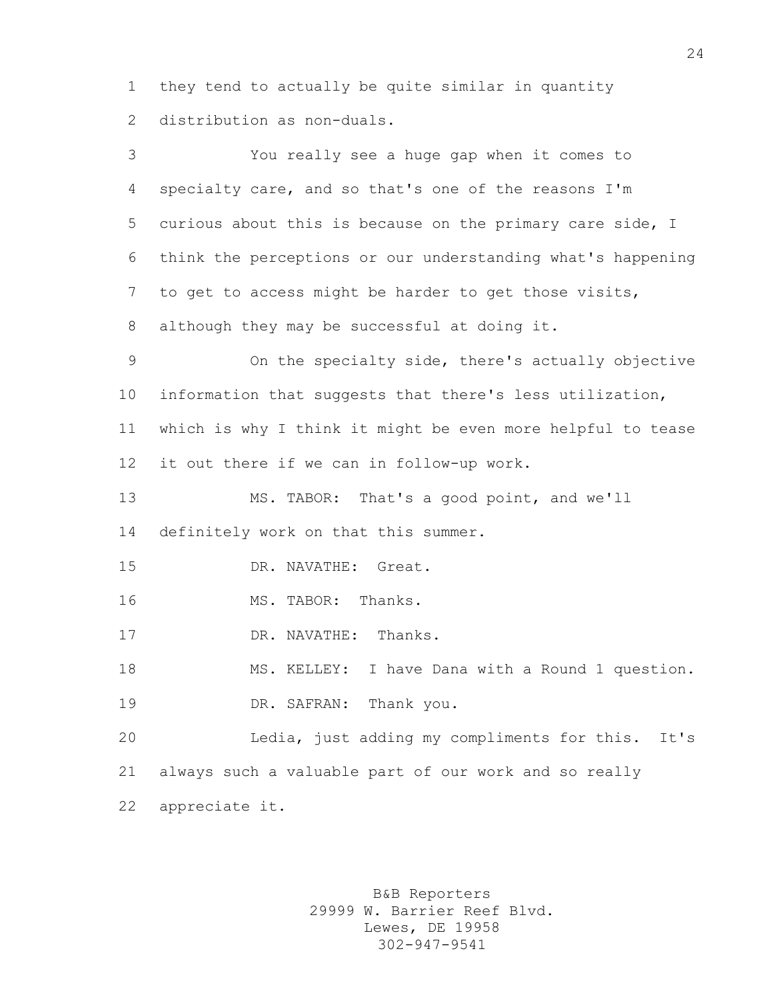they tend to actually be quite similar in quantity distribution as non-duals.

 You really see a huge gap when it comes to specialty care, and so that's one of the reasons I'm curious about this is because on the primary care side, I think the perceptions or our understanding what's happening to get to access might be harder to get those visits, although they may be successful at doing it. On the specialty side, there's actually objective information that suggests that there's less utilization, which is why I think it might be even more helpful to tease it out there if we can in follow-up work. MS. TABOR: That's a good point, and we'll definitely work on that this summer. DR. NAVATHE: Great. 16 MS. TABOR: Thanks. DR. NAVATHE: Thanks. MS. KELLEY: I have Dana with a Round 1 question. DR. SAFRAN: Thank you. Ledia, just adding my compliments for this. It's always such a valuable part of our work and so really appreciate it.

> B&B Reporters 29999 W. Barrier Reef Blvd. Lewes, DE 19958 302-947-9541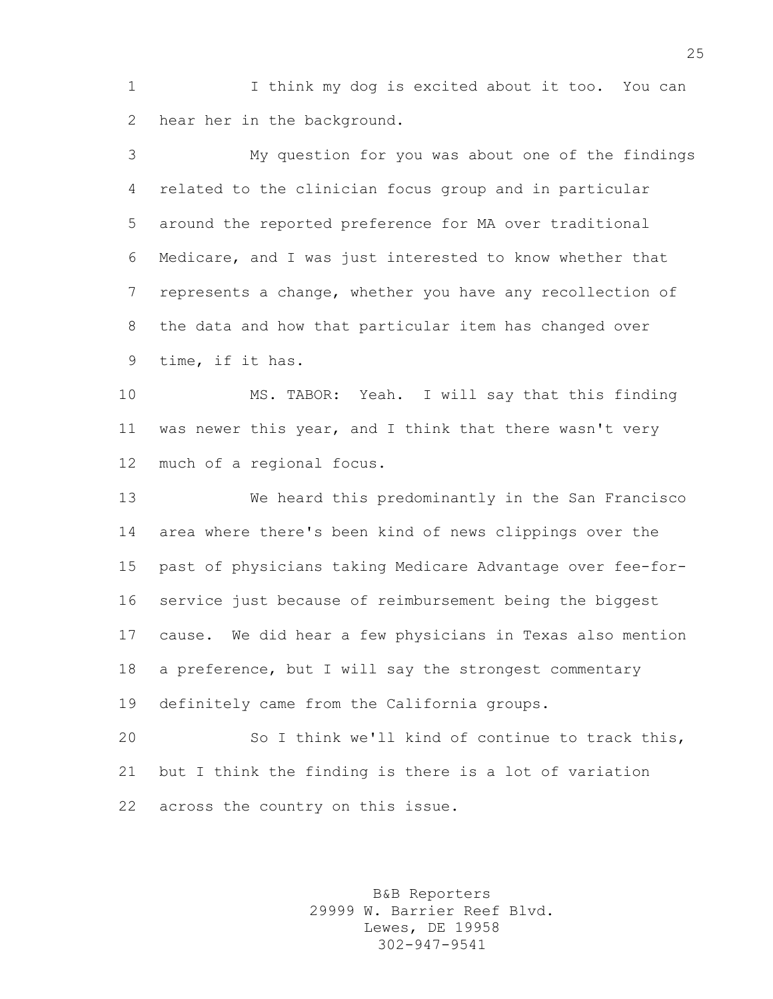I think my dog is excited about it too. You can hear her in the background.

 My question for you was about one of the findings related to the clinician focus group and in particular around the reported preference for MA over traditional Medicare, and I was just interested to know whether that represents a change, whether you have any recollection of the data and how that particular item has changed over time, if it has.

 MS. TABOR: Yeah. I will say that this finding was newer this year, and I think that there wasn't very much of a regional focus.

 We heard this predominantly in the San Francisco area where there's been kind of news clippings over the past of physicians taking Medicare Advantage over fee-for- service just because of reimbursement being the biggest cause. We did hear a few physicians in Texas also mention a preference, but I will say the strongest commentary definitely came from the California groups.

 So I think we'll kind of continue to track this, but I think the finding is there is a lot of variation across the country on this issue.

> B&B Reporters 29999 W. Barrier Reef Blvd. Lewes, DE 19958 302-947-9541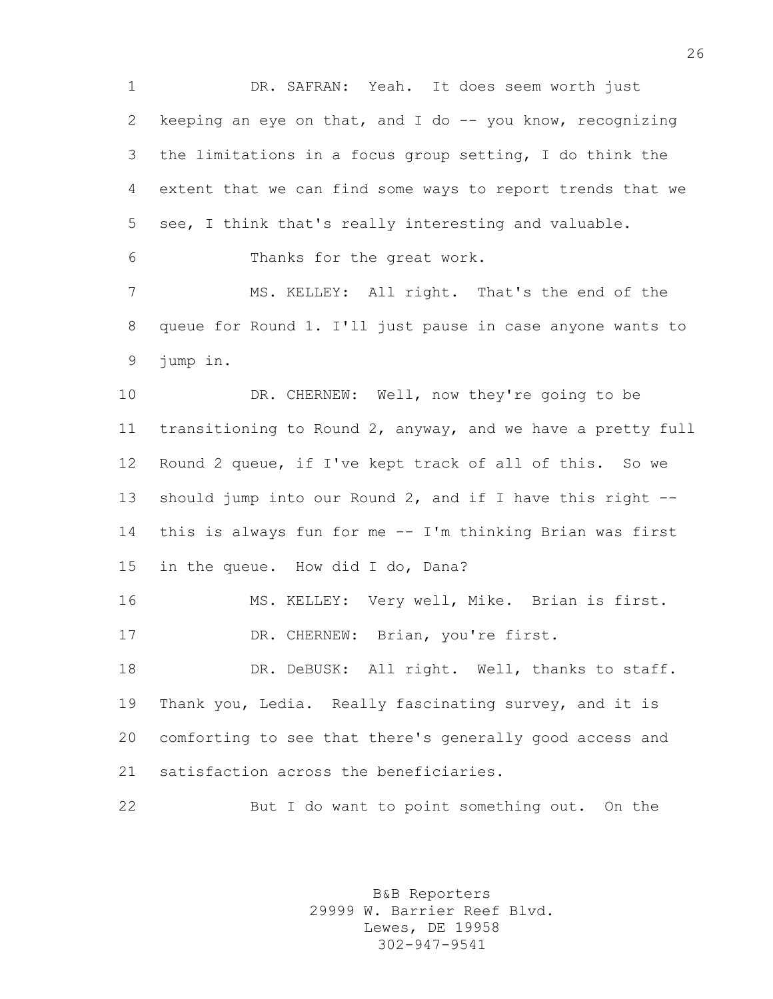DR. SAFRAN: Yeah. It does seem worth just keeping an eye on that, and I do -- you know, recognizing the limitations in a focus group setting, I do think the extent that we can find some ways to report trends that we see, I think that's really interesting and valuable. Thanks for the great work. MS. KELLEY: All right. That's the end of the queue for Round 1. I'll just pause in case anyone wants to jump in. 10 DR. CHERNEW: Well, now they're going to be transitioning to Round 2, anyway, and we have a pretty full Round 2 queue, if I've kept track of all of this. So we should jump into our Round 2, and if I have this right -- this is always fun for me -- I'm thinking Brian was first in the queue. How did I do, Dana? MS. KELLEY: Very well, Mike. Brian is first. 17 DR. CHERNEW: Brian, you're first. 18 DR. DeBUSK: All right. Well, thanks to staff. Thank you, Ledia. Really fascinating survey, and it is comforting to see that there's generally good access and satisfaction across the beneficiaries. But I do want to point something out. On the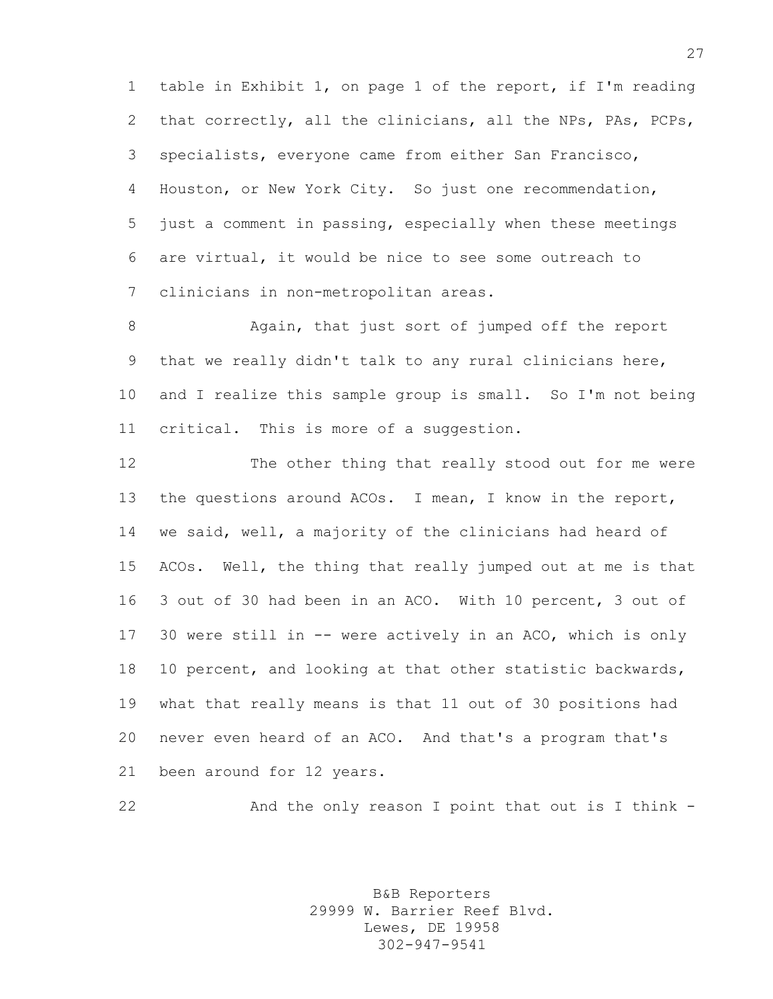table in Exhibit 1, on page 1 of the report, if I'm reading that correctly, all the clinicians, all the NPs, PAs, PCPs, specialists, everyone came from either San Francisco, Houston, or New York City. So just one recommendation, just a comment in passing, especially when these meetings are virtual, it would be nice to see some outreach to clinicians in non-metropolitan areas.

 Again, that just sort of jumped off the report that we really didn't talk to any rural clinicians here, and I realize this sample group is small. So I'm not being critical. This is more of a suggestion.

 The other thing that really stood out for me were the questions around ACOs. I mean, I know in the report, we said, well, a majority of the clinicians had heard of ACOs. Well, the thing that really jumped out at me is that 3 out of 30 had been in an ACO. With 10 percent, 3 out of 30 were still in -- were actively in an ACO, which is only 10 percent, and looking at that other statistic backwards, what that really means is that 11 out of 30 positions had never even heard of an ACO. And that's a program that's been around for 12 years.

22 And the only reason I point that out is I think -

B&B Reporters 29999 W. Barrier Reef Blvd. Lewes, DE 19958 302-947-9541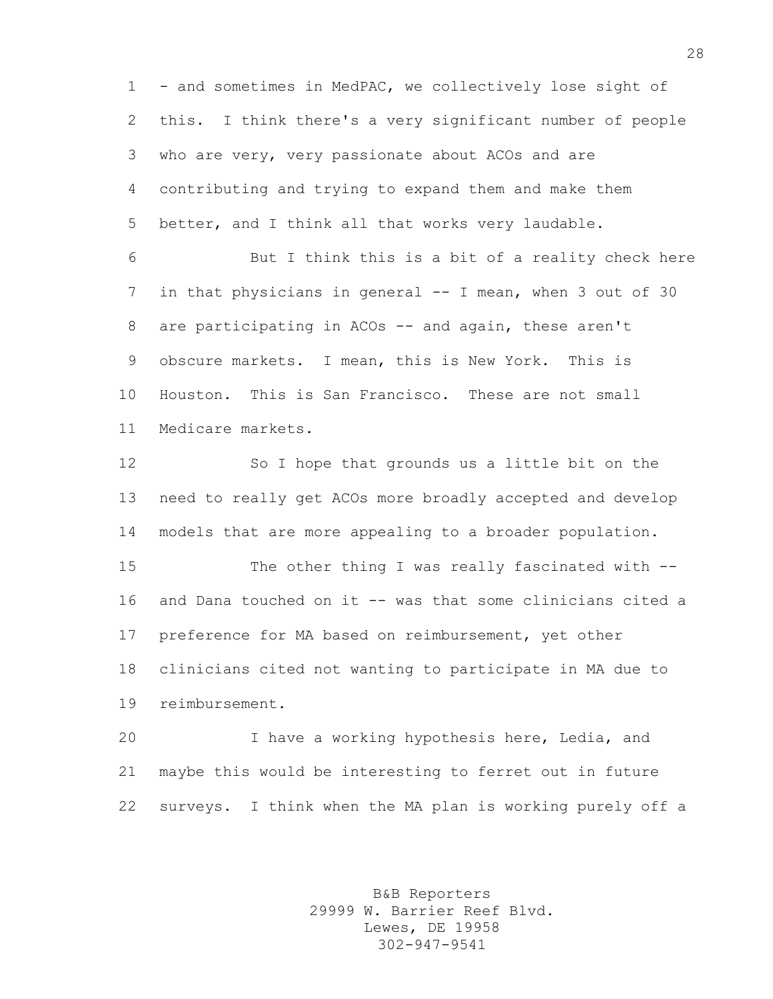- and sometimes in MedPAC, we collectively lose sight of this. I think there's a very significant number of people who are very, very passionate about ACOs and are contributing and trying to expand them and make them better, and I think all that works very laudable.

 But I think this is a bit of a reality check here in that physicians in general -- I mean, when 3 out of 30 are participating in ACOs -- and again, these aren't obscure markets. I mean, this is New York. This is Houston. This is San Francisco. These are not small Medicare markets.

 So I hope that grounds us a little bit on the need to really get ACOs more broadly accepted and develop models that are more appealing to a broader population.

 The other thing I was really fascinated with -- and Dana touched on it -- was that some clinicians cited a preference for MA based on reimbursement, yet other clinicians cited not wanting to participate in MA due to reimbursement.

 I have a working hypothesis here, Ledia, and maybe this would be interesting to ferret out in future surveys. I think when the MA plan is working purely off a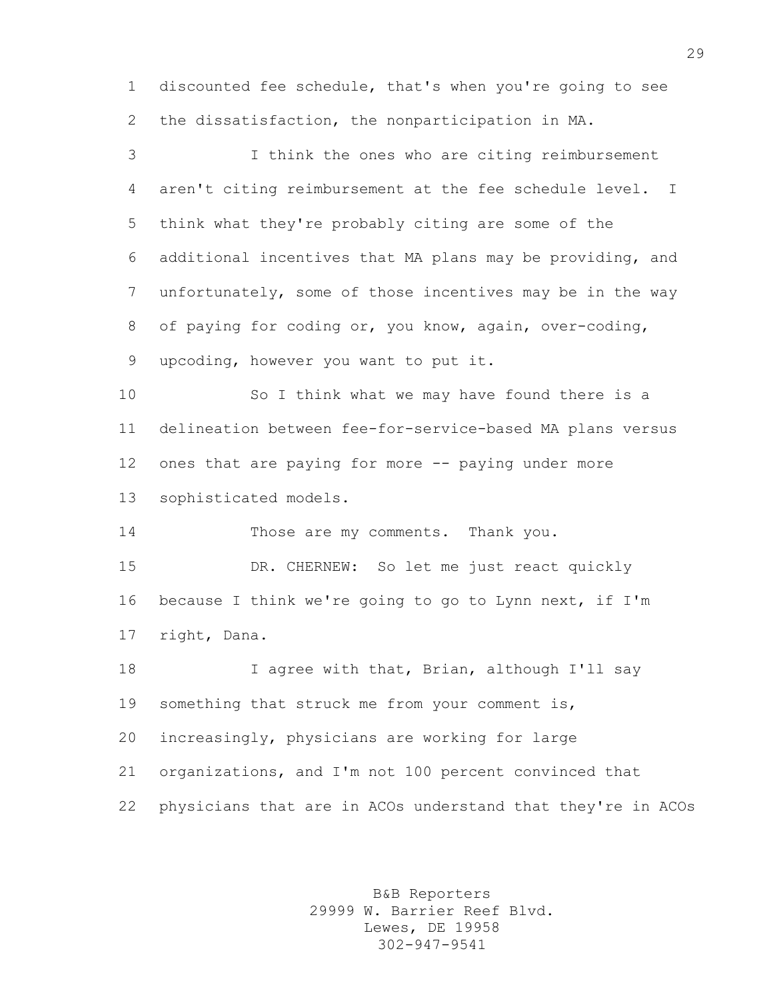discounted fee schedule, that's when you're going to see the dissatisfaction, the nonparticipation in MA.

 I think the ones who are citing reimbursement aren't citing reimbursement at the fee schedule level. I think what they're probably citing are some of the additional incentives that MA plans may be providing, and unfortunately, some of those incentives may be in the way of paying for coding or, you know, again, over-coding, upcoding, however you want to put it.

 So I think what we may have found there is a delineation between fee-for-service-based MA plans versus ones that are paying for more -- paying under more sophisticated models.

14 Those are my comments. Thank you. DR. CHERNEW: So let me just react quickly because I think we're going to go to Lynn next, if I'm right, Dana.

 I agree with that, Brian, although I'll say 19 something that struck me from your comment is, increasingly, physicians are working for large organizations, and I'm not 100 percent convinced that physicians that are in ACOs understand that they're in ACOs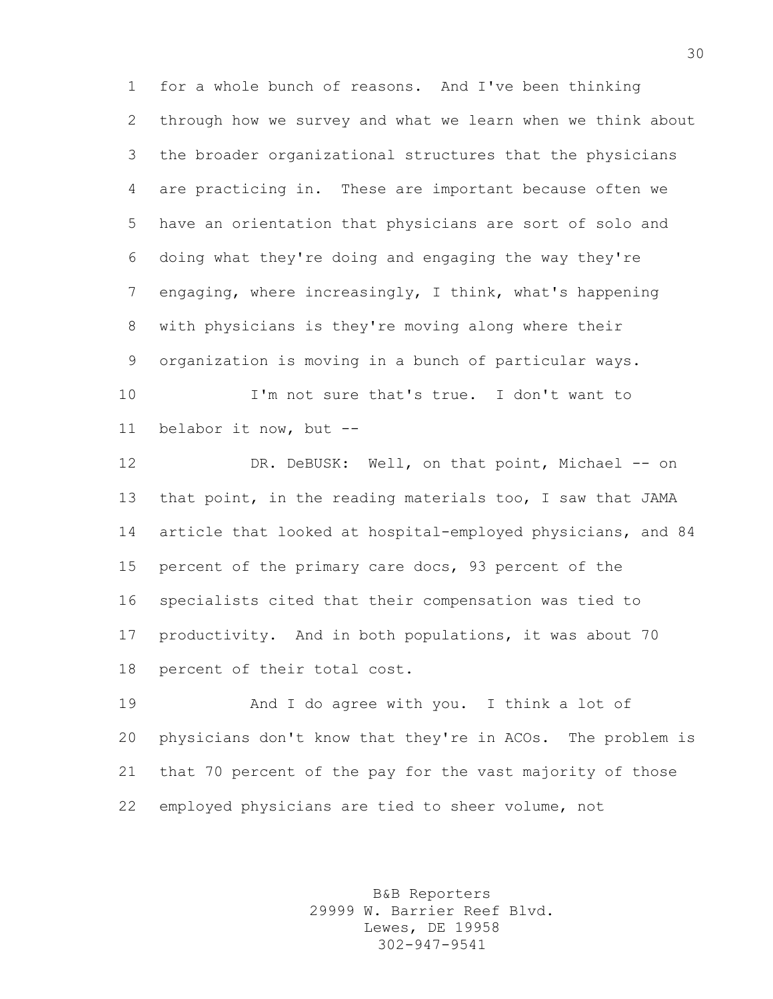for a whole bunch of reasons. And I've been thinking through how we survey and what we learn when we think about the broader organizational structures that the physicians are practicing in. These are important because often we have an orientation that physicians are sort of solo and doing what they're doing and engaging the way they're engaging, where increasingly, I think, what's happening with physicians is they're moving along where their organization is moving in a bunch of particular ways.

 I'm not sure that's true. I don't want to belabor it now, but --

12 DR. DeBUSK: Well, on that point, Michael -- on that point, in the reading materials too, I saw that JAMA article that looked at hospital-employed physicians, and 84 percent of the primary care docs, 93 percent of the specialists cited that their compensation was tied to productivity. And in both populations, it was about 70 percent of their total cost.

 And I do agree with you. I think a lot of physicians don't know that they're in ACOs. The problem is that 70 percent of the pay for the vast majority of those employed physicians are tied to sheer volume, not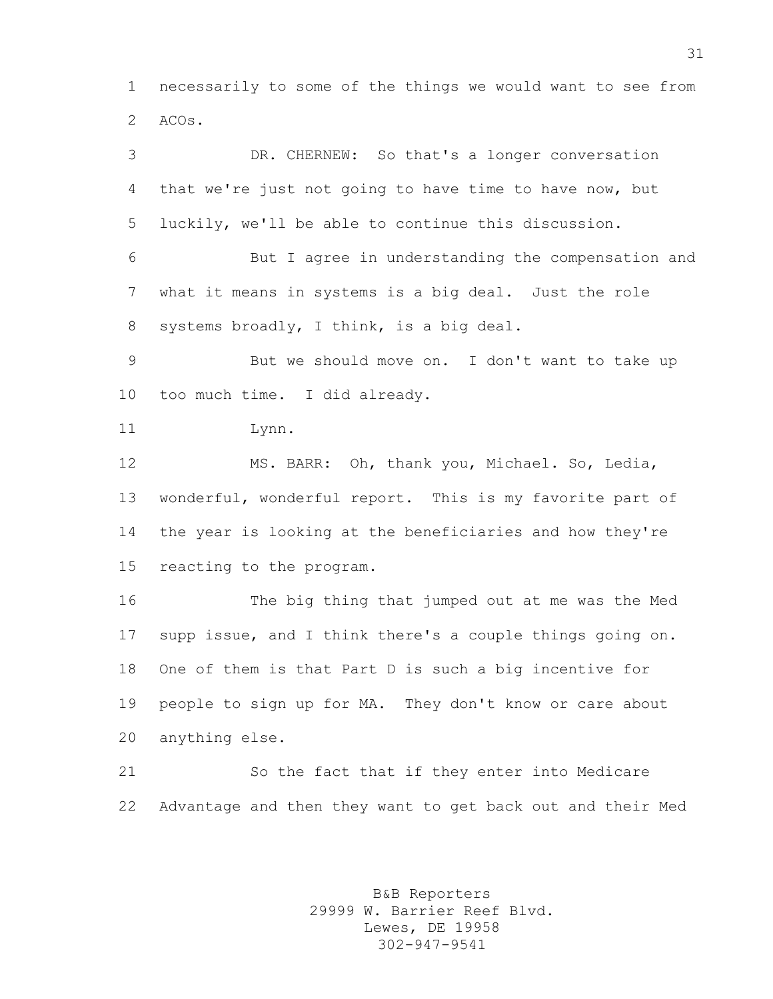necessarily to some of the things we would want to see from ACOs.

 DR. CHERNEW: So that's a longer conversation that we're just not going to have time to have now, but luckily, we'll be able to continue this discussion. But I agree in understanding the compensation and what it means in systems is a big deal. Just the role systems broadly, I think, is a big deal. But we should move on. I don't want to take up too much time. I did already. Lynn. MS. BARR: Oh, thank you, Michael. So, Ledia, wonderful, wonderful report. This is my favorite part of the year is looking at the beneficiaries and how they're reacting to the program. The big thing that jumped out at me was the Med supp issue, and I think there's a couple things going on. One of them is that Part D is such a big incentive for people to sign up for MA. They don't know or care about anything else.

 So the fact that if they enter into Medicare Advantage and then they want to get back out and their Med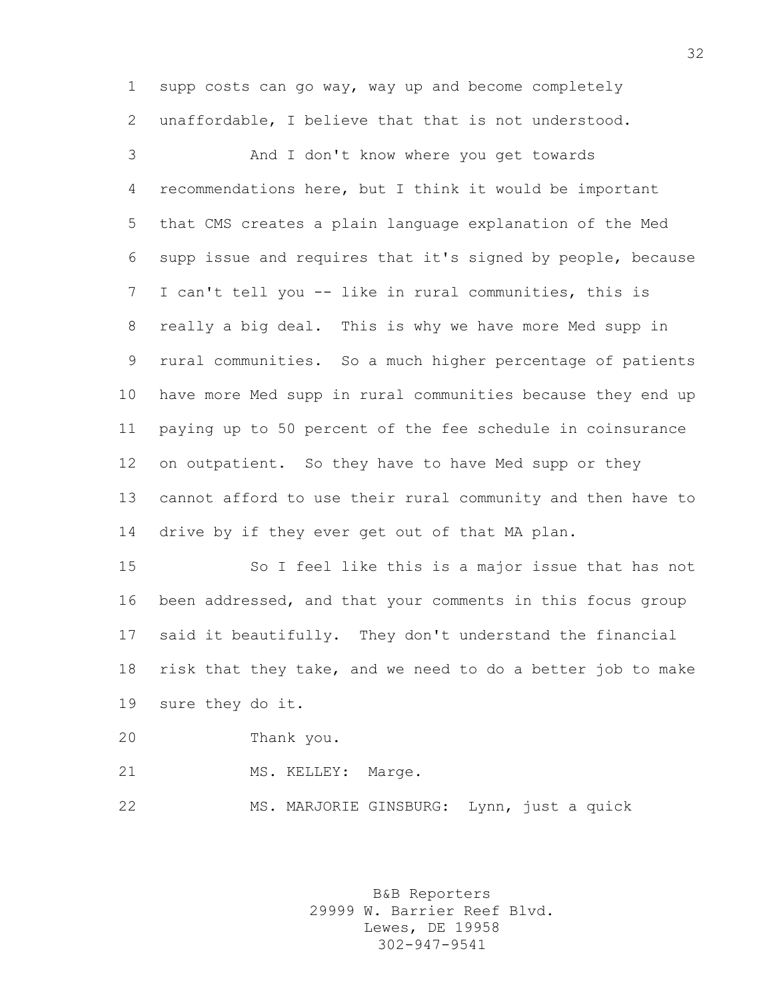supp costs can go way, way up and become completely unaffordable, I believe that that is not understood.

 And I don't know where you get towards recommendations here, but I think it would be important that CMS creates a plain language explanation of the Med supp issue and requires that it's signed by people, because I can't tell you -- like in rural communities, this is really a big deal. This is why we have more Med supp in rural communities. So a much higher percentage of patients have more Med supp in rural communities because they end up paying up to 50 percent of the fee schedule in coinsurance on outpatient. So they have to have Med supp or they cannot afford to use their rural community and then have to drive by if they ever get out of that MA plan.

 So I feel like this is a major issue that has not been addressed, and that your comments in this focus group said it beautifully. They don't understand the financial risk that they take, and we need to do a better job to make sure they do it.

- Thank you.
- 21 MS. KELLEY: Marge.

MS. MARJORIE GINSBURG: Lynn, just a quick

B&B Reporters 29999 W. Barrier Reef Blvd. Lewes, DE 19958 302-947-9541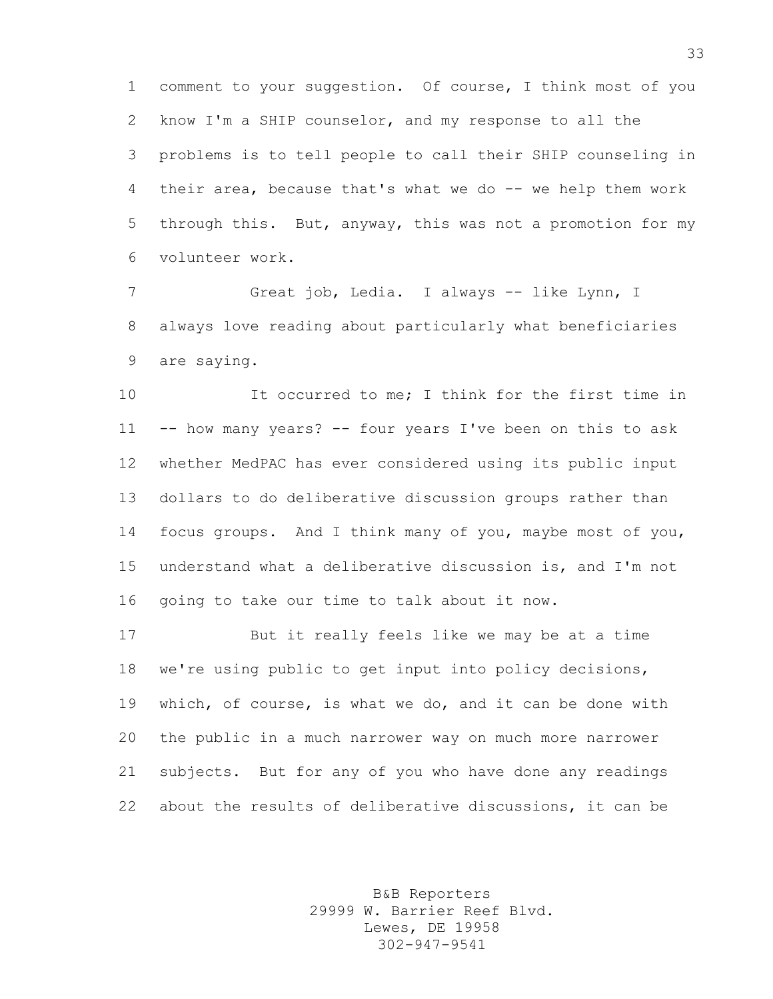comment to your suggestion. Of course, I think most of you know I'm a SHIP counselor, and my response to all the problems is to tell people to call their SHIP counseling in their area, because that's what we do -- we help them work through this. But, anyway, this was not a promotion for my volunteer work.

 Great job, Ledia. I always -- like Lynn, I always love reading about particularly what beneficiaries are saying.

 It occurred to me; I think for the first time in -- how many years? -- four years I've been on this to ask whether MedPAC has ever considered using its public input dollars to do deliberative discussion groups rather than focus groups. And I think many of you, maybe most of you, understand what a deliberative discussion is, and I'm not going to take our time to talk about it now.

 But it really feels like we may be at a time we're using public to get input into policy decisions, which, of course, is what we do, and it can be done with the public in a much narrower way on much more narrower subjects. But for any of you who have done any readings about the results of deliberative discussions, it can be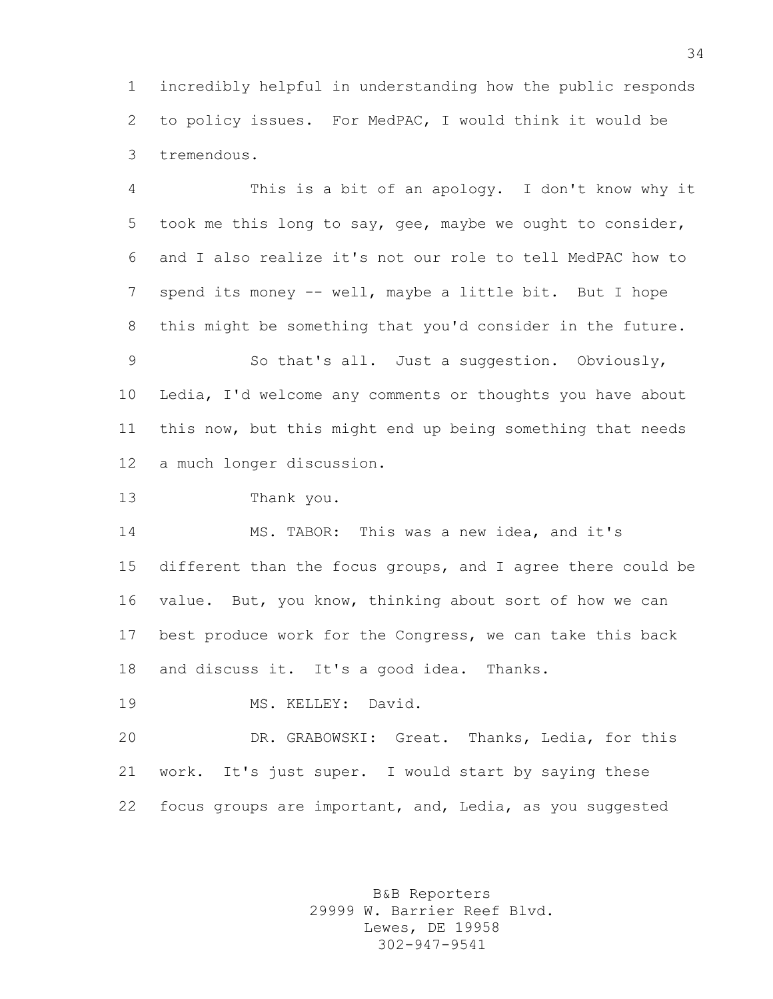incredibly helpful in understanding how the public responds to policy issues. For MedPAC, I would think it would be tremendous.

 This is a bit of an apology. I don't know why it took me this long to say, gee, maybe we ought to consider, and I also realize it's not our role to tell MedPAC how to spend its money -- well, maybe a little bit. But I hope this might be something that you'd consider in the future.

 So that's all. Just a suggestion. Obviously, Ledia, I'd welcome any comments or thoughts you have about this now, but this might end up being something that needs a much longer discussion.

Thank you.

 MS. TABOR: This was a new idea, and it's different than the focus groups, and I agree there could be value. But, you know, thinking about sort of how we can best produce work for the Congress, we can take this back and discuss it. It's a good idea. Thanks.

MS. KELLEY: David.

 DR. GRABOWSKI: Great. Thanks, Ledia, for this work. It's just super. I would start by saying these focus groups are important, and, Ledia, as you suggested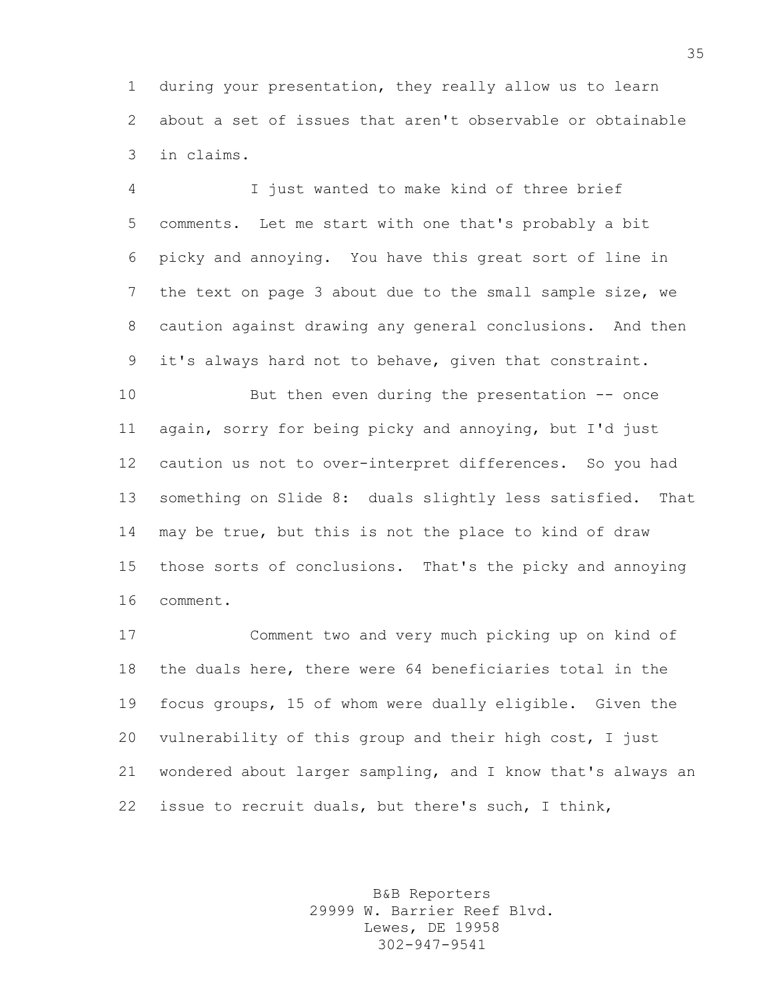during your presentation, they really allow us to learn about a set of issues that aren't observable or obtainable in claims.

 I just wanted to make kind of three brief comments. Let me start with one that's probably a bit picky and annoying. You have this great sort of line in the text on page 3 about due to the small sample size, we caution against drawing any general conclusions. And then it's always hard not to behave, given that constraint.

 But then even during the presentation -- once again, sorry for being picky and annoying, but I'd just caution us not to over-interpret differences. So you had something on Slide 8: duals slightly less satisfied. That may be true, but this is not the place to kind of draw those sorts of conclusions. That's the picky and annoying comment.

 Comment two and very much picking up on kind of the duals here, there were 64 beneficiaries total in the focus groups, 15 of whom were dually eligible. Given the vulnerability of this group and their high cost, I just wondered about larger sampling, and I know that's always an issue to recruit duals, but there's such, I think,

> B&B Reporters 29999 W. Barrier Reef Blvd. Lewes, DE 19958 302-947-9541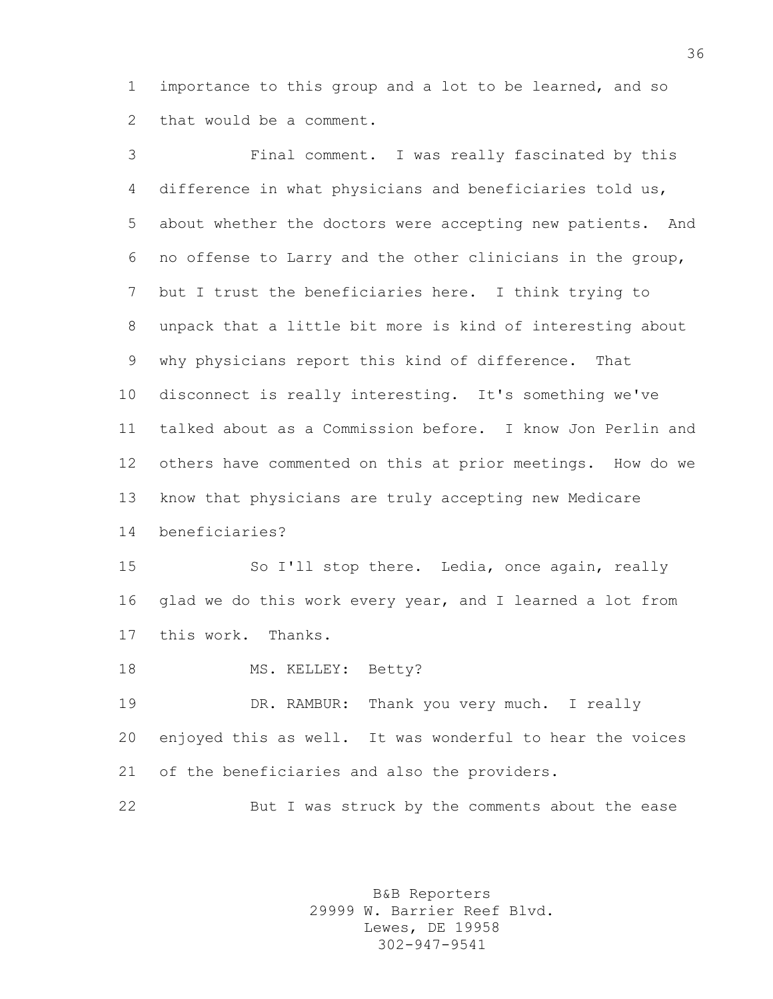importance to this group and a lot to be learned, and so that would be a comment.

 Final comment. I was really fascinated by this difference in what physicians and beneficiaries told us, about whether the doctors were accepting new patients. And no offense to Larry and the other clinicians in the group, but I trust the beneficiaries here. I think trying to unpack that a little bit more is kind of interesting about why physicians report this kind of difference. That disconnect is really interesting. It's something we've talked about as a Commission before. I know Jon Perlin and others have commented on this at prior meetings. How do we know that physicians are truly accepting new Medicare beneficiaries? So I'll stop there. Ledia, once again, really glad we do this work every year, and I learned a lot from this work. Thanks. 18 MS. KELLEY: Betty? 19 DR. RAMBUR: Thank you very much. I really enjoyed this as well. It was wonderful to hear the voices of the beneficiaries and also the providers. But I was struck by the comments about the ease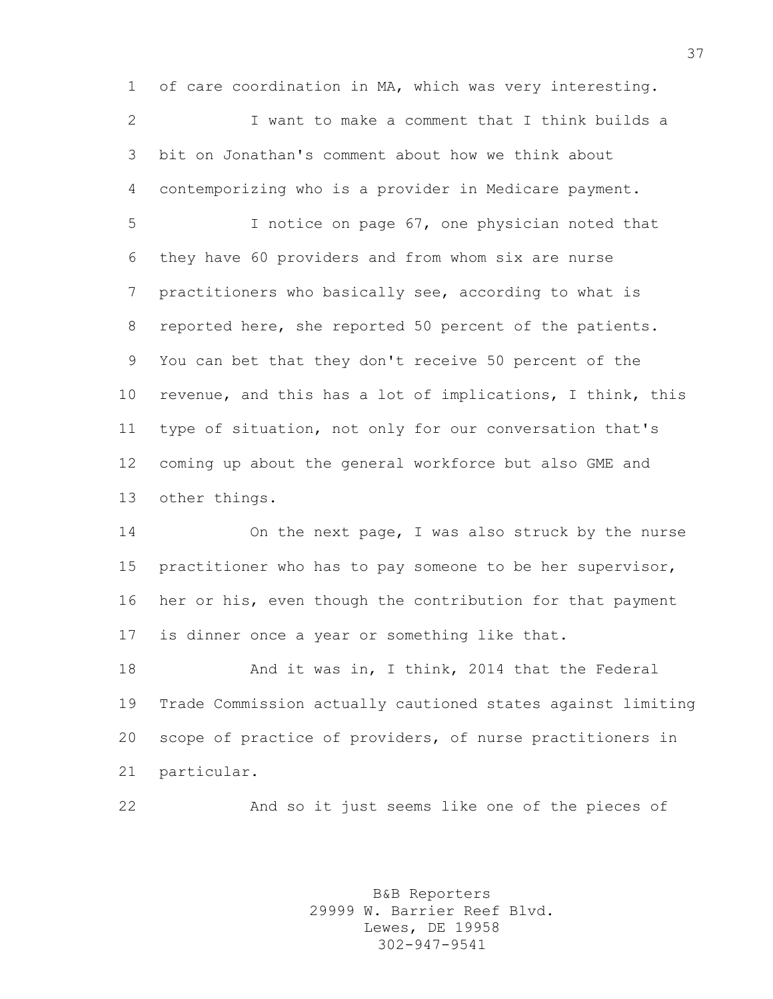of care coordination in MA, which was very interesting. I want to make a comment that I think builds a bit on Jonathan's comment about how we think about contemporizing who is a provider in Medicare payment. I notice on page 67, one physician noted that they have 60 providers and from whom six are nurse practitioners who basically see, according to what is reported here, she reported 50 percent of the patients. You can bet that they don't receive 50 percent of the revenue, and this has a lot of implications, I think, this type of situation, not only for our conversation that's coming up about the general workforce but also GME and other things.

 On the next page, I was also struck by the nurse practitioner who has to pay someone to be her supervisor, her or his, even though the contribution for that payment is dinner once a year or something like that.

18 And it was in, I think, 2014 that the Federal Trade Commission actually cautioned states against limiting scope of practice of providers, of nurse practitioners in particular.

And so it just seems like one of the pieces of

B&B Reporters 29999 W. Barrier Reef Blvd. Lewes, DE 19958 302-947-9541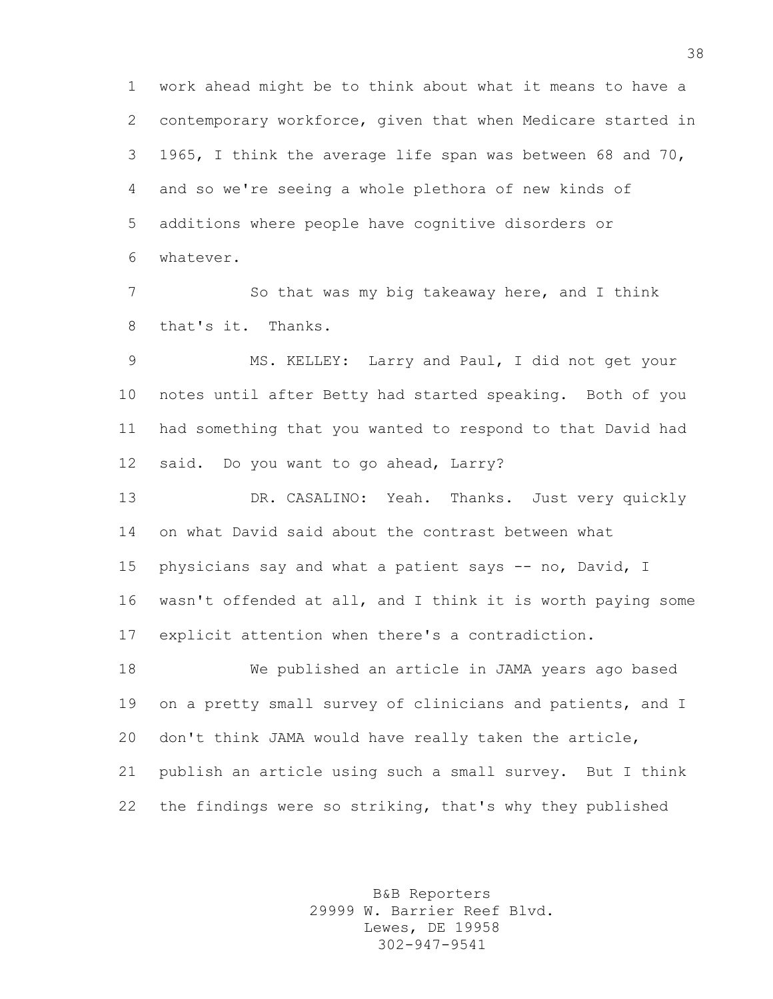work ahead might be to think about what it means to have a contemporary workforce, given that when Medicare started in 1965, I think the average life span was between 68 and 70, and so we're seeing a whole plethora of new kinds of additions where people have cognitive disorders or whatever.

 So that was my big takeaway here, and I think that's it. Thanks.

 MS. KELLEY: Larry and Paul, I did not get your notes until after Betty had started speaking. Both of you had something that you wanted to respond to that David had said. Do you want to go ahead, Larry?

 DR. CASALINO: Yeah. Thanks. Just very quickly on what David said about the contrast between what physicians say and what a patient says -- no, David, I wasn't offended at all, and I think it is worth paying some explicit attention when there's a contradiction.

 We published an article in JAMA years ago based on a pretty small survey of clinicians and patients, and I don't think JAMA would have really taken the article, publish an article using such a small survey. But I think the findings were so striking, that's why they published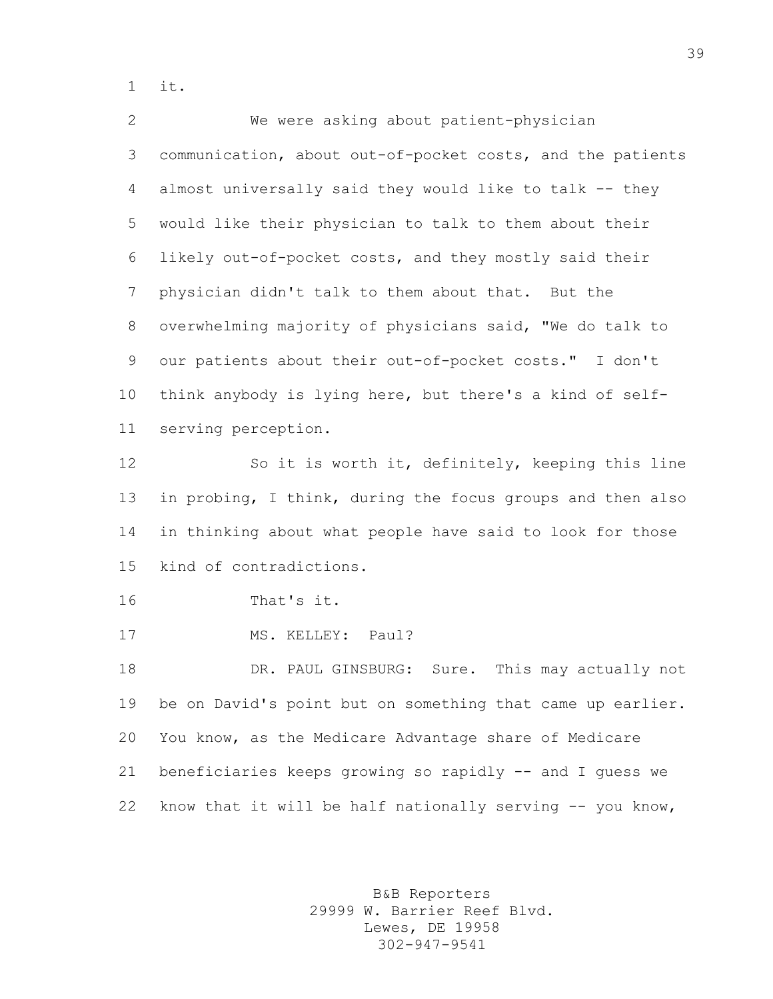it.

 We were asking about patient-physician communication, about out-of-pocket costs, and the patients almost universally said they would like to talk -- they would like their physician to talk to them about their likely out-of-pocket costs, and they mostly said their physician didn't talk to them about that. But the overwhelming majority of physicians said, "We do talk to our patients about their out-of-pocket costs." I don't think anybody is lying here, but there's a kind of self- serving perception. So it is worth it, definitely, keeping this line in probing, I think, during the focus groups and then also in thinking about what people have said to look for those kind of contradictions. That's it. 17 MS. KELLEY: Paul? 18 DR. PAUL GINSBURG: Sure. This may actually not be on David's point but on something that came up earlier. You know, as the Medicare Advantage share of Medicare beneficiaries keeps growing so rapidly -- and I guess we 22 know that it will be half nationally serving -- you know,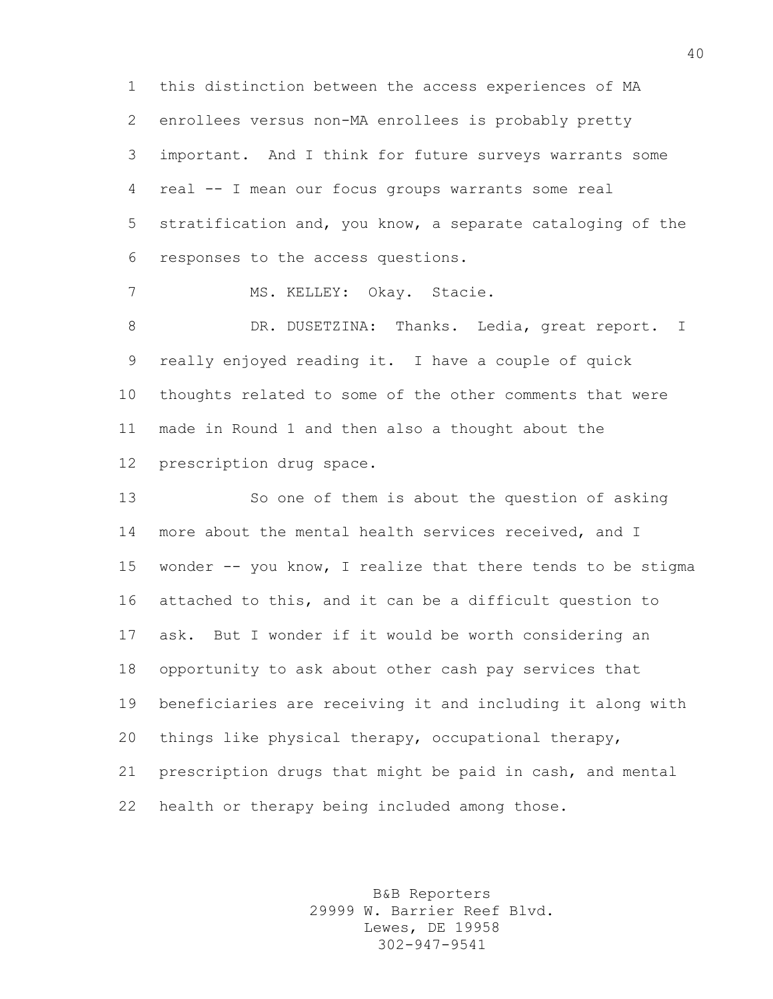this distinction between the access experiences of MA enrollees versus non-MA enrollees is probably pretty important. And I think for future surveys warrants some real -- I mean our focus groups warrants some real stratification and, you know, a separate cataloging of the responses to the access questions.

MS. KELLEY: Okay. Stacie.

8 DR. DUSETZINA: Thanks. Ledia, great report. I really enjoyed reading it. I have a couple of quick thoughts related to some of the other comments that were made in Round 1 and then also a thought about the prescription drug space.

 So one of them is about the question of asking more about the mental health services received, and I wonder -- you know, I realize that there tends to be stigma attached to this, and it can be a difficult question to ask. But I wonder if it would be worth considering an opportunity to ask about other cash pay services that beneficiaries are receiving it and including it along with things like physical therapy, occupational therapy, prescription drugs that might be paid in cash, and mental health or therapy being included among those.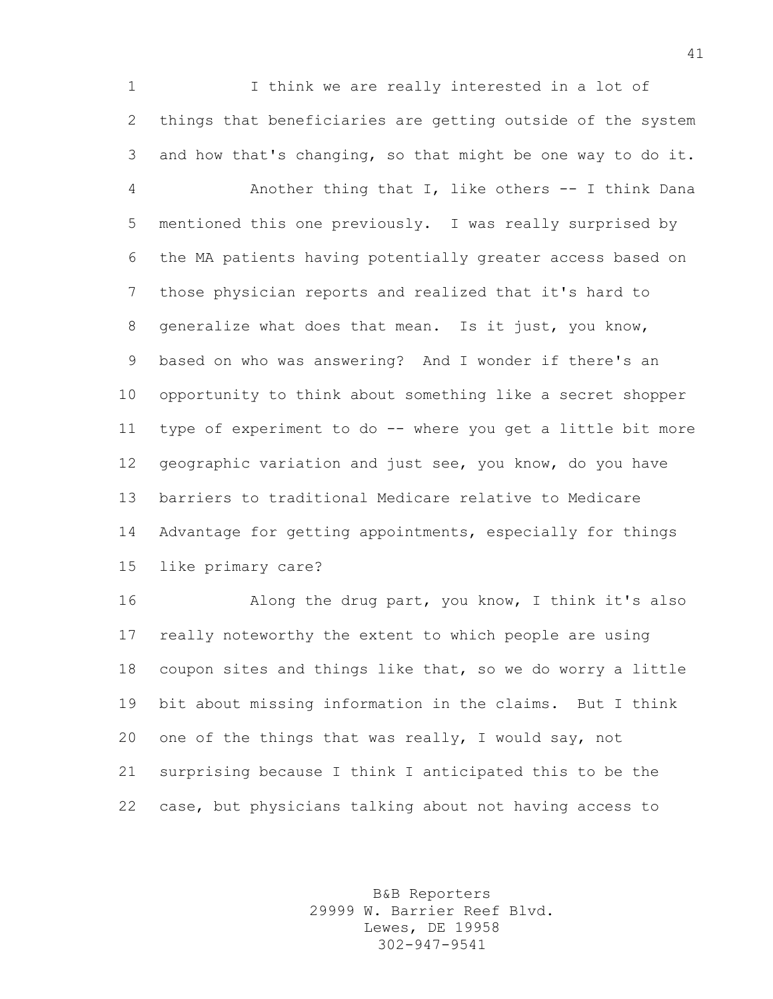I think we are really interested in a lot of things that beneficiaries are getting outside of the system and how that's changing, so that might be one way to do it. Another thing that I, like others -- I think Dana mentioned this one previously. I was really surprised by the MA patients having potentially greater access based on those physician reports and realized that it's hard to generalize what does that mean. Is it just, you know, based on who was answering? And I wonder if there's an opportunity to think about something like a secret shopper type of experiment to do -- where you get a little bit more geographic variation and just see, you know, do you have barriers to traditional Medicare relative to Medicare Advantage for getting appointments, especially for things like primary care?

 Along the drug part, you know, I think it's also really noteworthy the extent to which people are using coupon sites and things like that, so we do worry a little bit about missing information in the claims. But I think one of the things that was really, I would say, not surprising because I think I anticipated this to be the case, but physicians talking about not having access to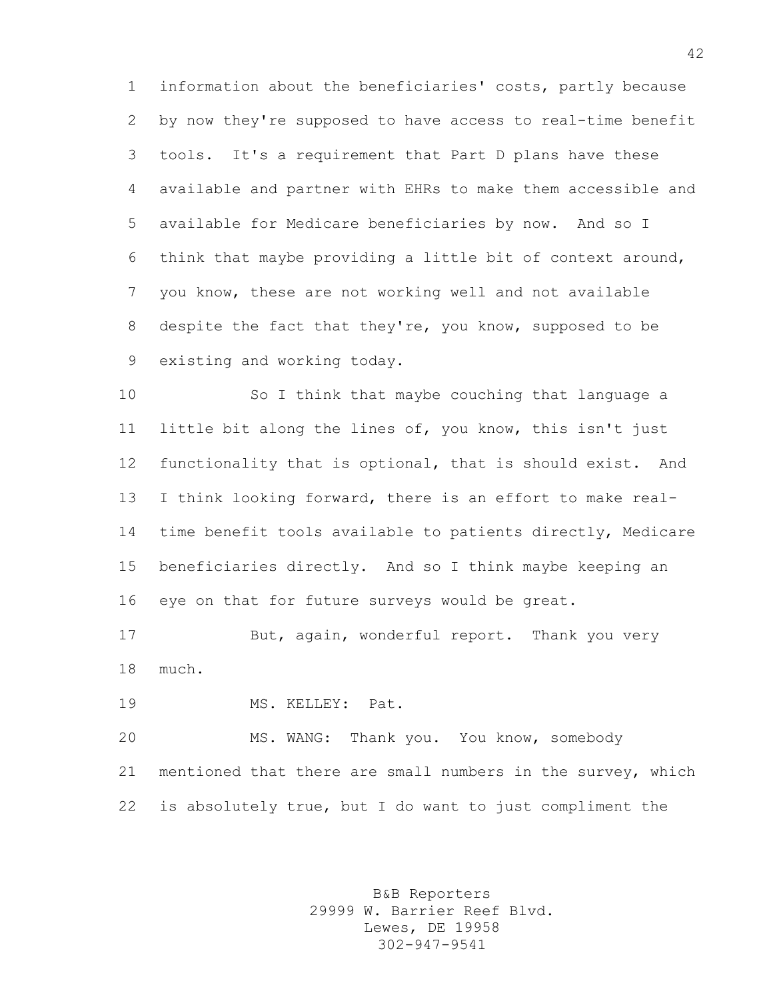information about the beneficiaries' costs, partly because by now they're supposed to have access to real-time benefit tools. It's a requirement that Part D plans have these available and partner with EHRs to make them accessible and available for Medicare beneficiaries by now. And so I think that maybe providing a little bit of context around, you know, these are not working well and not available despite the fact that they're, you know, supposed to be existing and working today.

 So I think that maybe couching that language a little bit along the lines of, you know, this isn't just functionality that is optional, that is should exist. And I think looking forward, there is an effort to make real- time benefit tools available to patients directly, Medicare beneficiaries directly. And so I think maybe keeping an eye on that for future surveys would be great.

 But, again, wonderful report. Thank you very much.

MS. KELLEY: Pat.

 MS. WANG: Thank you. You know, somebody mentioned that there are small numbers in the survey, which is absolutely true, but I do want to just compliment the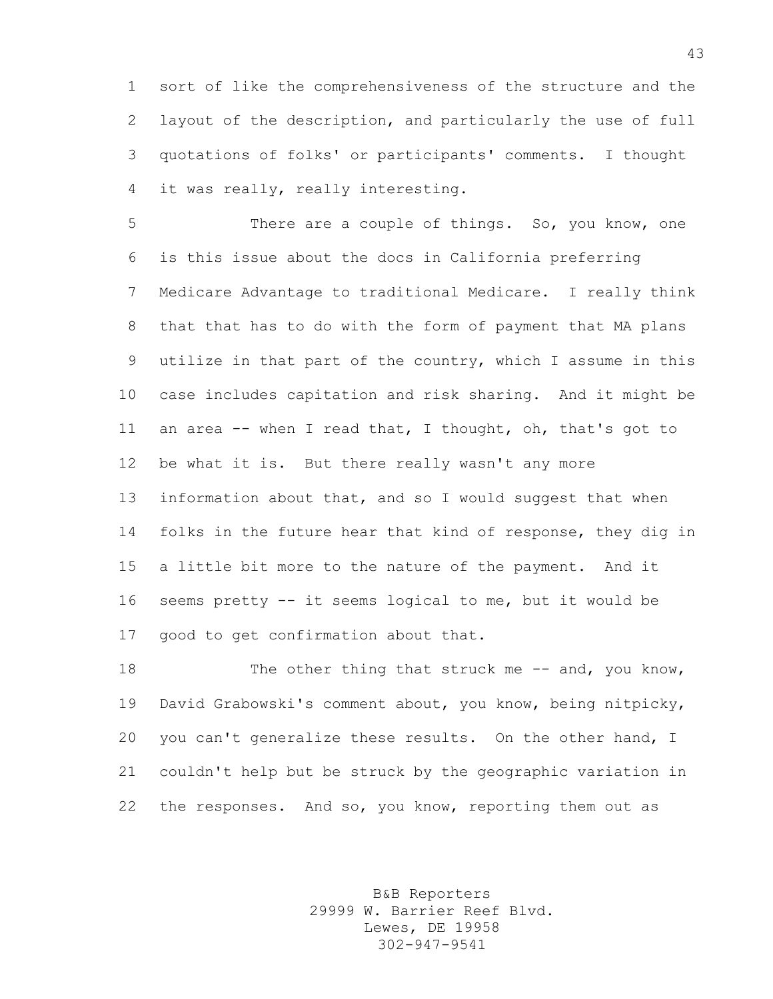sort of like the comprehensiveness of the structure and the layout of the description, and particularly the use of full quotations of folks' or participants' comments. I thought it was really, really interesting.

 There are a couple of things. So, you know, one is this issue about the docs in California preferring Medicare Advantage to traditional Medicare. I really think that that has to do with the form of payment that MA plans utilize in that part of the country, which I assume in this case includes capitation and risk sharing. And it might be an area -- when I read that, I thought, oh, that's got to be what it is. But there really wasn't any more information about that, and so I would suggest that when 14 folks in the future hear that kind of response, they dig in a little bit more to the nature of the payment. And it seems pretty -- it seems logical to me, but it would be good to get confirmation about that.

18 The other thing that struck me -- and, you know, David Grabowski's comment about, you know, being nitpicky, you can't generalize these results. On the other hand, I couldn't help but be struck by the geographic variation in 22 the responses. And so, you know, reporting them out as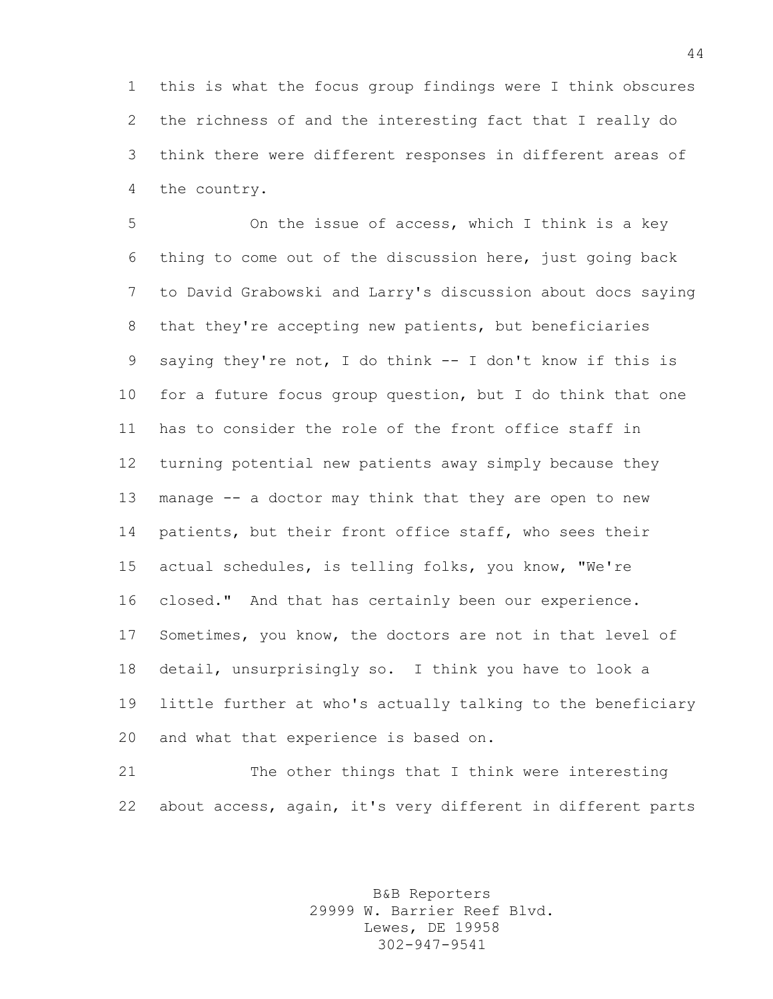this is what the focus group findings were I think obscures the richness of and the interesting fact that I really do think there were different responses in different areas of the country.

 On the issue of access, which I think is a key thing to come out of the discussion here, just going back to David Grabowski and Larry's discussion about docs saying that they're accepting new patients, but beneficiaries saying they're not, I do think -- I don't know if this is for a future focus group question, but I do think that one has to consider the role of the front office staff in turning potential new patients away simply because they manage -- a doctor may think that they are open to new 14 patients, but their front office staff, who sees their actual schedules, is telling folks, you know, "We're closed." And that has certainly been our experience. Sometimes, you know, the doctors are not in that level of detail, unsurprisingly so. I think you have to look a little further at who's actually talking to the beneficiary and what that experience is based on.

 The other things that I think were interesting about access, again, it's very different in different parts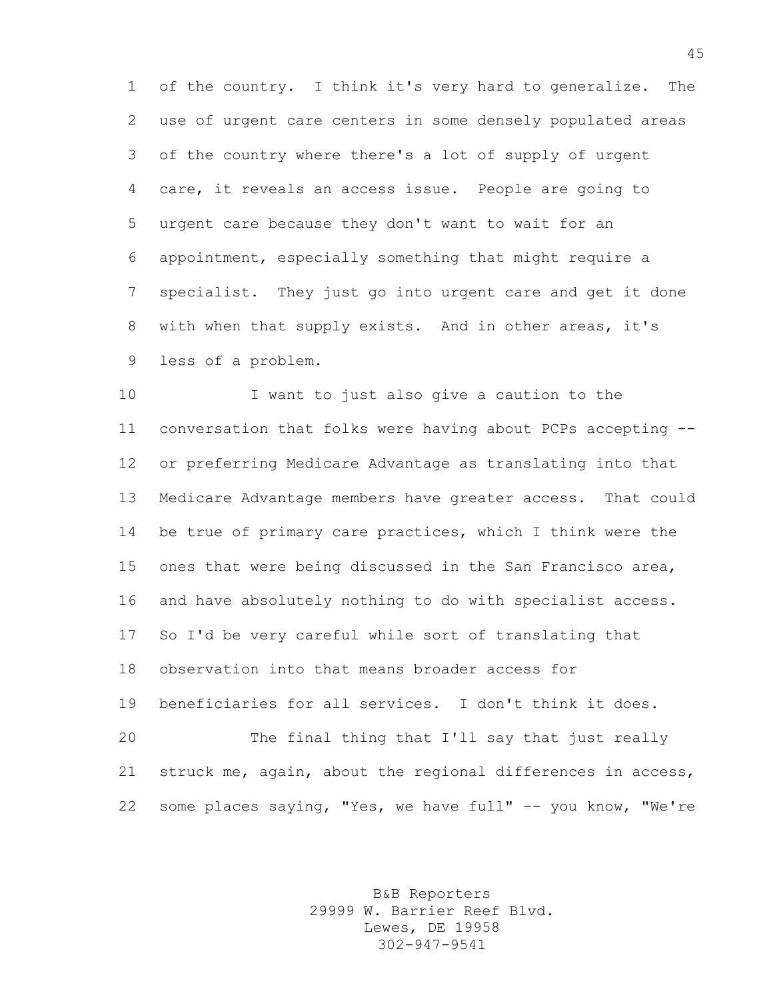of the country. I think it's very hard to generalize. The use of urgent care centers in some densely populated areas of the country where there's a lot of supply of urgent care, it reveals an access issue. People are going to urgent care because they don't want to wait for an appointment, especially something that might require a specialist. They just go into urgent care and get it done with when that supply exists. And in other areas, it's less of a problem.

 I want to just also give a caution to the conversation that folks were having about PCPs accepting -- or preferring Medicare Advantage as translating into that Medicare Advantage members have greater access. That could be true of primary care practices, which I think were the ones that were being discussed in the San Francisco area, and have absolutely nothing to do with specialist access. So I'd be very careful while sort of translating that observation into that means broader access for beneficiaries for all services. I don't think it does. The final thing that I'll say that just really struck me, again, about the regional differences in access, 22 some places saying, "Yes, we have full" -- you know, "We're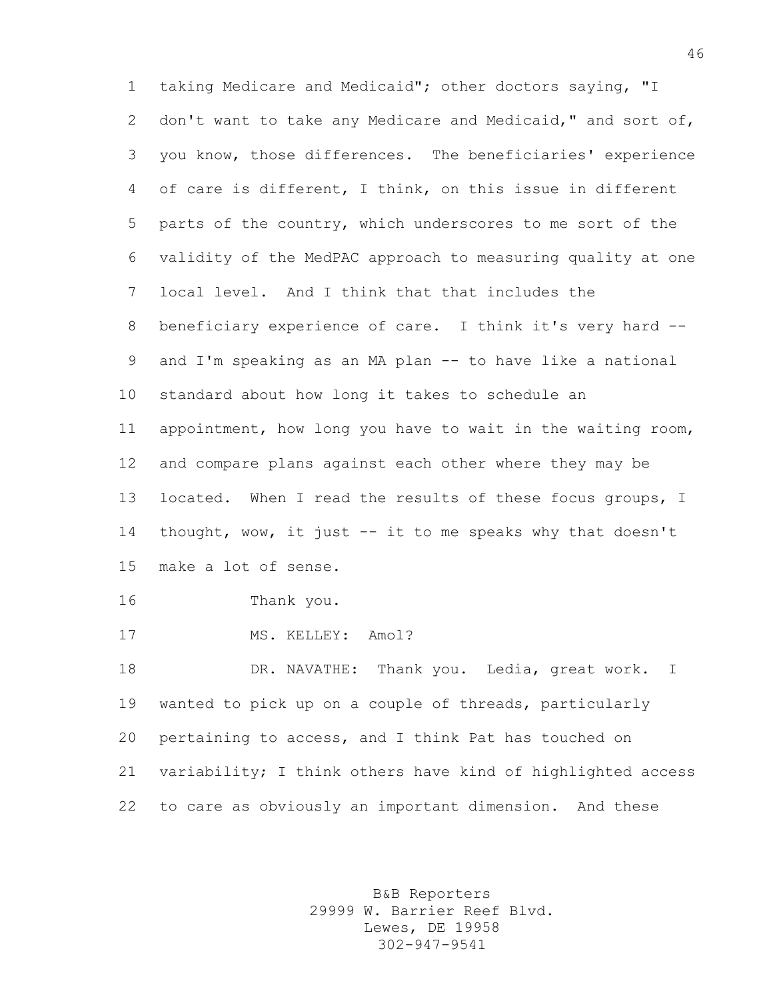taking Medicare and Medicaid"; other doctors saying, "I don't want to take any Medicare and Medicaid," and sort of, you know, those differences. The beneficiaries' experience of care is different, I think, on this issue in different parts of the country, which underscores to me sort of the validity of the MedPAC approach to measuring quality at one local level. And I think that that includes the beneficiary experience of care. I think it's very hard -- and I'm speaking as an MA plan -- to have like a national standard about how long it takes to schedule an appointment, how long you have to wait in the waiting room, and compare plans against each other where they may be located. When I read the results of these focus groups, I thought, wow, it just -- it to me speaks why that doesn't make a lot of sense. Thank you. 17 MS. KELLEY: Amol? DR. NAVATHE: Thank you. Ledia, great work. I wanted to pick up on a couple of threads, particularly pertaining to access, and I think Pat has touched on variability; I think others have kind of highlighted access

to care as obviously an important dimension. And these

B&B Reporters 29999 W. Barrier Reef Blvd. Lewes, DE 19958 302-947-9541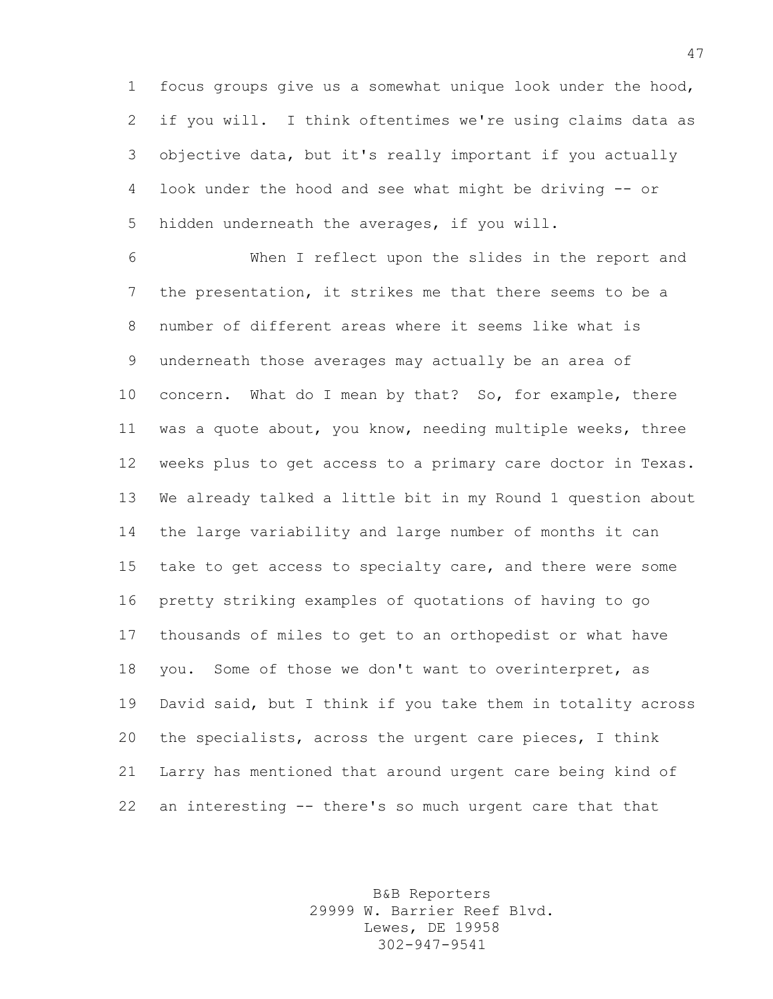focus groups give us a somewhat unique look under the hood, if you will. I think oftentimes we're using claims data as objective data, but it's really important if you actually look under the hood and see what might be driving -- or hidden underneath the averages, if you will.

 When I reflect upon the slides in the report and the presentation, it strikes me that there seems to be a number of different areas where it seems like what is underneath those averages may actually be an area of concern. What do I mean by that? So, for example, there was a quote about, you know, needing multiple weeks, three weeks plus to get access to a primary care doctor in Texas. We already talked a little bit in my Round 1 question about the large variability and large number of months it can take to get access to specialty care, and there were some pretty striking examples of quotations of having to go thousands of miles to get to an orthopedist or what have you. Some of those we don't want to overinterpret, as David said, but I think if you take them in totality across the specialists, across the urgent care pieces, I think Larry has mentioned that around urgent care being kind of an interesting -- there's so much urgent care that that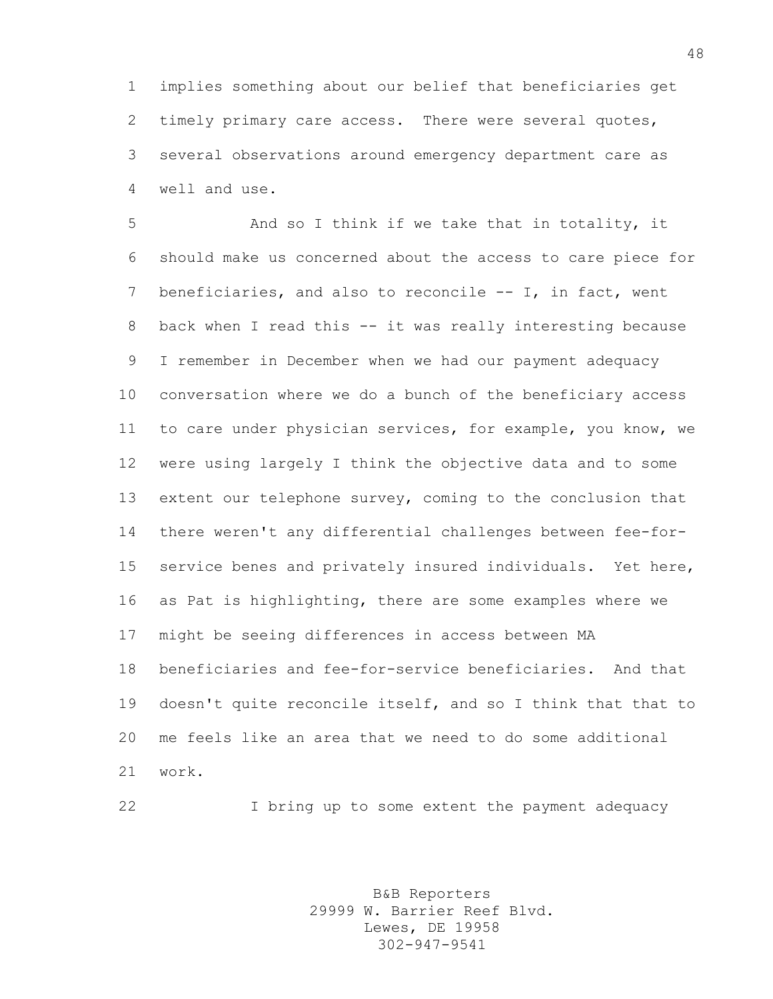implies something about our belief that beneficiaries get timely primary care access. There were several quotes, several observations around emergency department care as well and use.

 And so I think if we take that in totality, it should make us concerned about the access to care piece for beneficiaries, and also to reconcile -- I, in fact, went back when I read this -- it was really interesting because I remember in December when we had our payment adequacy conversation where we do a bunch of the beneficiary access to care under physician services, for example, you know, we were using largely I think the objective data and to some extent our telephone survey, coming to the conclusion that there weren't any differential challenges between fee-for- service benes and privately insured individuals. Yet here, as Pat is highlighting, there are some examples where we might be seeing differences in access between MA beneficiaries and fee-for-service beneficiaries. And that doesn't quite reconcile itself, and so I think that that to me feels like an area that we need to do some additional work.

I bring up to some extent the payment adequacy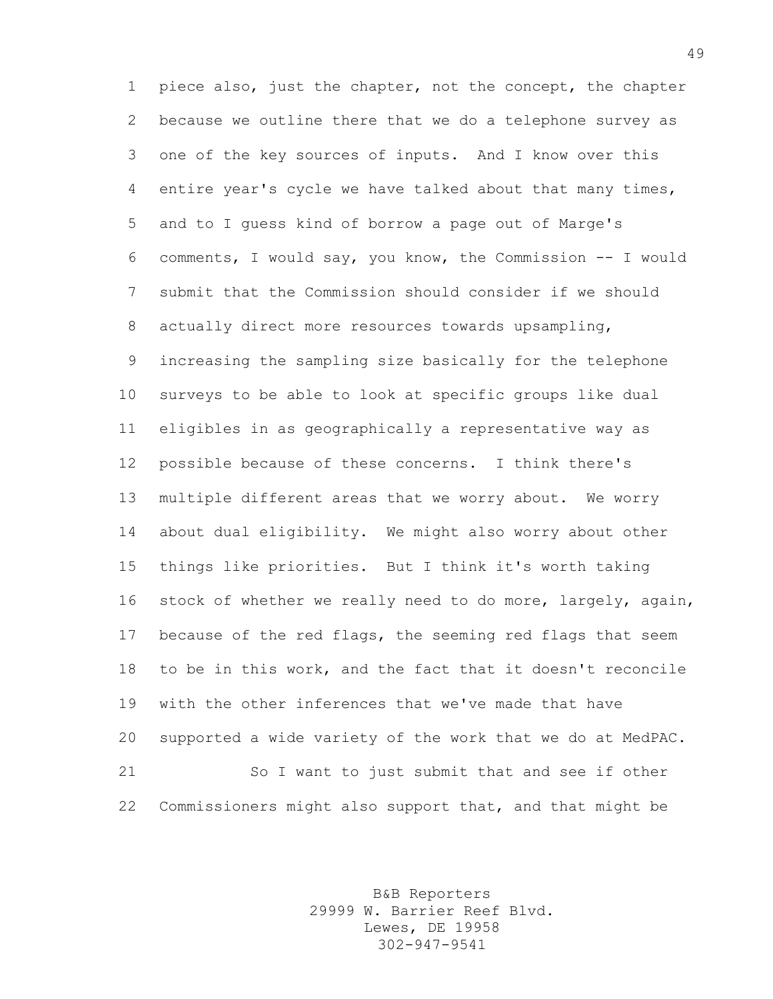piece also, just the chapter, not the concept, the chapter because we outline there that we do a telephone survey as one of the key sources of inputs. And I know over this entire year's cycle we have talked about that many times, and to I guess kind of borrow a page out of Marge's comments, I would say, you know, the Commission -- I would submit that the Commission should consider if we should actually direct more resources towards upsampling, increasing the sampling size basically for the telephone surveys to be able to look at specific groups like dual eligibles in as geographically a representative way as possible because of these concerns. I think there's multiple different areas that we worry about. We worry about dual eligibility. We might also worry about other things like priorities. But I think it's worth taking stock of whether we really need to do more, largely, again, because of the red flags, the seeming red flags that seem to be in this work, and the fact that it doesn't reconcile with the other inferences that we've made that have supported a wide variety of the work that we do at MedPAC. So I want to just submit that and see if other Commissioners might also support that, and that might be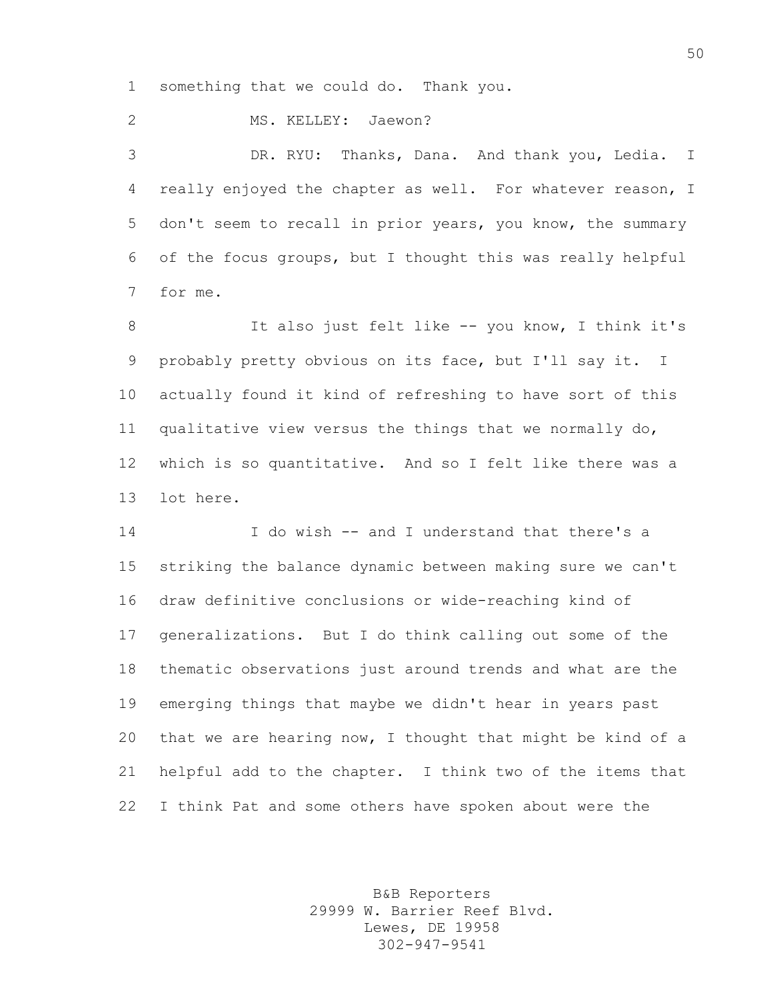something that we could do. Thank you.

2 MS. KELLEY: Jaewon?

 DR. RYU: Thanks, Dana. And thank you, Ledia. I really enjoyed the chapter as well. For whatever reason, I don't seem to recall in prior years, you know, the summary of the focus groups, but I thought this was really helpful for me.

8 It also just felt like -- you know, I think it's probably pretty obvious on its face, but I'll say it. I actually found it kind of refreshing to have sort of this qualitative view versus the things that we normally do, which is so quantitative. And so I felt like there was a lot here.

 I do wish -- and I understand that there's a striking the balance dynamic between making sure we can't draw definitive conclusions or wide-reaching kind of generalizations. But I do think calling out some of the thematic observations just around trends and what are the emerging things that maybe we didn't hear in years past that we are hearing now, I thought that might be kind of a helpful add to the chapter. I think two of the items that I think Pat and some others have spoken about were the

> B&B Reporters 29999 W. Barrier Reef Blvd. Lewes, DE 19958 302-947-9541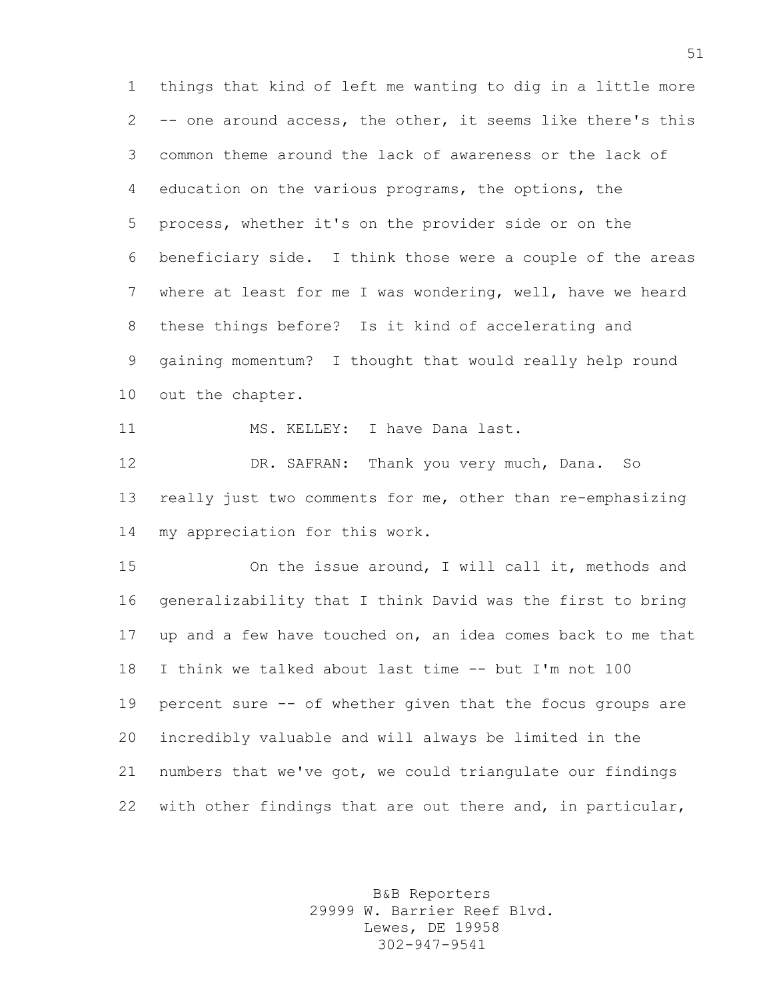things that kind of left me wanting to dig in a little more -- one around access, the other, it seems like there's this common theme around the lack of awareness or the lack of education on the various programs, the options, the process, whether it's on the provider side or on the beneficiary side. I think those were a couple of the areas where at least for me I was wondering, well, have we heard these things before? Is it kind of accelerating and gaining momentum? I thought that would really help round out the chapter.

11 MS. KELLEY: I have Dana last.

 DR. SAFRAN: Thank you very much, Dana. So really just two comments for me, other than re-emphasizing my appreciation for this work.

 On the issue around, I will call it, methods and generalizability that I think David was the first to bring up and a few have touched on, an idea comes back to me that I think we talked about last time -- but I'm not 100 percent sure -- of whether given that the focus groups are incredibly valuable and will always be limited in the numbers that we've got, we could triangulate our findings 22 with other findings that are out there and, in particular,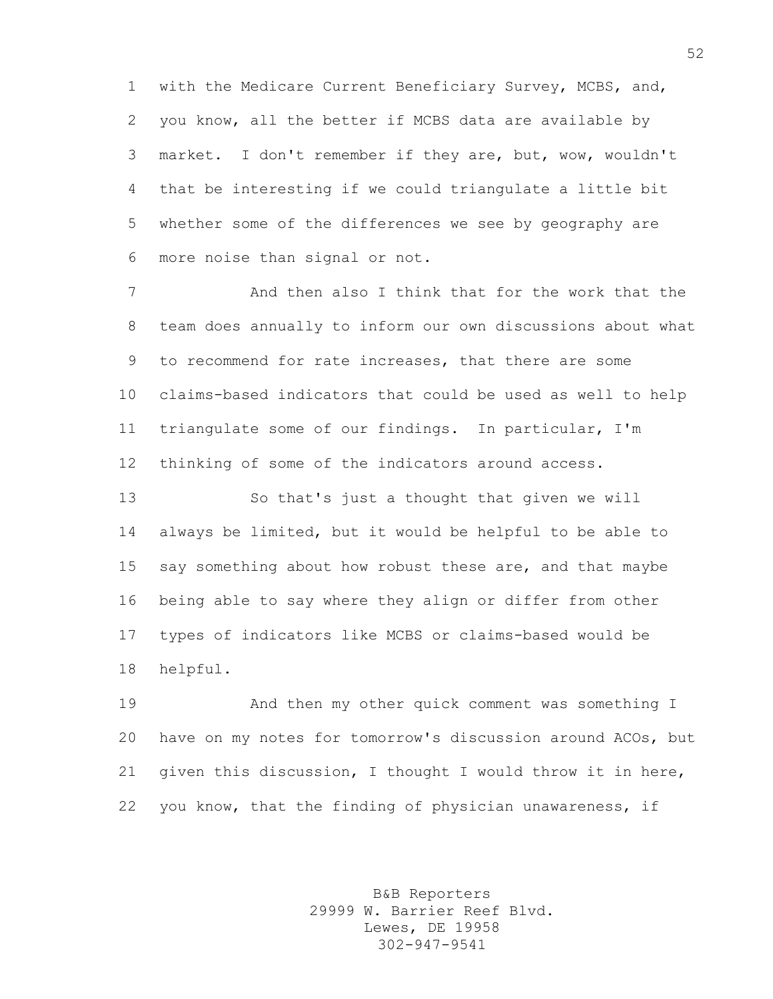with the Medicare Current Beneficiary Survey, MCBS, and, you know, all the better if MCBS data are available by market. I don't remember if they are, but, wow, wouldn't that be interesting if we could triangulate a little bit whether some of the differences we see by geography are more noise than signal or not.

 And then also I think that for the work that the team does annually to inform our own discussions about what to recommend for rate increases, that there are some claims-based indicators that could be used as well to help triangulate some of our findings. In particular, I'm thinking of some of the indicators around access.

 So that's just a thought that given we will always be limited, but it would be helpful to be able to 15 say something about how robust these are, and that maybe being able to say where they align or differ from other types of indicators like MCBS or claims-based would be helpful.

 And then my other quick comment was something I have on my notes for tomorrow's discussion around ACOs, but given this discussion, I thought I would throw it in here, you know, that the finding of physician unawareness, if

> B&B Reporters 29999 W. Barrier Reef Blvd. Lewes, DE 19958 302-947-9541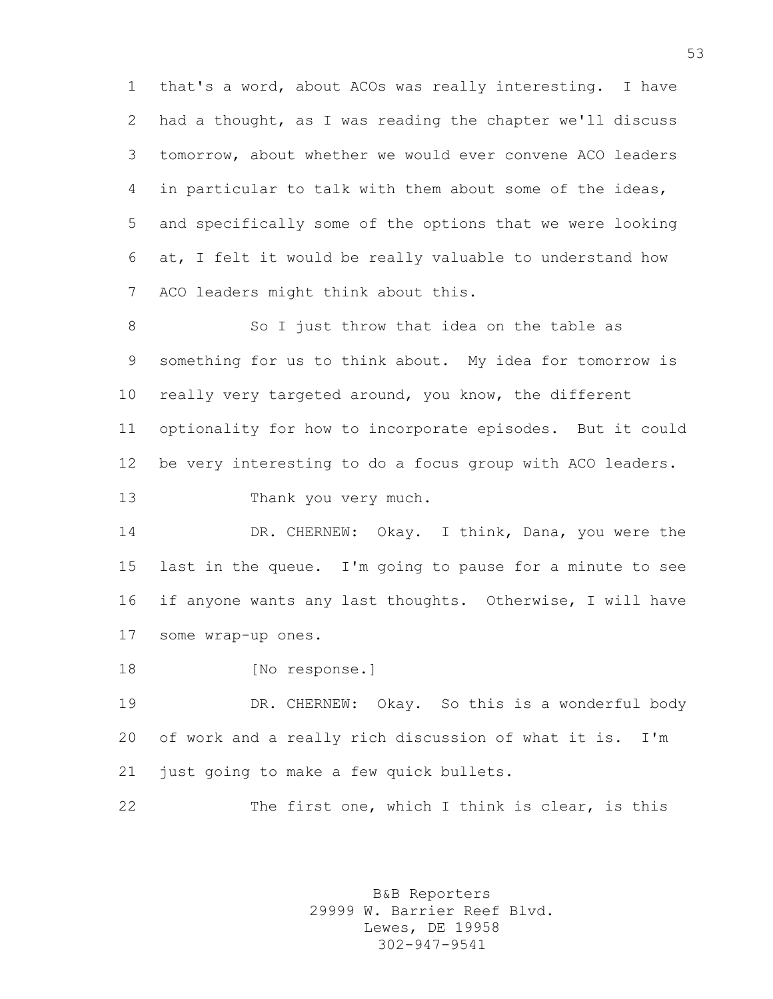that's a word, about ACOs was really interesting. I have had a thought, as I was reading the chapter we'll discuss tomorrow, about whether we would ever convene ACO leaders in particular to talk with them about some of the ideas, and specifically some of the options that we were looking at, I felt it would be really valuable to understand how ACO leaders might think about this.

8 So I just throw that idea on the table as something for us to think about. My idea for tomorrow is 10 really very targeted around, you know, the different optionality for how to incorporate episodes. But it could be very interesting to do a focus group with ACO leaders. Thank you very much.

14 DR. CHERNEW: Okay. I think, Dana, you were the last in the queue. I'm going to pause for a minute to see if anyone wants any last thoughts. Otherwise, I will have some wrap-up ones.

18 [No response.]

19 DR. CHERNEW: Okay. So this is a wonderful body of work and a really rich discussion of what it is. I'm just going to make a few quick bullets.

22 The first one, which I think is clear, is this

B&B Reporters 29999 W. Barrier Reef Blvd. Lewes, DE 19958 302-947-9541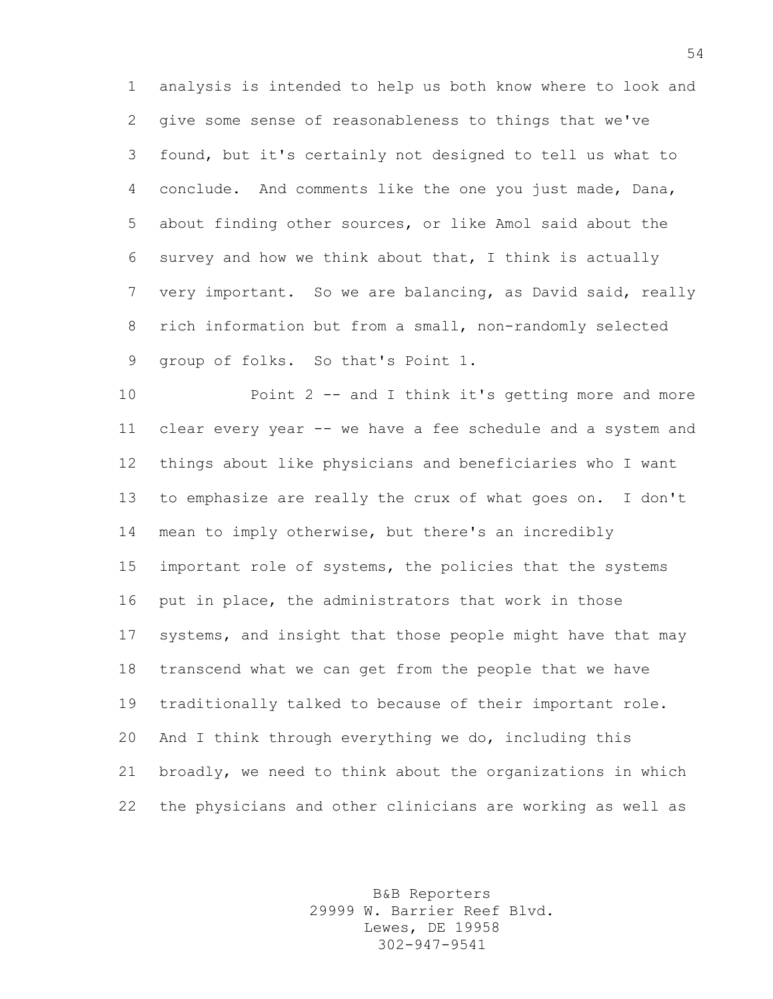analysis is intended to help us both know where to look and give some sense of reasonableness to things that we've found, but it's certainly not designed to tell us what to conclude. And comments like the one you just made, Dana, about finding other sources, or like Amol said about the survey and how we think about that, I think is actually very important. So we are balancing, as David said, really rich information but from a small, non-randomly selected group of folks. So that's Point 1.

 Point 2 -- and I think it's getting more and more clear every year -- we have a fee schedule and a system and things about like physicians and beneficiaries who I want to emphasize are really the crux of what goes on. I don't mean to imply otherwise, but there's an incredibly important role of systems, the policies that the systems put in place, the administrators that work in those systems, and insight that those people might have that may transcend what we can get from the people that we have traditionally talked to because of their important role. And I think through everything we do, including this broadly, we need to think about the organizations in which the physicians and other clinicians are working as well as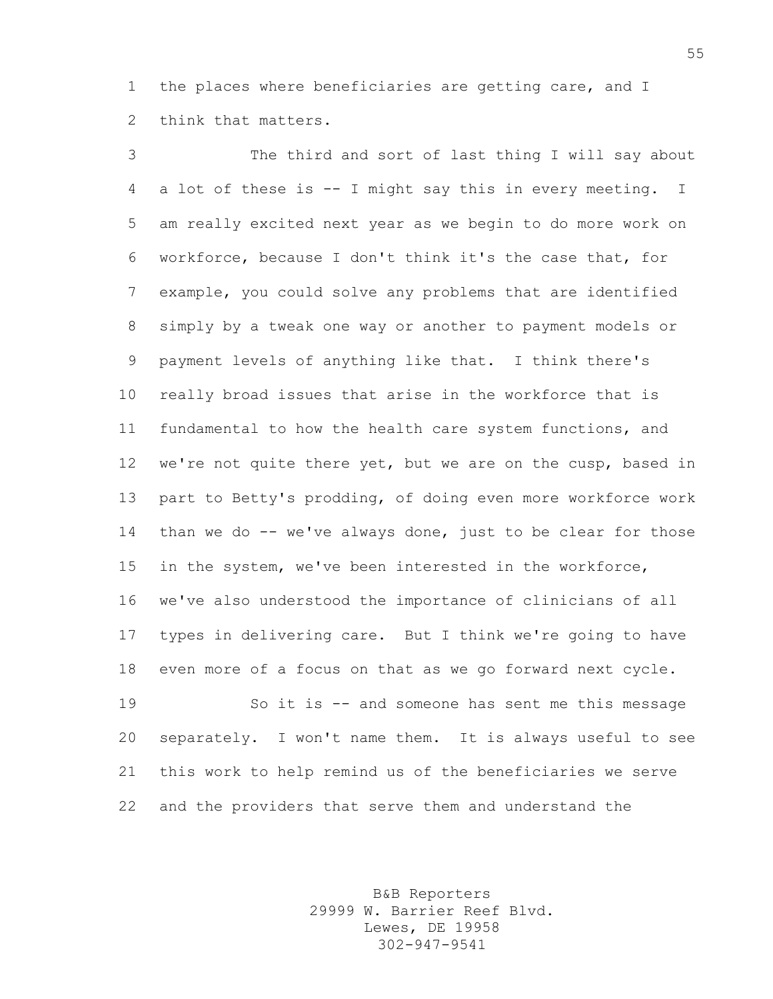the places where beneficiaries are getting care, and I think that matters.

 The third and sort of last thing I will say about a lot of these is -- I might say this in every meeting. I am really excited next year as we begin to do more work on workforce, because I don't think it's the case that, for example, you could solve any problems that are identified simply by a tweak one way or another to payment models or payment levels of anything like that. I think there's really broad issues that arise in the workforce that is fundamental to how the health care system functions, and 12 we're not quite there yet, but we are on the cusp, based in part to Betty's prodding, of doing even more workforce work than we do -- we've always done, just to be clear for those in the system, we've been interested in the workforce, we've also understood the importance of clinicians of all types in delivering care. But I think we're going to have even more of a focus on that as we go forward next cycle. So it is -- and someone has sent me this message

 separately. I won't name them. It is always useful to see this work to help remind us of the beneficiaries we serve and the providers that serve them and understand the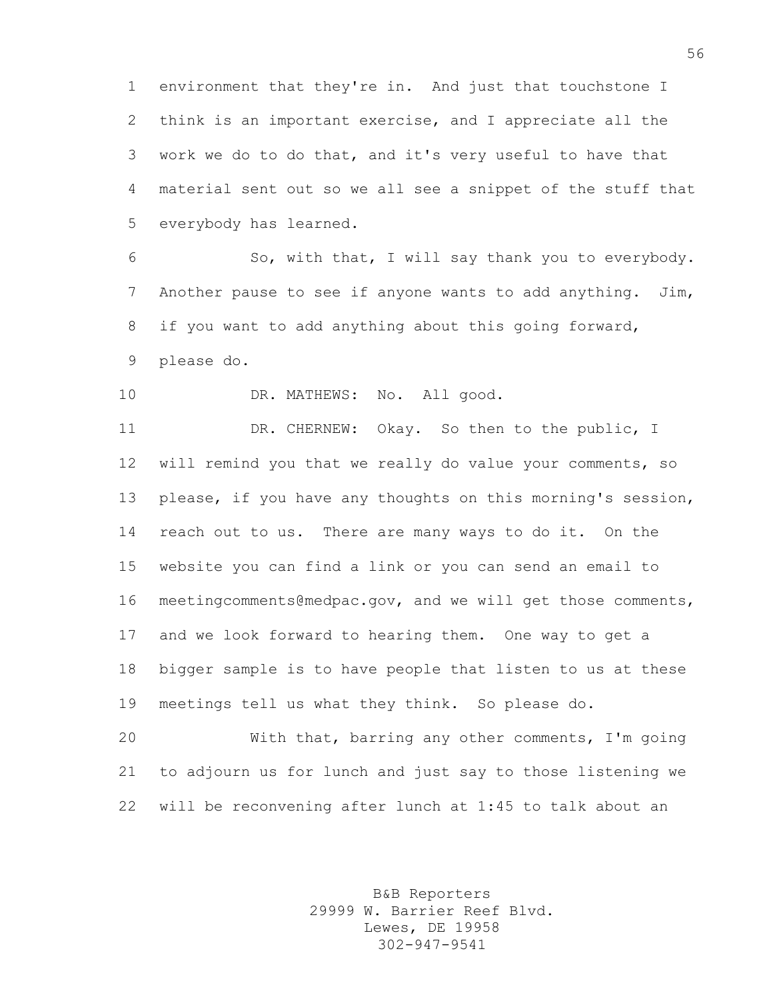environment that they're in. And just that touchstone I think is an important exercise, and I appreciate all the work we do to do that, and it's very useful to have that material sent out so we all see a snippet of the stuff that everybody has learned.

 So, with that, I will say thank you to everybody. Another pause to see if anyone wants to add anything. Jim, if you want to add anything about this going forward, please do.

10 DR. MATHEWS: No. All good.

11 DR. CHERNEW: Okay. So then to the public, I will remind you that we really do value your comments, so please, if you have any thoughts on this morning's session, reach out to us. There are many ways to do it. On the website you can find a link or you can send an email to meetingcomments@medpac.gov, and we will get those comments, and we look forward to hearing them. One way to get a bigger sample is to have people that listen to us at these meetings tell us what they think. So please do.

 With that, barring any other comments, I'm going to adjourn us for lunch and just say to those listening we will be reconvening after lunch at 1:45 to talk about an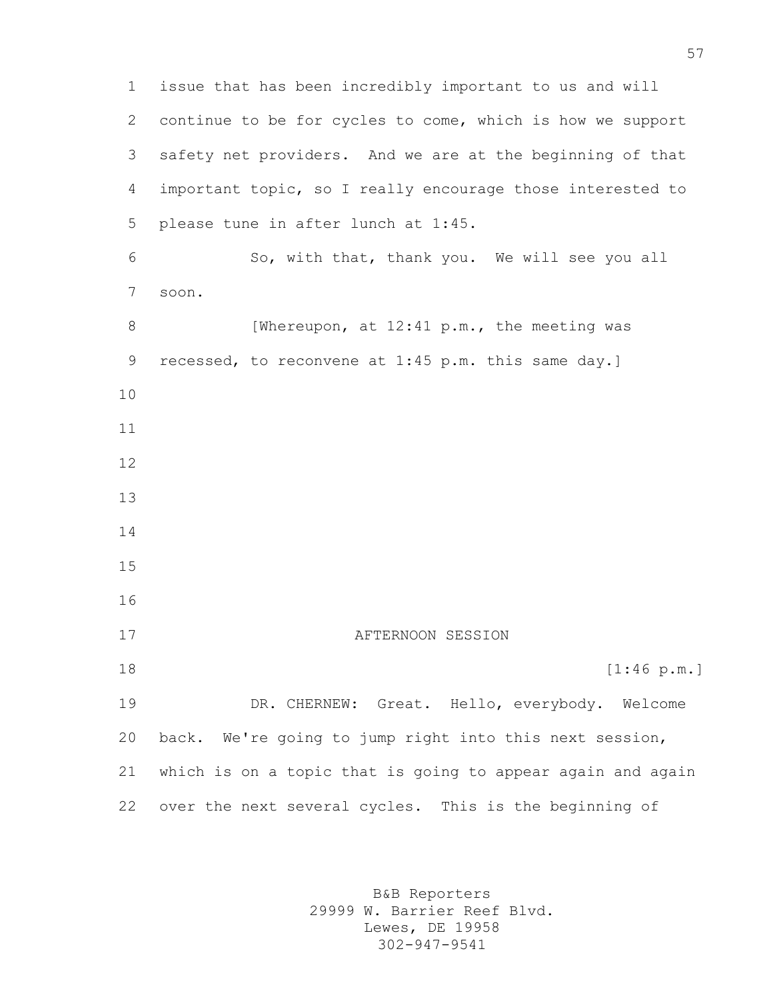issue that has been incredibly important to us and will continue to be for cycles to come, which is how we support safety net providers. And we are at the beginning of that important topic, so I really encourage those interested to please tune in after lunch at 1:45. So, with that, thank you. We will see you all soon. 8 [Whereupon, at 12:41 p.m., the meeting was recessed, to reconvene at 1:45 p.m. this same day.] 17 AFTERNOON SESSION [1:46 p.m.] DR. CHERNEW: Great. Hello, everybody. Welcome back. We're going to jump right into this next session, which is on a topic that is going to appear again and again over the next several cycles. This is the beginning of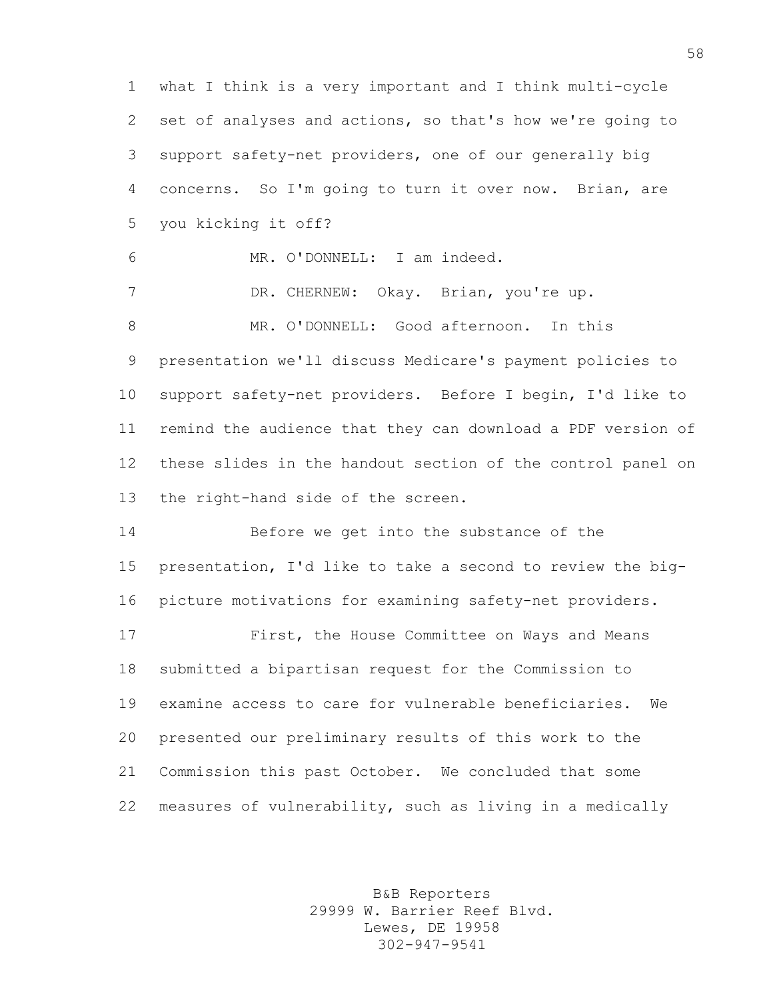what I think is a very important and I think multi-cycle set of analyses and actions, so that's how we're going to support safety-net providers, one of our generally big concerns. So I'm going to turn it over now. Brian, are you kicking it off? MR. O'DONNELL: I am indeed. DR. CHERNEW: Okay. Brian, you're up. MR. O'DONNELL: Good afternoon. In this presentation we'll discuss Medicare's payment policies to support safety-net providers. Before I begin, I'd like to remind the audience that they can download a PDF version of these slides in the handout section of the control panel on the right-hand side of the screen. Before we get into the substance of the presentation, I'd like to take a second to review the big- picture motivations for examining safety-net providers. First, the House Committee on Ways and Means submitted a bipartisan request for the Commission to examine access to care for vulnerable beneficiaries. We presented our preliminary results of this work to the Commission this past October. We concluded that some measures of vulnerability, such as living in a medically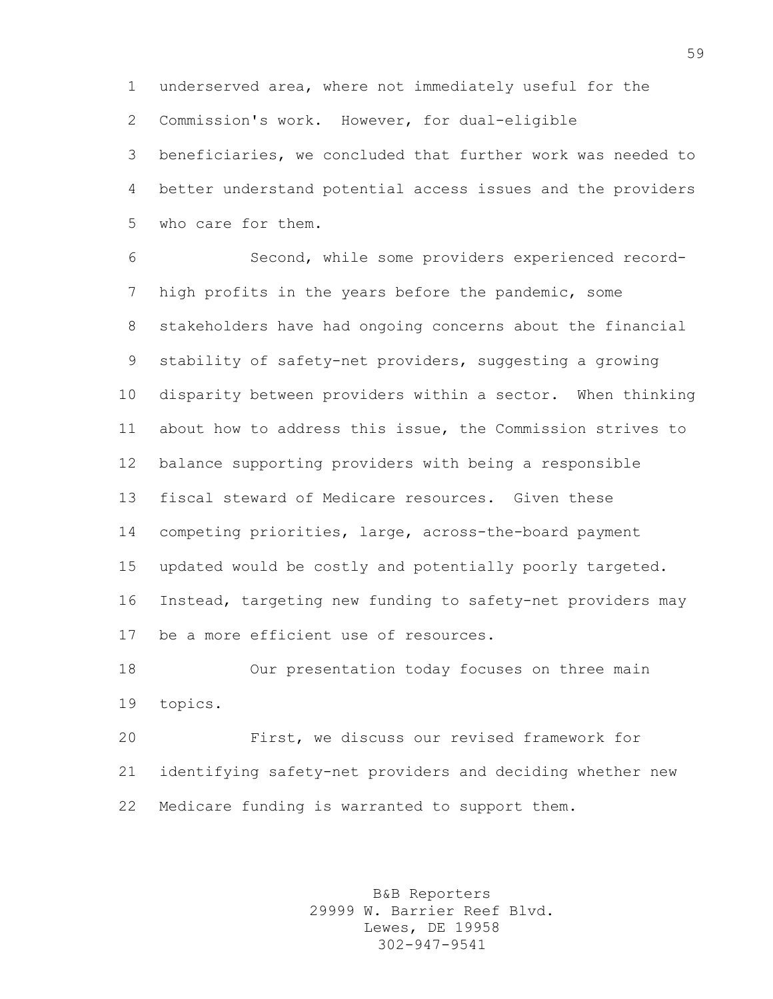underserved area, where not immediately useful for the Commission's work. However, for dual-eligible

 beneficiaries, we concluded that further work was needed to better understand potential access issues and the providers who care for them.

 Second, while some providers experienced record- high profits in the years before the pandemic, some stakeholders have had ongoing concerns about the financial stability of safety-net providers, suggesting a growing disparity between providers within a sector. When thinking about how to address this issue, the Commission strives to balance supporting providers with being a responsible fiscal steward of Medicare resources. Given these competing priorities, large, across-the-board payment updated would be costly and potentially poorly targeted. Instead, targeting new funding to safety-net providers may be a more efficient use of resources.

 Our presentation today focuses on three main topics.

 First, we discuss our revised framework for identifying safety-net providers and deciding whether new Medicare funding is warranted to support them.

> B&B Reporters 29999 W. Barrier Reef Blvd. Lewes, DE 19958 302-947-9541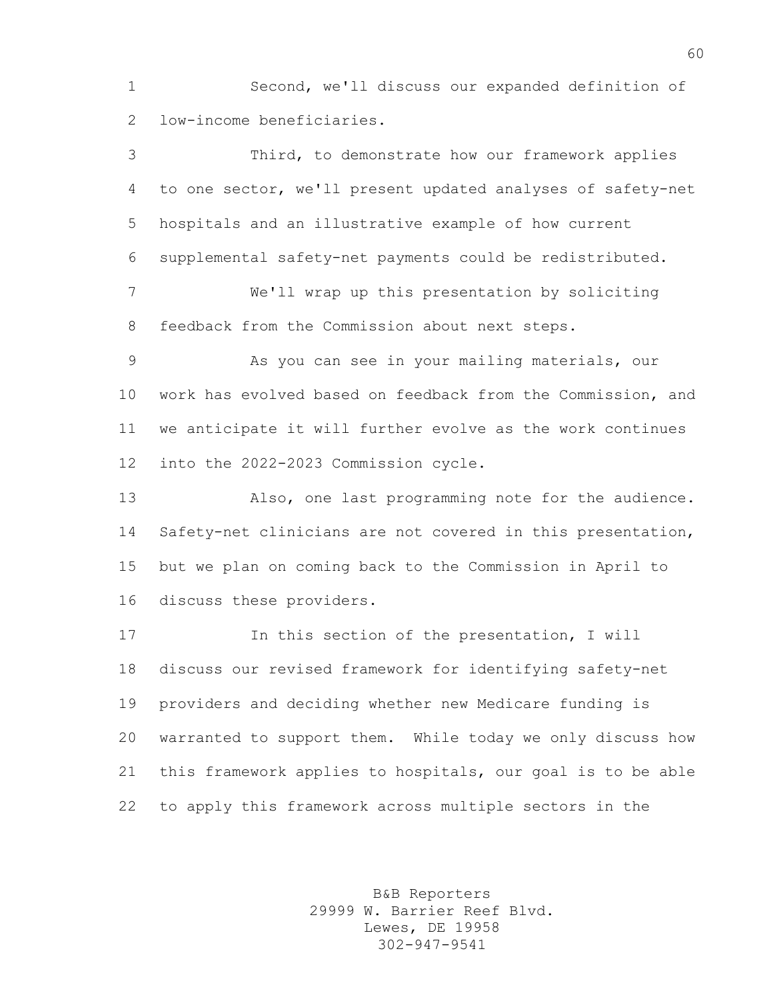Second, we'll discuss our expanded definition of low-income beneficiaries.

 Third, to demonstrate how our framework applies to one sector, we'll present updated analyses of safety-net hospitals and an illustrative example of how current supplemental safety-net payments could be redistributed. We'll wrap up this presentation by soliciting feedback from the Commission about next steps. As you can see in your mailing materials, our work has evolved based on feedback from the Commission, and we anticipate it will further evolve as the work continues into the 2022-2023 Commission cycle. Also, one last programming note for the audience. Safety-net clinicians are not covered in this presentation, but we plan on coming back to the Commission in April to discuss these providers. In this section of the presentation, I will discuss our revised framework for identifying safety-net providers and deciding whether new Medicare funding is warranted to support them. While today we only discuss how this framework applies to hospitals, our goal is to be able to apply this framework across multiple sectors in the

> B&B Reporters 29999 W. Barrier Reef Blvd. Lewes, DE 19958 302-947-9541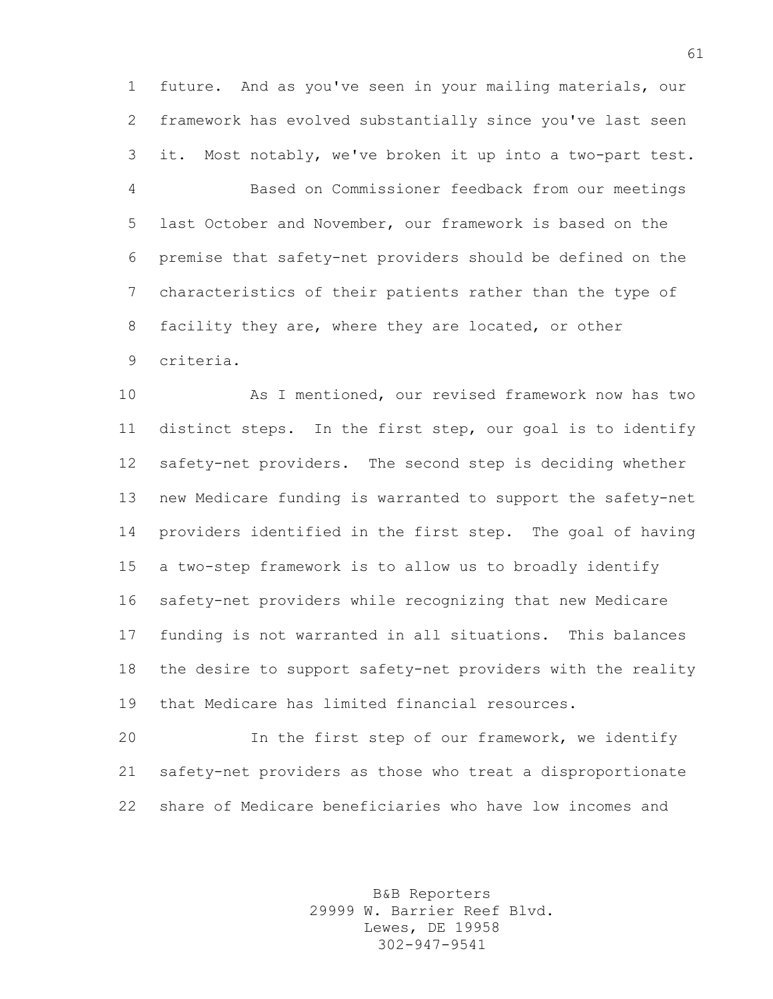future. And as you've seen in your mailing materials, our framework has evolved substantially since you've last seen it. Most notably, we've broken it up into a two-part test. Based on Commissioner feedback from our meetings last October and November, our framework is based on the premise that safety-net providers should be defined on the characteristics of their patients rather than the type of facility they are, where they are located, or other criteria.

 As I mentioned, our revised framework now has two distinct steps. In the first step, our goal is to identify safety-net providers. The second step is deciding whether new Medicare funding is warranted to support the safety-net providers identified in the first step. The goal of having a two-step framework is to allow us to broadly identify safety-net providers while recognizing that new Medicare funding is not warranted in all situations. This balances the desire to support safety-net providers with the reality that Medicare has limited financial resources.

 In the first step of our framework, we identify safety-net providers as those who treat a disproportionate share of Medicare beneficiaries who have low incomes and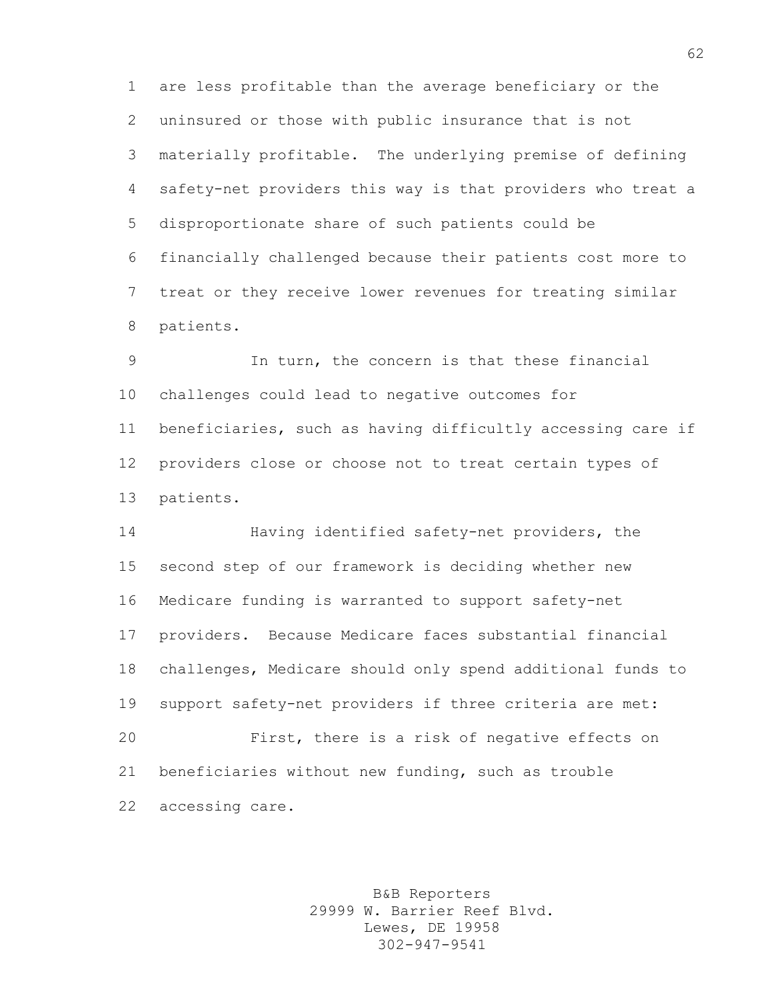are less profitable than the average beneficiary or the uninsured or those with public insurance that is not materially profitable. The underlying premise of defining safety-net providers this way is that providers who treat a disproportionate share of such patients could be financially challenged because their patients cost more to treat or they receive lower revenues for treating similar patients.

 In turn, the concern is that these financial challenges could lead to negative outcomes for beneficiaries, such as having difficultly accessing care if providers close or choose not to treat certain types of patients.

 Having identified safety-net providers, the second step of our framework is deciding whether new Medicare funding is warranted to support safety-net providers. Because Medicare faces substantial financial challenges, Medicare should only spend additional funds to support safety-net providers if three criteria are met: First, there is a risk of negative effects on beneficiaries without new funding, such as trouble accessing care.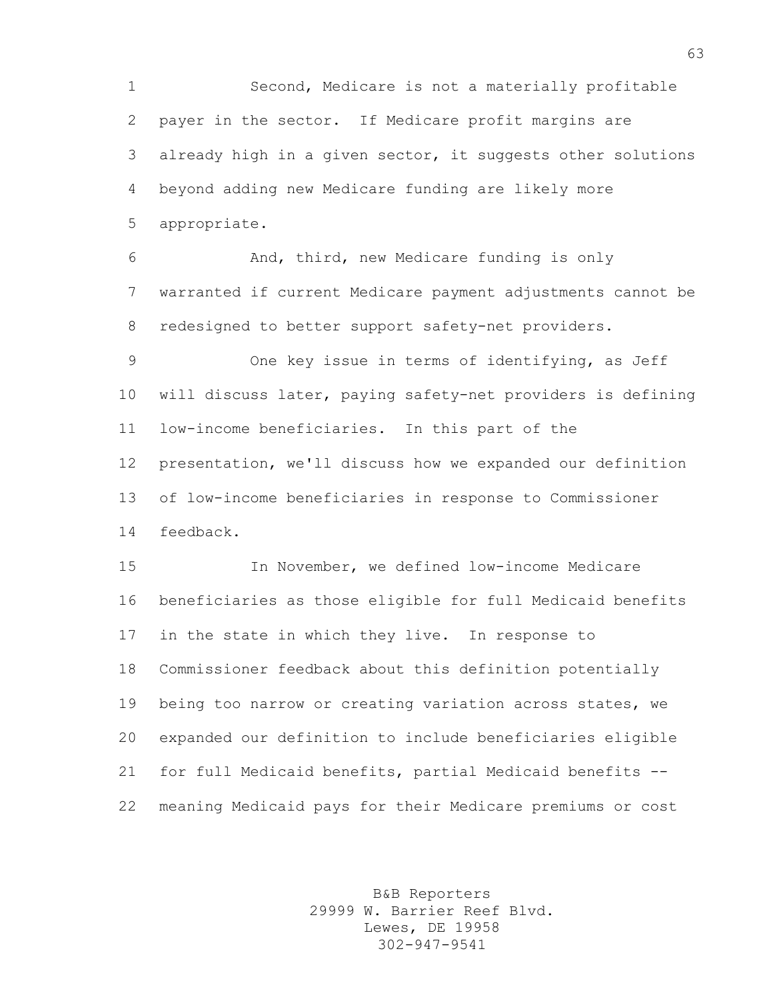Second, Medicare is not a materially profitable payer in the sector. If Medicare profit margins are already high in a given sector, it suggests other solutions beyond adding new Medicare funding are likely more appropriate.

 And, third, new Medicare funding is only warranted if current Medicare payment adjustments cannot be redesigned to better support safety-net providers.

 One key issue in terms of identifying, as Jeff will discuss later, paying safety-net providers is defining low-income beneficiaries. In this part of the presentation, we'll discuss how we expanded our definition of low-income beneficiaries in response to Commissioner feedback.

 In November, we defined low-income Medicare beneficiaries as those eligible for full Medicaid benefits in the state in which they live. In response to Commissioner feedback about this definition potentially being too narrow or creating variation across states, we expanded our definition to include beneficiaries eligible for full Medicaid benefits, partial Medicaid benefits -- meaning Medicaid pays for their Medicare premiums or cost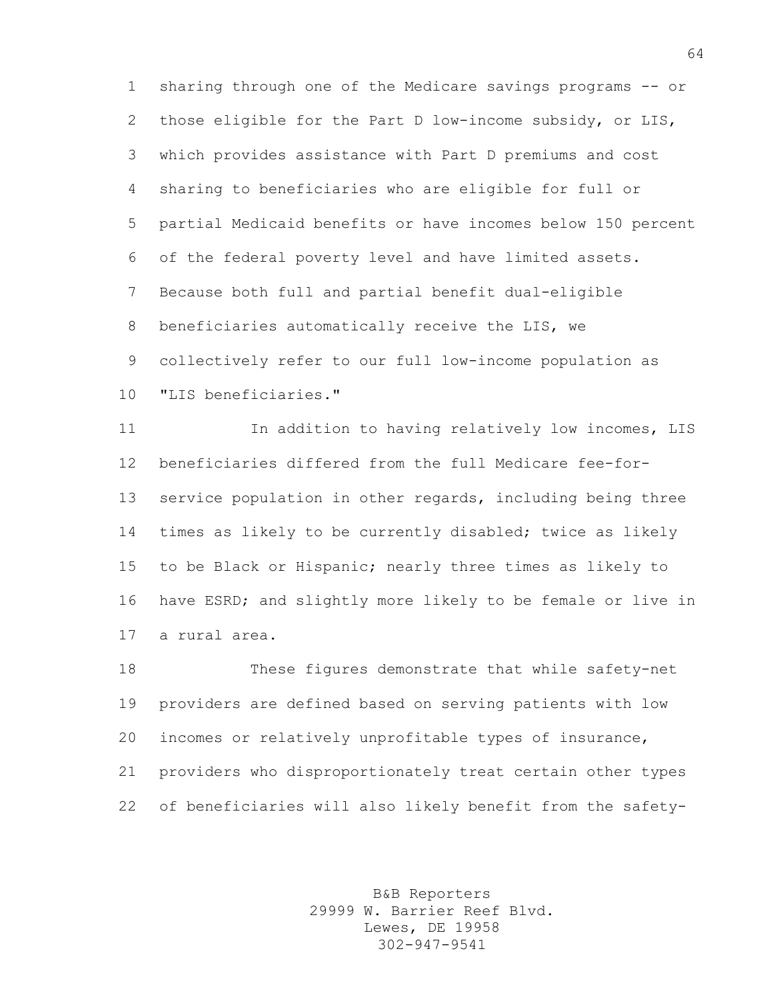sharing through one of the Medicare savings programs -- or those eligible for the Part D low-income subsidy, or LIS, which provides assistance with Part D premiums and cost sharing to beneficiaries who are eligible for full or partial Medicaid benefits or have incomes below 150 percent of the federal poverty level and have limited assets. Because both full and partial benefit dual-eligible beneficiaries automatically receive the LIS, we collectively refer to our full low-income population as "LIS beneficiaries."

 In addition to having relatively low incomes, LIS beneficiaries differed from the full Medicare fee-for- service population in other regards, including being three times as likely to be currently disabled; twice as likely to be Black or Hispanic; nearly three times as likely to have ESRD; and slightly more likely to be female or live in a rural area.

 These figures demonstrate that while safety-net providers are defined based on serving patients with low incomes or relatively unprofitable types of insurance, providers who disproportionately treat certain other types of beneficiaries will also likely benefit from the safety-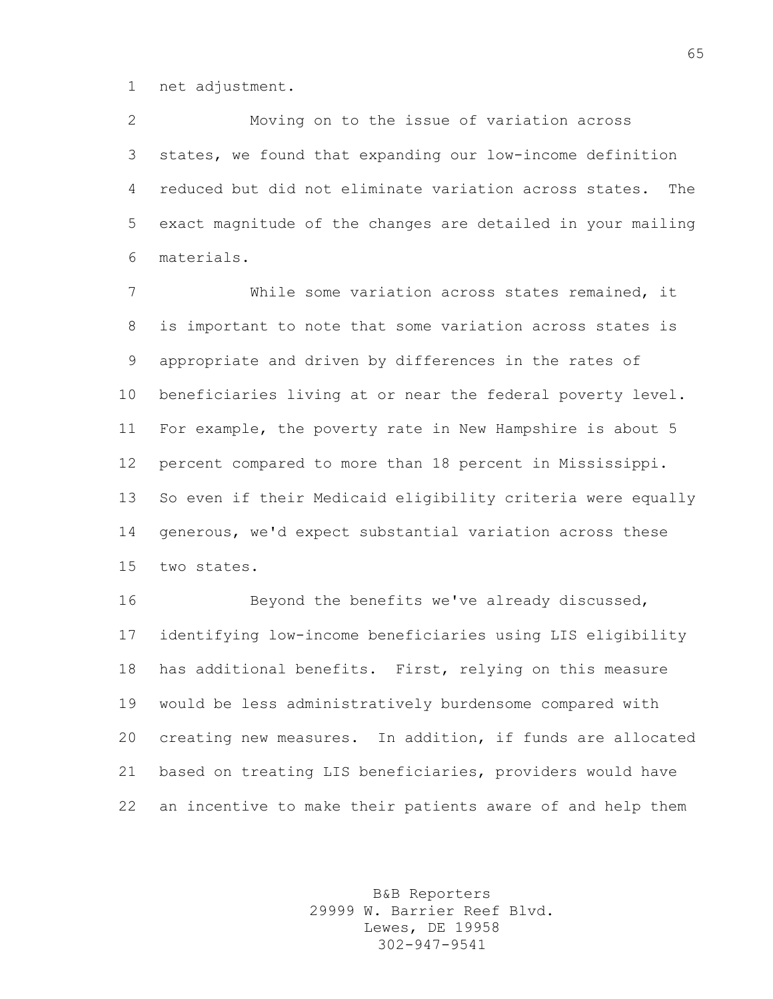net adjustment.

 Moving on to the issue of variation across states, we found that expanding our low-income definition reduced but did not eliminate variation across states. The exact magnitude of the changes are detailed in your mailing materials.

 While some variation across states remained, it is important to note that some variation across states is appropriate and driven by differences in the rates of beneficiaries living at or near the federal poverty level. For example, the poverty rate in New Hampshire is about 5 percent compared to more than 18 percent in Mississippi. So even if their Medicaid eligibility criteria were equally generous, we'd expect substantial variation across these two states.

 Beyond the benefits we've already discussed, identifying low-income beneficiaries using LIS eligibility has additional benefits. First, relying on this measure would be less administratively burdensome compared with creating new measures. In addition, if funds are allocated based on treating LIS beneficiaries, providers would have an incentive to make their patients aware of and help them

> B&B Reporters 29999 W. Barrier Reef Blvd. Lewes, DE 19958 302-947-9541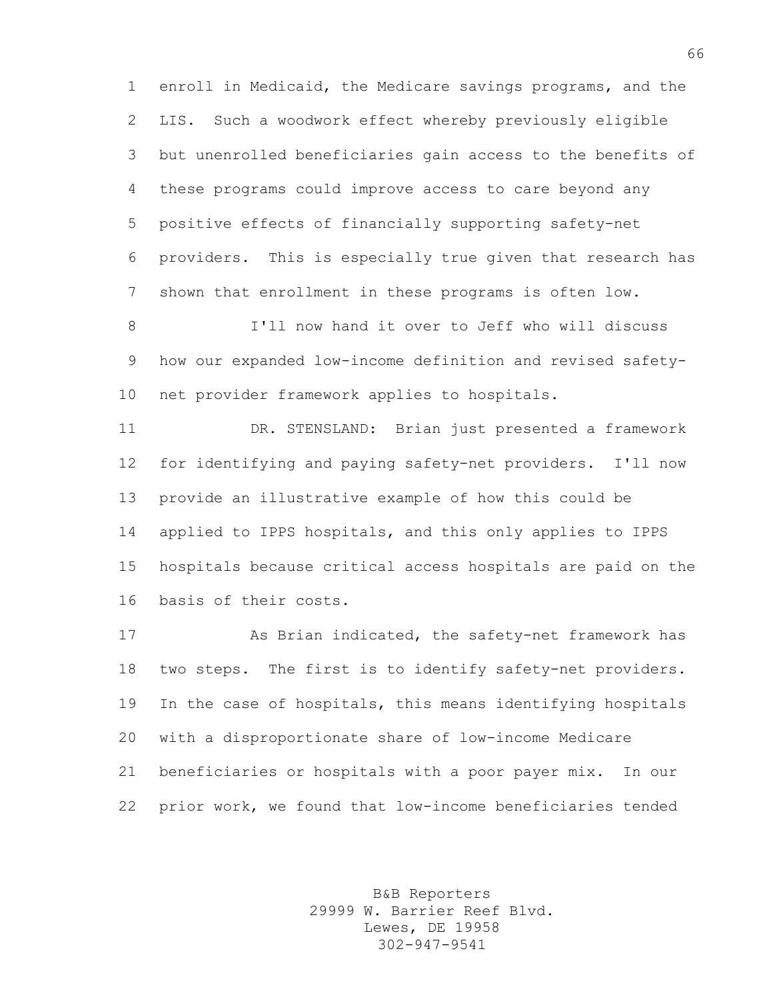enroll in Medicaid, the Medicare savings programs, and the LIS. Such a woodwork effect whereby previously eligible but unenrolled beneficiaries gain access to the benefits of these programs could improve access to care beyond any positive effects of financially supporting safety-net providers. This is especially true given that research has shown that enrollment in these programs is often low.

 I'll now hand it over to Jeff who will discuss how our expanded low-income definition and revised safety-net provider framework applies to hospitals.

 DR. STENSLAND: Brian just presented a framework for identifying and paying safety-net providers. I'll now provide an illustrative example of how this could be applied to IPPS hospitals, and this only applies to IPPS hospitals because critical access hospitals are paid on the basis of their costs.

 As Brian indicated, the safety-net framework has two steps. The first is to identify safety-net providers. In the case of hospitals, this means identifying hospitals with a disproportionate share of low-income Medicare beneficiaries or hospitals with a poor payer mix. In our prior work, we found that low-income beneficiaries tended

> B&B Reporters 29999 W. Barrier Reef Blvd. Lewes, DE 19958 302-947-9541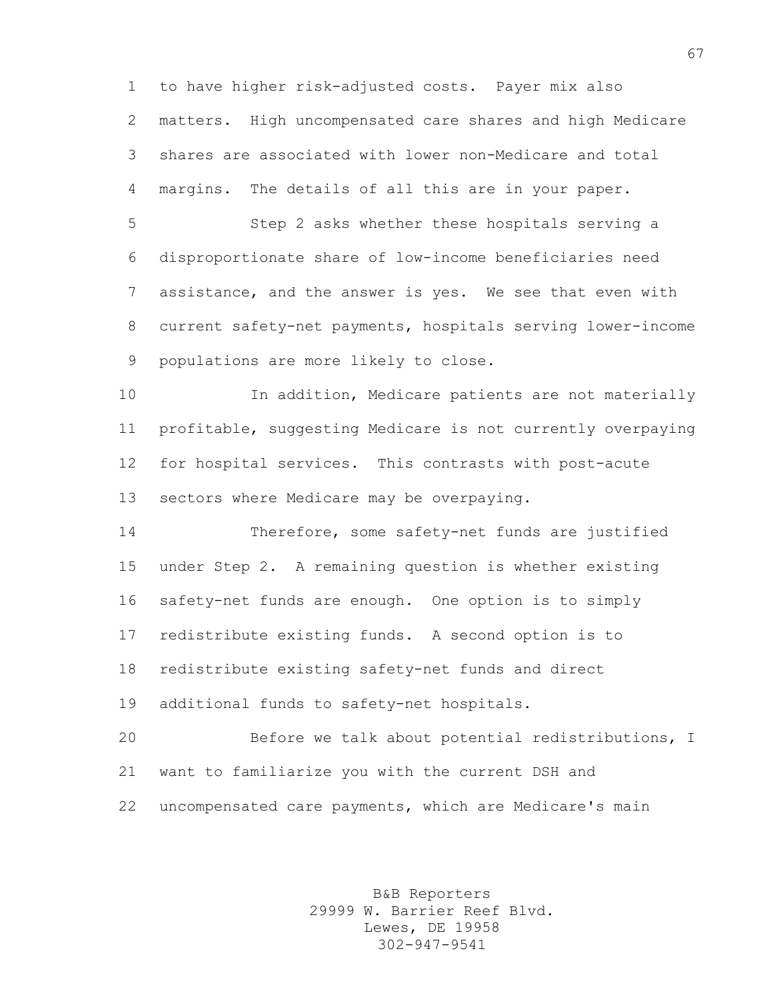to have higher risk-adjusted costs. Payer mix also matters. High uncompensated care shares and high Medicare shares are associated with lower non-Medicare and total margins. The details of all this are in your paper.

 Step 2 asks whether these hospitals serving a disproportionate share of low-income beneficiaries need assistance, and the answer is yes. We see that even with current safety-net payments, hospitals serving lower-income populations are more likely to close.

 In addition, Medicare patients are not materially profitable, suggesting Medicare is not currently overpaying for hospital services. This contrasts with post-acute sectors where Medicare may be overpaying.

 Therefore, some safety-net funds are justified under Step 2. A remaining question is whether existing safety-net funds are enough. One option is to simply redistribute existing funds. A second option is to redistribute existing safety-net funds and direct additional funds to safety-net hospitals.

 Before we talk about potential redistributions, I want to familiarize you with the current DSH and uncompensated care payments, which are Medicare's main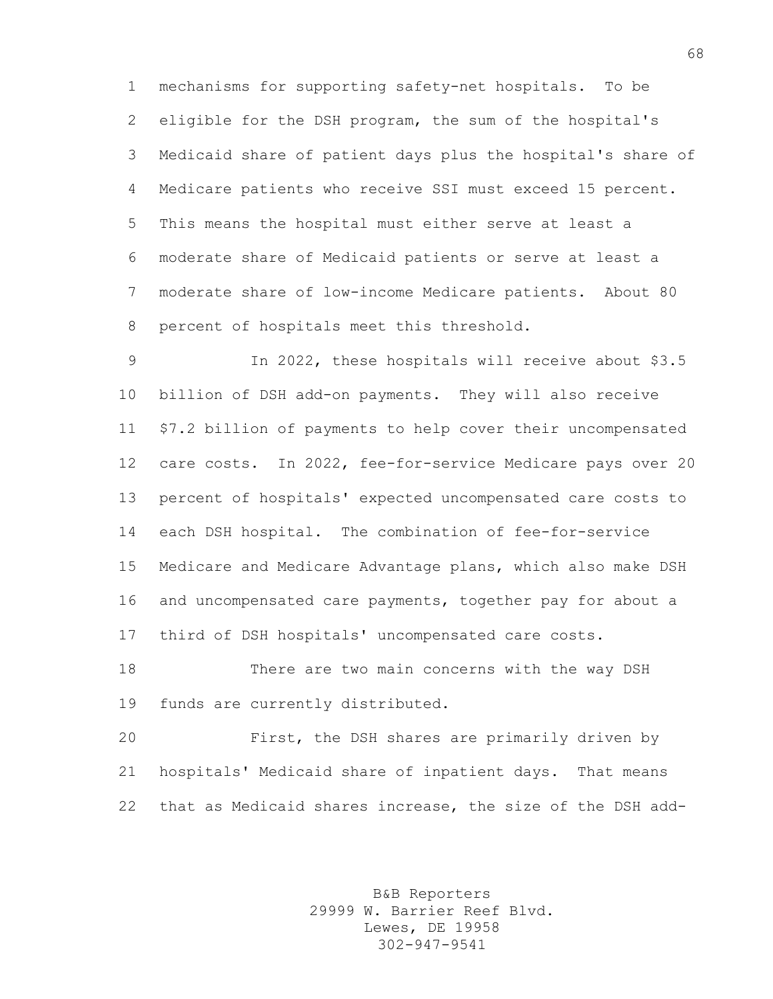mechanisms for supporting safety-net hospitals. To be eligible for the DSH program, the sum of the hospital's Medicaid share of patient days plus the hospital's share of Medicare patients who receive SSI must exceed 15 percent. This means the hospital must either serve at least a moderate share of Medicaid patients or serve at least a moderate share of low-income Medicare patients. About 80 percent of hospitals meet this threshold.

 In 2022, these hospitals will receive about \$3.5 billion of DSH add-on payments. They will also receive \$7.2 billion of payments to help cover their uncompensated care costs. In 2022, fee-for-service Medicare pays over 20 percent of hospitals' expected uncompensated care costs to each DSH hospital. The combination of fee-for-service Medicare and Medicare Advantage plans, which also make DSH and uncompensated care payments, together pay for about a third of DSH hospitals' uncompensated care costs.

 There are two main concerns with the way DSH funds are currently distributed.

 First, the DSH shares are primarily driven by hospitals' Medicaid share of inpatient days. That means that as Medicaid shares increase, the size of the DSH add-

> B&B Reporters 29999 W. Barrier Reef Blvd. Lewes, DE 19958 302-947-9541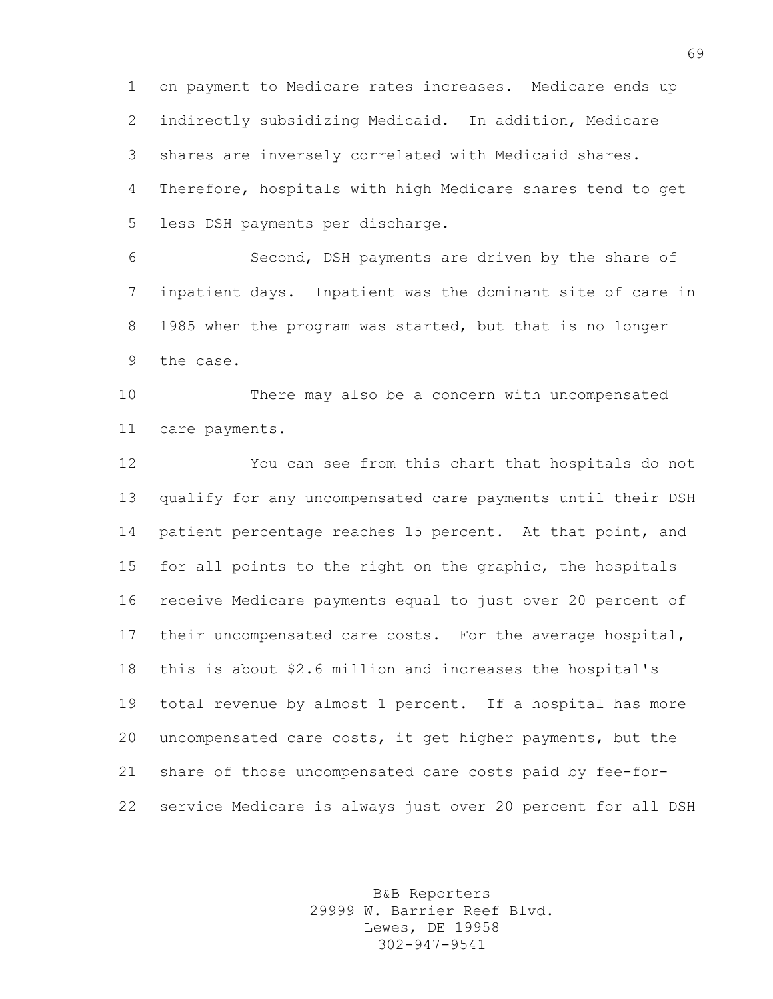on payment to Medicare rates increases. Medicare ends up indirectly subsidizing Medicaid. In addition, Medicare shares are inversely correlated with Medicaid shares. Therefore, hospitals with high Medicare shares tend to get less DSH payments per discharge.

 Second, DSH payments are driven by the share of inpatient days. Inpatient was the dominant site of care in 1985 when the program was started, but that is no longer the case.

 There may also be a concern with uncompensated care payments.

 You can see from this chart that hospitals do not qualify for any uncompensated care payments until their DSH patient percentage reaches 15 percent. At that point, and for all points to the right on the graphic, the hospitals receive Medicare payments equal to just over 20 percent of their uncompensated care costs. For the average hospital, this is about \$2.6 million and increases the hospital's total revenue by almost 1 percent. If a hospital has more uncompensated care costs, it get higher payments, but the share of those uncompensated care costs paid by fee-for-service Medicare is always just over 20 percent for all DSH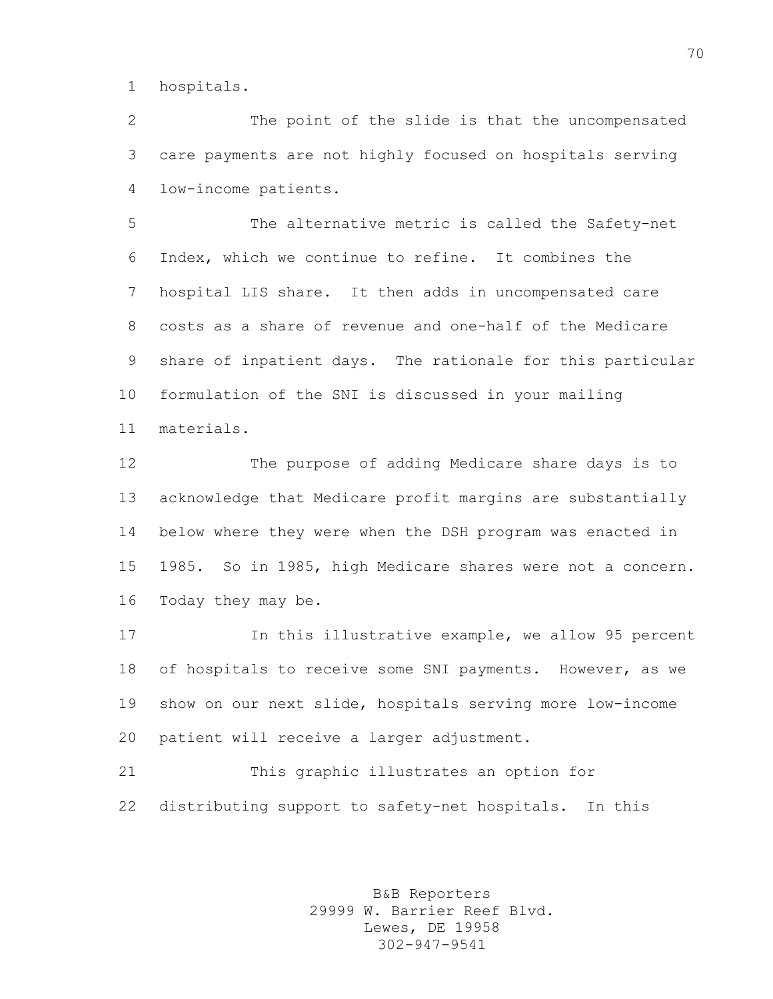hospitals.

 The point of the slide is that the uncompensated care payments are not highly focused on hospitals serving low-income patients.

 The alternative metric is called the Safety-net Index, which we continue to refine. It combines the hospital LIS share. It then adds in uncompensated care costs as a share of revenue and one-half of the Medicare share of inpatient days. The rationale for this particular formulation of the SNI is discussed in your mailing materials.

 The purpose of adding Medicare share days is to acknowledge that Medicare profit margins are substantially below where they were when the DSH program was enacted in 1985. So in 1985, high Medicare shares were not a concern. Today they may be.

 In this illustrative example, we allow 95 percent of hospitals to receive some SNI payments. However, as we show on our next slide, hospitals serving more low-income patient will receive a larger adjustment.

 This graphic illustrates an option for distributing support to safety-net hospitals. In this

> B&B Reporters 29999 W. Barrier Reef Blvd. Lewes, DE 19958 302-947-9541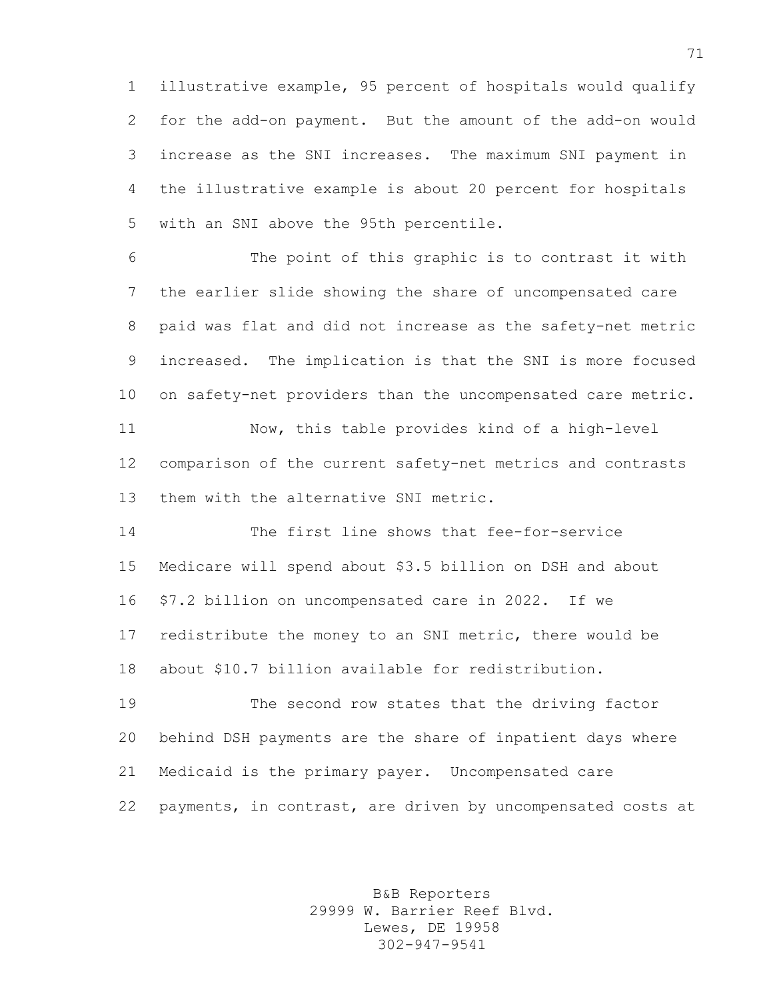illustrative example, 95 percent of hospitals would qualify for the add-on payment. But the amount of the add-on would increase as the SNI increases. The maximum SNI payment in the illustrative example is about 20 percent for hospitals with an SNI above the 95th percentile.

 The point of this graphic is to contrast it with the earlier slide showing the share of uncompensated care paid was flat and did not increase as the safety-net metric increased. The implication is that the SNI is more focused on safety-net providers than the uncompensated care metric.

 Now, this table provides kind of a high-level comparison of the current safety-net metrics and contrasts them with the alternative SNI metric.

 The first line shows that fee-for-service Medicare will spend about \$3.5 billion on DSH and about \$7.2 billion on uncompensated care in 2022. If we redistribute the money to an SNI metric, there would be about \$10.7 billion available for redistribution.

 The second row states that the driving factor behind DSH payments are the share of inpatient days where Medicaid is the primary payer. Uncompensated care payments, in contrast, are driven by uncompensated costs at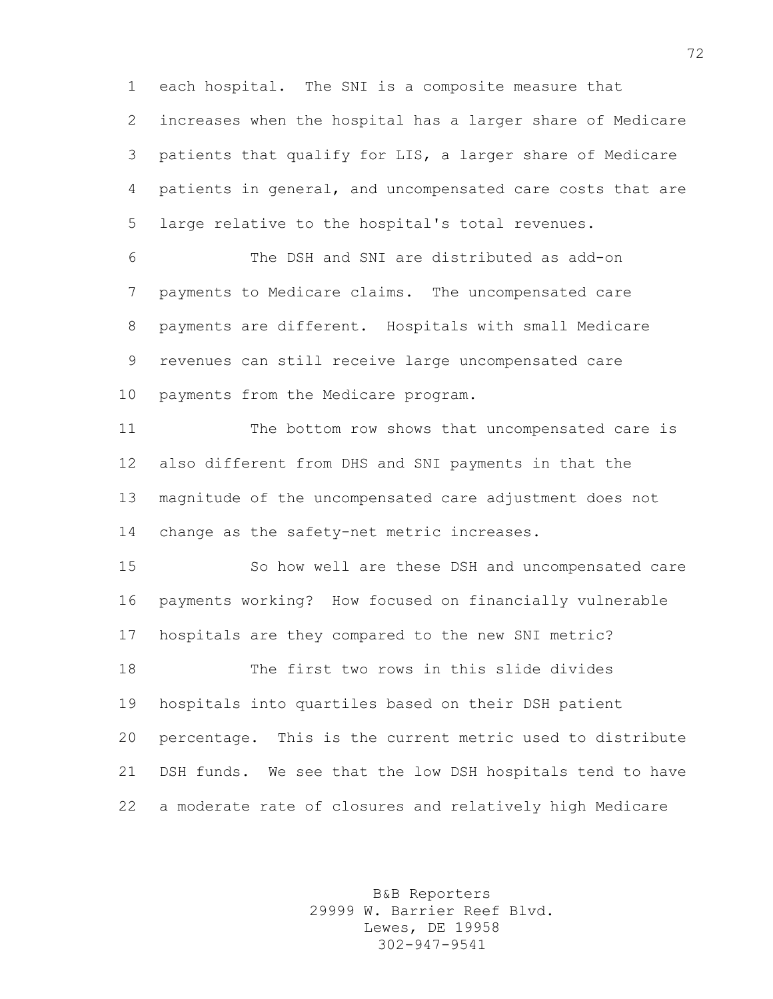each hospital. The SNI is a composite measure that increases when the hospital has a larger share of Medicare patients that qualify for LIS, a larger share of Medicare patients in general, and uncompensated care costs that are large relative to the hospital's total revenues.

 The DSH and SNI are distributed as add-on payments to Medicare claims. The uncompensated care payments are different. Hospitals with small Medicare revenues can still receive large uncompensated care payments from the Medicare program.

 The bottom row shows that uncompensated care is also different from DHS and SNI payments in that the magnitude of the uncompensated care adjustment does not change as the safety-net metric increases.

 So how well are these DSH and uncompensated care payments working? How focused on financially vulnerable hospitals are they compared to the new SNI metric? The first two rows in this slide divides hospitals into quartiles based on their DSH patient percentage. This is the current metric used to distribute DSH funds. We see that the low DSH hospitals tend to have a moderate rate of closures and relatively high Medicare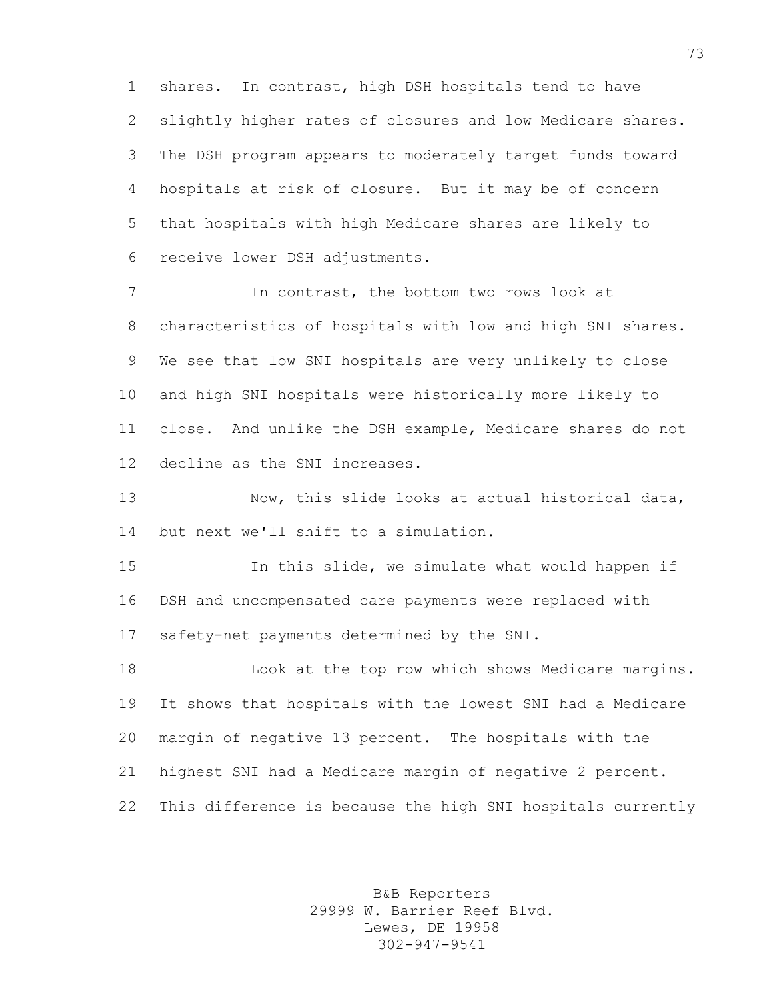shares. In contrast, high DSH hospitals tend to have slightly higher rates of closures and low Medicare shares. The DSH program appears to moderately target funds toward hospitals at risk of closure. But it may be of concern that hospitals with high Medicare shares are likely to receive lower DSH adjustments.

 In contrast, the bottom two rows look at characteristics of hospitals with low and high SNI shares. We see that low SNI hospitals are very unlikely to close and high SNI hospitals were historically more likely to close. And unlike the DSH example, Medicare shares do not decline as the SNI increases.

 Now, this slide looks at actual historical data, but next we'll shift to a simulation.

 In this slide, we simulate what would happen if DSH and uncompensated care payments were replaced with safety-net payments determined by the SNI.

 Look at the top row which shows Medicare margins. It shows that hospitals with the lowest SNI had a Medicare margin of negative 13 percent. The hospitals with the highest SNI had a Medicare margin of negative 2 percent. This difference is because the high SNI hospitals currently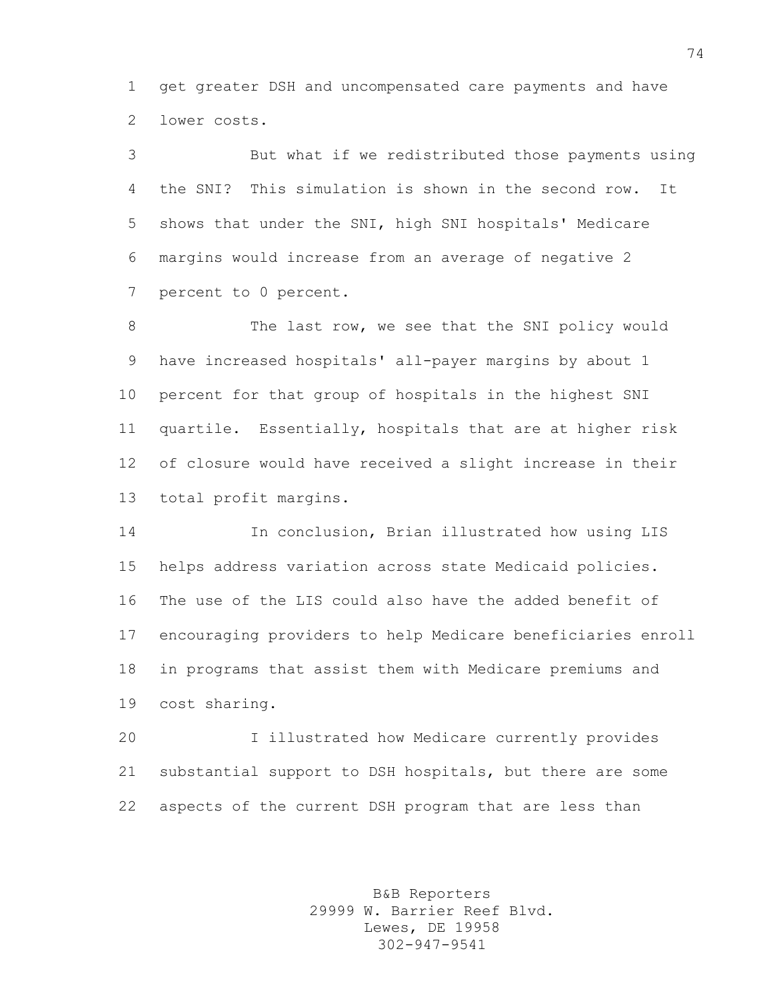get greater DSH and uncompensated care payments and have lower costs.

 But what if we redistributed those payments using the SNI? This simulation is shown in the second row. It shows that under the SNI, high SNI hospitals' Medicare margins would increase from an average of negative 2 percent to 0 percent.

8 The last row, we see that the SNI policy would have increased hospitals' all-payer margins by about 1 percent for that group of hospitals in the highest SNI quartile. Essentially, hospitals that are at higher risk of closure would have received a slight increase in their total profit margins.

 In conclusion, Brian illustrated how using LIS helps address variation across state Medicaid policies. The use of the LIS could also have the added benefit of encouraging providers to help Medicare beneficiaries enroll in programs that assist them with Medicare premiums and cost sharing.

 I illustrated how Medicare currently provides substantial support to DSH hospitals, but there are some aspects of the current DSH program that are less than

> B&B Reporters 29999 W. Barrier Reef Blvd. Lewes, DE 19958 302-947-9541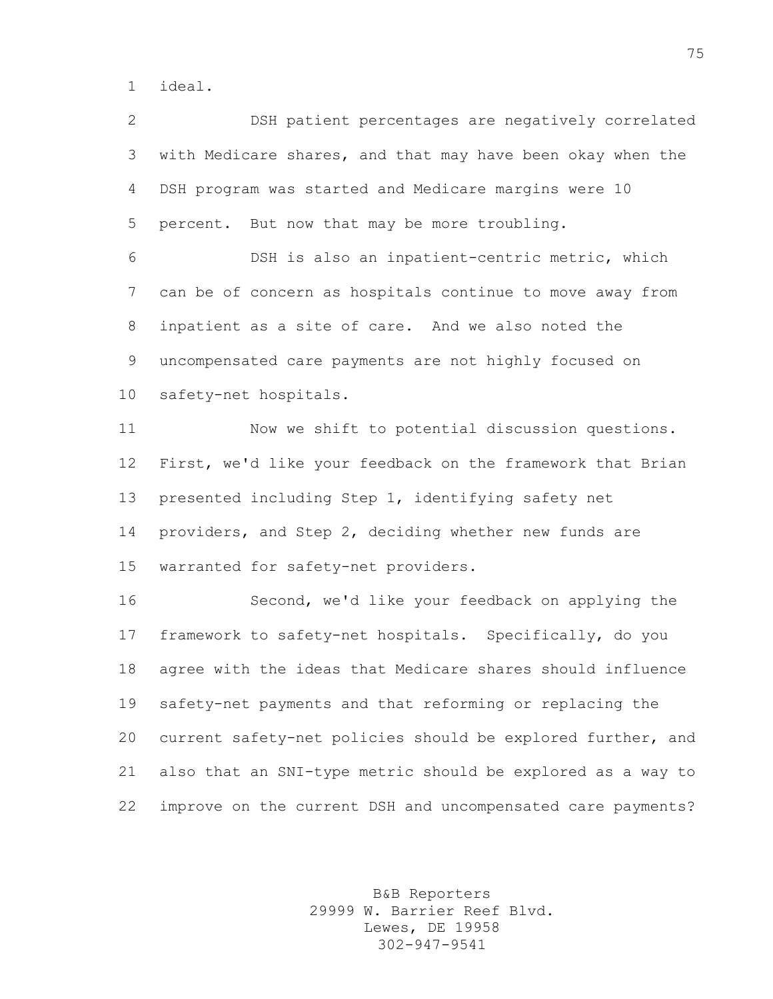ideal.

 DSH patient percentages are negatively correlated with Medicare shares, and that may have been okay when the DSH program was started and Medicare margins were 10 percent. But now that may be more troubling.

 DSH is also an inpatient-centric metric, which can be of concern as hospitals continue to move away from inpatient as a site of care. And we also noted the uncompensated care payments are not highly focused on safety-net hospitals.

 Now we shift to potential discussion questions. First, we'd like your feedback on the framework that Brian presented including Step 1, identifying safety net providers, and Step 2, deciding whether new funds are warranted for safety-net providers.

 Second, we'd like your feedback on applying the framework to safety-net hospitals. Specifically, do you agree with the ideas that Medicare shares should influence safety-net payments and that reforming or replacing the current safety-net policies should be explored further, and also that an SNI-type metric should be explored as a way to improve on the current DSH and uncompensated care payments?

> B&B Reporters 29999 W. Barrier Reef Blvd. Lewes, DE 19958 302-947-9541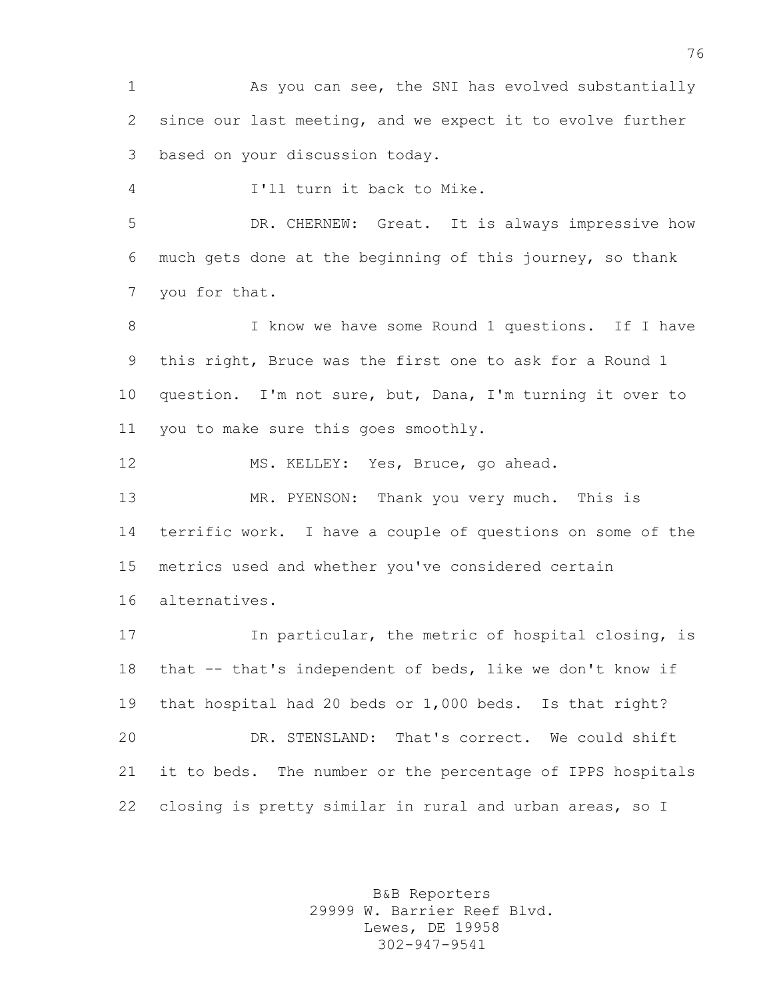1 As you can see, the SNI has evolved substantially since our last meeting, and we expect it to evolve further based on your discussion today.

I'll turn it back to Mike.

 DR. CHERNEW: Great. It is always impressive how much gets done at the beginning of this journey, so thank you for that.

8 I know we have some Round 1 questions. If I have this right, Bruce was the first one to ask for a Round 1 question. I'm not sure, but, Dana, I'm turning it over to you to make sure this goes smoothly.

MS. KELLEY: Yes, Bruce, go ahead.

 MR. PYENSON: Thank you very much. This is terrific work. I have a couple of questions on some of the metrics used and whether you've considered certain alternatives.

 In particular, the metric of hospital closing, is that -- that's independent of beds, like we don't know if that hospital had 20 beds or 1,000 beds. Is that right? DR. STENSLAND: That's correct. We could shift it to beds. The number or the percentage of IPPS hospitals closing is pretty similar in rural and urban areas, so I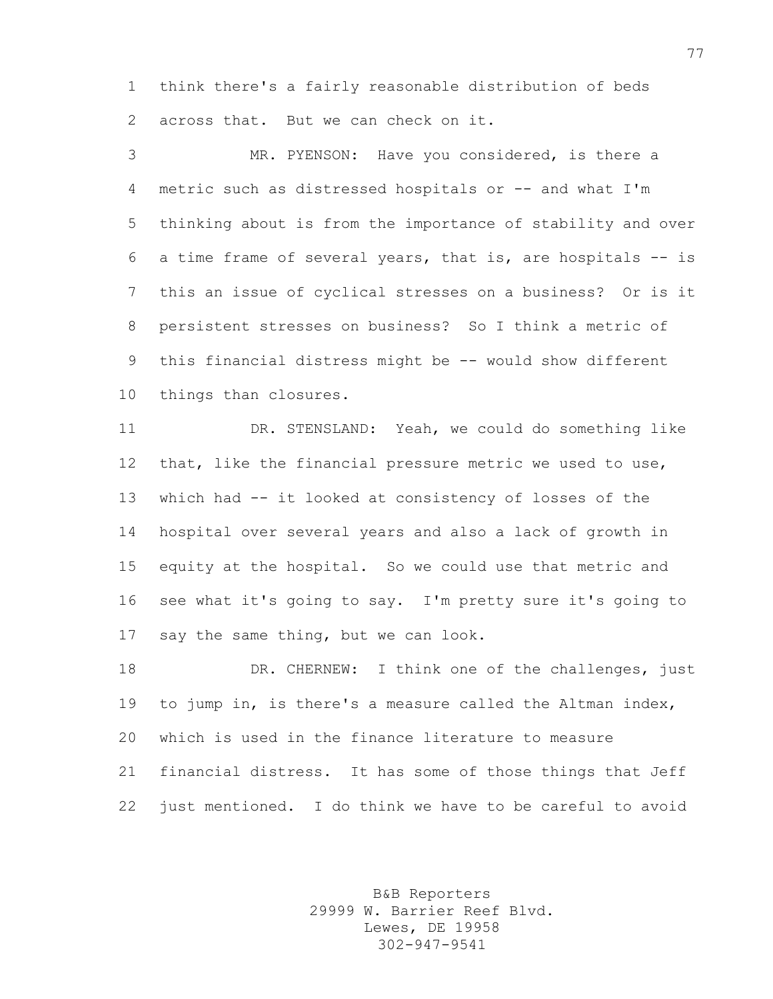think there's a fairly reasonable distribution of beds across that. But we can check on it.

 MR. PYENSON: Have you considered, is there a metric such as distressed hospitals or -- and what I'm thinking about is from the importance of stability and over a time frame of several years, that is, are hospitals -- is this an issue of cyclical stresses on a business? Or is it persistent stresses on business? So I think a metric of 9 this financial distress might be -- would show different things than closures.

 DR. STENSLAND: Yeah, we could do something like that, like the financial pressure metric we used to use, which had -- it looked at consistency of losses of the hospital over several years and also a lack of growth in equity at the hospital. So we could use that metric and see what it's going to say. I'm pretty sure it's going to say the same thing, but we can look.

18 DR. CHERNEW: I think one of the challenges, just to jump in, is there's a measure called the Altman index, which is used in the finance literature to measure financial distress. It has some of those things that Jeff just mentioned. I do think we have to be careful to avoid

> B&B Reporters 29999 W. Barrier Reef Blvd. Lewes, DE 19958 302-947-9541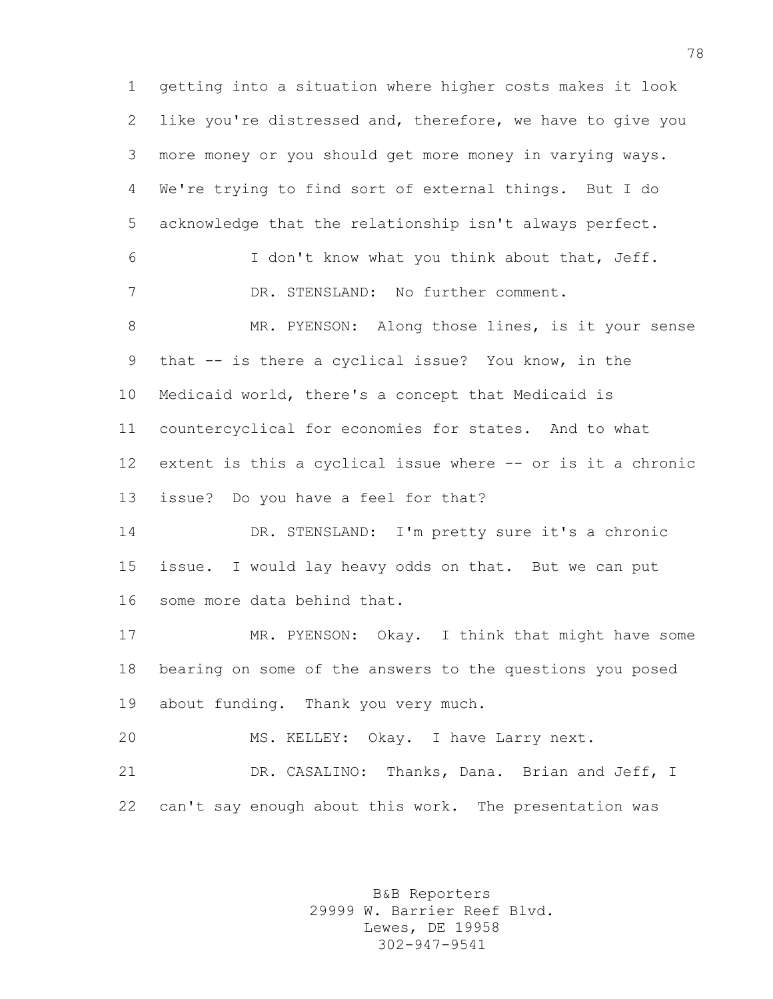getting into a situation where higher costs makes it look like you're distressed and, therefore, we have to give you more money or you should get more money in varying ways. We're trying to find sort of external things. But I do acknowledge that the relationship isn't always perfect. I don't know what you think about that, Jeff. DR. STENSLAND: No further comment. 8 MR. PYENSON: Along those lines, is it your sense that -- is there a cyclical issue? You know, in the Medicaid world, there's a concept that Medicaid is countercyclical for economies for states. And to what extent is this a cyclical issue where -- or is it a chronic issue? Do you have a feel for that? DR. STENSLAND: I'm pretty sure it's a chronic issue. I would lay heavy odds on that. But we can put some more data behind that. MR. PYENSON: Okay. I think that might have some bearing on some of the answers to the questions you posed about funding. Thank you very much. MS. KELLEY: Okay. I have Larry next. DR. CASALINO: Thanks, Dana. Brian and Jeff, I can't say enough about this work. The presentation was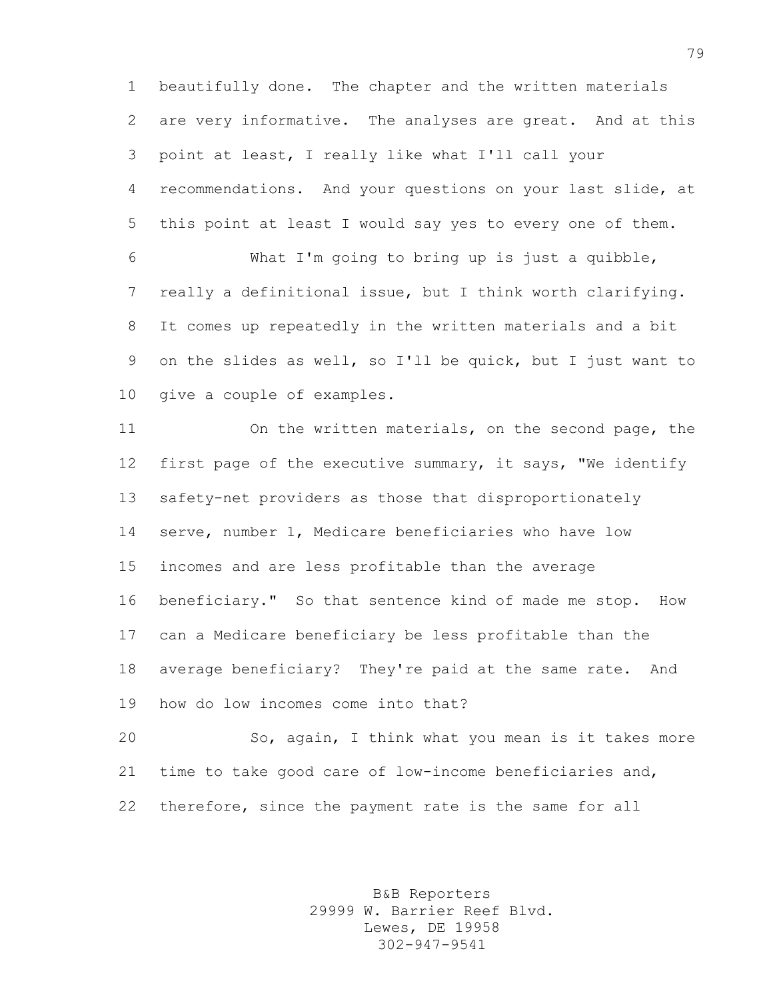beautifully done. The chapter and the written materials are very informative. The analyses are great. And at this point at least, I really like what I'll call your recommendations. And your questions on your last slide, at this point at least I would say yes to every one of them.

 What I'm going to bring up is just a quibble, really a definitional issue, but I think worth clarifying. It comes up repeatedly in the written materials and a bit on the slides as well, so I'll be quick, but I just want to give a couple of examples.

 On the written materials, on the second page, the first page of the executive summary, it says, "We identify safety-net providers as those that disproportionately serve, number 1, Medicare beneficiaries who have low incomes and are less profitable than the average beneficiary." So that sentence kind of made me stop. How can a Medicare beneficiary be less profitable than the average beneficiary? They're paid at the same rate. And how do low incomes come into that?

 So, again, I think what you mean is it takes more time to take good care of low-income beneficiaries and, therefore, since the payment rate is the same for all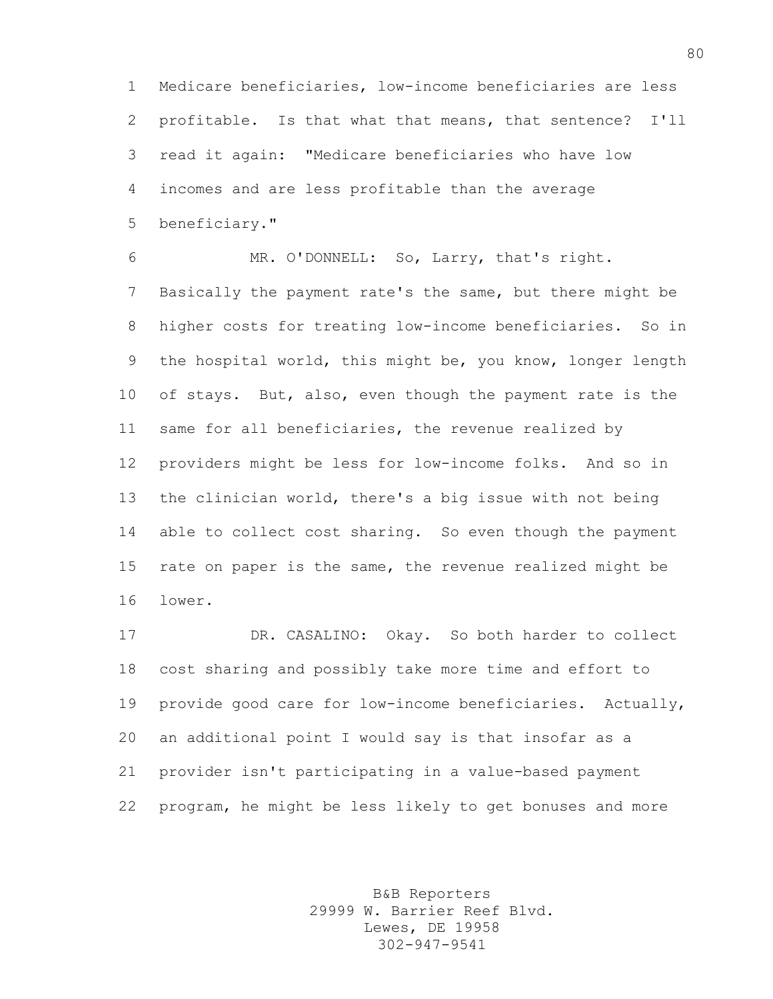Medicare beneficiaries, low-income beneficiaries are less profitable. Is that what that means, that sentence? I'll read it again: "Medicare beneficiaries who have low incomes and are less profitable than the average beneficiary."

 MR. O'DONNELL: So, Larry, that's right. Basically the payment rate's the same, but there might be higher costs for treating low-income beneficiaries. So in the hospital world, this might be, you know, longer length of stays. But, also, even though the payment rate is the same for all beneficiaries, the revenue realized by providers might be less for low-income folks. And so in the clinician world, there's a big issue with not being able to collect cost sharing. So even though the payment rate on paper is the same, the revenue realized might be lower.

 DR. CASALINO: Okay. So both harder to collect cost sharing and possibly take more time and effort to provide good care for low-income beneficiaries. Actually, an additional point I would say is that insofar as a provider isn't participating in a value-based payment program, he might be less likely to get bonuses and more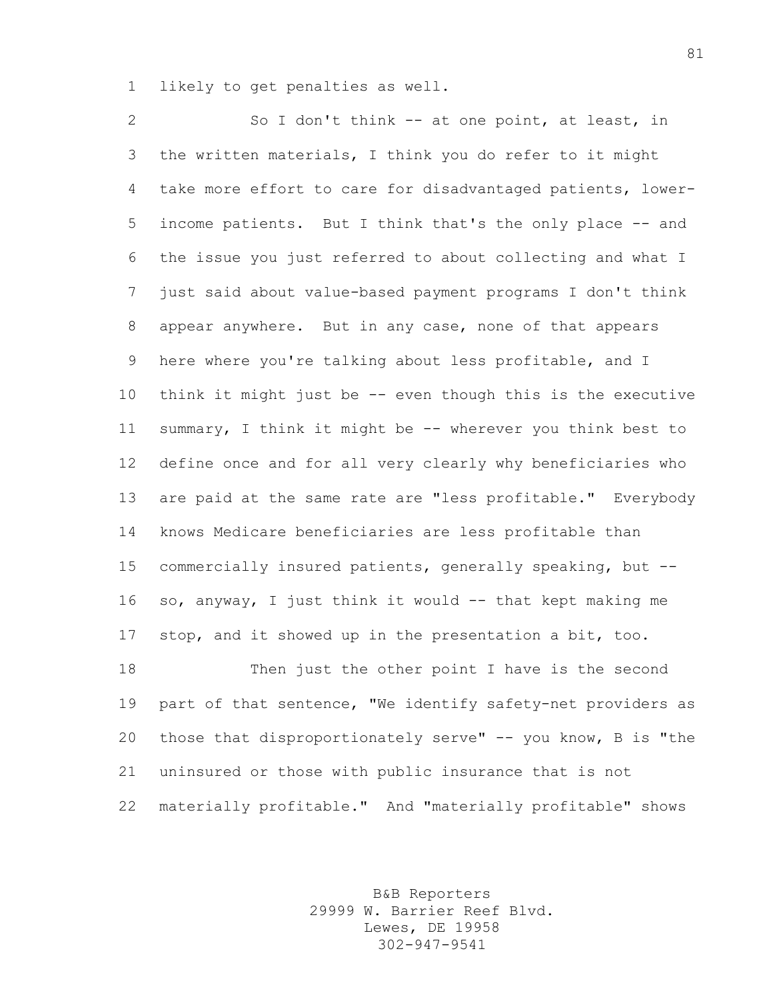likely to get penalties as well.

2 So I don't think -- at one point, at least, in the written materials, I think you do refer to it might take more effort to care for disadvantaged patients, lower- income patients. But I think that's the only place -- and the issue you just referred to about collecting and what I just said about value-based payment programs I don't think appear anywhere. But in any case, none of that appears here where you're talking about less profitable, and I think it might just be -- even though this is the executive summary, I think it might be -- wherever you think best to define once and for all very clearly why beneficiaries who 13 are paid at the same rate are "less profitable." Everybody knows Medicare beneficiaries are less profitable than commercially insured patients, generally speaking, but -- 16 so, anyway, I just think it would -- that kept making me stop, and it showed up in the presentation a bit, too. Then just the other point I have is the second 19 part of that sentence, "We identify safety-net providers as those that disproportionately serve" -- you know, B is "the uninsured or those with public insurance that is not materially profitable." And "materially profitable" shows

> B&B Reporters 29999 W. Barrier Reef Blvd. Lewes, DE 19958 302-947-9541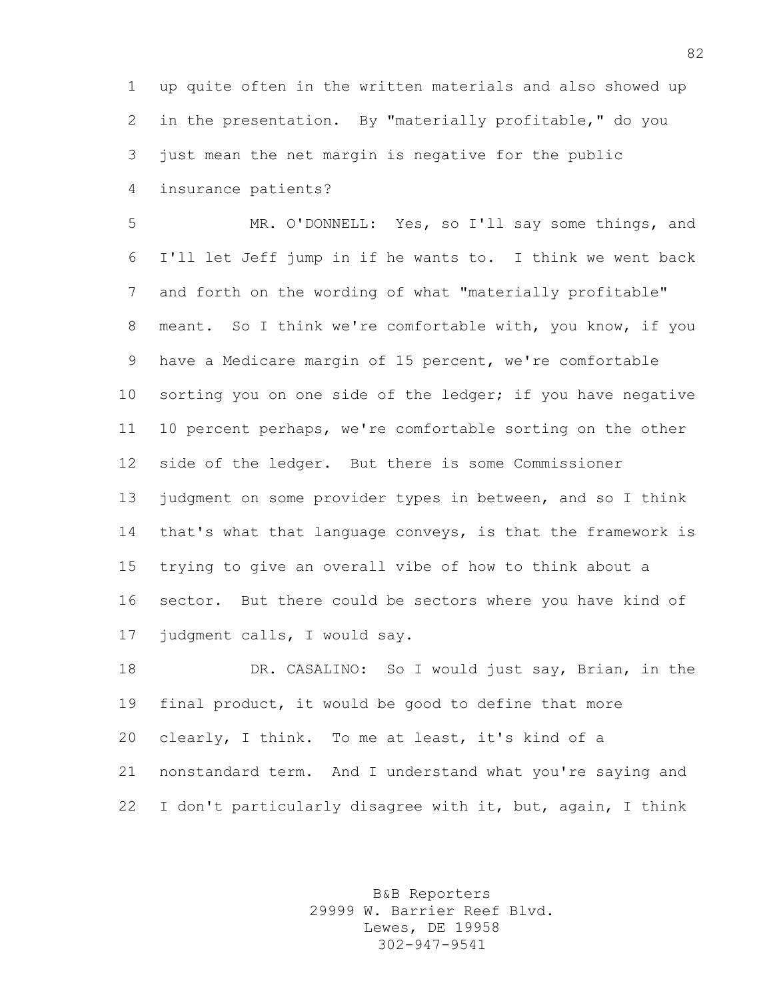up quite often in the written materials and also showed up in the presentation. By "materially profitable," do you just mean the net margin is negative for the public insurance patients?

 MR. O'DONNELL: Yes, so I'll say some things, and I'll let Jeff jump in if he wants to. I think we went back and forth on the wording of what "materially profitable" meant. So I think we're comfortable with, you know, if you have a Medicare margin of 15 percent, we're comfortable 10 sorting you on one side of the ledger; if you have negative 10 percent perhaps, we're comfortable sorting on the other side of the ledger. But there is some Commissioner judgment on some provider types in between, and so I think that's what that language conveys, is that the framework is trying to give an overall vibe of how to think about a sector. But there could be sectors where you have kind of judgment calls, I would say.

 DR. CASALINO: So I would just say, Brian, in the final product, it would be good to define that more clearly, I think. To me at least, it's kind of a nonstandard term. And I understand what you're saying and I don't particularly disagree with it, but, again, I think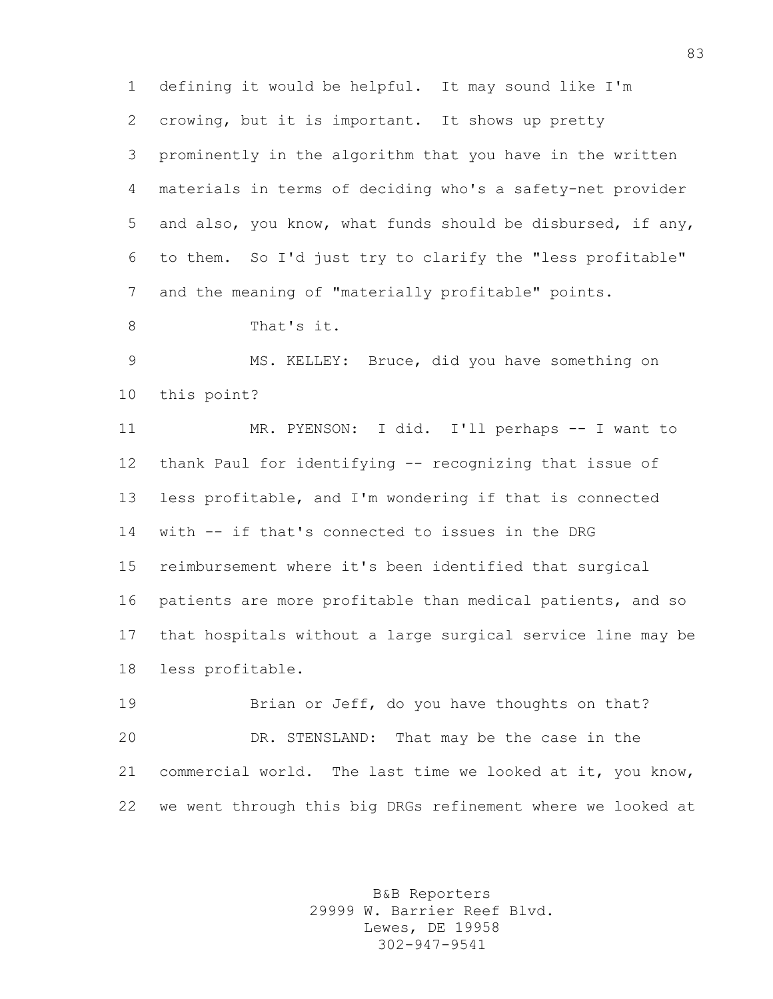defining it would be helpful. It may sound like I'm crowing, but it is important. It shows up pretty prominently in the algorithm that you have in the written materials in terms of deciding who's a safety-net provider and also, you know, what funds should be disbursed, if any, to them. So I'd just try to clarify the "less profitable" and the meaning of "materially profitable" points.

That's it.

 MS. KELLEY: Bruce, did you have something on this point?

 MR. PYENSON: I did. I'll perhaps -- I want to thank Paul for identifying -- recognizing that issue of less profitable, and I'm wondering if that is connected with -- if that's connected to issues in the DRG reimbursement where it's been identified that surgical patients are more profitable than medical patients, and so that hospitals without a large surgical service line may be less profitable.

19 Brian or Jeff, do you have thoughts on that? DR. STENSLAND: That may be the case in the commercial world. The last time we looked at it, you know, we went through this big DRGs refinement where we looked at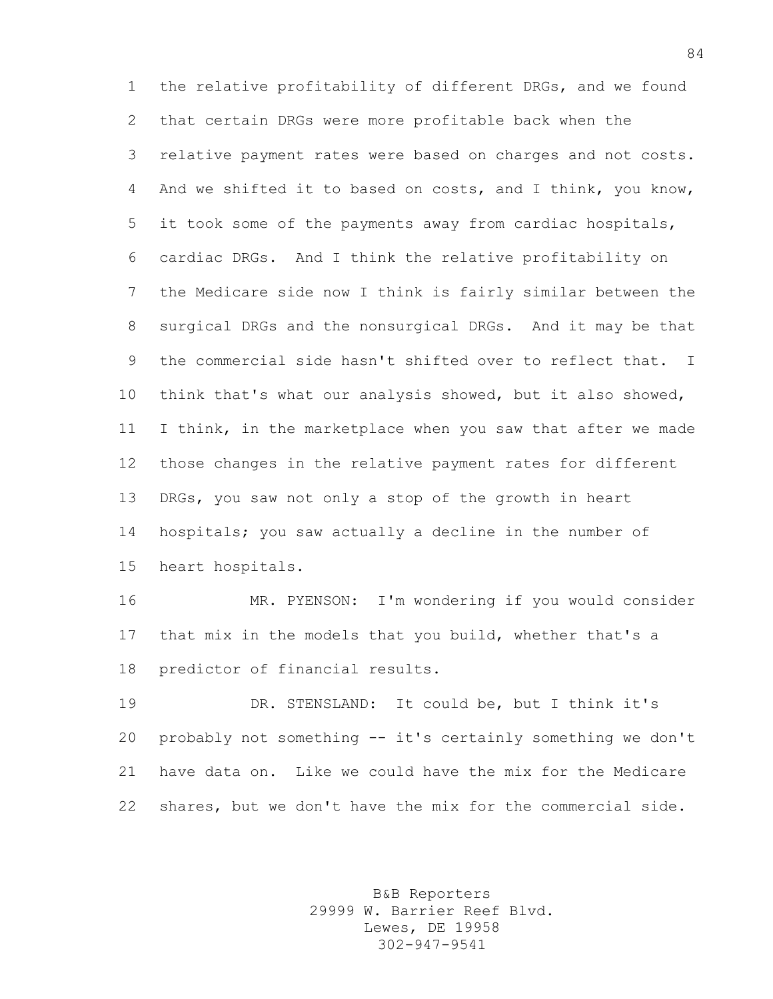the relative profitability of different DRGs, and we found that certain DRGs were more profitable back when the relative payment rates were based on charges and not costs. And we shifted it to based on costs, and I think, you know, it took some of the payments away from cardiac hospitals, cardiac DRGs. And I think the relative profitability on the Medicare side now I think is fairly similar between the surgical DRGs and the nonsurgical DRGs. And it may be that the commercial side hasn't shifted over to reflect that. I think that's what our analysis showed, but it also showed, I think, in the marketplace when you saw that after we made those changes in the relative payment rates for different DRGs, you saw not only a stop of the growth in heart hospitals; you saw actually a decline in the number of heart hospitals.

 MR. PYENSON: I'm wondering if you would consider that mix in the models that you build, whether that's a predictor of financial results.

 DR. STENSLAND: It could be, but I think it's probably not something -- it's certainly something we don't have data on. Like we could have the mix for the Medicare shares, but we don't have the mix for the commercial side.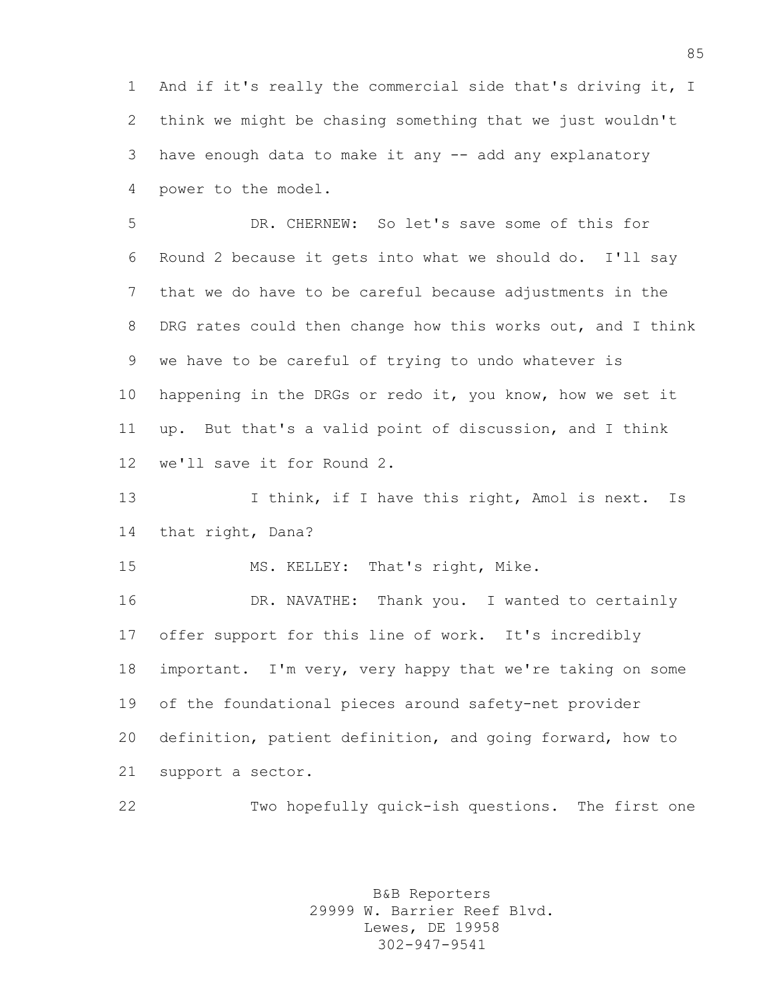And if it's really the commercial side that's driving it, I think we might be chasing something that we just wouldn't have enough data to make it any -- add any explanatory power to the model.

 DR. CHERNEW: So let's save some of this for Round 2 because it gets into what we should do. I'll say that we do have to be careful because adjustments in the 8 DRG rates could then change how this works out, and I think we have to be careful of trying to undo whatever is happening in the DRGs or redo it, you know, how we set it up. But that's a valid point of discussion, and I think we'll save it for Round 2.

13 I think, if I have this right, Amol is next. Is that right, Dana?

MS. KELLEY: That's right, Mike.

 DR. NAVATHE: Thank you. I wanted to certainly offer support for this line of work. It's incredibly important. I'm very, very happy that we're taking on some of the foundational pieces around safety-net provider definition, patient definition, and going forward, how to support a sector.

Two hopefully quick-ish questions. The first one

B&B Reporters 29999 W. Barrier Reef Blvd. Lewes, DE 19958 302-947-9541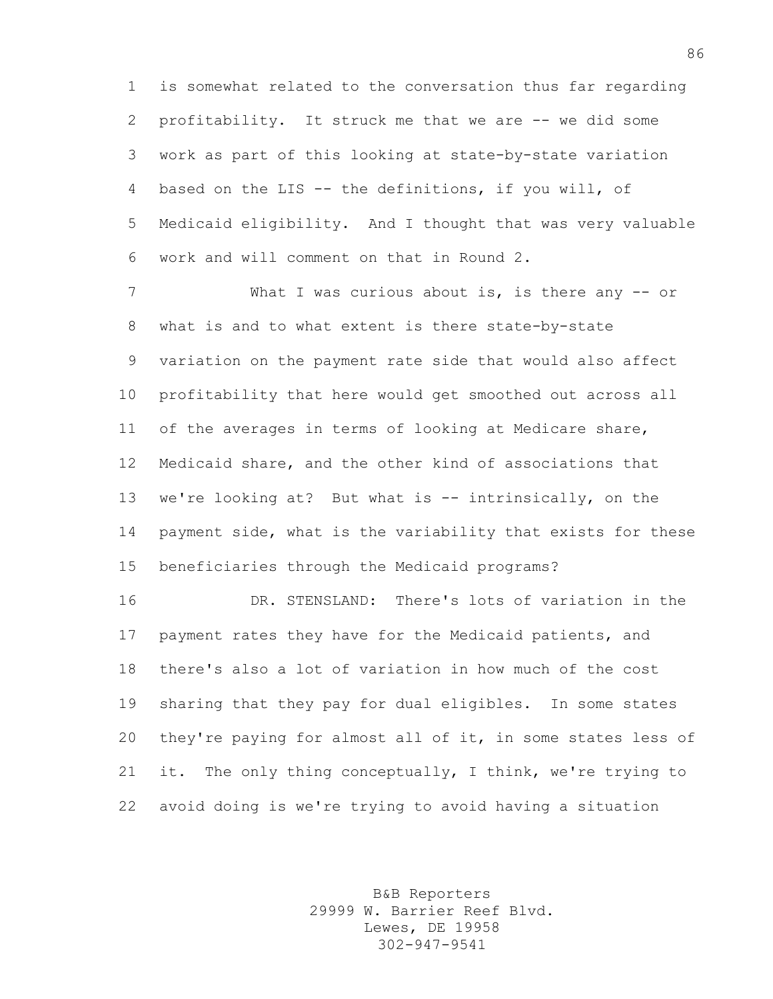is somewhat related to the conversation thus far regarding profitability. It struck me that we are -- we did some work as part of this looking at state-by-state variation based on the LIS -- the definitions, if you will, of Medicaid eligibility. And I thought that was very valuable work and will comment on that in Round 2.

7 What I was curious about is, is there any -- or what is and to what extent is there state-by-state variation on the payment rate side that would also affect profitability that here would get smoothed out across all of the averages in terms of looking at Medicare share, Medicaid share, and the other kind of associations that we're looking at? But what is -- intrinsically, on the payment side, what is the variability that exists for these beneficiaries through the Medicaid programs?

 DR. STENSLAND: There's lots of variation in the payment rates they have for the Medicaid patients, and there's also a lot of variation in how much of the cost sharing that they pay for dual eligibles. In some states they're paying for almost all of it, in some states less of it. The only thing conceptually, I think, we're trying to avoid doing is we're trying to avoid having a situation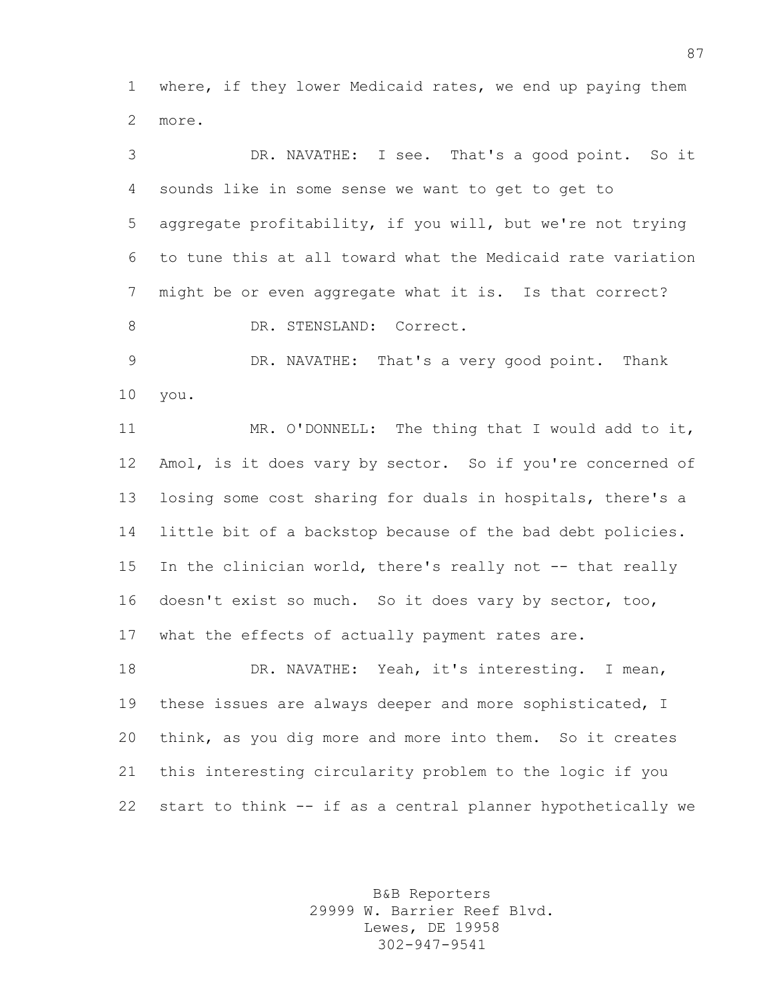where, if they lower Medicaid rates, we end up paying them more.

 DR. NAVATHE: I see. That's a good point. So it sounds like in some sense we want to get to get to aggregate profitability, if you will, but we're not trying to tune this at all toward what the Medicaid rate variation might be or even aggregate what it is. Is that correct? 8 DR. STENSLAND: Correct. DR. NAVATHE: That's a very good point. Thank you. MR. O'DONNELL: The thing that I would add to it, Amol, is it does vary by sector. So if you're concerned of losing some cost sharing for duals in hospitals, there's a little bit of a backstop because of the bad debt policies. In the clinician world, there's really not -- that really doesn't exist so much. So it does vary by sector, too, what the effects of actually payment rates are. DR. NAVATHE: Yeah, it's interesting. I mean, these issues are always deeper and more sophisticated, I think, as you dig more and more into them. So it creates

start to think -- if as a central planner hypothetically we

this interesting circularity problem to the logic if you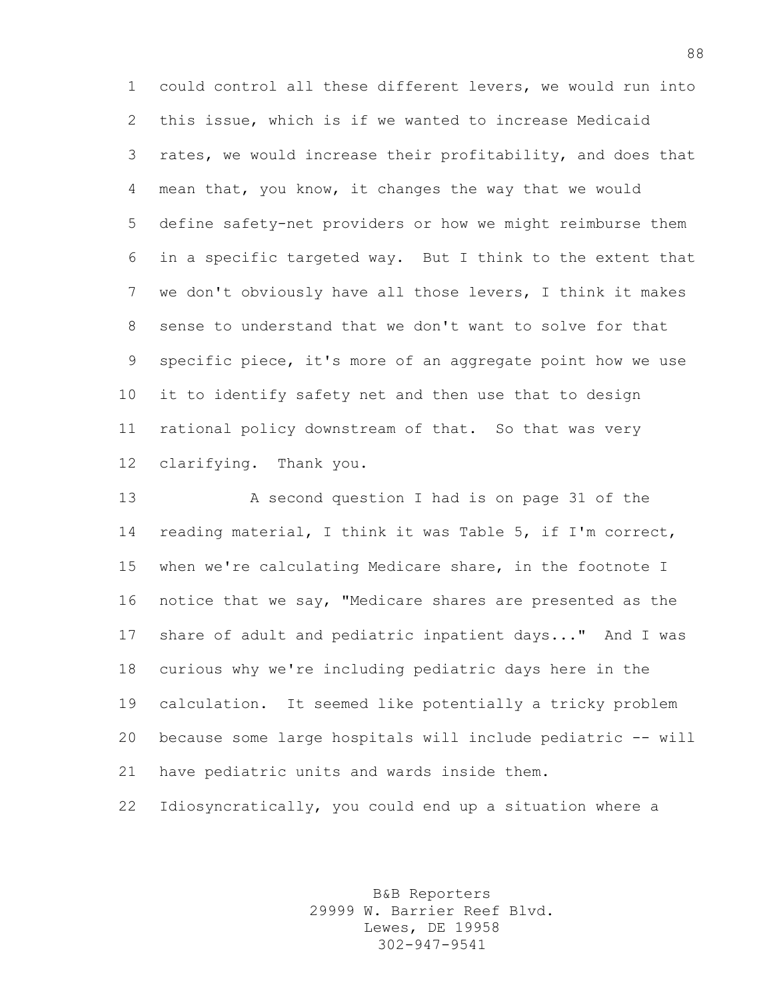could control all these different levers, we would run into this issue, which is if we wanted to increase Medicaid rates, we would increase their profitability, and does that mean that, you know, it changes the way that we would define safety-net providers or how we might reimburse them in a specific targeted way. But I think to the extent that we don't obviously have all those levers, I think it makes sense to understand that we don't want to solve for that specific piece, it's more of an aggregate point how we use it to identify safety net and then use that to design rational policy downstream of that. So that was very clarifying. Thank you.

 A second question I had is on page 31 of the reading material, I think it was Table 5, if I'm correct, when we're calculating Medicare share, in the footnote I notice that we say, "Medicare shares are presented as the share of adult and pediatric inpatient days..." And I was curious why we're including pediatric days here in the calculation. It seemed like potentially a tricky problem because some large hospitals will include pediatric -- will have pediatric units and wards inside them.

Idiosyncratically, you could end up a situation where a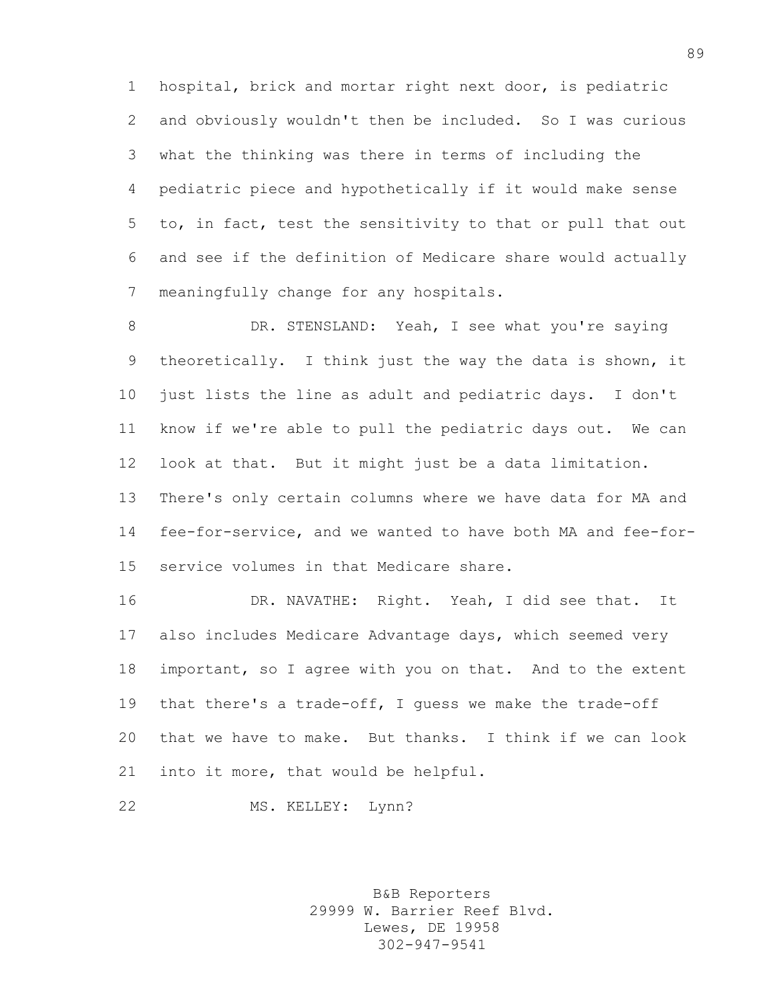hospital, brick and mortar right next door, is pediatric and obviously wouldn't then be included. So I was curious what the thinking was there in terms of including the pediatric piece and hypothetically if it would make sense to, in fact, test the sensitivity to that or pull that out and see if the definition of Medicare share would actually meaningfully change for any hospitals.

8 DR. STENSLAND: Yeah, I see what you're saying theoretically. I think just the way the data is shown, it just lists the line as adult and pediatric days. I don't know if we're able to pull the pediatric days out. We can look at that. But it might just be a data limitation. There's only certain columns where we have data for MA and fee-for-service, and we wanted to have both MA and fee-for-service volumes in that Medicare share.

 DR. NAVATHE: Right. Yeah, I did see that. It also includes Medicare Advantage days, which seemed very important, so I agree with you on that. And to the extent that there's a trade-off, I guess we make the trade-off that we have to make. But thanks. I think if we can look into it more, that would be helpful.

22 MS. KELLEY: Lynn?

B&B Reporters 29999 W. Barrier Reef Blvd. Lewes, DE 19958 302-947-9541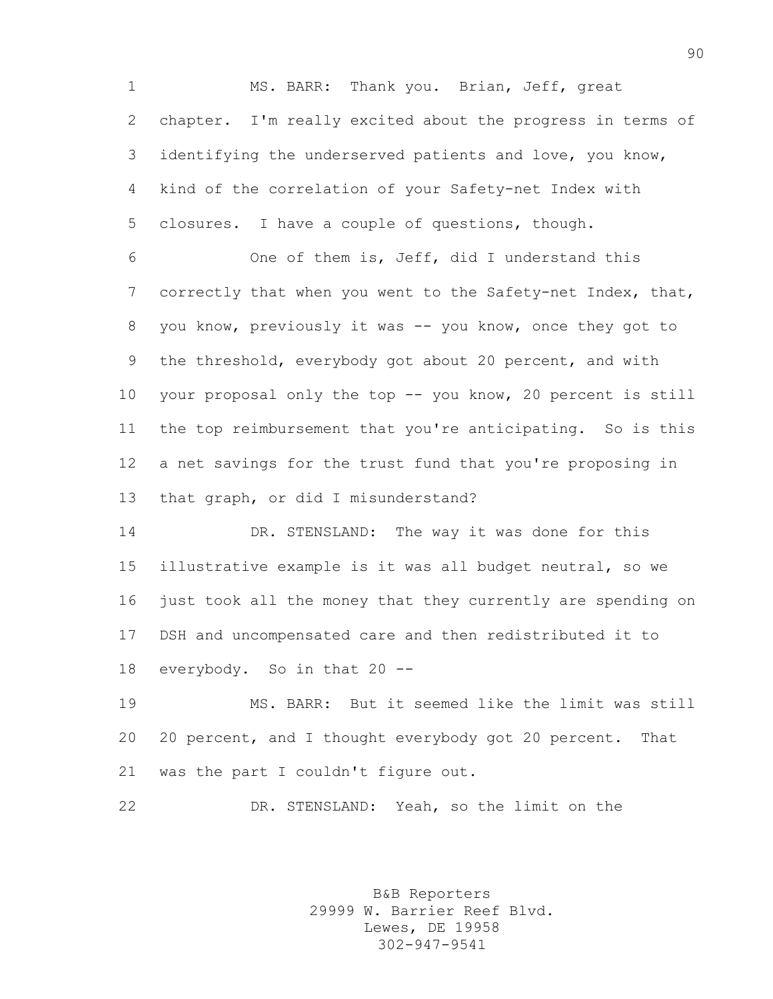MS. BARR: Thank you. Brian, Jeff, great chapter. I'm really excited about the progress in terms of identifying the underserved patients and love, you know, kind of the correlation of your Safety-net Index with closures. I have a couple of questions, though.

 One of them is, Jeff, did I understand this correctly that when you went to the Safety-net Index, that, you know, previously it was -- you know, once they got to the threshold, everybody got about 20 percent, and with your proposal only the top -- you know, 20 percent is still the top reimbursement that you're anticipating. So is this a net savings for the trust fund that you're proposing in that graph, or did I misunderstand?

 DR. STENSLAND: The way it was done for this illustrative example is it was all budget neutral, so we just took all the money that they currently are spending on DSH and uncompensated care and then redistributed it to everybody. So in that 20 --

 MS. BARR: But it seemed like the limit was still 20 percent, and I thought everybody got 20 percent. That was the part I couldn't figure out.

DR. STENSLAND: Yeah, so the limit on the

B&B Reporters 29999 W. Barrier Reef Blvd. Lewes, DE 19958 302-947-9541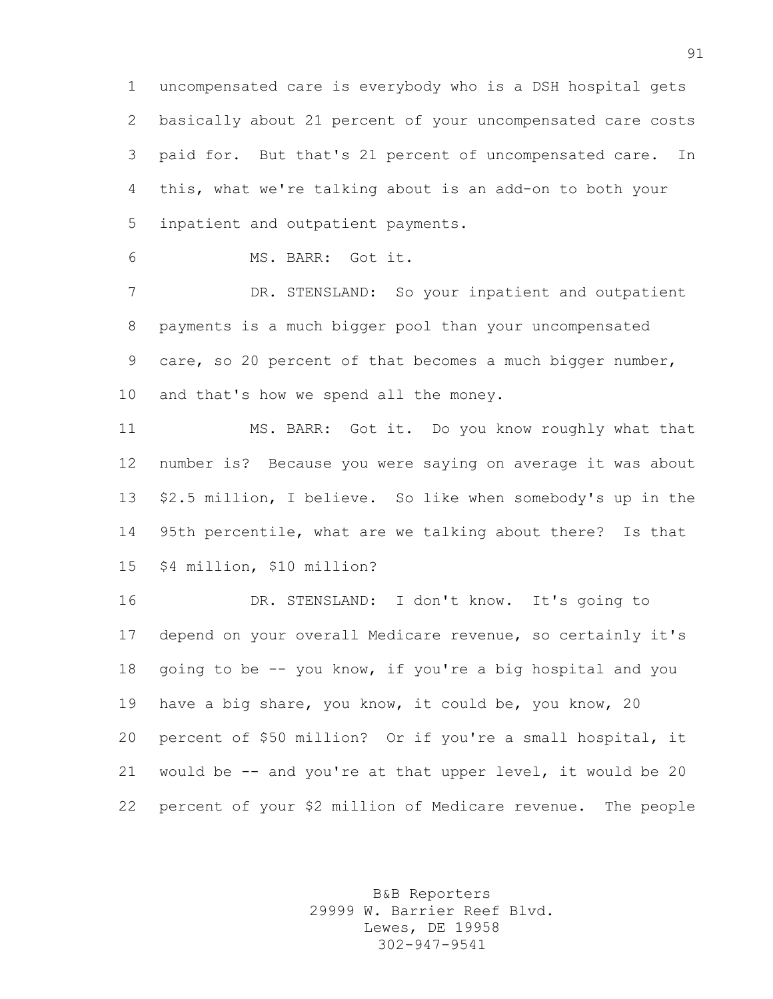uncompensated care is everybody who is a DSH hospital gets basically about 21 percent of your uncompensated care costs paid for. But that's 21 percent of uncompensated care. In this, what we're talking about is an add-on to both your inpatient and outpatient payments.

MS. BARR: Got it.

 DR. STENSLAND: So your inpatient and outpatient payments is a much bigger pool than your uncompensated care, so 20 percent of that becomes a much bigger number, and that's how we spend all the money.

 MS. BARR: Got it. Do you know roughly what that number is? Because you were saying on average it was about \$2.5 million, I believe. So like when somebody's up in the 95th percentile, what are we talking about there? Is that \$4 million, \$10 million?

 DR. STENSLAND: I don't know. It's going to depend on your overall Medicare revenue, so certainly it's going to be -- you know, if you're a big hospital and you have a big share, you know, it could be, you know, 20 percent of \$50 million? Or if you're a small hospital, it would be -- and you're at that upper level, it would be 20 percent of your \$2 million of Medicare revenue. The people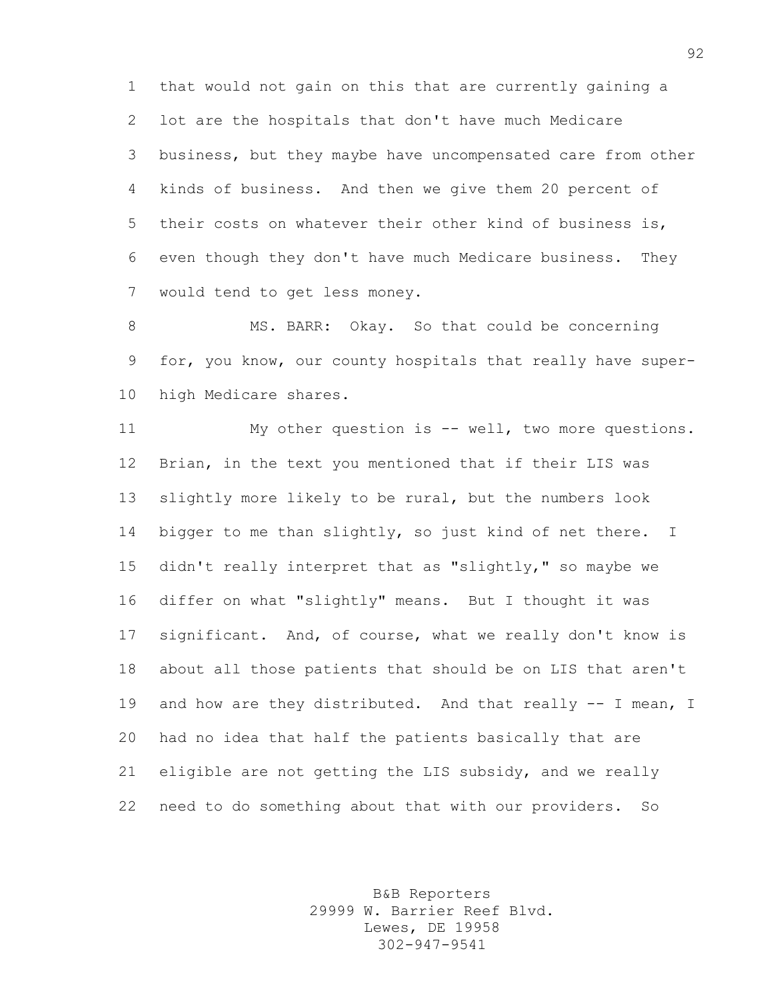that would not gain on this that are currently gaining a lot are the hospitals that don't have much Medicare business, but they maybe have uncompensated care from other kinds of business. And then we give them 20 percent of their costs on whatever their other kind of business is, even though they don't have much Medicare business. They would tend to get less money.

8 MS. BARR: Okay. So that could be concerning for, you know, our county hospitals that really have super-high Medicare shares.

 My other question is -- well, two more questions. Brian, in the text you mentioned that if their LIS was slightly more likely to be rural, but the numbers look bigger to me than slightly, so just kind of net there. I didn't really interpret that as "slightly," so maybe we differ on what "slightly" means. But I thought it was significant. And, of course, what we really don't know is about all those patients that should be on LIS that aren't 19 and how are they distributed. And that really -- I mean, I had no idea that half the patients basically that are eligible are not getting the LIS subsidy, and we really need to do something about that with our providers. So

> B&B Reporters 29999 W. Barrier Reef Blvd. Lewes, DE 19958 302-947-9541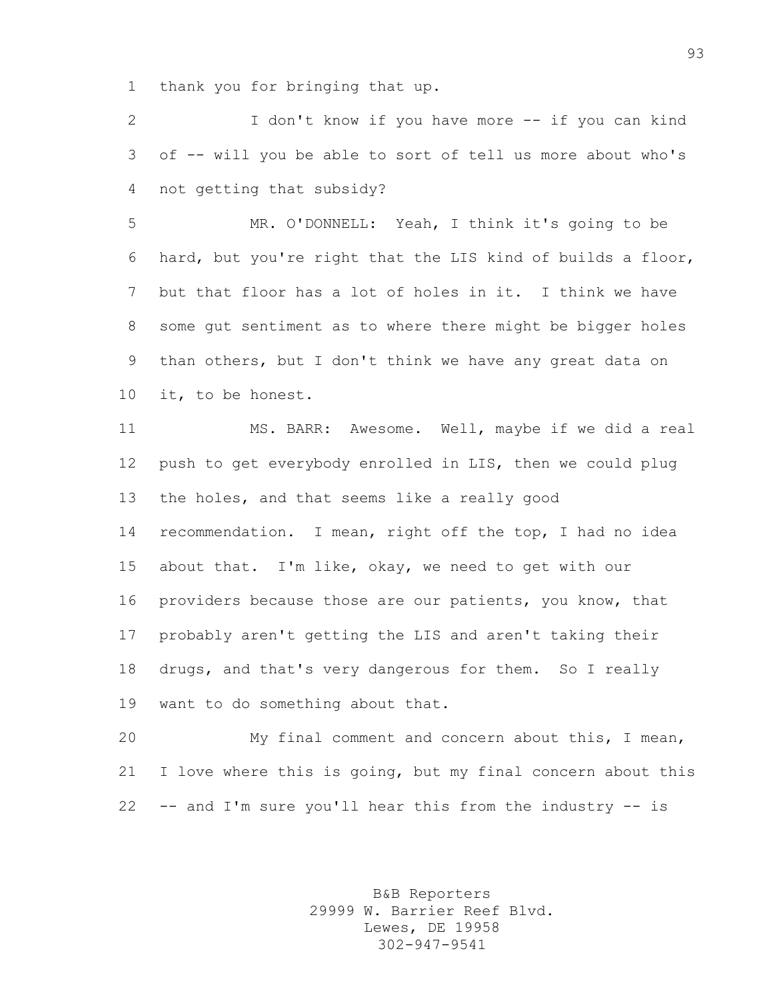thank you for bringing that up.

 I don't know if you have more -- if you can kind of -- will you be able to sort of tell us more about who's not getting that subsidy?

 MR. O'DONNELL: Yeah, I think it's going to be hard, but you're right that the LIS kind of builds a floor, but that floor has a lot of holes in it. I think we have some gut sentiment as to where there might be bigger holes than others, but I don't think we have any great data on it, to be honest.

 MS. BARR: Awesome. Well, maybe if we did a real push to get everybody enrolled in LIS, then we could plug the holes, and that seems like a really good recommendation. I mean, right off the top, I had no idea about that. I'm like, okay, we need to get with our providers because those are our patients, you know, that probably aren't getting the LIS and aren't taking their drugs, and that's very dangerous for them. So I really want to do something about that.

 My final comment and concern about this, I mean, I love where this is going, but my final concern about this -- and I'm sure you'll hear this from the industry -- is

> B&B Reporters 29999 W. Barrier Reef Blvd. Lewes, DE 19958 302-947-9541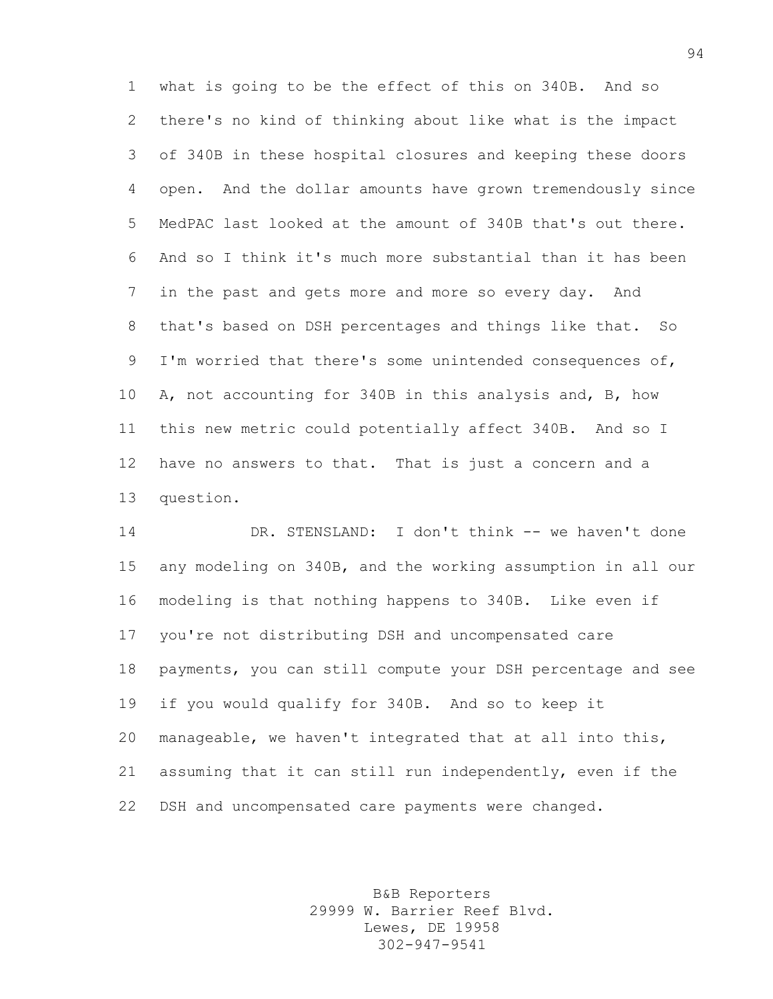what is going to be the effect of this on 340B. And so there's no kind of thinking about like what is the impact of 340B in these hospital closures and keeping these doors open. And the dollar amounts have grown tremendously since MedPAC last looked at the amount of 340B that's out there. And so I think it's much more substantial than it has been in the past and gets more and more so every day. And that's based on DSH percentages and things like that. So I'm worried that there's some unintended consequences of, A, not accounting for 340B in this analysis and, B, how this new metric could potentially affect 340B. And so I have no answers to that. That is just a concern and a question.

 DR. STENSLAND: I don't think -- we haven't done any modeling on 340B, and the working assumption in all our modeling is that nothing happens to 340B. Like even if you're not distributing DSH and uncompensated care payments, you can still compute your DSH percentage and see if you would qualify for 340B. And so to keep it manageable, we haven't integrated that at all into this, assuming that it can still run independently, even if the DSH and uncompensated care payments were changed.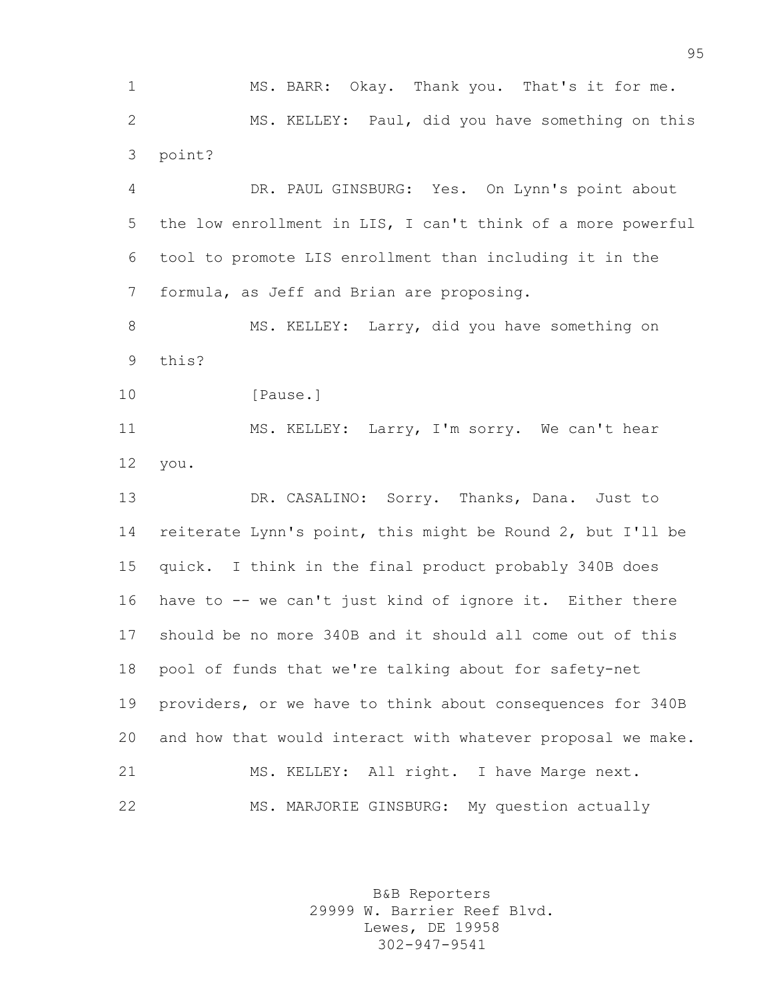MS. BARR: Okay. Thank you. That's it for me. MS. KELLEY: Paul, did you have something on this point?

 DR. PAUL GINSBURG: Yes. On Lynn's point about the low enrollment in LIS, I can't think of a more powerful tool to promote LIS enrollment than including it in the formula, as Jeff and Brian are proposing.

8 MS. KELLEY: Larry, did you have something on this?

10 [Pause.]

 MS. KELLEY: Larry, I'm sorry. We can't hear you.

 DR. CASALINO: Sorry. Thanks, Dana. Just to reiterate Lynn's point, this might be Round 2, but I'll be quick. I think in the final product probably 340B does have to -- we can't just kind of ignore it. Either there should be no more 340B and it should all come out of this pool of funds that we're talking about for safety-net providers, or we have to think about consequences for 340B and how that would interact with whatever proposal we make. 21 MS. KELLEY: All right. I have Marge next. MS. MARJORIE GINSBURG: My question actually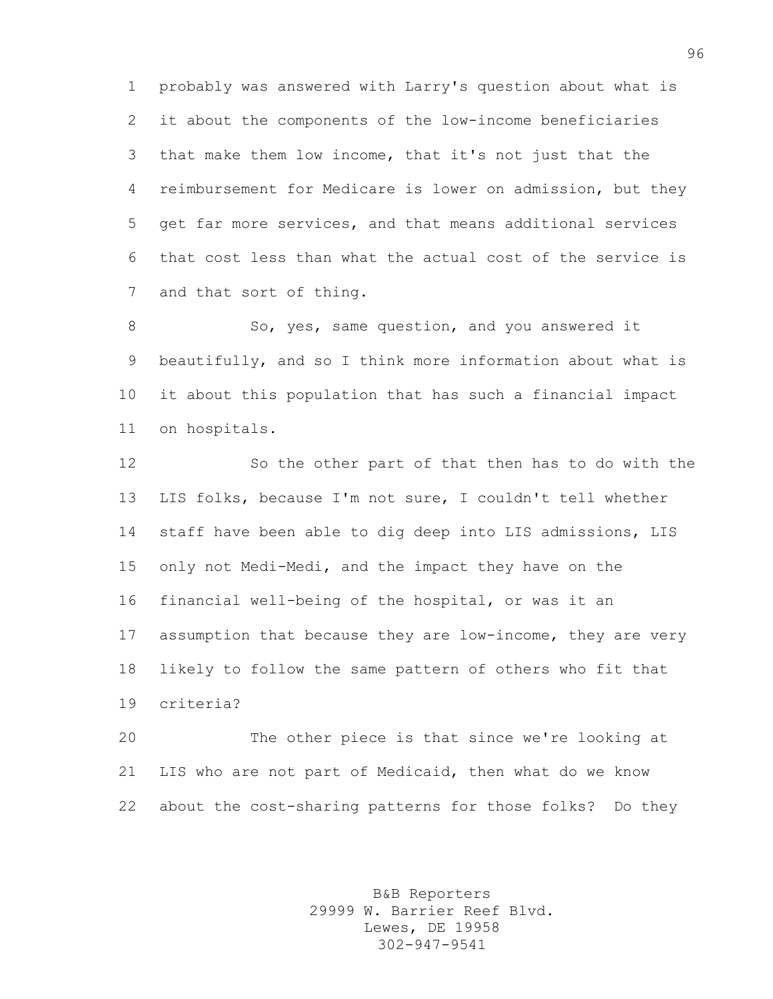probably was answered with Larry's question about what is it about the components of the low-income beneficiaries that make them low income, that it's not just that the reimbursement for Medicare is lower on admission, but they get far more services, and that means additional services that cost less than what the actual cost of the service is and that sort of thing.

8 So, yes, same question, and you answered it beautifully, and so I think more information about what is it about this population that has such a financial impact on hospitals.

 So the other part of that then has to do with the LIS folks, because I'm not sure, I couldn't tell whether staff have been able to dig deep into LIS admissions, LIS only not Medi-Medi, and the impact they have on the financial well-being of the hospital, or was it an assumption that because they are low-income, they are very likely to follow the same pattern of others who fit that criteria?

 The other piece is that since we're looking at LIS who are not part of Medicaid, then what do we know about the cost-sharing patterns for those folks? Do they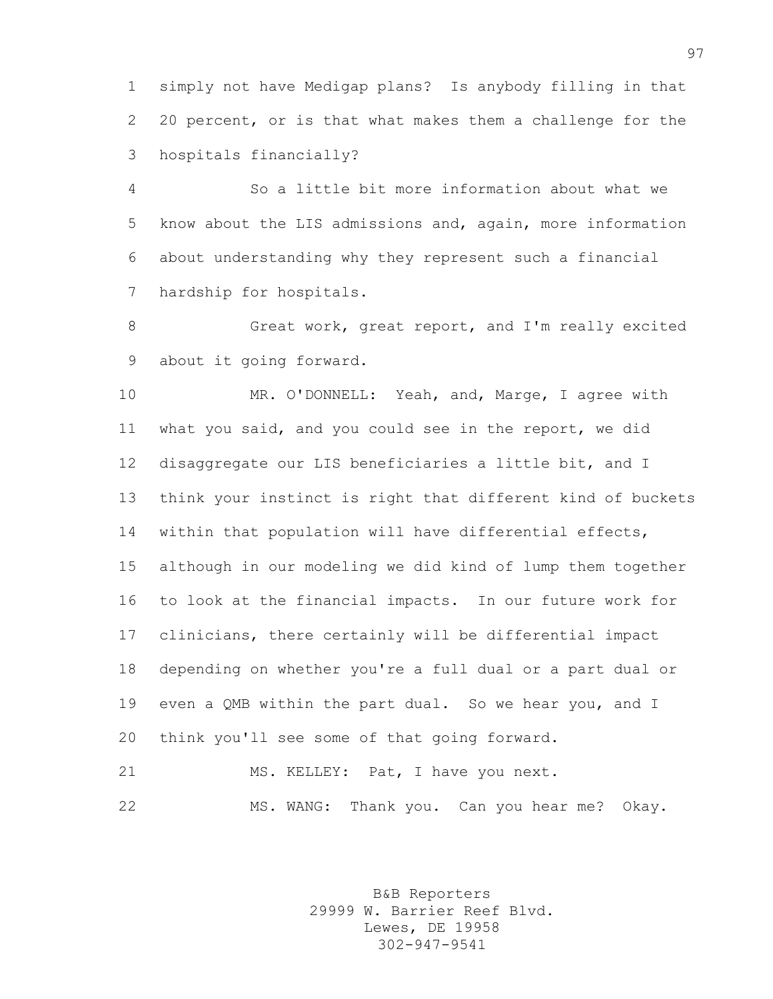simply not have Medigap plans? Is anybody filling in that 20 percent, or is that what makes them a challenge for the hospitals financially?

 So a little bit more information about what we know about the LIS admissions and, again, more information about understanding why they represent such a financial hardship for hospitals.

8 Great work, great report, and I'm really excited about it going forward.

 MR. O'DONNELL: Yeah, and, Marge, I agree with what you said, and you could see in the report, we did disaggregate our LIS beneficiaries a little bit, and I think your instinct is right that different kind of buckets within that population will have differential effects, although in our modeling we did kind of lump them together to look at the financial impacts. In our future work for clinicians, there certainly will be differential impact depending on whether you're a full dual or a part dual or even a QMB within the part dual. So we hear you, and I think you'll see some of that going forward.

21 MS. KELLEY: Pat, I have you next. MS. WANG: Thank you. Can you hear me? Okay.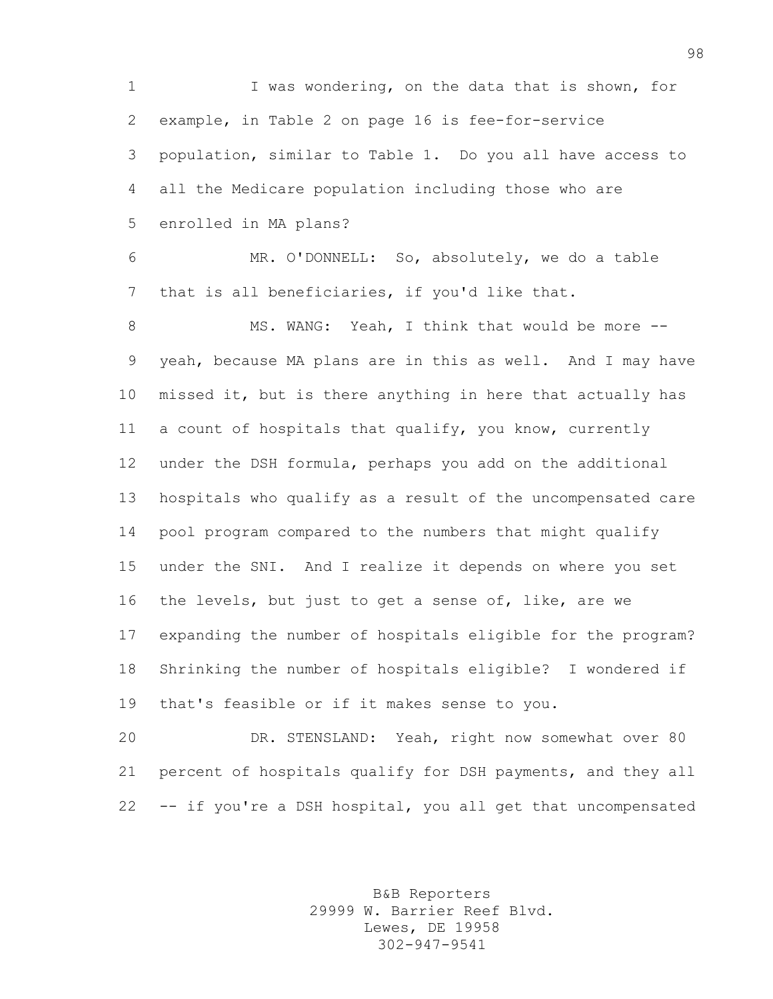I was wondering, on the data that is shown, for example, in Table 2 on page 16 is fee-for-service population, similar to Table 1. Do you all have access to all the Medicare population including those who are enrolled in MA plans? MR. O'DONNELL: So, absolutely, we do a table that is all beneficiaries, if you'd like that. 8 MS. WANG: Yeah, I think that would be more -- yeah, because MA plans are in this as well. And I may have missed it, but is there anything in here that actually has a count of hospitals that qualify, you know, currently under the DSH formula, perhaps you add on the additional hospitals who qualify as a result of the uncompensated care pool program compared to the numbers that might qualify under the SNI. And I realize it depends on where you set the levels, but just to get a sense of, like, are we expanding the number of hospitals eligible for the program? Shrinking the number of hospitals eligible? I wondered if that's feasible or if it makes sense to you. DR. STENSLAND: Yeah, right now somewhat over 80

 percent of hospitals qualify for DSH payments, and they all -- if you're a DSH hospital, you all get that uncompensated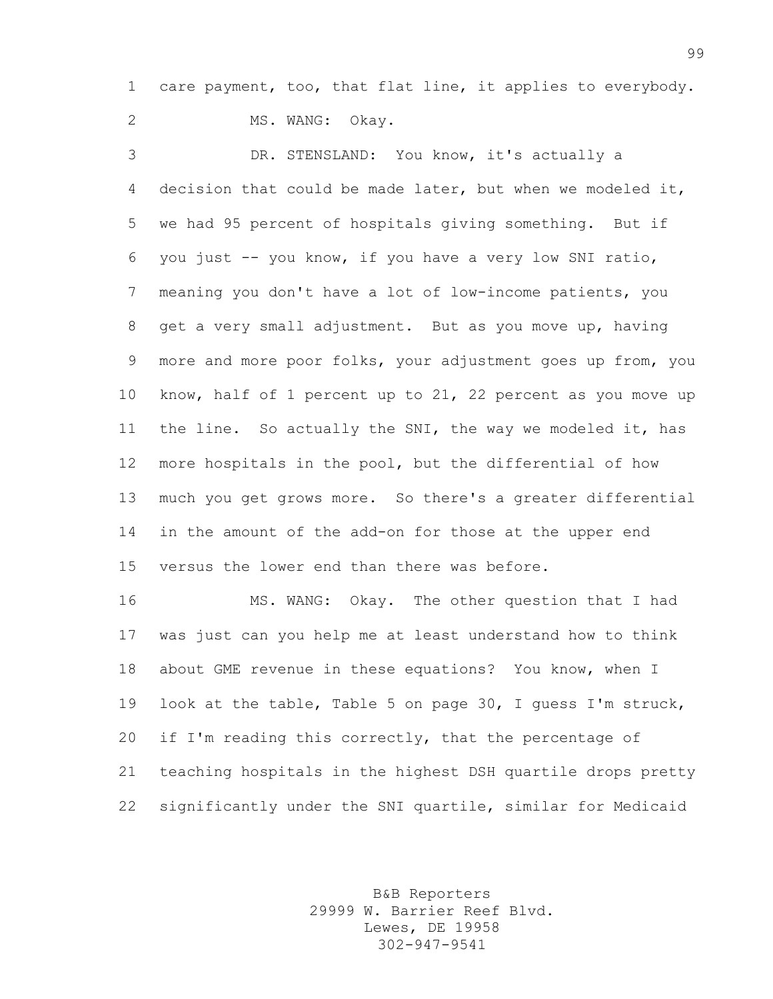care payment, too, that flat line, it applies to everybody.

2 MS. WANG: Okay.

 DR. STENSLAND: You know, it's actually a decision that could be made later, but when we modeled it, we had 95 percent of hospitals giving something. But if you just -- you know, if you have a very low SNI ratio, meaning you don't have a lot of low-income patients, you get a very small adjustment. But as you move up, having more and more poor folks, your adjustment goes up from, you know, half of 1 percent up to 21, 22 percent as you move up the line. So actually the SNI, the way we modeled it, has more hospitals in the pool, but the differential of how much you get grows more. So there's a greater differential in the amount of the add-on for those at the upper end versus the lower end than there was before.

 MS. WANG: Okay. The other question that I had was just can you help me at least understand how to think about GME revenue in these equations? You know, when I look at the table, Table 5 on page 30, I guess I'm struck, if I'm reading this correctly, that the percentage of teaching hospitals in the highest DSH quartile drops pretty significantly under the SNI quartile, similar for Medicaid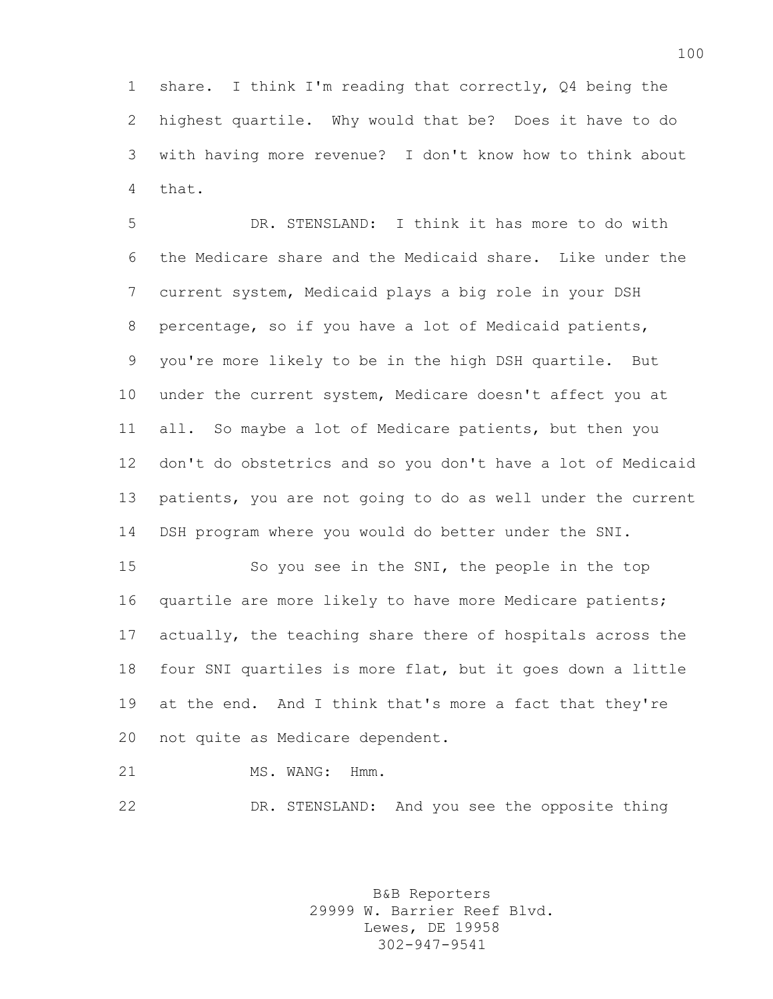share. I think I'm reading that correctly, Q4 being the highest quartile. Why would that be? Does it have to do with having more revenue? I don't know how to think about that.

 DR. STENSLAND: I think it has more to do with the Medicare share and the Medicaid share. Like under the current system, Medicaid plays a big role in your DSH percentage, so if you have a lot of Medicaid patients, you're more likely to be in the high DSH quartile. But under the current system, Medicare doesn't affect you at all. So maybe a lot of Medicare patients, but then you don't do obstetrics and so you don't have a lot of Medicaid patients, you are not going to do as well under the current DSH program where you would do better under the SNI.

 So you see in the SNI, the people in the top quartile are more likely to have more Medicare patients; actually, the teaching share there of hospitals across the four SNI quartiles is more flat, but it goes down a little at the end. And I think that's more a fact that they're not quite as Medicare dependent.

21 MS. WANG: Hmm.

DR. STENSLAND: And you see the opposite thing

B&B Reporters 29999 W. Barrier Reef Blvd. Lewes, DE 19958 302-947-9541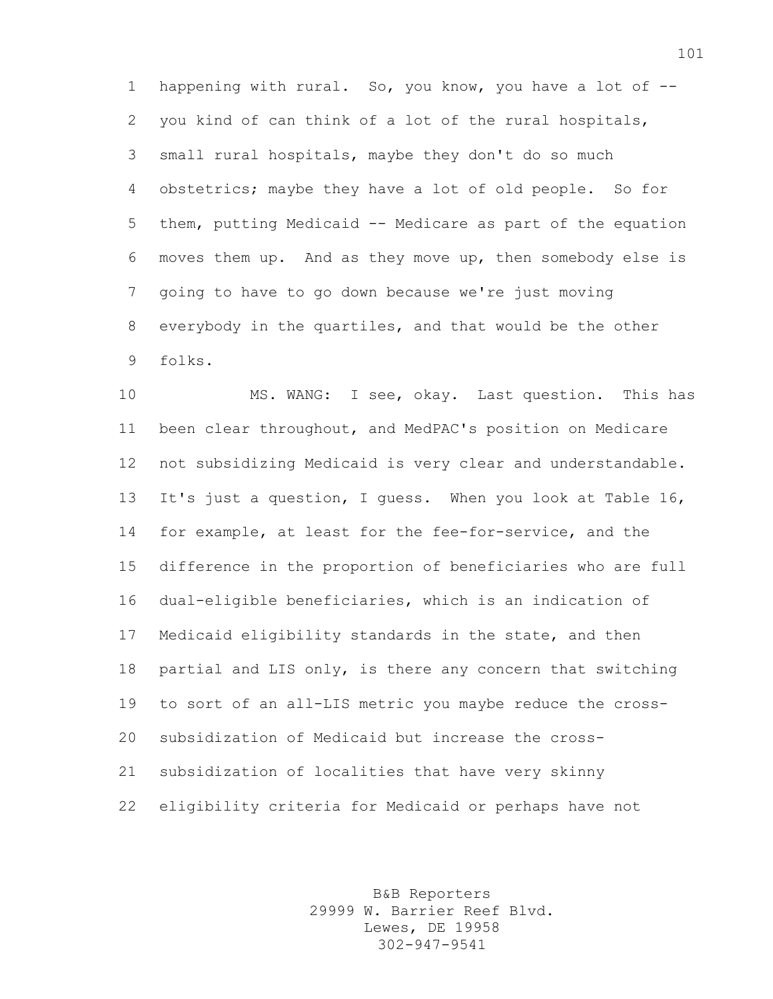happening with rural. So, you know, you have a lot of -- you kind of can think of a lot of the rural hospitals, small rural hospitals, maybe they don't do so much obstetrics; maybe they have a lot of old people. So for them, putting Medicaid -- Medicare as part of the equation moves them up. And as they move up, then somebody else is going to have to go down because we're just moving everybody in the quartiles, and that would be the other folks.

 MS. WANG: I see, okay. Last question. This has been clear throughout, and MedPAC's position on Medicare not subsidizing Medicaid is very clear and understandable. It's just a question, I guess. When you look at Table 16, for example, at least for the fee-for-service, and the difference in the proportion of beneficiaries who are full dual-eligible beneficiaries, which is an indication of Medicaid eligibility standards in the state, and then partial and LIS only, is there any concern that switching to sort of an all-LIS metric you maybe reduce the cross- subsidization of Medicaid but increase the cross- subsidization of localities that have very skinny eligibility criteria for Medicaid or perhaps have not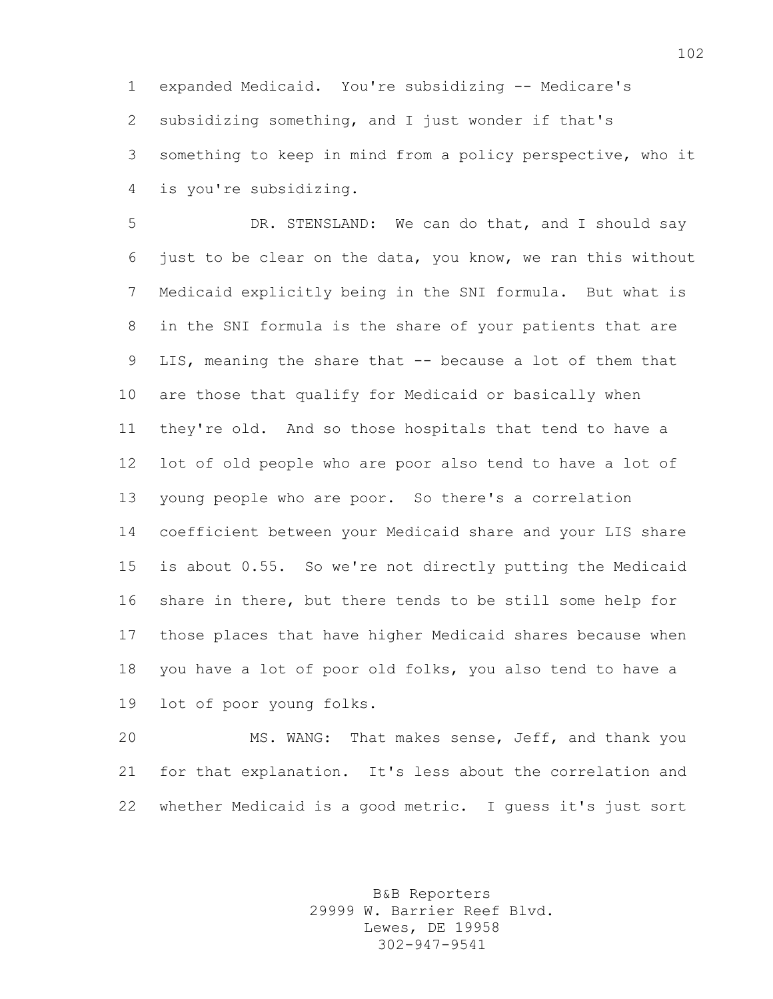expanded Medicaid. You're subsidizing -- Medicare's subsidizing something, and I just wonder if that's something to keep in mind from a policy perspective, who it is you're subsidizing.

 DR. STENSLAND: We can do that, and I should say just to be clear on the data, you know, we ran this without Medicaid explicitly being in the SNI formula. But what is in the SNI formula is the share of your patients that are LIS, meaning the share that -- because a lot of them that are those that qualify for Medicaid or basically when they're old. And so those hospitals that tend to have a lot of old people who are poor also tend to have a lot of young people who are poor. So there's a correlation coefficient between your Medicaid share and your LIS share is about 0.55. So we're not directly putting the Medicaid share in there, but there tends to be still some help for those places that have higher Medicaid shares because when you have a lot of poor old folks, you also tend to have a lot of poor young folks.

 MS. WANG: That makes sense, Jeff, and thank you for that explanation. It's less about the correlation and whether Medicaid is a good metric. I guess it's just sort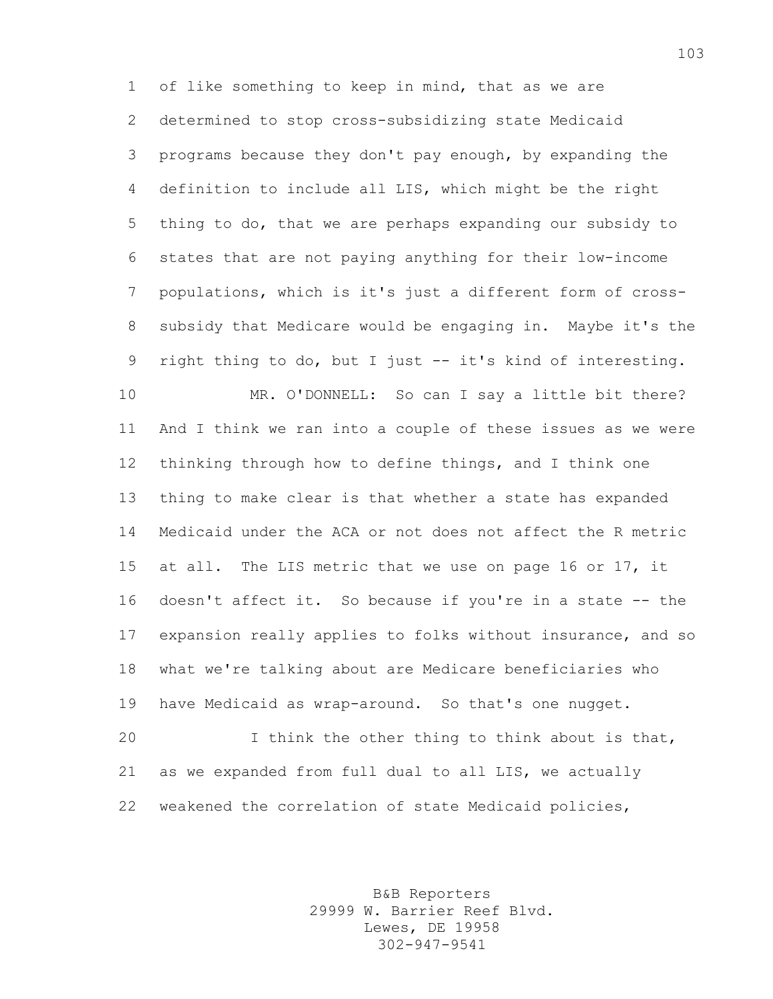of like something to keep in mind, that as we are determined to stop cross-subsidizing state Medicaid programs because they don't pay enough, by expanding the definition to include all LIS, which might be the right thing to do, that we are perhaps expanding our subsidy to states that are not paying anything for their low-income populations, which is it's just a different form of cross- subsidy that Medicare would be engaging in. Maybe it's the right thing to do, but I just -- it's kind of interesting. MR. O'DONNELL: So can I say a little bit there? And I think we ran into a couple of these issues as we were

 thinking through how to define things, and I think one thing to make clear is that whether a state has expanded Medicaid under the ACA or not does not affect the R metric at all. The LIS metric that we use on page 16 or 17, it 16 doesn't affect it. So because if you're in a state -- the expansion really applies to folks without insurance, and so what we're talking about are Medicare beneficiaries who have Medicaid as wrap-around. So that's one nugget.

 I think the other thing to think about is that, as we expanded from full dual to all LIS, we actually weakened the correlation of state Medicaid policies,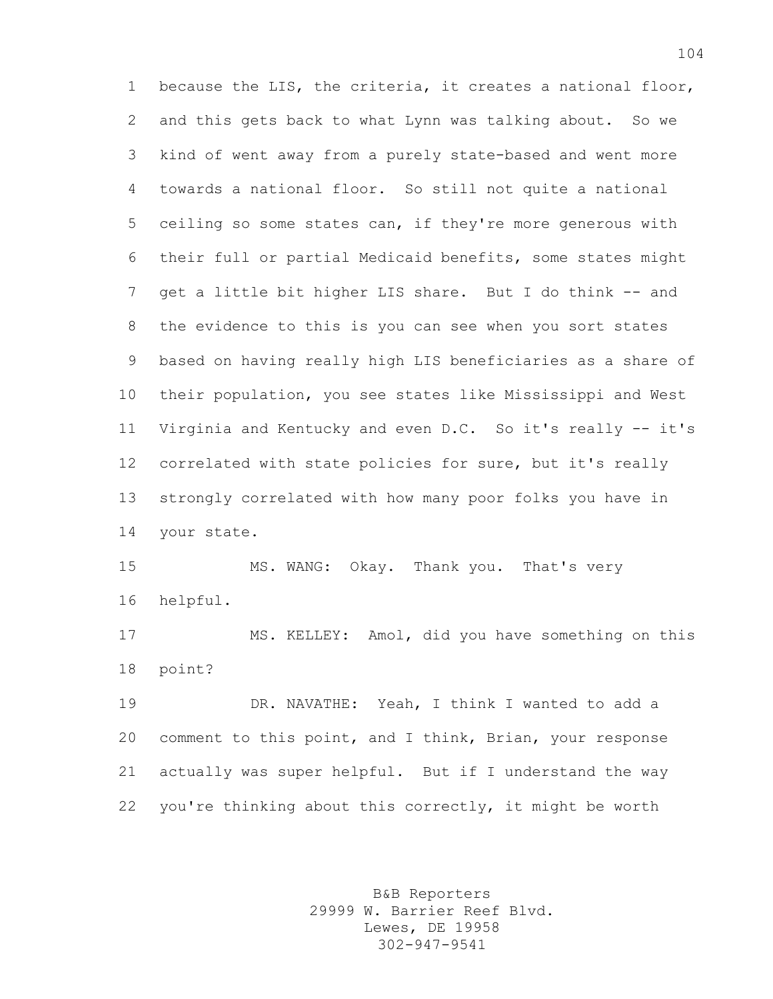because the LIS, the criteria, it creates a national floor, and this gets back to what Lynn was talking about. So we kind of went away from a purely state-based and went more towards a national floor. So still not quite a national ceiling so some states can, if they're more generous with their full or partial Medicaid benefits, some states might 7 get a little bit higher LIS share. But I do think -- and the evidence to this is you can see when you sort states based on having really high LIS beneficiaries as a share of their population, you see states like Mississippi and West Virginia and Kentucky and even D.C. So it's really -- it's correlated with state policies for sure, but it's really strongly correlated with how many poor folks you have in your state.

 MS. WANG: Okay. Thank you. That's very helpful.

 MS. KELLEY: Amol, did you have something on this point?

 DR. NAVATHE: Yeah, I think I wanted to add a comment to this point, and I think, Brian, your response actually was super helpful. But if I understand the way you're thinking about this correctly, it might be worth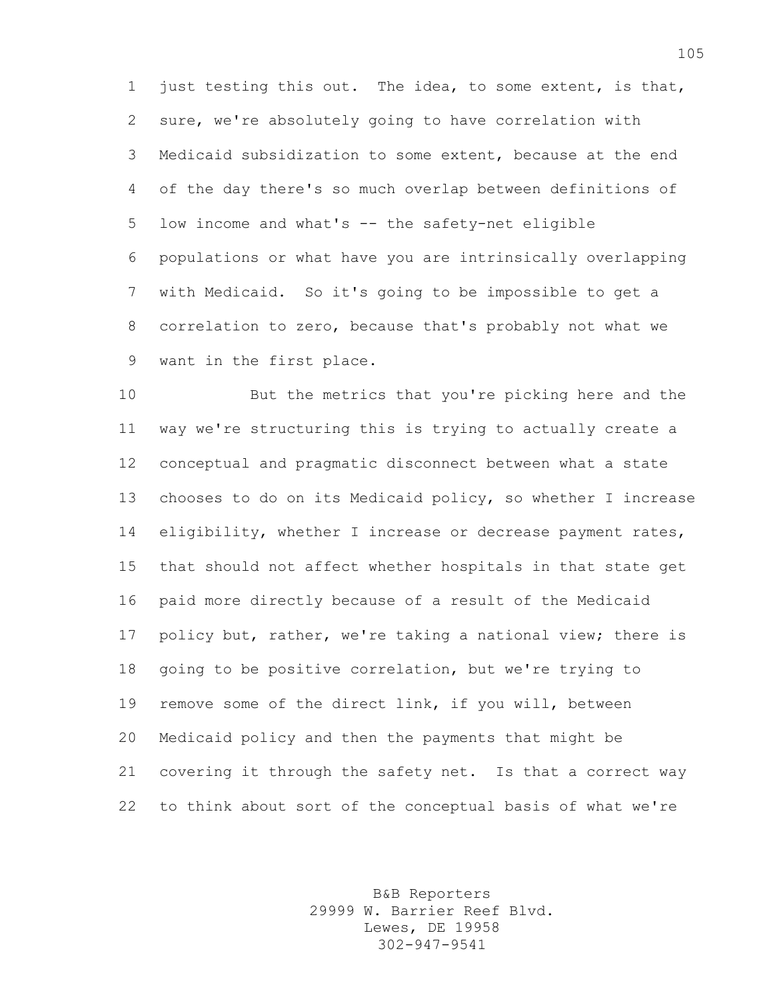just testing this out. The idea, to some extent, is that, sure, we're absolutely going to have correlation with Medicaid subsidization to some extent, because at the end of the day there's so much overlap between definitions of low income and what's -- the safety-net eligible populations or what have you are intrinsically overlapping with Medicaid. So it's going to be impossible to get a correlation to zero, because that's probably not what we want in the first place.

 But the metrics that you're picking here and the way we're structuring this is trying to actually create a conceptual and pragmatic disconnect between what a state chooses to do on its Medicaid policy, so whether I increase 14 eligibility, whether I increase or decrease payment rates, that should not affect whether hospitals in that state get paid more directly because of a result of the Medicaid 17 policy but, rather, we're taking a national view; there is going to be positive correlation, but we're trying to remove some of the direct link, if you will, between Medicaid policy and then the payments that might be covering it through the safety net. Is that a correct way to think about sort of the conceptual basis of what we're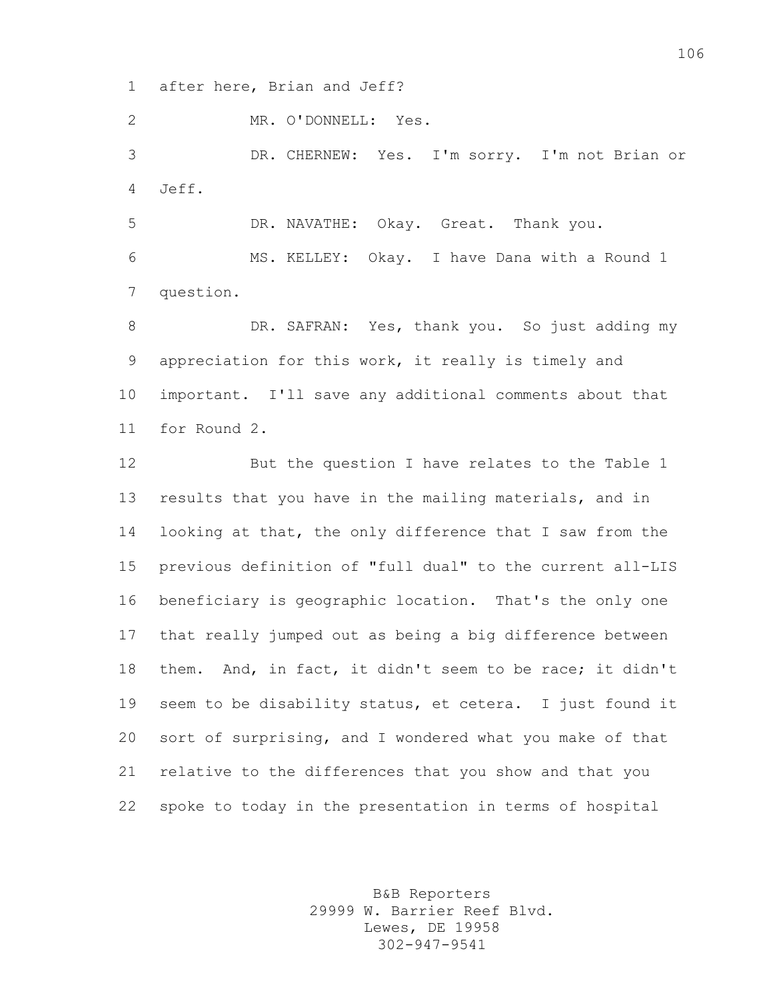after here, Brian and Jeff?

MR. O'DONNELL: Yes.

 DR. CHERNEW: Yes. I'm sorry. I'm not Brian or Jeff.

DR. NAVATHE: Okay. Great. Thank you.

 MS. KELLEY: Okay. I have Dana with a Round 1 question.

8 DR. SAFRAN: Yes, thank you. So just adding my appreciation for this work, it really is timely and important. I'll save any additional comments about that for Round 2.

 But the question I have relates to the Table 1 results that you have in the mailing materials, and in looking at that, the only difference that I saw from the previous definition of "full dual" to the current all-LIS beneficiary is geographic location. That's the only one that really jumped out as being a big difference between them. And, in fact, it didn't seem to be race; it didn't seem to be disability status, et cetera. I just found it sort of surprising, and I wondered what you make of that relative to the differences that you show and that you spoke to today in the presentation in terms of hospital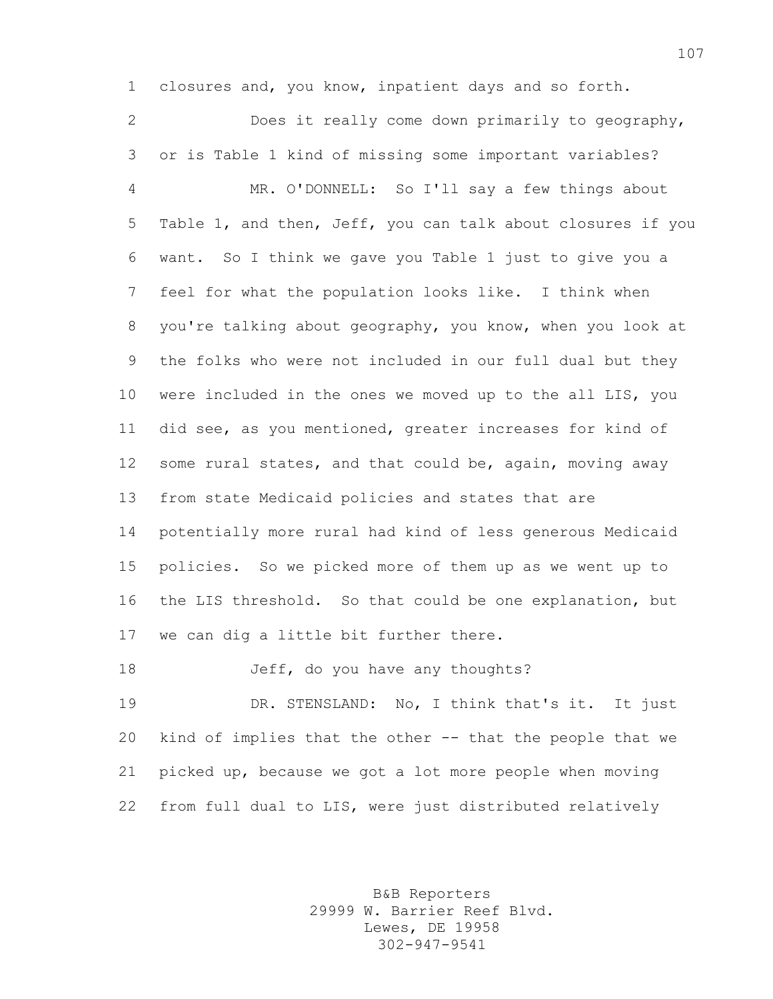closures and, you know, inpatient days and so forth. Does it really come down primarily to geography, or is Table 1 kind of missing some important variables? MR. O'DONNELL: So I'll say a few things about Table 1, and then, Jeff, you can talk about closures if you want. So I think we gave you Table 1 just to give you a feel for what the population looks like. I think when you're talking about geography, you know, when you look at the folks who were not included in our full dual but they were included in the ones we moved up to the all LIS, you did see, as you mentioned, greater increases for kind of some rural states, and that could be, again, moving away from state Medicaid policies and states that are potentially more rural had kind of less generous Medicaid policies. So we picked more of them up as we went up to the LIS threshold. So that could be one explanation, but we can dig a little bit further there.

Jeff, do you have any thoughts?

 DR. STENSLAND: No, I think that's it. It just kind of implies that the other -- that the people that we picked up, because we got a lot more people when moving from full dual to LIS, were just distributed relatively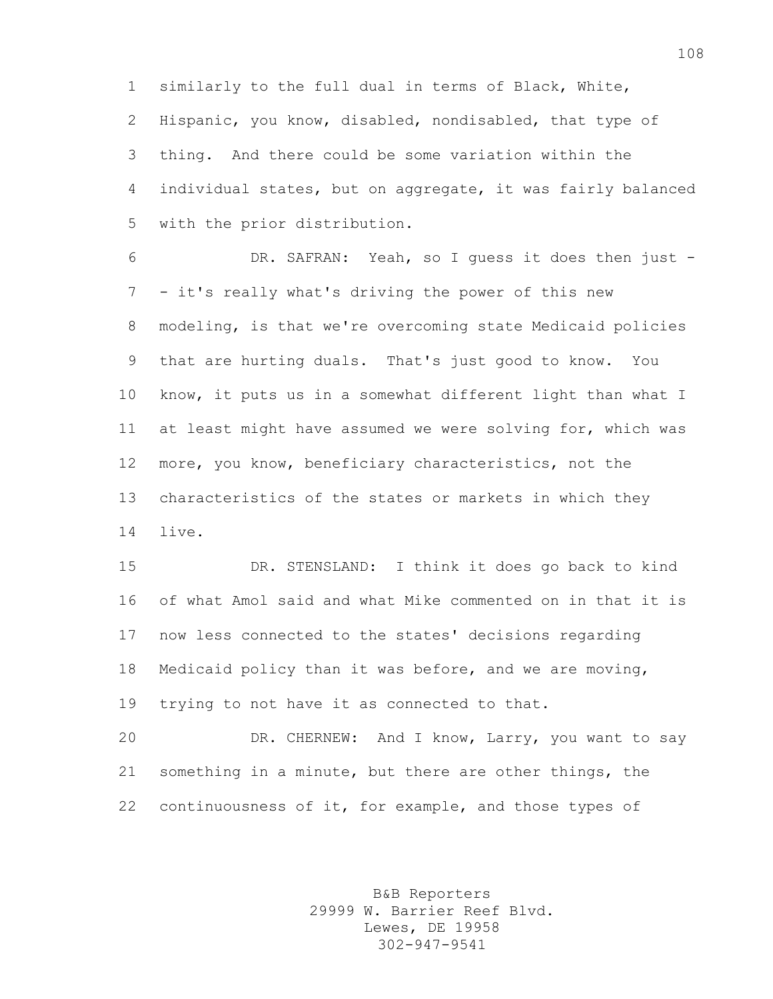similarly to the full dual in terms of Black, White, Hispanic, you know, disabled, nondisabled, that type of thing. And there could be some variation within the individual states, but on aggregate, it was fairly balanced with the prior distribution.

 DR. SAFRAN: Yeah, so I guess it does then just - - it's really what's driving the power of this new modeling, is that we're overcoming state Medicaid policies that are hurting duals. That's just good to know. You know, it puts us in a somewhat different light than what I at least might have assumed we were solving for, which was more, you know, beneficiary characteristics, not the characteristics of the states or markets in which they live.

 DR. STENSLAND: I think it does go back to kind of what Amol said and what Mike commented on in that it is now less connected to the states' decisions regarding Medicaid policy than it was before, and we are moving, trying to not have it as connected to that.

 DR. CHERNEW: And I know, Larry, you want to say something in a minute, but there are other things, the continuousness of it, for example, and those types of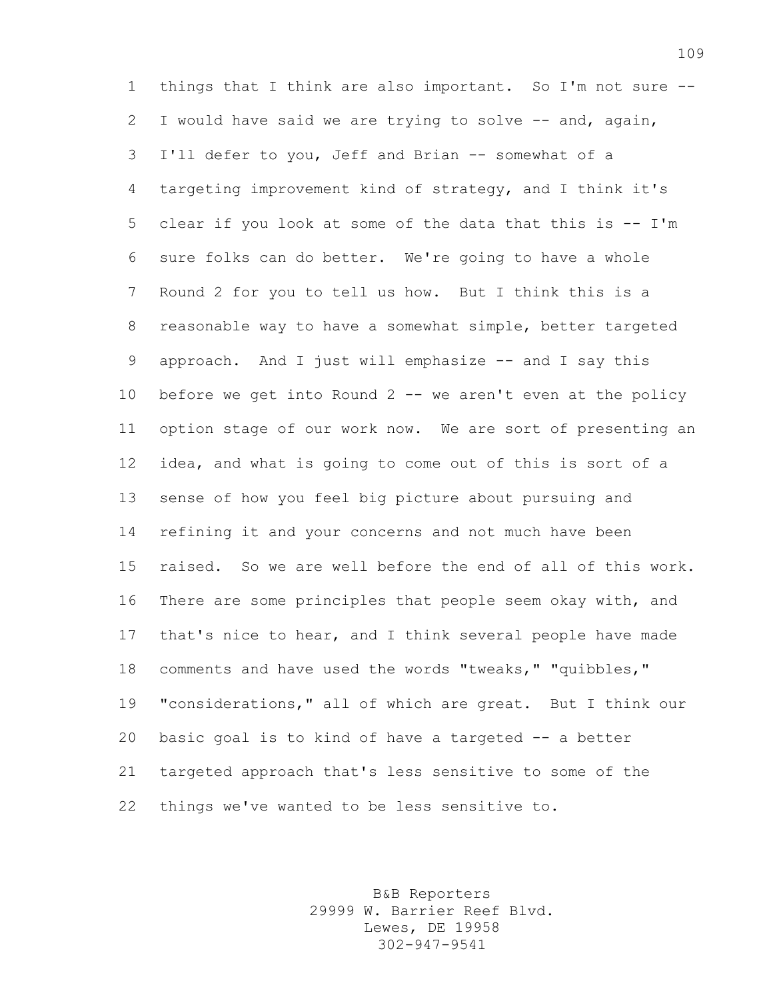things that I think are also important. So I'm not sure -- I would have said we are trying to solve -- and, again, I'll defer to you, Jeff and Brian -- somewhat of a targeting improvement kind of strategy, and I think it's clear if you look at some of the data that this is -- I'm sure folks can do better. We're going to have a whole Round 2 for you to tell us how. But I think this is a reasonable way to have a somewhat simple, better targeted 9 approach. And I just will emphasize -- and I say this before we get into Round 2 -- we aren't even at the policy option stage of our work now. We are sort of presenting an idea, and what is going to come out of this is sort of a sense of how you feel big picture about pursuing and refining it and your concerns and not much have been raised. So we are well before the end of all of this work. There are some principles that people seem okay with, and that's nice to hear, and I think several people have made comments and have used the words "tweaks," "quibbles," "considerations," all of which are great. But I think our basic goal is to kind of have a targeted -- a better targeted approach that's less sensitive to some of the things we've wanted to be less sensitive to.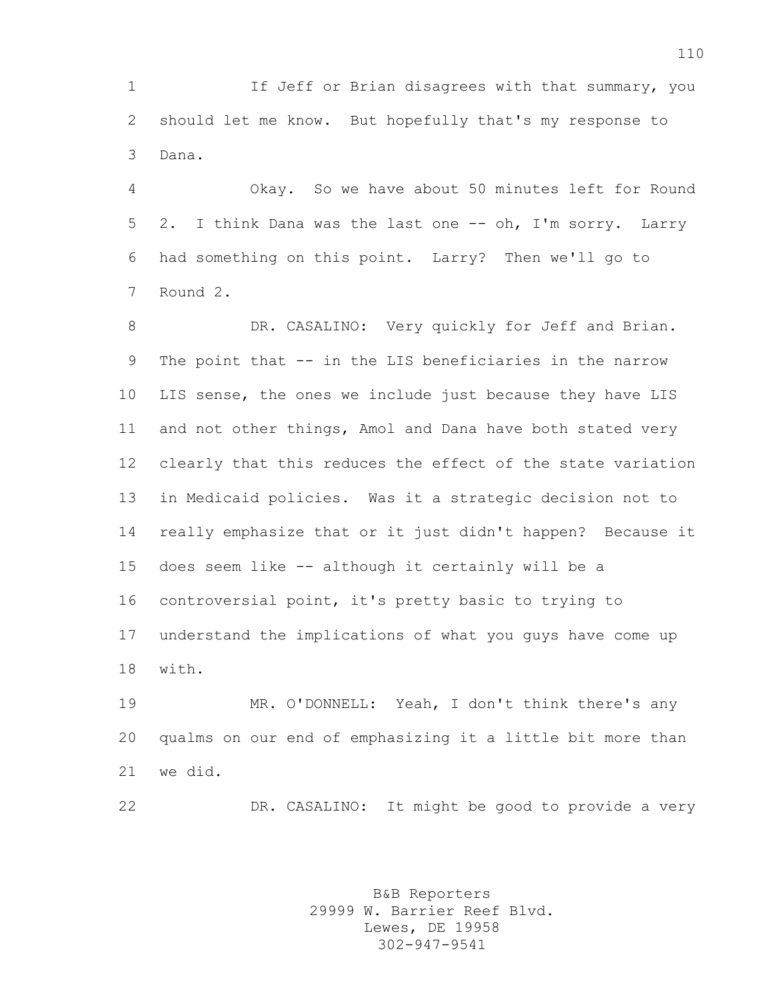If Jeff or Brian disagrees with that summary, you should let me know. But hopefully that's my response to Dana.

 Okay. So we have about 50 minutes left for Round 2. I think Dana was the last one -- oh, I'm sorry. Larry had something on this point. Larry? Then we'll go to Round 2.

8 DR. CASALINO: Very quickly for Jeff and Brian. The point that -- in the LIS beneficiaries in the narrow LIS sense, the ones we include just because they have LIS and not other things, Amol and Dana have both stated very clearly that this reduces the effect of the state variation in Medicaid policies. Was it a strategic decision not to really emphasize that or it just didn't happen? Because it does seem like -- although it certainly will be a controversial point, it's pretty basic to trying to understand the implications of what you guys have come up with.

 MR. O'DONNELL: Yeah, I don't think there's any qualms on our end of emphasizing it a little bit more than we did.

DR. CASALINO: It might be good to provide a very

B&B Reporters 29999 W. Barrier Reef Blvd. Lewes, DE 19958 302-947-9541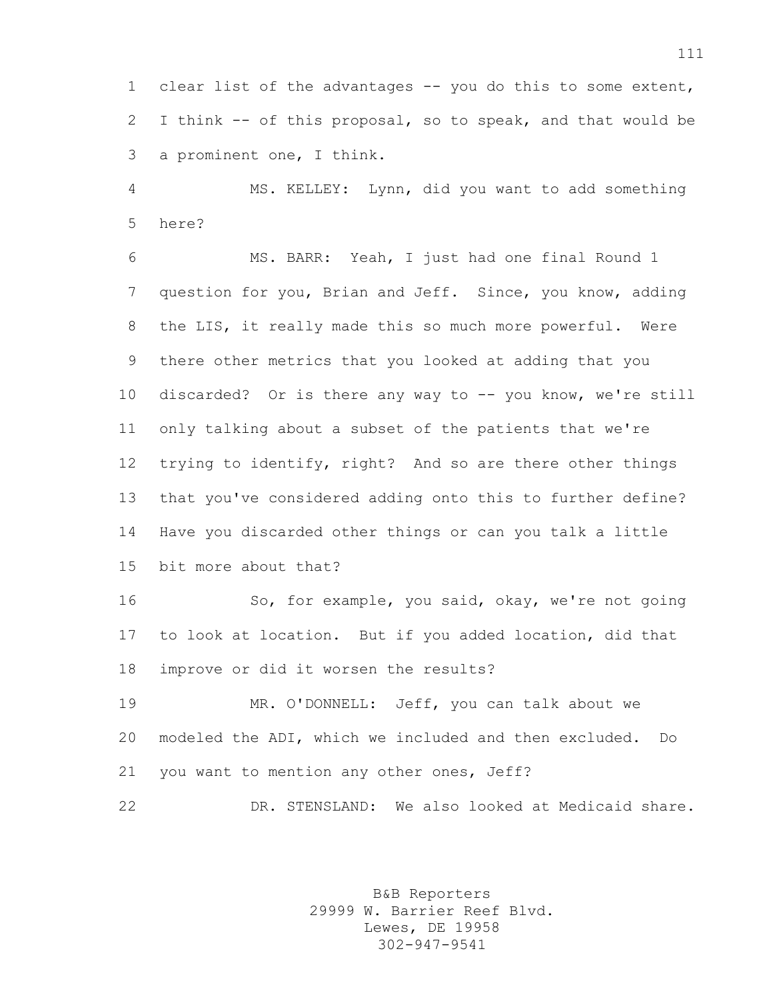clear list of the advantages -- you do this to some extent, I think -- of this proposal, so to speak, and that would be a prominent one, I think.

 MS. KELLEY: Lynn, did you want to add something here?

 MS. BARR: Yeah, I just had one final Round 1 question for you, Brian and Jeff. Since, you know, adding the LIS, it really made this so much more powerful. Were there other metrics that you looked at adding that you discarded? Or is there any way to -- you know, we're still only talking about a subset of the patients that we're trying to identify, right? And so are there other things that you've considered adding onto this to further define? Have you discarded other things or can you talk a little bit more about that?

16 So, for example, you said, okay, we're not going to look at location. But if you added location, did that improve or did it worsen the results?

 MR. O'DONNELL: Jeff, you can talk about we modeled the ADI, which we included and then excluded. Do you want to mention any other ones, Jeff?

DR. STENSLAND: We also looked at Medicaid share.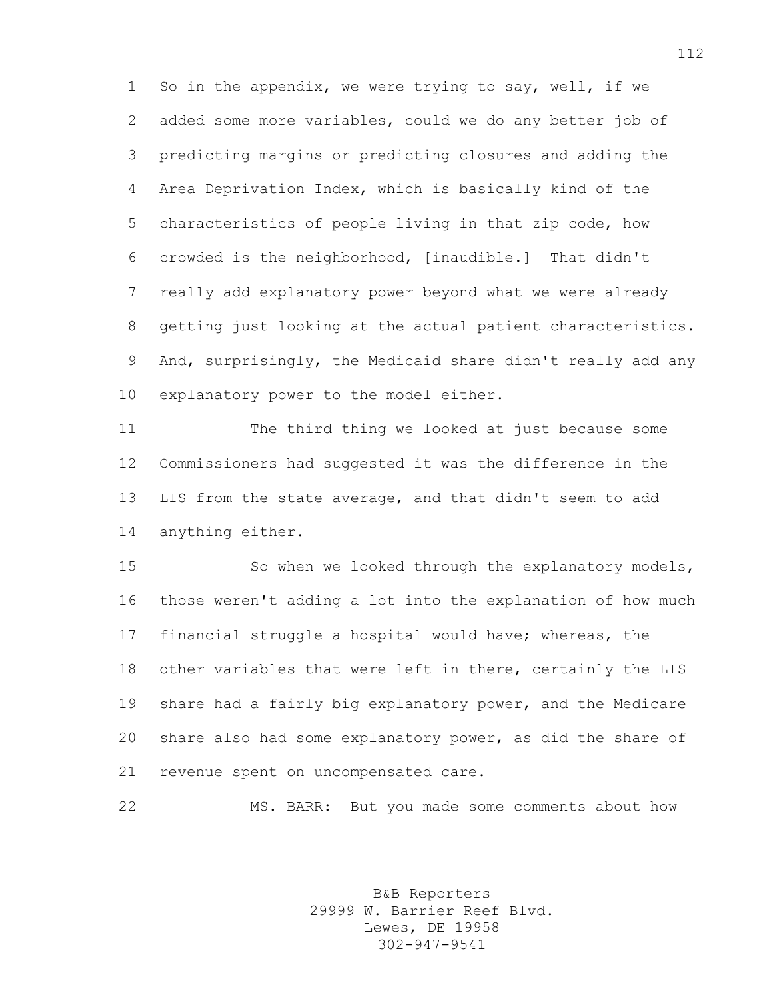So in the appendix, we were trying to say, well, if we added some more variables, could we do any better job of predicting margins or predicting closures and adding the Area Deprivation Index, which is basically kind of the characteristics of people living in that zip code, how crowded is the neighborhood, [inaudible.] That didn't really add explanatory power beyond what we were already getting just looking at the actual patient characteristics. And, surprisingly, the Medicaid share didn't really add any explanatory power to the model either.

 The third thing we looked at just because some Commissioners had suggested it was the difference in the LIS from the state average, and that didn't seem to add anything either.

15 So when we looked through the explanatory models, those weren't adding a lot into the explanation of how much financial struggle a hospital would have; whereas, the other variables that were left in there, certainly the LIS share had a fairly big explanatory power, and the Medicare share also had some explanatory power, as did the share of revenue spent on uncompensated care.

MS. BARR: But you made some comments about how

B&B Reporters 29999 W. Barrier Reef Blvd. Lewes, DE 19958 302-947-9541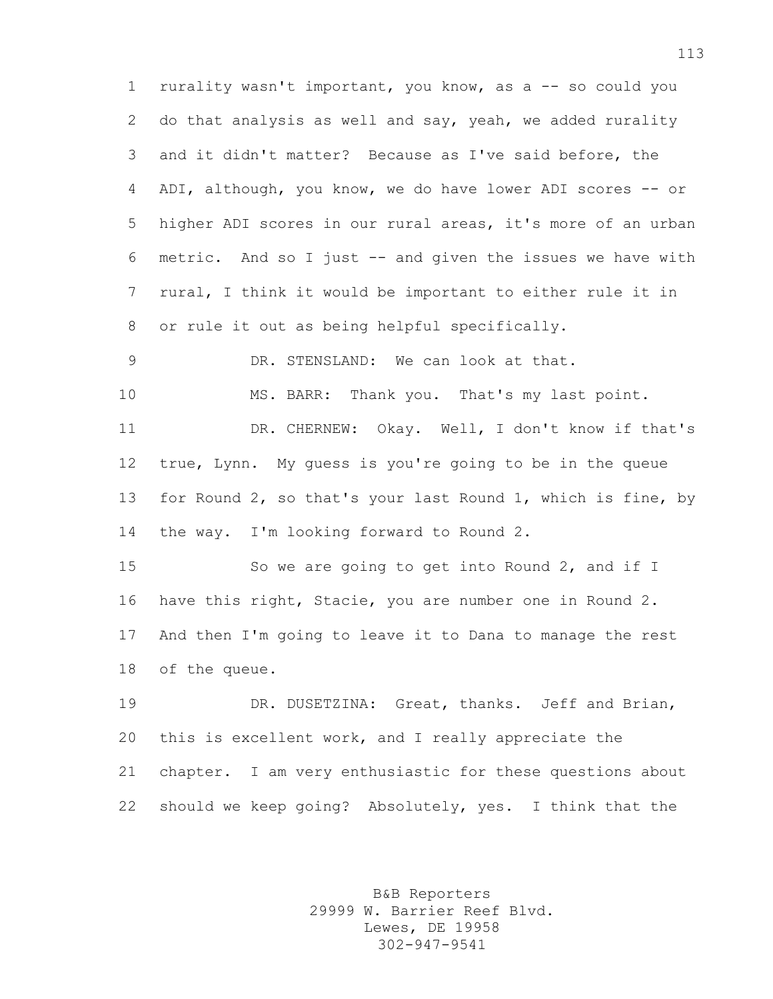rurality wasn't important, you know, as a -- so could you do that analysis as well and say, yeah, we added rurality and it didn't matter? Because as I've said before, the ADI, although, you know, we do have lower ADI scores -- or higher ADI scores in our rural areas, it's more of an urban metric. And so I just -- and given the issues we have with rural, I think it would be important to either rule it in or rule it out as being helpful specifically.

10 MS. BARR: Thank you. That's my last point. DR. CHERNEW: Okay. Well, I don't know if that's true, Lynn. My guess is you're going to be in the queue for Round 2, so that's your last Round 1, which is fine, by 14 the way. I'm looking forward to Round 2.

DR. STENSLAND: We can look at that.

15 So we are going to get into Round 2, and if I have this right, Stacie, you are number one in Round 2. And then I'm going to leave it to Dana to manage the rest of the queue.

 DR. DUSETZINA: Great, thanks. Jeff and Brian, this is excellent work, and I really appreciate the chapter. I am very enthusiastic for these questions about should we keep going? Absolutely, yes. I think that the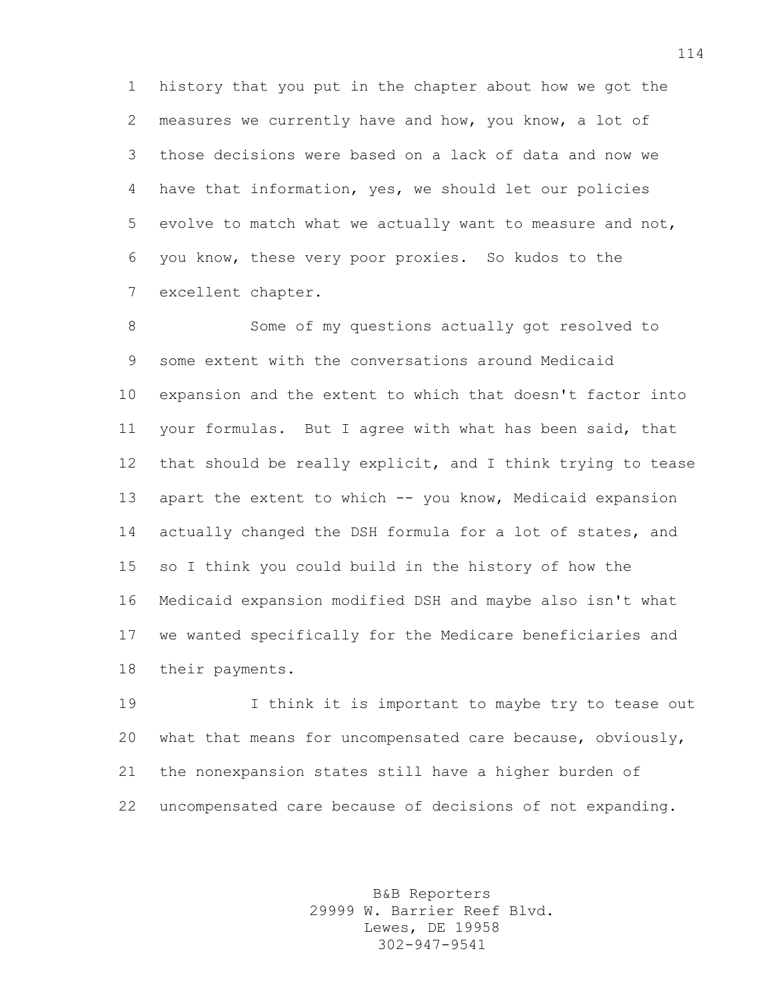history that you put in the chapter about how we got the measures we currently have and how, you know, a lot of those decisions were based on a lack of data and now we have that information, yes, we should let our policies evolve to match what we actually want to measure and not, you know, these very poor proxies. So kudos to the excellent chapter.

 Some of my questions actually got resolved to some extent with the conversations around Medicaid expansion and the extent to which that doesn't factor into your formulas. But I agree with what has been said, that that should be really explicit, and I think trying to tease apart the extent to which -- you know, Medicaid expansion actually changed the DSH formula for a lot of states, and so I think you could build in the history of how the Medicaid expansion modified DSH and maybe also isn't what we wanted specifically for the Medicare beneficiaries and their payments.

 I think it is important to maybe try to tease out what that means for uncompensated care because, obviously, the nonexpansion states still have a higher burden of uncompensated care because of decisions of not expanding.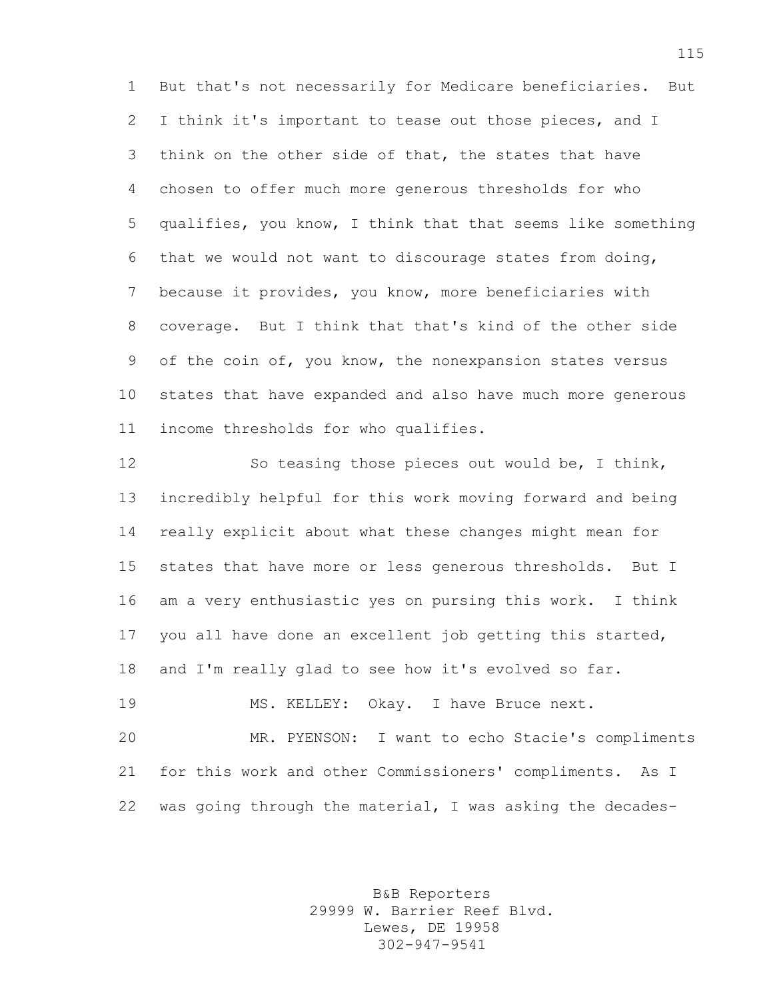But that's not necessarily for Medicare beneficiaries. But I think it's important to tease out those pieces, and I think on the other side of that, the states that have chosen to offer much more generous thresholds for who qualifies, you know, I think that that seems like something that we would not want to discourage states from doing, because it provides, you know, more beneficiaries with coverage. But I think that that's kind of the other side of the coin of, you know, the nonexpansion states versus states that have expanded and also have much more generous income thresholds for who qualifies.

 So teasing those pieces out would be, I think, incredibly helpful for this work moving forward and being really explicit about what these changes might mean for states that have more or less generous thresholds. But I am a very enthusiastic yes on pursing this work. I think you all have done an excellent job getting this started, and I'm really glad to see how it's evolved so far.

 MS. KELLEY: Okay. I have Bruce next. MR. PYENSON: I want to echo Stacie's compliments for this work and other Commissioners' compliments. As I was going through the material, I was asking the decades-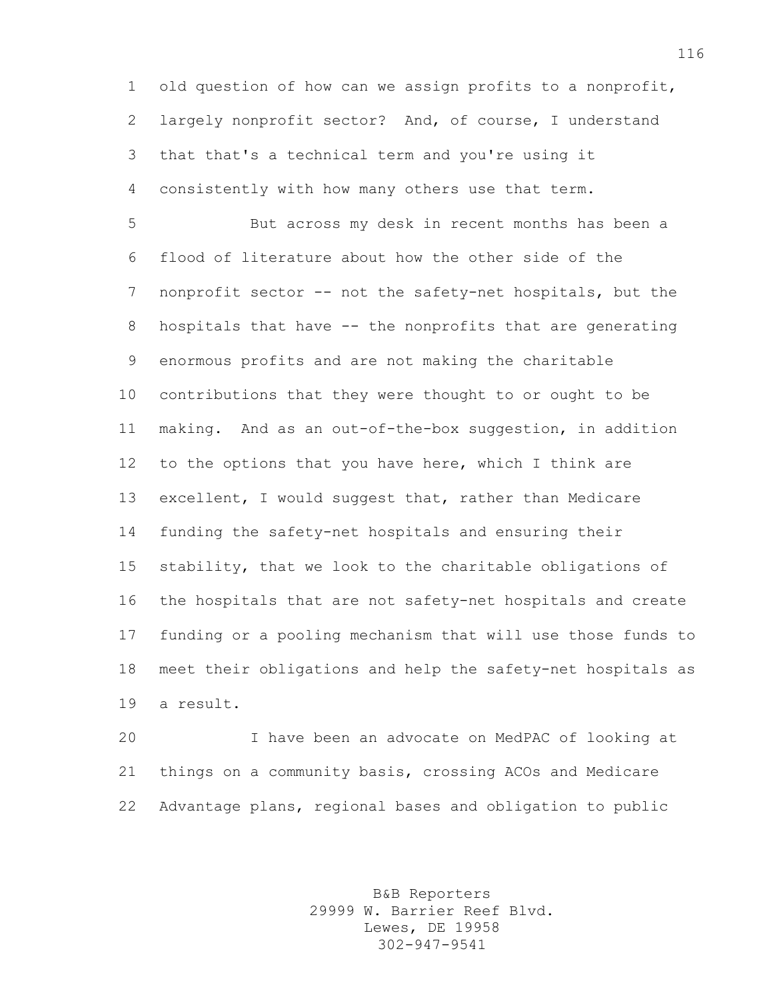old question of how can we assign profits to a nonprofit, largely nonprofit sector? And, of course, I understand that that's a technical term and you're using it consistently with how many others use that term.

 But across my desk in recent months has been a flood of literature about how the other side of the nonprofit sector -- not the safety-net hospitals, but the hospitals that have -- the nonprofits that are generating enormous profits and are not making the charitable contributions that they were thought to or ought to be making. And as an out-of-the-box suggestion, in addition to the options that you have here, which I think are excellent, I would suggest that, rather than Medicare funding the safety-net hospitals and ensuring their stability, that we look to the charitable obligations of the hospitals that are not safety-net hospitals and create funding or a pooling mechanism that will use those funds to meet their obligations and help the safety-net hospitals as a result.

 I have been an advocate on MedPAC of looking at things on a community basis, crossing ACOs and Medicare Advantage plans, regional bases and obligation to public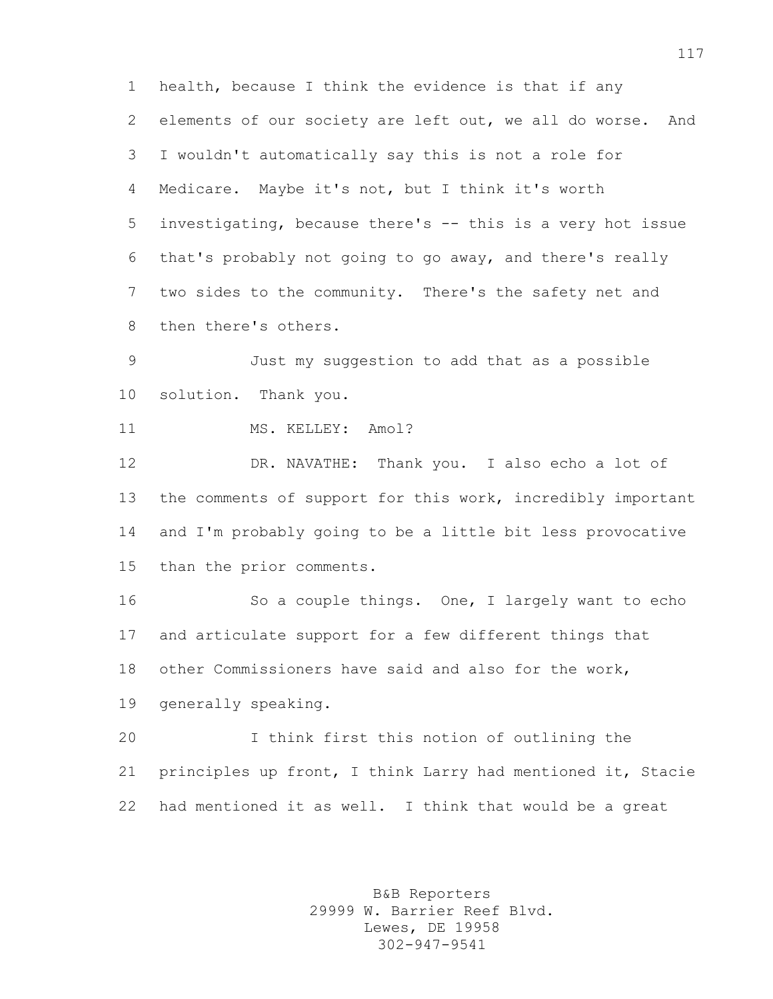health, because I think the evidence is that if any elements of our society are left out, we all do worse. And I wouldn't automatically say this is not a role for Medicare. Maybe it's not, but I think it's worth investigating, because there's -- this is a very hot issue that's probably not going to go away, and there's really two sides to the community. There's the safety net and then there's others.

 Just my suggestion to add that as a possible solution. Thank you.

11 MS. KELLEY: Amol?

 DR. NAVATHE: Thank you. I also echo a lot of the comments of support for this work, incredibly important and I'm probably going to be a little bit less provocative than the prior comments.

 So a couple things. One, I largely want to echo and articulate support for a few different things that other Commissioners have said and also for the work, generally speaking.

 I think first this notion of outlining the principles up front, I think Larry had mentioned it, Stacie had mentioned it as well. I think that would be a great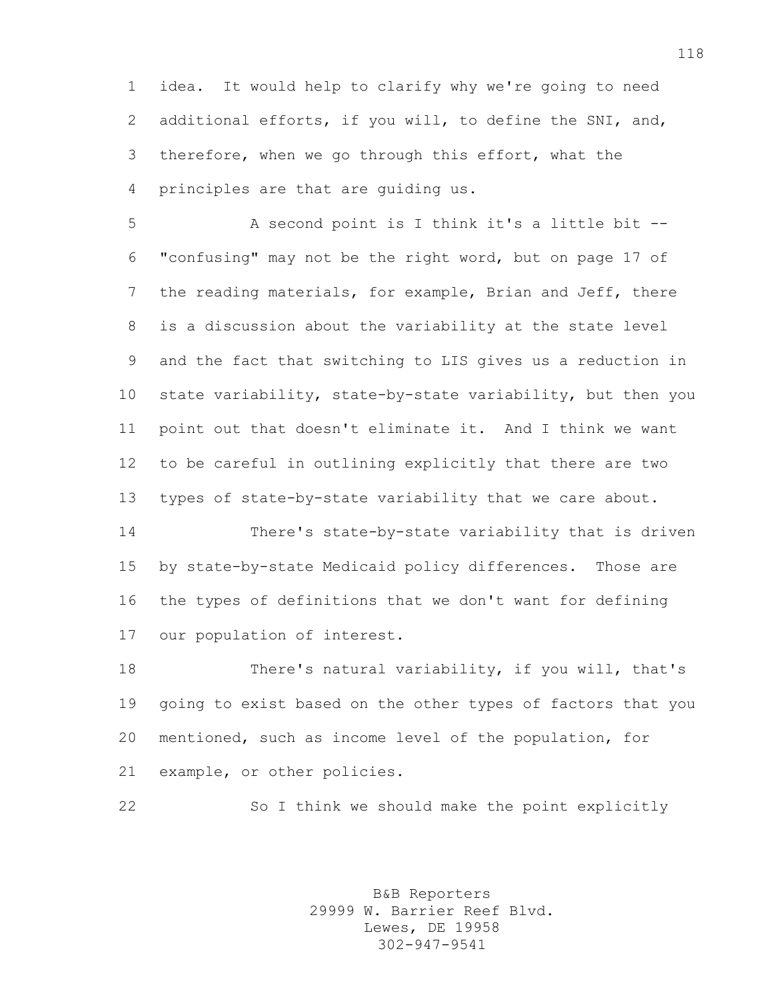idea. It would help to clarify why we're going to need additional efforts, if you will, to define the SNI, and, therefore, when we go through this effort, what the principles are that are guiding us.

 A second point is I think it's a little bit -- "confusing" may not be the right word, but on page 17 of the reading materials, for example, Brian and Jeff, there is a discussion about the variability at the state level and the fact that switching to LIS gives us a reduction in state variability, state-by-state variability, but then you point out that doesn't eliminate it. And I think we want to be careful in outlining explicitly that there are two types of state-by-state variability that we care about.

 There's state-by-state variability that is driven by state-by-state Medicaid policy differences. Those are the types of definitions that we don't want for defining our population of interest.

 There's natural variability, if you will, that's going to exist based on the other types of factors that you mentioned, such as income level of the population, for example, or other policies.

So I think we should make the point explicitly

B&B Reporters 29999 W. Barrier Reef Blvd. Lewes, DE 19958 302-947-9541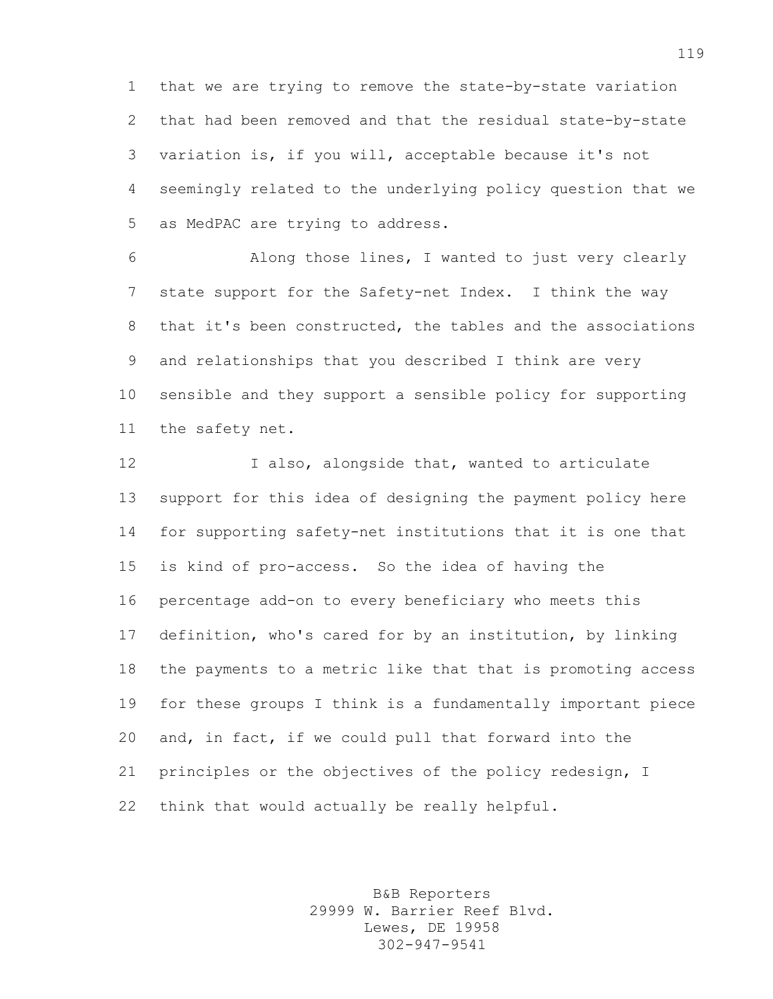that we are trying to remove the state-by-state variation that had been removed and that the residual state-by-state variation is, if you will, acceptable because it's not seemingly related to the underlying policy question that we as MedPAC are trying to address.

 Along those lines, I wanted to just very clearly state support for the Safety-net Index. I think the way that it's been constructed, the tables and the associations and relationships that you described I think are very sensible and they support a sensible policy for supporting the safety net.

 I also, alongside that, wanted to articulate support for this idea of designing the payment policy here for supporting safety-net institutions that it is one that is kind of pro-access. So the idea of having the percentage add-on to every beneficiary who meets this definition, who's cared for by an institution, by linking the payments to a metric like that that is promoting access for these groups I think is a fundamentally important piece and, in fact, if we could pull that forward into the principles or the objectives of the policy redesign, I think that would actually be really helpful.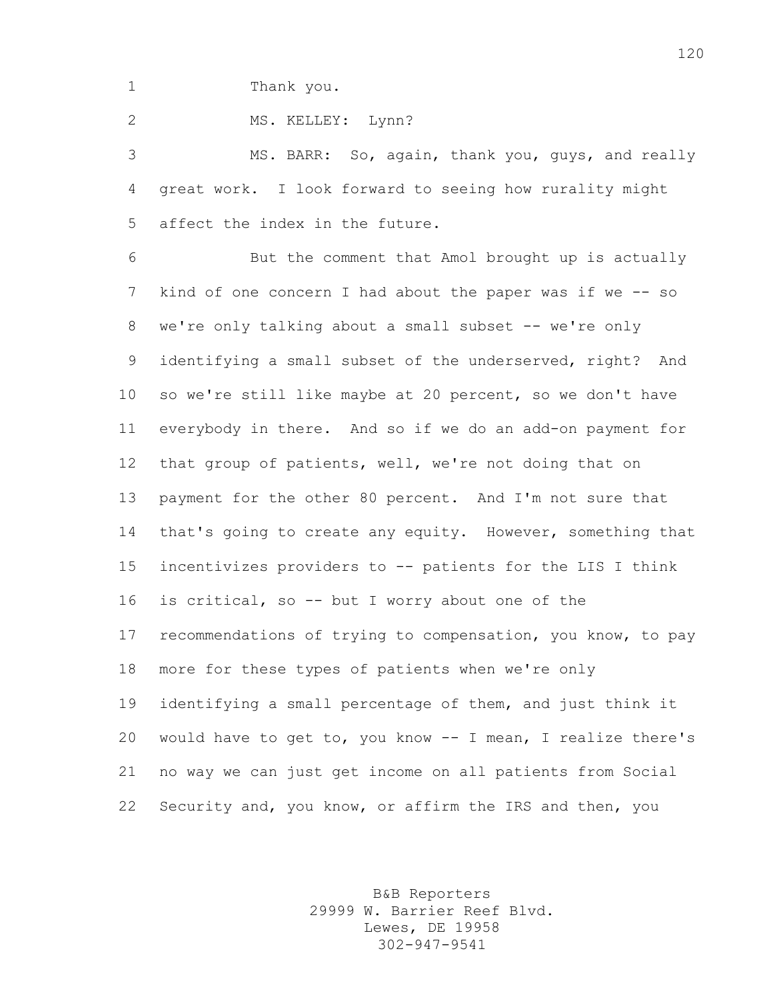Thank you.

2 MS. KELLEY: Lynn?

 MS. BARR: So, again, thank you, guys, and really great work. I look forward to seeing how rurality might affect the index in the future.

 But the comment that Amol brought up is actually kind of one concern I had about the paper was if we -- so 8 we're only talking about a small subset -- we're only identifying a small subset of the underserved, right? And so we're still like maybe at 20 percent, so we don't have everybody in there. And so if we do an add-on payment for that group of patients, well, we're not doing that on payment for the other 80 percent. And I'm not sure that 14 that's going to create any equity. However, something that incentivizes providers to -- patients for the LIS I think is critical, so -- but I worry about one of the recommendations of trying to compensation, you know, to pay more for these types of patients when we're only identifying a small percentage of them, and just think it would have to get to, you know -- I mean, I realize there's no way we can just get income on all patients from Social Security and, you know, or affirm the IRS and then, you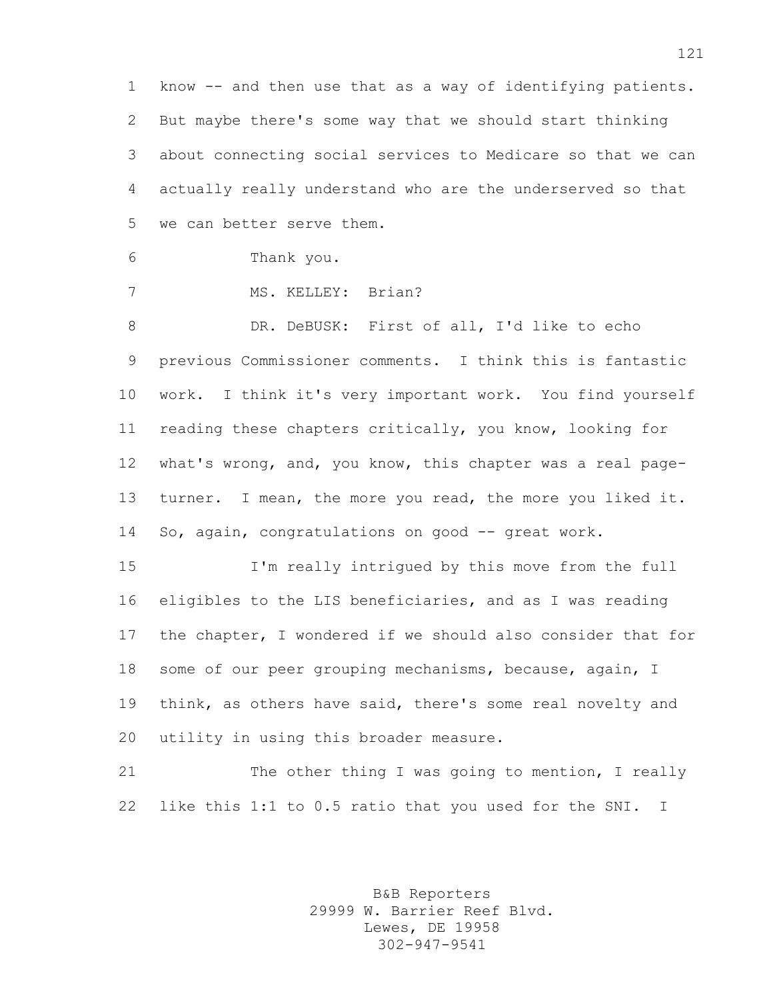know -- and then use that as a way of identifying patients. But maybe there's some way that we should start thinking about connecting social services to Medicare so that we can actually really understand who are the underserved so that we can better serve them.

```
6 Thank you.
```
MS. KELLEY: Brian?

8 DR. DeBUSK: First of all, I'd like to echo previous Commissioner comments. I think this is fantastic work. I think it's very important work. You find yourself reading these chapters critically, you know, looking for what's wrong, and, you know, this chapter was a real page- turner. I mean, the more you read, the more you liked it. So, again, congratulations on good -- great work.

 I'm really intrigued by this move from the full eligibles to the LIS beneficiaries, and as I was reading the chapter, I wondered if we should also consider that for some of our peer grouping mechanisms, because, again, I think, as others have said, there's some real novelty and utility in using this broader measure.

21 The other thing I was going to mention, I really like this 1:1 to 0.5 ratio that you used for the SNI. I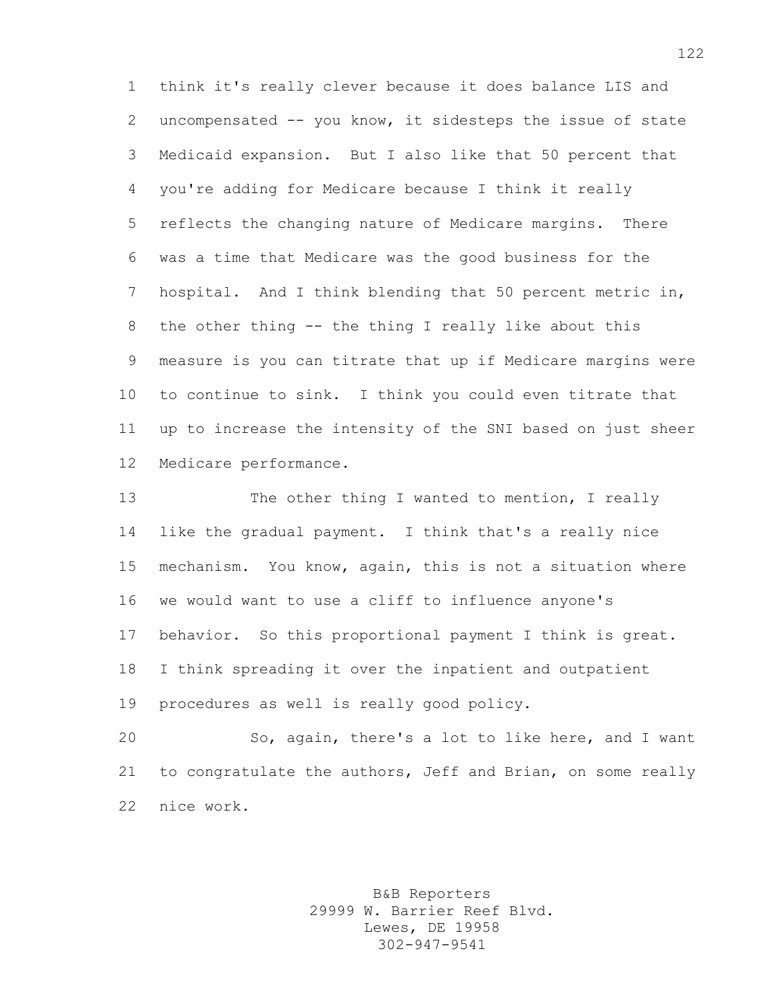think it's really clever because it does balance LIS and uncompensated -- you know, it sidesteps the issue of state Medicaid expansion. But I also like that 50 percent that you're adding for Medicare because I think it really reflects the changing nature of Medicare margins. There was a time that Medicare was the good business for the hospital. And I think blending that 50 percent metric in, the other thing -- the thing I really like about this measure is you can titrate that up if Medicare margins were to continue to sink. I think you could even titrate that up to increase the intensity of the SNI based on just sheer Medicare performance.

13 The other thing I wanted to mention, I really like the gradual payment. I think that's a really nice mechanism. You know, again, this is not a situation where we would want to use a cliff to influence anyone's behavior. So this proportional payment I think is great. I think spreading it over the inpatient and outpatient procedures as well is really good policy.

 So, again, there's a lot to like here, and I want to congratulate the authors, Jeff and Brian, on some really nice work.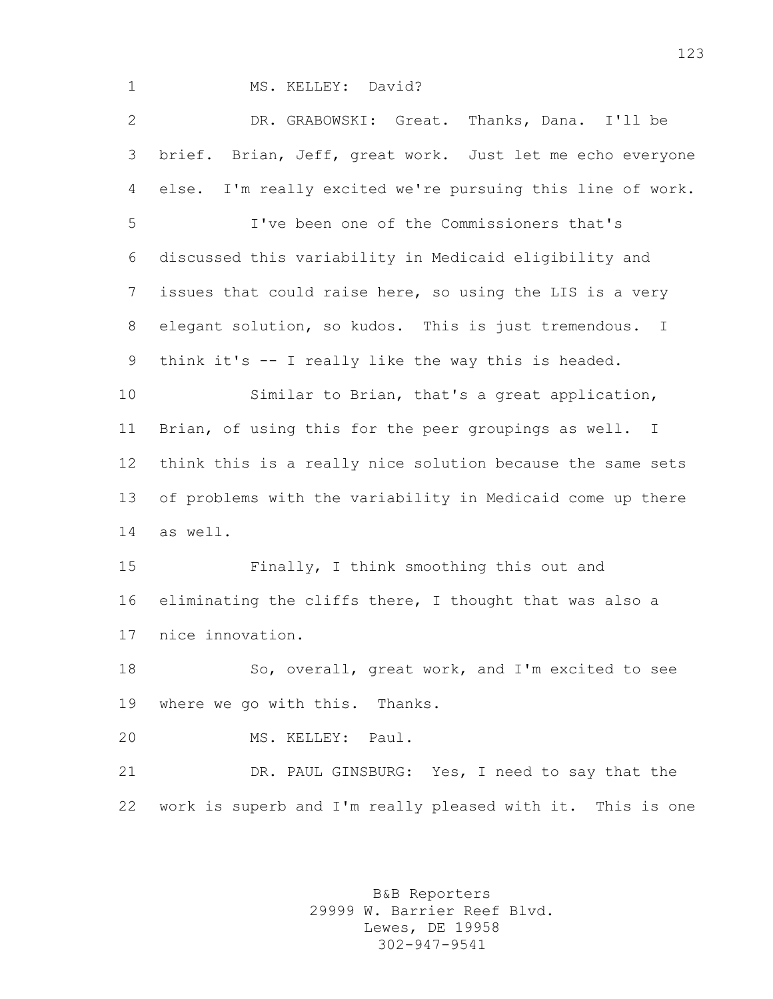## 1 MS. KELLEY: David?

 DR. GRABOWSKI: Great. Thanks, Dana. I'll be brief. Brian, Jeff, great work. Just let me echo everyone else. I'm really excited we're pursuing this line of work.

 I've been one of the Commissioners that's discussed this variability in Medicaid eligibility and issues that could raise here, so using the LIS is a very elegant solution, so kudos. This is just tremendous. I think it's -- I really like the way this is headed.

 Similar to Brian, that's a great application, Brian, of using this for the peer groupings as well. I think this is a really nice solution because the same sets of problems with the variability in Medicaid come up there as well.

 Finally, I think smoothing this out and eliminating the cliffs there, I thought that was also a nice innovation.

18 So, overall, great work, and I'm excited to see where we go with this. Thanks.

MS. KELLEY: Paul.

 DR. PAUL GINSBURG: Yes, I need to say that the work is superb and I'm really pleased with it. This is one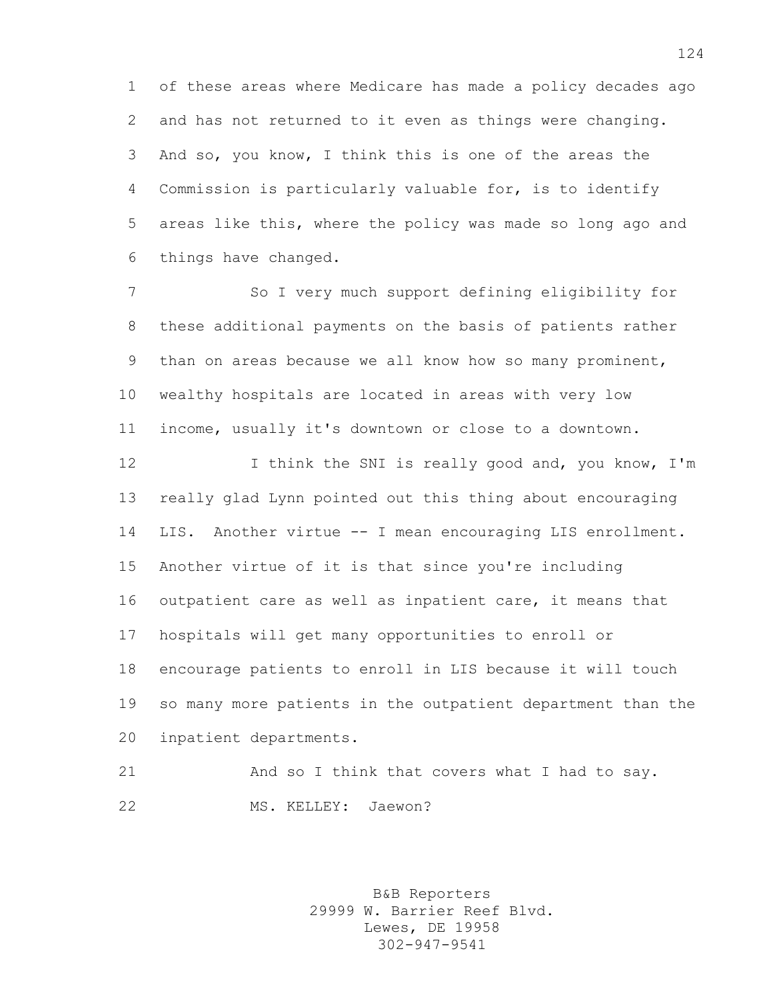of these areas where Medicare has made a policy decades ago and has not returned to it even as things were changing. And so, you know, I think this is one of the areas the Commission is particularly valuable for, is to identify areas like this, where the policy was made so long ago and things have changed.

 So I very much support defining eligibility for these additional payments on the basis of patients rather than on areas because we all know how so many prominent, wealthy hospitals are located in areas with very low income, usually it's downtown or close to a downtown.

12 12 I think the SNI is really good and, you know, I'm really glad Lynn pointed out this thing about encouraging LIS. Another virtue -- I mean encouraging LIS enrollment. Another virtue of it is that since you're including outpatient care as well as inpatient care, it means that hospitals will get many opportunities to enroll or encourage patients to enroll in LIS because it will touch so many more patients in the outpatient department than the inpatient departments.

```
21 And so I think that covers what I had to say.
22 MS. KELLEY: Jaewon?
```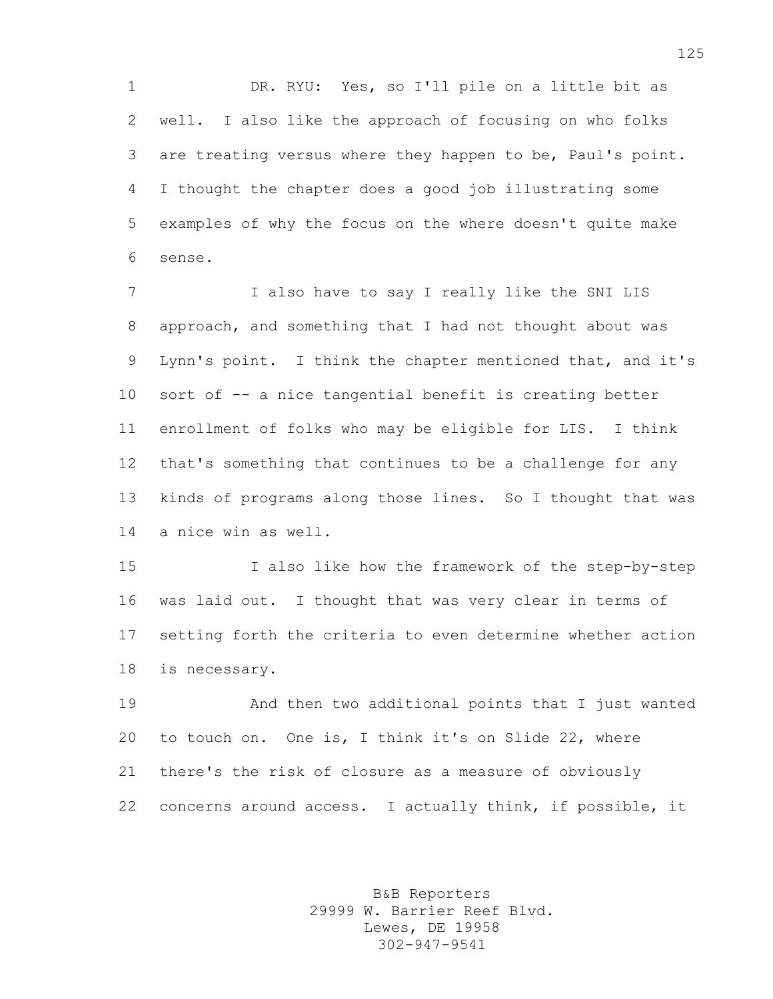DR. RYU: Yes, so I'll pile on a little bit as well. I also like the approach of focusing on who folks are treating versus where they happen to be, Paul's point. I thought the chapter does a good job illustrating some examples of why the focus on the where doesn't quite make sense.

7 I also have to say I really like the SNI LIS approach, and something that I had not thought about was Lynn's point. I think the chapter mentioned that, and it's sort of -- a nice tangential benefit is creating better enrollment of folks who may be eligible for LIS. I think that's something that continues to be a challenge for any kinds of programs along those lines. So I thought that was a nice win as well.

 I also like how the framework of the step-by-step was laid out. I thought that was very clear in terms of setting forth the criteria to even determine whether action is necessary.

 And then two additional points that I just wanted to touch on. One is, I think it's on Slide 22, where there's the risk of closure as a measure of obviously concerns around access. I actually think, if possible, it

> B&B Reporters 29999 W. Barrier Reef Blvd. Lewes, DE 19958 302-947-9541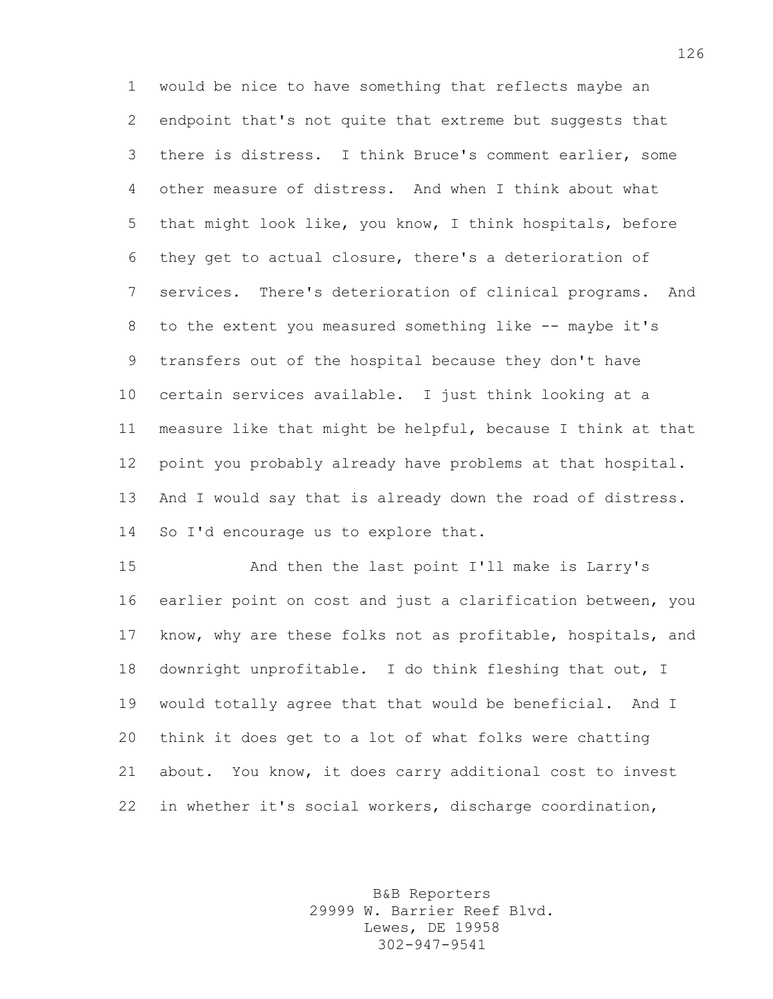would be nice to have something that reflects maybe an endpoint that's not quite that extreme but suggests that there is distress. I think Bruce's comment earlier, some other measure of distress. And when I think about what that might look like, you know, I think hospitals, before they get to actual closure, there's a deterioration of services. There's deterioration of clinical programs. And 8 to the extent you measured something like -- maybe it's transfers out of the hospital because they don't have certain services available. I just think looking at a measure like that might be helpful, because I think at that point you probably already have problems at that hospital. 13 And I would say that is already down the road of distress. So I'd encourage us to explore that.

 And then the last point I'll make is Larry's earlier point on cost and just a clarification between, you know, why are these folks not as profitable, hospitals, and downright unprofitable. I do think fleshing that out, I would totally agree that that would be beneficial. And I think it does get to a lot of what folks were chatting about. You know, it does carry additional cost to invest in whether it's social workers, discharge coordination,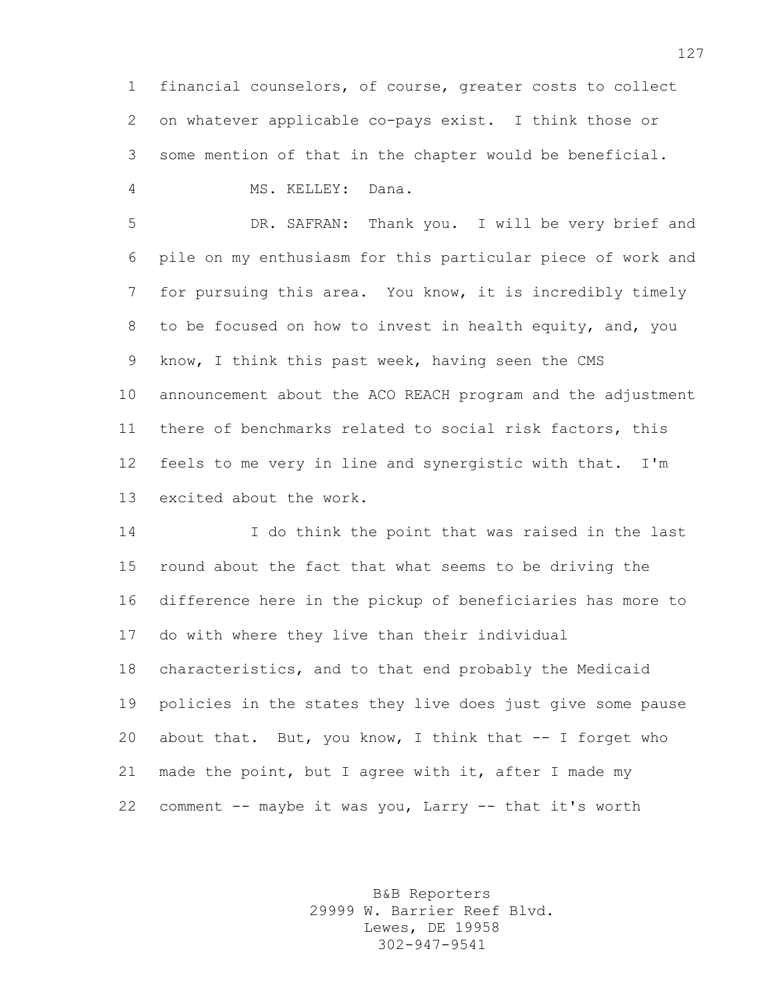financial counselors, of course, greater costs to collect on whatever applicable co-pays exist. I think those or some mention of that in the chapter would be beneficial.

MS. KELLEY: Dana.

 DR. SAFRAN: Thank you. I will be very brief and pile on my enthusiasm for this particular piece of work and for pursuing this area. You know, it is incredibly timely to be focused on how to invest in health equity, and, you know, I think this past week, having seen the CMS announcement about the ACO REACH program and the adjustment there of benchmarks related to social risk factors, this feels to me very in line and synergistic with that. I'm excited about the work.

 I do think the point that was raised in the last round about the fact that what seems to be driving the difference here in the pickup of beneficiaries has more to do with where they live than their individual characteristics, and to that end probably the Medicaid policies in the states they live does just give some pause about that. But, you know, I think that -- I forget who made the point, but I agree with it, after I made my comment -- maybe it was you, Larry -- that it's worth

> B&B Reporters 29999 W. Barrier Reef Blvd. Lewes, DE 19958 302-947-9541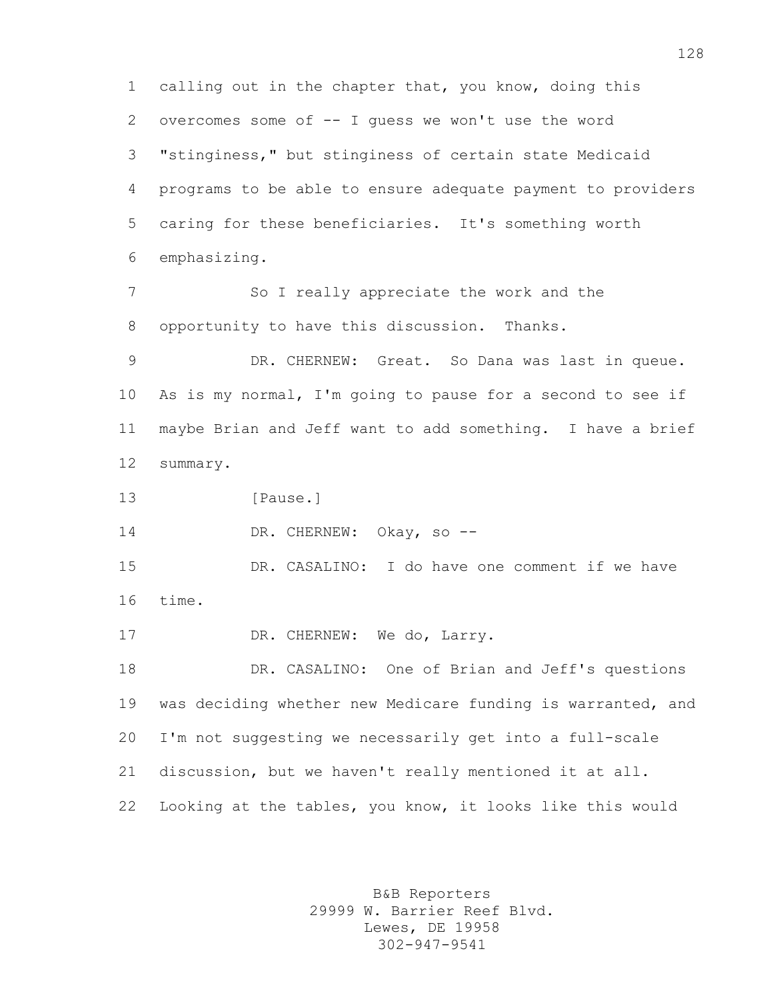calling out in the chapter that, you know, doing this overcomes some of -- I guess we won't use the word "stinginess," but stinginess of certain state Medicaid programs to be able to ensure adequate payment to providers caring for these beneficiaries. It's something worth emphasizing. So I really appreciate the work and the opportunity to have this discussion. Thanks. DR. CHERNEW: Great. So Dana was last in queue. As is my normal, I'm going to pause for a second to see if maybe Brian and Jeff want to add something. I have a brief summary. 13 [Pause.] 14 DR. CHERNEW: Okay, so -- DR. CASALINO: I do have one comment if we have time. 17 DR. CHERNEW: We do, Larry. DR. CASALINO: One of Brian and Jeff's questions was deciding whether new Medicare funding is warranted, and I'm not suggesting we necessarily get into a full-scale discussion, but we haven't really mentioned it at all. Looking at the tables, you know, it looks like this would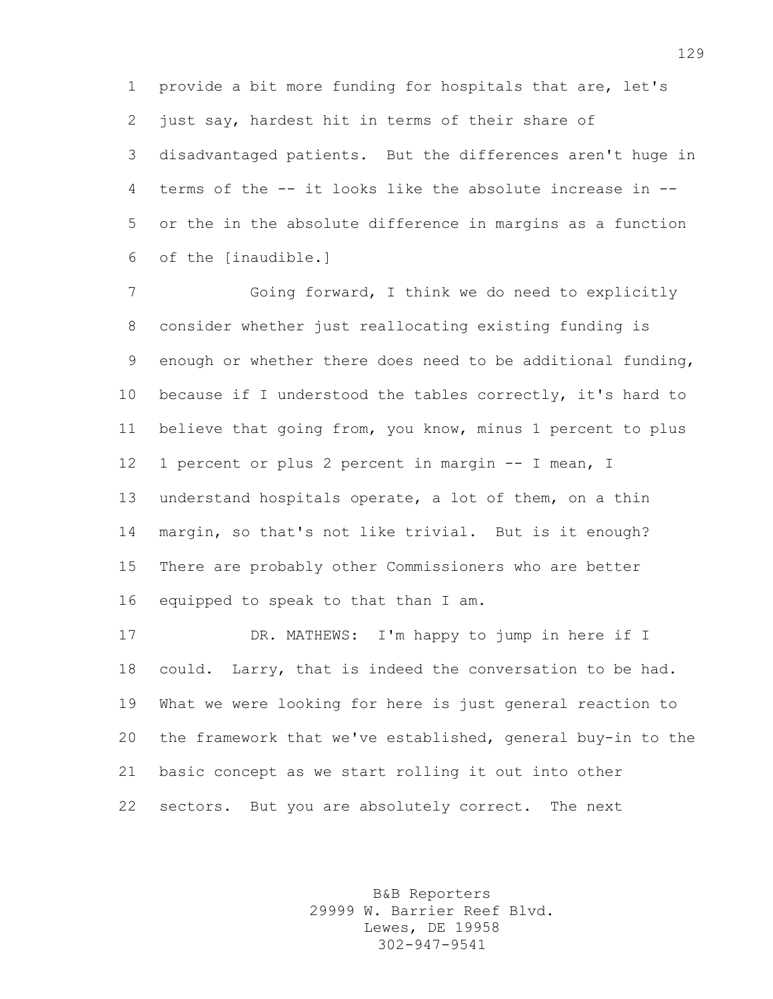provide a bit more funding for hospitals that are, let's just say, hardest hit in terms of their share of disadvantaged patients. But the differences aren't huge in terms of the -- it looks like the absolute increase in -- or the in the absolute difference in margins as a function of the [inaudible.]

 Going forward, I think we do need to explicitly consider whether just reallocating existing funding is enough or whether there does need to be additional funding, because if I understood the tables correctly, it's hard to believe that going from, you know, minus 1 percent to plus 1 percent or plus 2 percent in margin -- I mean, I understand hospitals operate, a lot of them, on a thin margin, so that's not like trivial. But is it enough? There are probably other Commissioners who are better equipped to speak to that than I am.

 DR. MATHEWS: I'm happy to jump in here if I could. Larry, that is indeed the conversation to be had. What we were looking for here is just general reaction to the framework that we've established, general buy-in to the basic concept as we start rolling it out into other sectors. But you are absolutely correct. The next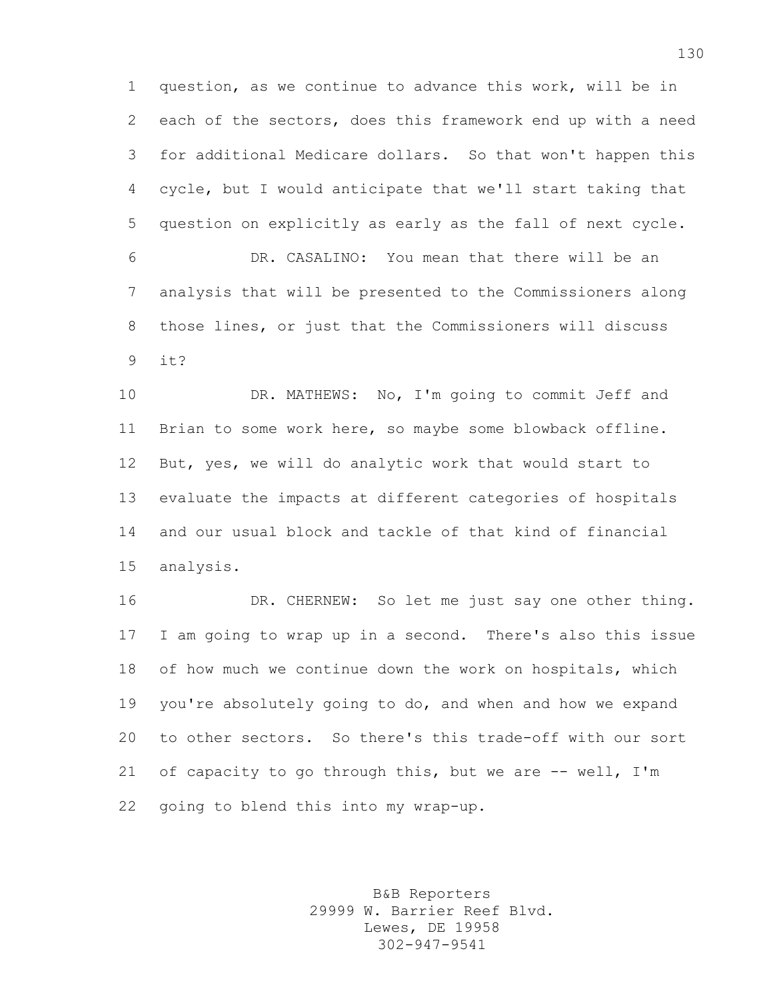question, as we continue to advance this work, will be in each of the sectors, does this framework end up with a need for additional Medicare dollars. So that won't happen this cycle, but I would anticipate that we'll start taking that question on explicitly as early as the fall of next cycle.

 DR. CASALINO: You mean that there will be an analysis that will be presented to the Commissioners along those lines, or just that the Commissioners will discuss it?

 DR. MATHEWS: No, I'm going to commit Jeff and Brian to some work here, so maybe some blowback offline. But, yes, we will do analytic work that would start to evaluate the impacts at different categories of hospitals and our usual block and tackle of that kind of financial analysis.

 DR. CHERNEW: So let me just say one other thing. I am going to wrap up in a second. There's also this issue of how much we continue down the work on hospitals, which you're absolutely going to do, and when and how we expand to other sectors. So there's this trade-off with our sort 21 of capacity to go through this, but we are -- well, I'm going to blend this into my wrap-up.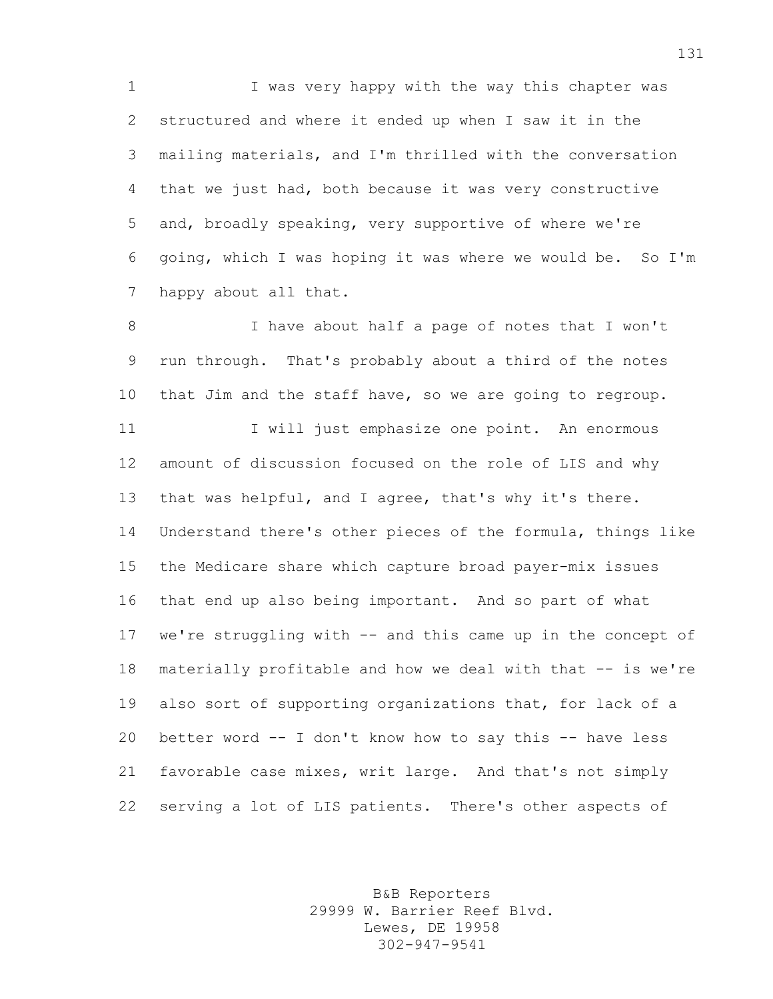I was very happy with the way this chapter was structured and where it ended up when I saw it in the mailing materials, and I'm thrilled with the conversation that we just had, both because it was very constructive and, broadly speaking, very supportive of where we're going, which I was hoping it was where we would be. So I'm happy about all that.

 I have about half a page of notes that I won't run through. That's probably about a third of the notes that Jim and the staff have, so we are going to regroup. 11 I will just emphasize one point. An enormous amount of discussion focused on the role of LIS and why that was helpful, and I agree, that's why it's there. Understand there's other pieces of the formula, things like the Medicare share which capture broad payer-mix issues that end up also being important. And so part of what we're struggling with -- and this came up in the concept of materially profitable and how we deal with that -- is we're also sort of supporting organizations that, for lack of a better word -- I don't know how to say this -- have less favorable case mixes, writ large. And that's not simply serving a lot of LIS patients. There's other aspects of

> B&B Reporters 29999 W. Barrier Reef Blvd. Lewes, DE 19958 302-947-9541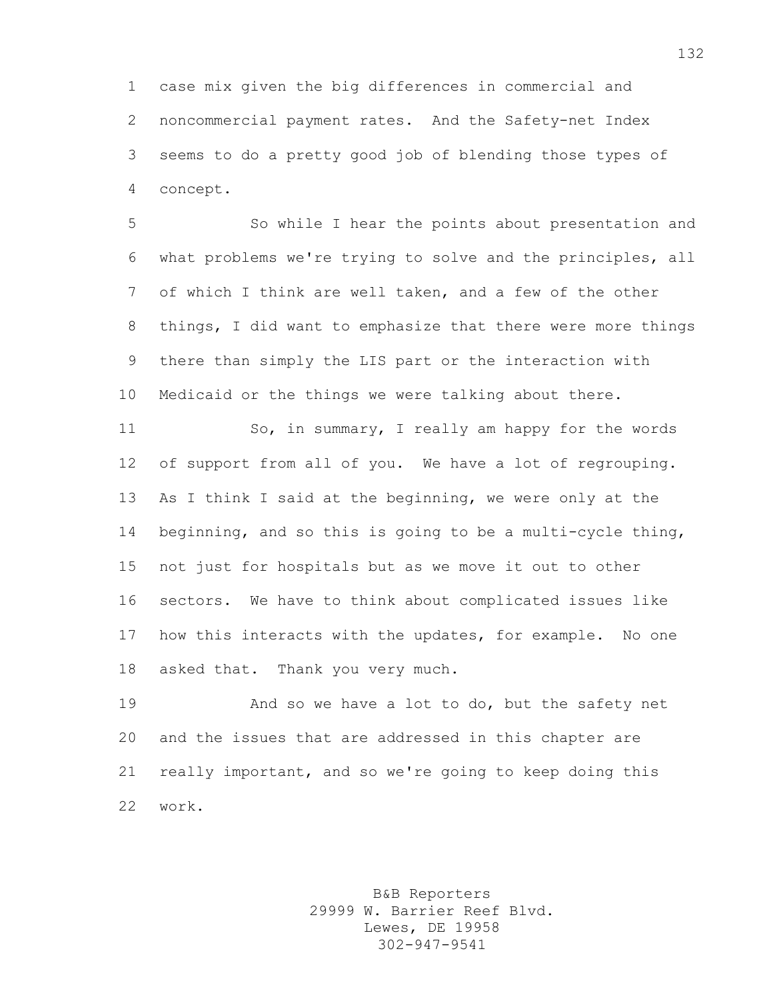case mix given the big differences in commercial and noncommercial payment rates. And the Safety-net Index seems to do a pretty good job of blending those types of concept.

 So while I hear the points about presentation and what problems we're trying to solve and the principles, all of which I think are well taken, and a few of the other things, I did want to emphasize that there were more things there than simply the LIS part or the interaction with Medicaid or the things we were talking about there.

11 So, in summary, I really am happy for the words of support from all of you. We have a lot of regrouping. As I think I said at the beginning, we were only at the beginning, and so this is going to be a multi-cycle thing, not just for hospitals but as we move it out to other sectors. We have to think about complicated issues like how this interacts with the updates, for example. No one asked that. Thank you very much.

 And so we have a lot to do, but the safety net and the issues that are addressed in this chapter are really important, and so we're going to keep doing this work.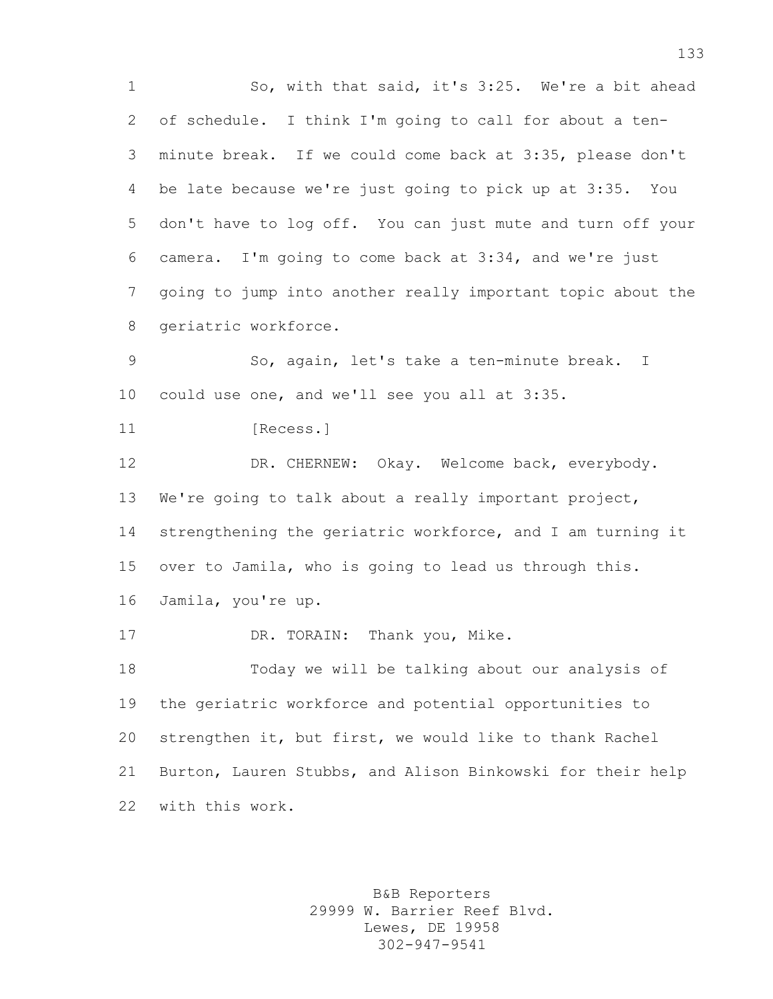1 So, with that said, it's 3:25. We're a bit ahead of schedule. I think I'm going to call for about a ten- minute break. If we could come back at 3:35, please don't be late because we're just going to pick up at 3:35. You don't have to log off. You can just mute and turn off your camera. I'm going to come back at 3:34, and we're just going to jump into another really important topic about the geriatric workforce. So, again, let's take a ten-minute break. I could use one, and we'll see you all at 3:35. **[Recess.]**  DR. CHERNEW: Okay. Welcome back, everybody. We're going to talk about a really important project, strengthening the geriatric workforce, and I am turning it over to Jamila, who is going to lead us through this. Jamila, you're up. 17 DR. TORAIN: Thank you, Mike.

 Today we will be talking about our analysis of the geriatric workforce and potential opportunities to strengthen it, but first, we would like to thank Rachel Burton, Lauren Stubbs, and Alison Binkowski for their help with this work.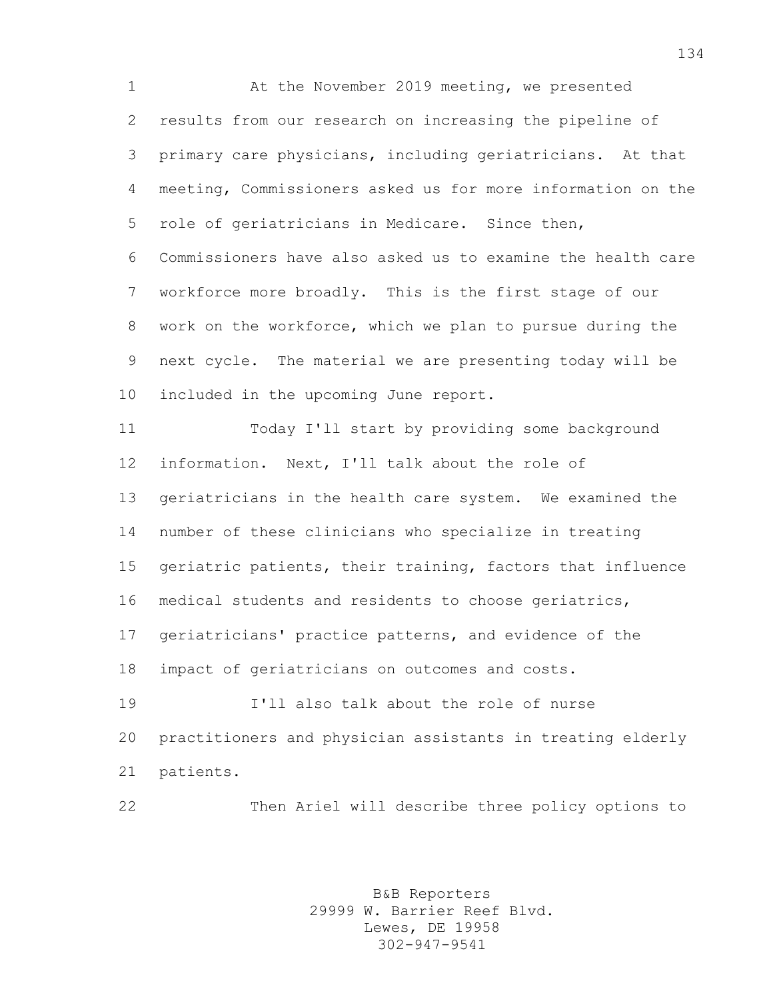At the November 2019 meeting, we presented results from our research on increasing the pipeline of primary care physicians, including geriatricians. At that meeting, Commissioners asked us for more information on the role of geriatricians in Medicare. Since then, Commissioners have also asked us to examine the health care workforce more broadly. This is the first stage of our work on the workforce, which we plan to pursue during the next cycle. The material we are presenting today will be included in the upcoming June report.

 Today I'll start by providing some background information. Next, I'll talk about the role of geriatricians in the health care system. We examined the number of these clinicians who specialize in treating geriatric patients, their training, factors that influence medical students and residents to choose geriatrics, geriatricians' practice patterns, and evidence of the impact of geriatricians on outcomes and costs. I'll also talk about the role of nurse practitioners and physician assistants in treating elderly

patients.

Then Ariel will describe three policy options to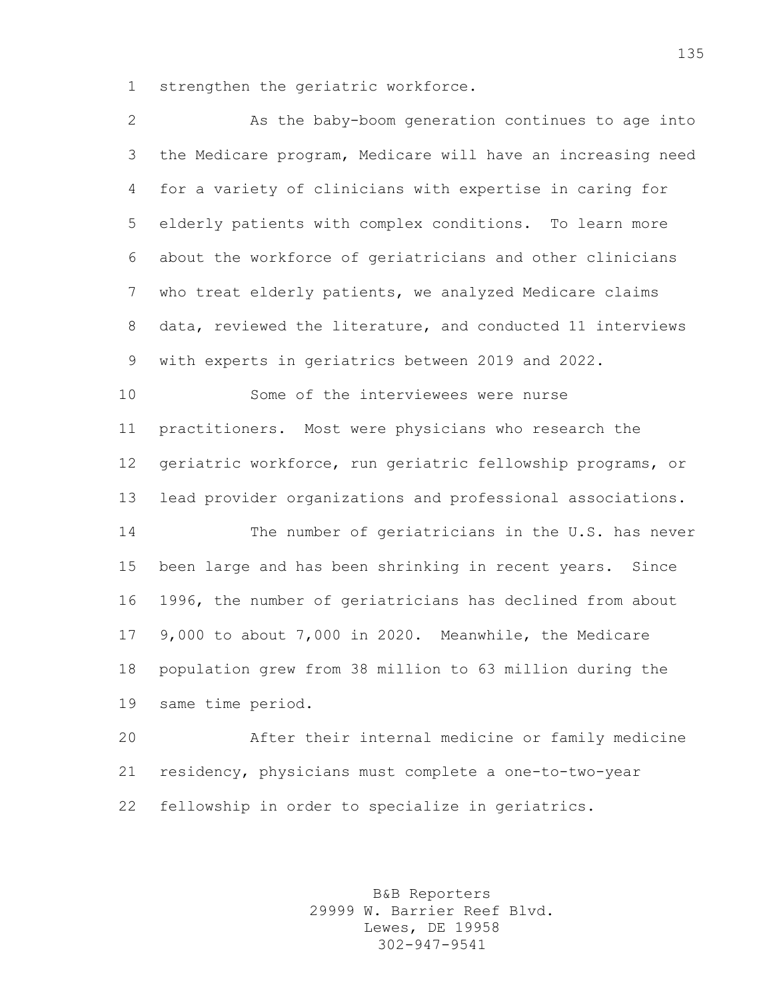strengthen the geriatric workforce.

| $\overline{2}$ | As the baby-boom generation continues to age into           |
|----------------|-------------------------------------------------------------|
| 3              | the Medicare program, Medicare will have an increasing need |
| $\overline{4}$ | for a variety of clinicians with expertise in caring for    |
| 5              | elderly patients with complex conditions. To learn more     |
| 6              | about the workforce of geriatricians and other clinicians   |
| 7              | who treat elderly patients, we analyzed Medicare claims     |
| 8              | data, reviewed the literature, and conducted 11 interviews  |
| 9              | with experts in geriatrics between 2019 and 2022.           |
| 10             | Some of the interviewees were nurse                         |
| 11             | practitioners. Most were physicians who research the        |
| 12             | geriatric workforce, run geriatric fellowship programs, or  |
| 13             | lead provider organizations and professional associations.  |
| 14             | The number of geriatricians in the U.S. has never           |
| 15             | been large and has been shrinking in recent years. Since    |
| 16             | 1996, the number of geriatricians has declined from about   |
| 17             | 9,000 to about 7,000 in 2020. Meanwhile, the Medicare       |
| 18             | population grew from 38 million to 63 million during the    |
| 19             | same time period.                                           |
| 20             | After their internal medicine or family medicine            |
| 21             | residency, physicians must complete a one-to-two-year       |
| 22             | fellowship in order to specialize in geriatrics.            |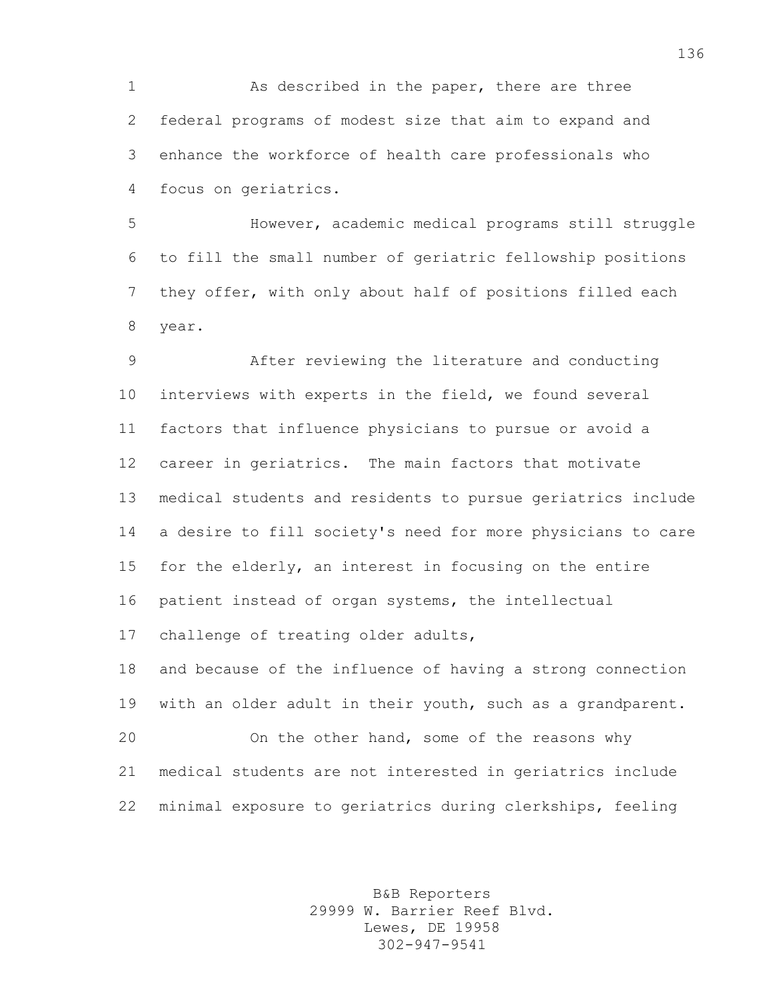1 As described in the paper, there are three federal programs of modest size that aim to expand and enhance the workforce of health care professionals who focus on geriatrics.

 However, academic medical programs still struggle to fill the small number of geriatric fellowship positions they offer, with only about half of positions filled each year.

 After reviewing the literature and conducting interviews with experts in the field, we found several factors that influence physicians to pursue or avoid a career in geriatrics. The main factors that motivate medical students and residents to pursue geriatrics include a desire to fill society's need for more physicians to care for the elderly, an interest in focusing on the entire patient instead of organ systems, the intellectual challenge of treating older adults, and because of the influence of having a strong connection with an older adult in their youth, such as a grandparent. On the other hand, some of the reasons why medical students are not interested in geriatrics include minimal exposure to geriatrics during clerkships, feeling

> B&B Reporters 29999 W. Barrier Reef Blvd. Lewes, DE 19958 302-947-9541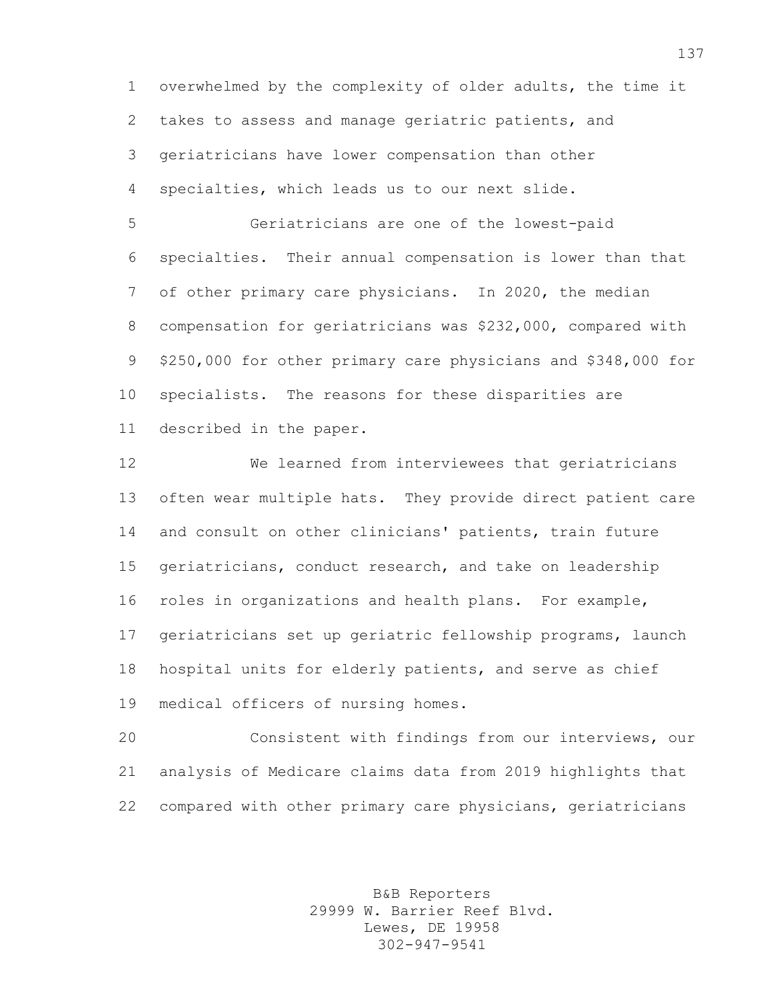overwhelmed by the complexity of older adults, the time it takes to assess and manage geriatric patients, and geriatricians have lower compensation than other specialties, which leads us to our next slide.

 Geriatricians are one of the lowest-paid specialties. Their annual compensation is lower than that of other primary care physicians. In 2020, the median compensation for geriatricians was \$232,000, compared with \$250,000 for other primary care physicians and \$348,000 for specialists. The reasons for these disparities are described in the paper.

 We learned from interviewees that geriatricians often wear multiple hats. They provide direct patient care and consult on other clinicians' patients, train future geriatricians, conduct research, and take on leadership roles in organizations and health plans. For example, geriatricians set up geriatric fellowship programs, launch hospital units for elderly patients, and serve as chief medical officers of nursing homes.

 Consistent with findings from our interviews, our analysis of Medicare claims data from 2019 highlights that compared with other primary care physicians, geriatricians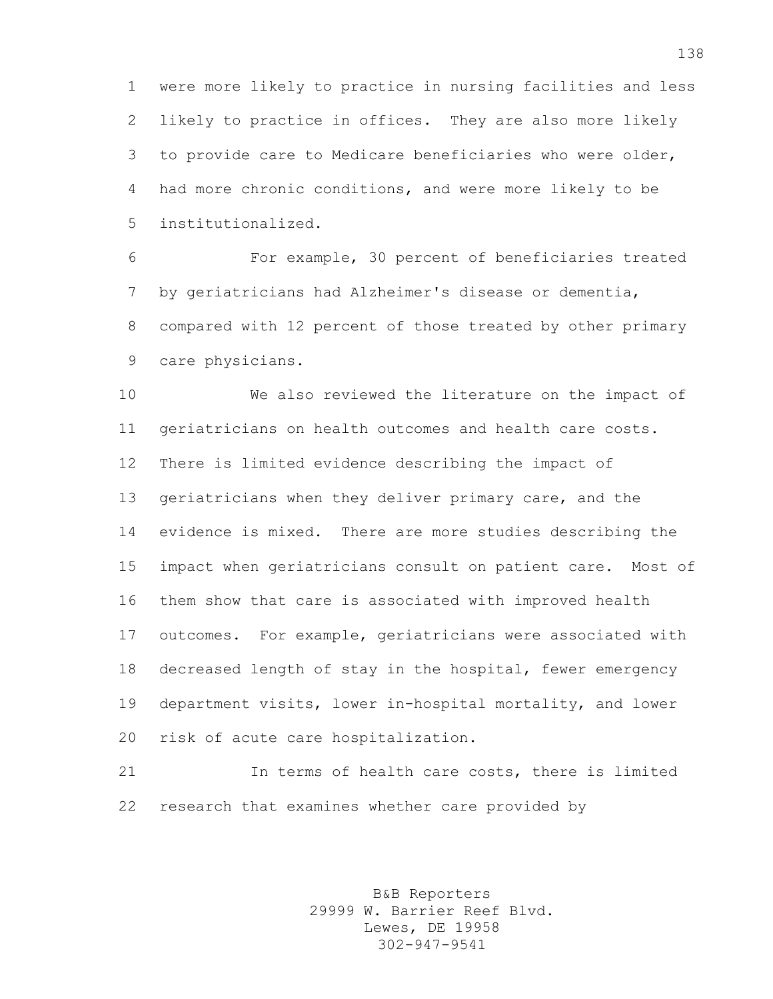were more likely to practice in nursing facilities and less likely to practice in offices. They are also more likely to provide care to Medicare beneficiaries who were older, had more chronic conditions, and were more likely to be institutionalized.

 For example, 30 percent of beneficiaries treated by geriatricians had Alzheimer's disease or dementia, compared with 12 percent of those treated by other primary care physicians.

 We also reviewed the literature on the impact of geriatricians on health outcomes and health care costs. There is limited evidence describing the impact of geriatricians when they deliver primary care, and the evidence is mixed. There are more studies describing the impact when geriatricians consult on patient care. Most of them show that care is associated with improved health outcomes. For example, geriatricians were associated with decreased length of stay in the hospital, fewer emergency department visits, lower in-hospital mortality, and lower risk of acute care hospitalization.

 In terms of health care costs, there is limited research that examines whether care provided by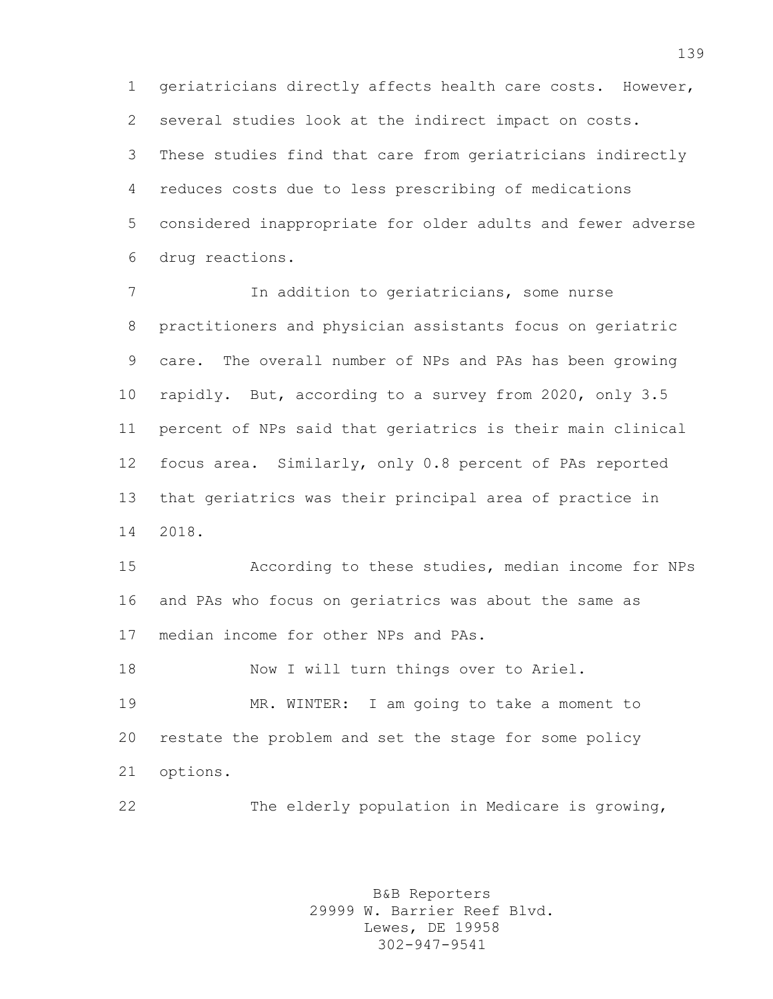geriatricians directly affects health care costs. However, several studies look at the indirect impact on costs. These studies find that care from geriatricians indirectly reduces costs due to less prescribing of medications considered inappropriate for older adults and fewer adverse drug reactions.

 In addition to geriatricians, some nurse practitioners and physician assistants focus on geriatric care. The overall number of NPs and PAs has been growing rapidly. But, according to a survey from 2020, only 3.5 percent of NPs said that geriatrics is their main clinical focus area. Similarly, only 0.8 percent of PAs reported that geriatrics was their principal area of practice in 2018.

 According to these studies, median income for NPs and PAs who focus on geriatrics was about the same as median income for other NPs and PAs.

18 Now I will turn things over to Ariel.

 MR. WINTER: I am going to take a moment to restate the problem and set the stage for some policy options.

The elderly population in Medicare is growing,

B&B Reporters 29999 W. Barrier Reef Blvd. Lewes, DE 19958 302-947-9541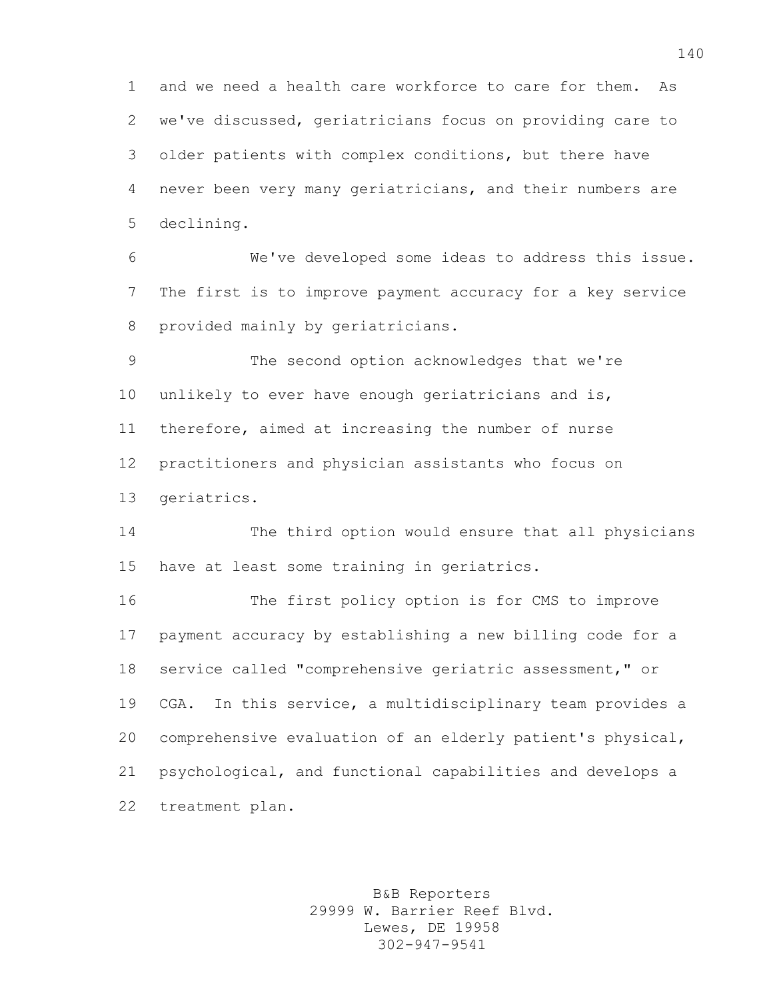and we need a health care workforce to care for them. As we've discussed, geriatricians focus on providing care to older patients with complex conditions, but there have never been very many geriatricians, and their numbers are declining.

 We've developed some ideas to address this issue. The first is to improve payment accuracy for a key service provided mainly by geriatricians.

 The second option acknowledges that we're unlikely to ever have enough geriatricians and is, therefore, aimed at increasing the number of nurse practitioners and physician assistants who focus on geriatrics.

 The third option would ensure that all physicians have at least some training in geriatrics.

 The first policy option is for CMS to improve payment accuracy by establishing a new billing code for a service called "comprehensive geriatric assessment," or CGA. In this service, a multidisciplinary team provides a comprehensive evaluation of an elderly patient's physical, psychological, and functional capabilities and develops a treatment plan.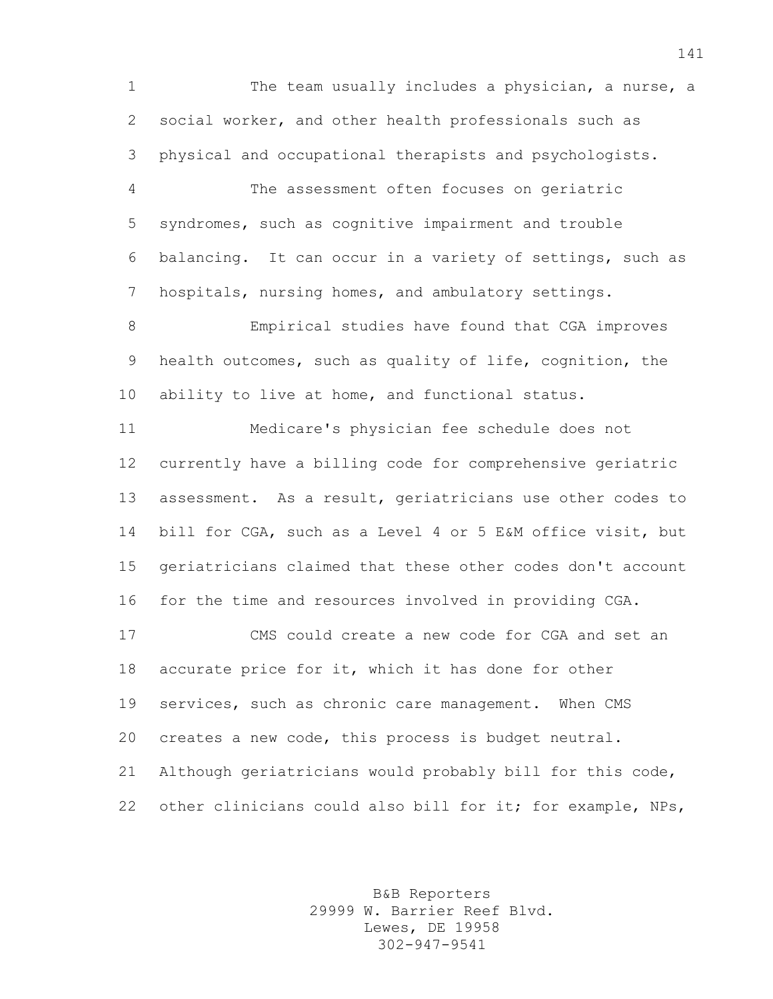The team usually includes a physician, a nurse, a social worker, and other health professionals such as physical and occupational therapists and psychologists. The assessment often focuses on geriatric syndromes, such as cognitive impairment and trouble balancing. It can occur in a variety of settings, such as hospitals, nursing homes, and ambulatory settings. Empirical studies have found that CGA improves health outcomes, such as quality of life, cognition, the ability to live at home, and functional status. Medicare's physician fee schedule does not currently have a billing code for comprehensive geriatric assessment. As a result, geriatricians use other codes to bill for CGA, such as a Level 4 or 5 E&M office visit, but geriatricians claimed that these other codes don't account for the time and resources involved in providing CGA. CMS could create a new code for CGA and set an accurate price for it, which it has done for other services, such as chronic care management. When CMS creates a new code, this process is budget neutral. Although geriatricians would probably bill for this code, 22 other clinicians could also bill for it; for example, NPs,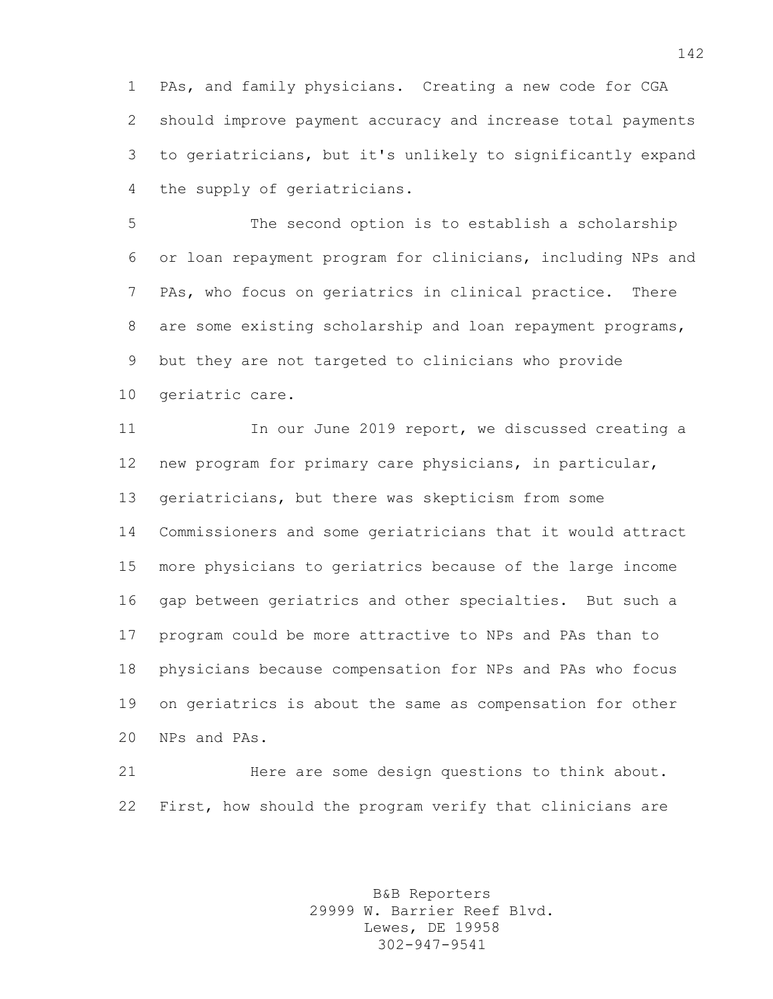PAs, and family physicians. Creating a new code for CGA should improve payment accuracy and increase total payments to geriatricians, but it's unlikely to significantly expand the supply of geriatricians.

 The second option is to establish a scholarship or loan repayment program for clinicians, including NPs and PAs, who focus on geriatrics in clinical practice. There are some existing scholarship and loan repayment programs, but they are not targeted to clinicians who provide geriatric care.

 In our June 2019 report, we discussed creating a new program for primary care physicians, in particular, geriatricians, but there was skepticism from some Commissioners and some geriatricians that it would attract more physicians to geriatrics because of the large income gap between geriatrics and other specialties. But such a program could be more attractive to NPs and PAs than to physicians because compensation for NPs and PAs who focus on geriatrics is about the same as compensation for other NPs and PAs.

 Here are some design questions to think about. First, how should the program verify that clinicians are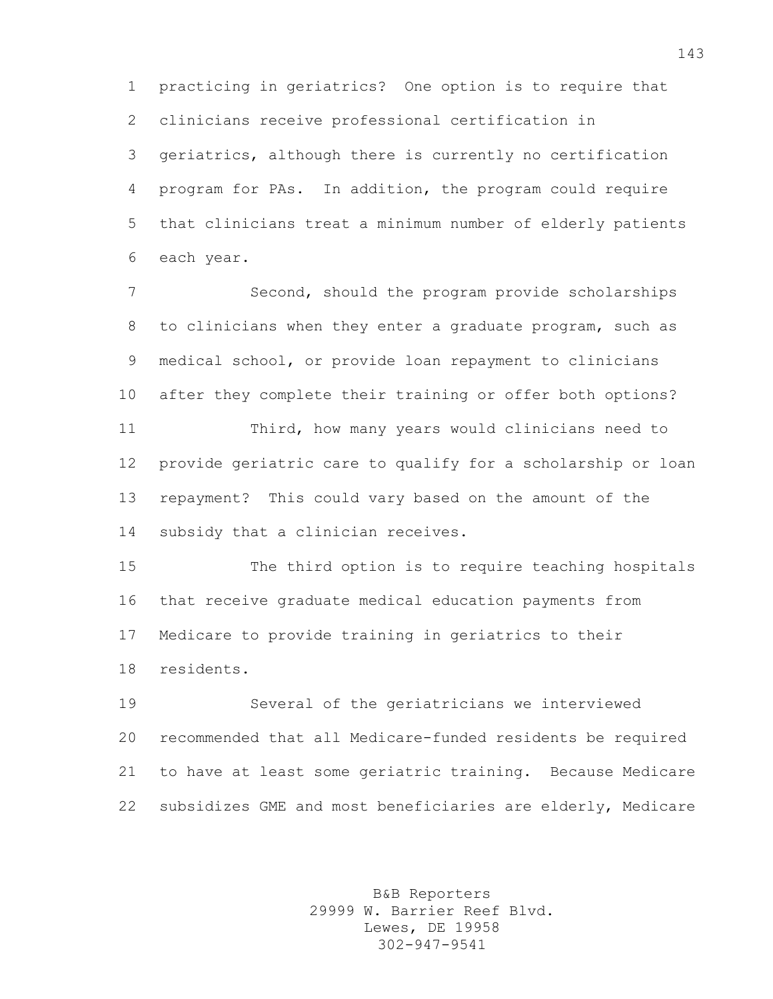practicing in geriatrics? One option is to require that clinicians receive professional certification in geriatrics, although there is currently no certification program for PAs. In addition, the program could require that clinicians treat a minimum number of elderly patients each year.

 Second, should the program provide scholarships to clinicians when they enter a graduate program, such as medical school, or provide loan repayment to clinicians after they complete their training or offer both options? Third, how many years would clinicians need to provide geriatric care to qualify for a scholarship or loan repayment? This could vary based on the amount of the subsidy that a clinician receives.

 The third option is to require teaching hospitals that receive graduate medical education payments from Medicare to provide training in geriatrics to their residents.

 Several of the geriatricians we interviewed recommended that all Medicare-funded residents be required to have at least some geriatric training. Because Medicare subsidizes GME and most beneficiaries are elderly, Medicare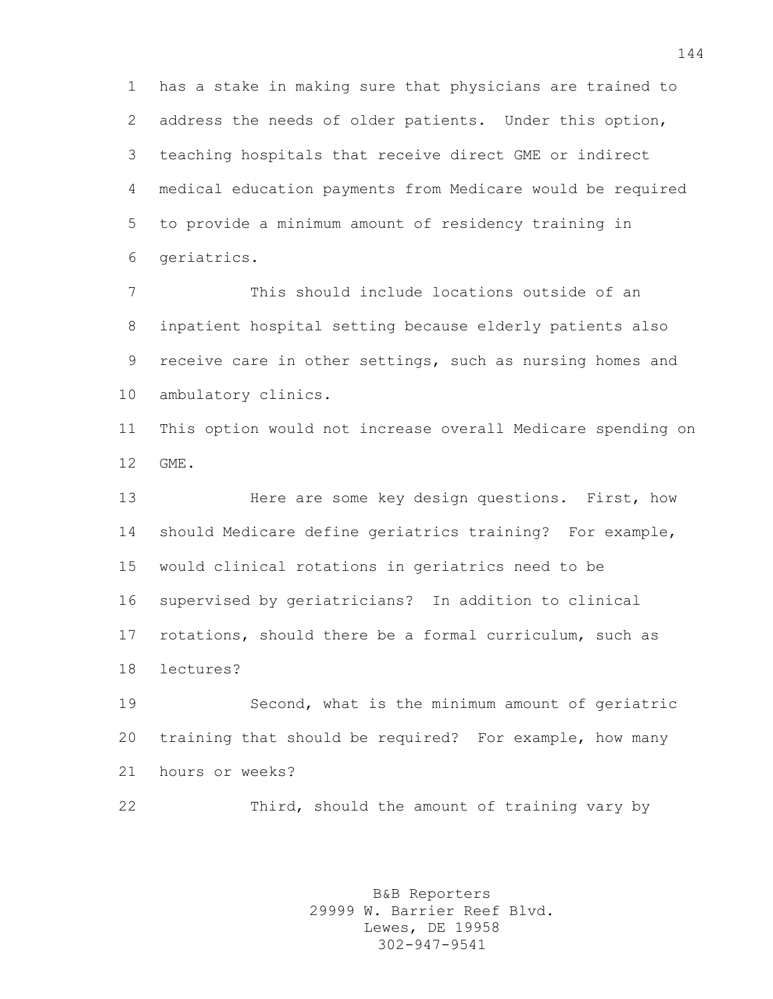has a stake in making sure that physicians are trained to address the needs of older patients. Under this option, teaching hospitals that receive direct GME or indirect medical education payments from Medicare would be required to provide a minimum amount of residency training in geriatrics.

 This should include locations outside of an inpatient hospital setting because elderly patients also receive care in other settings, such as nursing homes and ambulatory clinics.

 This option would not increase overall Medicare spending on GME.

13 Here are some key design questions. First, how should Medicare define geriatrics training? For example, would clinical rotations in geriatrics need to be supervised by geriatricians? In addition to clinical rotations, should there be a formal curriculum, such as lectures?

 Second, what is the minimum amount of geriatric training that should be required? For example, how many hours or weeks?

Third, should the amount of training vary by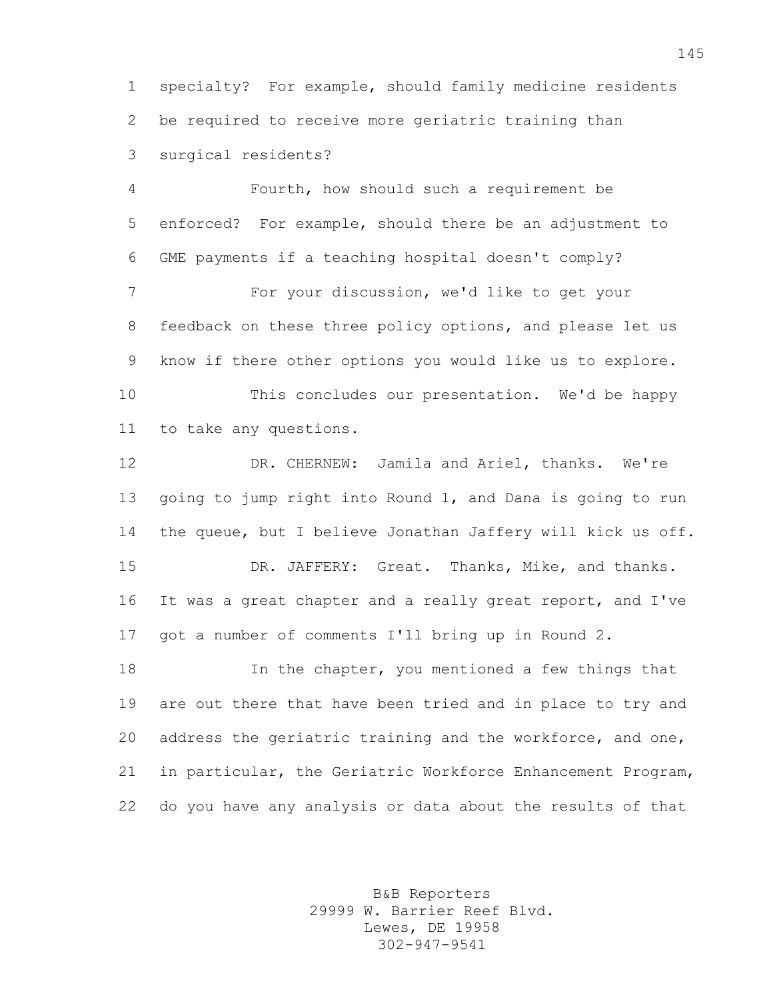specialty? For example, should family medicine residents be required to receive more geriatric training than surgical residents?

 Fourth, how should such a requirement be enforced? For example, should there be an adjustment to GME payments if a teaching hospital doesn't comply? For your discussion, we'd like to get your feedback on these three policy options, and please let us know if there other options you would like us to explore. This concludes our presentation. We'd be happy to take any questions.

 DR. CHERNEW: Jamila and Ariel, thanks. We're going to jump right into Round 1, and Dana is going to run the queue, but I believe Jonathan Jaffery will kick us off. DR. JAFFERY: Great. Thanks, Mike, and thanks. It was a great chapter and a really great report, and I've got a number of comments I'll bring up in Round 2. **In the chapter, you mentioned a few things that** 

 are out there that have been tried and in place to try and address the geriatric training and the workforce, and one, in particular, the Geriatric Workforce Enhancement Program, do you have any analysis or data about the results of that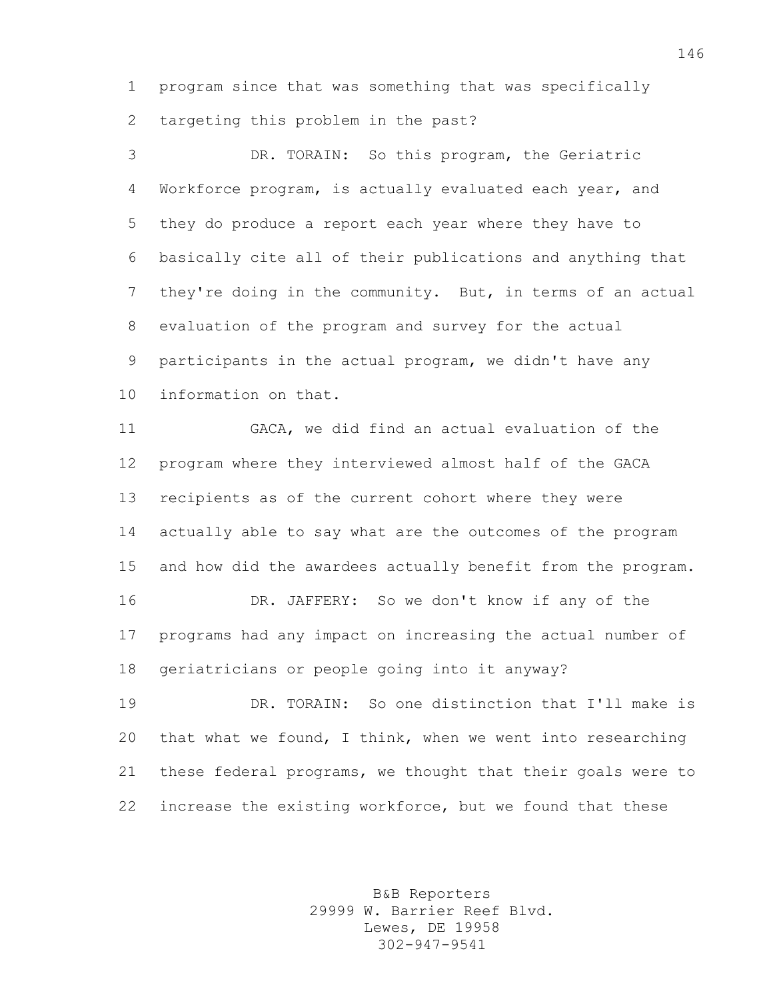program since that was something that was specifically targeting this problem in the past?

 DR. TORAIN: So this program, the Geriatric Workforce program, is actually evaluated each year, and they do produce a report each year where they have to basically cite all of their publications and anything that they're doing in the community. But, in terms of an actual evaluation of the program and survey for the actual participants in the actual program, we didn't have any information on that.

 GACA, we did find an actual evaluation of the program where they interviewed almost half of the GACA recipients as of the current cohort where they were actually able to say what are the outcomes of the program and how did the awardees actually benefit from the program. DR. JAFFERY: So we don't know if any of the programs had any impact on increasing the actual number of geriatricians or people going into it anyway?

 DR. TORAIN: So one distinction that I'll make is that what we found, I think, when we went into researching these federal programs, we thought that their goals were to increase the existing workforce, but we found that these

> B&B Reporters 29999 W. Barrier Reef Blvd. Lewes, DE 19958 302-947-9541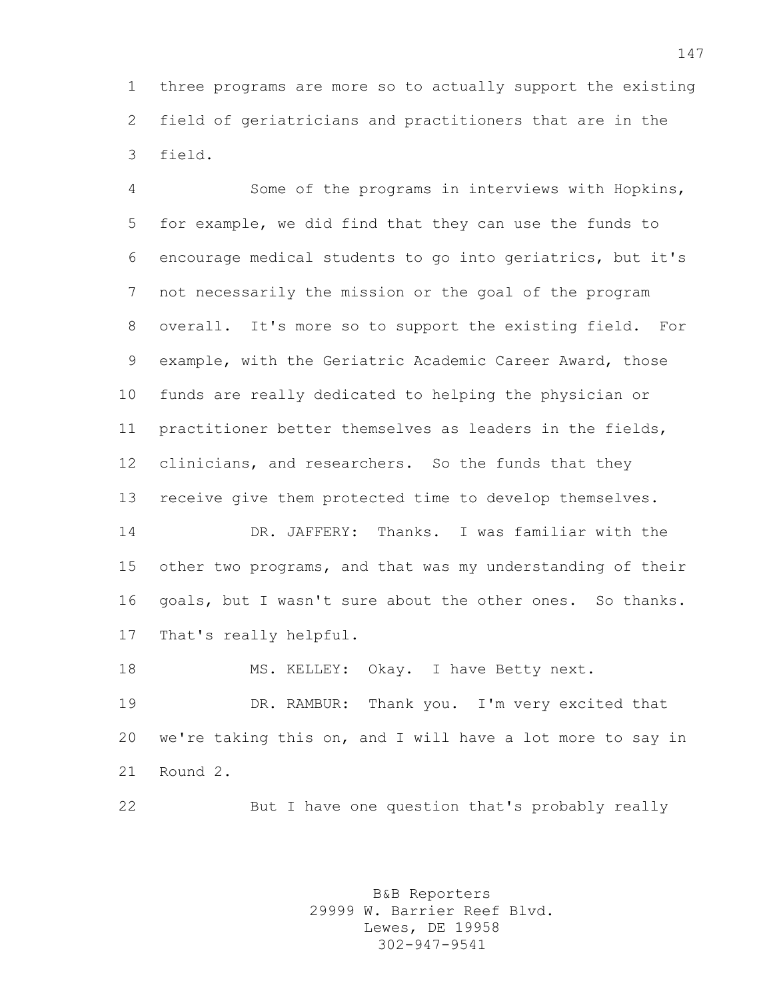three programs are more so to actually support the existing field of geriatricians and practitioners that are in the field.

 Some of the programs in interviews with Hopkins, for example, we did find that they can use the funds to encourage medical students to go into geriatrics, but it's not necessarily the mission or the goal of the program overall. It's more so to support the existing field. For example, with the Geriatric Academic Career Award, those funds are really dedicated to helping the physician or practitioner better themselves as leaders in the fields, clinicians, and researchers. So the funds that they receive give them protected time to develop themselves. DR. JAFFERY: Thanks. I was familiar with the

 other two programs, and that was my understanding of their goals, but I wasn't sure about the other ones. So thanks. That's really helpful.

18 MS. KELLEY: Okay. I have Betty next.

 DR. RAMBUR: Thank you. I'm very excited that we're taking this on, and I will have a lot more to say in Round 2.

But I have one question that's probably really

B&B Reporters 29999 W. Barrier Reef Blvd. Lewes, DE 19958 302-947-9541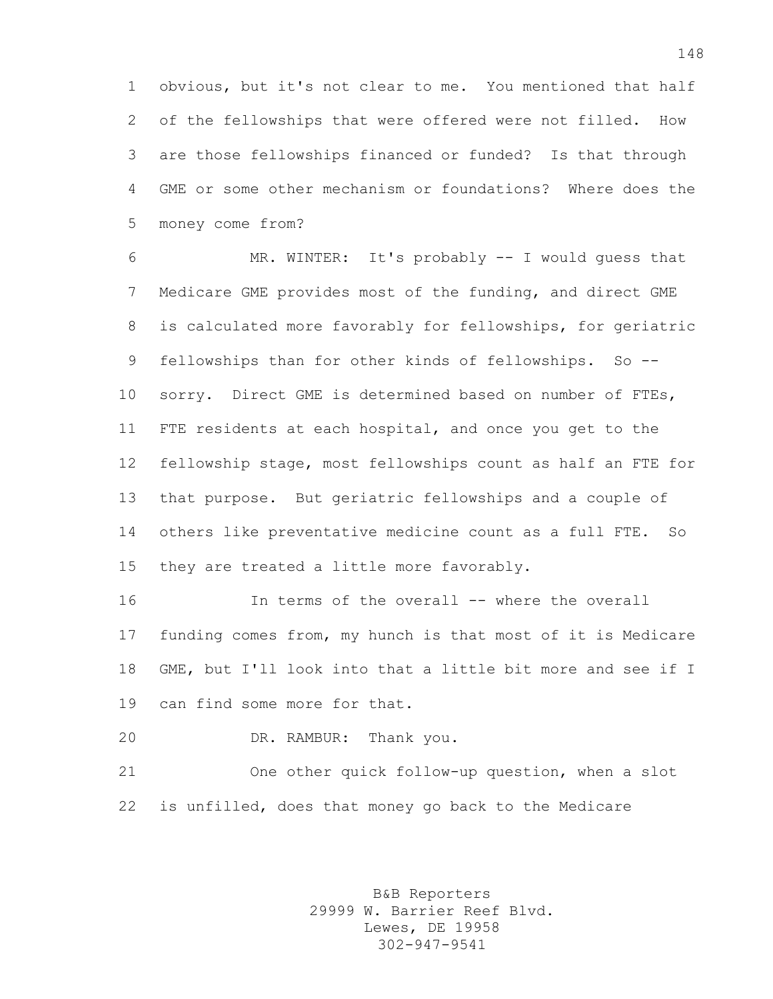obvious, but it's not clear to me. You mentioned that half of the fellowships that were offered were not filled. How are those fellowships financed or funded? Is that through GME or some other mechanism or foundations? Where does the money come from?

 MR. WINTER: It's probably -- I would guess that Medicare GME provides most of the funding, and direct GME is calculated more favorably for fellowships, for geriatric fellowships than for other kinds of fellowships. So -- sorry. Direct GME is determined based on number of FTEs, FTE residents at each hospital, and once you get to the fellowship stage, most fellowships count as half an FTE for that purpose. But geriatric fellowships and a couple of others like preventative medicine count as a full FTE. So they are treated a little more favorably.

 In terms of the overall -- where the overall funding comes from, my hunch is that most of it is Medicare GME, but I'll look into that a little bit more and see if I can find some more for that.

DR. RAMBUR: Thank you.

 One other quick follow-up question, when a slot is unfilled, does that money go back to the Medicare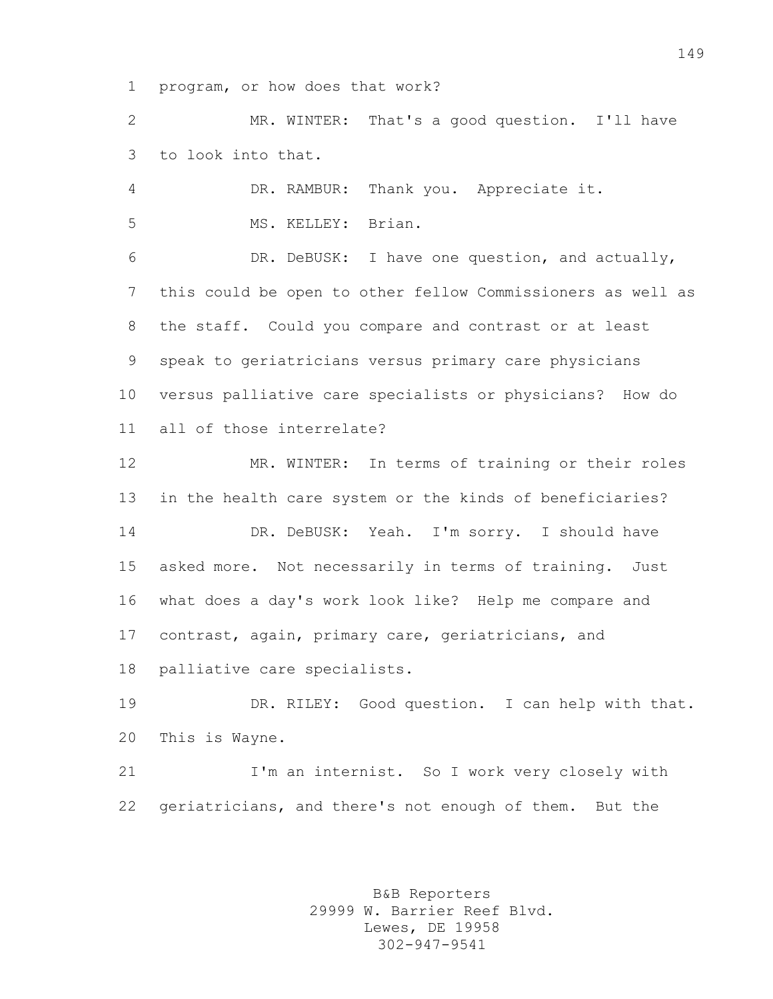program, or how does that work?

 MR. WINTER: That's a good question. I'll have to look into that.

 DR. RAMBUR: Thank you. Appreciate it. MS. KELLEY: Brian.

 DR. DeBUSK: I have one question, and actually, this could be open to other fellow Commissioners as well as the staff. Could you compare and contrast or at least speak to geriatricians versus primary care physicians versus palliative care specialists or physicians? How do all of those interrelate?

 MR. WINTER: In terms of training or their roles in the health care system or the kinds of beneficiaries? DR. DeBUSK: Yeah. I'm sorry. I should have asked more. Not necessarily in terms of training. Just what does a day's work look like? Help me compare and contrast, again, primary care, geriatricians, and palliative care specialists.

 DR. RILEY: Good question. I can help with that. This is Wayne.

21 I'm an internist. So I work very closely with geriatricians, and there's not enough of them. But the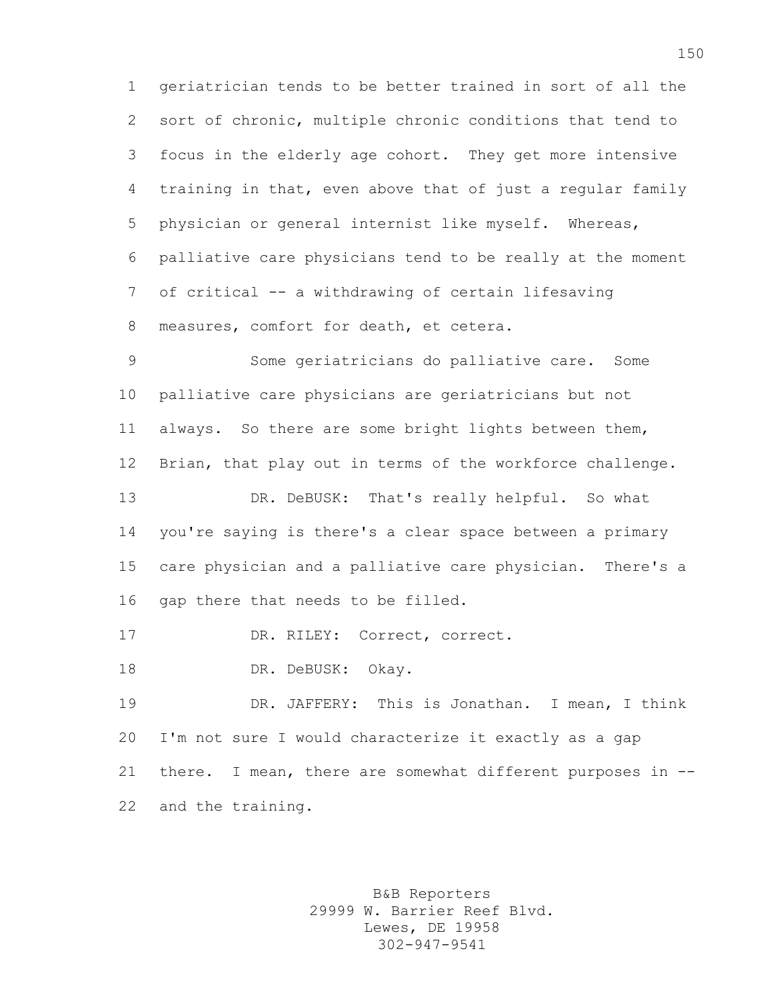geriatrician tends to be better trained in sort of all the sort of chronic, multiple chronic conditions that tend to focus in the elderly age cohort. They get more intensive training in that, even above that of just a regular family physician or general internist like myself. Whereas, palliative care physicians tend to be really at the moment of critical -- a withdrawing of certain lifesaving measures, comfort for death, et cetera.

 Some geriatricians do palliative care. Some palliative care physicians are geriatricians but not always. So there are some bright lights between them, Brian, that play out in terms of the workforce challenge. DR. DeBUSK: That's really helpful. So what you're saying is there's a clear space between a primary care physician and a palliative care physician. There's a gap there that needs to be filled. DR. RILEY: Correct, correct.

18 DR. DeBUSK: Okay.

 DR. JAFFERY: This is Jonathan. I mean, I think I'm not sure I would characterize it exactly as a gap there. I mean, there are somewhat different purposes in -- and the training.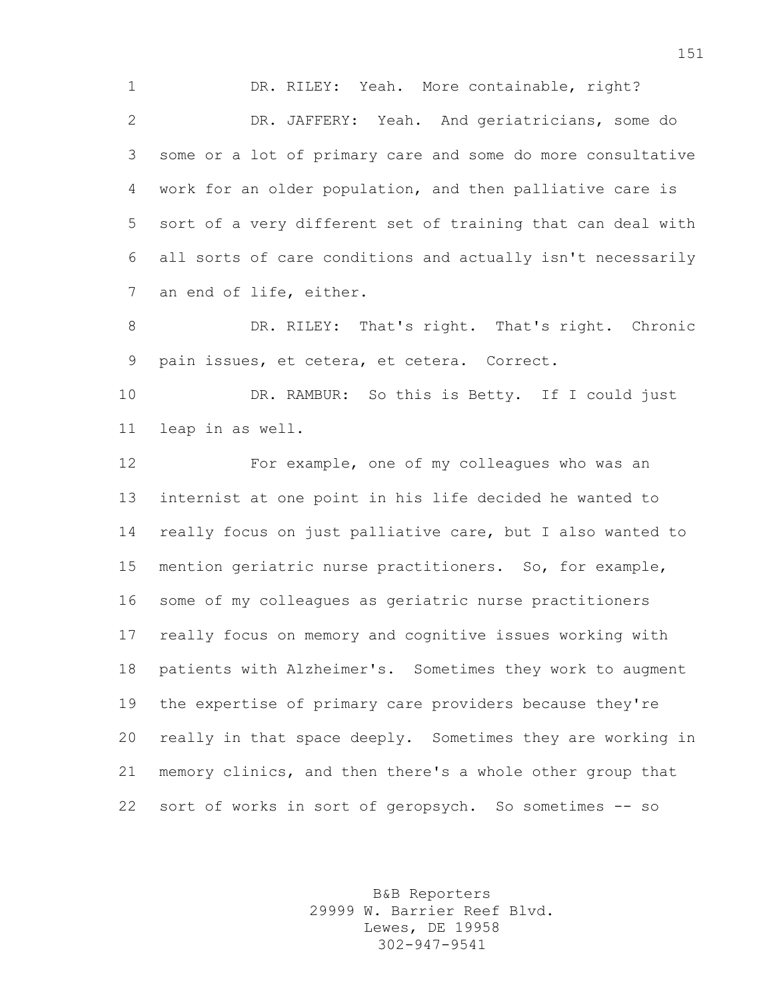1 DR. RILEY: Yeah. More containable, right? DR. JAFFERY: Yeah. And geriatricians, some do some or a lot of primary care and some do more consultative work for an older population, and then palliative care is sort of a very different set of training that can deal with all sorts of care conditions and actually isn't necessarily an end of life, either.

 DR. RILEY: That's right. That's right. Chronic pain issues, et cetera, et cetera. Correct.

 DR. RAMBUR: So this is Betty. If I could just leap in as well.

 For example, one of my colleagues who was an internist at one point in his life decided he wanted to really focus on just palliative care, but I also wanted to mention geriatric nurse practitioners. So, for example, some of my colleagues as geriatric nurse practitioners really focus on memory and cognitive issues working with patients with Alzheimer's. Sometimes they work to augment the expertise of primary care providers because they're really in that space deeply. Sometimes they are working in memory clinics, and then there's a whole other group that sort of works in sort of geropsych. So sometimes -- so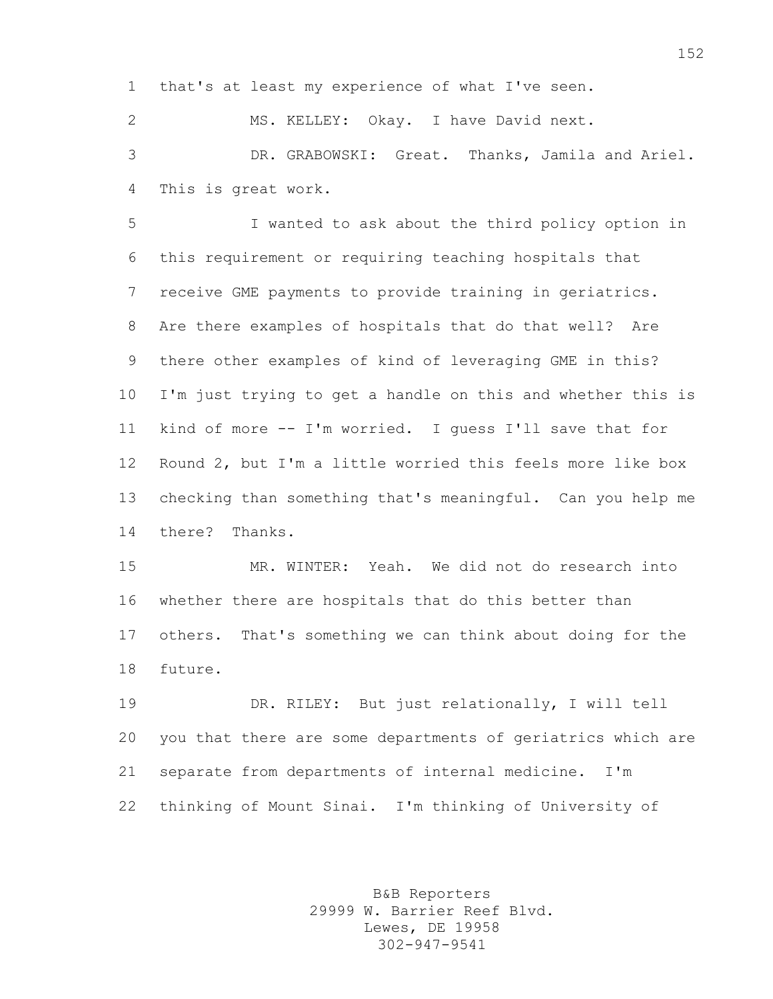that's at least my experience of what I've seen.

 MS. KELLEY: Okay. I have David next. DR. GRABOWSKI: Great. Thanks, Jamila and Ariel. This is great work.

 I wanted to ask about the third policy option in this requirement or requiring teaching hospitals that receive GME payments to provide training in geriatrics. Are there examples of hospitals that do that well? Are there other examples of kind of leveraging GME in this? I'm just trying to get a handle on this and whether this is kind of more -- I'm worried. I guess I'll save that for Round 2, but I'm a little worried this feels more like box checking than something that's meaningful. Can you help me there? Thanks.

 MR. WINTER: Yeah. We did not do research into whether there are hospitals that do this better than others. That's something we can think about doing for the future.

 DR. RILEY: But just relationally, I will tell you that there are some departments of geriatrics which are separate from departments of internal medicine. I'm thinking of Mount Sinai. I'm thinking of University of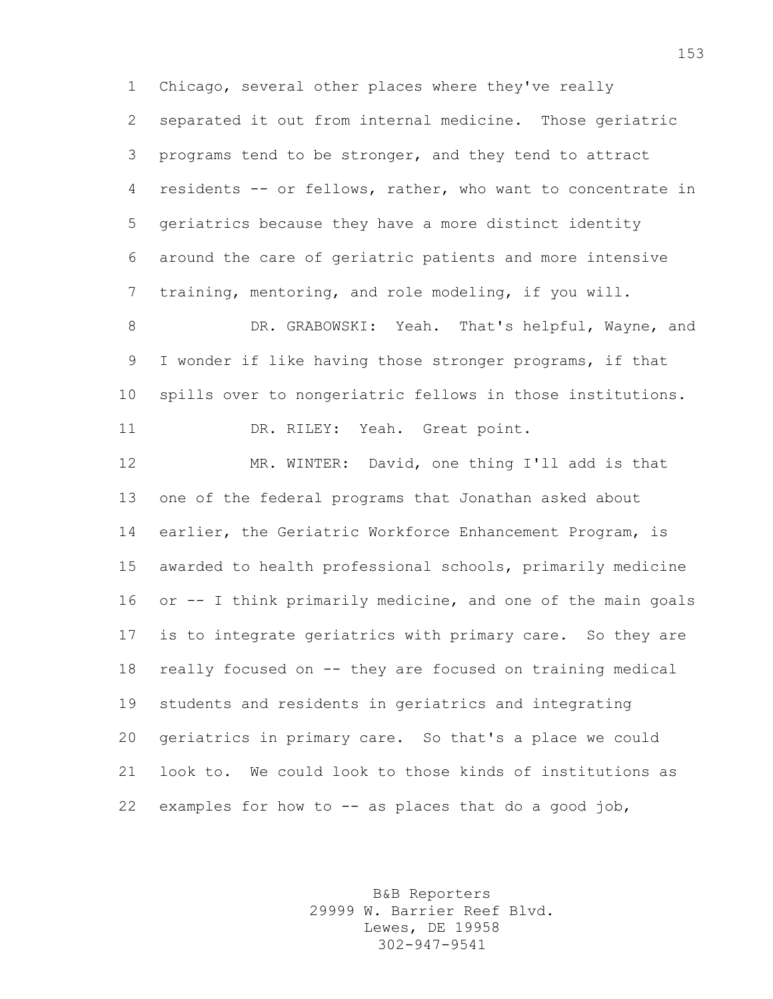Chicago, several other places where they've really separated it out from internal medicine. Those geriatric programs tend to be stronger, and they tend to attract residents -- or fellows, rather, who want to concentrate in geriatrics because they have a more distinct identity around the care of geriatric patients and more intensive training, mentoring, and role modeling, if you will.

8 DR. GRABOWSKI: Yeah. That's helpful, Wayne, and I wonder if like having those stronger programs, if that spills over to nongeriatric fellows in those institutions. 11 DR. RILEY: Yeah. Great point.

 MR. WINTER: David, one thing I'll add is that one of the federal programs that Jonathan asked about earlier, the Geriatric Workforce Enhancement Program, is awarded to health professional schools, primarily medicine or -- I think primarily medicine, and one of the main goals is to integrate geriatrics with primary care. So they are really focused on -- they are focused on training medical students and residents in geriatrics and integrating geriatrics in primary care. So that's a place we could look to. We could look to those kinds of institutions as 22 examples for how to  $--$  as places that do a good job,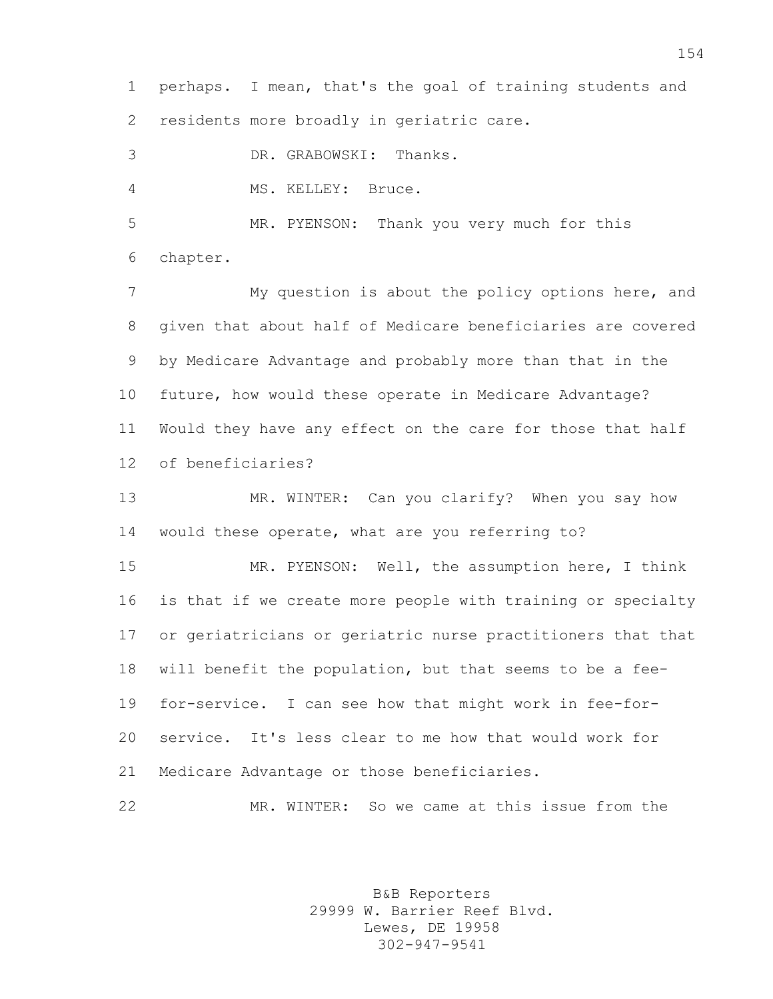perhaps. I mean, that's the goal of training students and residents more broadly in geriatric care.

DR. GRABOWSKI: Thanks.

MS. KELLEY: Bruce.

 MR. PYENSON: Thank you very much for this chapter.

 My question is about the policy options here, and given that about half of Medicare beneficiaries are covered by Medicare Advantage and probably more than that in the future, how would these operate in Medicare Advantage? Would they have any effect on the care for those that half of beneficiaries?

 MR. WINTER: Can you clarify? When you say how would these operate, what are you referring to?

 MR. PYENSON: Well, the assumption here, I think is that if we create more people with training or specialty or geriatricians or geriatric nurse practitioners that that will benefit the population, but that seems to be a fee- for-service. I can see how that might work in fee-for- service. It's less clear to me how that would work for Medicare Advantage or those beneficiaries.

MR. WINTER: So we came at this issue from the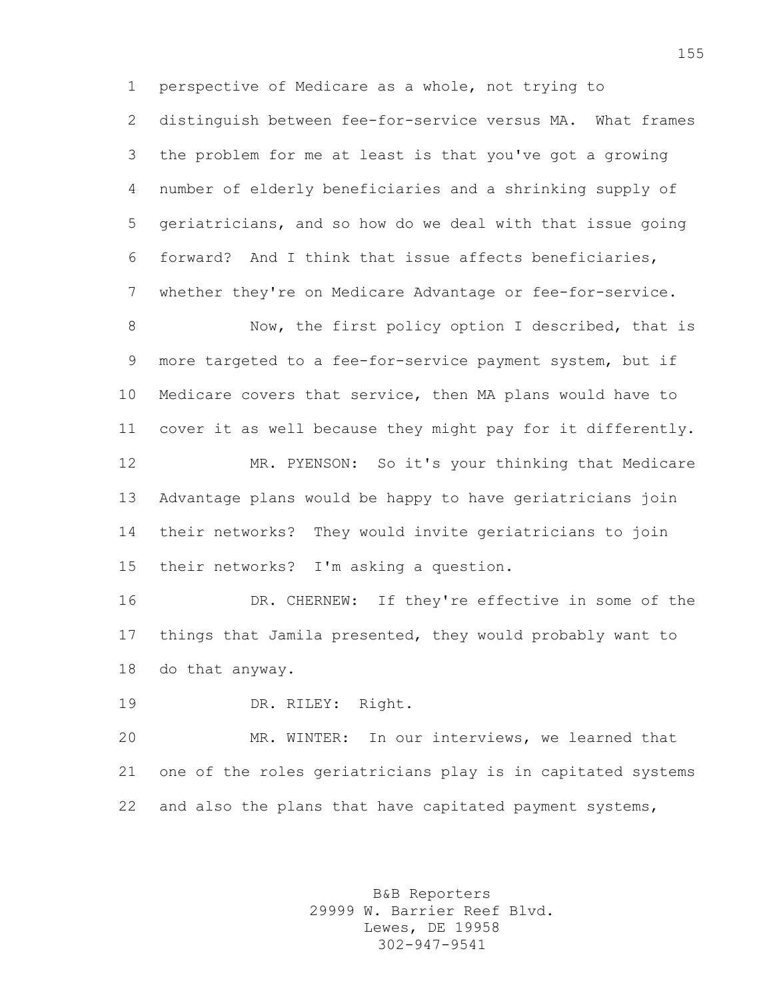perspective of Medicare as a whole, not trying to distinguish between fee-for-service versus MA. What frames the problem for me at least is that you've got a growing number of elderly beneficiaries and a shrinking supply of geriatricians, and so how do we deal with that issue going forward? And I think that issue affects beneficiaries, whether they're on Medicare Advantage or fee-for-service.

8 Now, the first policy option I described, that is more targeted to a fee-for-service payment system, but if Medicare covers that service, then MA plans would have to cover it as well because they might pay for it differently. MR. PYENSON: So it's your thinking that Medicare Advantage plans would be happy to have geriatricians join their networks? They would invite geriatricians to join their networks? I'm asking a question.

 DR. CHERNEW: If they're effective in some of the things that Jamila presented, they would probably want to do that anyway.

DR. RILEY: Right.

 MR. WINTER: In our interviews, we learned that one of the roles geriatricians play is in capitated systems and also the plans that have capitated payment systems,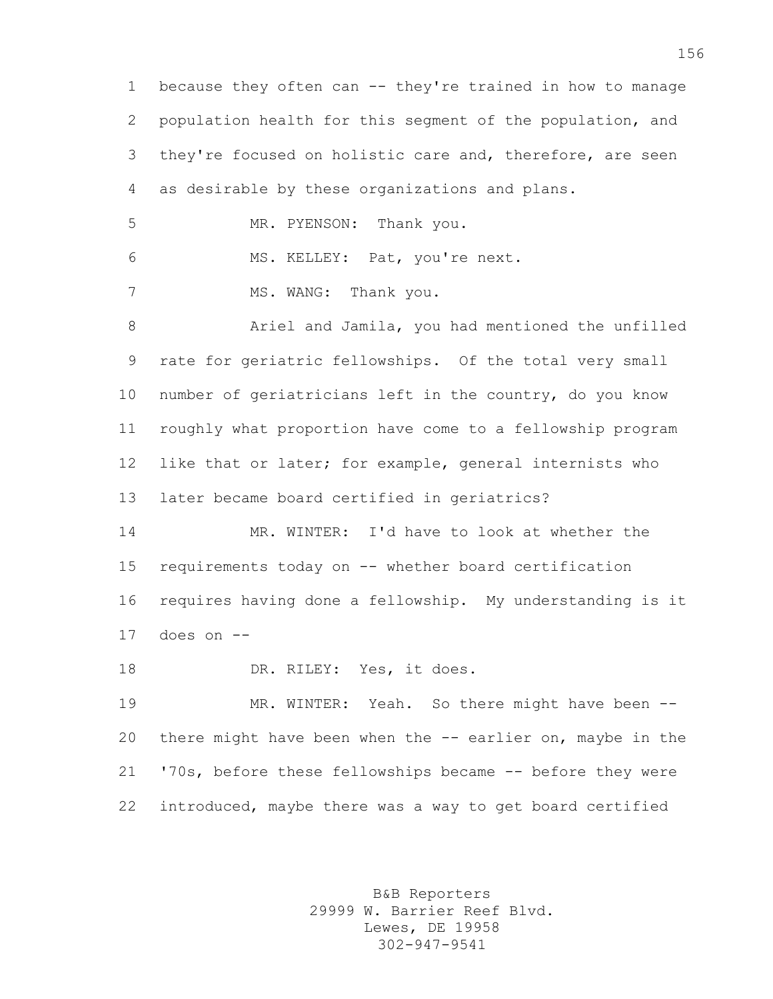because they often can -- they're trained in how to manage population health for this segment of the population, and they're focused on holistic care and, therefore, are seen as desirable by these organizations and plans. MR. PYENSON: Thank you. MS. KELLEY: Pat, you're next. 7 MS. WANG: Thank you. Ariel and Jamila, you had mentioned the unfilled rate for geriatric fellowships. Of the total very small number of geriatricians left in the country, do you know roughly what proportion have come to a fellowship program like that or later; for example, general internists who later became board certified in geriatrics? MR. WINTER: I'd have to look at whether the requirements today on -- whether board certification requires having done a fellowship. My understanding is it does on  $-$ 18 DR. RILEY: Yes, it does. MR. WINTER: Yeah. So there might have been -- there might have been when the -- earlier on, maybe in the '70s, before these fellowships became -- before they were introduced, maybe there was a way to get board certified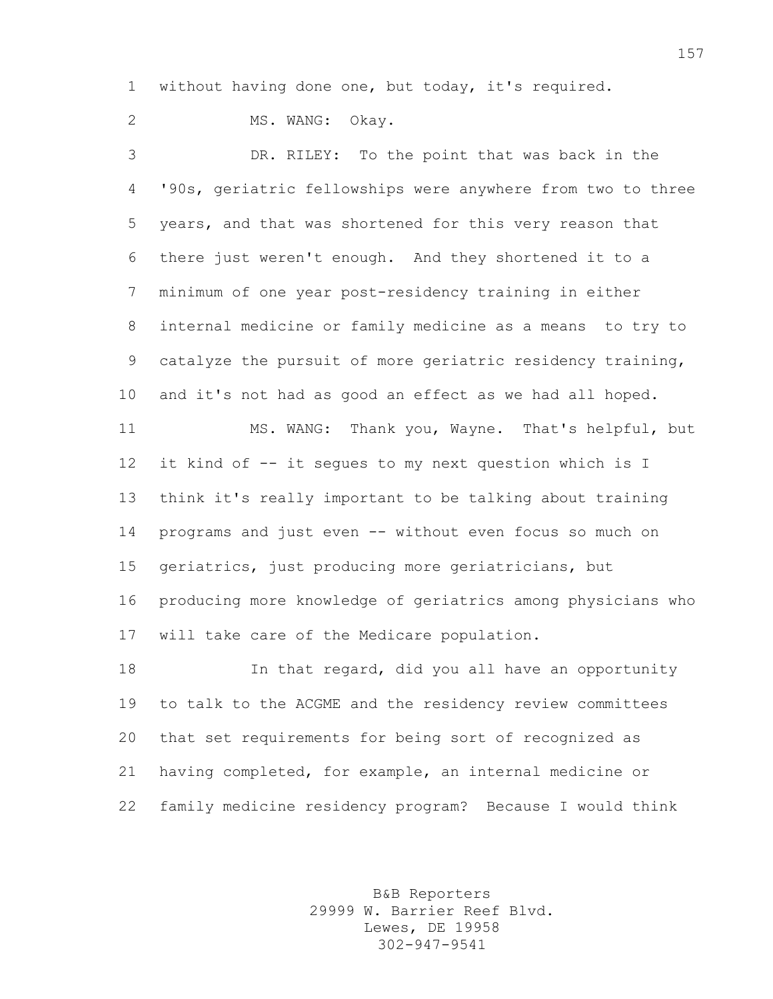without having done one, but today, it's required.

2 MS. WANG: Okay.

 DR. RILEY: To the point that was back in the '90s, geriatric fellowships were anywhere from two to three years, and that was shortened for this very reason that there just weren't enough. And they shortened it to a minimum of one year post-residency training in either internal medicine or family medicine as a means to try to catalyze the pursuit of more geriatric residency training, and it's not had as good an effect as we had all hoped. MS. WANG: Thank you, Wayne. That's helpful, but it kind of -- it segues to my next question which is I think it's really important to be talking about training programs and just even -- without even focus so much on geriatrics, just producing more geriatricians, but producing more knowledge of geriatrics among physicians who will take care of the Medicare population. In that regard, did you all have an opportunity to talk to the ACGME and the residency review committees

 that set requirements for being sort of recognized as having completed, for example, an internal medicine or family medicine residency program? Because I would think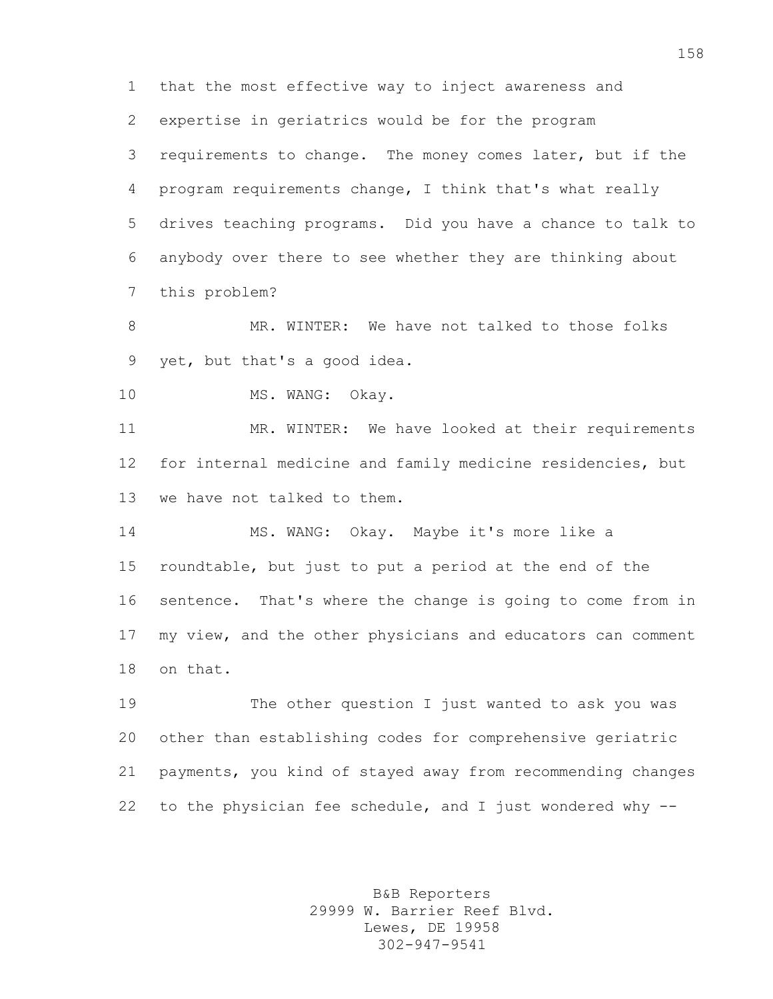that the most effective way to inject awareness and

expertise in geriatrics would be for the program

 requirements to change. The money comes later, but if the program requirements change, I think that's what really drives teaching programs. Did you have a chance to talk to anybody over there to see whether they are thinking about this problem?

8 MR. WINTER: We have not talked to those folks yet, but that's a good idea.

10 MS. WANG: Okay.

11 MR. WINTER: We have looked at their requirements for internal medicine and family medicine residencies, but we have not talked to them.

 MS. WANG: Okay. Maybe it's more like a roundtable, but just to put a period at the end of the sentence. That's where the change is going to come from in my view, and the other physicians and educators can comment on that.

 The other question I just wanted to ask you was other than establishing codes for comprehensive geriatric payments, you kind of stayed away from recommending changes to the physician fee schedule, and I just wondered why --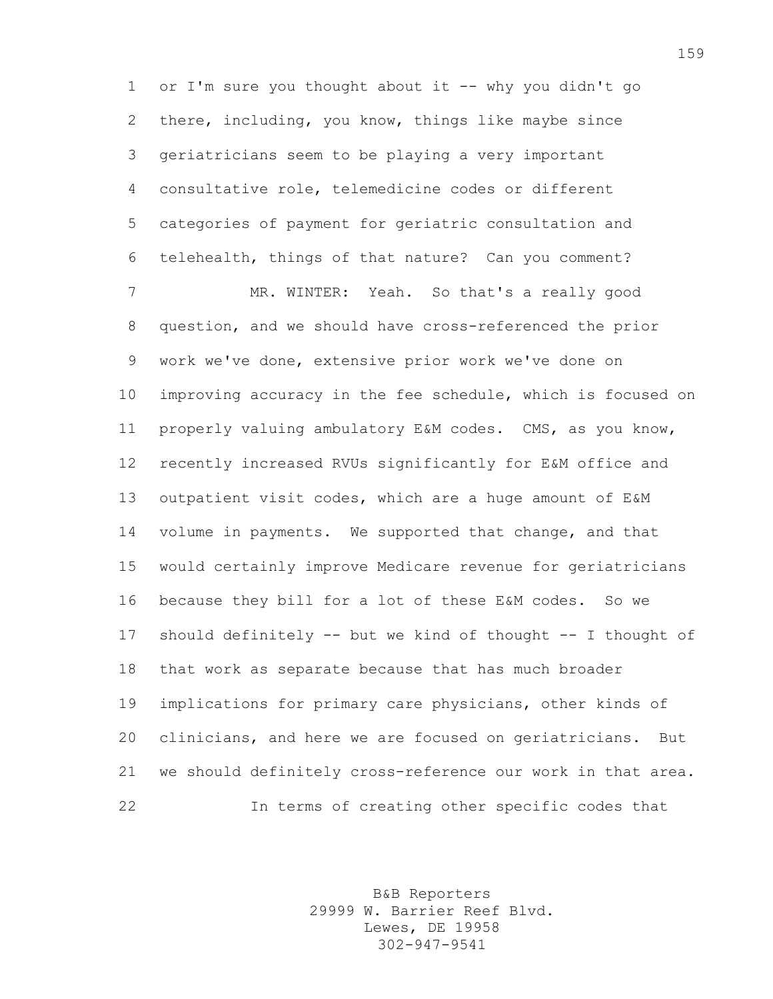or I'm sure you thought about it -- why you didn't go there, including, you know, things like maybe since geriatricians seem to be playing a very important consultative role, telemedicine codes or different categories of payment for geriatric consultation and telehealth, things of that nature? Can you comment?

 MR. WINTER: Yeah. So that's a really good question, and we should have cross-referenced the prior work we've done, extensive prior work we've done on improving accuracy in the fee schedule, which is focused on properly valuing ambulatory E&M codes. CMS, as you know, recently increased RVUs significantly for E&M office and outpatient visit codes, which are a huge amount of E&M volume in payments. We supported that change, and that would certainly improve Medicare revenue for geriatricians because they bill for a lot of these E&M codes. So we should definitely -- but we kind of thought -- I thought of that work as separate because that has much broader implications for primary care physicians, other kinds of clinicians, and here we are focused on geriatricians. But we should definitely cross-reference our work in that area. In terms of creating other specific codes that

> B&B Reporters 29999 W. Barrier Reef Blvd. Lewes, DE 19958 302-947-9541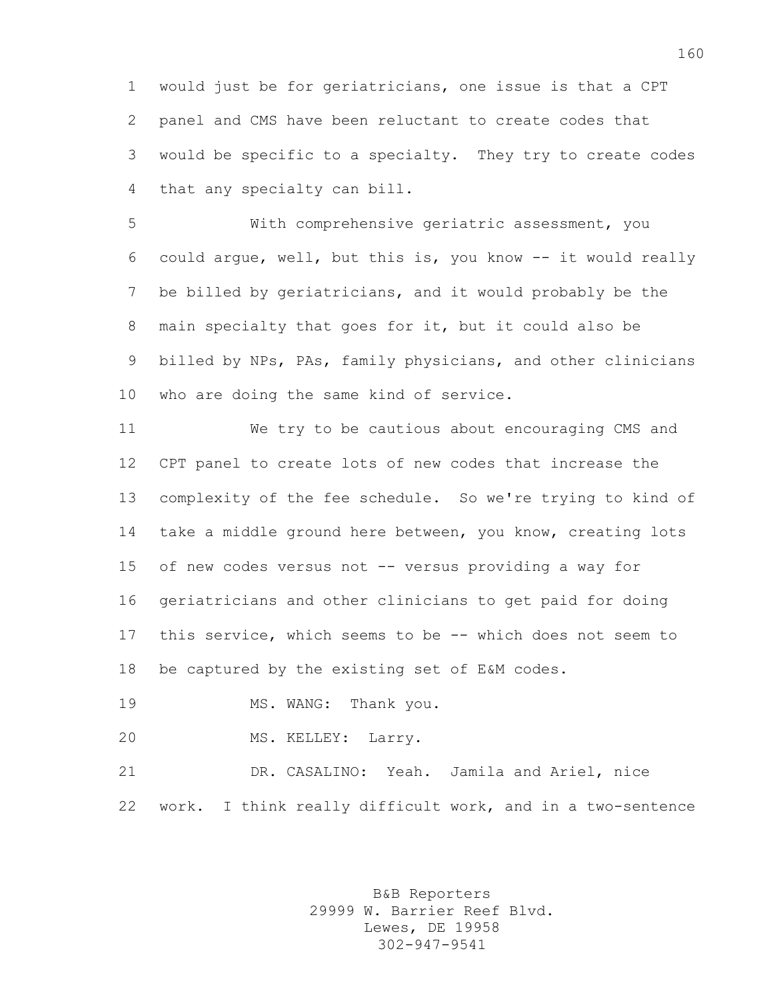would just be for geriatricians, one issue is that a CPT panel and CMS have been reluctant to create codes that would be specific to a specialty. They try to create codes that any specialty can bill.

 With comprehensive geriatric assessment, you could argue, well, but this is, you know -- it would really be billed by geriatricians, and it would probably be the main specialty that goes for it, but it could also be billed by NPs, PAs, family physicians, and other clinicians who are doing the same kind of service.

 We try to be cautious about encouraging CMS and CPT panel to create lots of new codes that increase the complexity of the fee schedule. So we're trying to kind of take a middle ground here between, you know, creating lots of new codes versus not -- versus providing a way for geriatricians and other clinicians to get paid for doing this service, which seems to be -- which does not seem to be captured by the existing set of E&M codes.

19 MS. WANG: Thank you.

MS. KELLEY: Larry.

 DR. CASALINO: Yeah. Jamila and Ariel, nice work. I think really difficult work, and in a two-sentence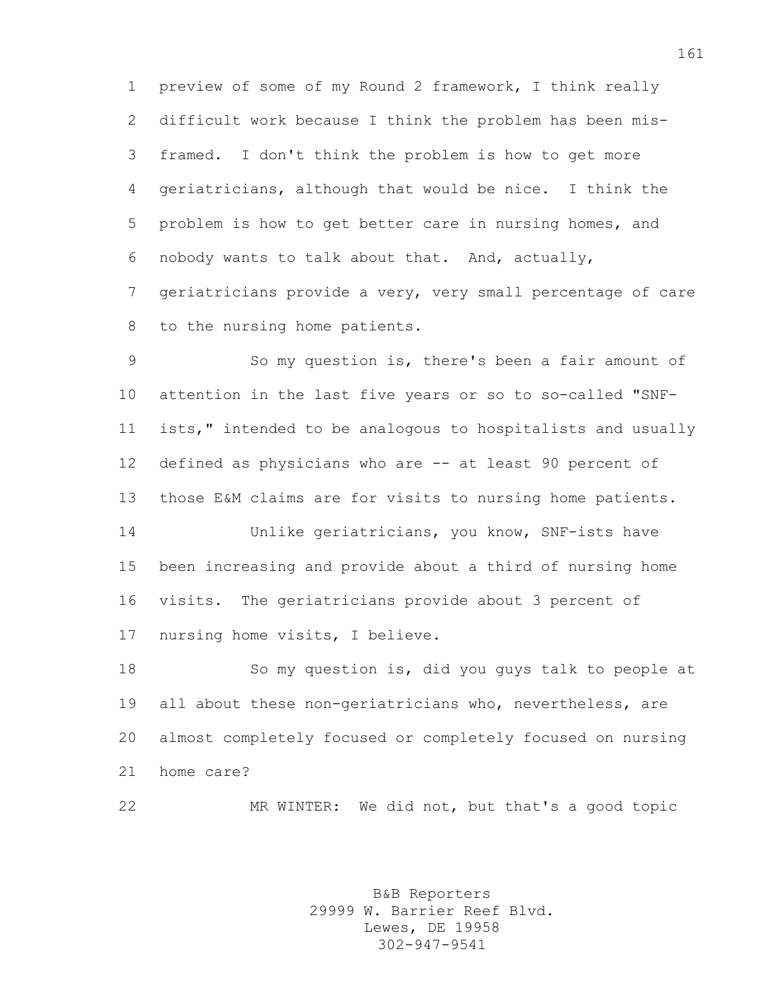preview of some of my Round 2 framework, I think really difficult work because I think the problem has been mis- framed. I don't think the problem is how to get more geriatricians, although that would be nice. I think the problem is how to get better care in nursing homes, and nobody wants to talk about that. And, actually, geriatricians provide a very, very small percentage of care to the nursing home patients.

 So my question is, there's been a fair amount of attention in the last five years or so to so-called "SNF- ists," intended to be analogous to hospitalists and usually defined as physicians who are -- at least 90 percent of those E&M claims are for visits to nursing home patients.

 Unlike geriatricians, you know, SNF-ists have been increasing and provide about a third of nursing home visits. The geriatricians provide about 3 percent of nursing home visits, I believe.

 So my question is, did you guys talk to people at all about these non-geriatricians who, nevertheless, are almost completely focused or completely focused on nursing home care?

MR WINTER: We did not, but that's a good topic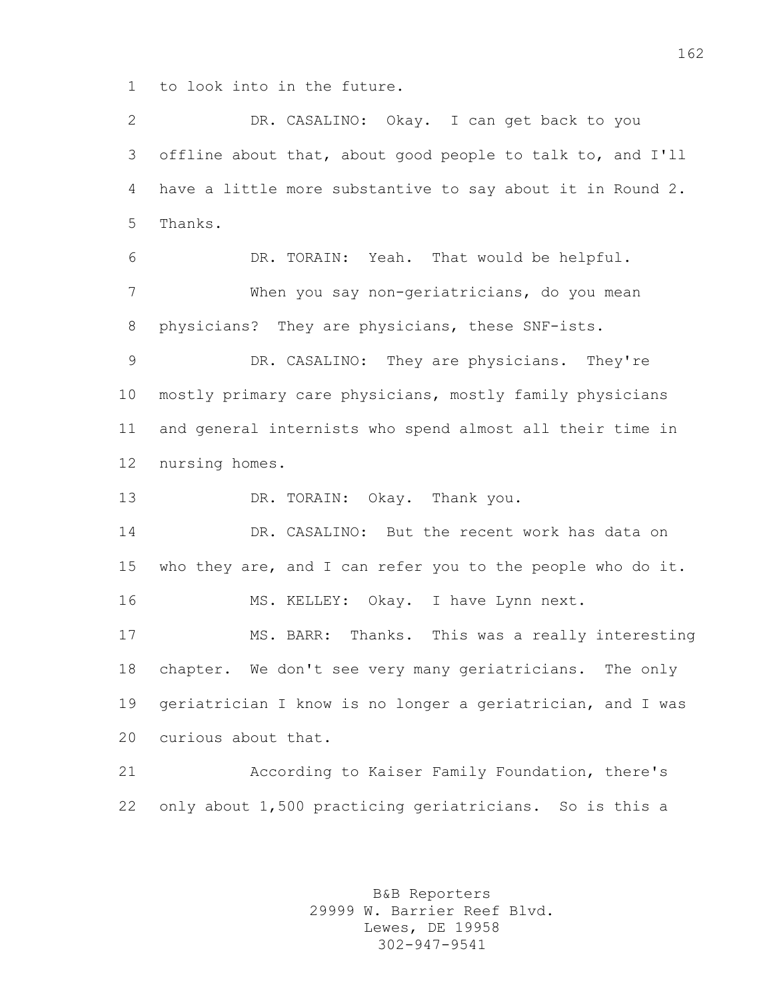to look into in the future.

 DR. CASALINO: Okay. I can get back to you offline about that, about good people to talk to, and I'll have a little more substantive to say about it in Round 2. Thanks. DR. TORAIN: Yeah. That would be helpful. When you say non-geriatricians, do you mean physicians? They are physicians, these SNF-ists. DR. CASALINO: They are physicians. They're mostly primary care physicians, mostly family physicians and general internists who spend almost all their time in nursing homes. DR. TORAIN: Okay. Thank you. DR. CASALINO: But the recent work has data on who they are, and I can refer you to the people who do it. MS. KELLEY: Okay. I have Lynn next. MS. BARR: Thanks. This was a really interesting chapter. We don't see very many geriatricians. The only geriatrician I know is no longer a geriatrician, and I was curious about that. According to Kaiser Family Foundation, there's only about 1,500 practicing geriatricians. So is this a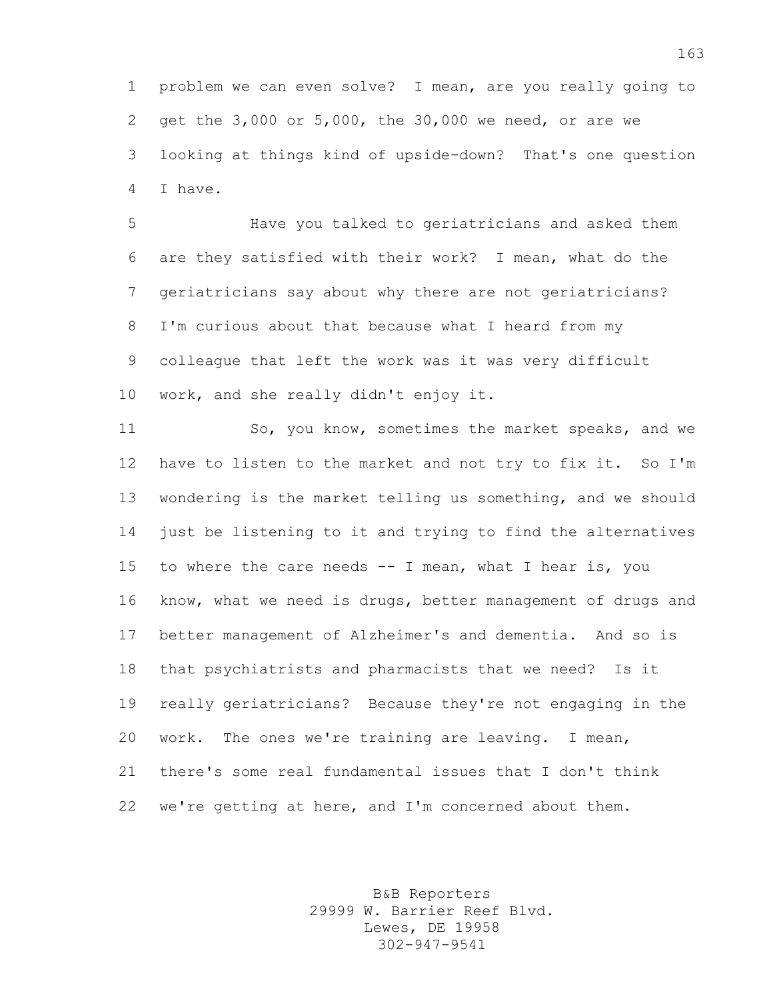problem we can even solve? I mean, are you really going to get the 3,000 or 5,000, the 30,000 we need, or are we looking at things kind of upside-down? That's one question I have.

 Have you talked to geriatricians and asked them are they satisfied with their work? I mean, what do the geriatricians say about why there are not geriatricians? I'm curious about that because what I heard from my colleague that left the work was it was very difficult work, and she really didn't enjoy it.

 So, you know, sometimes the market speaks, and we have to listen to the market and not try to fix it. So I'm wondering is the market telling us something, and we should just be listening to it and trying to find the alternatives to where the care needs -- I mean, what I hear is, you know, what we need is drugs, better management of drugs and better management of Alzheimer's and dementia. And so is that psychiatrists and pharmacists that we need? Is it really geriatricians? Because they're not engaging in the work. The ones we're training are leaving. I mean, there's some real fundamental issues that I don't think we're getting at here, and I'm concerned about them.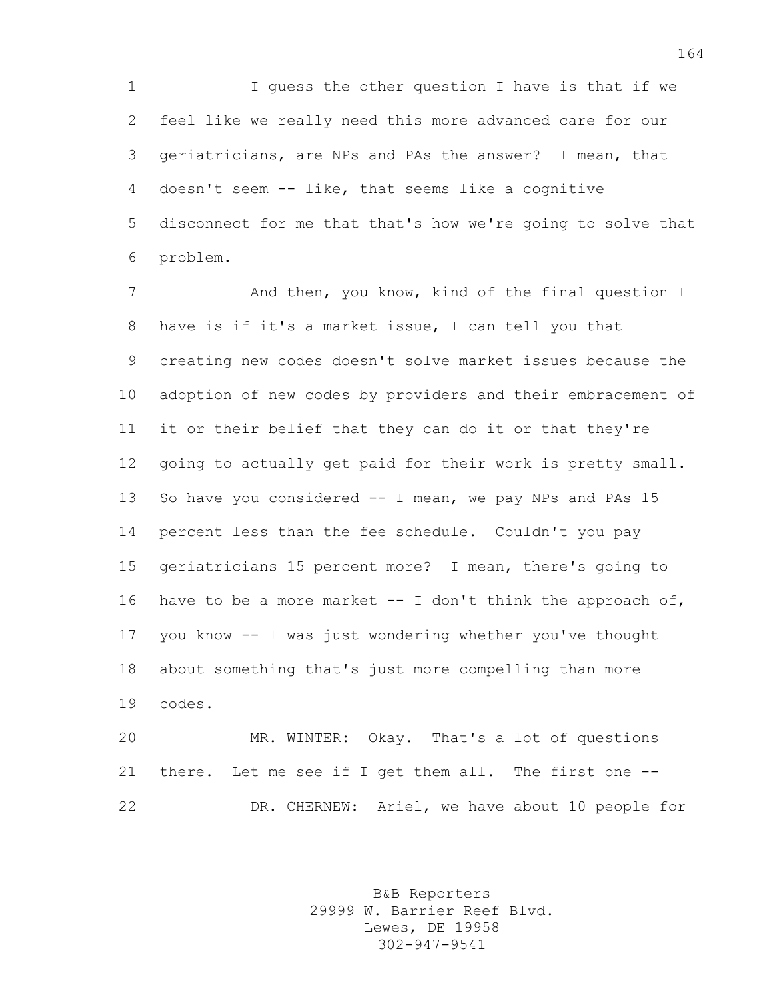1 I guess the other question I have is that if we feel like we really need this more advanced care for our geriatricians, are NPs and PAs the answer? I mean, that doesn't seem -- like, that seems like a cognitive disconnect for me that that's how we're going to solve that problem.

7 And then, you know, kind of the final question I have is if it's a market issue, I can tell you that creating new codes doesn't solve market issues because the adoption of new codes by providers and their embracement of it or their belief that they can do it or that they're going to actually get paid for their work is pretty small. So have you considered -- I mean, we pay NPs and PAs 15 percent less than the fee schedule. Couldn't you pay geriatricians 15 percent more? I mean, there's going to 16 have to be a more market  $-$  I don't think the approach of, you know -- I was just wondering whether you've thought about something that's just more compelling than more codes.

 MR. WINTER: Okay. That's a lot of questions there. Let me see if I get them all. The first one -- DR. CHERNEW: Ariel, we have about 10 people for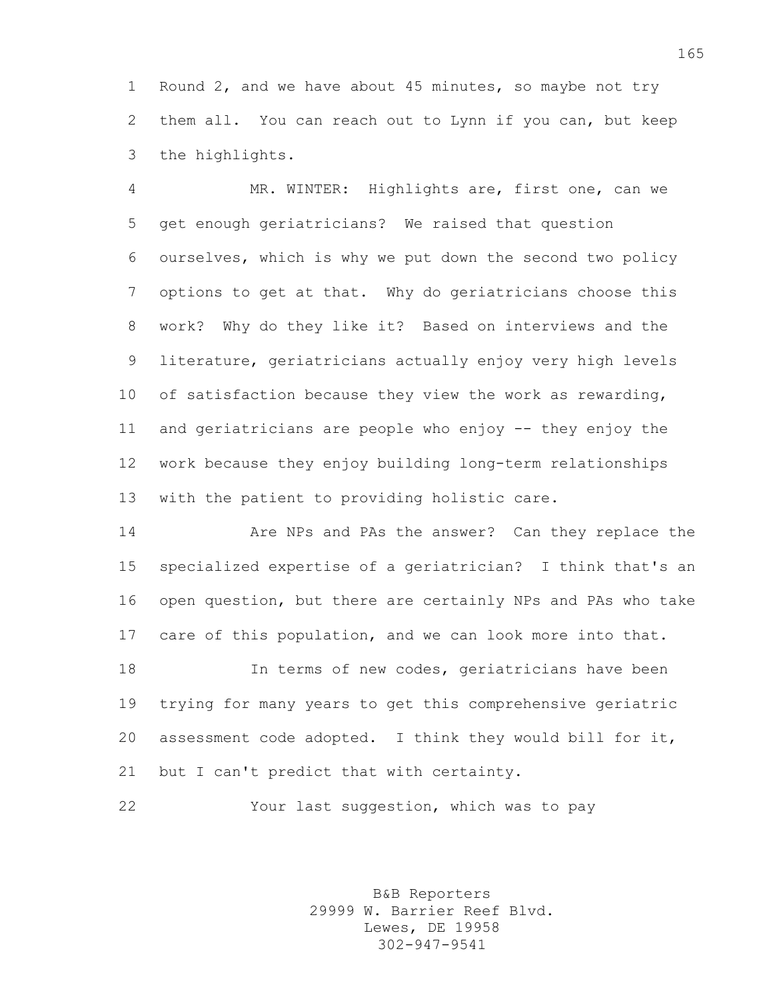Round 2, and we have about 45 minutes, so maybe not try them all. You can reach out to Lynn if you can, but keep the highlights.

 MR. WINTER: Highlights are, first one, can we get enough geriatricians? We raised that question ourselves, which is why we put down the second two policy options to get at that. Why do geriatricians choose this work? Why do they like it? Based on interviews and the literature, geriatricians actually enjoy very high levels of satisfaction because they view the work as rewarding, and geriatricians are people who enjoy -- they enjoy the work because they enjoy building long-term relationships with the patient to providing holistic care.

**Are NPs and PAs the answer?** Can they replace the specialized expertise of a geriatrician? I think that's an open question, but there are certainly NPs and PAs who take care of this population, and we can look more into that. In terms of new codes, geriatricians have been

 trying for many years to get this comprehensive geriatric assessment code adopted. I think they would bill for it, 21 but I can't predict that with certainty.

Your last suggestion, which was to pay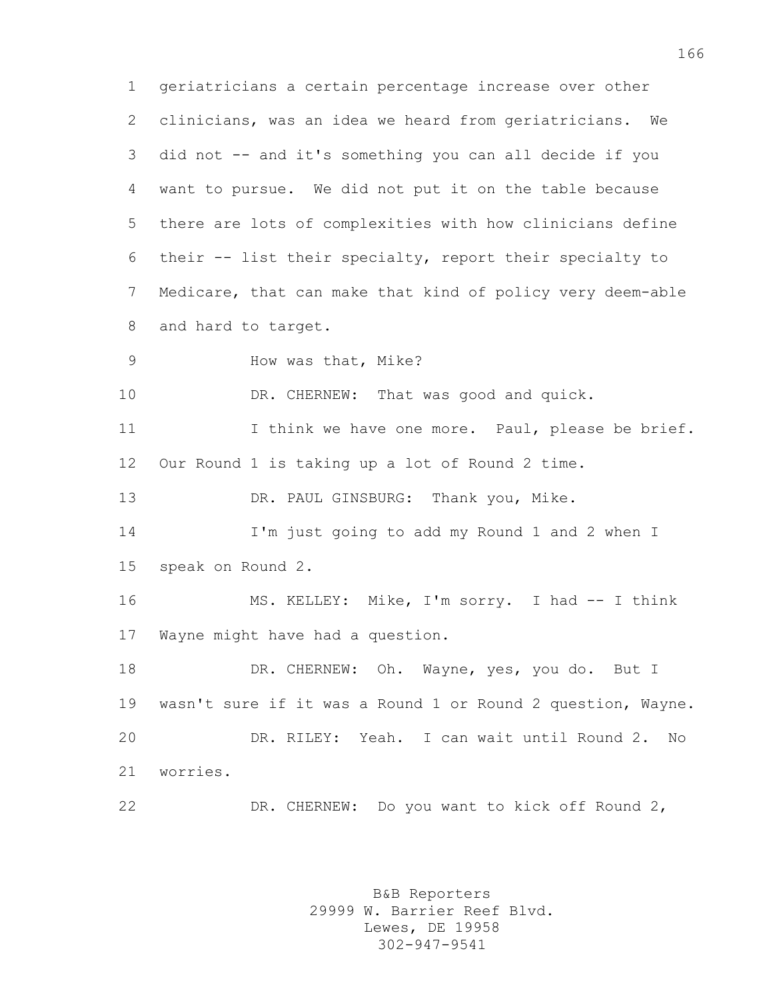geriatricians a certain percentage increase over other clinicians, was an idea we heard from geriatricians. We did not -- and it's something you can all decide if you want to pursue. We did not put it on the table because there are lots of complexities with how clinicians define their -- list their specialty, report their specialty to Medicare, that can make that kind of policy very deem-able and hard to target. How was that, Mike? 10 DR. CHERNEW: That was good and quick. 11 11 I think we have one more. Paul, please be brief. Our Round 1 is taking up a lot of Round 2 time. DR. PAUL GINSBURG: Thank you, Mike. I'm just going to add my Round 1 and 2 when I speak on Round 2. 16 MS. KELLEY: Mike, I'm sorry. I had -- I think Wayne might have had a question. 18 DR. CHERNEW: Oh. Wayne, yes, you do. But I wasn't sure if it was a Round 1 or Round 2 question, Wayne. DR. RILEY: Yeah. I can wait until Round 2. No worries. DR. CHERNEW: Do you want to kick off Round 2,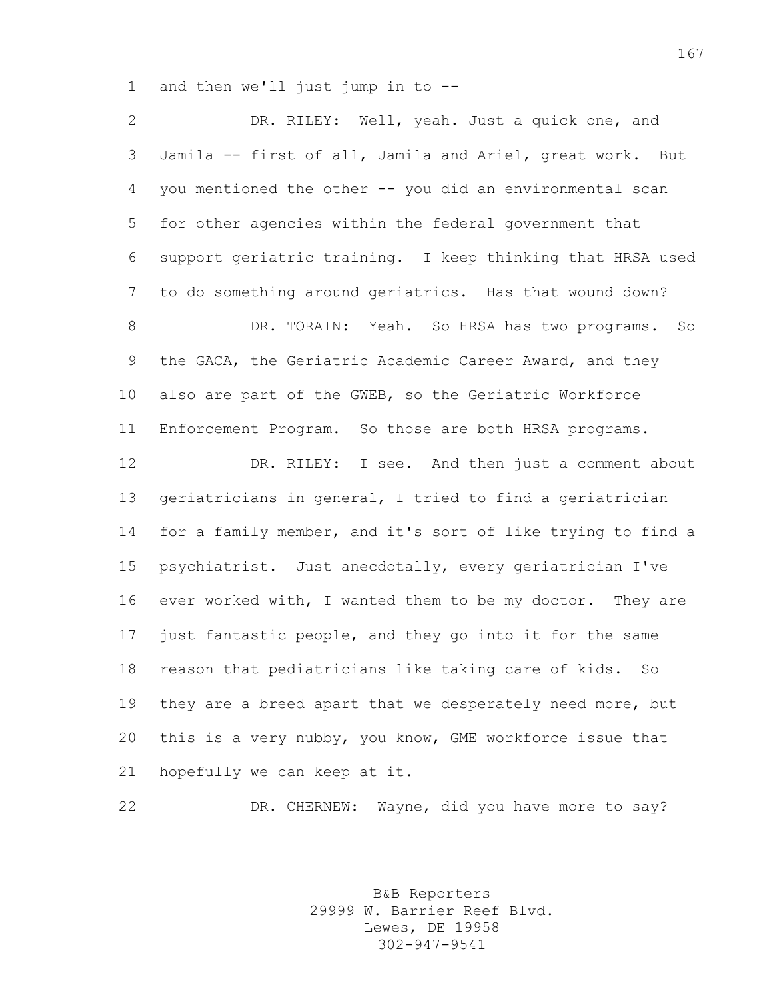and then we'll just jump in to --

 DR. RILEY: Well, yeah. Just a quick one, and Jamila -- first of all, Jamila and Ariel, great work. But you mentioned the other -- you did an environmental scan for other agencies within the federal government that support geriatric training. I keep thinking that HRSA used to do something around geriatrics. Has that wound down? DR. TORAIN: Yeah. So HRSA has two programs. So the GACA, the Geriatric Academic Career Award, and they also are part of the GWEB, so the Geriatric Workforce Enforcement Program. So those are both HRSA programs. DR. RILEY: I see. And then just a comment about geriatricians in general, I tried to find a geriatrician for a family member, and it's sort of like trying to find a psychiatrist. Just anecdotally, every geriatrician I've ever worked with, I wanted them to be my doctor. They are just fantastic people, and they go into it for the same reason that pediatricians like taking care of kids. So 19 they are a breed apart that we desperately need more, but this is a very nubby, you know, GME workforce issue that hopefully we can keep at it.

DR. CHERNEW: Wayne, did you have more to say?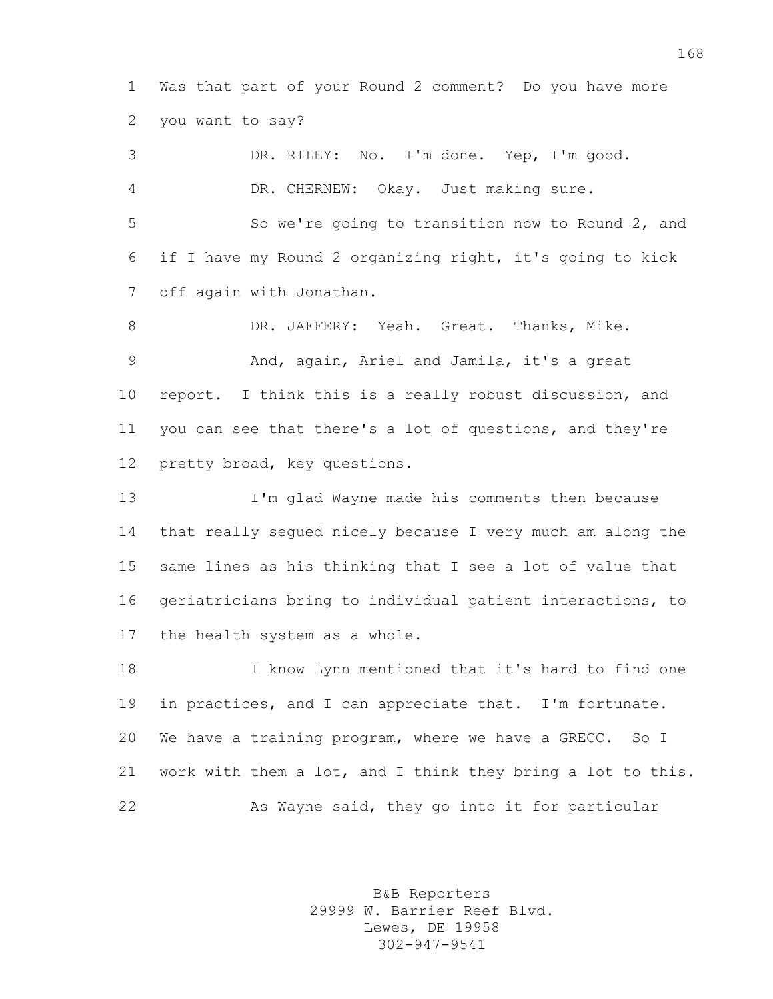Was that part of your Round 2 comment? Do you have more you want to say?

 DR. RILEY: No. I'm done. Yep, I'm good. DR. CHERNEW: Okay. Just making sure. So we're going to transition now to Round 2, and if I have my Round 2 organizing right, it's going to kick off again with Jonathan. DR. JAFFERY: Yeah. Great. Thanks, Mike. And, again, Ariel and Jamila, it's a great report. I think this is a really robust discussion, and you can see that there's a lot of questions, and they're pretty broad, key questions.

 I'm glad Wayne made his comments then because that really segued nicely because I very much am along the same lines as his thinking that I see a lot of value that geriatricians bring to individual patient interactions, to the health system as a whole.

 I know Lynn mentioned that it's hard to find one in practices, and I can appreciate that. I'm fortunate. We have a training program, where we have a GRECC. So I work with them a lot, and I think they bring a lot to this. As Wayne said, they go into it for particular

> B&B Reporters 29999 W. Barrier Reef Blvd. Lewes, DE 19958 302-947-9541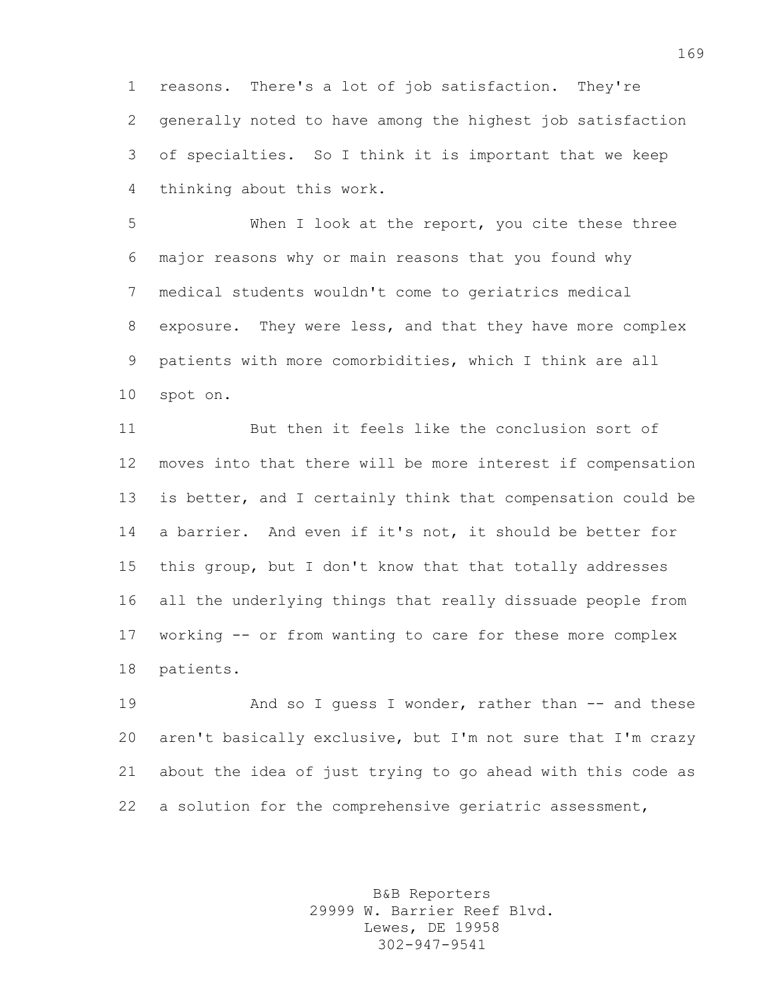reasons. There's a lot of job satisfaction. They're generally noted to have among the highest job satisfaction of specialties. So I think it is important that we keep thinking about this work.

 When I look at the report, you cite these three major reasons why or main reasons that you found why medical students wouldn't come to geriatrics medical exposure. They were less, and that they have more complex patients with more comorbidities, which I think are all spot on.

 But then it feels like the conclusion sort of moves into that there will be more interest if compensation is better, and I certainly think that compensation could be a barrier. And even if it's not, it should be better for this group, but I don't know that that totally addresses all the underlying things that really dissuade people from working -- or from wanting to care for these more complex patients.

19 And so I quess I wonder, rather than -- and these aren't basically exclusive, but I'm not sure that I'm crazy about the idea of just trying to go ahead with this code as a solution for the comprehensive geriatric assessment,

> B&B Reporters 29999 W. Barrier Reef Blvd. Lewes, DE 19958 302-947-9541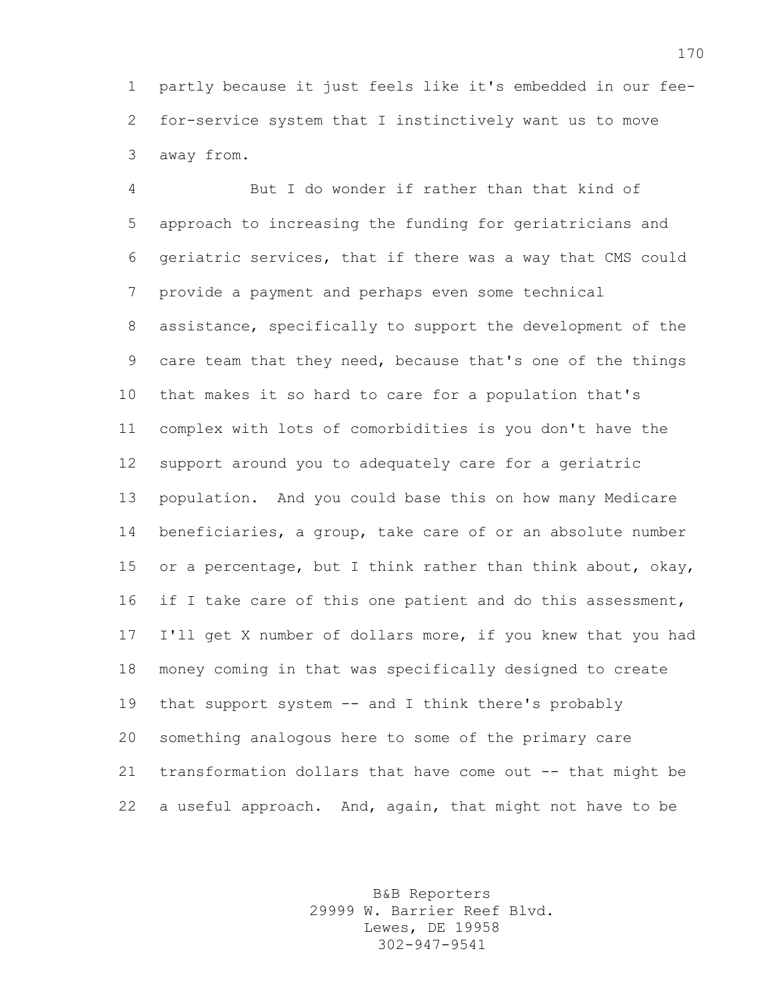partly because it just feels like it's embedded in our fee- for-service system that I instinctively want us to move away from.

 But I do wonder if rather than that kind of approach to increasing the funding for geriatricians and geriatric services, that if there was a way that CMS could provide a payment and perhaps even some technical assistance, specifically to support the development of the care team that they need, because that's one of the things that makes it so hard to care for a population that's complex with lots of comorbidities is you don't have the support around you to adequately care for a geriatric population. And you could base this on how many Medicare beneficiaries, a group, take care of or an absolute number 15 or a percentage, but I think rather than think about, okay, 16 if I take care of this one patient and do this assessment, I'll get X number of dollars more, if you knew that you had money coming in that was specifically designed to create that support system -- and I think there's probably something analogous here to some of the primary care transformation dollars that have come out -- that might be a useful approach. And, again, that might not have to be

> B&B Reporters 29999 W. Barrier Reef Blvd. Lewes, DE 19958 302-947-9541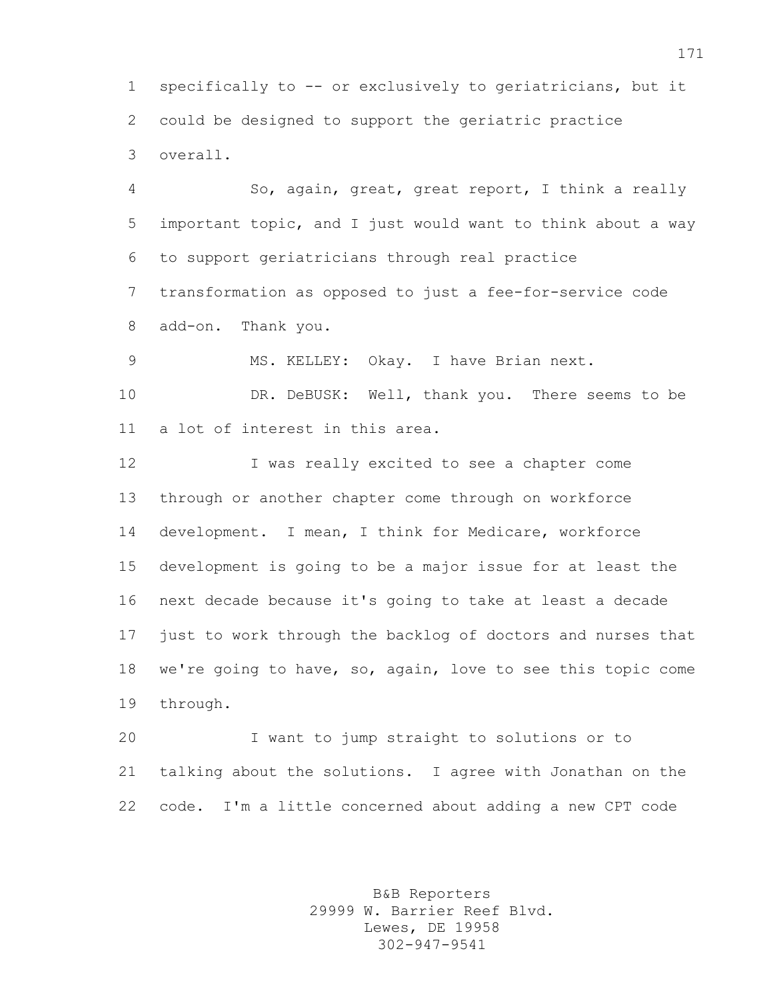specifically to -- or exclusively to geriatricians, but it could be designed to support the geriatric practice overall.

 So, again, great, great report, I think a really important topic, and I just would want to think about a way to support geriatricians through real practice transformation as opposed to just a fee-for-service code add-on. Thank you.

MS. KELLEY: Okay. I have Brian next.

10 DR. DeBUSK: Well, thank you. There seems to be a lot of interest in this area.

 I was really excited to see a chapter come through or another chapter come through on workforce development. I mean, I think for Medicare, workforce development is going to be a major issue for at least the next decade because it's going to take at least a decade just to work through the backlog of doctors and nurses that we're going to have, so, again, love to see this topic come through.

 I want to jump straight to solutions or to talking about the solutions. I agree with Jonathan on the code. I'm a little concerned about adding a new CPT code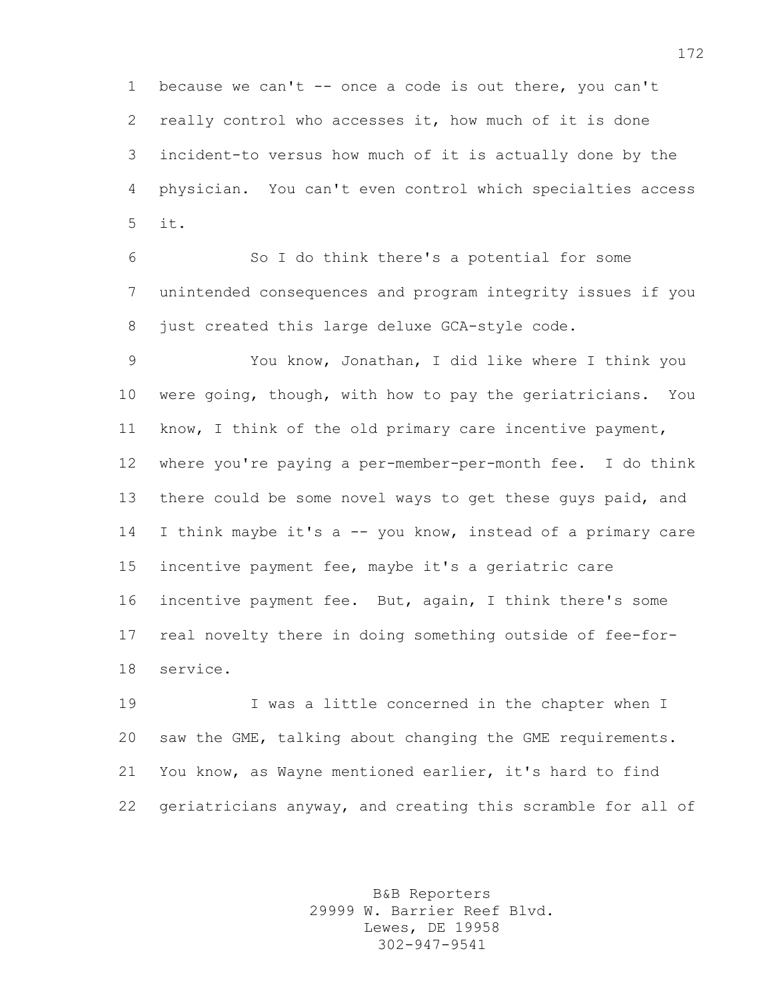because we can't -- once a code is out there, you can't really control who accesses it, how much of it is done incident-to versus how much of it is actually done by the physician. You can't even control which specialties access it.

 So I do think there's a potential for some unintended consequences and program integrity issues if you 8 just created this large deluxe GCA-style code.

 You know, Jonathan, I did like where I think you were going, though, with how to pay the geriatricians. You know, I think of the old primary care incentive payment, where you're paying a per-member-per-month fee. I do think 13 there could be some novel ways to get these guys paid, and 14 I think maybe it's a -- you know, instead of a primary care incentive payment fee, maybe it's a geriatric care incentive payment fee. But, again, I think there's some real novelty there in doing something outside of fee-for-service.

 I was a little concerned in the chapter when I saw the GME, talking about changing the GME requirements. You know, as Wayne mentioned earlier, it's hard to find geriatricians anyway, and creating this scramble for all of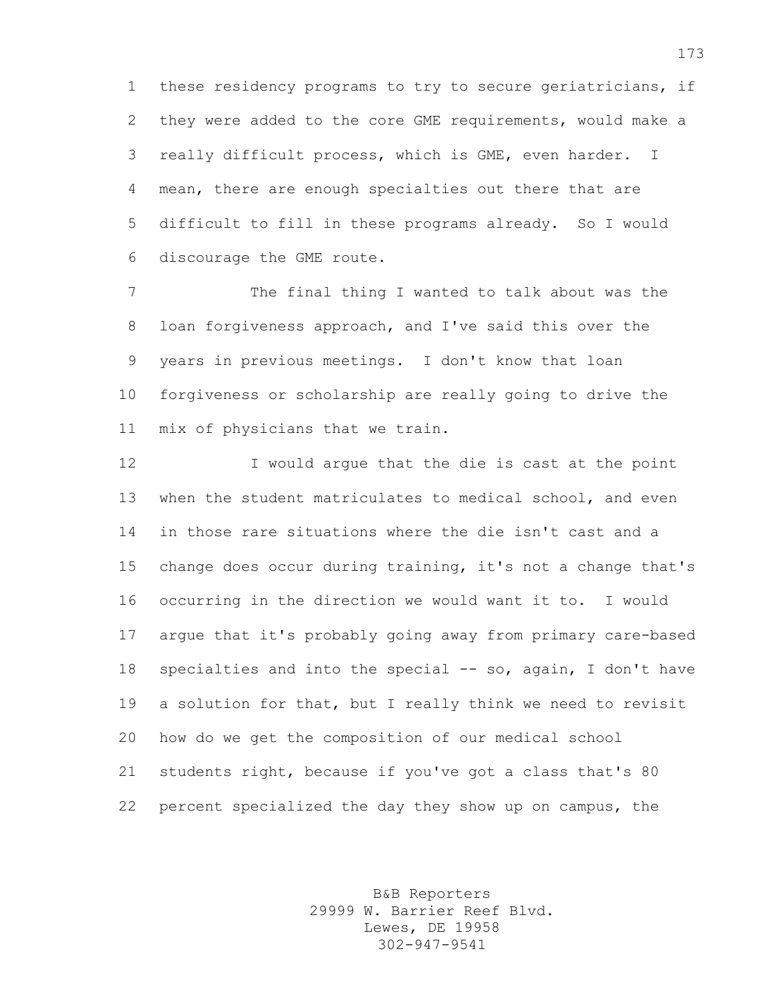these residency programs to try to secure geriatricians, if they were added to the core GME requirements, would make a really difficult process, which is GME, even harder. I mean, there are enough specialties out there that are difficult to fill in these programs already. So I would discourage the GME route.

 The final thing I wanted to talk about was the loan forgiveness approach, and I've said this over the years in previous meetings. I don't know that loan forgiveness or scholarship are really going to drive the mix of physicians that we train.

 I would argue that the die is cast at the point when the student matriculates to medical school, and even in those rare situations where the die isn't cast and a change does occur during training, it's not a change that's occurring in the direction we would want it to. I would argue that it's probably going away from primary care-based specialties and into the special -- so, again, I don't have a solution for that, but I really think we need to revisit how do we get the composition of our medical school students right, because if you've got a class that's 80 percent specialized the day they show up on campus, the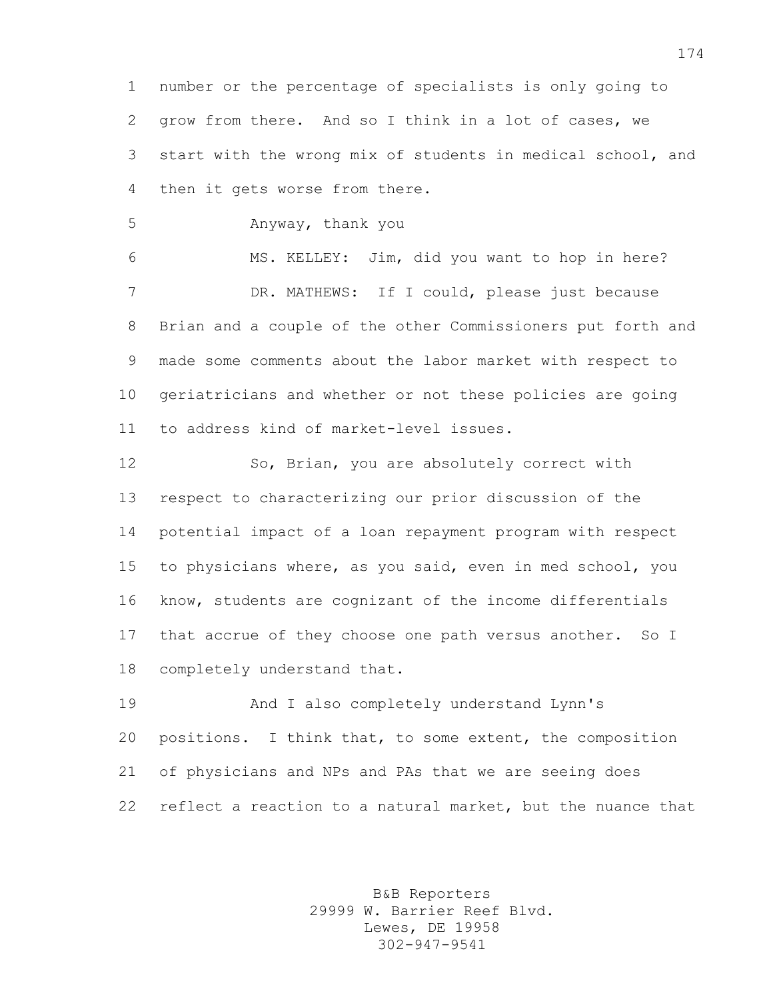number or the percentage of specialists is only going to grow from there. And so I think in a lot of cases, we start with the wrong mix of students in medical school, and then it gets worse from there.

Anyway, thank you

 MS. KELLEY: Jim, did you want to hop in here? DR. MATHEWS: If I could, please just because Brian and a couple of the other Commissioners put forth and made some comments about the labor market with respect to geriatricians and whether or not these policies are going to address kind of market-level issues.

 So, Brian, you are absolutely correct with respect to characterizing our prior discussion of the potential impact of a loan repayment program with respect to physicians where, as you said, even in med school, you know, students are cognizant of the income differentials that accrue of they choose one path versus another. So I completely understand that.

 And I also completely understand Lynn's positions. I think that, to some extent, the composition of physicians and NPs and PAs that we are seeing does reflect a reaction to a natural market, but the nuance that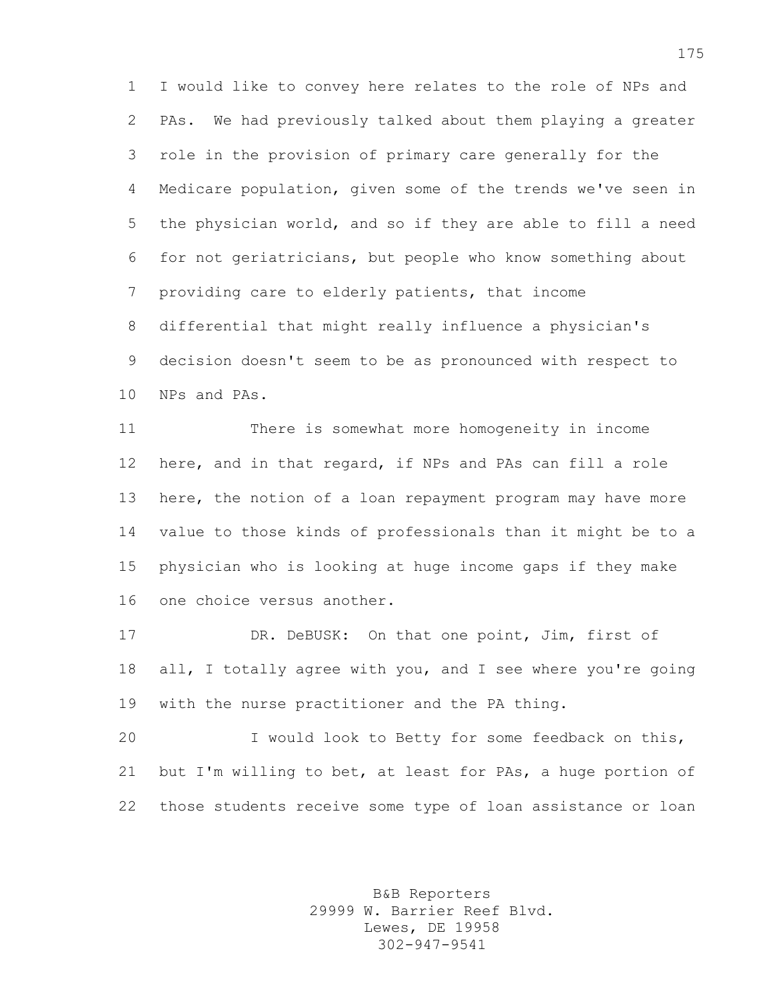I would like to convey here relates to the role of NPs and PAs. We had previously talked about them playing a greater role in the provision of primary care generally for the Medicare population, given some of the trends we've seen in the physician world, and so if they are able to fill a need for not geriatricians, but people who know something about providing care to elderly patients, that income differential that might really influence a physician's decision doesn't seem to be as pronounced with respect to NPs and PAs.

 There is somewhat more homogeneity in income here, and in that regard, if NPs and PAs can fill a role 13 here, the notion of a loan repayment program may have more value to those kinds of professionals than it might be to a physician who is looking at huge income gaps if they make one choice versus another.

 DR. DeBUSK: On that one point, Jim, first of all, I totally agree with you, and I see where you're going with the nurse practitioner and the PA thing.

 I would look to Betty for some feedback on this, but I'm willing to bet, at least for PAs, a huge portion of those students receive some type of loan assistance or loan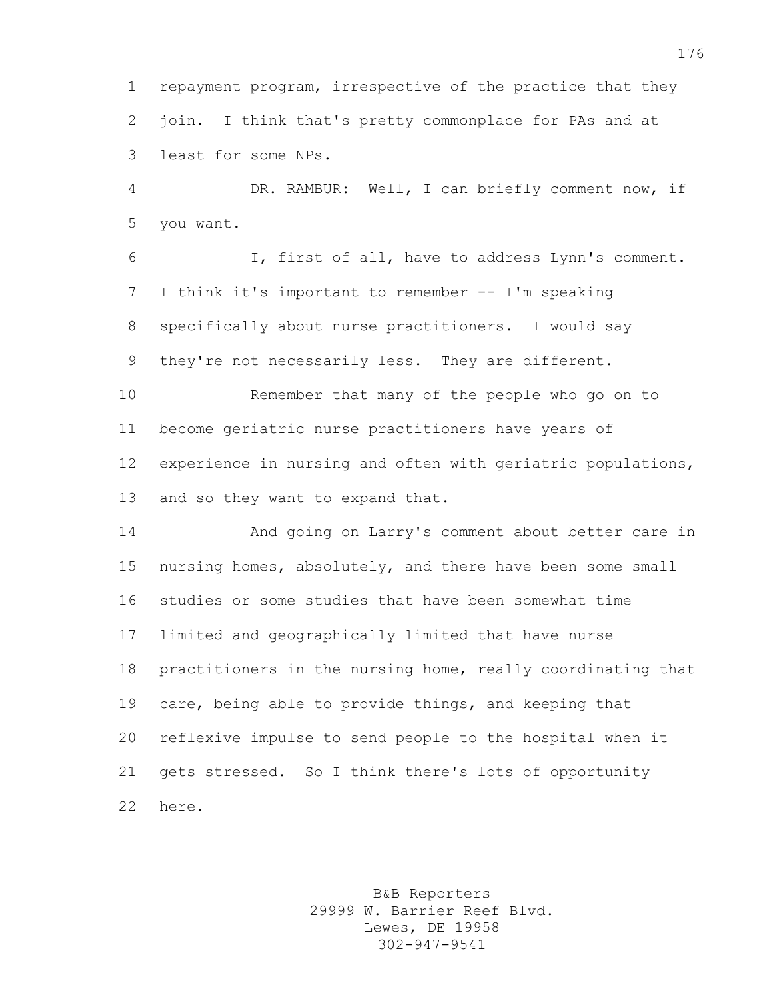repayment program, irrespective of the practice that they join. I think that's pretty commonplace for PAs and at least for some NPs.

 DR. RAMBUR: Well, I can briefly comment now, if you want.

 I, first of all, have to address Lynn's comment. I think it's important to remember -- I'm speaking specifically about nurse practitioners. I would say they're not necessarily less. They are different.

 Remember that many of the people who go on to become geriatric nurse practitioners have years of experience in nursing and often with geriatric populations, and so they want to expand that.

 And going on Larry's comment about better care in nursing homes, absolutely, and there have been some small studies or some studies that have been somewhat time limited and geographically limited that have nurse practitioners in the nursing home, really coordinating that care, being able to provide things, and keeping that reflexive impulse to send people to the hospital when it gets stressed. So I think there's lots of opportunity here.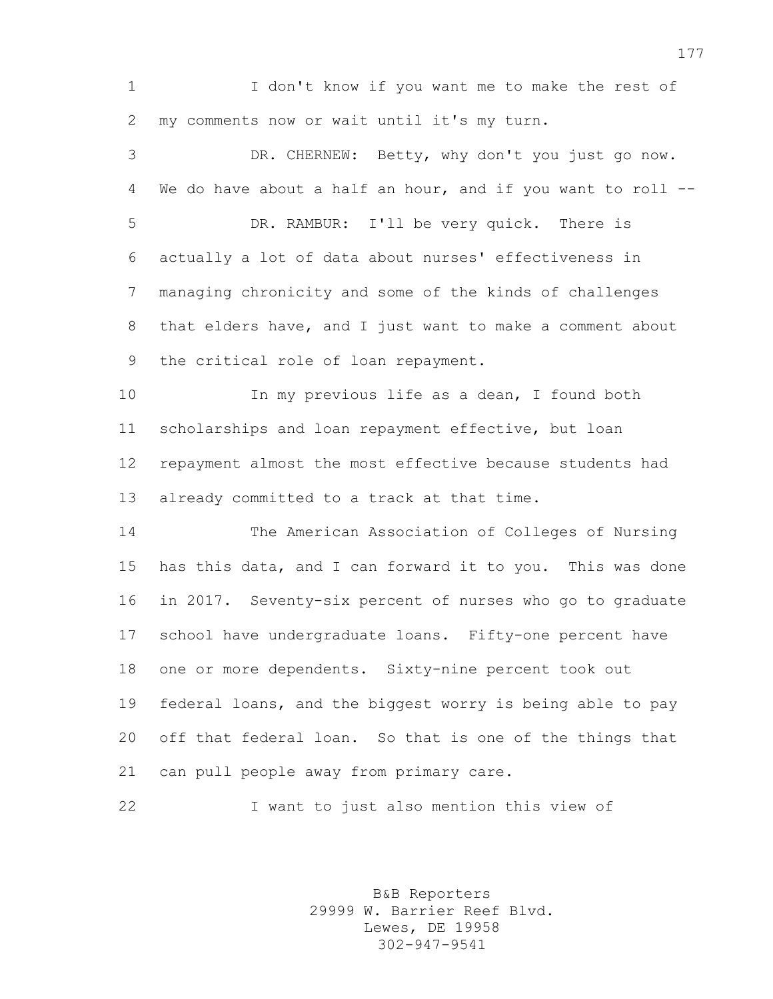I don't know if you want me to make the rest of my comments now or wait until it's my turn.

 DR. CHERNEW: Betty, why don't you just go now. We do have about a half an hour, and if you want to roll -- DR. RAMBUR: I'll be very quick. There is actually a lot of data about nurses' effectiveness in managing chronicity and some of the kinds of challenges that elders have, and I just want to make a comment about the critical role of loan repayment. 10 In my previous life as a dean, I found both scholarships and loan repayment effective, but loan repayment almost the most effective because students had already committed to a track at that time. The American Association of Colleges of Nursing has this data, and I can forward it to you. This was done in 2017. Seventy-six percent of nurses who go to graduate school have undergraduate loans. Fifty-one percent have one or more dependents. Sixty-nine percent took out

 federal loans, and the biggest worry is being able to pay off that federal loan. So that is one of the things that can pull people away from primary care.

I want to just also mention this view of

B&B Reporters 29999 W. Barrier Reef Blvd. Lewes, DE 19958 302-947-9541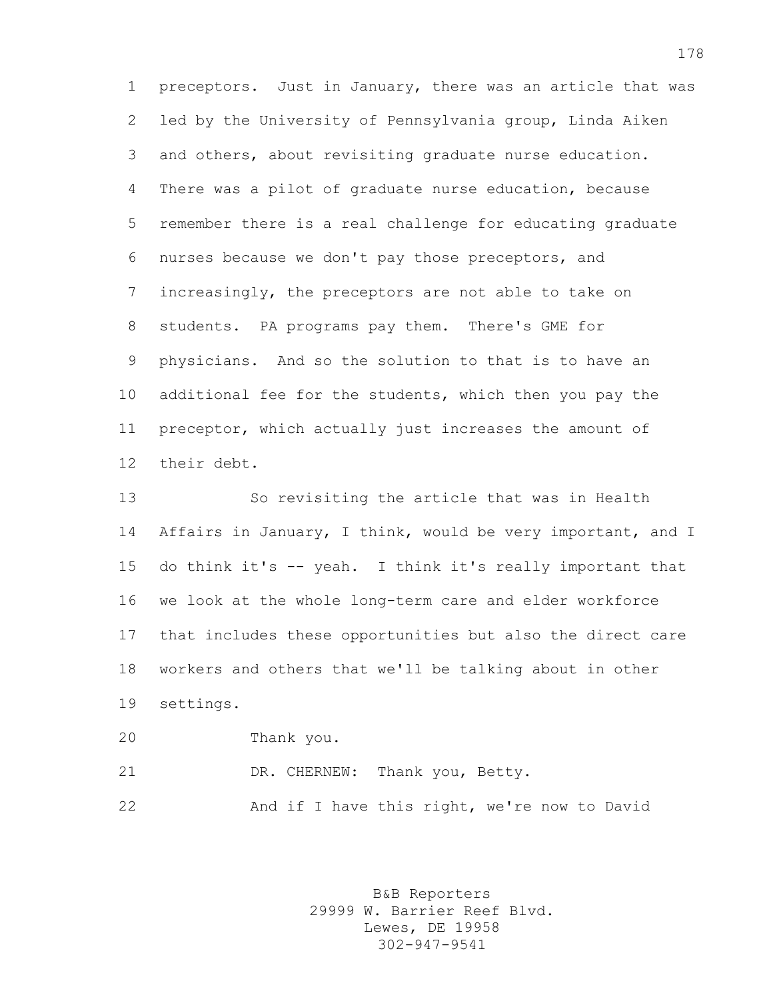preceptors. Just in January, there was an article that was led by the University of Pennsylvania group, Linda Aiken and others, about revisiting graduate nurse education. There was a pilot of graduate nurse education, because remember there is a real challenge for educating graduate nurses because we don't pay those preceptors, and increasingly, the preceptors are not able to take on students. PA programs pay them. There's GME for physicians. And so the solution to that is to have an additional fee for the students, which then you pay the preceptor, which actually just increases the amount of their debt.

 So revisiting the article that was in Health Affairs in January, I think, would be very important, and I do think it's -- yeah. I think it's really important that we look at the whole long-term care and elder workforce that includes these opportunities but also the direct care workers and others that we'll be talking about in other settings.

 Thank you. DR. CHERNEW: Thank you, Betty. And if I have this right, we're now to David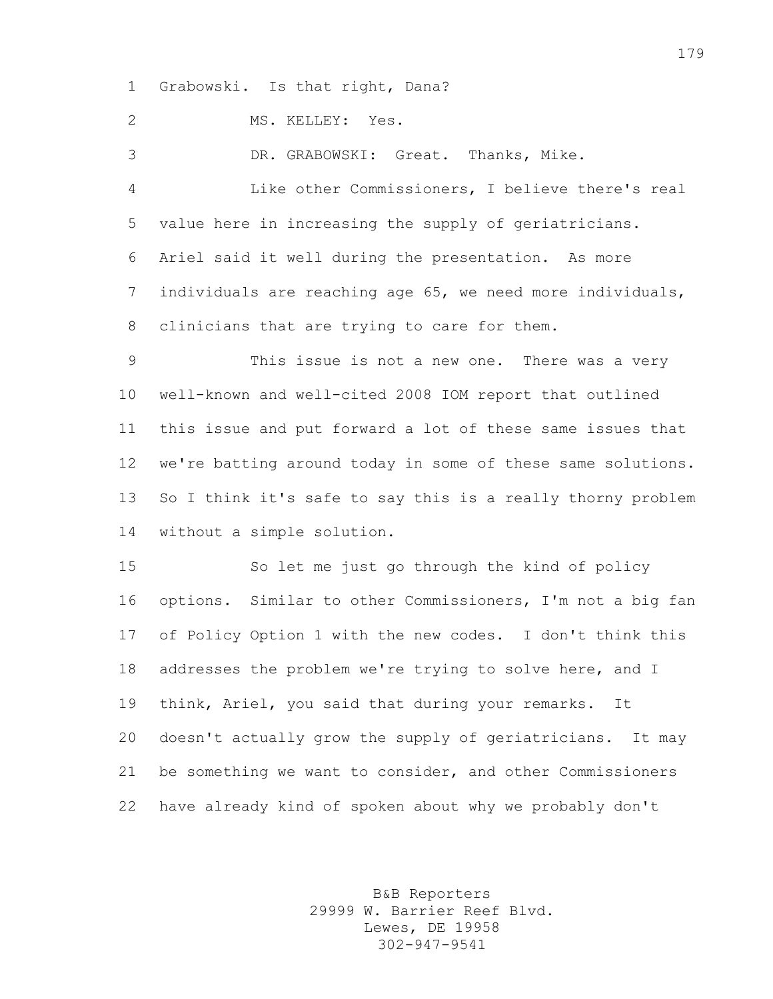Grabowski. Is that right, Dana?

MS. KELLEY: Yes.

 DR. GRABOWSKI: Great. Thanks, Mike. Like other Commissioners, I believe there's real value here in increasing the supply of geriatricians. Ariel said it well during the presentation. As more individuals are reaching age 65, we need more individuals, clinicians that are trying to care for them. This issue is not a new one. There was a very well-known and well-cited 2008 IOM report that outlined this issue and put forward a lot of these same issues that we're batting around today in some of these same solutions.

 So I think it's safe to say this is a really thorny problem without a simple solution.

 So let me just go through the kind of policy options. Similar to other Commissioners, I'm not a big fan of Policy Option 1 with the new codes. I don't think this 18 addresses the problem we're trying to solve here, and I think, Ariel, you said that during your remarks. It doesn't actually grow the supply of geriatricians. It may be something we want to consider, and other Commissioners have already kind of spoken about why we probably don't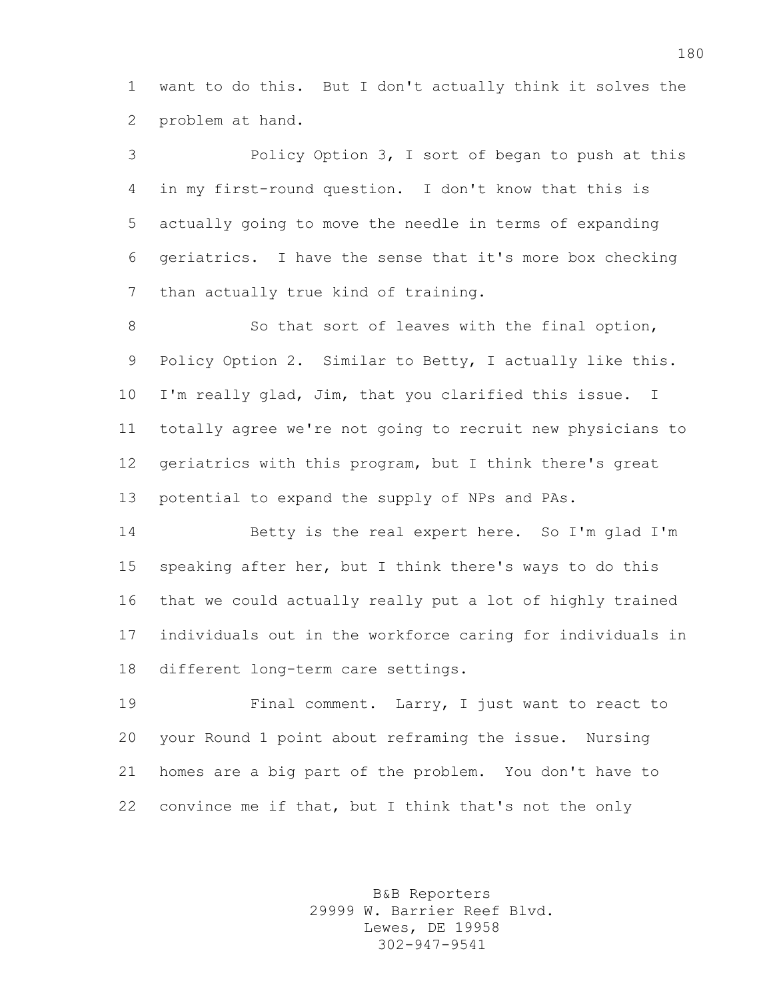want to do this. But I don't actually think it solves the problem at hand.

 Policy Option 3, I sort of began to push at this in my first-round question. I don't know that this is actually going to move the needle in terms of expanding geriatrics. I have the sense that it's more box checking than actually true kind of training.

8 So that sort of leaves with the final option, Policy Option 2. Similar to Betty, I actually like this. I'm really glad, Jim, that you clarified this issue. I totally agree we're not going to recruit new physicians to geriatrics with this program, but I think there's great potential to expand the supply of NPs and PAs.

 Betty is the real expert here. So I'm glad I'm speaking after her, but I think there's ways to do this that we could actually really put a lot of highly trained individuals out in the workforce caring for individuals in different long-term care settings.

 Final comment. Larry, I just want to react to your Round 1 point about reframing the issue. Nursing homes are a big part of the problem. You don't have to convince me if that, but I think that's not the only

> B&B Reporters 29999 W. Barrier Reef Blvd. Lewes, DE 19958 302-947-9541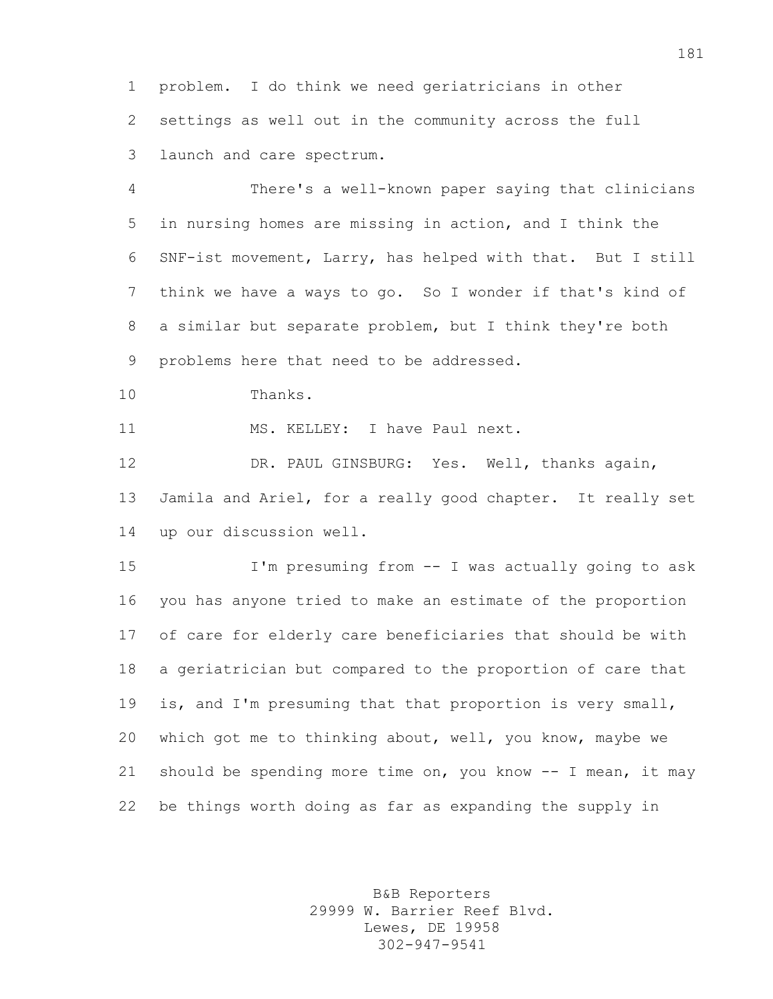problem. I do think we need geriatricians in other settings as well out in the community across the full launch and care spectrum.

 There's a well-known paper saying that clinicians in nursing homes are missing in action, and I think the SNF-ist movement, Larry, has helped with that. But I still think we have a ways to go. So I wonder if that's kind of a similar but separate problem, but I think they're both problems here that need to be addressed.

Thanks.

11 MS. KELLEY: I have Paul next.

 DR. PAUL GINSBURG: Yes. Well, thanks again, Jamila and Ariel, for a really good chapter. It really set up our discussion well.

 I'm presuming from -- I was actually going to ask you has anyone tried to make an estimate of the proportion of care for elderly care beneficiaries that should be with a geriatrician but compared to the proportion of care that is, and I'm presuming that that proportion is very small, which got me to thinking about, well, you know, maybe we should be spending more time on, you know -- I mean, it may be things worth doing as far as expanding the supply in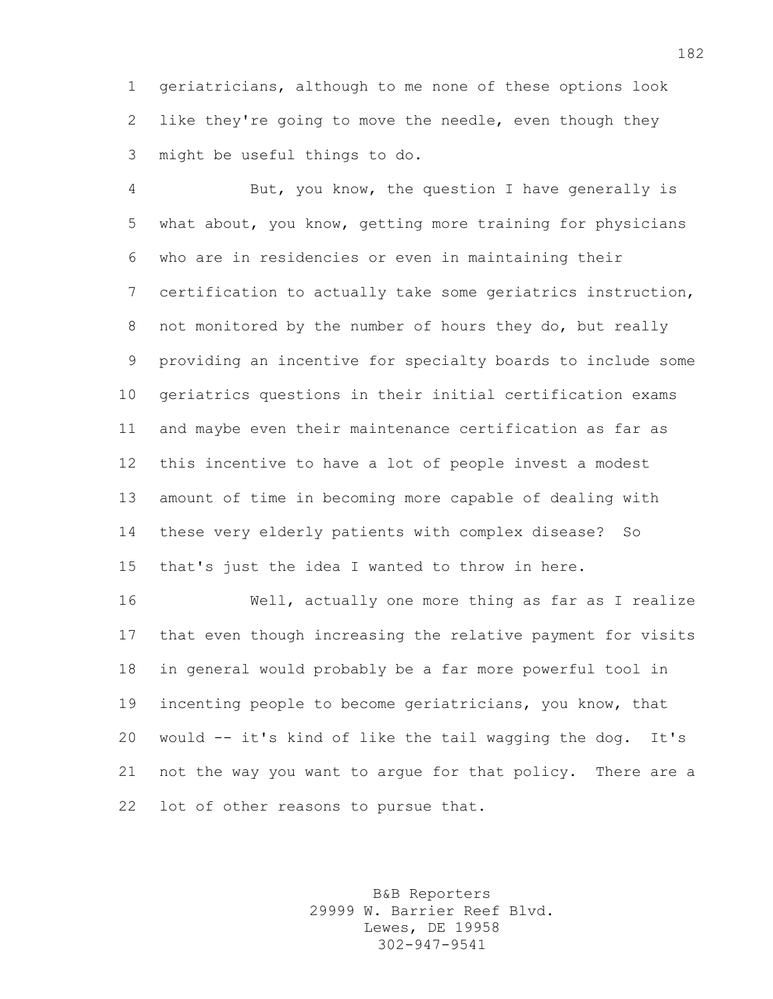geriatricians, although to me none of these options look like they're going to move the needle, even though they might be useful things to do.

 But, you know, the question I have generally is what about, you know, getting more training for physicians who are in residencies or even in maintaining their certification to actually take some geriatrics instruction, not monitored by the number of hours they do, but really providing an incentive for specialty boards to include some geriatrics questions in their initial certification exams and maybe even their maintenance certification as far as this incentive to have a lot of people invest a modest amount of time in becoming more capable of dealing with these very elderly patients with complex disease? So that's just the idea I wanted to throw in here.

 Well, actually one more thing as far as I realize that even though increasing the relative payment for visits in general would probably be a far more powerful tool in incenting people to become geriatricians, you know, that would -- it's kind of like the tail wagging the dog. It's not the way you want to argue for that policy. There are a 22 lot of other reasons to pursue that.

> B&B Reporters 29999 W. Barrier Reef Blvd. Lewes, DE 19958 302-947-9541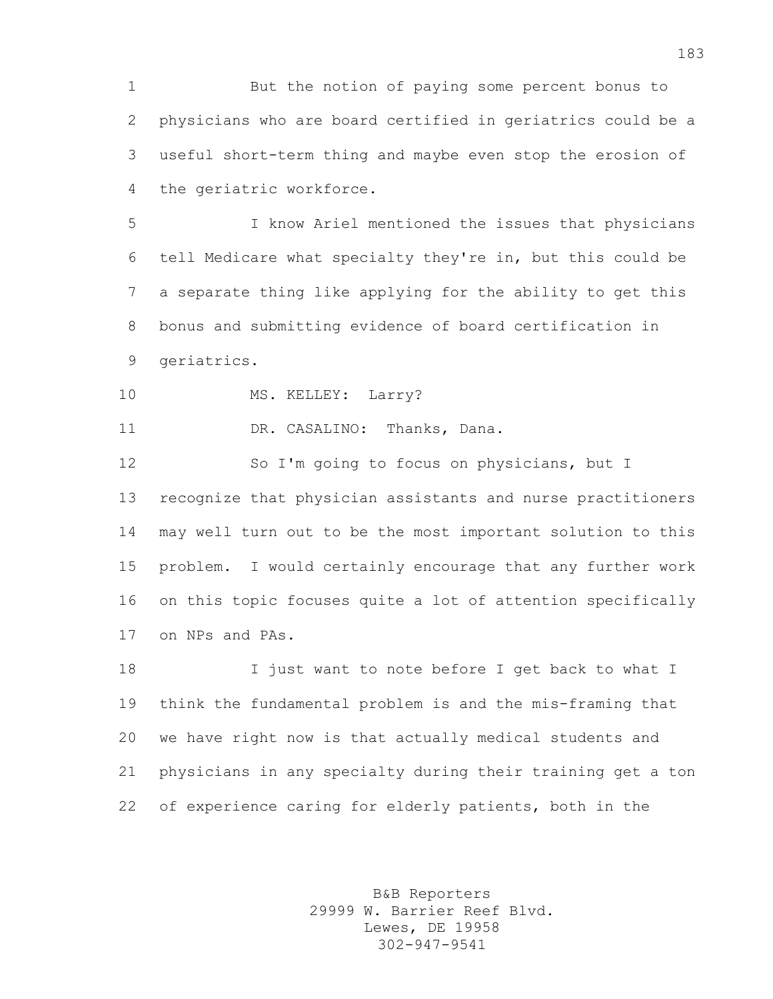But the notion of paying some percent bonus to physicians who are board certified in geriatrics could be a useful short-term thing and maybe even stop the erosion of the geriatric workforce.

 I know Ariel mentioned the issues that physicians tell Medicare what specialty they're in, but this could be a separate thing like applying for the ability to get this bonus and submitting evidence of board certification in geriatrics.

10 MS. KELLEY: Larry?

DR. CASALINO: Thanks, Dana.

 So I'm going to focus on physicians, but I recognize that physician assistants and nurse practitioners may well turn out to be the most important solution to this problem. I would certainly encourage that any further work on this topic focuses quite a lot of attention specifically on NPs and PAs.

18 I just want to note before I get back to what I think the fundamental problem is and the mis-framing that we have right now is that actually medical students and physicians in any specialty during their training get a ton of experience caring for elderly patients, both in the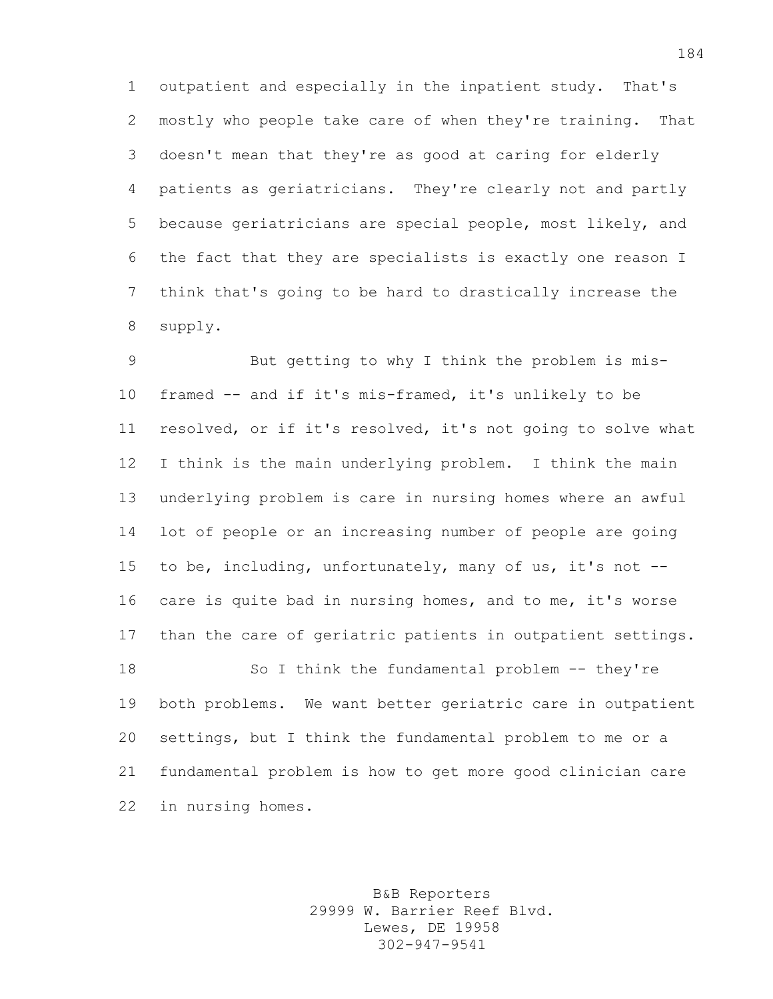outpatient and especially in the inpatient study. That's mostly who people take care of when they're training. That doesn't mean that they're as good at caring for elderly patients as geriatricians. They're clearly not and partly because geriatricians are special people, most likely, and the fact that they are specialists is exactly one reason I think that's going to be hard to drastically increase the supply.

 But getting to why I think the problem is mis- framed -- and if it's mis-framed, it's unlikely to be resolved, or if it's resolved, it's not going to solve what I think is the main underlying problem. I think the main underlying problem is care in nursing homes where an awful lot of people or an increasing number of people are going to be, including, unfortunately, many of us, it's not -- care is quite bad in nursing homes, and to me, it's worse than the care of geriatric patients in outpatient settings. 18 So I think the fundamental problem -- they're both problems. We want better geriatric care in outpatient settings, but I think the fundamental problem to me or a fundamental problem is how to get more good clinician care

in nursing homes.

B&B Reporters 29999 W. Barrier Reef Blvd. Lewes, DE 19958 302-947-9541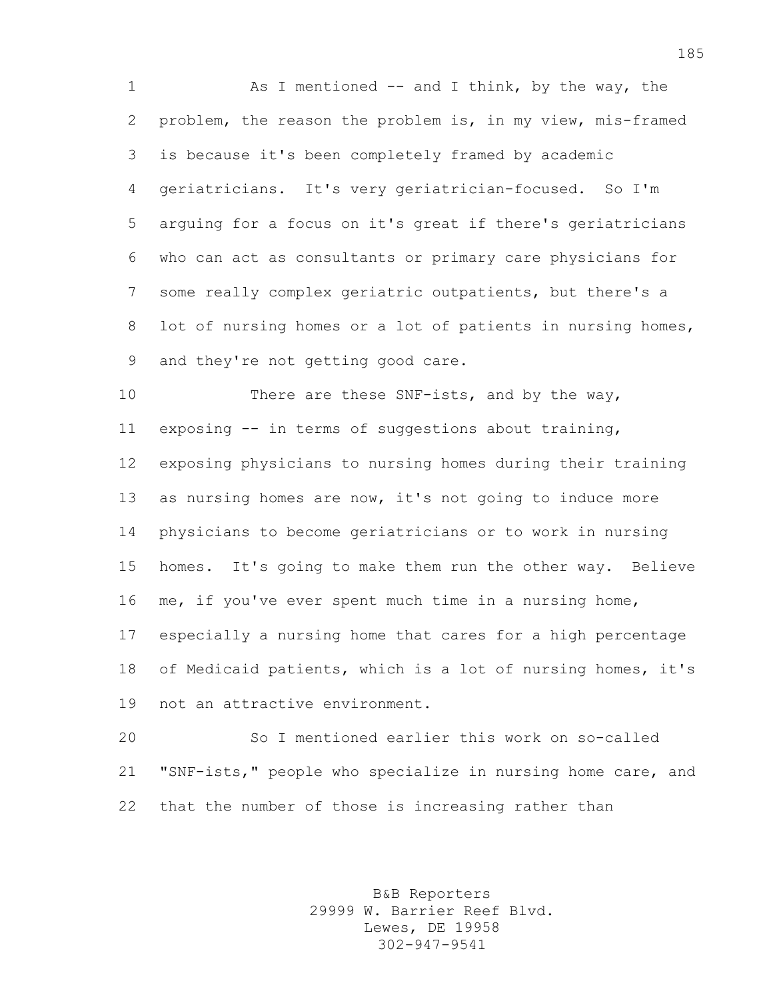1 As I mentioned -- and I think, by the way, the problem, the reason the problem is, in my view, mis-framed is because it's been completely framed by academic geriatricians. It's very geriatrician-focused. So I'm arguing for a focus on it's great if there's geriatricians who can act as consultants or primary care physicians for some really complex geriatric outpatients, but there's a 8 lot of nursing homes or a lot of patients in nursing homes, and they're not getting good care.

10 There are these SNF-ists, and by the way, exposing -- in terms of suggestions about training, exposing physicians to nursing homes during their training as nursing homes are now, it's not going to induce more physicians to become geriatricians or to work in nursing homes. It's going to make them run the other way. Believe me, if you've ever spent much time in a nursing home, especially a nursing home that cares for a high percentage of Medicaid patients, which is a lot of nursing homes, it's not an attractive environment.

 So I mentioned earlier this work on so-called "SNF-ists," people who specialize in nursing home care, and that the number of those is increasing rather than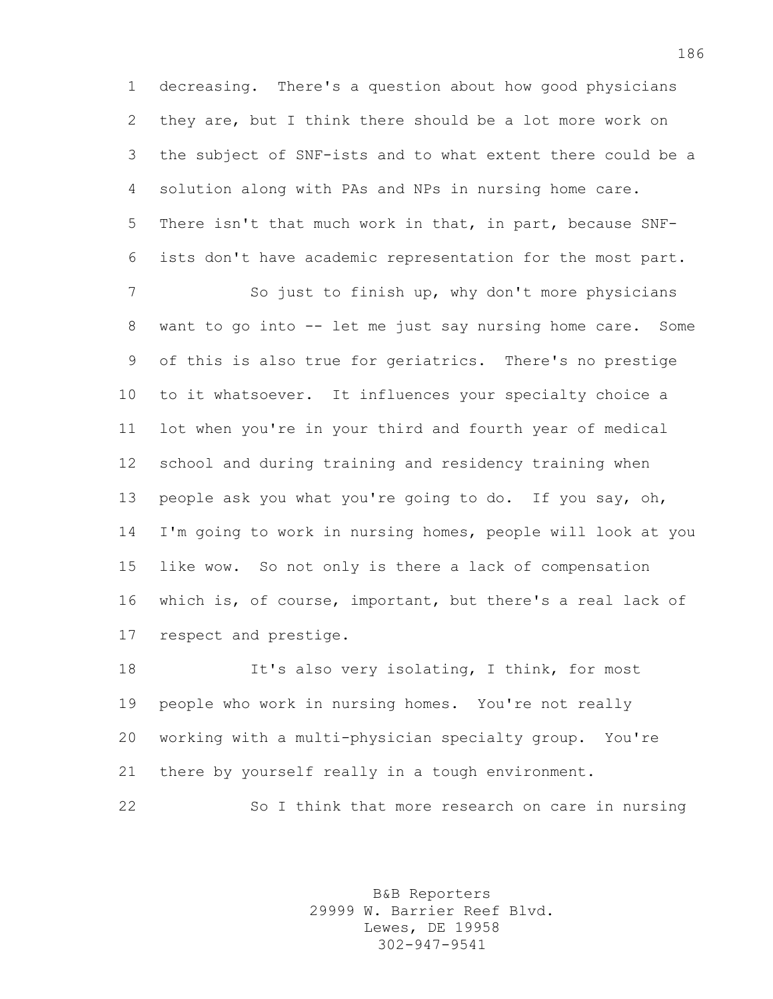decreasing. There's a question about how good physicians they are, but I think there should be a lot more work on the subject of SNF-ists and to what extent there could be a solution along with PAs and NPs in nursing home care. There isn't that much work in that, in part, because SNF-ists don't have academic representation for the most part.

 So just to finish up, why don't more physicians want to go into -- let me just say nursing home care. Some of this is also true for geriatrics. There's no prestige to it whatsoever. It influences your specialty choice a lot when you're in your third and fourth year of medical school and during training and residency training when people ask you what you're going to do. If you say, oh, I'm going to work in nursing homes, people will look at you like wow. So not only is there a lack of compensation which is, of course, important, but there's a real lack of respect and prestige.

 It's also very isolating, I think, for most people who work in nursing homes. You're not really working with a multi-physician specialty group. You're there by yourself really in a tough environment.

So I think that more research on care in nursing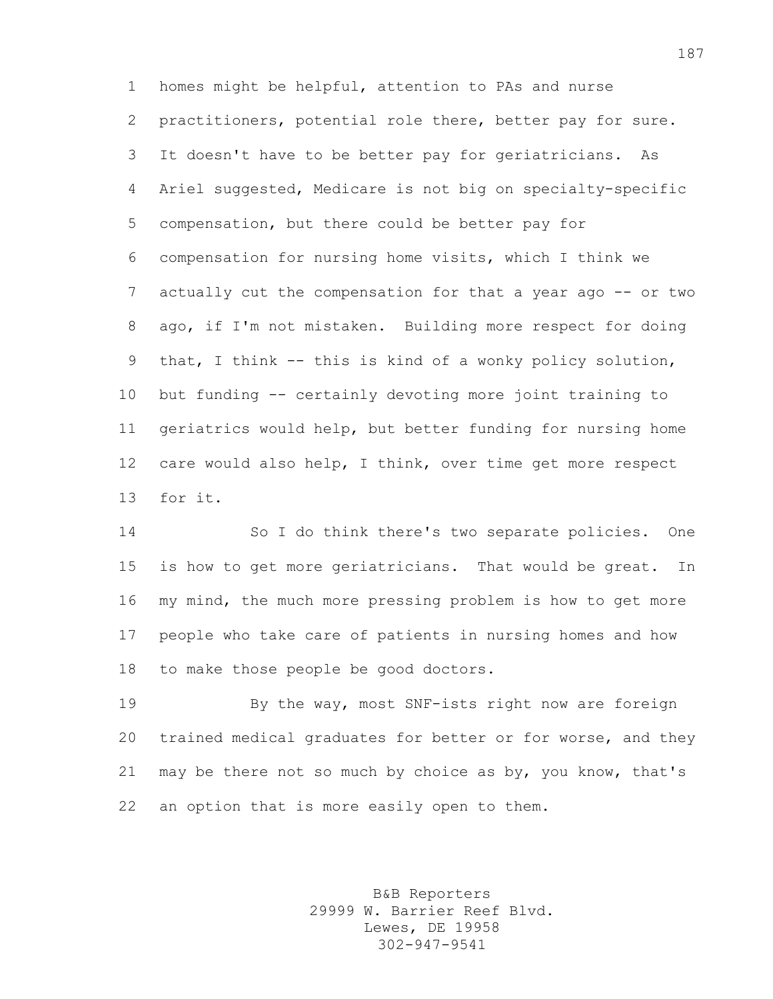homes might be helpful, attention to PAs and nurse practitioners, potential role there, better pay for sure. It doesn't have to be better pay for geriatricians. As Ariel suggested, Medicare is not big on specialty-specific compensation, but there could be better pay for compensation for nursing home visits, which I think we 7 actually cut the compensation for that a year ago -- or two ago, if I'm not mistaken. Building more respect for doing that, I think -- this is kind of a wonky policy solution, but funding -- certainly devoting more joint training to geriatrics would help, but better funding for nursing home care would also help, I think, over time get more respect for it.

 So I do think there's two separate policies. One is how to get more geriatricians. That would be great. In my mind, the much more pressing problem is how to get more people who take care of patients in nursing homes and how to make those people be good doctors.

 By the way, most SNF-ists right now are foreign trained medical graduates for better or for worse, and they may be there not so much by choice as by, you know, that's an option that is more easily open to them.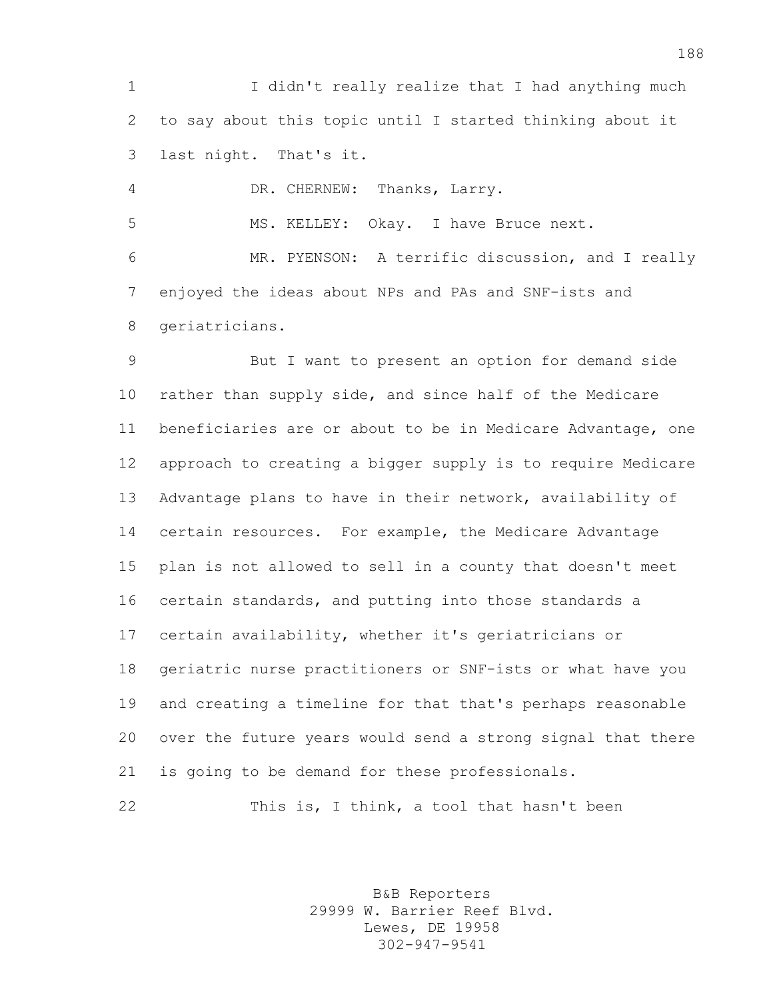I didn't really realize that I had anything much to say about this topic until I started thinking about it last night. That's it.

DR. CHERNEW: Thanks, Larry.

MS. KELLEY: Okay. I have Bruce next.

 MR. PYENSON: A terrific discussion, and I really enjoyed the ideas about NPs and PAs and SNF-ists and geriatricians.

 But I want to present an option for demand side rather than supply side, and since half of the Medicare beneficiaries are or about to be in Medicare Advantage, one approach to creating a bigger supply is to require Medicare Advantage plans to have in their network, availability of certain resources. For example, the Medicare Advantage plan is not allowed to sell in a county that doesn't meet certain standards, and putting into those standards a certain availability, whether it's geriatricians or geriatric nurse practitioners or SNF-ists or what have you and creating a timeline for that that's perhaps reasonable over the future years would send a strong signal that there is going to be demand for these professionals.

This is, I think, a tool that hasn't been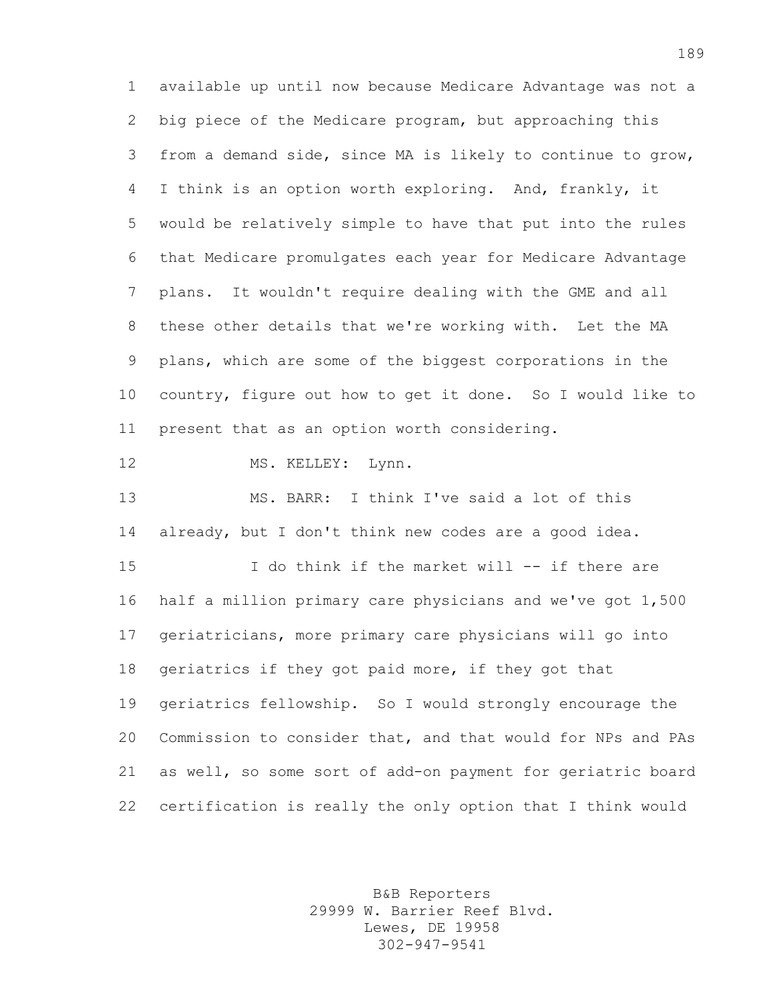available up until now because Medicare Advantage was not a big piece of the Medicare program, but approaching this from a demand side, since MA is likely to continue to grow, I think is an option worth exploring. And, frankly, it would be relatively simple to have that put into the rules that Medicare promulgates each year for Medicare Advantage plans. It wouldn't require dealing with the GME and all these other details that we're working with. Let the MA plans, which are some of the biggest corporations in the country, figure out how to get it done. So I would like to present that as an option worth considering. 12 MS. KELLEY: Lynn. MS. BARR: I think I've said a lot of this already, but I don't think new codes are a good idea.

 I do think if the market will -- if there are half a million primary care physicians and we've got 1,500 geriatricians, more primary care physicians will go into geriatrics if they got paid more, if they got that geriatrics fellowship. So I would strongly encourage the Commission to consider that, and that would for NPs and PAs as well, so some sort of add-on payment for geriatric board certification is really the only option that I think would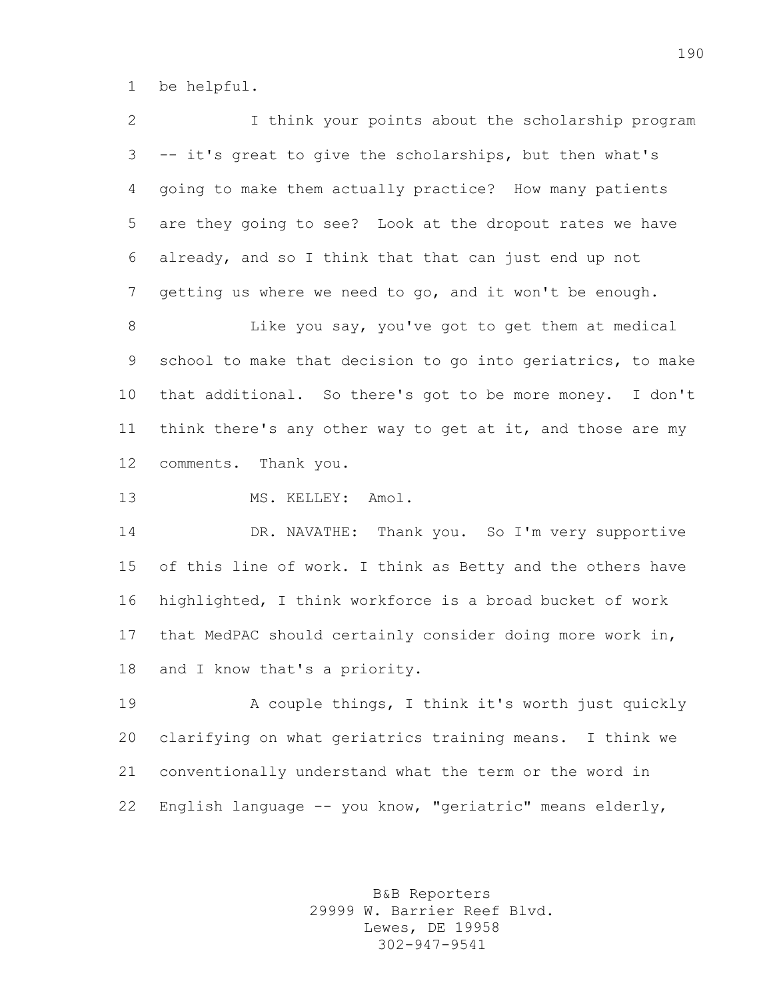be helpful.

 I think your points about the scholarship program -- it's great to give the scholarships, but then what's going to make them actually practice? How many patients are they going to see? Look at the dropout rates we have already, and so I think that that can just end up not getting us where we need to go, and it won't be enough. Like you say, you've got to get them at medical school to make that decision to go into geriatrics, to make that additional. So there's got to be more money. I don't 11 think there's any other way to get at it, and those are my comments. Thank you. 13 MS. KELLEY: Amol. DR. NAVATHE: Thank you. So I'm very supportive of this line of work. I think as Betty and the others have highlighted, I think workforce is a broad bucket of work that MedPAC should certainly consider doing more work in, and I know that's a priority. 19 A couple things, I think it's worth just quickly clarifying on what geriatrics training means. I think we conventionally understand what the term or the word in

> B&B Reporters 29999 W. Barrier Reef Blvd. Lewes, DE 19958 302-947-9541

English language -- you know, "geriatric" means elderly,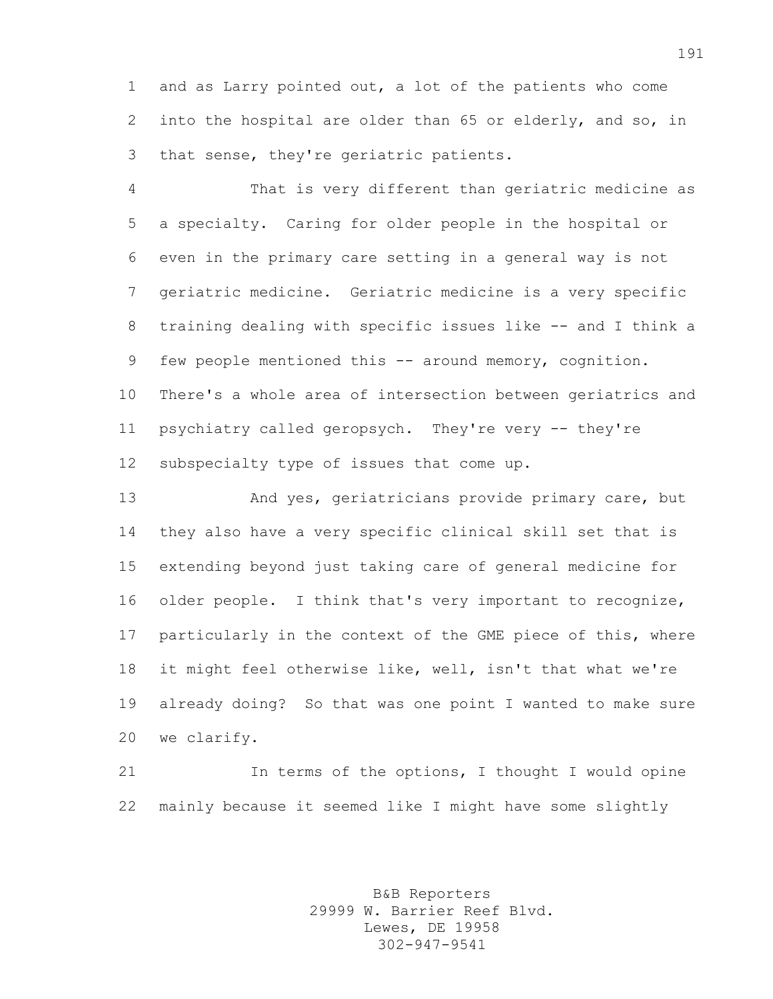and as Larry pointed out, a lot of the patients who come into the hospital are older than 65 or elderly, and so, in that sense, they're geriatric patients.

 That is very different than geriatric medicine as a specialty. Caring for older people in the hospital or even in the primary care setting in a general way is not geriatric medicine. Geriatric medicine is a very specific training dealing with specific issues like -- and I think a 9 few people mentioned this -- around memory, cognition. There's a whole area of intersection between geriatrics and psychiatry called geropsych. They're very -- they're subspecialty type of issues that come up.

13 And yes, geriatricians provide primary care, but they also have a very specific clinical skill set that is extending beyond just taking care of general medicine for older people. I think that's very important to recognize, particularly in the context of the GME piece of this, where it might feel otherwise like, well, isn't that what we're already doing? So that was one point I wanted to make sure we clarify.

21 In terms of the options, I thought I would opine mainly because it seemed like I might have some slightly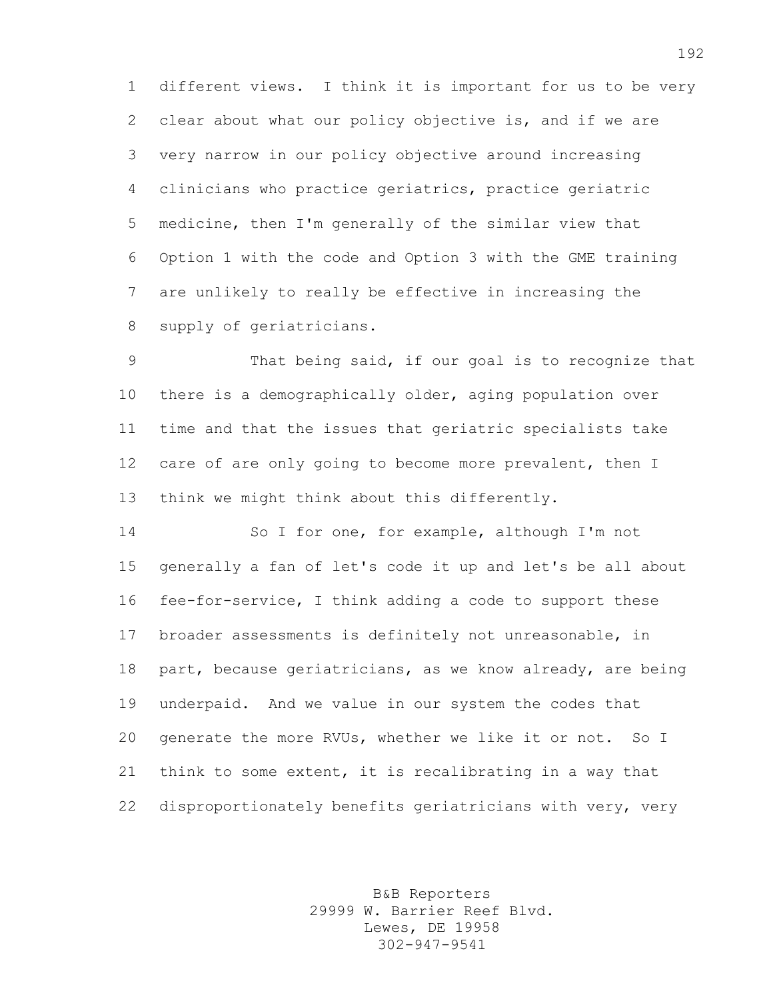different views. I think it is important for us to be very clear about what our policy objective is, and if we are very narrow in our policy objective around increasing clinicians who practice geriatrics, practice geriatric medicine, then I'm generally of the similar view that Option 1 with the code and Option 3 with the GME training are unlikely to really be effective in increasing the supply of geriatricians.

 That being said, if our goal is to recognize that there is a demographically older, aging population over time and that the issues that geriatric specialists take 12 care of are only going to become more prevalent, then I think we might think about this differently.

 So I for one, for example, although I'm not generally a fan of let's code it up and let's be all about fee-for-service, I think adding a code to support these broader assessments is definitely not unreasonable, in 18 part, because geriatricians, as we know already, are being underpaid. And we value in our system the codes that generate the more RVUs, whether we like it or not. So I think to some extent, it is recalibrating in a way that disproportionately benefits geriatricians with very, very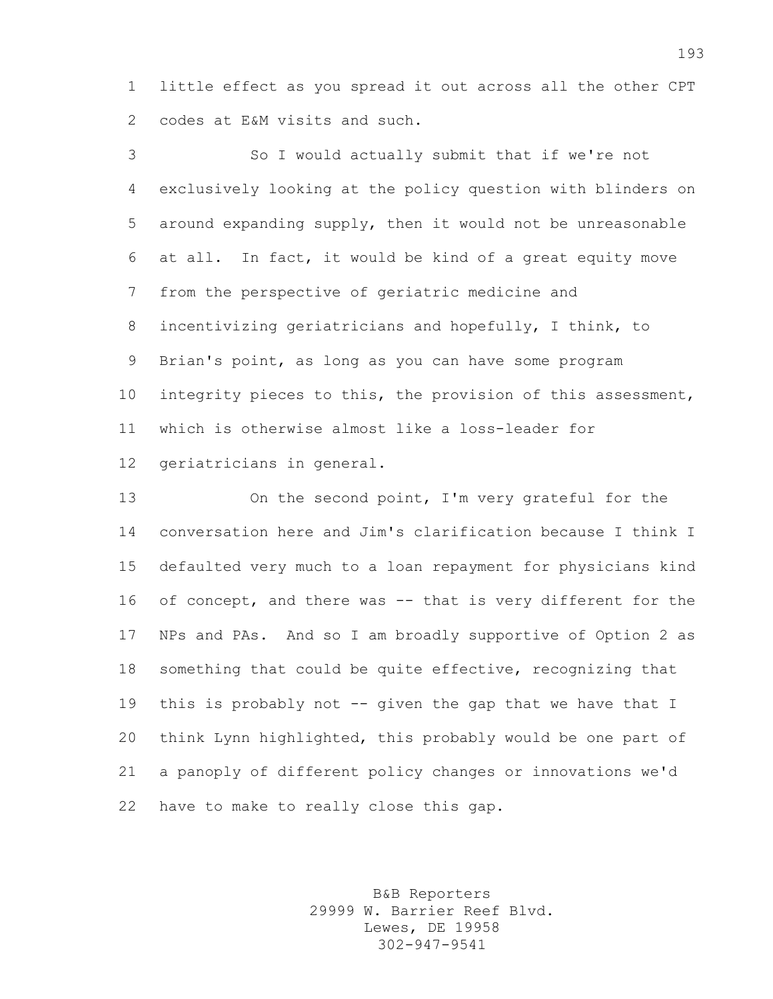little effect as you spread it out across all the other CPT codes at E&M visits and such.

 So I would actually submit that if we're not exclusively looking at the policy question with blinders on around expanding supply, then it would not be unreasonable at all. In fact, it would be kind of a great equity move from the perspective of geriatric medicine and incentivizing geriatricians and hopefully, I think, to Brian's point, as long as you can have some program 10 integrity pieces to this, the provision of this assessment, which is otherwise almost like a loss-leader for geriatricians in general.

 On the second point, I'm very grateful for the conversation here and Jim's clarification because I think I defaulted very much to a loan repayment for physicians kind of concept, and there was -- that is very different for the NPs and PAs. And so I am broadly supportive of Option 2 as something that could be quite effective, recognizing that this is probably not -- given the gap that we have that I think Lynn highlighted, this probably would be one part of a panoply of different policy changes or innovations we'd have to make to really close this gap.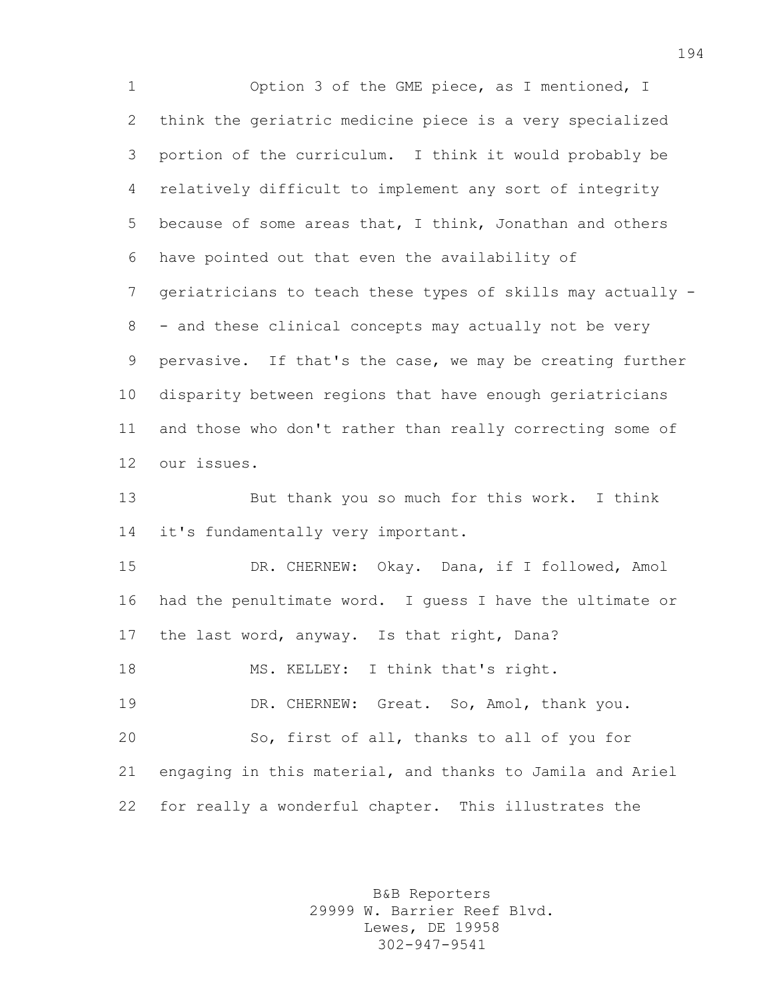Option 3 of the GME piece, as I mentioned, I think the geriatric medicine piece is a very specialized portion of the curriculum. I think it would probably be relatively difficult to implement any sort of integrity because of some areas that, I think, Jonathan and others have pointed out that even the availability of geriatricians to teach these types of skills may actually - 8 - and these clinical concepts may actually not be very pervasive. If that's the case, we may be creating further disparity between regions that have enough geriatricians and those who don't rather than really correcting some of our issues.

 But thank you so much for this work. I think it's fundamentally very important.

 DR. CHERNEW: Okay. Dana, if I followed, Amol had the penultimate word. I guess I have the ultimate or the last word, anyway. Is that right, Dana? 18 MS. KELLEY: I think that's right. DR. CHERNEW: Great. So, Amol, thank you. So, first of all, thanks to all of you for engaging in this material, and thanks to Jamila and Ariel

for really a wonderful chapter. This illustrates the

B&B Reporters 29999 W. Barrier Reef Blvd. Lewes, DE 19958 302-947-9541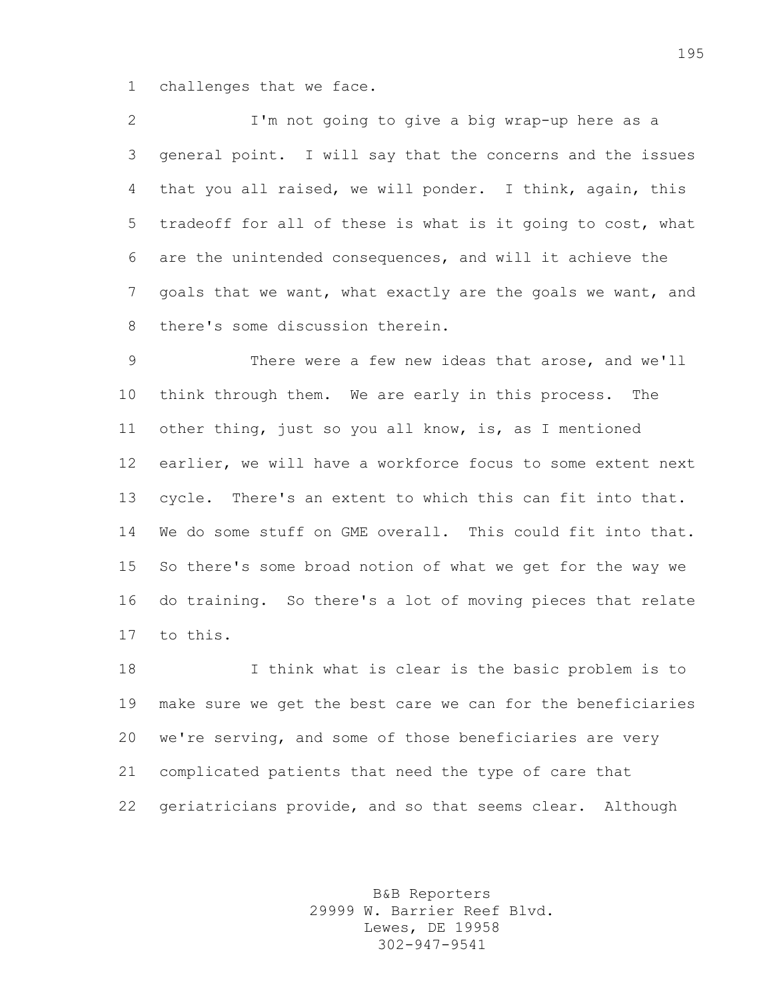challenges that we face.

 I'm not going to give a big wrap-up here as a general point. I will say that the concerns and the issues that you all raised, we will ponder. I think, again, this tradeoff for all of these is what is it going to cost, what are the unintended consequences, and will it achieve the goals that we want, what exactly are the goals we want, and there's some discussion therein.

 There were a few new ideas that arose, and we'll think through them. We are early in this process. The other thing, just so you all know, is, as I mentioned earlier, we will have a workforce focus to some extent next cycle. There's an extent to which this can fit into that. We do some stuff on GME overall. This could fit into that. So there's some broad notion of what we get for the way we do training. So there's a lot of moving pieces that relate to this.

 I think what is clear is the basic problem is to make sure we get the best care we can for the beneficiaries we're serving, and some of those beneficiaries are very complicated patients that need the type of care that geriatricians provide, and so that seems clear. Although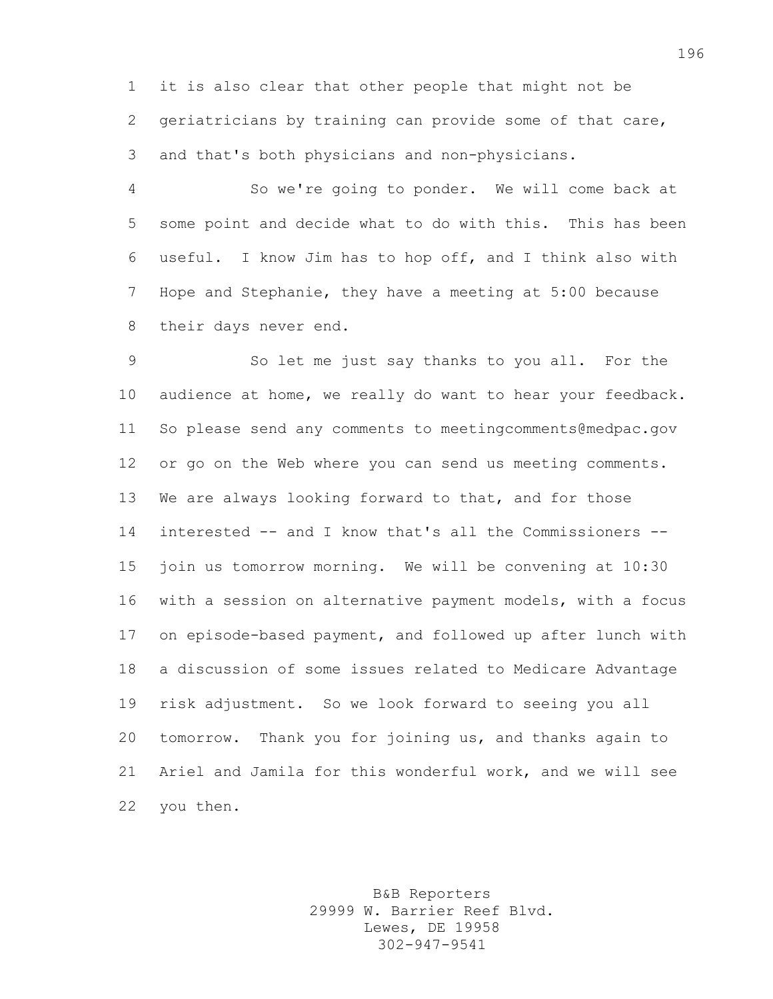it is also clear that other people that might not be geriatricians by training can provide some of that care, and that's both physicians and non-physicians.

 So we're going to ponder. We will come back at some point and decide what to do with this. This has been useful. I know Jim has to hop off, and I think also with Hope and Stephanie, they have a meeting at 5:00 because their days never end.

 So let me just say thanks to you all. For the audience at home, we really do want to hear your feedback. So please send any comments to meetingcomments@medpac.gov or go on the Web where you can send us meeting comments. We are always looking forward to that, and for those interested -- and I know that's all the Commissioners -- join us tomorrow morning. We will be convening at 10:30 with a session on alternative payment models, with a focus on episode-based payment, and followed up after lunch with a discussion of some issues related to Medicare Advantage risk adjustment. So we look forward to seeing you all tomorrow. Thank you for joining us, and thanks again to Ariel and Jamila for this wonderful work, and we will see you then.

> B&B Reporters 29999 W. Barrier Reef Blvd. Lewes, DE 19958 302-947-9541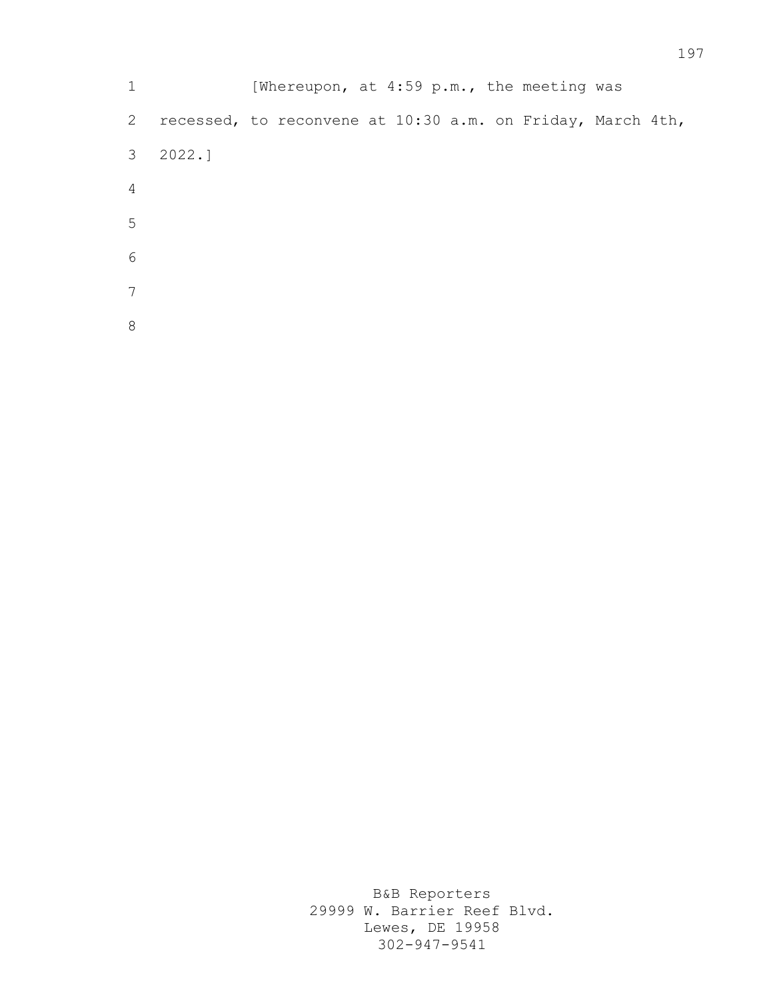1 [Whereupon, at 4:59 p.m., the meeting was recessed, to reconvene at 10:30 a.m. on Friday, March 4th, 2022.]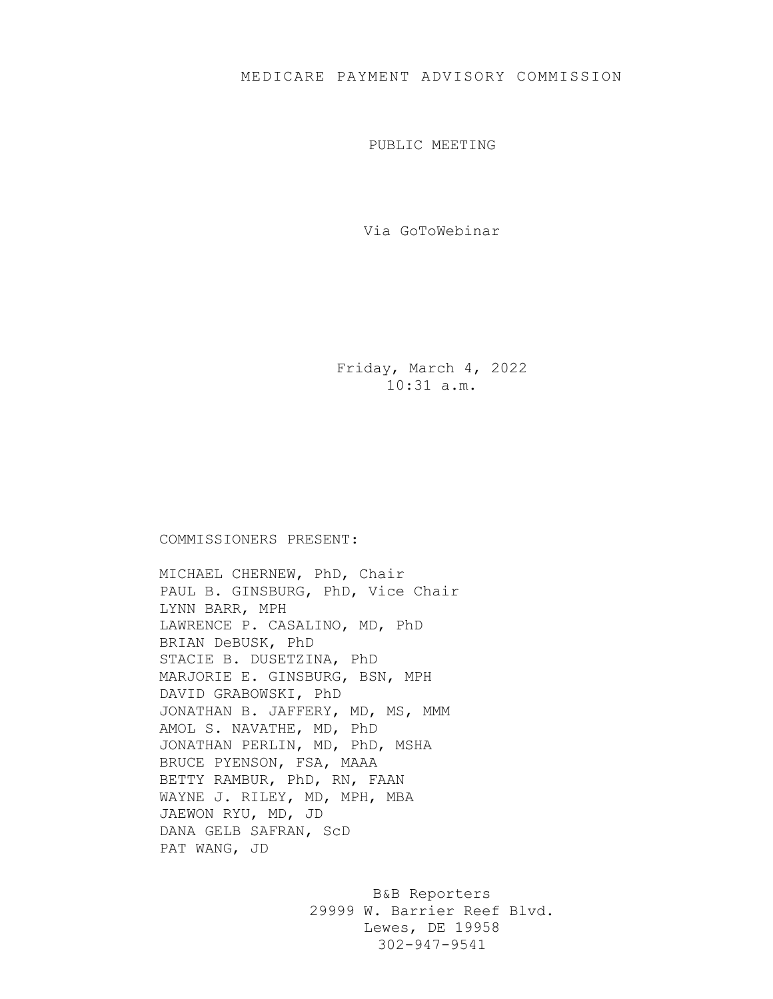PUBLIC MEETING

Via GoToWebinar

Friday, March 4, 2022 10:31 a.m.

## COMMISSIONERS PRESENT:

MICHAEL CHERNEW, PhD, Chair PAUL B. GINSBURG, PhD, Vice Chair LYNN BARR, MPH LAWRENCE P. CASALINO, MD, PhD BRIAN DeBUSK, PhD STACIE B. DUSETZINA, PhD MARJORIE E. GINSBURG, BSN, MPH DAVID GRABOWSKI, PhD JONATHAN B. JAFFERY, MD, MS, MMM AMOL S. NAVATHE, MD, PhD JONATHAN PERLIN, MD, PhD, MSHA BRUCE PYENSON, FSA, MAAA BETTY RAMBUR, PhD, RN, FAAN WAYNE J. RILEY, MD, MPH, MBA JAEWON RYU, MD, JD DANA GELB SAFRAN, ScD PAT WANG, JD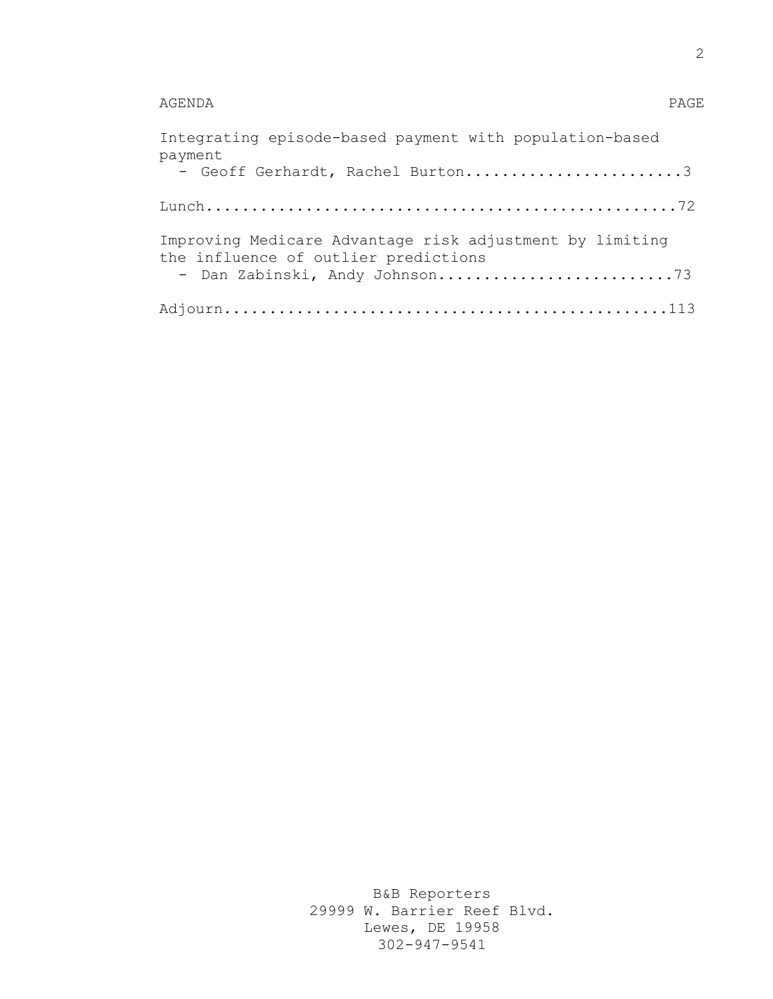## AGENDA PAGE

| Integrating episode-based payment with population-based<br>payment                               |
|--------------------------------------------------------------------------------------------------|
| - Geoff Gerhardt, Rachel Burton3                                                                 |
|                                                                                                  |
| Improving Medicare Advantage risk adjustment by limiting<br>the influence of outlier predictions |
|                                                                                                  |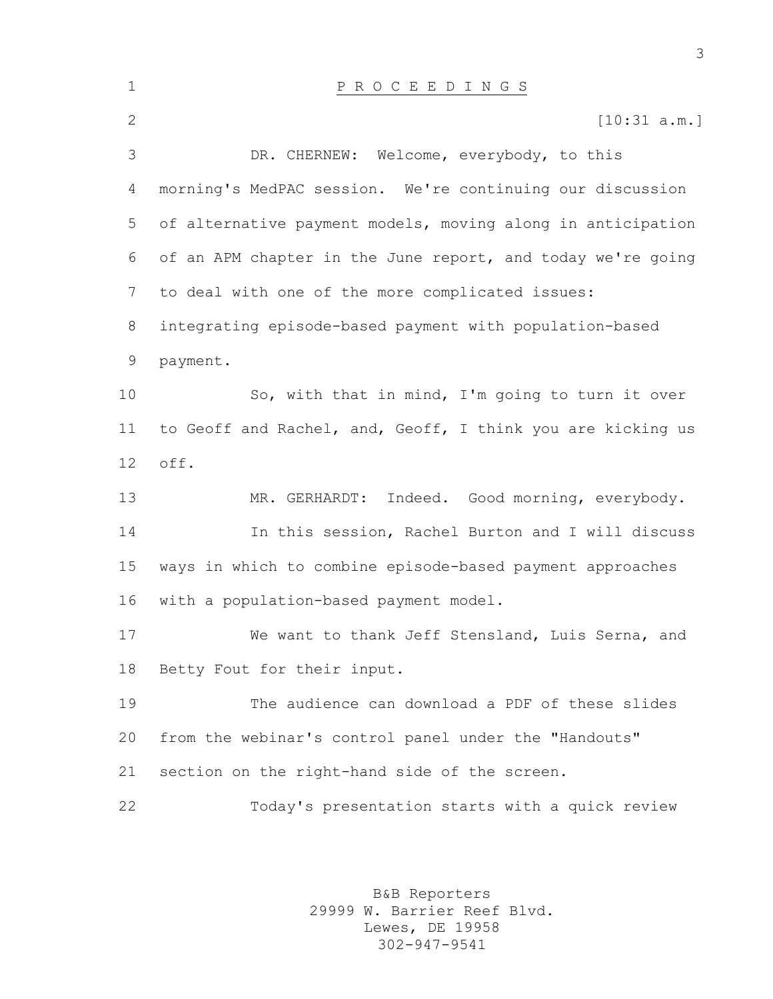| $\mathbf 1$  | P R O C E E D I N G S                                       |
|--------------|-------------------------------------------------------------|
| $\mathbf{2}$ | [10:31 a.m.]                                                |
| 3            | DR. CHERNEW: Welcome, everybody, to this                    |
| 4            | morning's MedPAC session. We're continuing our discussion   |
| 5            | of alternative payment models, moving along in anticipation |
| 6            | of an APM chapter in the June report, and today we're going |
| 7            | to deal with one of the more complicated issues:            |
| 8            | integrating episode-based payment with population-based     |
| 9            | payment.                                                    |
| 10           | So, with that in mind, I'm going to turn it over            |
| 11           | to Geoff and Rachel, and, Geoff, I think you are kicking us |
| 12           | off.                                                        |
| 13           | Indeed. Good morning, everybody.<br>MR. GERHARDT:           |
| 14           | In this session, Rachel Burton and I will discuss           |
| 15           | ways in which to combine episode-based payment approaches   |
| 16           | with a population-based payment model.                      |
| 17           | We want to thank Jeff Stensland, Luis Serna, and            |
| 18           | Betty Fout for their input.                                 |
| 19           | The audience can download a PDF of these slides             |
| 20           | from the webinar's control panel under the "Handouts"       |
| 21           | section on the right-hand side of the screen.               |
| 22           | Today's presentation starts with a quick review             |
|              |                                                             |

B&B Reporters 29999 W. Barrier Reef Blvd. Lewes, DE 19958 302-947-9541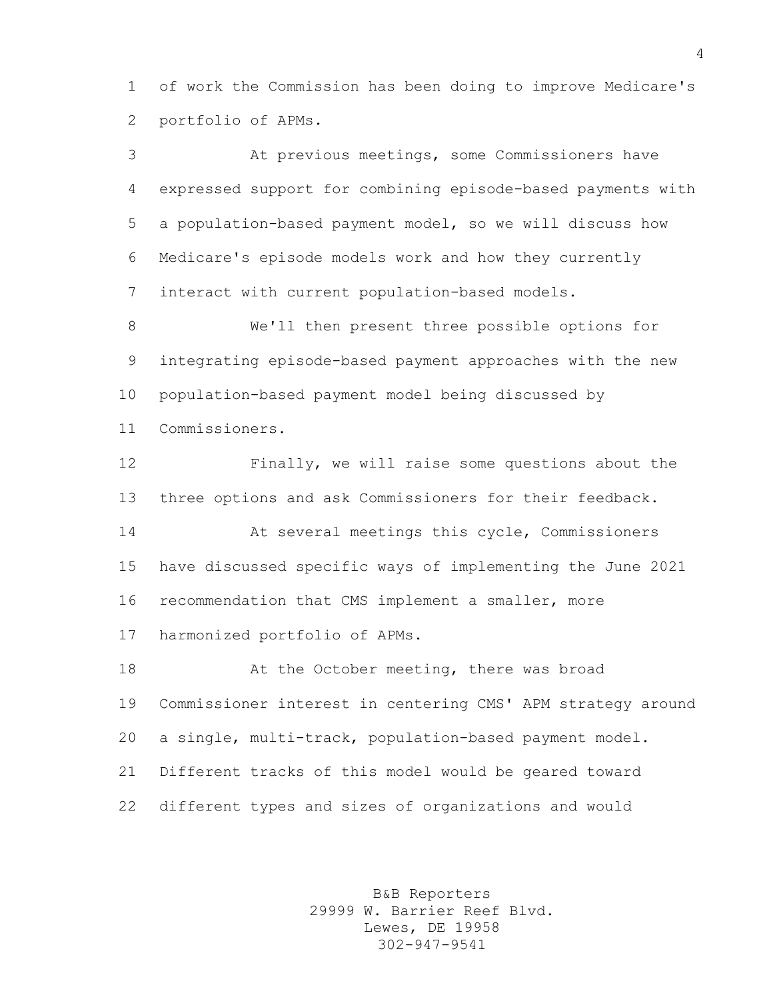of work the Commission has been doing to improve Medicare's portfolio of APMs.

 At previous meetings, some Commissioners have expressed support for combining episode-based payments with a population-based payment model, so we will discuss how Medicare's episode models work and how they currently interact with current population-based models.

 We'll then present three possible options for integrating episode-based payment approaches with the new population-based payment model being discussed by Commissioners.

 Finally, we will raise some questions about the three options and ask Commissioners for their feedback.

 At several meetings this cycle, Commissioners have discussed specific ways of implementing the June 2021 recommendation that CMS implement a smaller, more harmonized portfolio of APMs.

18 At the October meeting, there was broad Commissioner interest in centering CMS' APM strategy around a single, multi-track, population-based payment model. Different tracks of this model would be geared toward different types and sizes of organizations and would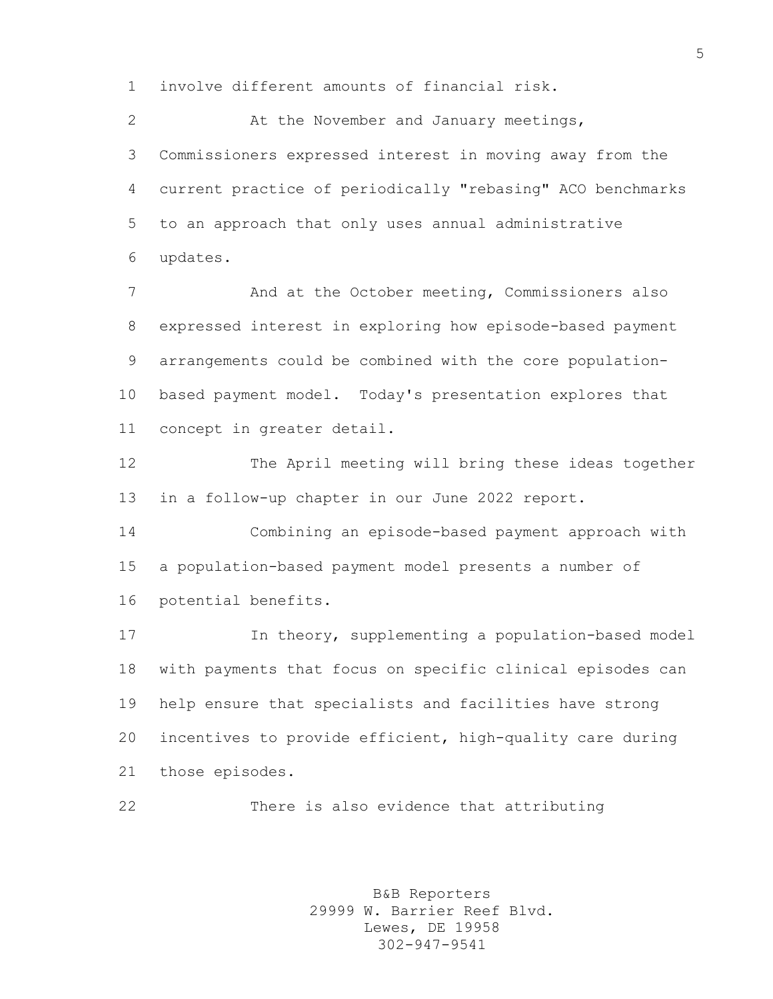involve different amounts of financial risk.

 At the November and January meetings, Commissioners expressed interest in moving away from the current practice of periodically "rebasing" ACO benchmarks to an approach that only uses annual administrative updates.

7 And at the October meeting, Commissioners also expressed interest in exploring how episode-based payment arrangements could be combined with the core population- based payment model. Today's presentation explores that concept in greater detail.

 The April meeting will bring these ideas together in a follow-up chapter in our June 2022 report.

 Combining an episode-based payment approach with a population-based payment model presents a number of potential benefits.

 In theory, supplementing a population-based model with payments that focus on specific clinical episodes can help ensure that specialists and facilities have strong incentives to provide efficient, high-quality care during those episodes.

There is also evidence that attributing

B&B Reporters 29999 W. Barrier Reef Blvd. Lewes, DE 19958 302-947-9541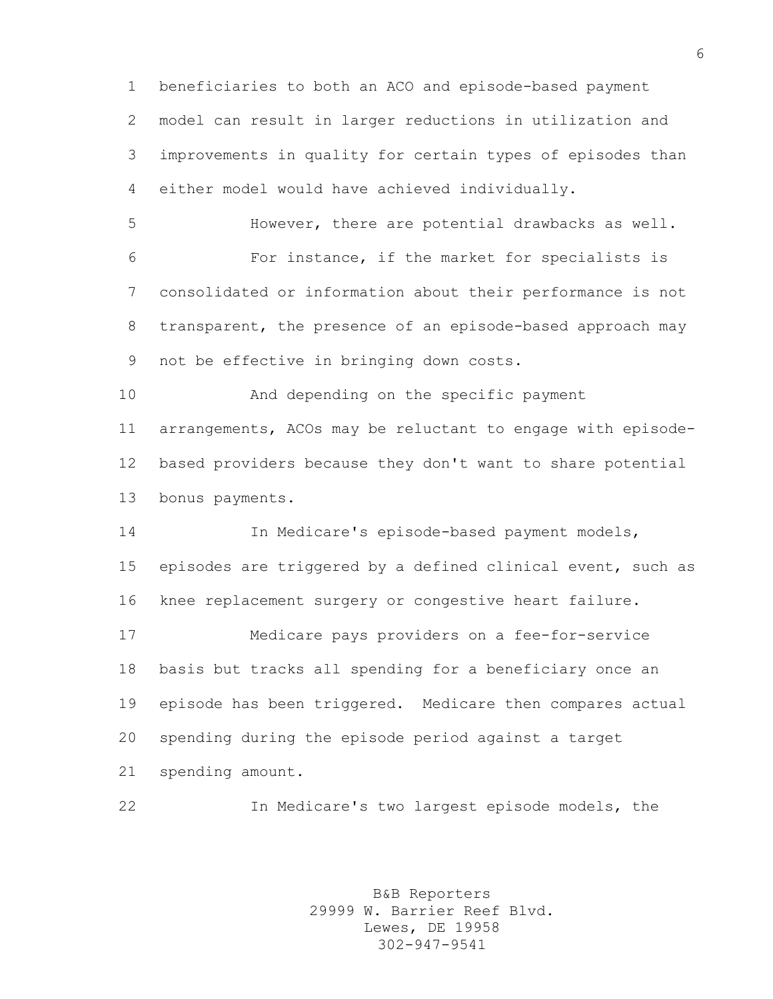beneficiaries to both an ACO and episode-based payment model can result in larger reductions in utilization and improvements in quality for certain types of episodes than either model would have achieved individually.

 However, there are potential drawbacks as well. For instance, if the market for specialists is consolidated or information about their performance is not transparent, the presence of an episode-based approach may not be effective in bringing down costs.

 And depending on the specific payment arrangements, ACOs may be reluctant to engage with episode- based providers because they don't want to share potential bonus payments.

 In Medicare's episode-based payment models, episodes are triggered by a defined clinical event, such as knee replacement surgery or congestive heart failure.

 Medicare pays providers on a fee-for-service basis but tracks all spending for a beneficiary once an episode has been triggered. Medicare then compares actual spending during the episode period against a target spending amount.

In Medicare's two largest episode models, the

B&B Reporters 29999 W. Barrier Reef Blvd. Lewes, DE 19958 302-947-9541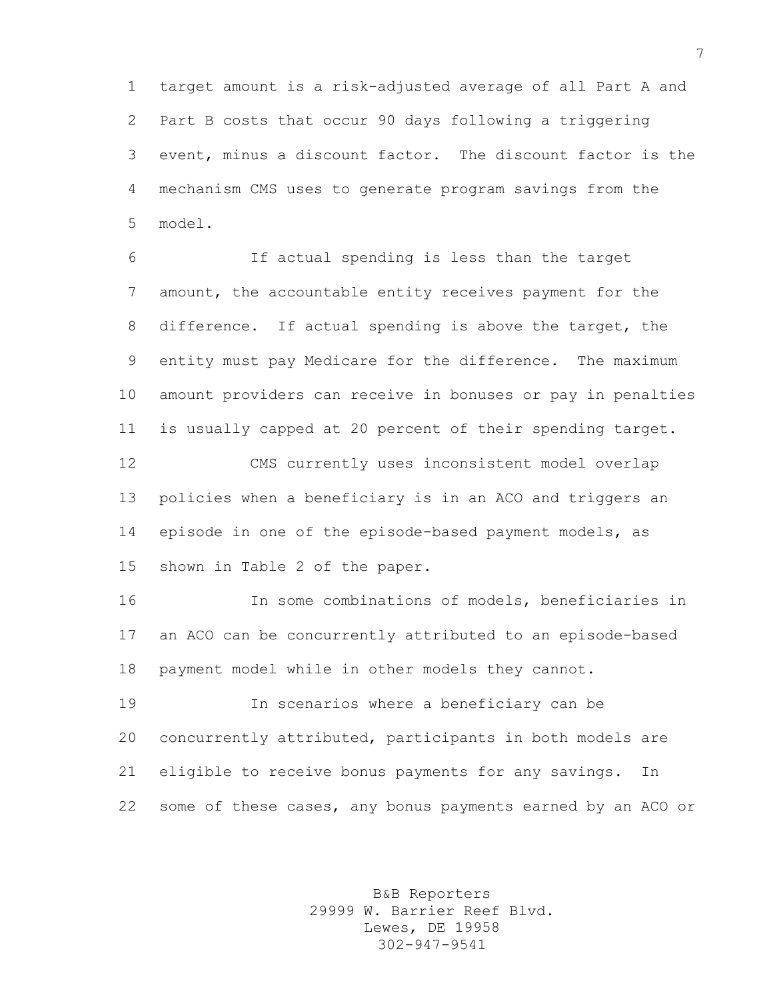target amount is a risk-adjusted average of all Part A and Part B costs that occur 90 days following a triggering event, minus a discount factor. The discount factor is the mechanism CMS uses to generate program savings from the model.

 If actual spending is less than the target amount, the accountable entity receives payment for the difference. If actual spending is above the target, the entity must pay Medicare for the difference. The maximum amount providers can receive in bonuses or pay in penalties is usually capped at 20 percent of their spending target.

 CMS currently uses inconsistent model overlap policies when a beneficiary is in an ACO and triggers an episode in one of the episode-based payment models, as shown in Table 2 of the paper.

 In some combinations of models, beneficiaries in an ACO can be concurrently attributed to an episode-based payment model while in other models they cannot.

 In scenarios where a beneficiary can be concurrently attributed, participants in both models are eligible to receive bonus payments for any savings. In some of these cases, any bonus payments earned by an ACO or

> B&B Reporters 29999 W. Barrier Reef Blvd. Lewes, DE 19958 302-947-9541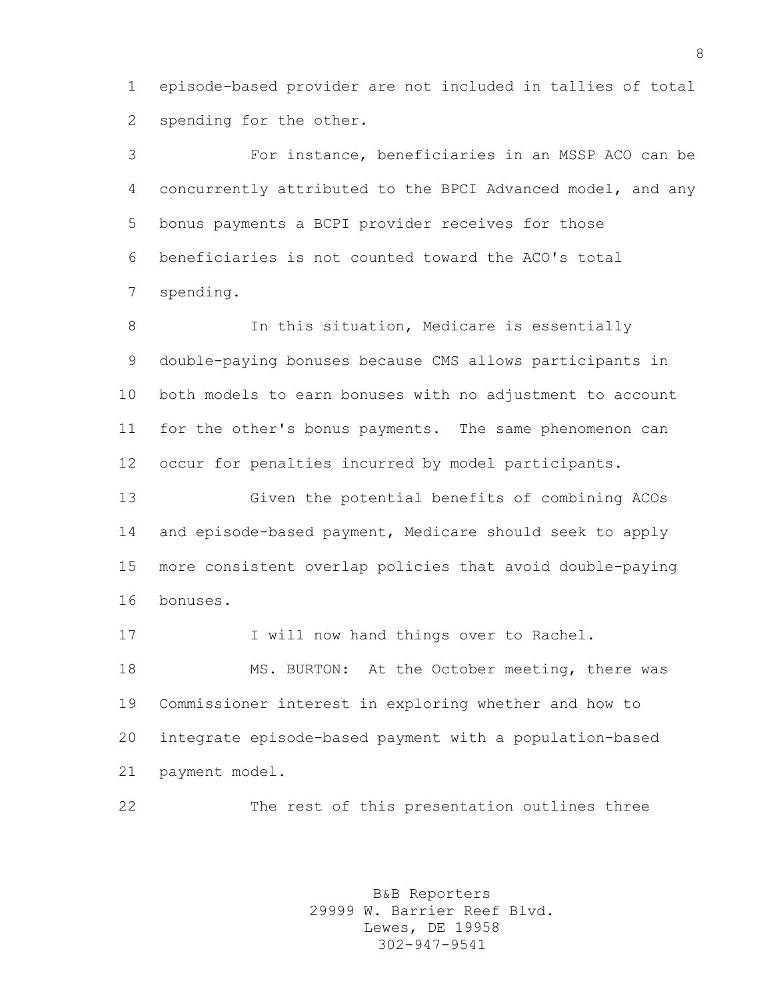episode-based provider are not included in tallies of total spending for the other.

 For instance, beneficiaries in an MSSP ACO can be concurrently attributed to the BPCI Advanced model, and any bonus payments a BCPI provider receives for those beneficiaries is not counted toward the ACO's total spending.

8 In this situation, Medicare is essentially double-paying bonuses because CMS allows participants in both models to earn bonuses with no adjustment to account for the other's bonus payments. The same phenomenon can occur for penalties incurred by model participants.

 Given the potential benefits of combining ACOs and episode-based payment, Medicare should seek to apply more consistent overlap policies that avoid double-paying bonuses.

17 I will now hand things over to Rachel. MS. BURTON: At the October meeting, there was Commissioner interest in exploring whether and how to integrate episode-based payment with a population-based payment model.

The rest of this presentation outlines three

B&B Reporters 29999 W. Barrier Reef Blvd. Lewes, DE 19958 302-947-9541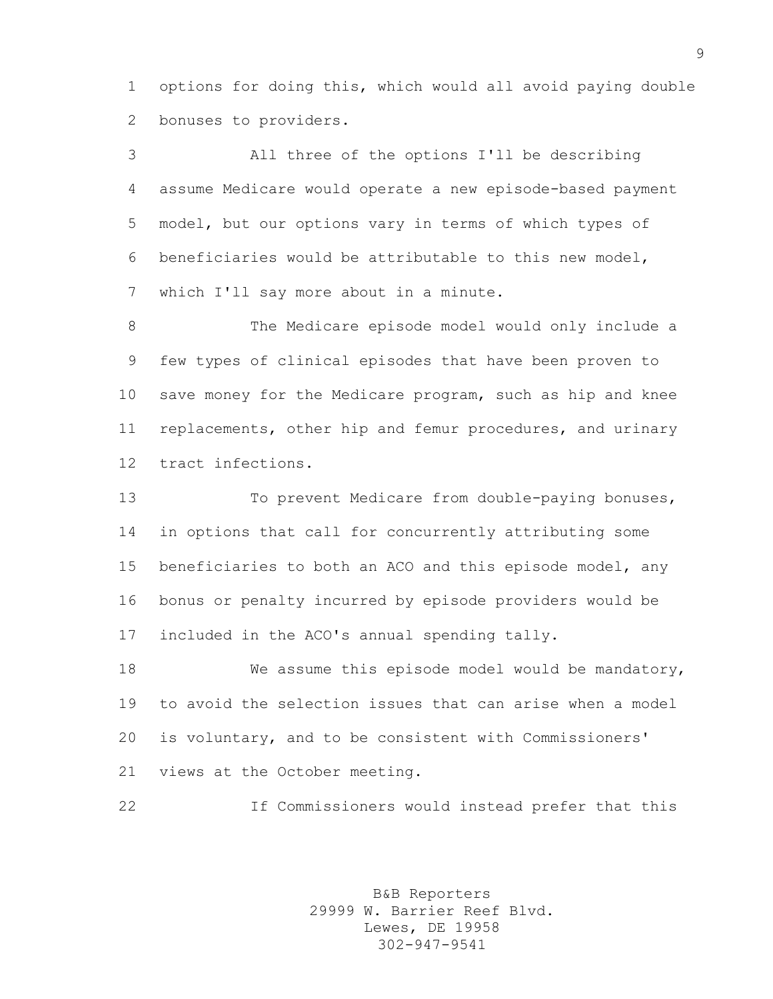options for doing this, which would all avoid paying double bonuses to providers.

 All three of the options I'll be describing assume Medicare would operate a new episode-based payment model, but our options vary in terms of which types of beneficiaries would be attributable to this new model, which I'll say more about in a minute.

 The Medicare episode model would only include a few types of clinical episodes that have been proven to save money for the Medicare program, such as hip and knee replacements, other hip and femur procedures, and urinary tract infections.

 To prevent Medicare from double-paying bonuses, in options that call for concurrently attributing some beneficiaries to both an ACO and this episode model, any bonus or penalty incurred by episode providers would be included in the ACO's annual spending tally.

 We assume this episode model would be mandatory, to avoid the selection issues that can arise when a model is voluntary, and to be consistent with Commissioners' views at the October meeting.

If Commissioners would instead prefer that this

B&B Reporters 29999 W. Barrier Reef Blvd. Lewes, DE 19958 302-947-9541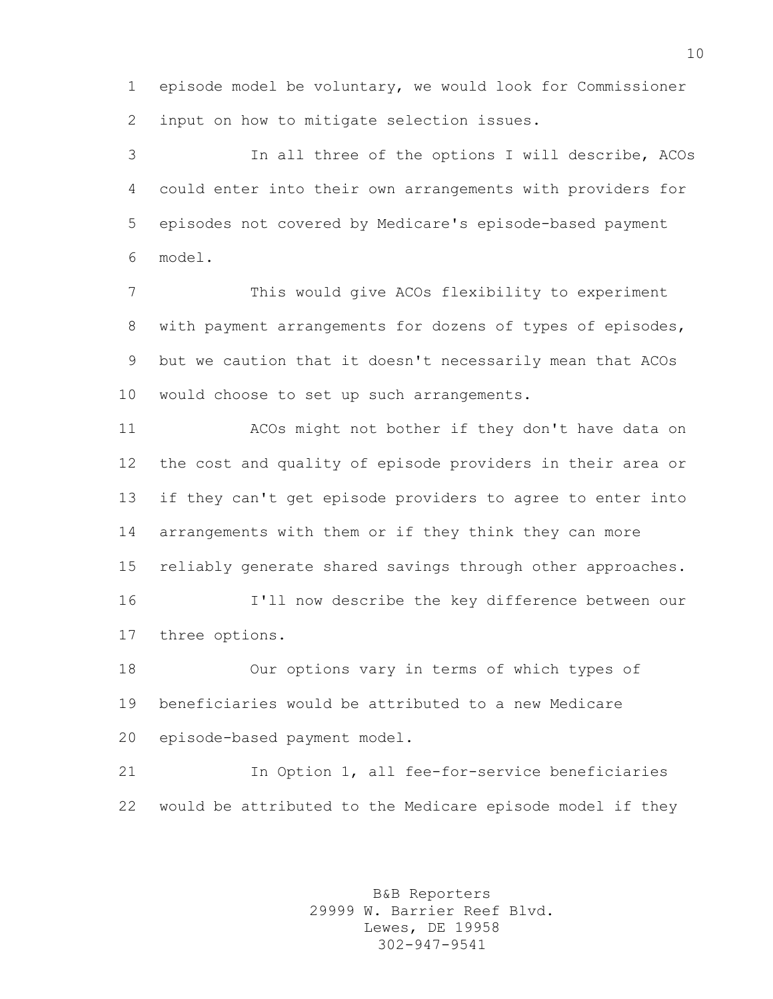episode model be voluntary, we would look for Commissioner input on how to mitigate selection issues.

 In all three of the options I will describe, ACOs could enter into their own arrangements with providers for episodes not covered by Medicare's episode-based payment model.

 This would give ACOs flexibility to experiment with payment arrangements for dozens of types of episodes, but we caution that it doesn't necessarily mean that ACOs would choose to set up such arrangements.

 ACOs might not bother if they don't have data on the cost and quality of episode providers in their area or if they can't get episode providers to agree to enter into arrangements with them or if they think they can more reliably generate shared savings through other approaches. I'll now describe the key difference between our

three options.

 Our options vary in terms of which types of beneficiaries would be attributed to a new Medicare episode-based payment model.

 In Option 1, all fee-for-service beneficiaries would be attributed to the Medicare episode model if they

> B&B Reporters 29999 W. Barrier Reef Blvd. Lewes, DE 19958 302-947-9541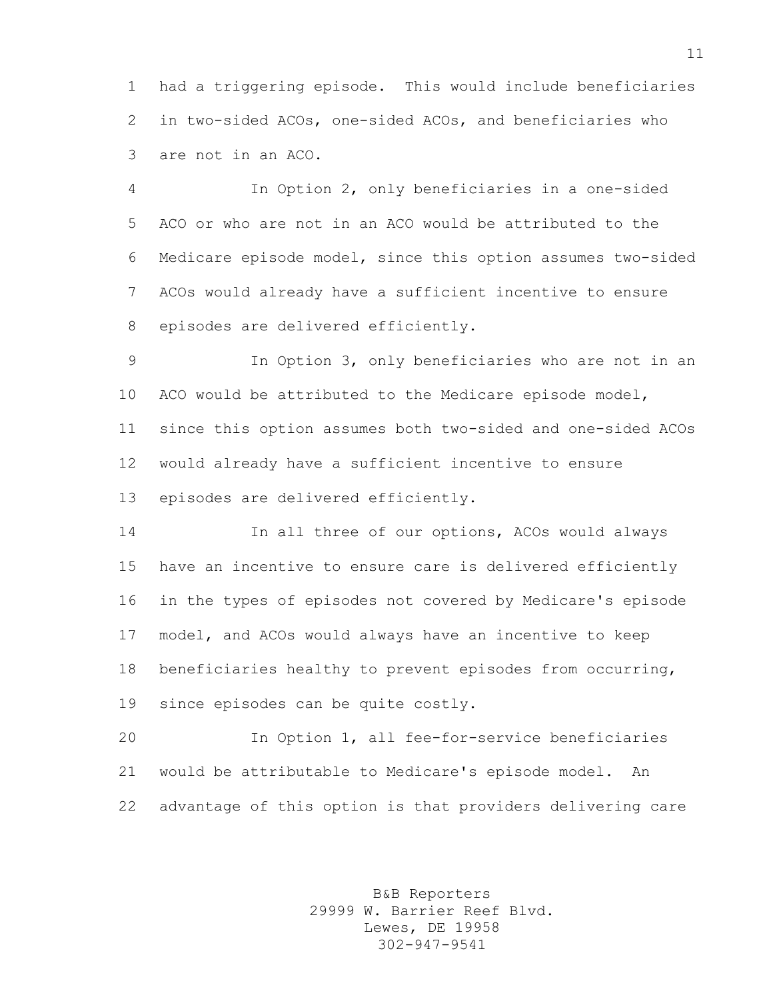had a triggering episode. This would include beneficiaries in two-sided ACOs, one-sided ACOs, and beneficiaries who are not in an ACO.

 In Option 2, only beneficiaries in a one-sided ACO or who are not in an ACO would be attributed to the Medicare episode model, since this option assumes two-sided ACOs would already have a sufficient incentive to ensure episodes are delivered efficiently.

 In Option 3, only beneficiaries who are not in an ACO would be attributed to the Medicare episode model, since this option assumes both two-sided and one-sided ACOs would already have a sufficient incentive to ensure episodes are delivered efficiently.

 In all three of our options, ACOs would always have an incentive to ensure care is delivered efficiently in the types of episodes not covered by Medicare's episode model, and ACOs would always have an incentive to keep beneficiaries healthy to prevent episodes from occurring, since episodes can be quite costly.

 In Option 1, all fee-for-service beneficiaries would be attributable to Medicare's episode model. An advantage of this option is that providers delivering care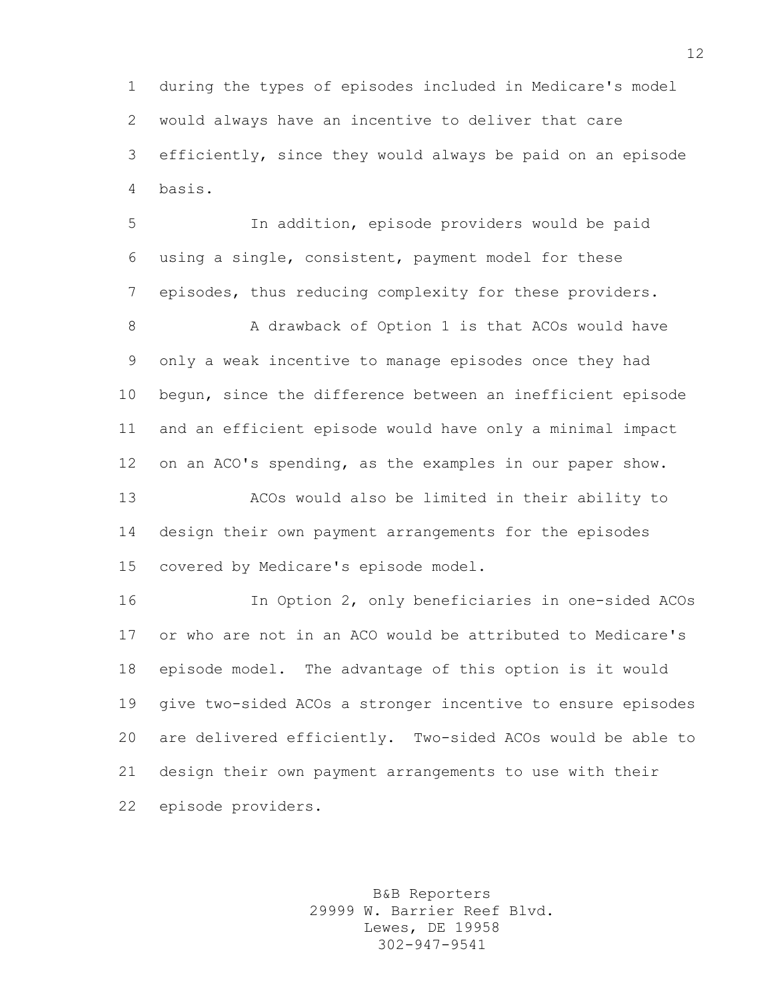during the types of episodes included in Medicare's model would always have an incentive to deliver that care efficiently, since they would always be paid on an episode basis.

 In addition, episode providers would be paid using a single, consistent, payment model for these episodes, thus reducing complexity for these providers.

8 A drawback of Option 1 is that ACOs would have only a weak incentive to manage episodes once they had begun, since the difference between an inefficient episode and an efficient episode would have only a minimal impact on an ACO's spending, as the examples in our paper show. ACOs would also be limited in their ability to

 design their own payment arrangements for the episodes covered by Medicare's episode model.

 In Option 2, only beneficiaries in one-sided ACOs or who are not in an ACO would be attributed to Medicare's episode model. The advantage of this option is it would give two-sided ACOs a stronger incentive to ensure episodes are delivered efficiently. Two-sided ACOs would be able to design their own payment arrangements to use with their episode providers.

> B&B Reporters 29999 W. Barrier Reef Blvd. Lewes, DE 19958 302-947-9541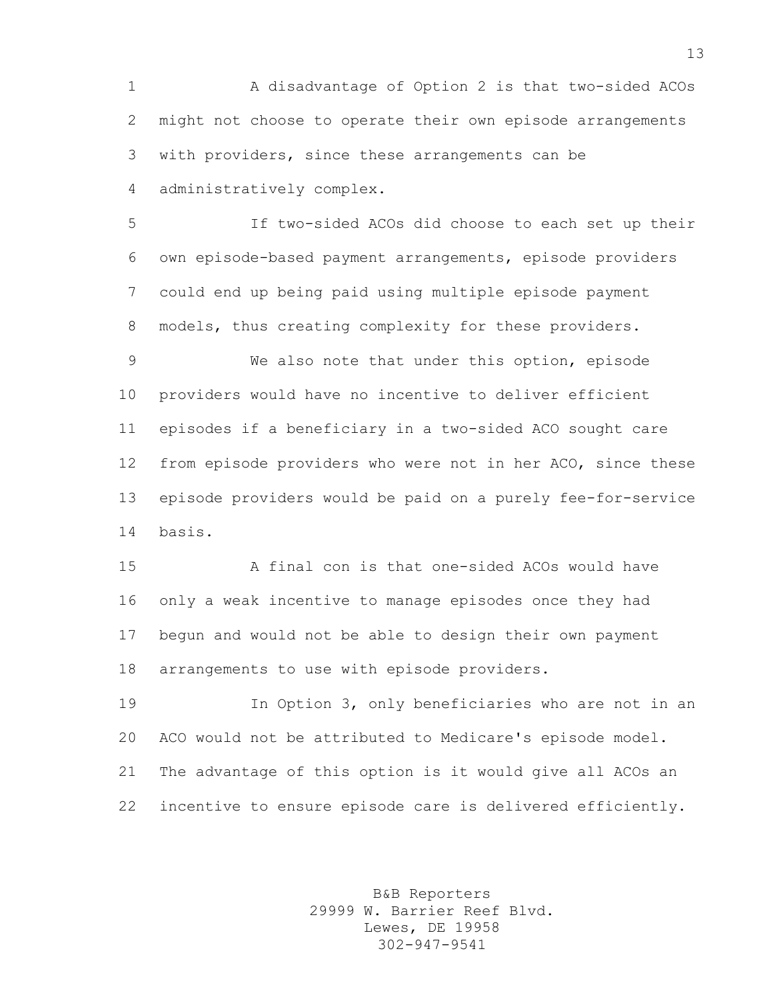A disadvantage of Option 2 is that two-sided ACOs might not choose to operate their own episode arrangements with providers, since these arrangements can be administratively complex.

 If two-sided ACOs did choose to each set up their own episode-based payment arrangements, episode providers could end up being paid using multiple episode payment 8 models, thus creating complexity for these providers.

 We also note that under this option, episode providers would have no incentive to deliver efficient episodes if a beneficiary in a two-sided ACO sought care from episode providers who were not in her ACO, since these episode providers would be paid on a purely fee-for-service basis.

 A final con is that one-sided ACOs would have only a weak incentive to manage episodes once they had begun and would not be able to design their own payment arrangements to use with episode providers.

 In Option 3, only beneficiaries who are not in an ACO would not be attributed to Medicare's episode model. The advantage of this option is it would give all ACOs an incentive to ensure episode care is delivered efficiently.

> B&B Reporters 29999 W. Barrier Reef Blvd. Lewes, DE 19958 302-947-9541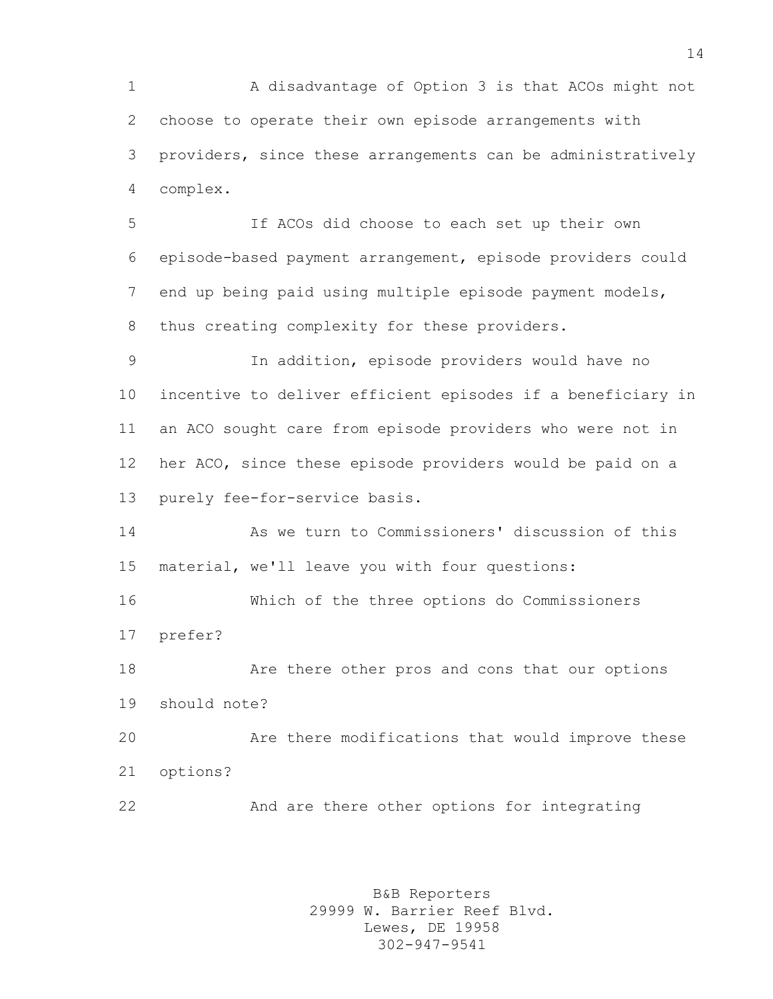A disadvantage of Option 3 is that ACOs might not choose to operate their own episode arrangements with providers, since these arrangements can be administratively complex.

 If ACOs did choose to each set up their own episode-based payment arrangement, episode providers could end up being paid using multiple episode payment models, thus creating complexity for these providers.

 In addition, episode providers would have no incentive to deliver efficient episodes if a beneficiary in an ACO sought care from episode providers who were not in her ACO, since these episode providers would be paid on a purely fee-for-service basis.

 As we turn to Commissioners' discussion of this material, we'll leave you with four questions:

 Which of the three options do Commissioners prefer?

 Are there other pros and cons that our options should note?

 Are there modifications that would improve these options?

And are there other options for integrating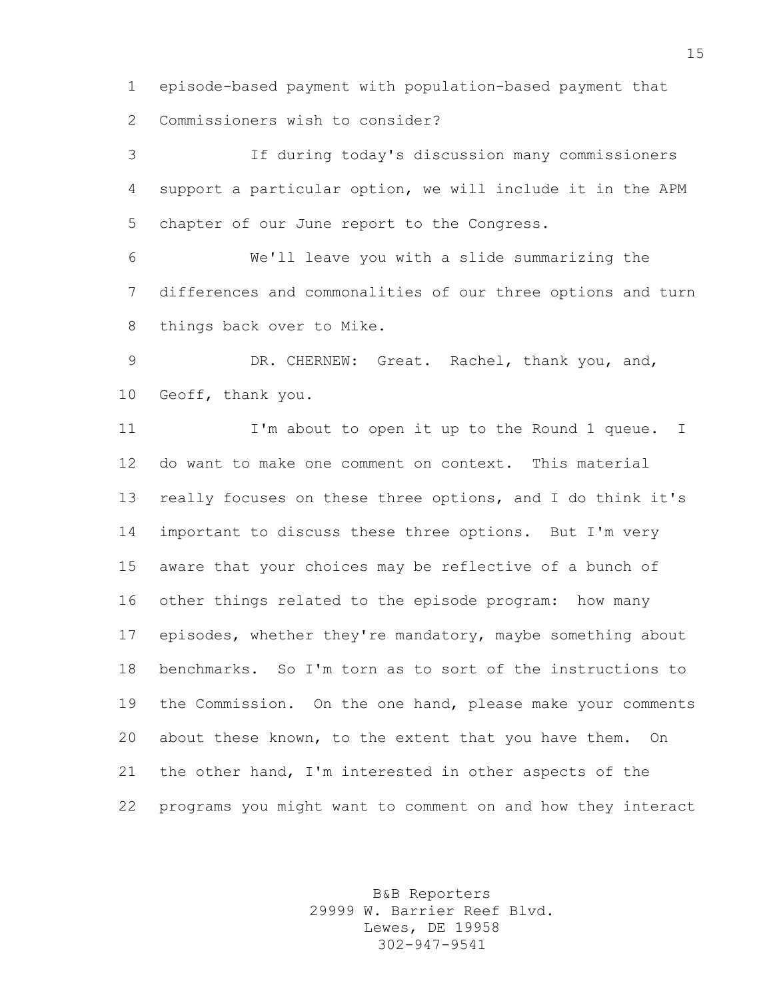episode-based payment with population-based payment that Commissioners wish to consider?

 If during today's discussion many commissioners support a particular option, we will include it in the APM chapter of our June report to the Congress.

 We'll leave you with a slide summarizing the differences and commonalities of our three options and turn things back over to Mike.

 DR. CHERNEW: Great. Rachel, thank you, and, Geoff, thank you.

 I'm about to open it up to the Round 1 queue. I do want to make one comment on context. This material really focuses on these three options, and I do think it's important to discuss these three options. But I'm very aware that your choices may be reflective of a bunch of other things related to the episode program: how many episodes, whether they're mandatory, maybe something about benchmarks. So I'm torn as to sort of the instructions to the Commission. On the one hand, please make your comments about these known, to the extent that you have them. On the other hand, I'm interested in other aspects of the programs you might want to comment on and how they interact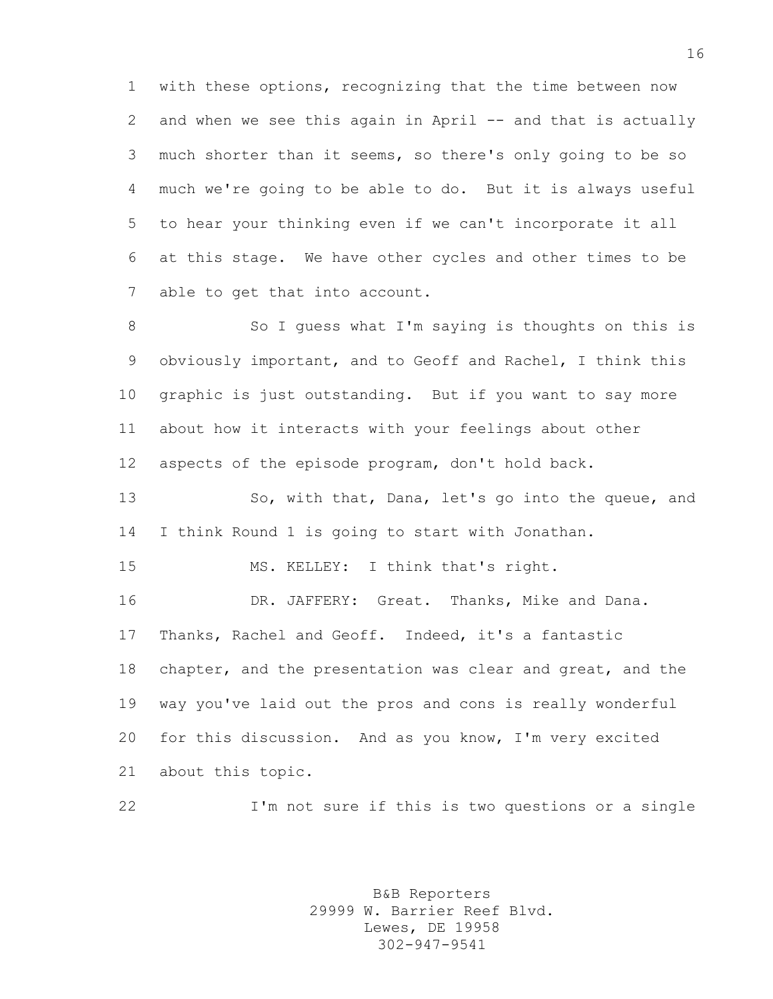with these options, recognizing that the time between now 2 and when we see this again in April -- and that is actually much shorter than it seems, so there's only going to be so much we're going to be able to do. But it is always useful to hear your thinking even if we can't incorporate it all at this stage. We have other cycles and other times to be able to get that into account.

8 So I guess what I'm saying is thoughts on this is obviously important, and to Geoff and Rachel, I think this graphic is just outstanding. But if you want to say more about how it interacts with your feelings about other aspects of the episode program, don't hold back.

13 So, with that, Dana, let's go into the queue, and I think Round 1 is going to start with Jonathan.

MS. KELLEY: I think that's right.

 DR. JAFFERY: Great. Thanks, Mike and Dana. Thanks, Rachel and Geoff. Indeed, it's a fantastic 18 chapter, and the presentation was clear and great, and the way you've laid out the pros and cons is really wonderful for this discussion. And as you know, I'm very excited about this topic.

I'm not sure if this is two questions or a single

B&B Reporters 29999 W. Barrier Reef Blvd. Lewes, DE 19958 302-947-9541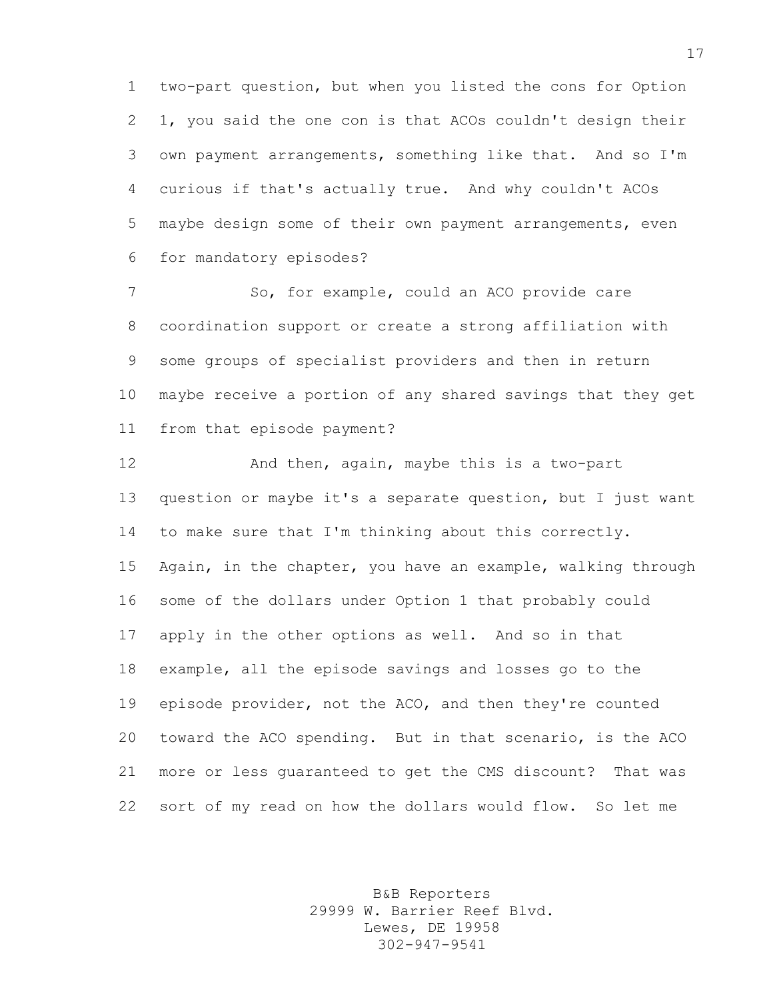two-part question, but when you listed the cons for Option 1, you said the one con is that ACOs couldn't design their own payment arrangements, something like that. And so I'm curious if that's actually true. And why couldn't ACOs maybe design some of their own payment arrangements, even for mandatory episodes?

7 So, for example, could an ACO provide care coordination support or create a strong affiliation with some groups of specialist providers and then in return maybe receive a portion of any shared savings that they get from that episode payment?

 And then, again, maybe this is a two-part question or maybe it's a separate question, but I just want to make sure that I'm thinking about this correctly. Again, in the chapter, you have an example, walking through some of the dollars under Option 1 that probably could apply in the other options as well. And so in that example, all the episode savings and losses go to the episode provider, not the ACO, and then they're counted toward the ACO spending. But in that scenario, is the ACO more or less guaranteed to get the CMS discount? That was sort of my read on how the dollars would flow. So let me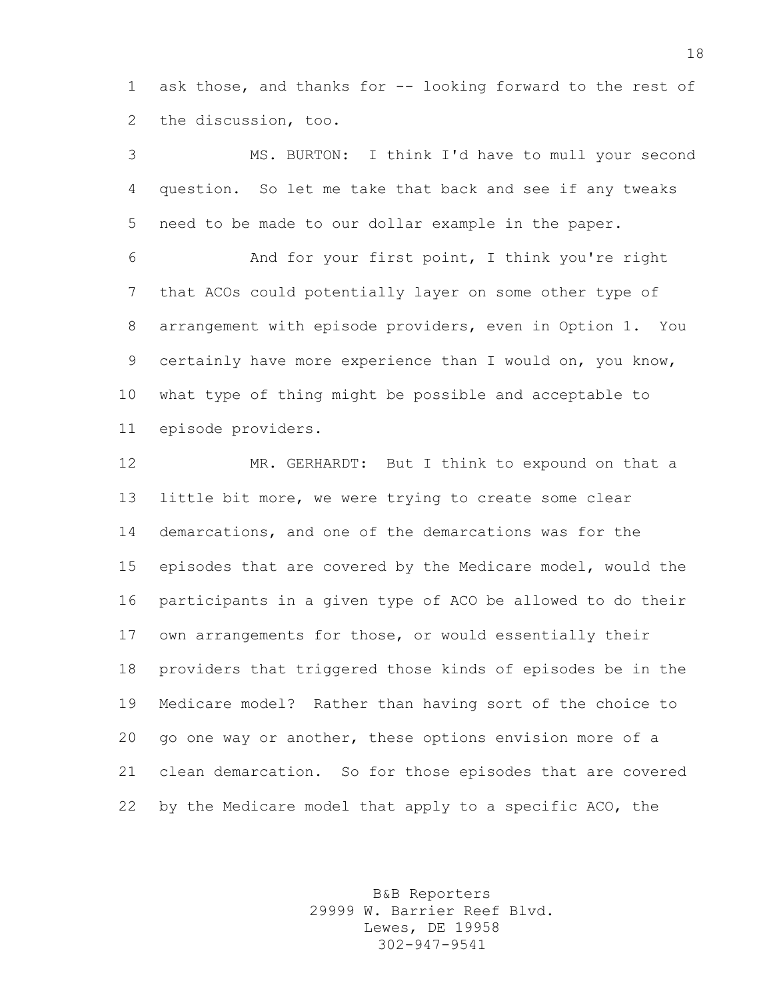ask those, and thanks for -- looking forward to the rest of the discussion, too.

 MS. BURTON: I think I'd have to mull your second question. So let me take that back and see if any tweaks need to be made to our dollar example in the paper.

 And for your first point, I think you're right that ACOs could potentially layer on some other type of arrangement with episode providers, even in Option 1. You certainly have more experience than I would on, you know, what type of thing might be possible and acceptable to episode providers.

 MR. GERHARDT: But I think to expound on that a little bit more, we were trying to create some clear demarcations, and one of the demarcations was for the episodes that are covered by the Medicare model, would the participants in a given type of ACO be allowed to do their own arrangements for those, or would essentially their providers that triggered those kinds of episodes be in the Medicare model? Rather than having sort of the choice to go one way or another, these options envision more of a clean demarcation. So for those episodes that are covered by the Medicare model that apply to a specific ACO, the

> B&B Reporters 29999 W. Barrier Reef Blvd. Lewes, DE 19958 302-947-9541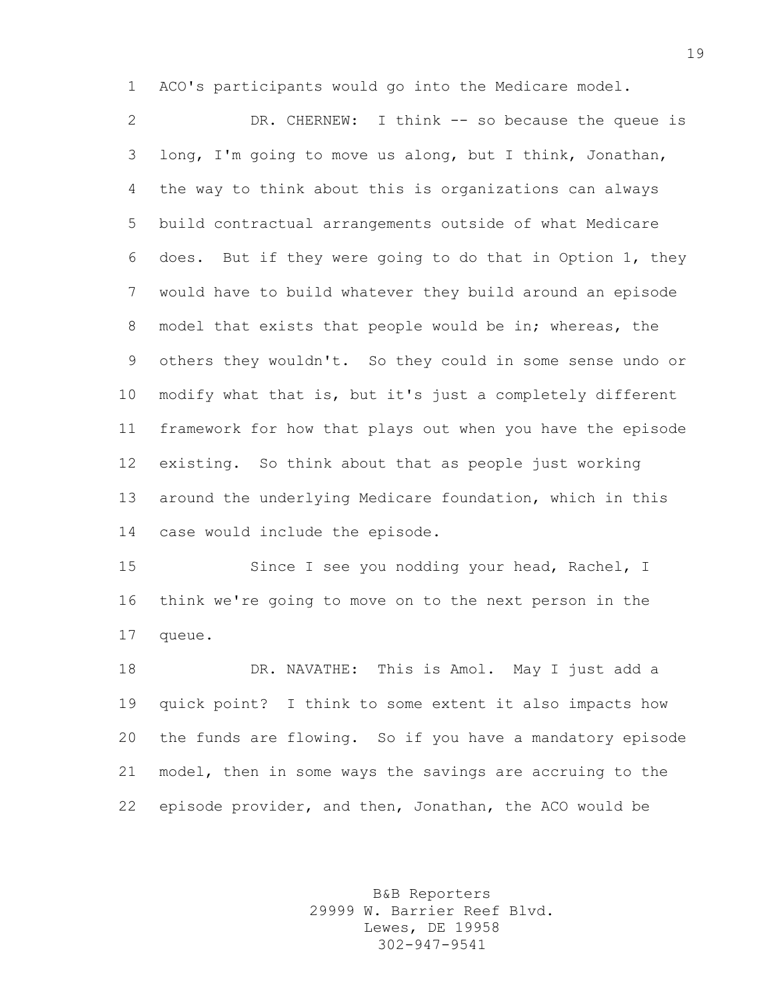ACO's participants would go into the Medicare model.

 DR. CHERNEW: I think -- so because the queue is long, I'm going to move us along, but I think, Jonathan, the way to think about this is organizations can always build contractual arrangements outside of what Medicare does. But if they were going to do that in Option 1, they would have to build whatever they build around an episode model that exists that people would be in; whereas, the others they wouldn't. So they could in some sense undo or modify what that is, but it's just a completely different framework for how that plays out when you have the episode existing. So think about that as people just working around the underlying Medicare foundation, which in this case would include the episode.

 Since I see you nodding your head, Rachel, I think we're going to move on to the next person in the queue.

 DR. NAVATHE: This is Amol. May I just add a quick point? I think to some extent it also impacts how the funds are flowing. So if you have a mandatory episode model, then in some ways the savings are accruing to the episode provider, and then, Jonathan, the ACO would be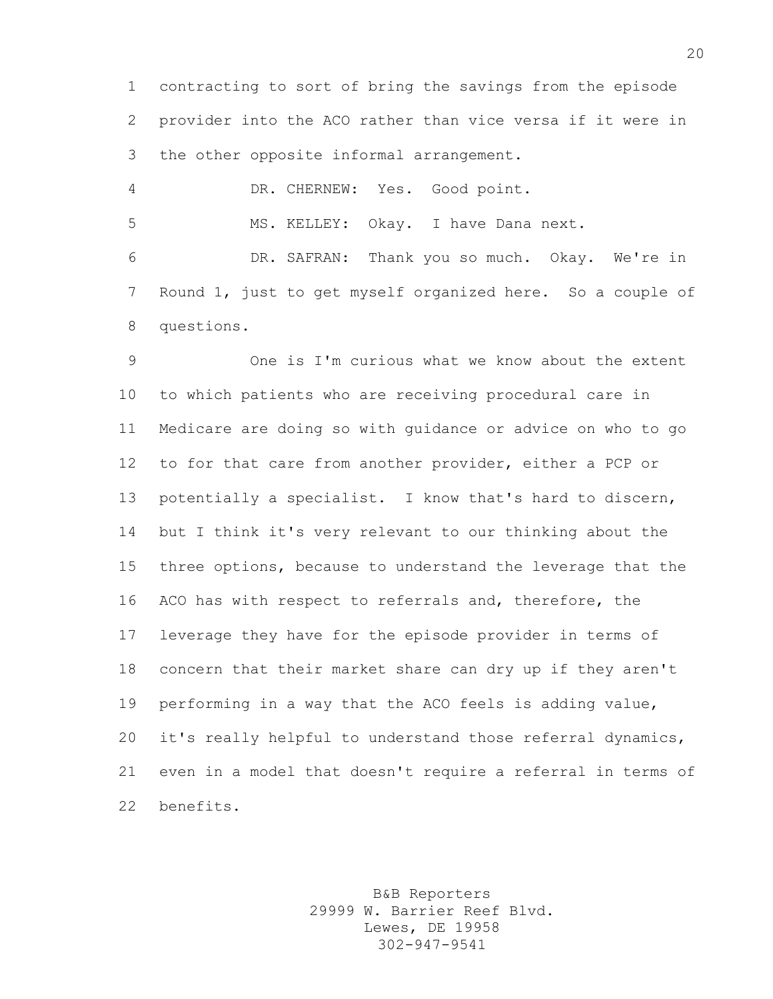contracting to sort of bring the savings from the episode provider into the ACO rather than vice versa if it were in the other opposite informal arrangement.

DR. CHERNEW: Yes. Good point.

MS. KELLEY: Okay. I have Dana next.

 DR. SAFRAN: Thank you so much. Okay. We're in Round 1, just to get myself organized here. So a couple of questions.

 One is I'm curious what we know about the extent to which patients who are receiving procedural care in Medicare are doing so with guidance or advice on who to go to for that care from another provider, either a PCP or potentially a specialist. I know that's hard to discern, but I think it's very relevant to our thinking about the three options, because to understand the leverage that the ACO has with respect to referrals and, therefore, the leverage they have for the episode provider in terms of concern that their market share can dry up if they aren't performing in a way that the ACO feels is adding value, it's really helpful to understand those referral dynamics, even in a model that doesn't require a referral in terms of benefits.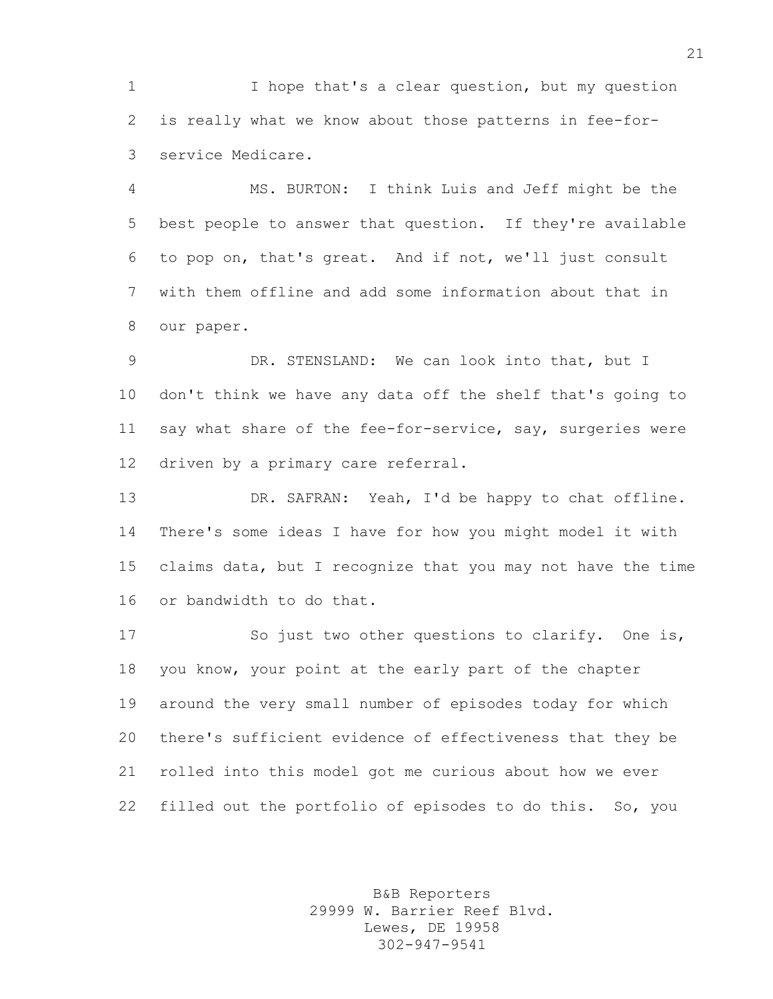I hope that's a clear question, but my question is really what we know about those patterns in fee-for-service Medicare.

 MS. BURTON: I think Luis and Jeff might be the best people to answer that question. If they're available to pop on, that's great. And if not, we'll just consult with them offline and add some information about that in our paper.

 DR. STENSLAND: We can look into that, but I don't think we have any data off the shelf that's going to 11 say what share of the fee-for-service, say, surgeries were driven by a primary care referral.

 DR. SAFRAN: Yeah, I'd be happy to chat offline. There's some ideas I have for how you might model it with claims data, but I recognize that you may not have the time or bandwidth to do that.

 So just two other questions to clarify. One is, you know, your point at the early part of the chapter around the very small number of episodes today for which there's sufficient evidence of effectiveness that they be rolled into this model got me curious about how we ever filled out the portfolio of episodes to do this. So, you

> B&B Reporters 29999 W. Barrier Reef Blvd. Lewes, DE 19958 302-947-9541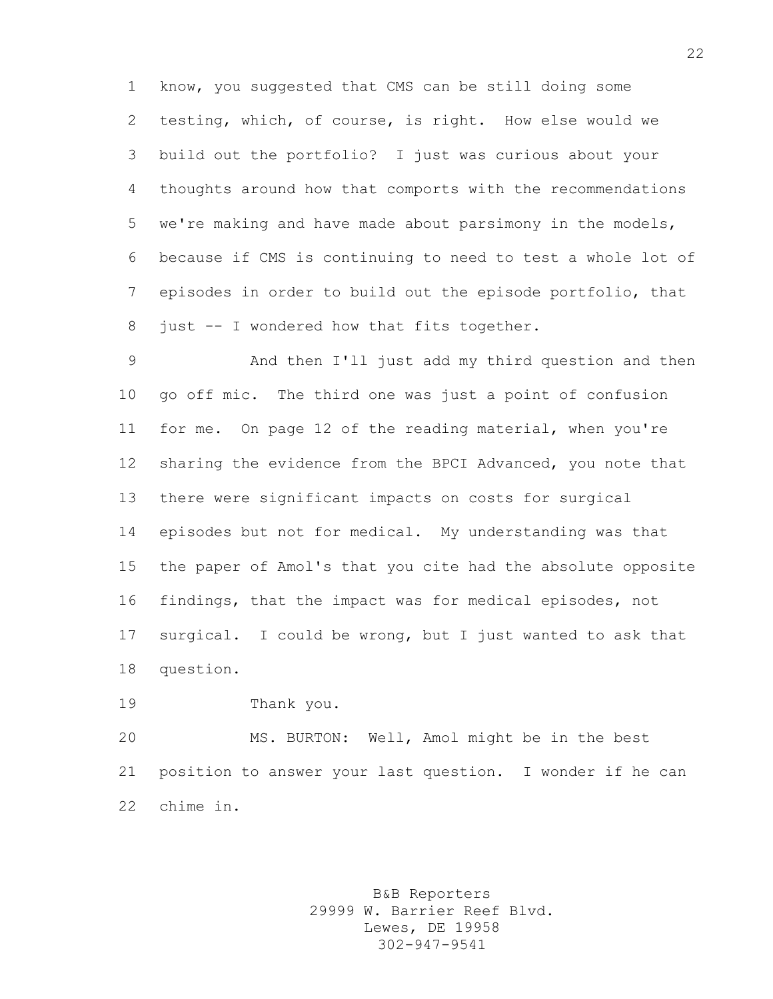know, you suggested that CMS can be still doing some testing, which, of course, is right. How else would we build out the portfolio? I just was curious about your thoughts around how that comports with the recommendations we're making and have made about parsimony in the models, because if CMS is continuing to need to test a whole lot of episodes in order to build out the episode portfolio, that 8 just -- I wondered how that fits together.

 And then I'll just add my third question and then go off mic. The third one was just a point of confusion for me. On page 12 of the reading material, when you're sharing the evidence from the BPCI Advanced, you note that there were significant impacts on costs for surgical episodes but not for medical. My understanding was that the paper of Amol's that you cite had the absolute opposite findings, that the impact was for medical episodes, not surgical. I could be wrong, but I just wanted to ask that question.

Thank you.

 MS. BURTON: Well, Amol might be in the best position to answer your last question. I wonder if he can chime in.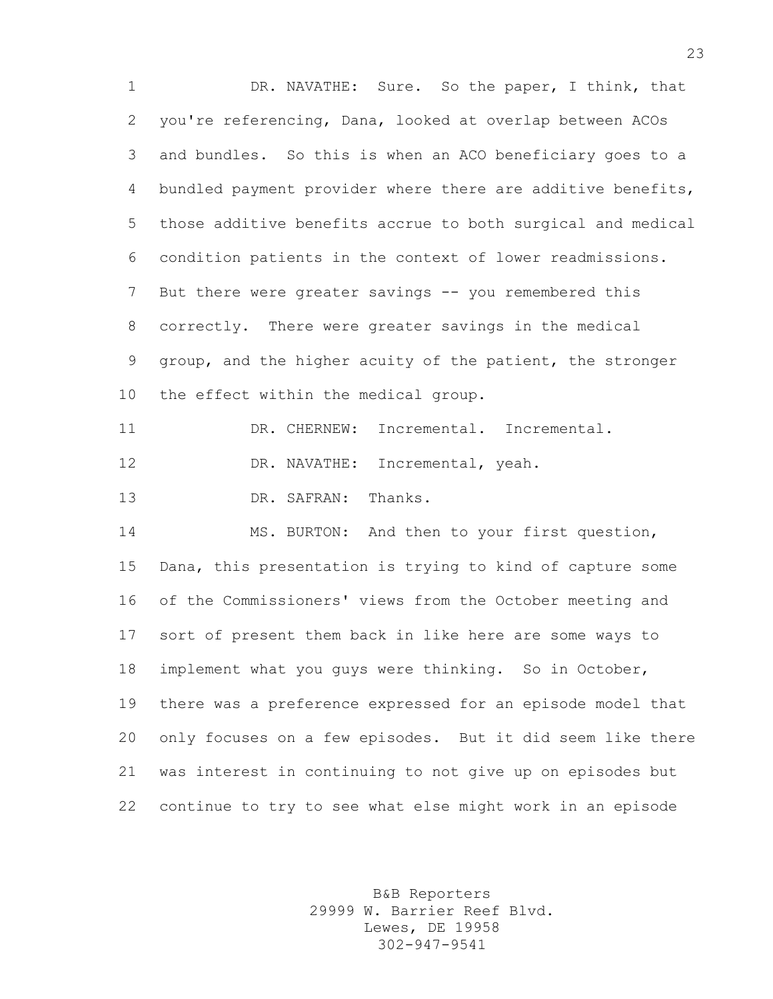DR. NAVATHE: Sure. So the paper, I think, that you're referencing, Dana, looked at overlap between ACOs and bundles. So this is when an ACO beneficiary goes to a bundled payment provider where there are additive benefits, those additive benefits accrue to both surgical and medical condition patients in the context of lower readmissions. 7 But there were greater savings -- you remembered this correctly. There were greater savings in the medical group, and the higher acuity of the patient, the stronger the effect within the medical group. DR. CHERNEW: Incremental. Incremental. 12 DR. NAVATHE: Incremental, yeah. DR. SAFRAN: Thanks. MS. BURTON: And then to your first question, Dana, this presentation is trying to kind of capture some of the Commissioners' views from the October meeting and sort of present them back in like here are some ways to implement what you guys were thinking. So in October, there was a preference expressed for an episode model that only focuses on a few episodes. But it did seem like there was interest in continuing to not give up on episodes but continue to try to see what else might work in an episode

> B&B Reporters 29999 W. Barrier Reef Blvd. Lewes, DE 19958 302-947-9541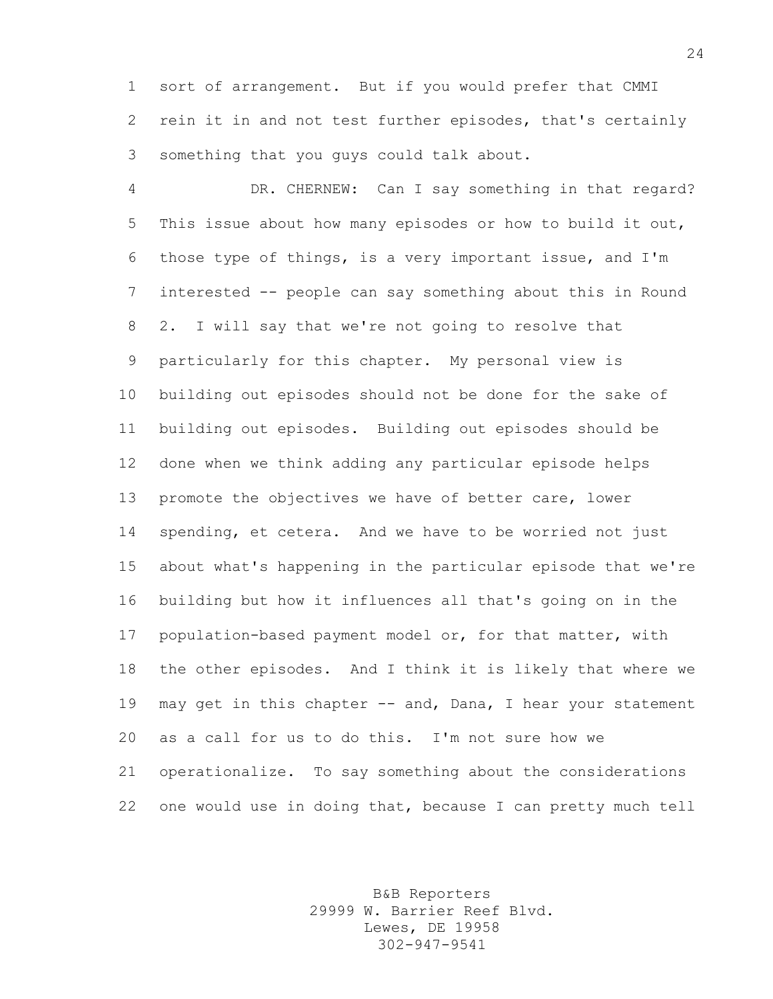sort of arrangement. But if you would prefer that CMMI rein it in and not test further episodes, that's certainly something that you guys could talk about.

 DR. CHERNEW: Can I say something in that regard? This issue about how many episodes or how to build it out, those type of things, is a very important issue, and I'm interested -- people can say something about this in Round 2. I will say that we're not going to resolve that particularly for this chapter. My personal view is building out episodes should not be done for the sake of building out episodes. Building out episodes should be done when we think adding any particular episode helps promote the objectives we have of better care, lower spending, et cetera. And we have to be worried not just about what's happening in the particular episode that we're building but how it influences all that's going on in the population-based payment model or, for that matter, with the other episodes. And I think it is likely that where we 19 may get in this chapter -- and, Dana, I hear your statement as a call for us to do this. I'm not sure how we operationalize. To say something about the considerations one would use in doing that, because I can pretty much tell

> B&B Reporters 29999 W. Barrier Reef Blvd. Lewes, DE 19958 302-947-9541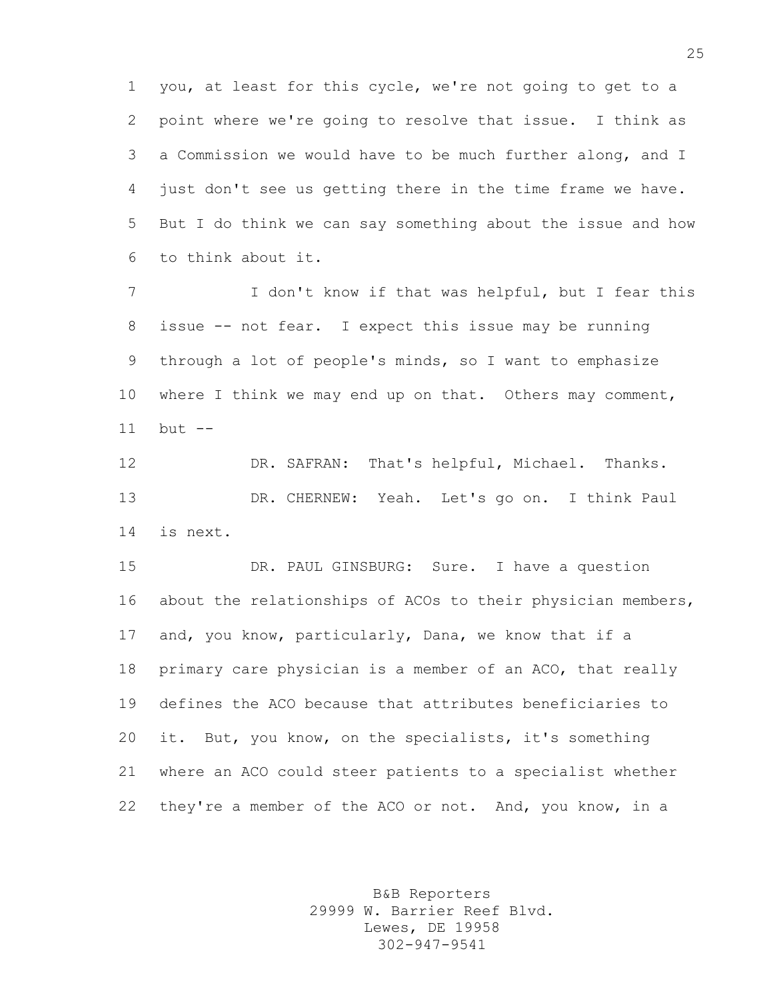you, at least for this cycle, we're not going to get to a point where we're going to resolve that issue. I think as a Commission we would have to be much further along, and I just don't see us getting there in the time frame we have. But I do think we can say something about the issue and how to think about it.

 I don't know if that was helpful, but I fear this issue -- not fear. I expect this issue may be running through a lot of people's minds, so I want to emphasize 10 where I think we may end up on that. Others may comment, but --

 DR. SAFRAN: That's helpful, Michael. Thanks. DR. CHERNEW: Yeah. Let's go on. I think Paul is next.

 DR. PAUL GINSBURG: Sure. I have a question about the relationships of ACOs to their physician members, and, you know, particularly, Dana, we know that if a primary care physician is a member of an ACO, that really defines the ACO because that attributes beneficiaries to it. But, you know, on the specialists, it's something where an ACO could steer patients to a specialist whether they're a member of the ACO or not. And, you know, in a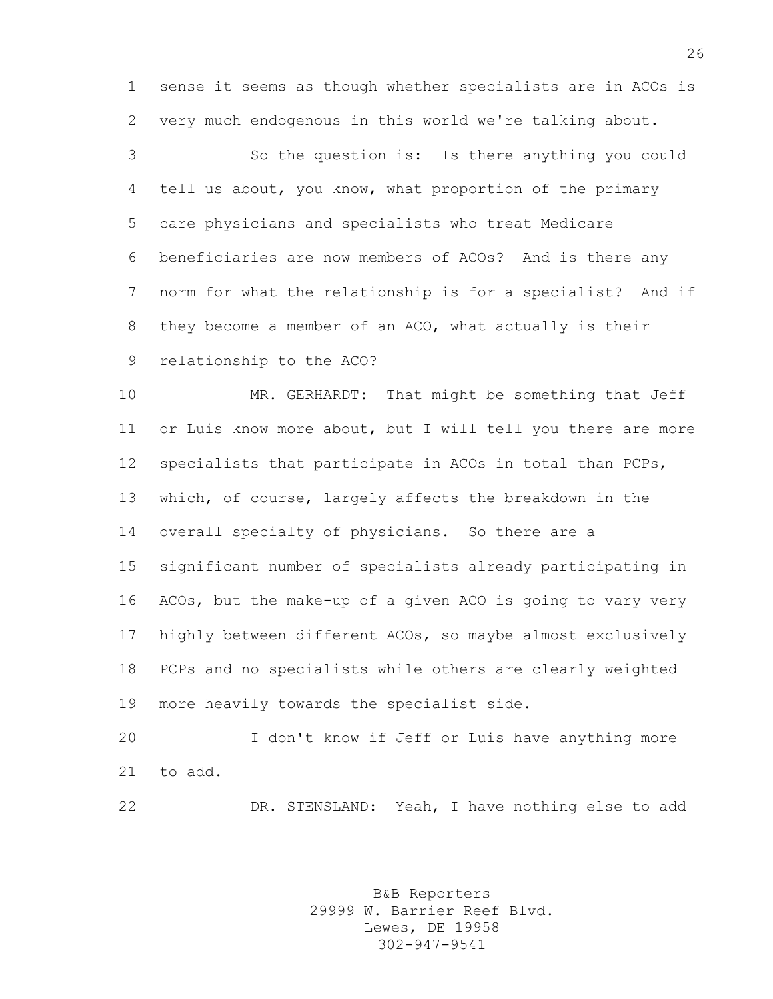sense it seems as though whether specialists are in ACOs is very much endogenous in this world we're talking about.

 So the question is: Is there anything you could tell us about, you know, what proportion of the primary care physicians and specialists who treat Medicare beneficiaries are now members of ACOs? And is there any norm for what the relationship is for a specialist? And if they become a member of an ACO, what actually is their relationship to the ACO?

 MR. GERHARDT: That might be something that Jeff or Luis know more about, but I will tell you there are more specialists that participate in ACOs in total than PCPs, which, of course, largely affects the breakdown in the overall specialty of physicians. So there are a significant number of specialists already participating in ACOs, but the make-up of a given ACO is going to vary very highly between different ACOs, so maybe almost exclusively PCPs and no specialists while others are clearly weighted more heavily towards the specialist side.

 I don't know if Jeff or Luis have anything more to add.

DR. STENSLAND: Yeah, I have nothing else to add

B&B Reporters 29999 W. Barrier Reef Blvd. Lewes, DE 19958 302-947-9541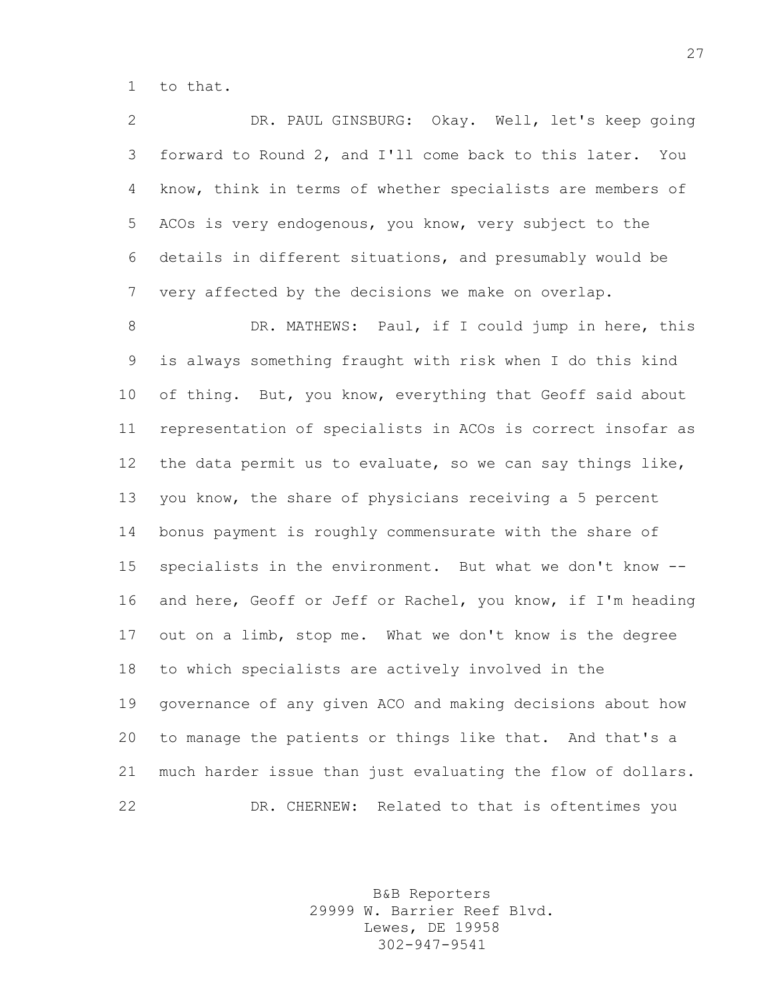to that.

 DR. PAUL GINSBURG: Okay. Well, let's keep going forward to Round 2, and I'll come back to this later. You know, think in terms of whether specialists are members of ACOs is very endogenous, you know, very subject to the details in different situations, and presumably would be very affected by the decisions we make on overlap.

8 DR. MATHEWS: Paul, if I could jump in here, this is always something fraught with risk when I do this kind 10 of thing. But, you know, everything that Geoff said about representation of specialists in ACOs is correct insofar as the data permit us to evaluate, so we can say things like, you know, the share of physicians receiving a 5 percent bonus payment is roughly commensurate with the share of specialists in the environment. But what we don't know -- and here, Geoff or Jeff or Rachel, you know, if I'm heading out on a limb, stop me. What we don't know is the degree to which specialists are actively involved in the governance of any given ACO and making decisions about how to manage the patients or things like that. And that's a much harder issue than just evaluating the flow of dollars. DR. CHERNEW: Related to that is oftentimes you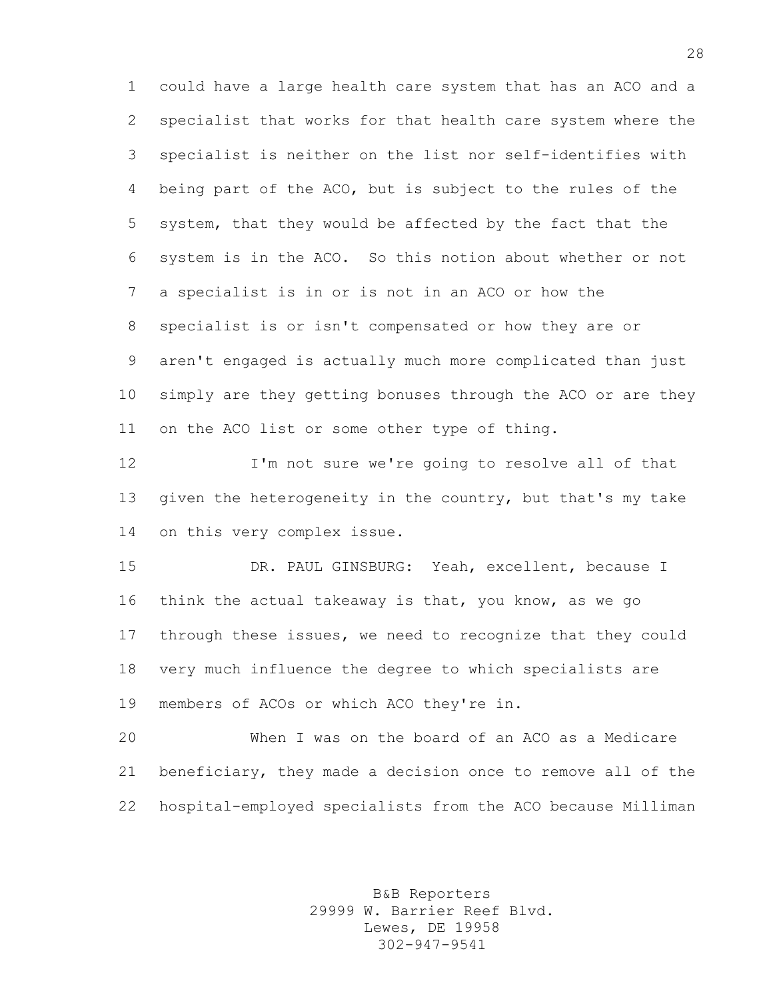could have a large health care system that has an ACO and a specialist that works for that health care system where the specialist is neither on the list nor self-identifies with being part of the ACO, but is subject to the rules of the system, that they would be affected by the fact that the system is in the ACO. So this notion about whether or not a specialist is in or is not in an ACO or how the specialist is or isn't compensated or how they are or aren't engaged is actually much more complicated than just simply are they getting bonuses through the ACO or are they on the ACO list or some other type of thing.

 I'm not sure we're going to resolve all of that 13 given the heterogeneity in the country, but that's my take on this very complex issue.

 DR. PAUL GINSBURG: Yeah, excellent, because I think the actual takeaway is that, you know, as we go through these issues, we need to recognize that they could very much influence the degree to which specialists are members of ACOs or which ACO they're in.

 When I was on the board of an ACO as a Medicare beneficiary, they made a decision once to remove all of the hospital-employed specialists from the ACO because Milliman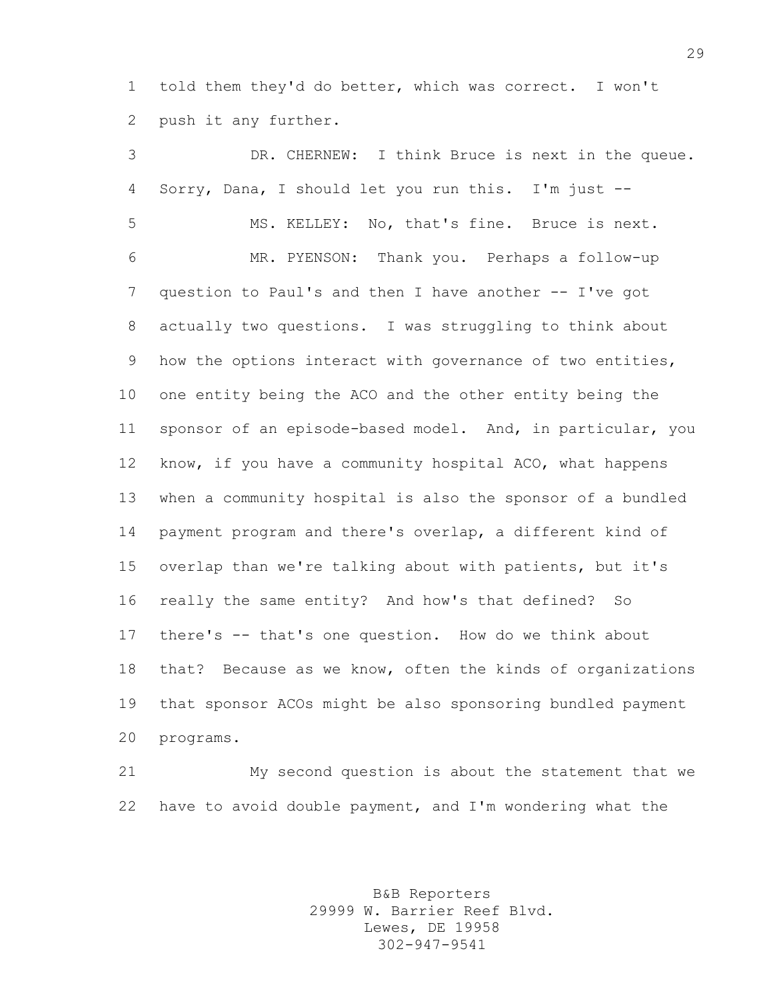told them they'd do better, which was correct. I won't push it any further.

 DR. CHERNEW: I think Bruce is next in the queue. Sorry, Dana, I should let you run this. I'm just -- MS. KELLEY: No, that's fine. Bruce is next. MR. PYENSON: Thank you. Perhaps a follow-up question to Paul's and then I have another -- I've got actually two questions. I was struggling to think about how the options interact with governance of two entities, one entity being the ACO and the other entity being the sponsor of an episode-based model. And, in particular, you know, if you have a community hospital ACO, what happens when a community hospital is also the sponsor of a bundled payment program and there's overlap, a different kind of overlap than we're talking about with patients, but it's really the same entity? And how's that defined? So there's -- that's one question. How do we think about that? Because as we know, often the kinds of organizations that sponsor ACOs might be also sponsoring bundled payment programs.

 My second question is about the statement that we have to avoid double payment, and I'm wondering what the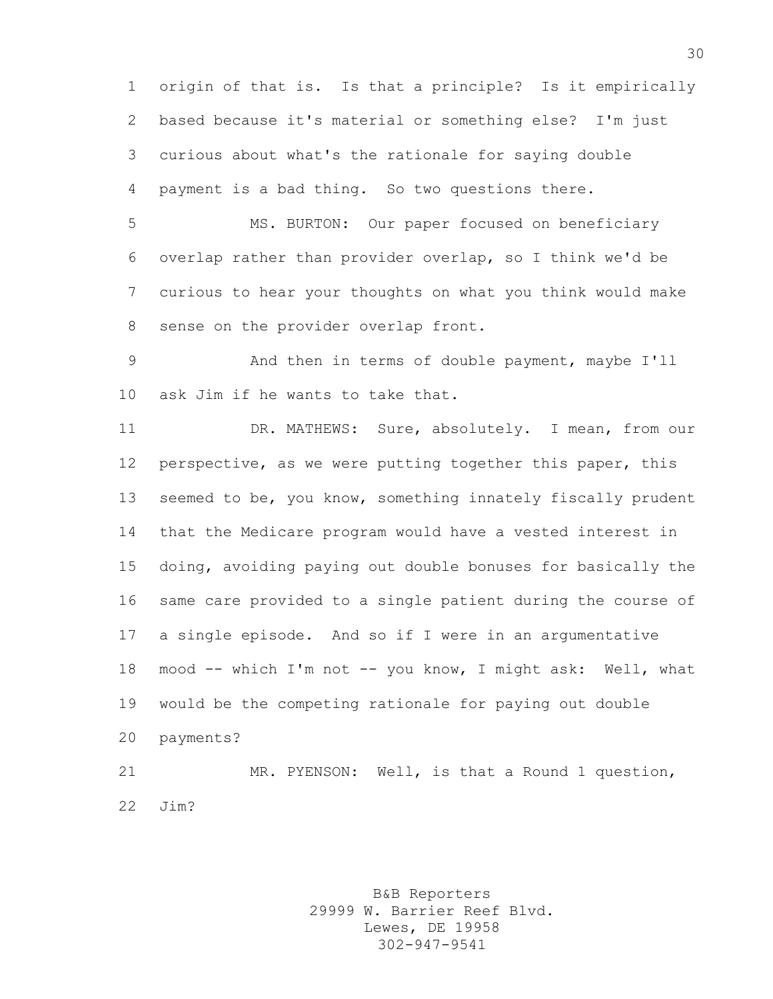origin of that is. Is that a principle? Is it empirically based because it's material or something else? I'm just curious about what's the rationale for saying double payment is a bad thing. So two questions there.

 MS. BURTON: Our paper focused on beneficiary overlap rather than provider overlap, so I think we'd be curious to hear your thoughts on what you think would make sense on the provider overlap front.

 And then in terms of double payment, maybe I'll ask Jim if he wants to take that.

11 DR. MATHEWS: Sure, absolutely. I mean, from our perspective, as we were putting together this paper, this 13 seemed to be, you know, something innately fiscally prudent that the Medicare program would have a vested interest in doing, avoiding paying out double bonuses for basically the same care provided to a single patient during the course of a single episode. And so if I were in an argumentative mood -- which I'm not -- you know, I might ask: Well, what would be the competing rationale for paying out double payments? MR. PYENSON: Well, is that a Round 1 question,

Jim?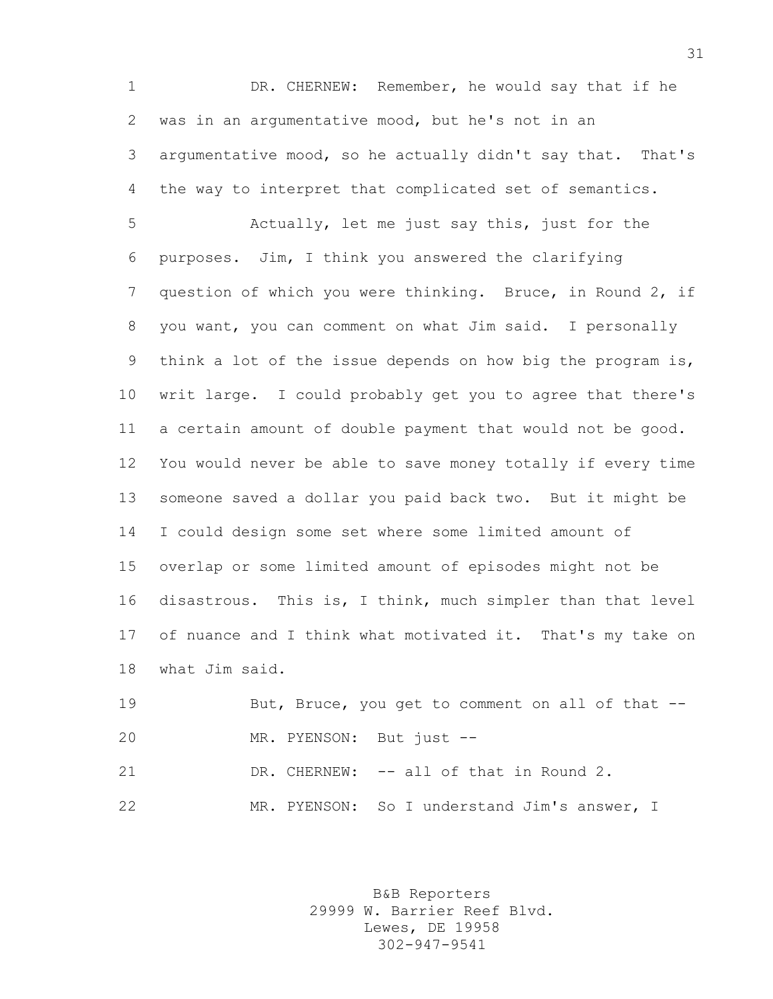DR. CHERNEW: Remember, he would say that if he was in an argumentative mood, but he's not in an argumentative mood, so he actually didn't say that. That's the way to interpret that complicated set of semantics.

 Actually, let me just say this, just for the purposes. Jim, I think you answered the clarifying question of which you were thinking. Bruce, in Round 2, if you want, you can comment on what Jim said. I personally think a lot of the issue depends on how big the program is, writ large. I could probably get you to agree that there's a certain amount of double payment that would not be good. You would never be able to save money totally if every time someone saved a dollar you paid back two. But it might be I could design some set where some limited amount of overlap or some limited amount of episodes might not be disastrous. This is, I think, much simpler than that level 17 of nuance and I think what motivated it. That's my take on what Jim said.

19 But, Bruce, you get to comment on all of that -- MR. PYENSON: But just -- 21 DR. CHERNEW: -- all of that in Round 2.

MR. PYENSON: So I understand Jim's answer, I

B&B Reporters 29999 W. Barrier Reef Blvd. Lewes, DE 19958 302-947-9541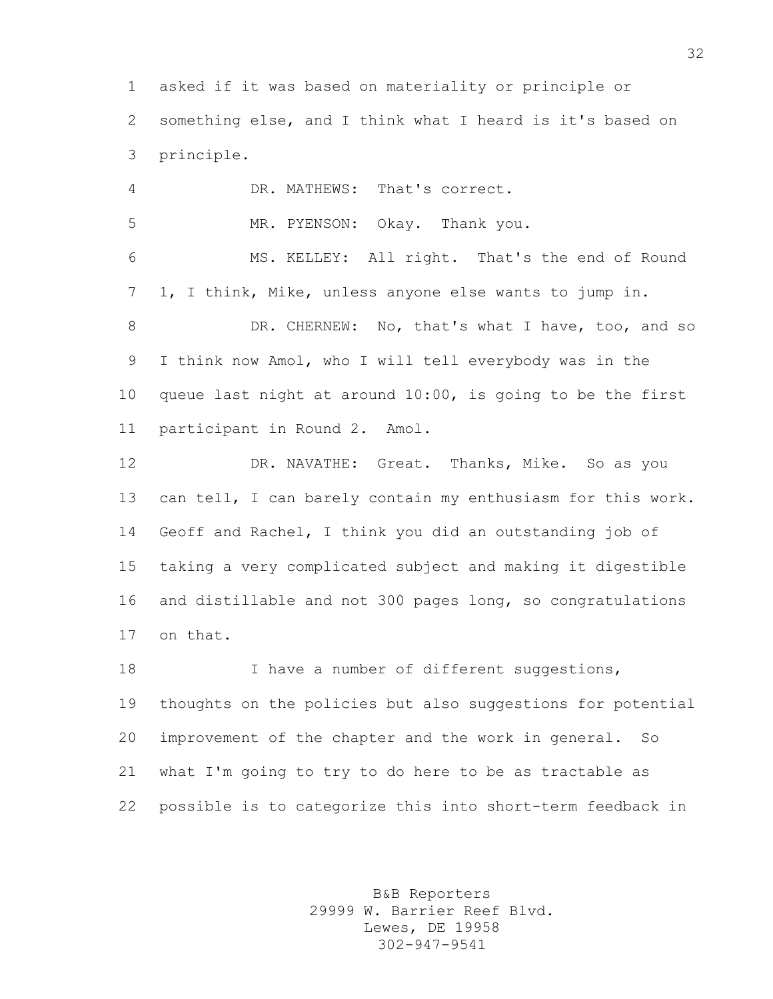asked if it was based on materiality or principle or something else, and I think what I heard is it's based on principle.

 DR. MATHEWS: That's correct. MR. PYENSON: Okay. Thank you. MS. KELLEY: All right. That's the end of Round 1, I think, Mike, unless anyone else wants to jump in. 8 DR. CHERNEW: No, that's what I have, too, and so I think now Amol, who I will tell everybody was in the queue last night at around 10:00, is going to be the first participant in Round 2. Amol.

 DR. NAVATHE: Great. Thanks, Mike. So as you can tell, I can barely contain my enthusiasm for this work. Geoff and Rachel, I think you did an outstanding job of taking a very complicated subject and making it digestible and distillable and not 300 pages long, so congratulations on that.

18 I have a number of different suggestions, thoughts on the policies but also suggestions for potential improvement of the chapter and the work in general. So what I'm going to try to do here to be as tractable as possible is to categorize this into short-term feedback in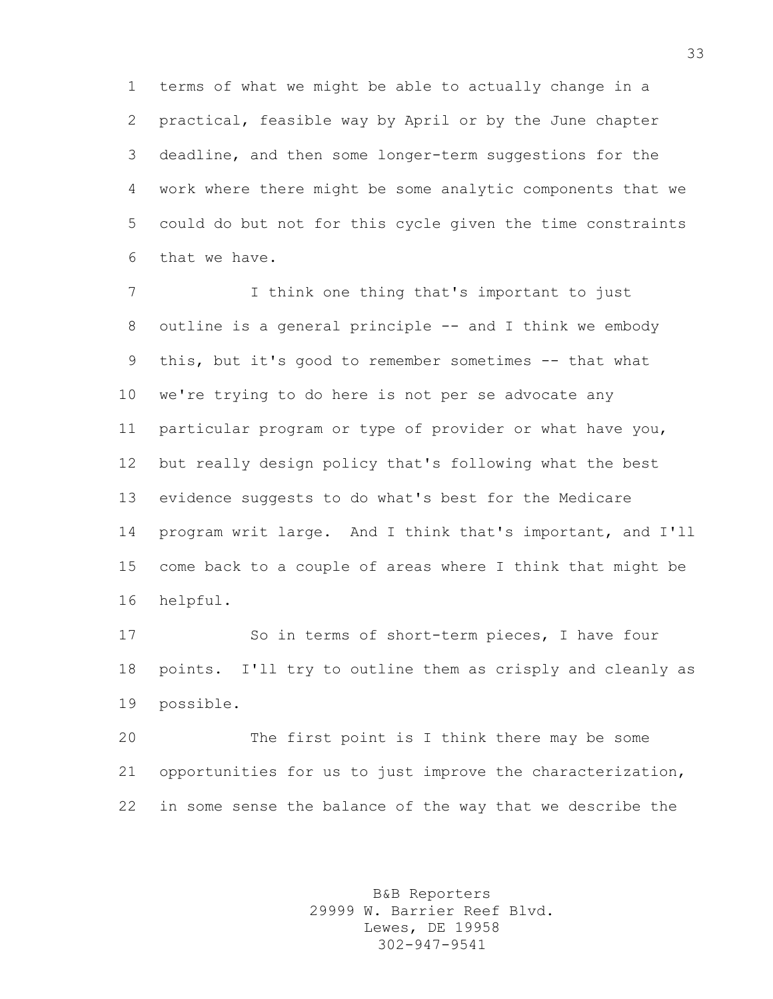terms of what we might be able to actually change in a practical, feasible way by April or by the June chapter deadline, and then some longer-term suggestions for the work where there might be some analytic components that we could do but not for this cycle given the time constraints that we have.

 I think one thing that's important to just 8 outline is a general principle -- and I think we embody this, but it's good to remember sometimes -- that what we're trying to do here is not per se advocate any particular program or type of provider or what have you, but really design policy that's following what the best evidence suggests to do what's best for the Medicare program writ large. And I think that's important, and I'll come back to a couple of areas where I think that might be helpful.

 So in terms of short-term pieces, I have four points. I'll try to outline them as crisply and cleanly as possible.

 The first point is I think there may be some opportunities for us to just improve the characterization, in some sense the balance of the way that we describe the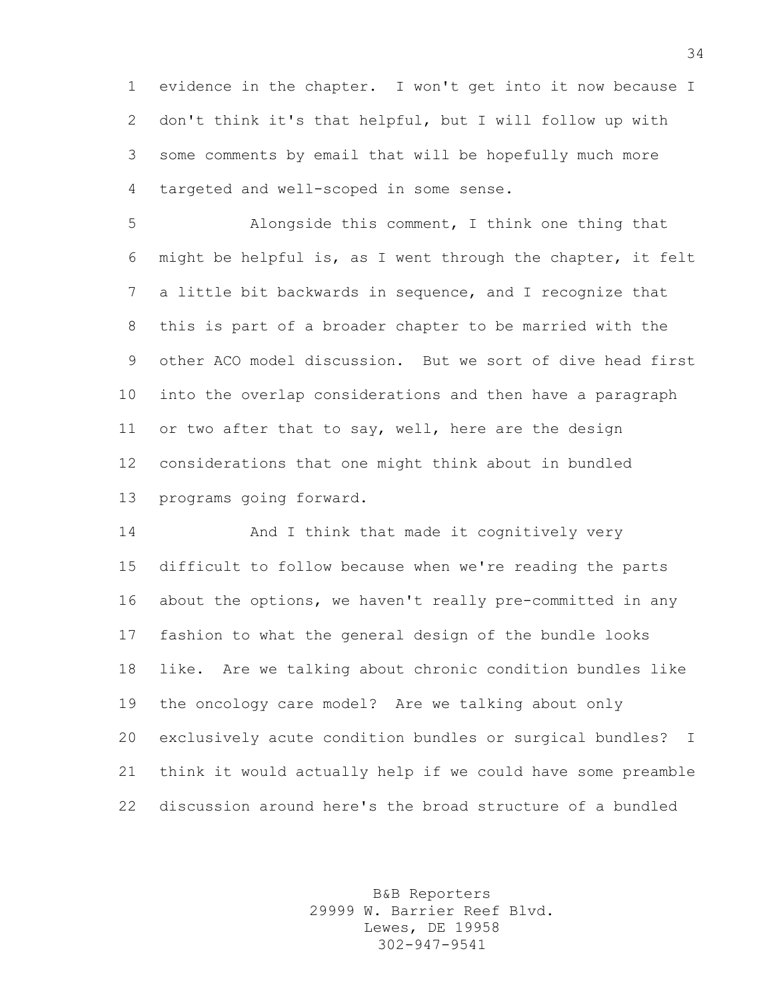evidence in the chapter. I won't get into it now because I don't think it's that helpful, but I will follow up with some comments by email that will be hopefully much more targeted and well-scoped in some sense.

 Alongside this comment, I think one thing that might be helpful is, as I went through the chapter, it felt a little bit backwards in sequence, and I recognize that this is part of a broader chapter to be married with the other ACO model discussion. But we sort of dive head first into the overlap considerations and then have a paragraph or two after that to say, well, here are the design considerations that one might think about in bundled programs going forward.

**And I think that made it cognitively very**  difficult to follow because when we're reading the parts about the options, we haven't really pre-committed in any fashion to what the general design of the bundle looks like. Are we talking about chronic condition bundles like the oncology care model? Are we talking about only exclusively acute condition bundles or surgical bundles? I think it would actually help if we could have some preamble discussion around here's the broad structure of a bundled

> B&B Reporters 29999 W. Barrier Reef Blvd. Lewes, DE 19958 302-947-9541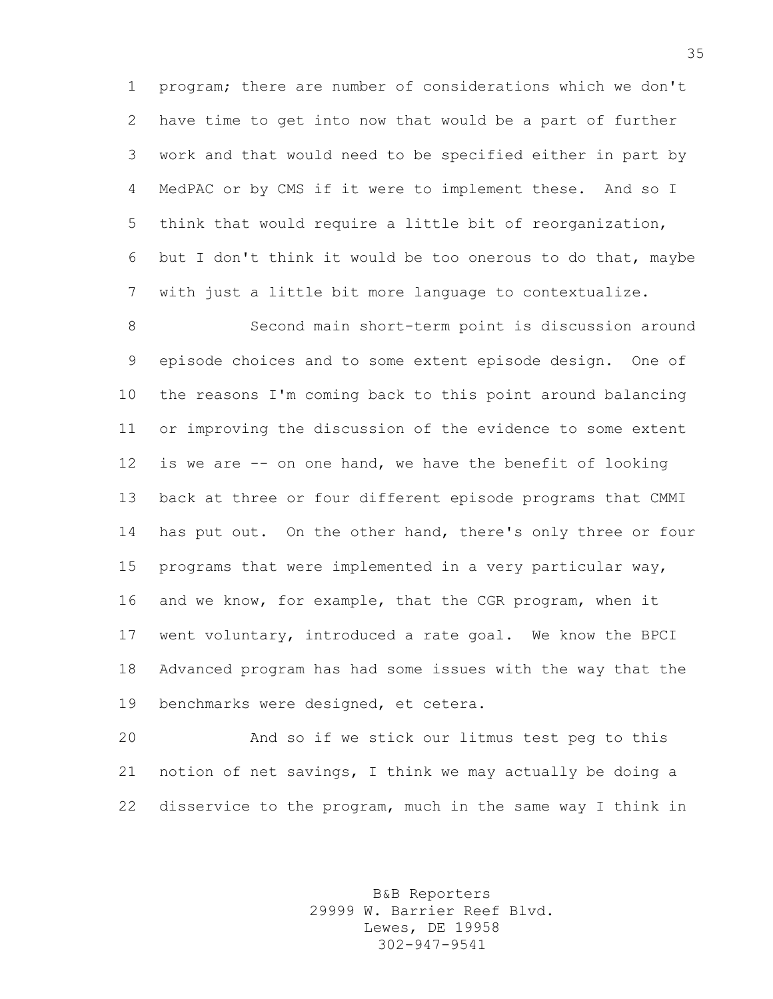program; there are number of considerations which we don't have time to get into now that would be a part of further work and that would need to be specified either in part by MedPAC or by CMS if it were to implement these. And so I think that would require a little bit of reorganization, but I don't think it would be too onerous to do that, maybe with just a little bit more language to contextualize.

 Second main short-term point is discussion around episode choices and to some extent episode design. One of the reasons I'm coming back to this point around balancing or improving the discussion of the evidence to some extent is we are -- on one hand, we have the benefit of looking back at three or four different episode programs that CMMI 14 has put out. On the other hand, there's only three or four programs that were implemented in a very particular way, and we know, for example, that the CGR program, when it went voluntary, introduced a rate goal. We know the BPCI Advanced program has had some issues with the way that the benchmarks were designed, et cetera.

 And so if we stick our litmus test peg to this notion of net savings, I think we may actually be doing a disservice to the program, much in the same way I think in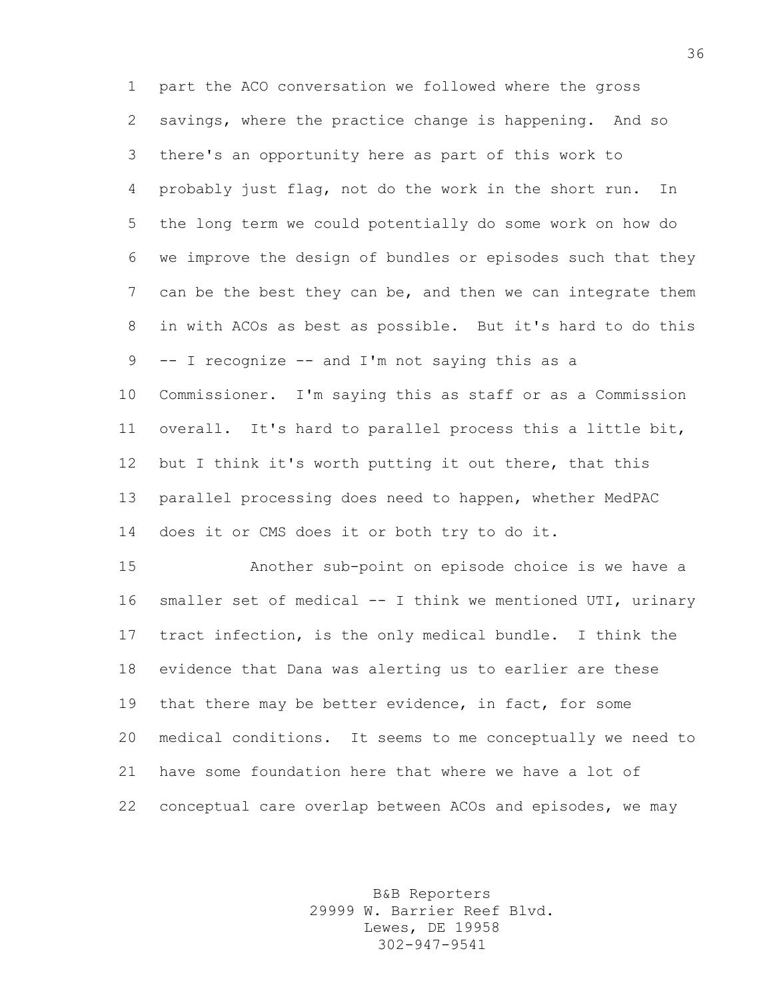part the ACO conversation we followed where the gross savings, where the practice change is happening. And so there's an opportunity here as part of this work to probably just flag, not do the work in the short run. In the long term we could potentially do some work on how do we improve the design of bundles or episodes such that they can be the best they can be, and then we can integrate them in with ACOs as best as possible. But it's hard to do this -- I recognize -- and I'm not saying this as a Commissioner. I'm saying this as staff or as a Commission overall. It's hard to parallel process this a little bit, but I think it's worth putting it out there, that this parallel processing does need to happen, whether MedPAC does it or CMS does it or both try to do it.

 Another sub-point on episode choice is we have a smaller set of medical -- I think we mentioned UTI, urinary tract infection, is the only medical bundle. I think the evidence that Dana was alerting us to earlier are these 19 that there may be better evidence, in fact, for some medical conditions. It seems to me conceptually we need to have some foundation here that where we have a lot of conceptual care overlap between ACOs and episodes, we may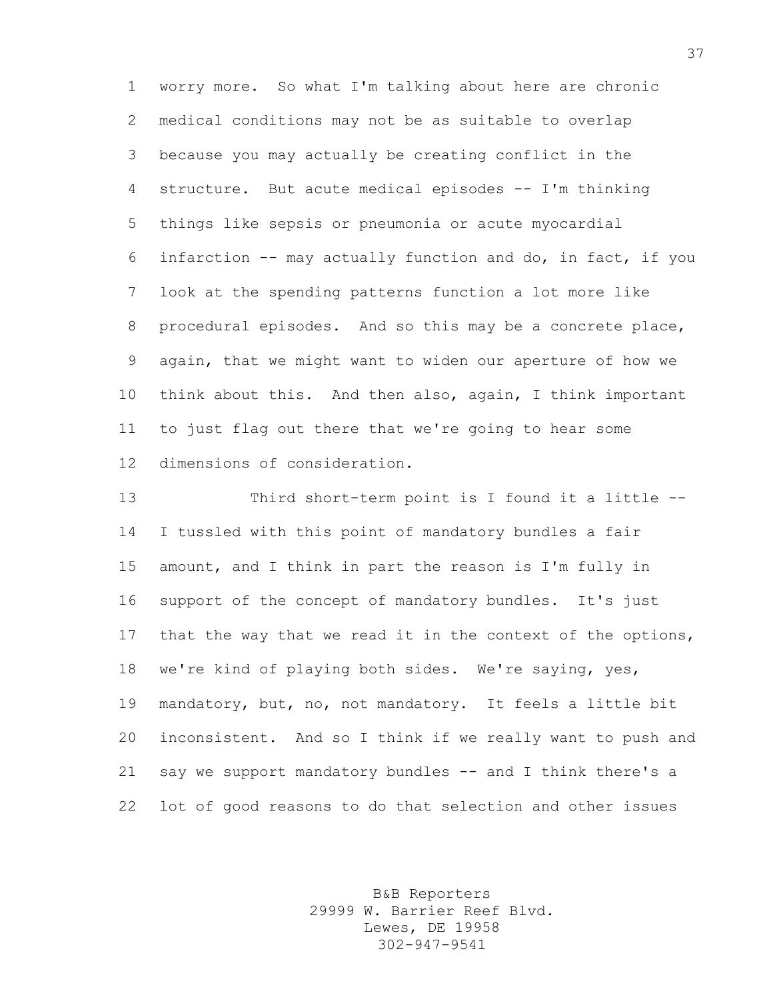worry more. So what I'm talking about here are chronic medical conditions may not be as suitable to overlap because you may actually be creating conflict in the structure. But acute medical episodes -- I'm thinking things like sepsis or pneumonia or acute myocardial infarction -- may actually function and do, in fact, if you look at the spending patterns function a lot more like procedural episodes. And so this may be a concrete place, again, that we might want to widen our aperture of how we think about this. And then also, again, I think important to just flag out there that we're going to hear some dimensions of consideration.

 Third short-term point is I found it a little -- I tussled with this point of mandatory bundles a fair amount, and I think in part the reason is I'm fully in support of the concept of mandatory bundles. It's just that the way that we read it in the context of the options, we're kind of playing both sides. We're saying, yes, mandatory, but, no, not mandatory. It feels a little bit inconsistent. And so I think if we really want to push and say we support mandatory bundles -- and I think there's a lot of good reasons to do that selection and other issues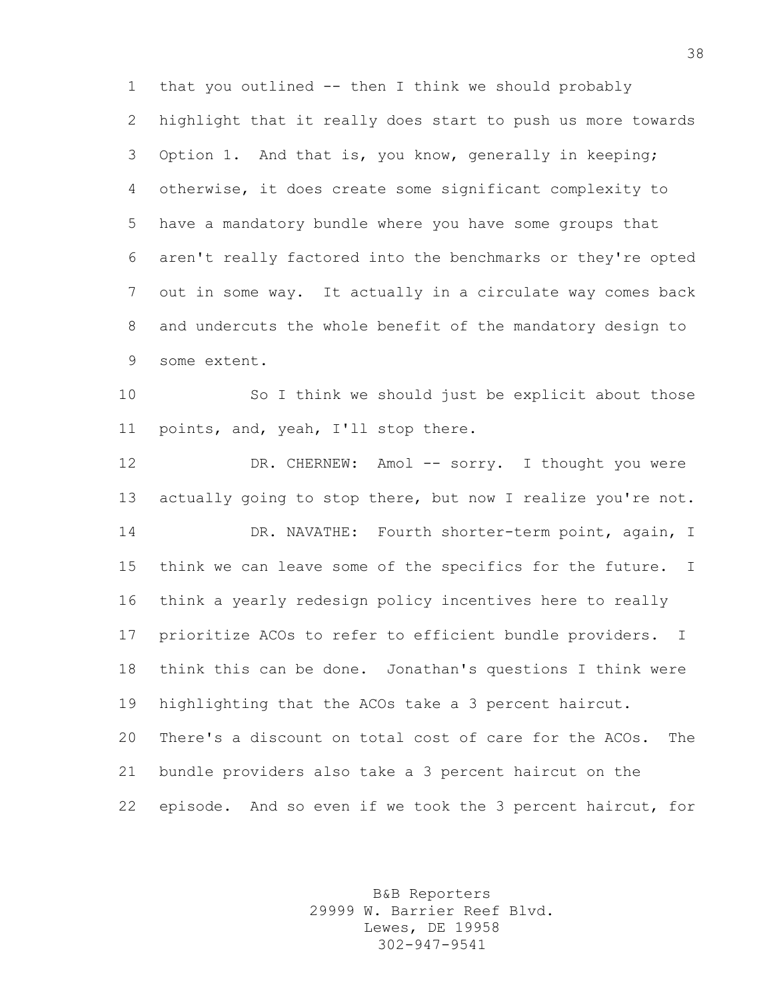that you outlined -- then I think we should probably highlight that it really does start to push us more towards Option 1. And that is, you know, generally in keeping; otherwise, it does create some significant complexity to have a mandatory bundle where you have some groups that aren't really factored into the benchmarks or they're opted out in some way. It actually in a circulate way comes back and undercuts the whole benefit of the mandatory design to some extent.

 So I think we should just be explicit about those points, and, yeah, I'll stop there.

12 DR. CHERNEW: Amol -- sorry. I thought you were 13 actually going to stop there, but now I realize you're not. DR. NAVATHE: Fourth shorter-term point, again, I think we can leave some of the specifics for the future. I think a yearly redesign policy incentives here to really prioritize ACOs to refer to efficient bundle providers. I think this can be done. Jonathan's questions I think were highlighting that the ACOs take a 3 percent haircut. There's a discount on total cost of care for the ACOs. The bundle providers also take a 3 percent haircut on the episode. And so even if we took the 3 percent haircut, for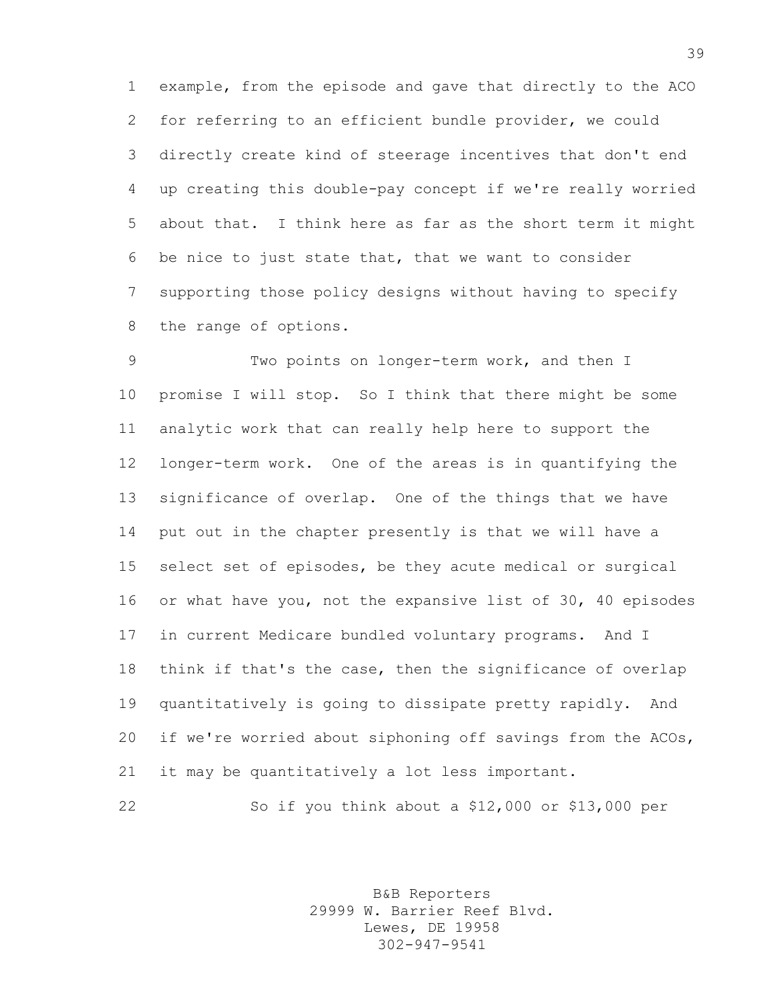example, from the episode and gave that directly to the ACO for referring to an efficient bundle provider, we could directly create kind of steerage incentives that don't end up creating this double-pay concept if we're really worried about that. I think here as far as the short term it might be nice to just state that, that we want to consider supporting those policy designs without having to specify the range of options.

9 Two points on longer-term work, and then I promise I will stop. So I think that there might be some analytic work that can really help here to support the longer-term work. One of the areas is in quantifying the significance of overlap. One of the things that we have put out in the chapter presently is that we will have a select set of episodes, be they acute medical or surgical or what have you, not the expansive list of 30, 40 episodes in current Medicare bundled voluntary programs. And I think if that's the case, then the significance of overlap quantitatively is going to dissipate pretty rapidly. And if we're worried about siphoning off savings from the ACOs, it may be quantitatively a lot less important.

So if you think about a \$12,000 or \$13,000 per

B&B Reporters 29999 W. Barrier Reef Blvd. Lewes, DE 19958 302-947-9541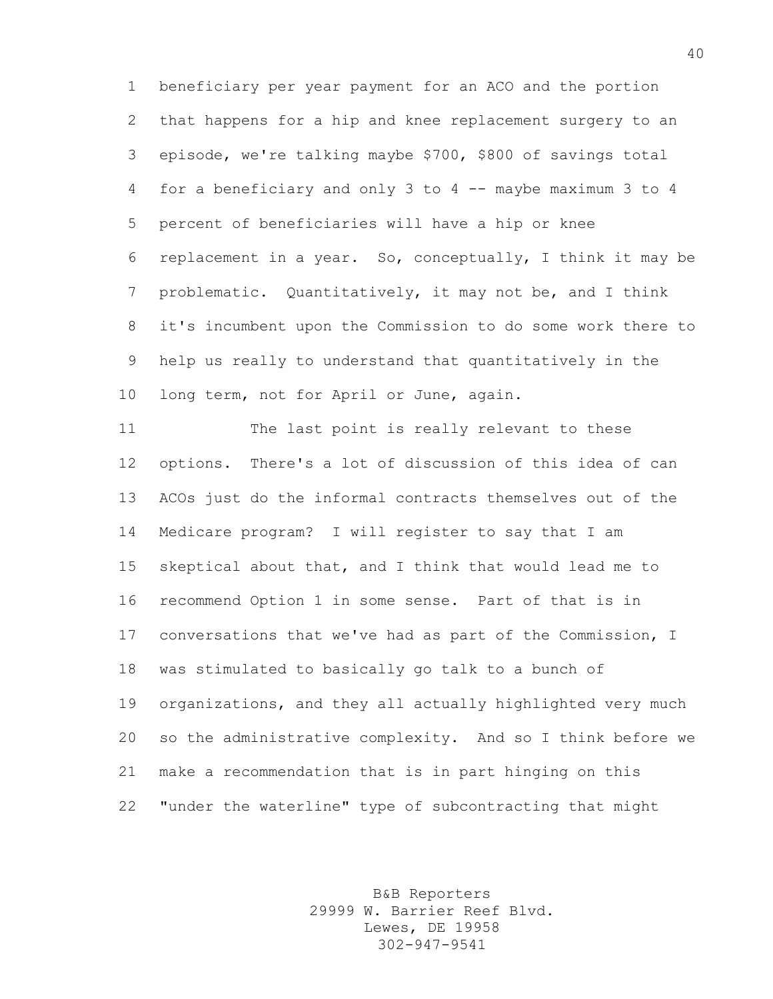beneficiary per year payment for an ACO and the portion that happens for a hip and knee replacement surgery to an episode, we're talking maybe \$700, \$800 of savings total for a beneficiary and only 3 to 4 -- maybe maximum 3 to 4 percent of beneficiaries will have a hip or knee replacement in a year. So, conceptually, I think it may be problematic. Quantitatively, it may not be, and I think it's incumbent upon the Commission to do some work there to help us really to understand that quantitatively in the 10 long term, not for April or June, again.

 The last point is really relevant to these options. There's a lot of discussion of this idea of can ACOs just do the informal contracts themselves out of the Medicare program? I will register to say that I am skeptical about that, and I think that would lead me to recommend Option 1 in some sense. Part of that is in conversations that we've had as part of the Commission, I was stimulated to basically go talk to a bunch of organizations, and they all actually highlighted very much so the administrative complexity. And so I think before we make a recommendation that is in part hinging on this "under the waterline" type of subcontracting that might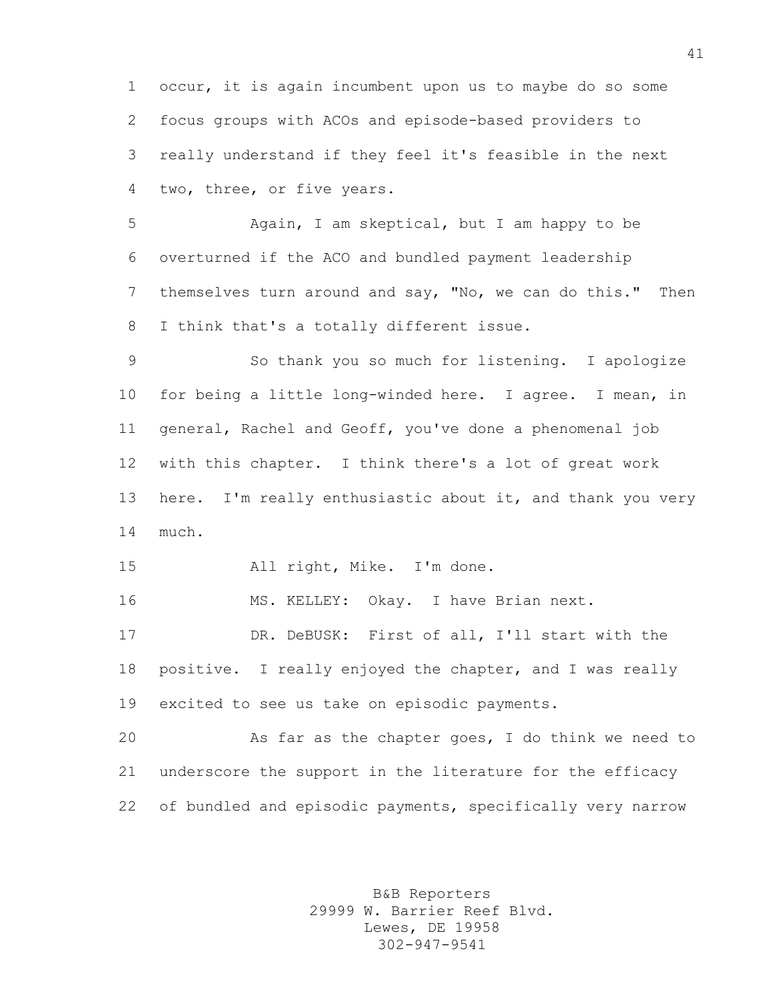occur, it is again incumbent upon us to maybe do so some focus groups with ACOs and episode-based providers to really understand if they feel it's feasible in the next two, three, or five years.

 Again, I am skeptical, but I am happy to be overturned if the ACO and bundled payment leadership themselves turn around and say, "No, we can do this." Then I think that's a totally different issue.

 So thank you so much for listening. I apologize for being a little long-winded here. I agree. I mean, in general, Rachel and Geoff, you've done a phenomenal job with this chapter. I think there's a lot of great work here. I'm really enthusiastic about it, and thank you very much.

All right, Mike. I'm done.

16 MS. KELLEY: Okay. I have Brian next.

 DR. DeBUSK: First of all, I'll start with the positive. I really enjoyed the chapter, and I was really excited to see us take on episodic payments.

 As far as the chapter goes, I do think we need to underscore the support in the literature for the efficacy 22 of bundled and episodic payments, specifically very narrow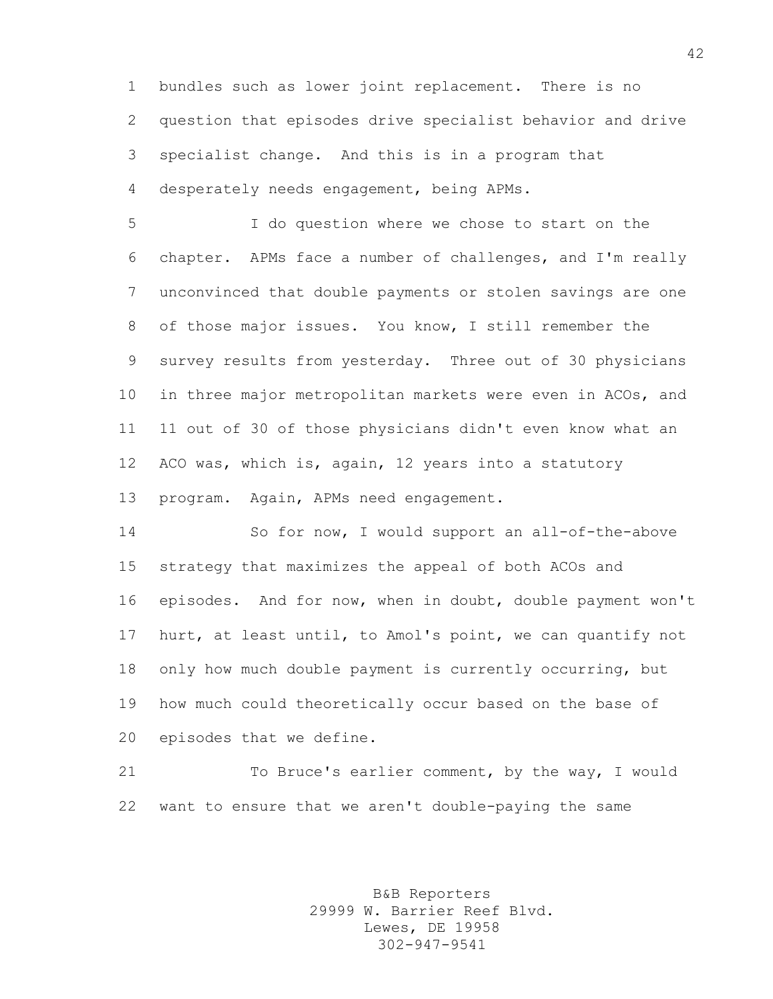bundles such as lower joint replacement. There is no question that episodes drive specialist behavior and drive specialist change. And this is in a program that desperately needs engagement, being APMs.

 I do question where we chose to start on the chapter. APMs face a number of challenges, and I'm really unconvinced that double payments or stolen savings are one of those major issues. You know, I still remember the survey results from yesterday. Three out of 30 physicians in three major metropolitan markets were even in ACOs, and 11 out of 30 of those physicians didn't even know what an ACO was, which is, again, 12 years into a statutory program. Again, APMs need engagement.

 So for now, I would support an all-of-the-above strategy that maximizes the appeal of both ACOs and episodes. And for now, when in doubt, double payment won't hurt, at least until, to Amol's point, we can quantify not only how much double payment is currently occurring, but how much could theoretically occur based on the base of episodes that we define.

 To Bruce's earlier comment, by the way, I would want to ensure that we aren't double-paying the same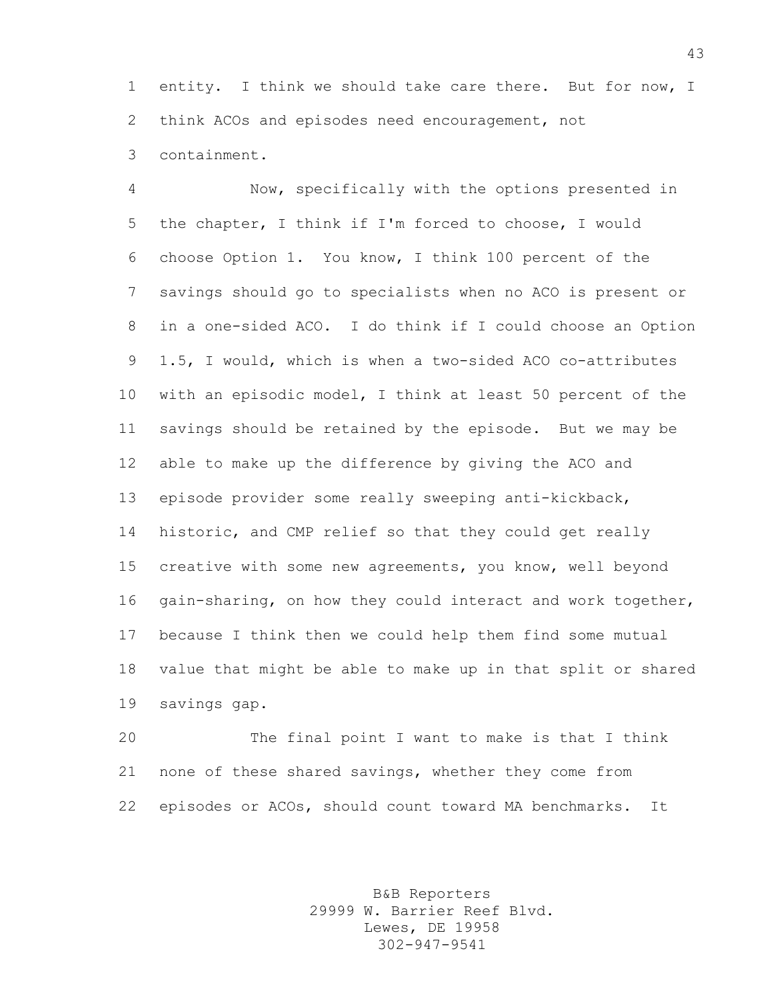entity. I think we should take care there. But for now, I think ACOs and episodes need encouragement, not containment.

 Now, specifically with the options presented in the chapter, I think if I'm forced to choose, I would choose Option 1. You know, I think 100 percent of the savings should go to specialists when no ACO is present or in a one-sided ACO. I do think if I could choose an Option 1.5, I would, which is when a two-sided ACO co-attributes with an episodic model, I think at least 50 percent of the savings should be retained by the episode. But we may be able to make up the difference by giving the ACO and episode provider some really sweeping anti-kickback, historic, and CMP relief so that they could get really creative with some new agreements, you know, well beyond gain-sharing, on how they could interact and work together, because I think then we could help them find some mutual value that might be able to make up in that split or shared savings gap.

 The final point I want to make is that I think none of these shared savings, whether they come from episodes or ACOs, should count toward MA benchmarks. It

> B&B Reporters 29999 W. Barrier Reef Blvd. Lewes, DE 19958 302-947-9541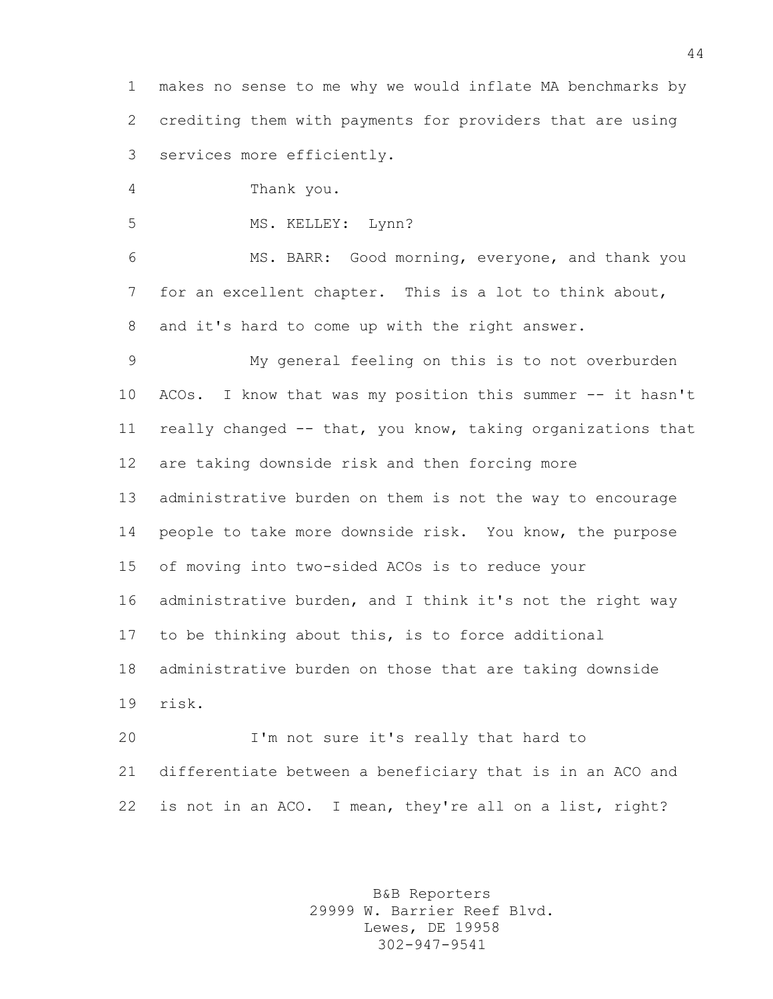makes no sense to me why we would inflate MA benchmarks by crediting them with payments for providers that are using services more efficiently.

Thank you.

5 MS. KELLEY: Lynn?

 MS. BARR: Good morning, everyone, and thank you for an excellent chapter. This is a lot to think about, and it's hard to come up with the right answer.

 My general feeling on this is to not overburden ACOs. I know that was my position this summer -- it hasn't really changed -- that, you know, taking organizations that are taking downside risk and then forcing more administrative burden on them is not the way to encourage people to take more downside risk. You know, the purpose of moving into two-sided ACOs is to reduce your administrative burden, and I think it's not the right way to be thinking about this, is to force additional administrative burden on those that are taking downside risk.

 I'm not sure it's really that hard to differentiate between a beneficiary that is in an ACO and is not in an ACO. I mean, they're all on a list, right?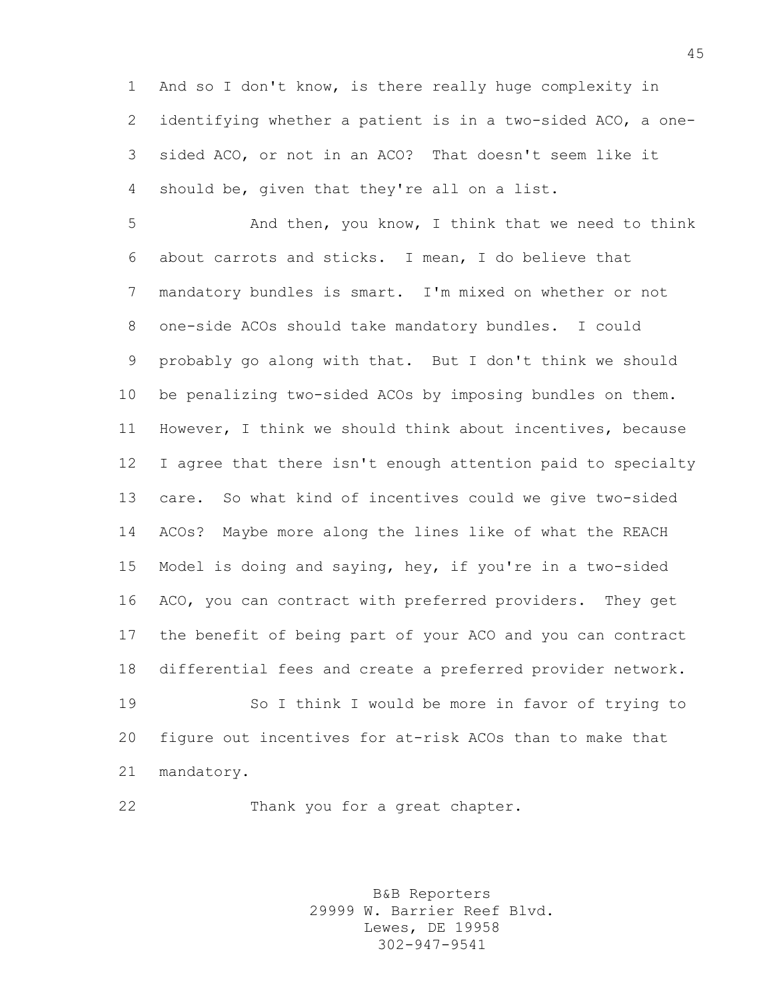And so I don't know, is there really huge complexity in identifying whether a patient is in a two-sided ACO, a one- sided ACO, or not in an ACO? That doesn't seem like it should be, given that they're all on a list.

 And then, you know, I think that we need to think about carrots and sticks. I mean, I do believe that mandatory bundles is smart. I'm mixed on whether or not one-side ACOs should take mandatory bundles. I could probably go along with that. But I don't think we should be penalizing two-sided ACOs by imposing bundles on them. However, I think we should think about incentives, because I agree that there isn't enough attention paid to specialty care. So what kind of incentives could we give two-sided ACOs? Maybe more along the lines like of what the REACH Model is doing and saying, hey, if you're in a two-sided ACO, you can contract with preferred providers. They get the benefit of being part of your ACO and you can contract differential fees and create a preferred provider network. So I think I would be more in favor of trying to figure out incentives for at-risk ACOs than to make that mandatory.

Thank you for a great chapter.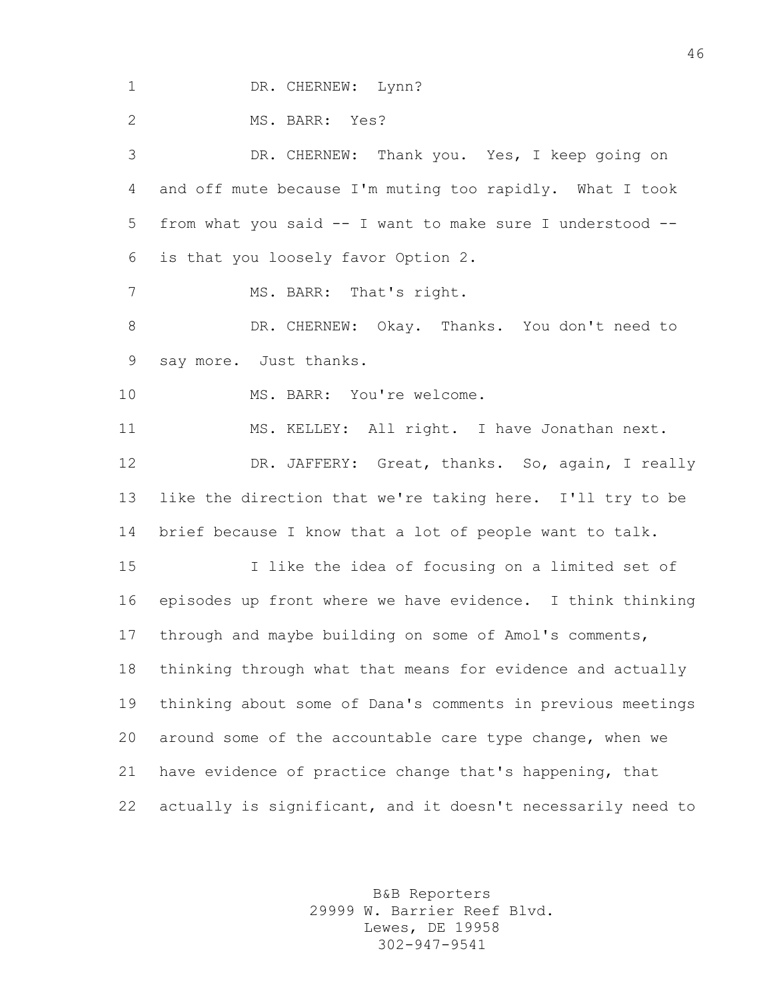1 DR. CHERNEW: Lynn? MS. BARR: Yes? DR. CHERNEW: Thank you. Yes, I keep going on and off mute because I'm muting too rapidly. What I took from what you said -- I want to make sure I understood -- is that you loosely favor Option 2. 7 MS. BARR: That's right. DR. CHERNEW: Okay. Thanks. You don't need to say more. Just thanks. 10 MS. BARR: You're welcome. MS. KELLEY: All right. I have Jonathan next. 12 DR. JAFFERY: Great, thanks. So, again, I really like the direction that we're taking here. I'll try to be brief because I know that a lot of people want to talk. I like the idea of focusing on a limited set of episodes up front where we have evidence. I think thinking through and maybe building on some of Amol's comments, thinking through what that means for evidence and actually thinking about some of Dana's comments in previous meetings around some of the accountable care type change, when we have evidence of practice change that's happening, that actually is significant, and it doesn't necessarily need to

> B&B Reporters 29999 W. Barrier Reef Blvd. Lewes, DE 19958 302-947-9541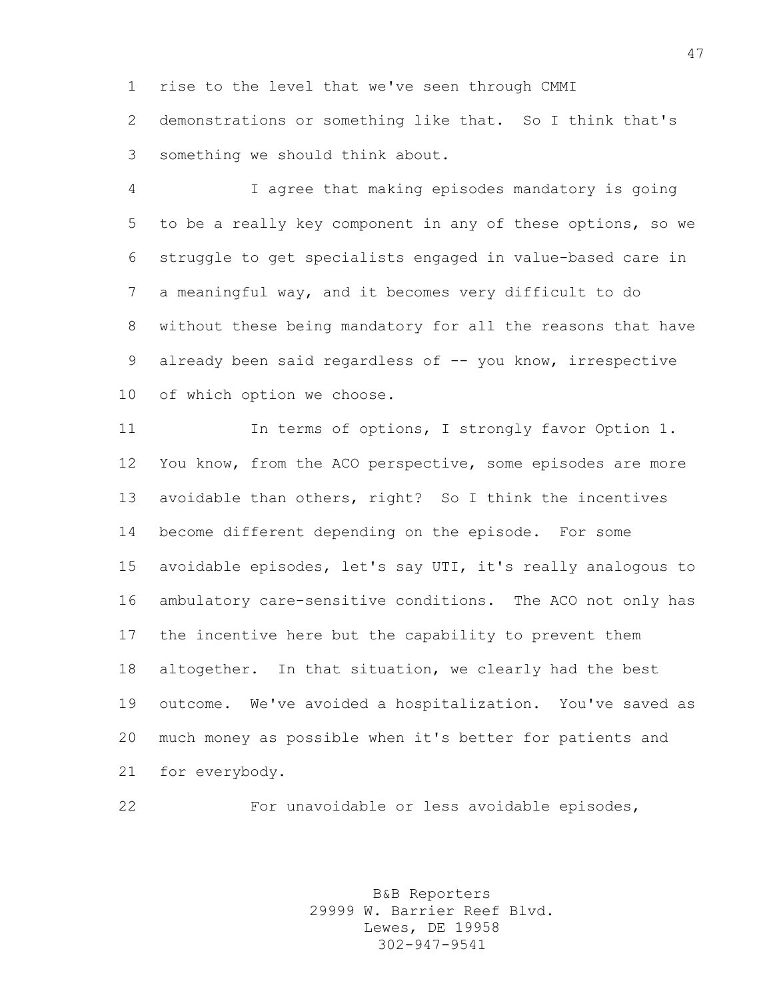rise to the level that we've seen through CMMI

 demonstrations or something like that. So I think that's something we should think about.

 I agree that making episodes mandatory is going to be a really key component in any of these options, so we struggle to get specialists engaged in value-based care in a meaningful way, and it becomes very difficult to do without these being mandatory for all the reasons that have 9 already been said regardless of -- you know, irrespective of which option we choose.

11 In terms of options, I strongly favor Option 1. You know, from the ACO perspective, some episodes are more avoidable than others, right? So I think the incentives become different depending on the episode. For some avoidable episodes, let's say UTI, it's really analogous to ambulatory care-sensitive conditions. The ACO not only has the incentive here but the capability to prevent them altogether. In that situation, we clearly had the best outcome. We've avoided a hospitalization. You've saved as much money as possible when it's better for patients and for everybody.

For unavoidable or less avoidable episodes,

B&B Reporters 29999 W. Barrier Reef Blvd. Lewes, DE 19958 302-947-9541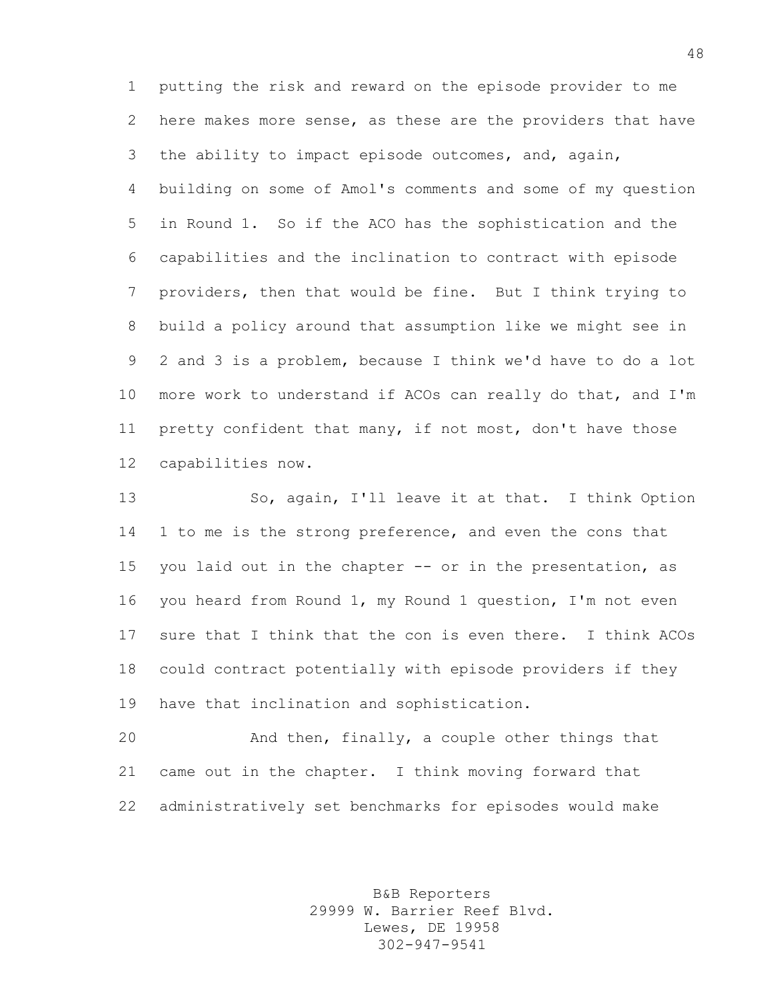putting the risk and reward on the episode provider to me here makes more sense, as these are the providers that have the ability to impact episode outcomes, and, again, building on some of Amol's comments and some of my question in Round 1. So if the ACO has the sophistication and the capabilities and the inclination to contract with episode providers, then that would be fine. But I think trying to build a policy around that assumption like we might see in 2 and 3 is a problem, because I think we'd have to do a lot more work to understand if ACOs can really do that, and I'm pretty confident that many, if not most, don't have those capabilities now.

 So, again, I'll leave it at that. I think Option 1 to me is the strong preference, and even the cons that 15 you laid out in the chapter -- or in the presentation, as you heard from Round 1, my Round 1 question, I'm not even sure that I think that the con is even there. I think ACOs could contract potentially with episode providers if they have that inclination and sophistication.

 And then, finally, a couple other things that came out in the chapter. I think moving forward that administratively set benchmarks for episodes would make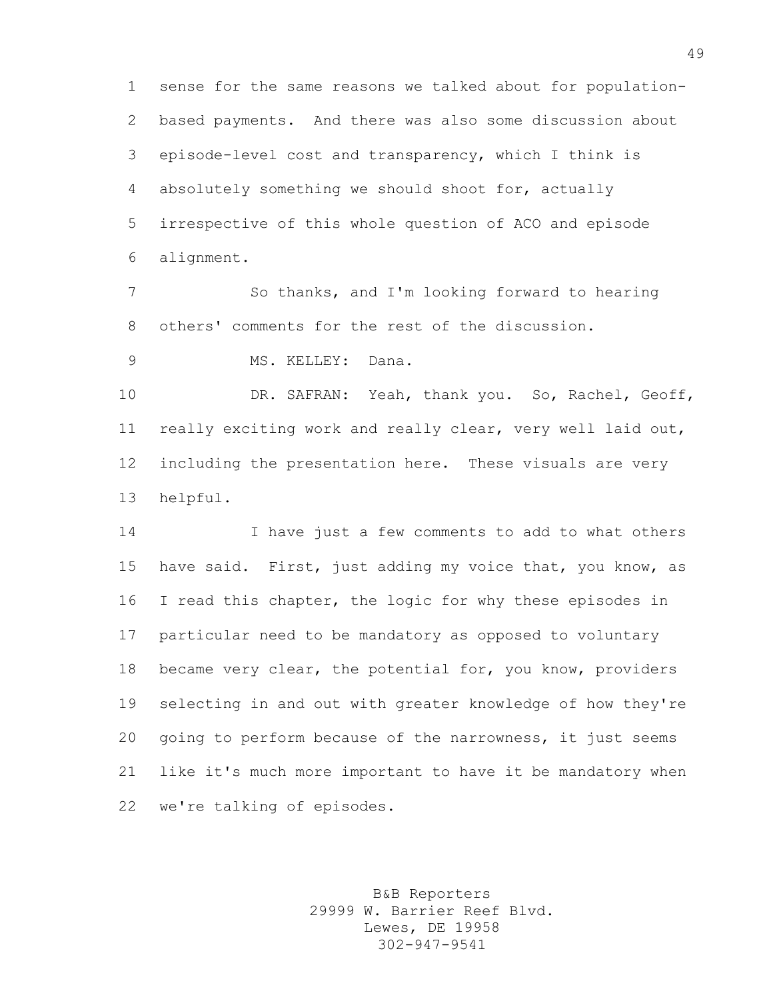sense for the same reasons we talked about for population- based payments. And there was also some discussion about episode-level cost and transparency, which I think is absolutely something we should shoot for, actually irrespective of this whole question of ACO and episode alignment.

 So thanks, and I'm looking forward to hearing others' comments for the rest of the discussion.

MS. KELLEY: Dana.

 DR. SAFRAN: Yeah, thank you. So, Rachel, Geoff, really exciting work and really clear, very well laid out, including the presentation here. These visuals are very helpful.

 I have just a few comments to add to what others have said. First, just adding my voice that, you know, as I read this chapter, the logic for why these episodes in particular need to be mandatory as opposed to voluntary became very clear, the potential for, you know, providers selecting in and out with greater knowledge of how they're going to perform because of the narrowness, it just seems like it's much more important to have it be mandatory when we're talking of episodes.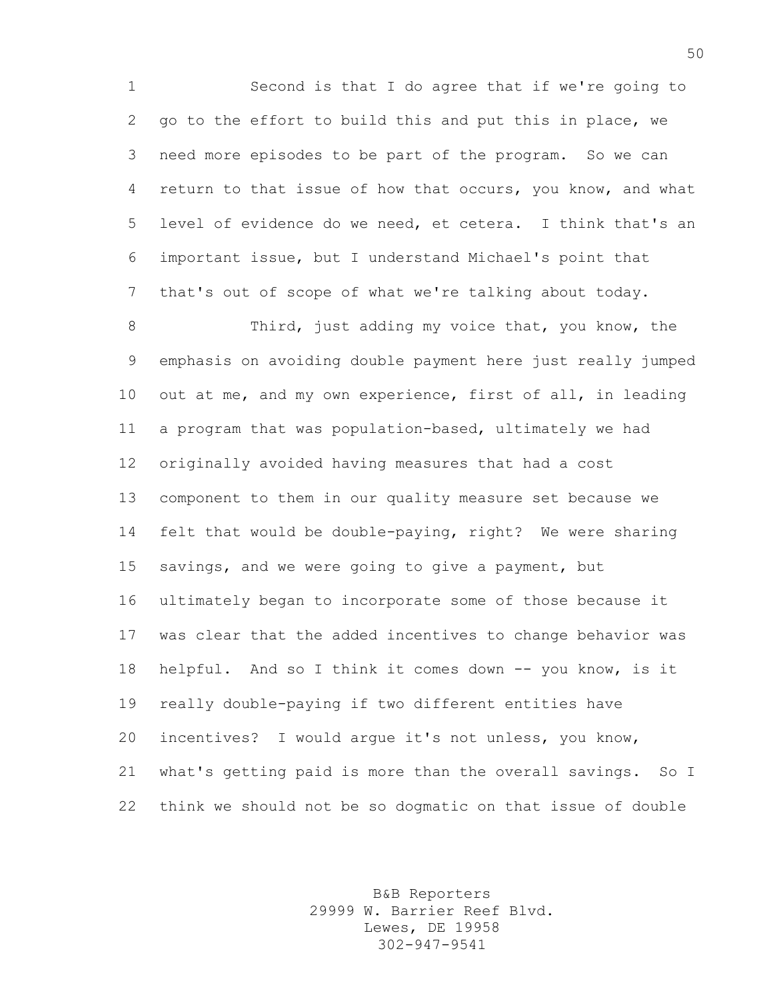Second is that I do agree that if we're going to go to the effort to build this and put this in place, we need more episodes to be part of the program. So we can return to that issue of how that occurs, you know, and what level of evidence do we need, et cetera. I think that's an important issue, but I understand Michael's point that that's out of scope of what we're talking about today.

8 Third, just adding my voice that, you know, the emphasis on avoiding double payment here just really jumped out at me, and my own experience, first of all, in leading a program that was population-based, ultimately we had originally avoided having measures that had a cost component to them in our quality measure set because we felt that would be double-paying, right? We were sharing savings, and we were going to give a payment, but ultimately began to incorporate some of those because it was clear that the added incentives to change behavior was helpful. And so I think it comes down -- you know, is it really double-paying if two different entities have incentives? I would argue it's not unless, you know, what's getting paid is more than the overall savings. So I think we should not be so dogmatic on that issue of double

> B&B Reporters 29999 W. Barrier Reef Blvd. Lewes, DE 19958 302-947-9541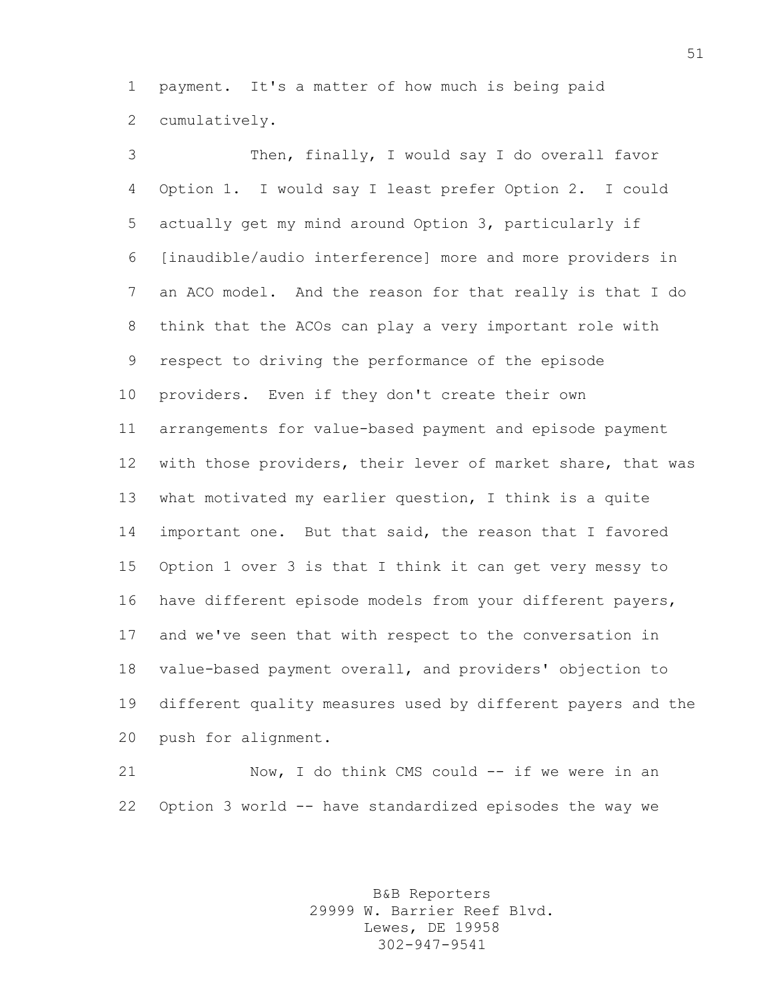payment. It's a matter of how much is being paid cumulatively.

 Then, finally, I would say I do overall favor Option 1. I would say I least prefer Option 2. I could actually get my mind around Option 3, particularly if [inaudible/audio interference] more and more providers in an ACO model. And the reason for that really is that I do think that the ACOs can play a very important role with respect to driving the performance of the episode providers. Even if they don't create their own arrangements for value-based payment and episode payment with those providers, their lever of market share, that was what motivated my earlier question, I think is a quite important one. But that said, the reason that I favored Option 1 over 3 is that I think it can get very messy to have different episode models from your different payers, and we've seen that with respect to the conversation in value-based payment overall, and providers' objection to different quality measures used by different payers and the push for alignment.

 Now, I do think CMS could -- if we were in an Option 3 world -- have standardized episodes the way we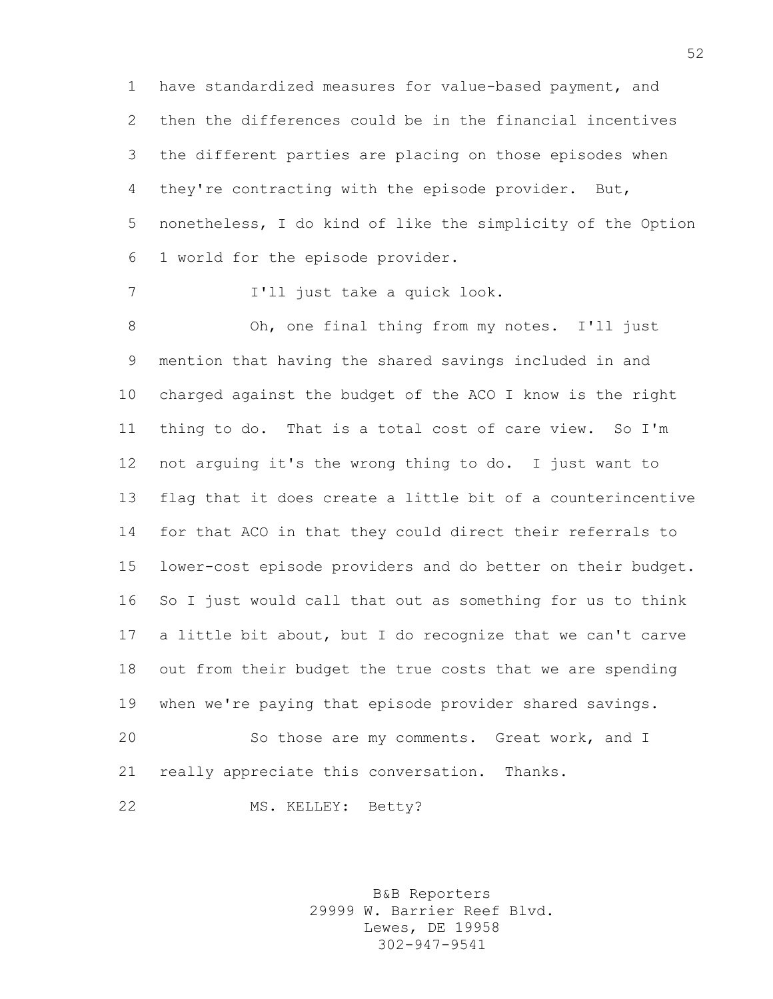have standardized measures for value-based payment, and then the differences could be in the financial incentives the different parties are placing on those episodes when they're contracting with the episode provider. But, nonetheless, I do kind of like the simplicity of the Option 1 world for the episode provider.

I'll just take a quick look.

 Oh, one final thing from my notes. I'll just mention that having the shared savings included in and charged against the budget of the ACO I know is the right thing to do. That is a total cost of care view. So I'm not arguing it's the wrong thing to do. I just want to flag that it does create a little bit of a counterincentive for that ACO in that they could direct their referrals to lower-cost episode providers and do better on their budget. So I just would call that out as something for us to think a little bit about, but I do recognize that we can't carve out from their budget the true costs that we are spending when we're paying that episode provider shared savings. So those are my comments. Great work, and I

really appreciate this conversation. Thanks.

MS. KELLEY: Betty?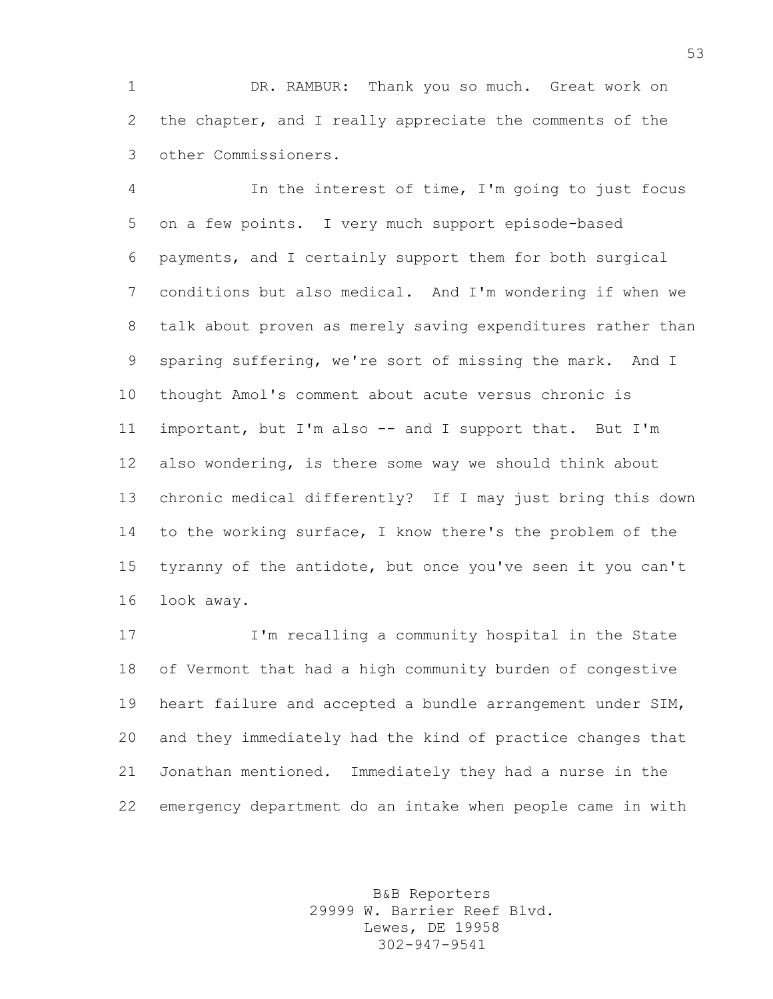DR. RAMBUR: Thank you so much. Great work on the chapter, and I really appreciate the comments of the other Commissioners.

 In the interest of time, I'm going to just focus on a few points. I very much support episode-based payments, and I certainly support them for both surgical conditions but also medical. And I'm wondering if when we talk about proven as merely saving expenditures rather than sparing suffering, we're sort of missing the mark. And I thought Amol's comment about acute versus chronic is important, but I'm also -- and I support that. But I'm also wondering, is there some way we should think about chronic medical differently? If I may just bring this down to the working surface, I know there's the problem of the tyranny of the antidote, but once you've seen it you can't look away.

 I'm recalling a community hospital in the State of Vermont that had a high community burden of congestive heart failure and accepted a bundle arrangement under SIM, and they immediately had the kind of practice changes that Jonathan mentioned. Immediately they had a nurse in the emergency department do an intake when people came in with

> B&B Reporters 29999 W. Barrier Reef Blvd. Lewes, DE 19958 302-947-9541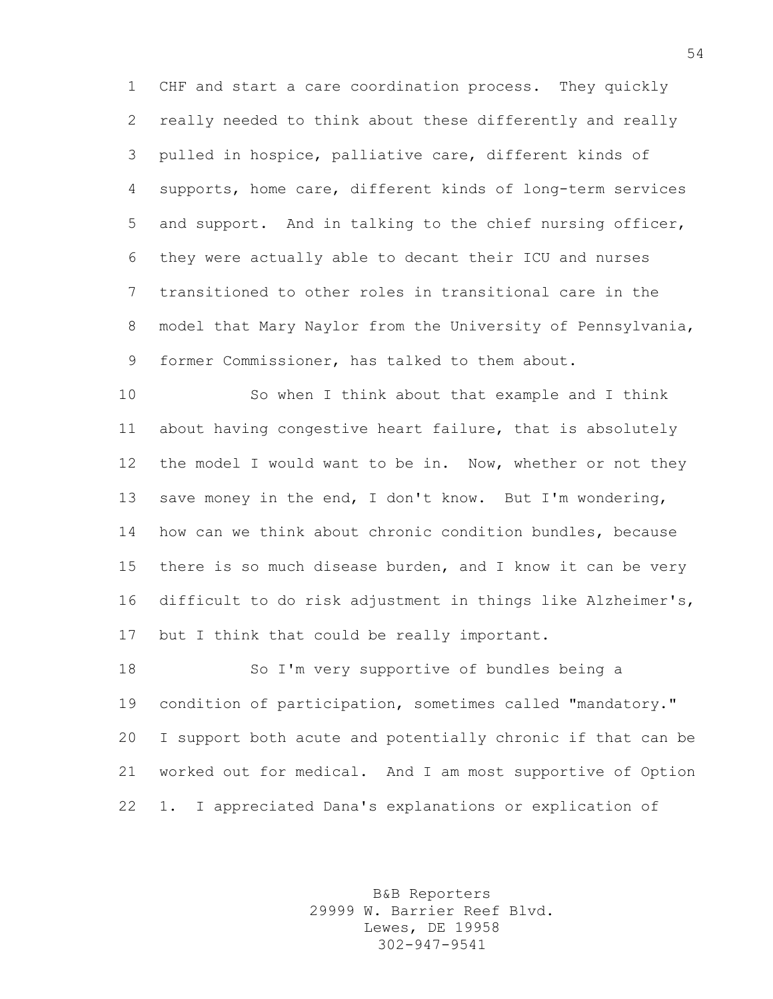CHF and start a care coordination process. They quickly really needed to think about these differently and really pulled in hospice, palliative care, different kinds of supports, home care, different kinds of long-term services and support. And in talking to the chief nursing officer, they were actually able to decant their ICU and nurses transitioned to other roles in transitional care in the model that Mary Naylor from the University of Pennsylvania, former Commissioner, has talked to them about.

 So when I think about that example and I think about having congestive heart failure, that is absolutely the model I would want to be in. Now, whether or not they save money in the end, I don't know. But I'm wondering, how can we think about chronic condition bundles, because there is so much disease burden, and I know it can be very difficult to do risk adjustment in things like Alzheimer's, but I think that could be really important.

18 So I'm very supportive of bundles being a condition of participation, sometimes called "mandatory." I support both acute and potentially chronic if that can be worked out for medical. And I am most supportive of Option 1. I appreciated Dana's explanations or explication of

> B&B Reporters 29999 W. Barrier Reef Blvd. Lewes, DE 19958 302-947-9541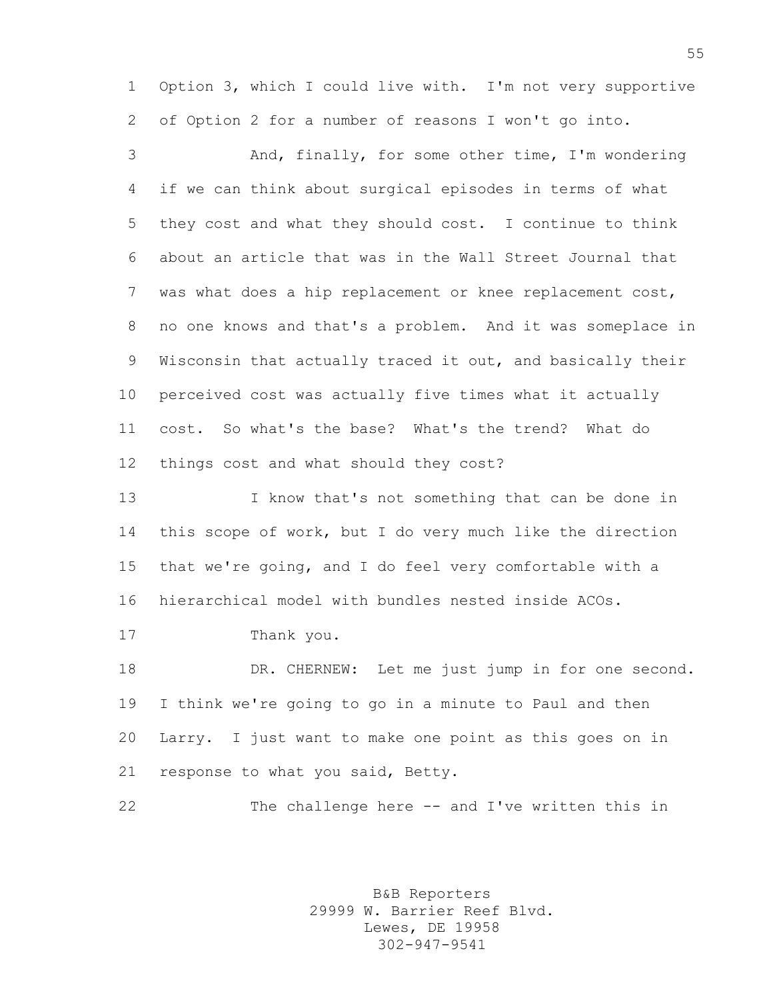Option 3, which I could live with. I'm not very supportive of Option 2 for a number of reasons I won't go into.

 And, finally, for some other time, I'm wondering if we can think about surgical episodes in terms of what they cost and what they should cost. I continue to think about an article that was in the Wall Street Journal that was what does a hip replacement or knee replacement cost, no one knows and that's a problem. And it was someplace in Wisconsin that actually traced it out, and basically their perceived cost was actually five times what it actually cost. So what's the base? What's the trend? What do things cost and what should they cost?

 I know that's not something that can be done in this scope of work, but I do very much like the direction that we're going, and I do feel very comfortable with a hierarchical model with bundles nested inside ACOs.

Thank you.

18 DR. CHERNEW: Let me just jump in for one second. I think we're going to go in a minute to Paul and then Larry. I just want to make one point as this goes on in response to what you said, Betty.

```
22 The challenge here -- and I've written this in
```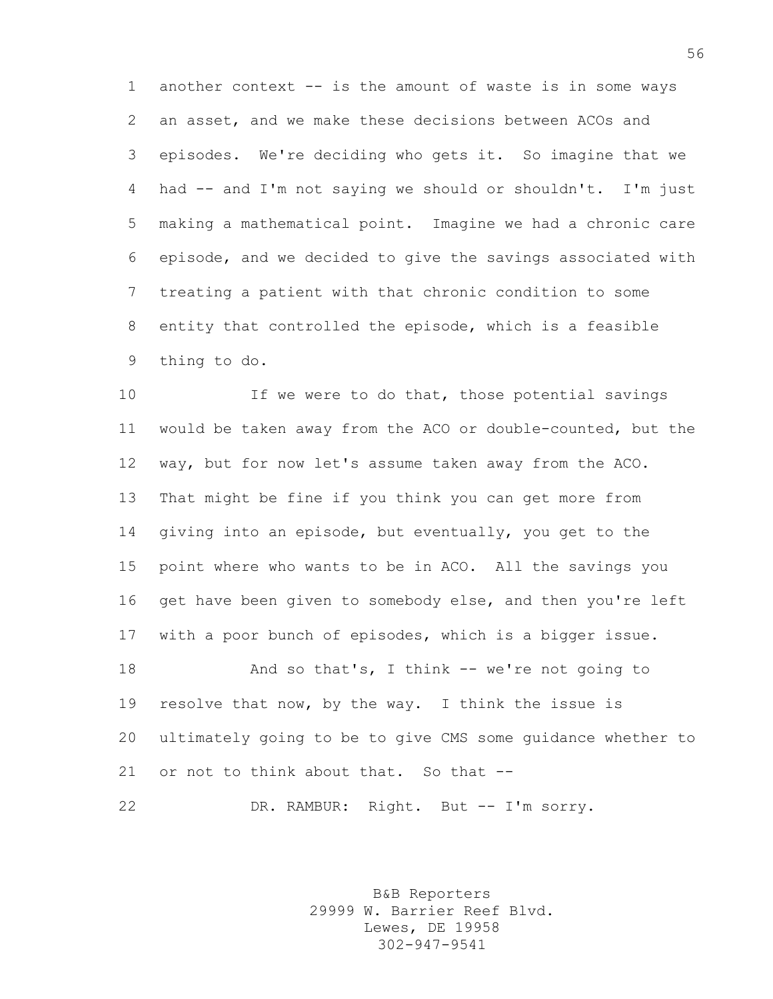another context -- is the amount of waste is in some ways an asset, and we make these decisions between ACOs and episodes. We're deciding who gets it. So imagine that we had -- and I'm not saying we should or shouldn't. I'm just making a mathematical point. Imagine we had a chronic care episode, and we decided to give the savings associated with treating a patient with that chronic condition to some entity that controlled the episode, which is a feasible thing to do.

10 If we were to do that, those potential savings would be taken away from the ACO or double-counted, but the way, but for now let's assume taken away from the ACO. That might be fine if you think you can get more from giving into an episode, but eventually, you get to the point where who wants to be in ACO. All the savings you 16 get have been given to somebody else, and then you're left with a poor bunch of episodes, which is a bigger issue. 18 And so that's, I think -- we're not going to resolve that now, by the way. I think the issue is ultimately going to be to give CMS some guidance whether to or not to think about that. So that --

DR. RAMBUR: Right. But -- I'm sorry.

B&B Reporters 29999 W. Barrier Reef Blvd. Lewes, DE 19958 302-947-9541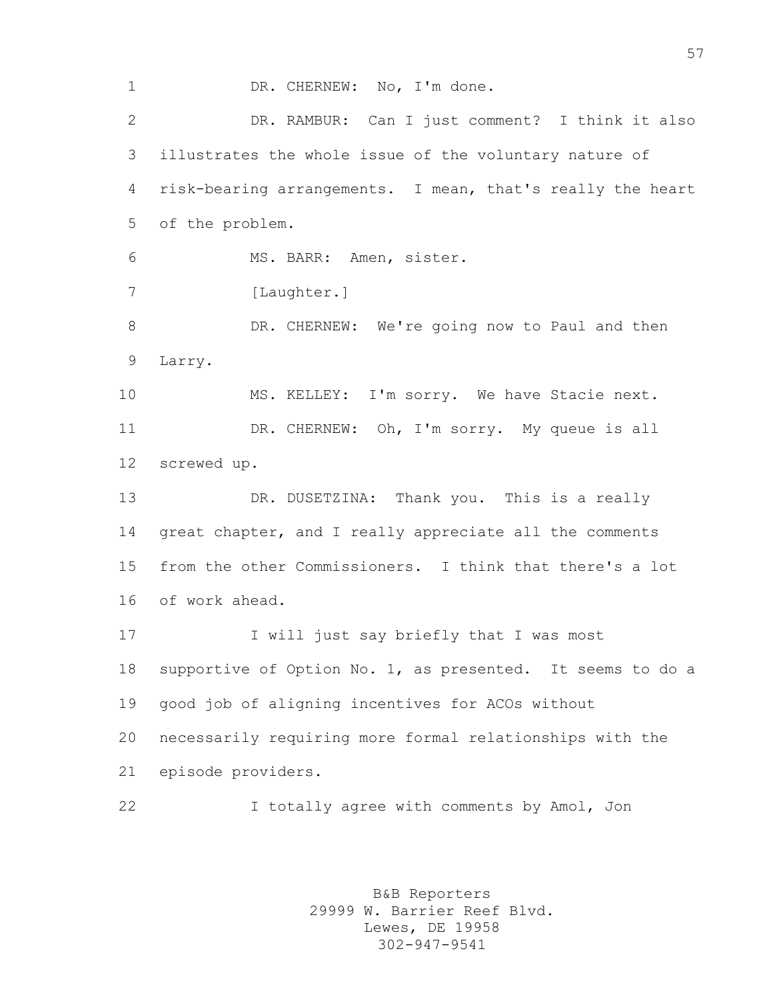1 DR. CHERNEW: No, I'm done. DR. RAMBUR: Can I just comment? I think it also illustrates the whole issue of the voluntary nature of risk-bearing arrangements. I mean, that's really the heart of the problem. MS. BARR: Amen, sister. 7 [Laughter.] 8 DR. CHERNEW: We're going now to Paul and then Larry. 10 MS. KELLEY: I'm sorry. We have Stacie next. DR. CHERNEW: Oh, I'm sorry. My queue is all screwed up. DR. DUSETZINA: Thank you. This is a really great chapter, and I really appreciate all the comments from the other Commissioners. I think that there's a lot of work ahead. I will just say briefly that I was most supportive of Option No. 1, as presented. It seems to do a good job of aligning incentives for ACOs without necessarily requiring more formal relationships with the episode providers. I totally agree with comments by Amol, Jon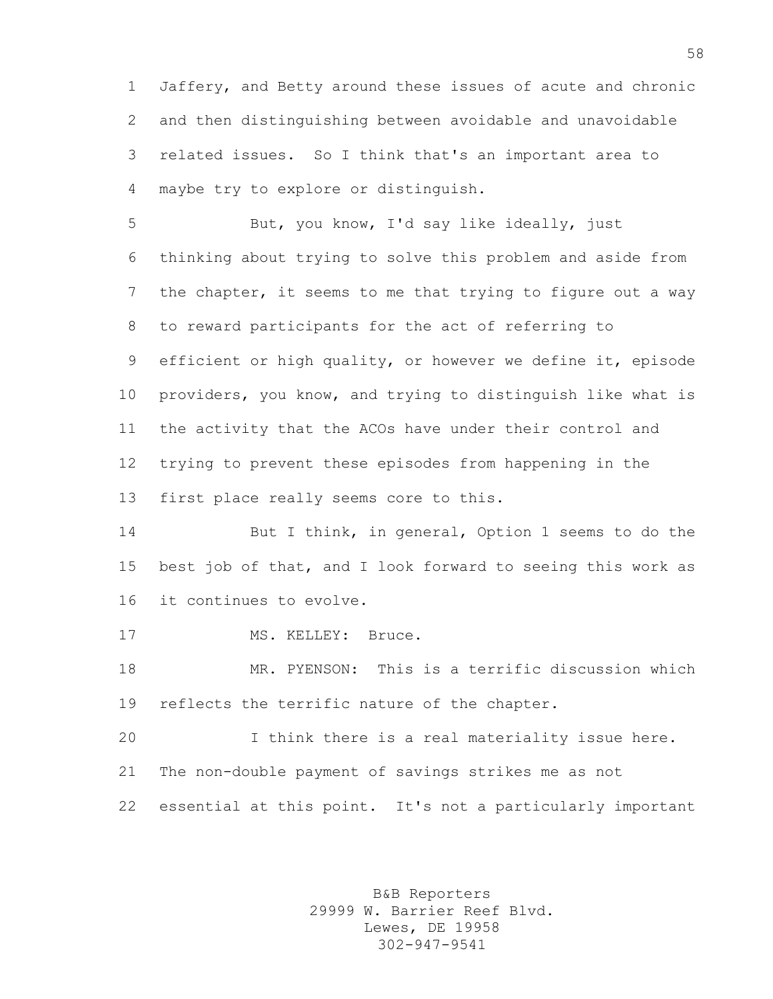Jaffery, and Betty around these issues of acute and chronic and then distinguishing between avoidable and unavoidable related issues. So I think that's an important area to maybe try to explore or distinguish.

 But, you know, I'd say like ideally, just thinking about trying to solve this problem and aside from the chapter, it seems to me that trying to figure out a way to reward participants for the act of referring to efficient or high quality, or however we define it, episode providers, you know, and trying to distinguish like what is the activity that the ACOs have under their control and trying to prevent these episodes from happening in the first place really seems core to this.

14 But I think, in general, Option 1 seems to do the best job of that, and I look forward to seeing this work as it continues to evolve.

17 MS. KELLEY: Bruce.

 MR. PYENSON: This is a terrific discussion which reflects the terrific nature of the chapter.

 I think there is a real materiality issue here. The non-double payment of savings strikes me as not essential at this point. It's not a particularly important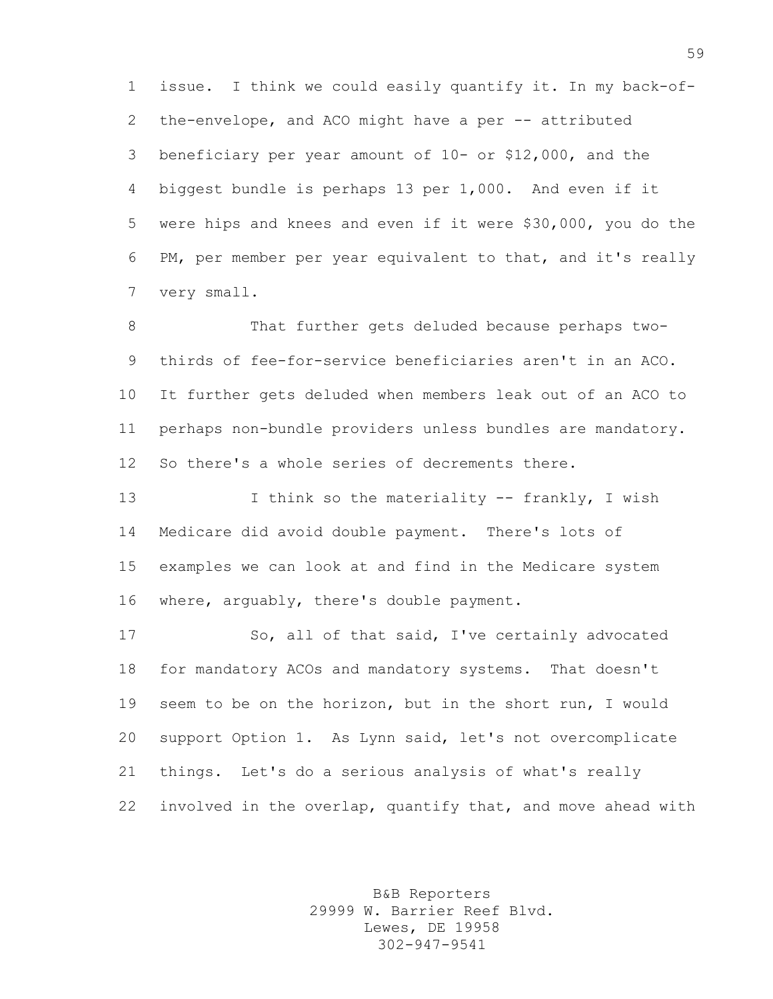issue. I think we could easily quantify it. In my back-of-2 the-envelope, and ACO might have a per -- attributed beneficiary per year amount of 10- or \$12,000, and the biggest bundle is perhaps 13 per 1,000. And even if it were hips and knees and even if it were \$30,000, you do the PM, per member per year equivalent to that, and it's really very small.

8 That further gets deluded because perhaps two- thirds of fee-for-service beneficiaries aren't in an ACO. It further gets deluded when members leak out of an ACO to perhaps non-bundle providers unless bundles are mandatory. So there's a whole series of decrements there.

 I think so the materiality -- frankly, I wish Medicare did avoid double payment. There's lots of examples we can look at and find in the Medicare system where, arguably, there's double payment.

 So, all of that said, I've certainly advocated for mandatory ACOs and mandatory systems. That doesn't seem to be on the horizon, but in the short run, I would support Option 1. As Lynn said, let's not overcomplicate things. Let's do a serious analysis of what's really involved in the overlap, quantify that, and move ahead with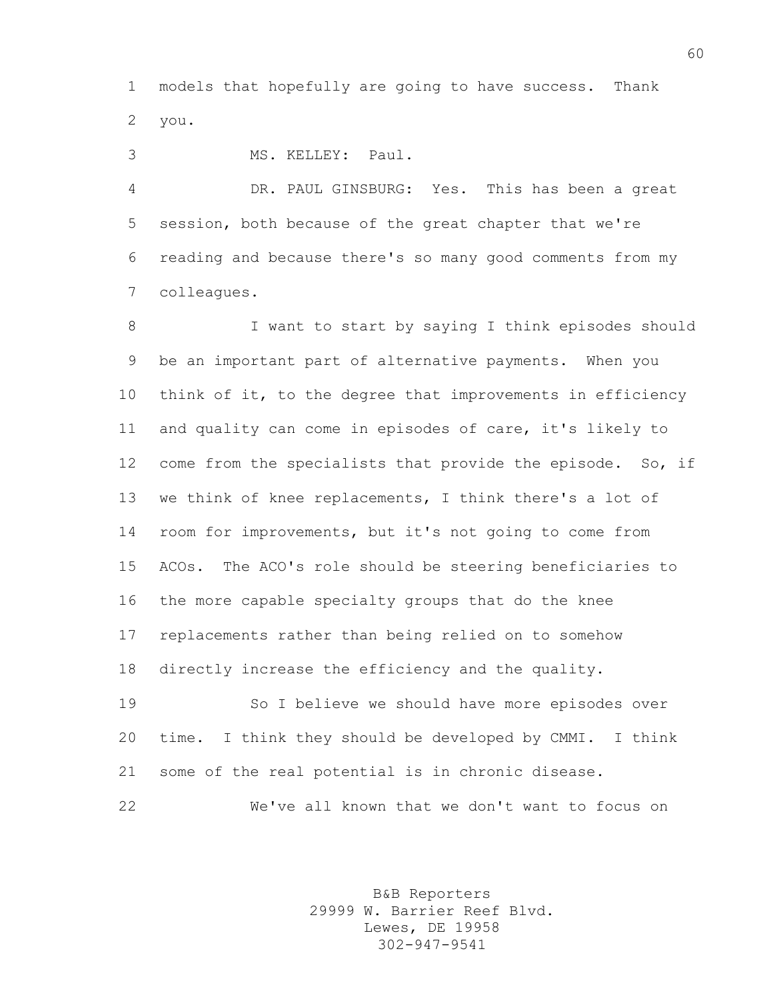models that hopefully are going to have success. Thank you.

MS. KELLEY: Paul.

 DR. PAUL GINSBURG: Yes. This has been a great session, both because of the great chapter that we're reading and because there's so many good comments from my colleagues.

8 I want to start by saying I think episodes should be an important part of alternative payments. When you think of it, to the degree that improvements in efficiency and quality can come in episodes of care, it's likely to 12 come from the specialists that provide the episode. So, if we think of knee replacements, I think there's a lot of room for improvements, but it's not going to come from ACOs. The ACO's role should be steering beneficiaries to the more capable specialty groups that do the knee replacements rather than being relied on to somehow directly increase the efficiency and the quality.

 So I believe we should have more episodes over time. I think they should be developed by CMMI. I think some of the real potential is in chronic disease.

We've all known that we don't want to focus on

B&B Reporters 29999 W. Barrier Reef Blvd. Lewes, DE 19958 302-947-9541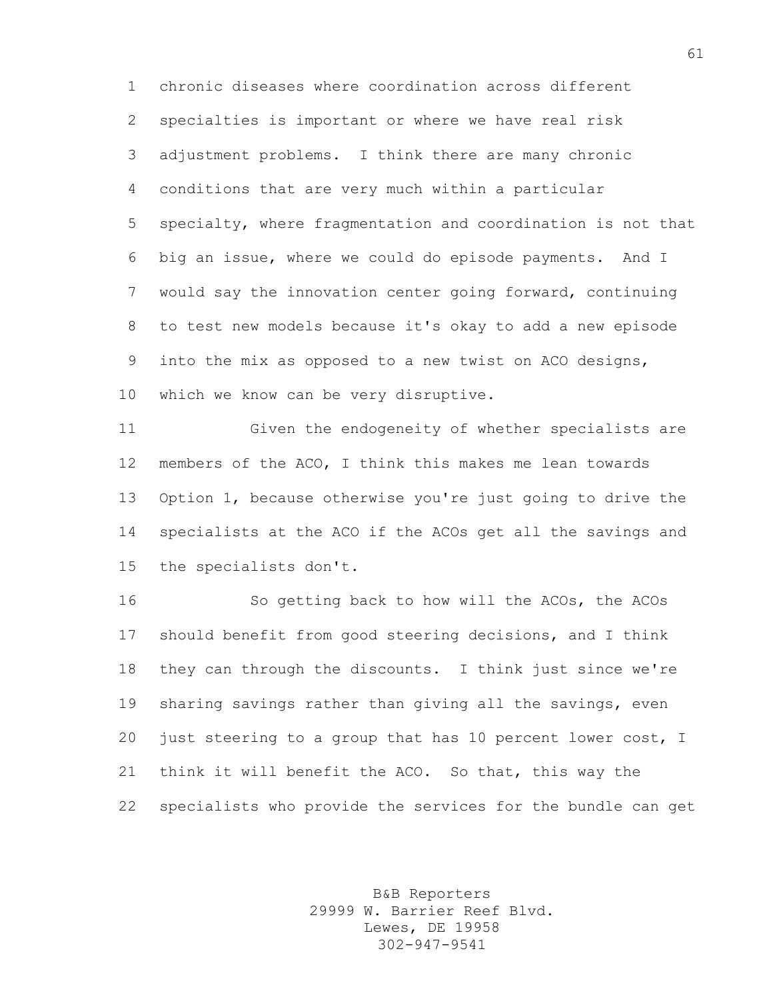chronic diseases where coordination across different specialties is important or where we have real risk adjustment problems. I think there are many chronic conditions that are very much within a particular specialty, where fragmentation and coordination is not that big an issue, where we could do episode payments. And I would say the innovation center going forward, continuing to test new models because it's okay to add a new episode into the mix as opposed to a new twist on ACO designs, which we know can be very disruptive.

 Given the endogeneity of whether specialists are members of the ACO, I think this makes me lean towards Option 1, because otherwise you're just going to drive the specialists at the ACO if the ACOs get all the savings and the specialists don't.

 So getting back to how will the ACOs, the ACOs should benefit from good steering decisions, and I think they can through the discounts. I think just since we're sharing savings rather than giving all the savings, even just steering to a group that has 10 percent lower cost, I think it will benefit the ACO. So that, this way the specialists who provide the services for the bundle can get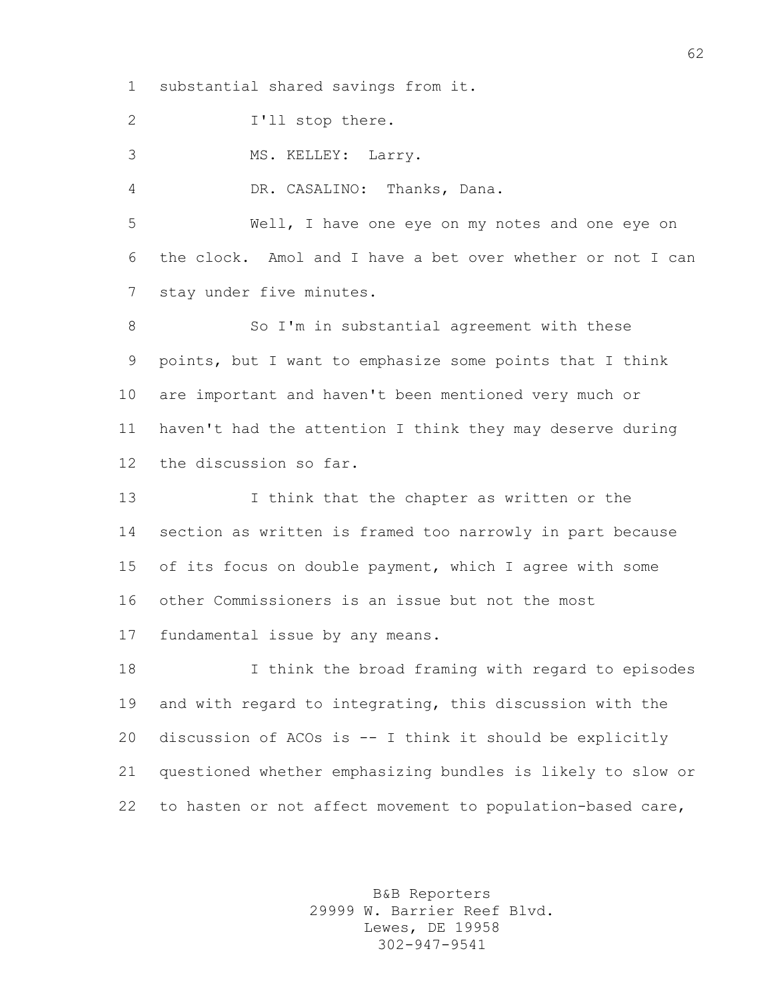substantial shared savings from it.

2 I'll stop there.

MS. KELLEY: Larry.

DR. CASALINO: Thanks, Dana.

 Well, I have one eye on my notes and one eye on the clock. Amol and I have a bet over whether or not I can stay under five minutes.

8 So I'm in substantial agreement with these points, but I want to emphasize some points that I think are important and haven't been mentioned very much or haven't had the attention I think they may deserve during the discussion so far.

 I think that the chapter as written or the section as written is framed too narrowly in part because of its focus on double payment, which I agree with some other Commissioners is an issue but not the most fundamental issue by any means.

 I think the broad framing with regard to episodes and with regard to integrating, this discussion with the discussion of ACOs is -- I think it should be explicitly questioned whether emphasizing bundles is likely to slow or to hasten or not affect movement to population-based care,

> B&B Reporters 29999 W. Barrier Reef Blvd. Lewes, DE 19958 302-947-9541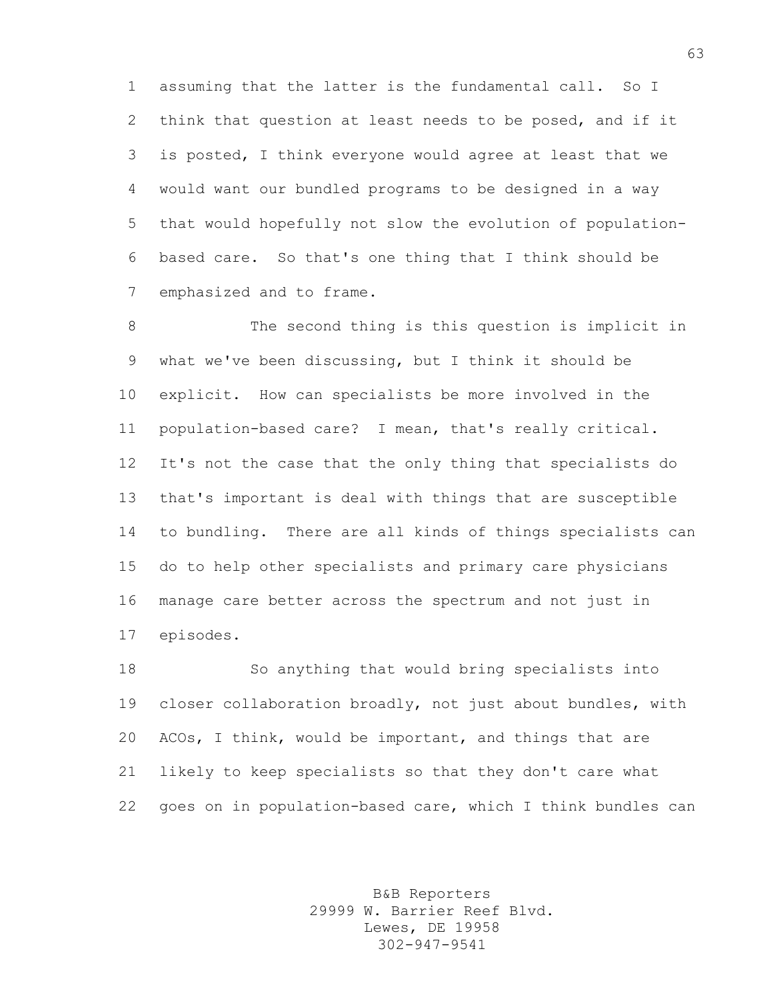assuming that the latter is the fundamental call. So I think that question at least needs to be posed, and if it is posted, I think everyone would agree at least that we would want our bundled programs to be designed in a way that would hopefully not slow the evolution of population- based care. So that's one thing that I think should be emphasized and to frame.

 The second thing is this question is implicit in what we've been discussing, but I think it should be explicit. How can specialists be more involved in the population-based care? I mean, that's really critical. It's not the case that the only thing that specialists do that's important is deal with things that are susceptible to bundling. There are all kinds of things specialists can do to help other specialists and primary care physicians manage care better across the spectrum and not just in episodes.

 So anything that would bring specialists into closer collaboration broadly, not just about bundles, with ACOs, I think, would be important, and things that are likely to keep specialists so that they don't care what goes on in population-based care, which I think bundles can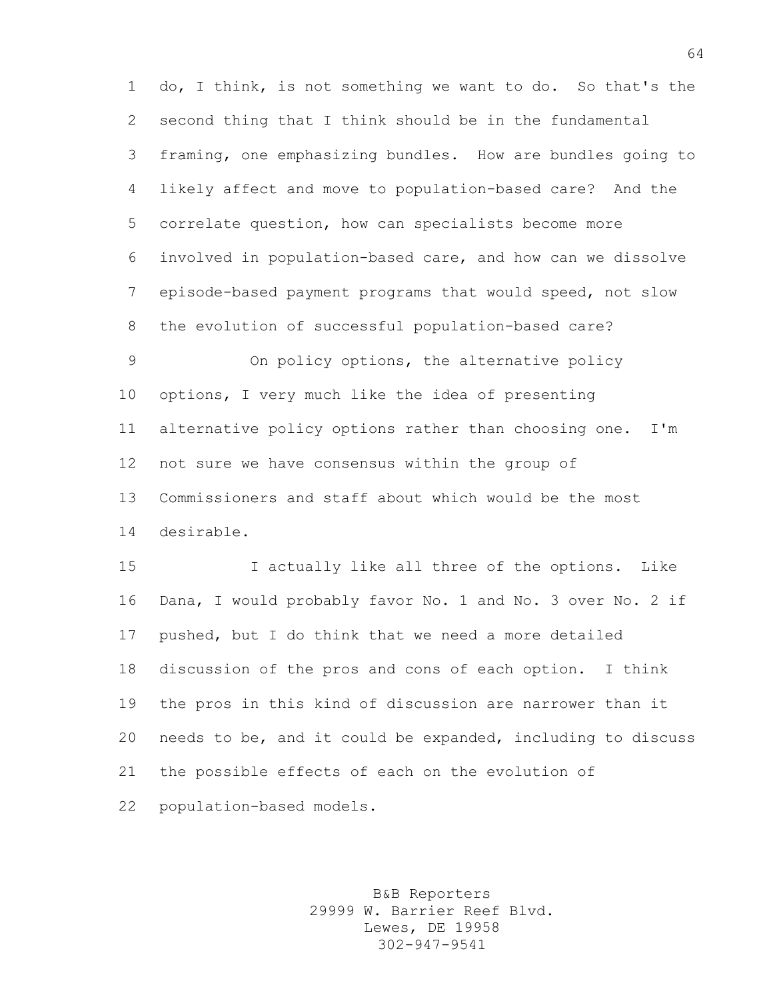do, I think, is not something we want to do. So that's the second thing that I think should be in the fundamental framing, one emphasizing bundles. How are bundles going to likely affect and move to population-based care? And the correlate question, how can specialists become more involved in population-based care, and how can we dissolve episode-based payment programs that would speed, not slow the evolution of successful population-based care?

 On policy options, the alternative policy options, I very much like the idea of presenting alternative policy options rather than choosing one. I'm not sure we have consensus within the group of Commissioners and staff about which would be the most desirable.

 I actually like all three of the options. Like Dana, I would probably favor No. 1 and No. 3 over No. 2 if pushed, but I do think that we need a more detailed discussion of the pros and cons of each option. I think the pros in this kind of discussion are narrower than it needs to be, and it could be expanded, including to discuss the possible effects of each on the evolution of population-based models.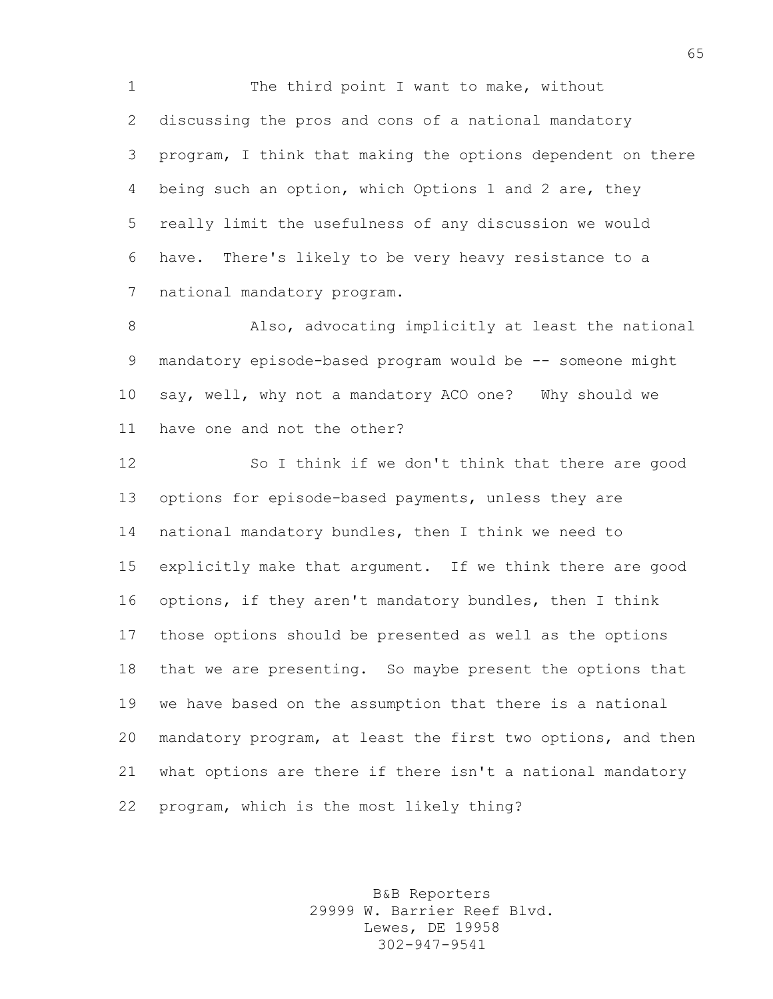1 The third point I want to make, without discussing the pros and cons of a national mandatory program, I think that making the options dependent on there being such an option, which Options 1 and 2 are, they really limit the usefulness of any discussion we would have. There's likely to be very heavy resistance to a national mandatory program.

 Also, advocating implicitly at least the national 9 mandatory episode-based program would be -- someone might say, well, why not a mandatory ACO one? Why should we have one and not the other?

 So I think if we don't think that there are good options for episode-based payments, unless they are national mandatory bundles, then I think we need to explicitly make that argument. If we think there are good options, if they aren't mandatory bundles, then I think those options should be presented as well as the options that we are presenting. So maybe present the options that we have based on the assumption that there is a national mandatory program, at least the first two options, and then what options are there if there isn't a national mandatory program, which is the most likely thing?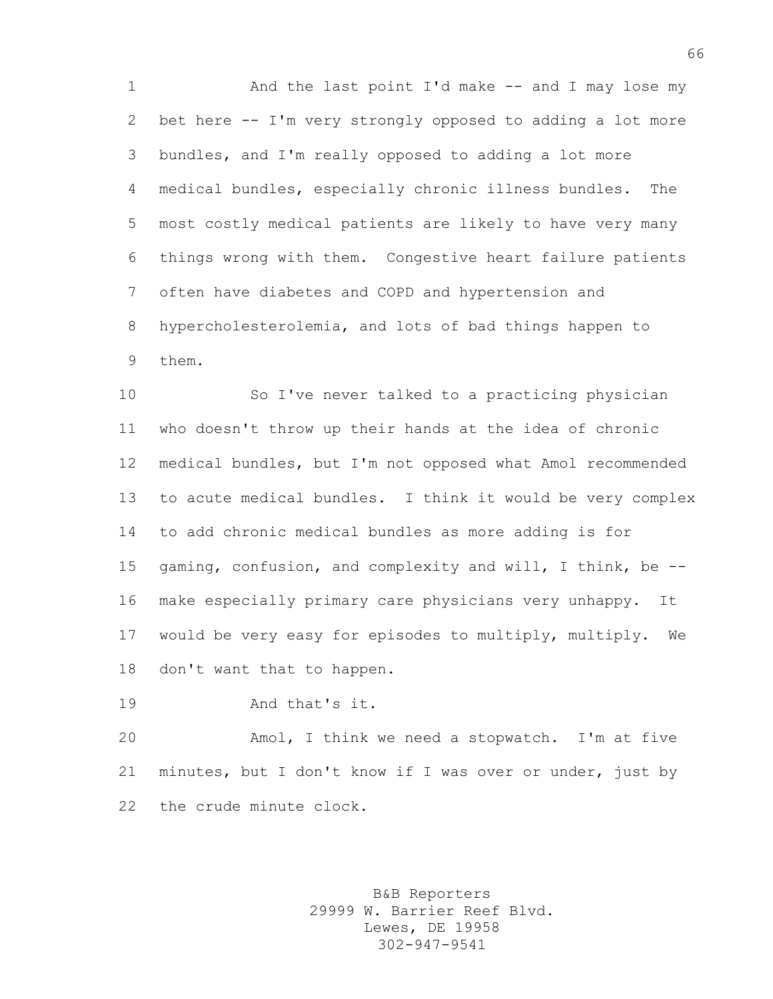And the last point I'd make -- and I may lose my bet here -- I'm very strongly opposed to adding a lot more bundles, and I'm really opposed to adding a lot more medical bundles, especially chronic illness bundles. The most costly medical patients are likely to have very many things wrong with them. Congestive heart failure patients often have diabetes and COPD and hypertension and hypercholesterolemia, and lots of bad things happen to them.

 So I've never talked to a practicing physician who doesn't throw up their hands at the idea of chronic medical bundles, but I'm not opposed what Amol recommended to acute medical bundles. I think it would be very complex to add chronic medical bundles as more adding is for gaming, confusion, and complexity and will, I think, be -- make especially primary care physicians very unhappy. It would be very easy for episodes to multiply, multiply. We don't want that to happen.

And that's it.

 Amol, I think we need a stopwatch. I'm at five minutes, but I don't know if I was over or under, just by the crude minute clock.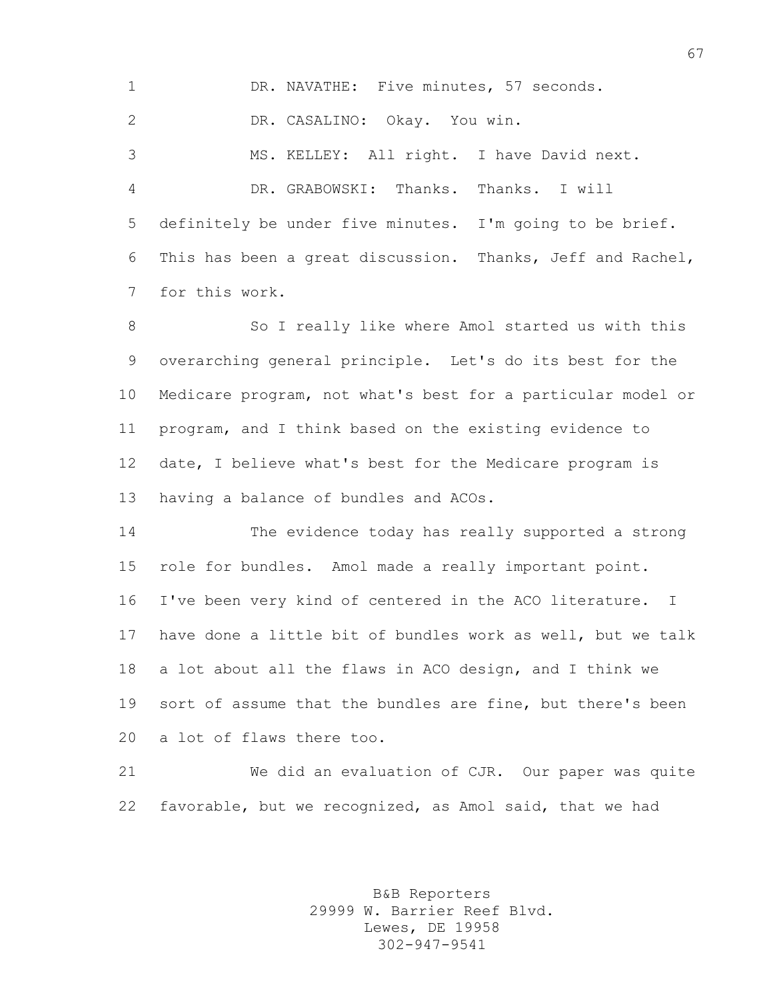DR. NAVATHE: Five minutes, 57 seconds. DR. CASALINO: Okay. You win. MS. KELLEY: All right. I have David next. DR. GRABOWSKI: Thanks. Thanks. I will definitely be under five minutes. I'm going to be brief. This has been a great discussion. Thanks, Jeff and Rachel, for this work.

8 So I really like where Amol started us with this overarching general principle. Let's do its best for the Medicare program, not what's best for a particular model or program, and I think based on the existing evidence to date, I believe what's best for the Medicare program is having a balance of bundles and ACOs.

 The evidence today has really supported a strong role for bundles. Amol made a really important point. I've been very kind of centered in the ACO literature. I have done a little bit of bundles work as well, but we talk a lot about all the flaws in ACO design, and I think we sort of assume that the bundles are fine, but there's been a lot of flaws there too.

 We did an evaluation of CJR. Our paper was quite favorable, but we recognized, as Amol said, that we had

> B&B Reporters 29999 W. Barrier Reef Blvd. Lewes, DE 19958 302-947-9541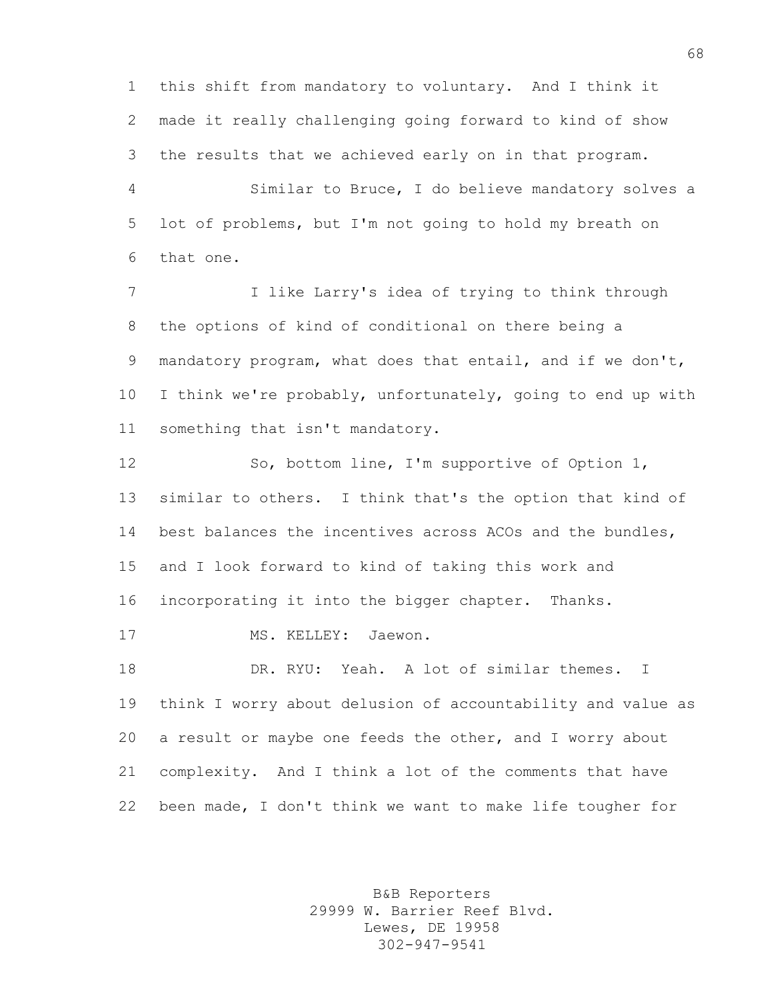this shift from mandatory to voluntary. And I think it made it really challenging going forward to kind of show the results that we achieved early on in that program.

 Similar to Bruce, I do believe mandatory solves a lot of problems, but I'm not going to hold my breath on that one.

 I like Larry's idea of trying to think through the options of kind of conditional on there being a mandatory program, what does that entail, and if we don't, I think we're probably, unfortunately, going to end up with something that isn't mandatory.

 So, bottom line, I'm supportive of Option 1, similar to others. I think that's the option that kind of best balances the incentives across ACOs and the bundles, and I look forward to kind of taking this work and incorporating it into the bigger chapter. Thanks. 17 MS. KELLEY: Jaewon. DR. RYU: Yeah. A lot of similar themes. I think I worry about delusion of accountability and value as a result or maybe one feeds the other, and I worry about complexity. And I think a lot of the comments that have been made, I don't think we want to make life tougher for

> B&B Reporters 29999 W. Barrier Reef Blvd. Lewes, DE 19958 302-947-9541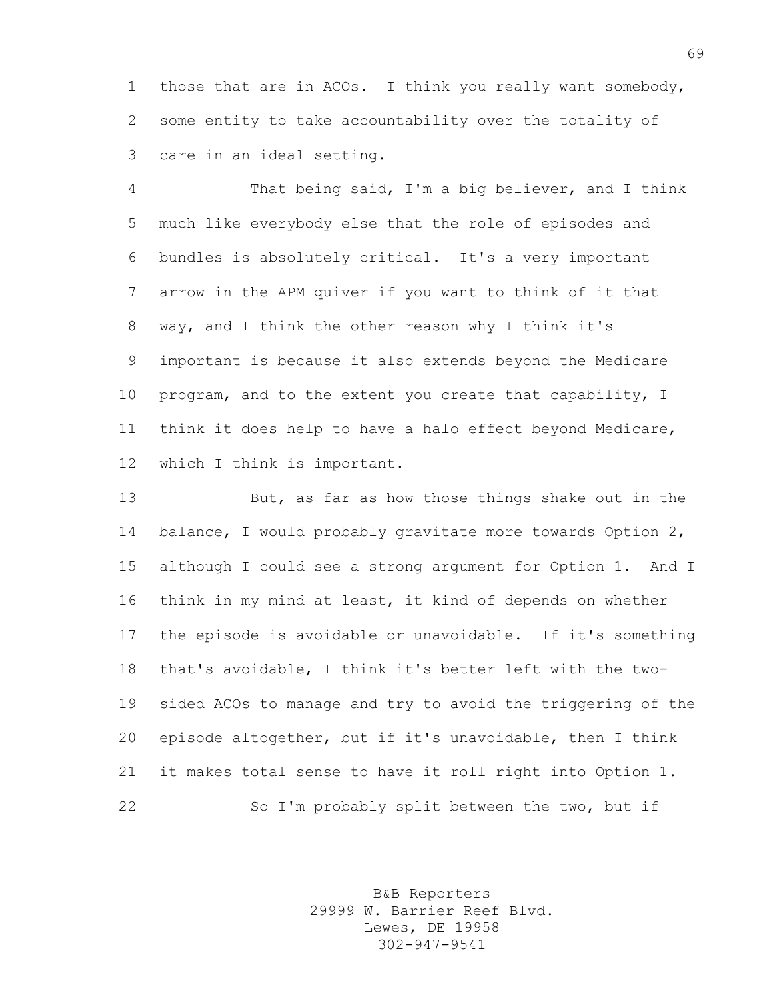those that are in ACOs. I think you really want somebody, some entity to take accountability over the totality of care in an ideal setting.

 That being said, I'm a big believer, and I think much like everybody else that the role of episodes and bundles is absolutely critical. It's a very important arrow in the APM quiver if you want to think of it that way, and I think the other reason why I think it's important is because it also extends beyond the Medicare program, and to the extent you create that capability, I think it does help to have a halo effect beyond Medicare, which I think is important.

 But, as far as how those things shake out in the 14 balance, I would probably gravitate more towards Option 2, although I could see a strong argument for Option 1. And I think in my mind at least, it kind of depends on whether the episode is avoidable or unavoidable. If it's something that's avoidable, I think it's better left with the two- sided ACOs to manage and try to avoid the triggering of the episode altogether, but if it's unavoidable, then I think it makes total sense to have it roll right into Option 1. So I'm probably split between the two, but if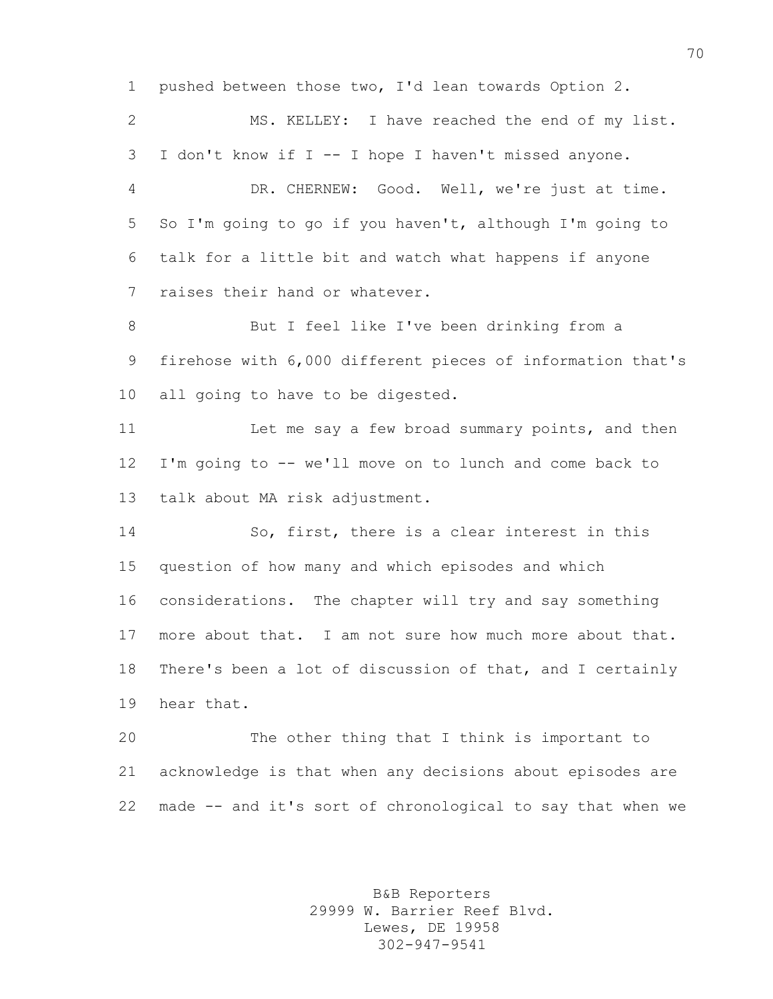pushed between those two, I'd lean towards Option 2. MS. KELLEY: I have reached the end of my list. I don't know if I -- I hope I haven't missed anyone. DR. CHERNEW: Good. Well, we're just at time. So I'm going to go if you haven't, although I'm going to talk for a little bit and watch what happens if anyone raises their hand or whatever. But I feel like I've been drinking from a firehose with 6,000 different pieces of information that's all going to have to be digested. 11 Let me say a few broad summary points, and then I'm going to -- we'll move on to lunch and come back to talk about MA risk adjustment. So, first, there is a clear interest in this question of how many and which episodes and which considerations. The chapter will try and say something more about that. I am not sure how much more about that. There's been a lot of discussion of that, and I certainly hear that. The other thing that I think is important to acknowledge is that when any decisions about episodes are made -- and it's sort of chronological to say that when we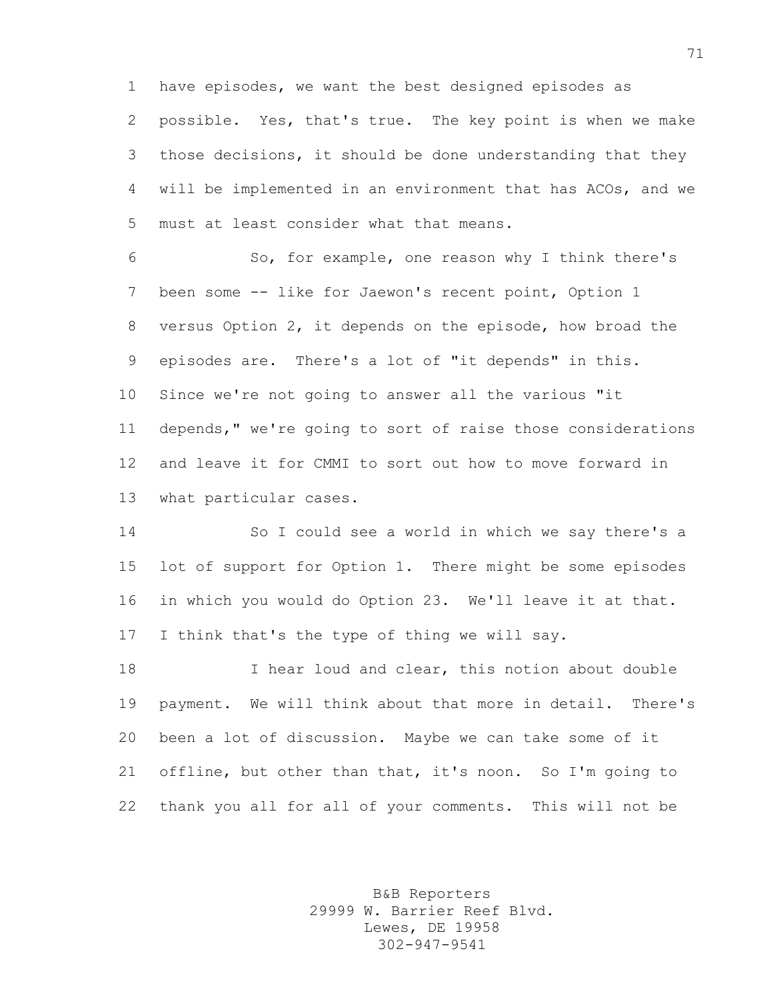have episodes, we want the best designed episodes as possible. Yes, that's true. The key point is when we make those decisions, it should be done understanding that they will be implemented in an environment that has ACOs, and we must at least consider what that means.

 So, for example, one reason why I think there's been some -- like for Jaewon's recent point, Option 1 versus Option 2, it depends on the episode, how broad the episodes are. There's a lot of "it depends" in this. Since we're not going to answer all the various "it depends," we're going to sort of raise those considerations and leave it for CMMI to sort out how to move forward in what particular cases.

 So I could see a world in which we say there's a lot of support for Option 1. There might be some episodes in which you would do Option 23. We'll leave it at that. I think that's the type of thing we will say.

18 I hear loud and clear, this notion about double payment. We will think about that more in detail. There's been a lot of discussion. Maybe we can take some of it offline, but other than that, it's noon. So I'm going to thank you all for all of your comments. This will not be

> B&B Reporters 29999 W. Barrier Reef Blvd. Lewes, DE 19958 302-947-9541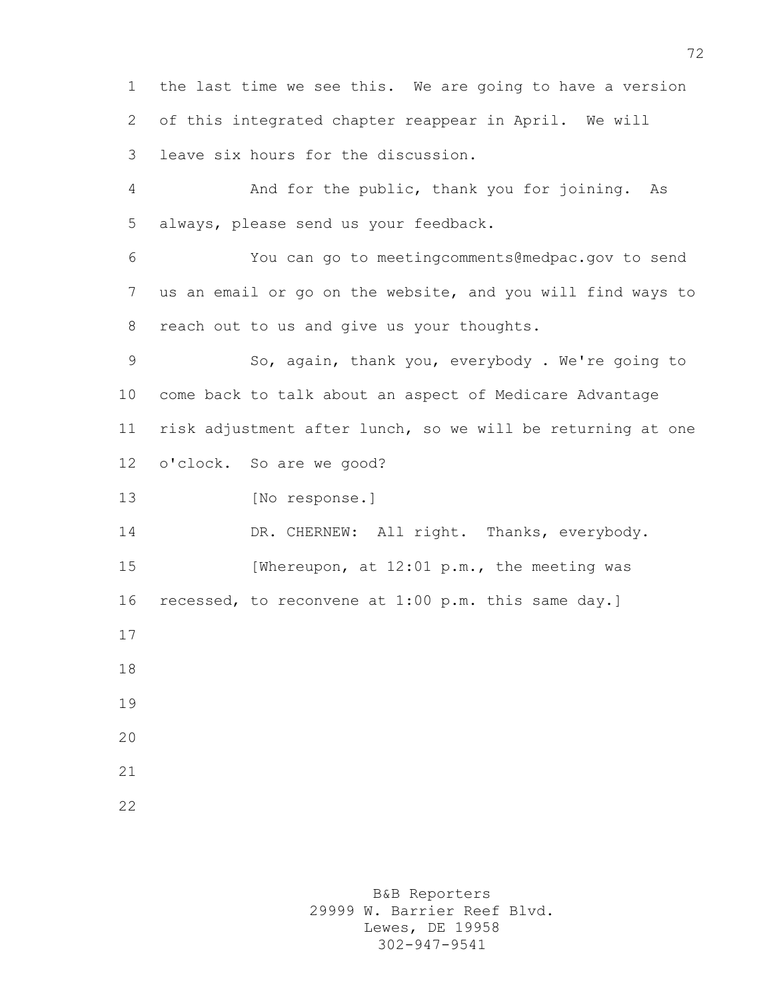the last time we see this. We are going to have a version of this integrated chapter reappear in April. We will leave six hours for the discussion. And for the public, thank you for joining. As always, please send us your feedback. You can go to meetingcomments@medpac.gov to send us an email or go on the website, and you will find ways to reach out to us and give us your thoughts. So, again, thank you, everybody . We're going to come back to talk about an aspect of Medicare Advantage risk adjustment after lunch, so we will be returning at one o'clock. So are we good? [No response.] 14 DR. CHERNEW: All right. Thanks, everybody. 15 [Whereupon, at 12:01 p.m., the meeting was recessed, to reconvene at 1:00 p.m. this same day.] 

B&B Reporters 29999 W. Barrier Reef Blvd. Lewes, DE 19958 302-947-9541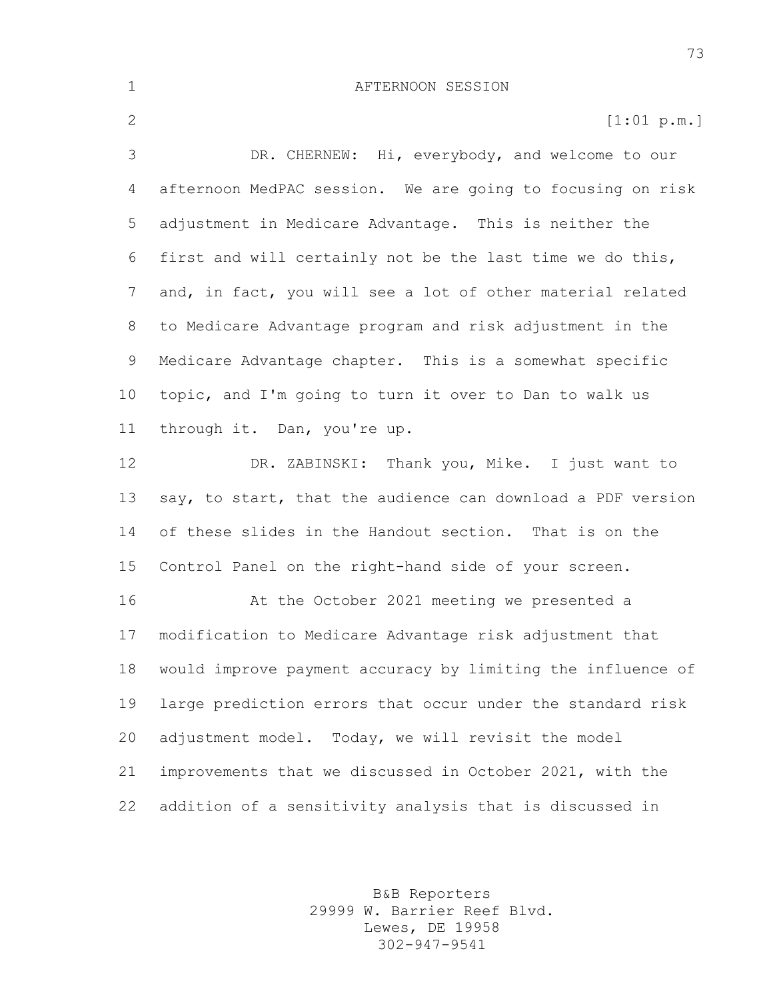2 [1:01 p.m.] DR. CHERNEW: Hi, everybody, and welcome to our afternoon MedPAC session. We are going to focusing on risk adjustment in Medicare Advantage. This is neither the first and will certainly not be the last time we do this, and, in fact, you will see a lot of other material related to Medicare Advantage program and risk adjustment in the Medicare Advantage chapter. This is a somewhat specific topic, and I'm going to turn it over to Dan to walk us through it. Dan, you're up. DR. ZABINSKI: Thank you, Mike. I just want to say, to start, that the audience can download a PDF version of these slides in the Handout section. That is on the Control Panel on the right-hand side of your screen. At the October 2021 meeting we presented a

 modification to Medicare Advantage risk adjustment that would improve payment accuracy by limiting the influence of large prediction errors that occur under the standard risk adjustment model. Today, we will revisit the model improvements that we discussed in October 2021, with the addition of a sensitivity analysis that is discussed in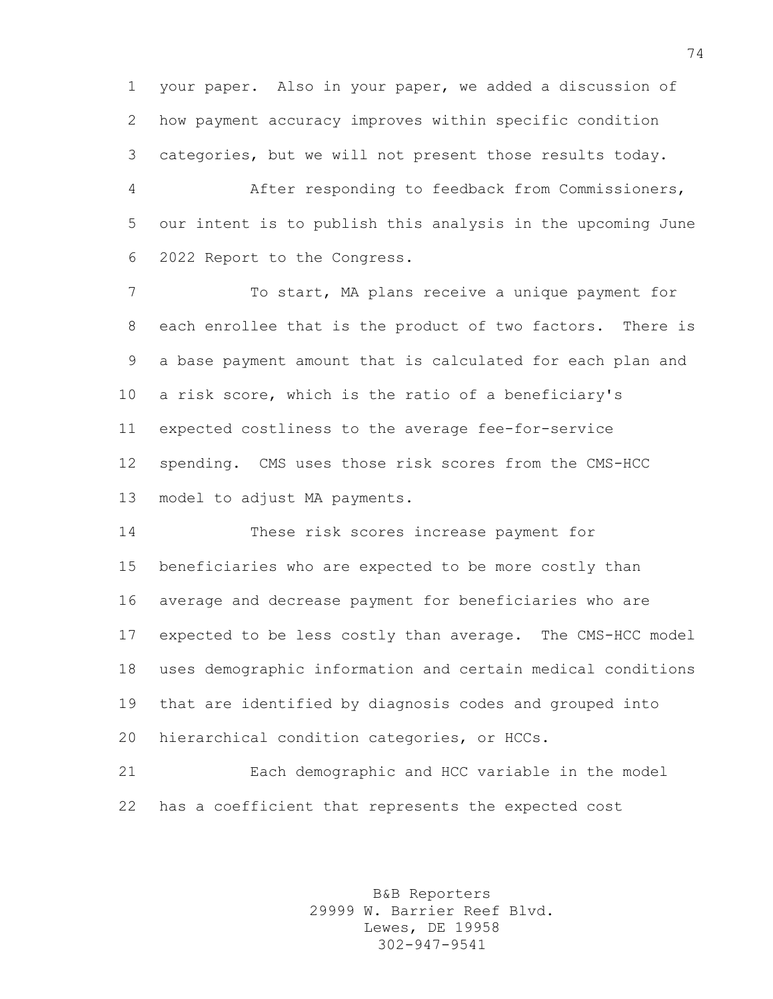your paper. Also in your paper, we added a discussion of how payment accuracy improves within specific condition categories, but we will not present those results today.

 After responding to feedback from Commissioners, our intent is to publish this analysis in the upcoming June 2022 Report to the Congress.

 To start, MA plans receive a unique payment for each enrollee that is the product of two factors. There is a base payment amount that is calculated for each plan and a risk score, which is the ratio of a beneficiary's expected costliness to the average fee-for-service spending. CMS uses those risk scores from the CMS-HCC model to adjust MA payments.

 These risk scores increase payment for beneficiaries who are expected to be more costly than average and decrease payment for beneficiaries who are expected to be less costly than average. The CMS-HCC model uses demographic information and certain medical conditions that are identified by diagnosis codes and grouped into hierarchical condition categories, or HCCs.

 Each demographic and HCC variable in the model has a coefficient that represents the expected cost

> B&B Reporters 29999 W. Barrier Reef Blvd. Lewes, DE 19958 302-947-9541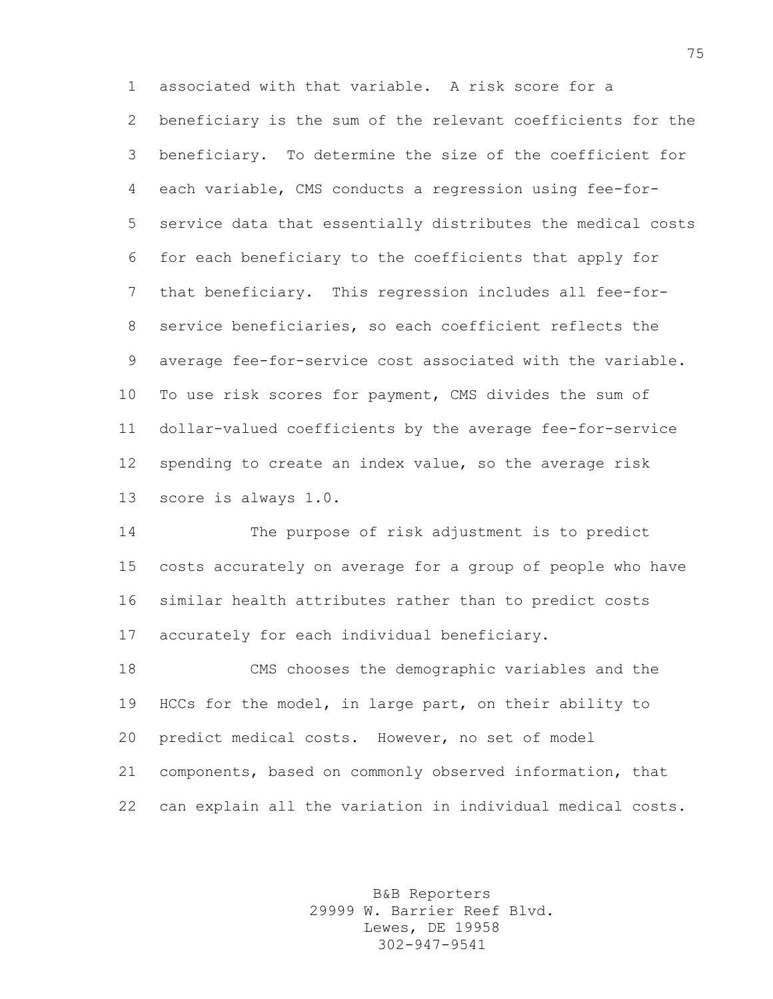associated with that variable. A risk score for a beneficiary is the sum of the relevant coefficients for the beneficiary. To determine the size of the coefficient for each variable, CMS conducts a regression using fee-for- service data that essentially distributes the medical costs for each beneficiary to the coefficients that apply for that beneficiary. This regression includes all fee-for- service beneficiaries, so each coefficient reflects the average fee-for-service cost associated with the variable. To use risk scores for payment, CMS divides the sum of dollar-valued coefficients by the average fee-for-service spending to create an index value, so the average risk score is always 1.0.

 The purpose of risk adjustment is to predict costs accurately on average for a group of people who have similar health attributes rather than to predict costs accurately for each individual beneficiary.

 CMS chooses the demographic variables and the HCCs for the model, in large part, on their ability to predict medical costs. However, no set of model components, based on commonly observed information, that can explain all the variation in individual medical costs.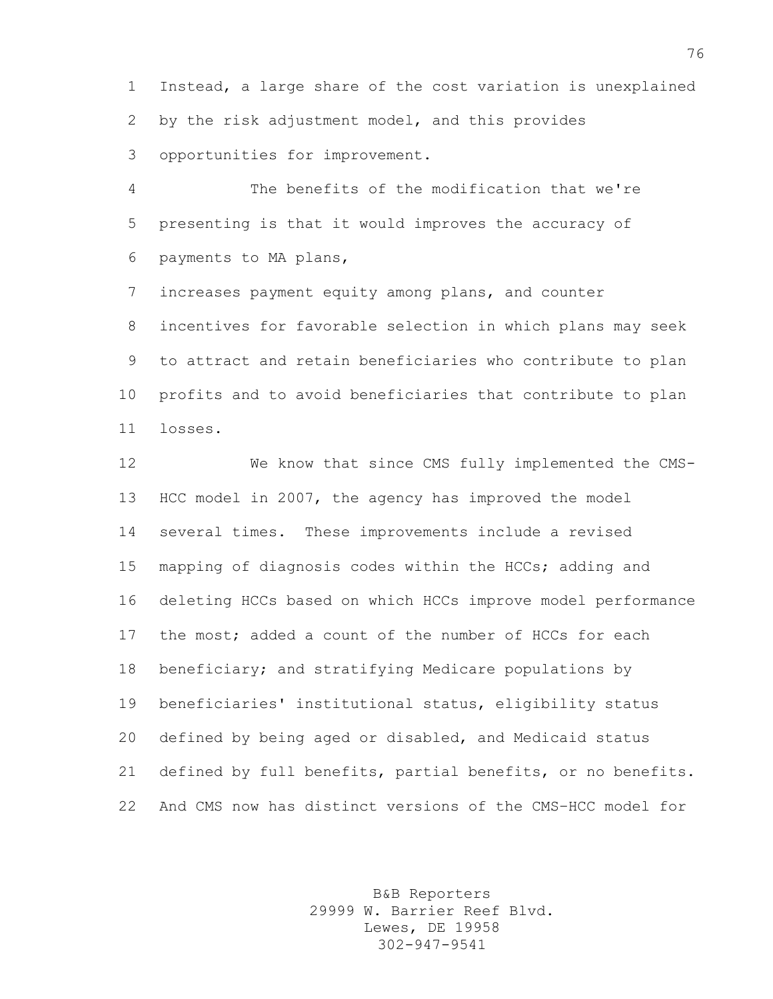Instead, a large share of the cost variation is unexplained by the risk adjustment model, and this provides opportunities for improvement.

 The benefits of the modification that we're presenting is that it would improves the accuracy of payments to MA plans,

 increases payment equity among plans, and counter incentives for favorable selection in which plans may seek to attract and retain beneficiaries who contribute to plan profits and to avoid beneficiaries that contribute to plan losses.

 We know that since CMS fully implemented the CMS- HCC model in 2007, the agency has improved the model several times. These improvements include a revised mapping of diagnosis codes within the HCCs; adding and deleting HCCs based on which HCCs improve model performance the most; added a count of the number of HCCs for each beneficiary; and stratifying Medicare populations by beneficiaries' institutional status, eligibility status defined by being aged or disabled, and Medicaid status defined by full benefits, partial benefits, or no benefits. And CMS now has distinct versions of the CMS–HCC model for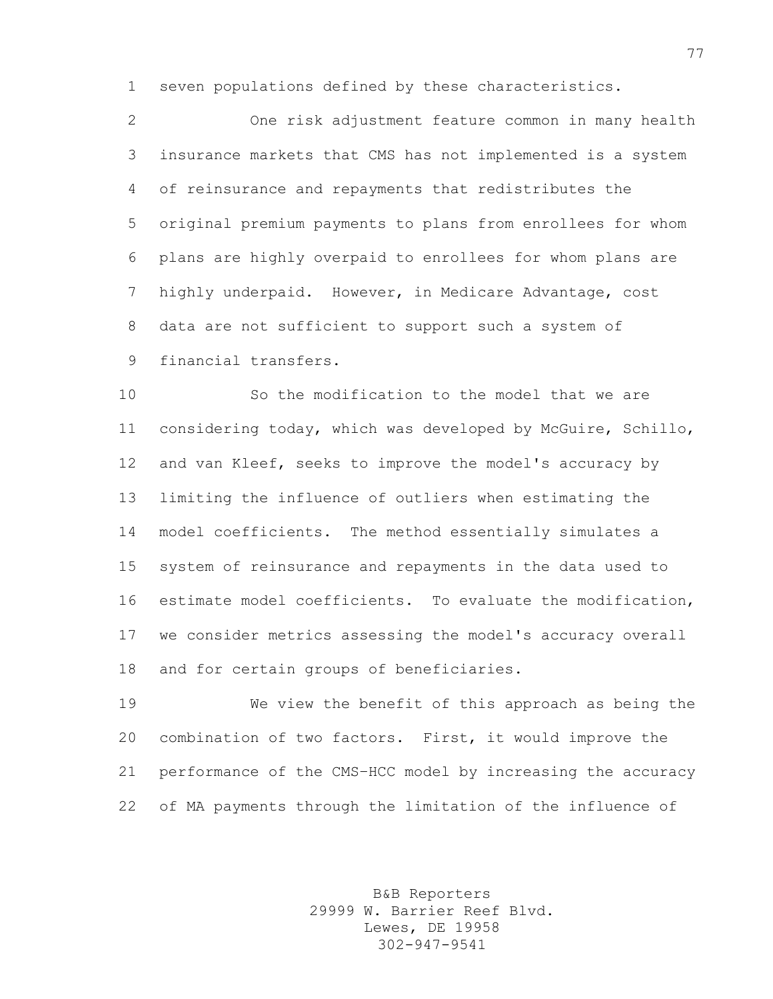seven populations defined by these characteristics.

 One risk adjustment feature common in many health insurance markets that CMS has not implemented is a system of reinsurance and repayments that redistributes the original premium payments to plans from enrollees for whom plans are highly overpaid to enrollees for whom plans are highly underpaid. However, in Medicare Advantage, cost data are not sufficient to support such a system of financial transfers.

 So the modification to the model that we are considering today, which was developed by McGuire, Schillo, and van Kleef, seeks to improve the model's accuracy by limiting the influence of outliers when estimating the model coefficients. The method essentially simulates a system of reinsurance and repayments in the data used to estimate model coefficients. To evaluate the modification, we consider metrics assessing the model's accuracy overall and for certain groups of beneficiaries.

 We view the benefit of this approach as being the combination of two factors. First, it would improve the performance of the CMS–HCC model by increasing the accuracy of MA payments through the limitation of the influence of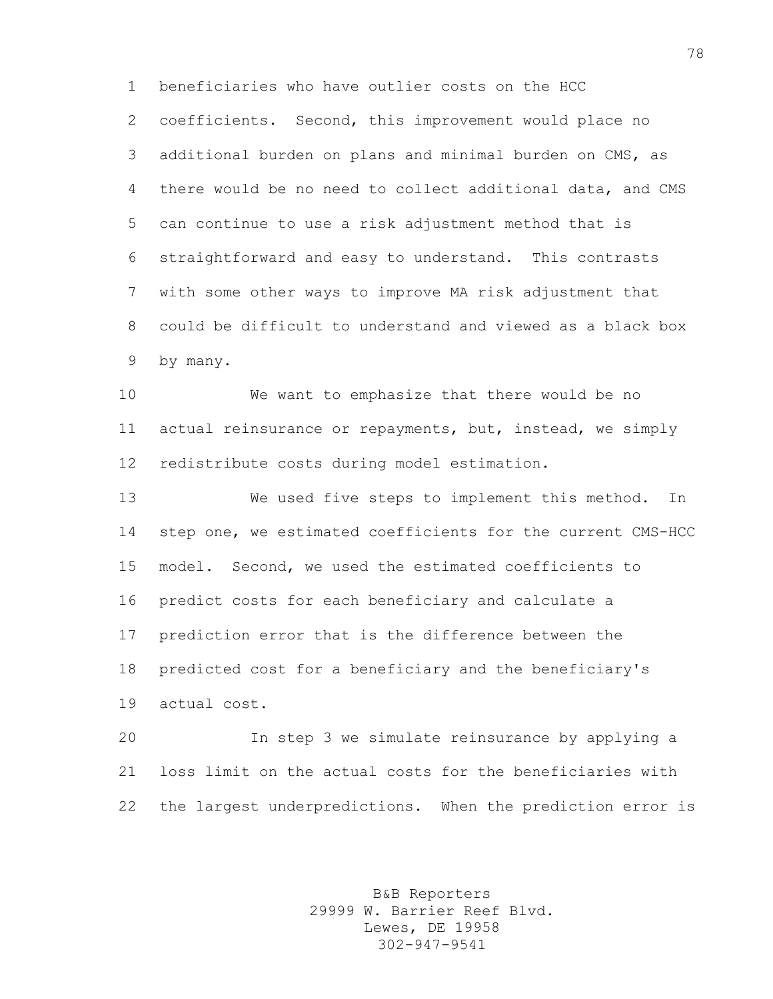beneficiaries who have outlier costs on the HCC coefficients. Second, this improvement would place no additional burden on plans and minimal burden on CMS, as there would be no need to collect additional data, and CMS can continue to use a risk adjustment method that is straightforward and easy to understand. This contrasts with some other ways to improve MA risk adjustment that could be difficult to understand and viewed as a black box by many.

 We want to emphasize that there would be no actual reinsurance or repayments, but, instead, we simply redistribute costs during model estimation.

 We used five steps to implement this method. In step one, we estimated coefficients for the current CMS-HCC model. Second, we used the estimated coefficients to predict costs for each beneficiary and calculate a prediction error that is the difference between the predicted cost for a beneficiary and the beneficiary's actual cost.

 In step 3 we simulate reinsurance by applying a loss limit on the actual costs for the beneficiaries with the largest underpredictions. When the prediction error is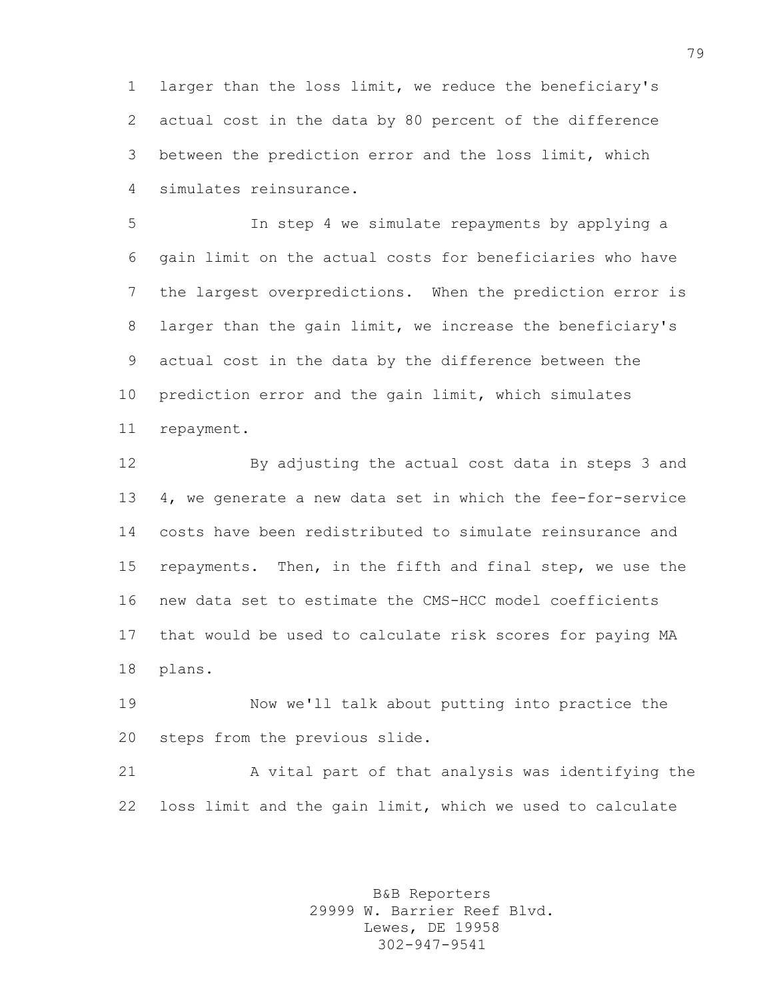larger than the loss limit, we reduce the beneficiary's actual cost in the data by 80 percent of the difference between the prediction error and the loss limit, which simulates reinsurance.

 In step 4 we simulate repayments by applying a gain limit on the actual costs for beneficiaries who have the largest overpredictions. When the prediction error is larger than the gain limit, we increase the beneficiary's actual cost in the data by the difference between the prediction error and the gain limit, which simulates repayment.

 By adjusting the actual cost data in steps 3 and 4, we generate a new data set in which the fee-for-service costs have been redistributed to simulate reinsurance and repayments. Then, in the fifth and final step, we use the new data set to estimate the CMS-HCC model coefficients that would be used to calculate risk scores for paying MA plans.

 Now we'll talk about putting into practice the steps from the previous slide.

 A vital part of that analysis was identifying the loss limit and the gain limit, which we used to calculate

> B&B Reporters 29999 W. Barrier Reef Blvd. Lewes, DE 19958 302-947-9541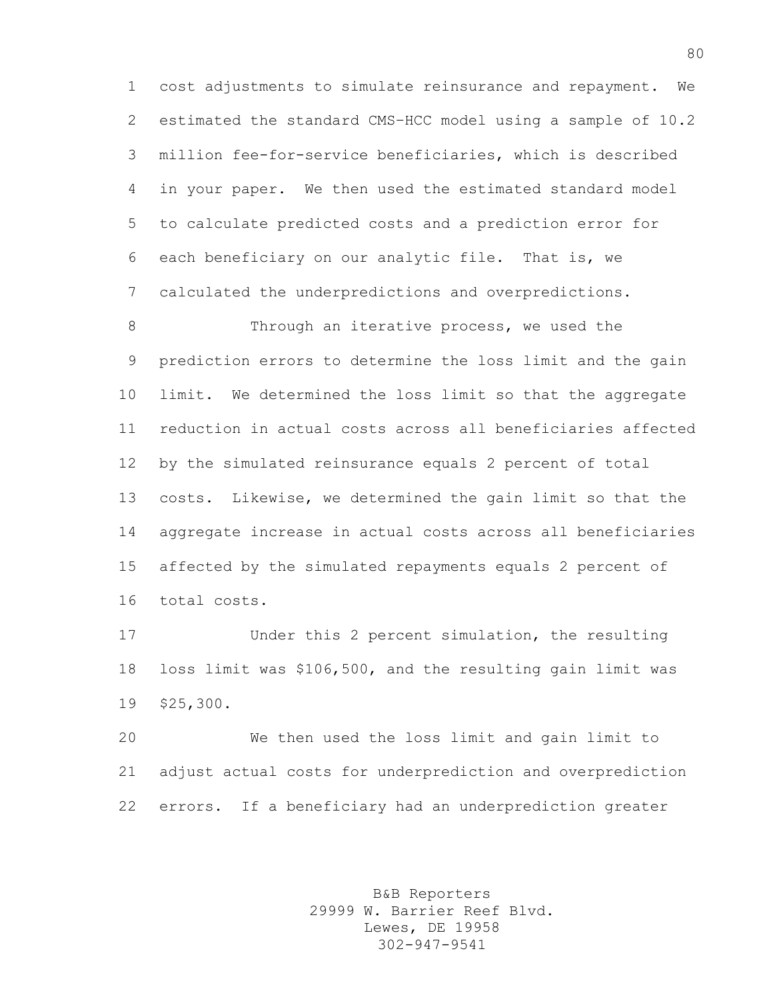cost adjustments to simulate reinsurance and repayment. We estimated the standard CMS–HCC model using a sample of 10.2 million fee-for-service beneficiaries, which is described in your paper. We then used the estimated standard model to calculate predicted costs and a prediction error for each beneficiary on our analytic file. That is, we calculated the underpredictions and overpredictions.

8 Through an iterative process, we used the prediction errors to determine the loss limit and the gain limit. We determined the loss limit so that the aggregate reduction in actual costs across all beneficiaries affected by the simulated reinsurance equals 2 percent of total costs. Likewise, we determined the gain limit so that the aggregate increase in actual costs across all beneficiaries affected by the simulated repayments equals 2 percent of total costs.

 Under this 2 percent simulation, the resulting loss limit was \$106,500, and the resulting gain limit was \$25,300.

 We then used the loss limit and gain limit to adjust actual costs for underprediction and overprediction errors. If a beneficiary had an underprediction greater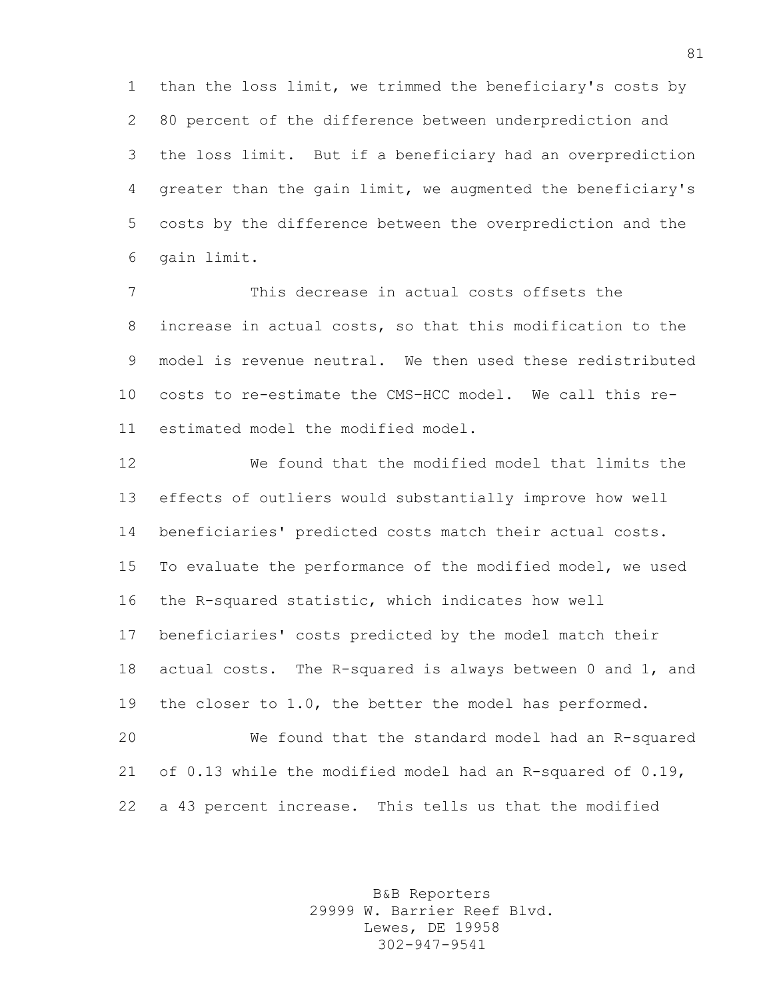than the loss limit, we trimmed the beneficiary's costs by 80 percent of the difference between underprediction and the loss limit. But if a beneficiary had an overprediction greater than the gain limit, we augmented the beneficiary's costs by the difference between the overprediction and the gain limit.

 This decrease in actual costs offsets the increase in actual costs, so that this modification to the model is revenue neutral. We then used these redistributed costs to re-estimate the CMS–HCC model. We call this re-estimated model the modified model.

 We found that the modified model that limits the effects of outliers would substantially improve how well beneficiaries' predicted costs match their actual costs. To evaluate the performance of the modified model, we used the R-squared statistic, which indicates how well beneficiaries' costs predicted by the model match their actual costs. The R-squared is always between 0 and 1, and the closer to 1.0, the better the model has performed.

 We found that the standard model had an R-squared of 0.13 while the modified model had an R-squared of 0.19, a 43 percent increase. This tells us that the modified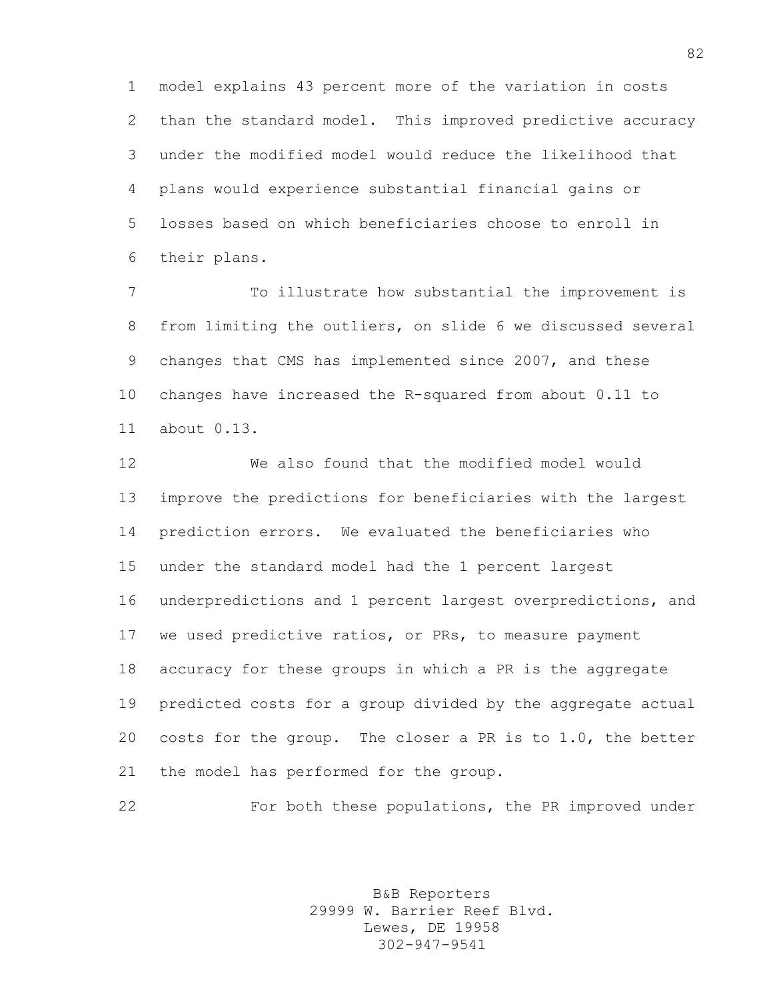model explains 43 percent more of the variation in costs than the standard model. This improved predictive accuracy under the modified model would reduce the likelihood that plans would experience substantial financial gains or losses based on which beneficiaries choose to enroll in their plans.

 To illustrate how substantial the improvement is from limiting the outliers, on slide 6 we discussed several changes that CMS has implemented since 2007, and these changes have increased the R-squared from about 0.11 to about 0.13.

 We also found that the modified model would improve the predictions for beneficiaries with the largest prediction errors. We evaluated the beneficiaries who under the standard model had the 1 percent largest underpredictions and 1 percent largest overpredictions, and we used predictive ratios, or PRs, to measure payment accuracy for these groups in which a PR is the aggregate predicted costs for a group divided by the aggregate actual costs for the group. The closer a PR is to 1.0, the better the model has performed for the group.

For both these populations, the PR improved under

B&B Reporters 29999 W. Barrier Reef Blvd. Lewes, DE 19958 302-947-9541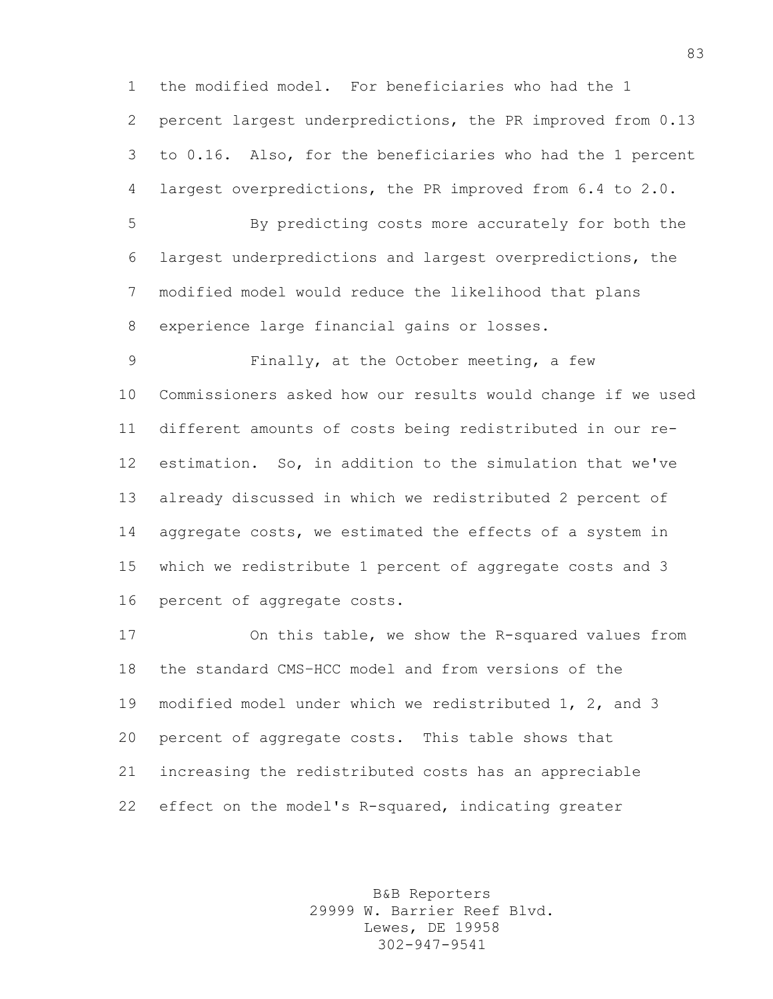the modified model. For beneficiaries who had the 1 percent largest underpredictions, the PR improved from 0.13 to 0.16. Also, for the beneficiaries who had the 1 percent largest overpredictions, the PR improved from 6.4 to 2.0.

 By predicting costs more accurately for both the largest underpredictions and largest overpredictions, the modified model would reduce the likelihood that plans experience large financial gains or losses.

 Finally, at the October meeting, a few Commissioners asked how our results would change if we used different amounts of costs being redistributed in our re- estimation. So, in addition to the simulation that we've already discussed in which we redistributed 2 percent of aggregate costs, we estimated the effects of a system in which we redistribute 1 percent of aggregate costs and 3 percent of aggregate costs.

 On this table, we show the R-squared values from the standard CMS–HCC model and from versions of the modified model under which we redistributed 1, 2, and 3 percent of aggregate costs. This table shows that increasing the redistributed costs has an appreciable effect on the model's R-squared, indicating greater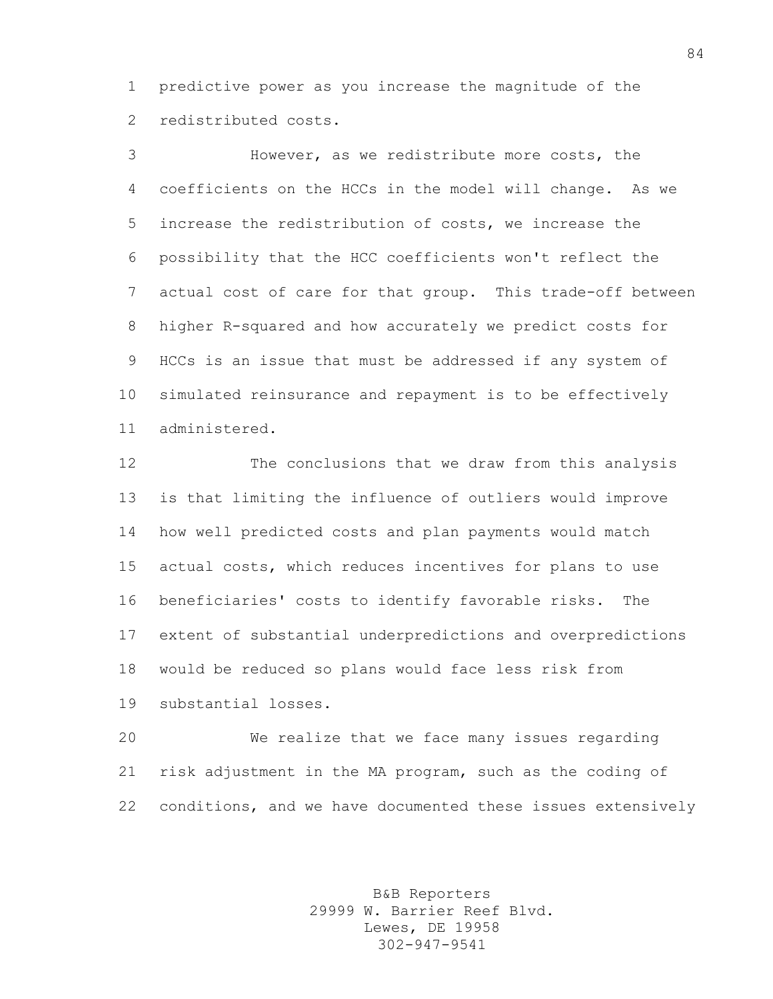predictive power as you increase the magnitude of the redistributed costs.

 However, as we redistribute more costs, the coefficients on the HCCs in the model will change. As we increase the redistribution of costs, we increase the possibility that the HCC coefficients won't reflect the actual cost of care for that group. This trade-off between higher R-squared and how accurately we predict costs for HCCs is an issue that must be addressed if any system of simulated reinsurance and repayment is to be effectively administered.

 The conclusions that we draw from this analysis is that limiting the influence of outliers would improve how well predicted costs and plan payments would match actual costs, which reduces incentives for plans to use beneficiaries' costs to identify favorable risks. The extent of substantial underpredictions and overpredictions would be reduced so plans would face less risk from substantial losses.

 We realize that we face many issues regarding risk adjustment in the MA program, such as the coding of conditions, and we have documented these issues extensively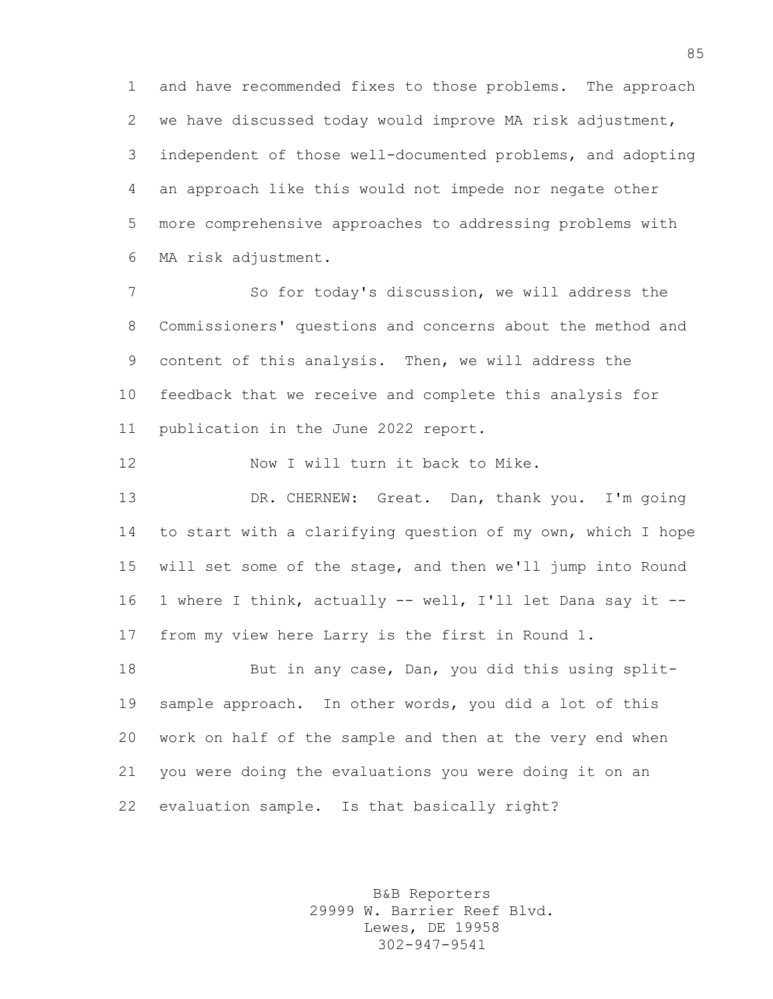and have recommended fixes to those problems. The approach we have discussed today would improve MA risk adjustment, independent of those well-documented problems, and adopting an approach like this would not impede nor negate other more comprehensive approaches to addressing problems with MA risk adjustment.

 So for today's discussion, we will address the Commissioners' questions and concerns about the method and content of this analysis. Then, we will address the feedback that we receive and complete this analysis for publication in the June 2022 report.

Now I will turn it back to Mike.

 DR. CHERNEW: Great. Dan, thank you. I'm going to start with a clarifying question of my own, which I hope will set some of the stage, and then we'll jump into Round 1 where I think, actually -- well, I'll let Dana say it -- from my view here Larry is the first in Round 1.

 But in any case, Dan, you did this using split- sample approach. In other words, you did a lot of this work on half of the sample and then at the very end when you were doing the evaluations you were doing it on an evaluation sample. Is that basically right?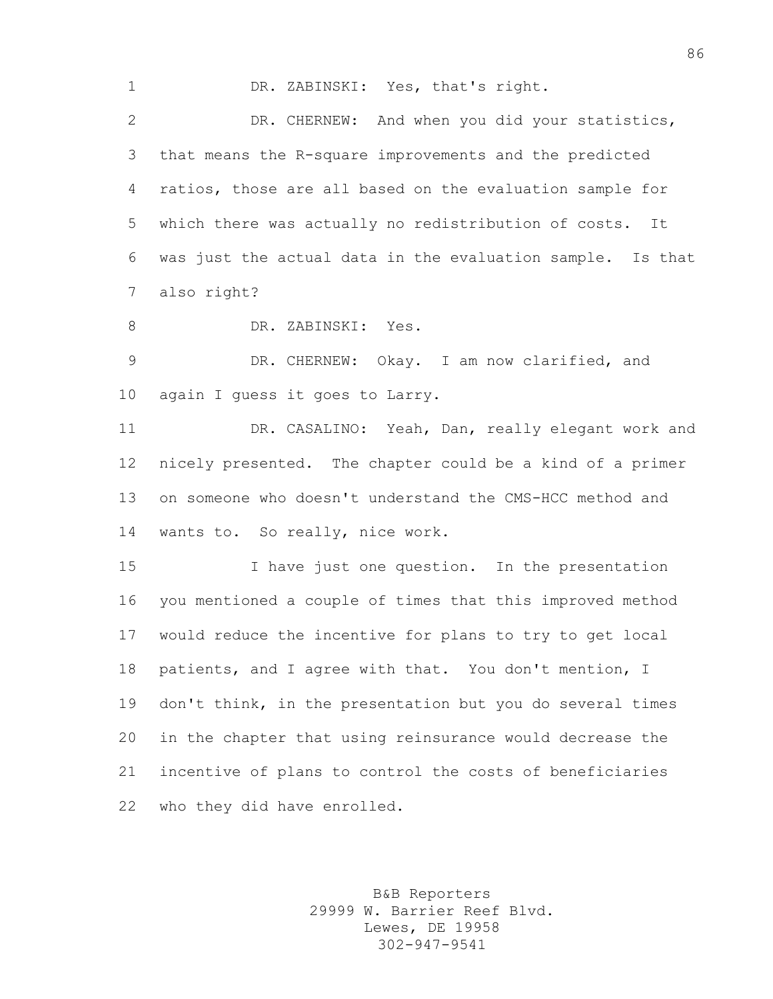DR. ZABINSKI: Yes, that's right. DR. CHERNEW: And when you did your statistics, that means the R-square improvements and the predicted ratios, those are all based on the evaluation sample for which there was actually no redistribution of costs. It was just the actual data in the evaluation sample. Is that also right?

DR. ZABINSKI: Yes.

 DR. CHERNEW: Okay. I am now clarified, and again I guess it goes to Larry.

 DR. CASALINO: Yeah, Dan, really elegant work and nicely presented. The chapter could be a kind of a primer on someone who doesn't understand the CMS-HCC method and wants to. So really, nice work.

 I have just one question. In the presentation you mentioned a couple of times that this improved method would reduce the incentive for plans to try to get local patients, and I agree with that. You don't mention, I don't think, in the presentation but you do several times in the chapter that using reinsurance would decrease the incentive of plans to control the costs of beneficiaries who they did have enrolled.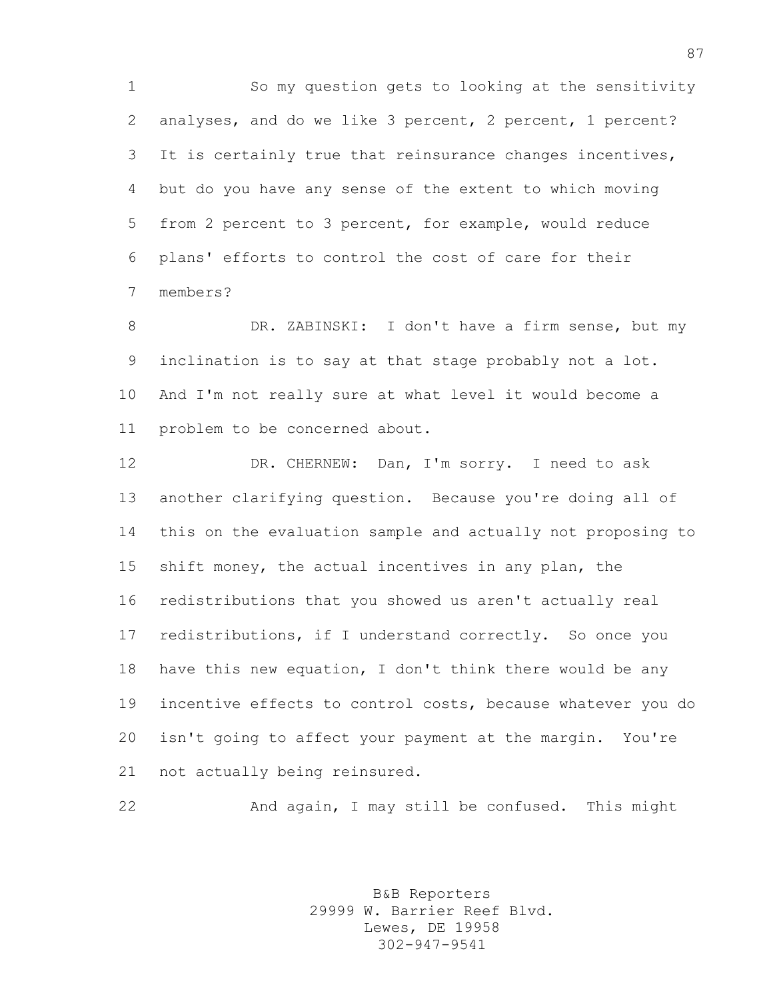So my question gets to looking at the sensitivity analyses, and do we like 3 percent, 2 percent, 1 percent? It is certainly true that reinsurance changes incentives, but do you have any sense of the extent to which moving from 2 percent to 3 percent, for example, would reduce plans' efforts to control the cost of care for their members?

 DR. ZABINSKI: I don't have a firm sense, but my inclination is to say at that stage probably not a lot. And I'm not really sure at what level it would become a problem to be concerned about.

12 DR. CHERNEW: Dan, I'm sorry. I need to ask another clarifying question. Because you're doing all of this on the evaluation sample and actually not proposing to shift money, the actual incentives in any plan, the redistributions that you showed us aren't actually real redistributions, if I understand correctly. So once you have this new equation, I don't think there would be any incentive effects to control costs, because whatever you do isn't going to affect your payment at the margin. You're not actually being reinsured.

And again, I may still be confused. This might

B&B Reporters 29999 W. Barrier Reef Blvd. Lewes, DE 19958 302-947-9541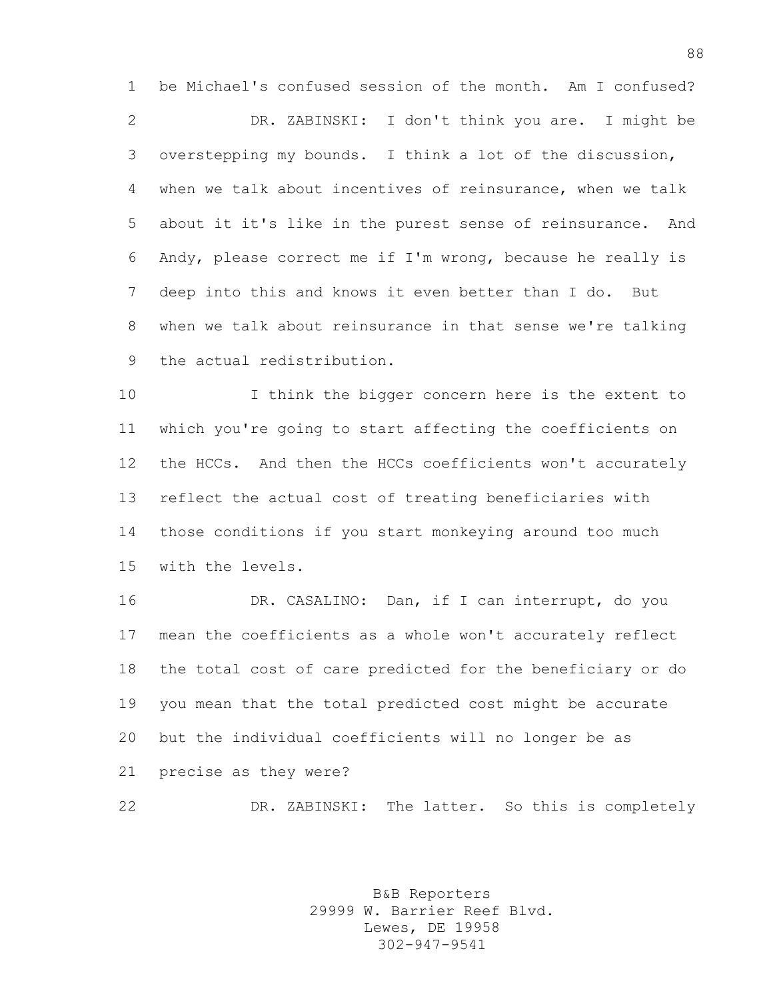be Michael's confused session of the month. Am I confused? DR. ZABINSKI: I don't think you are. I might be overstepping my bounds. I think a lot of the discussion, when we talk about incentives of reinsurance, when we talk about it it's like in the purest sense of reinsurance. And Andy, please correct me if I'm wrong, because he really is deep into this and knows it even better than I do. But when we talk about reinsurance in that sense we're talking the actual redistribution.

 I think the bigger concern here is the extent to which you're going to start affecting the coefficients on the HCCs. And then the HCCs coefficients won't accurately reflect the actual cost of treating beneficiaries with those conditions if you start monkeying around too much with the levels.

 DR. CASALINO: Dan, if I can interrupt, do you mean the coefficients as a whole won't accurately reflect the total cost of care predicted for the beneficiary or do you mean that the total predicted cost might be accurate but the individual coefficients will no longer be as precise as they were?

DR. ZABINSKI: The latter. So this is completely

B&B Reporters 29999 W. Barrier Reef Blvd. Lewes, DE 19958 302-947-9541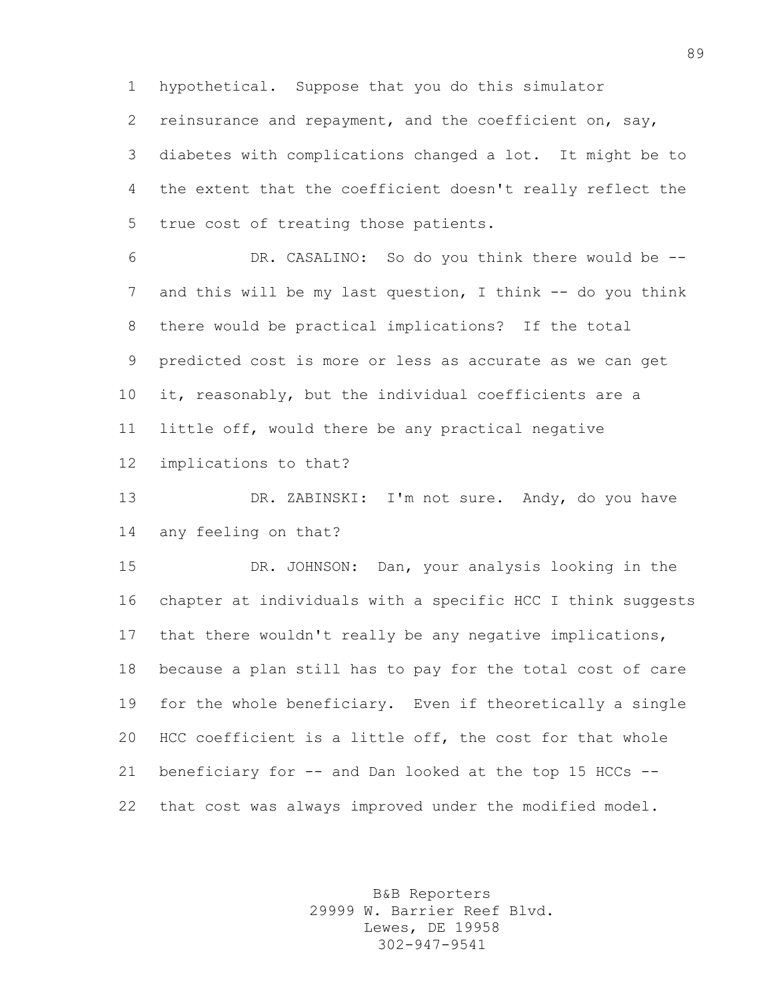hypothetical. Suppose that you do this simulator

reinsurance and repayment, and the coefficient on, say,

 diabetes with complications changed a lot. It might be to the extent that the coefficient doesn't really reflect the true cost of treating those patients.

 DR. CASALINO: So do you think there would be -- 7 and this will be my last question, I think -- do you think there would be practical implications? If the total predicted cost is more or less as accurate as we can get it, reasonably, but the individual coefficients are a little off, would there be any practical negative implications to that?

 DR. ZABINSKI: I'm not sure. Andy, do you have any feeling on that?

 DR. JOHNSON: Dan, your analysis looking in the chapter at individuals with a specific HCC I think suggests that there wouldn't really be any negative implications, because a plan still has to pay for the total cost of care for the whole beneficiary. Even if theoretically a single HCC coefficient is a little off, the cost for that whole beneficiary for -- and Dan looked at the top 15 HCCs -- that cost was always improved under the modified model.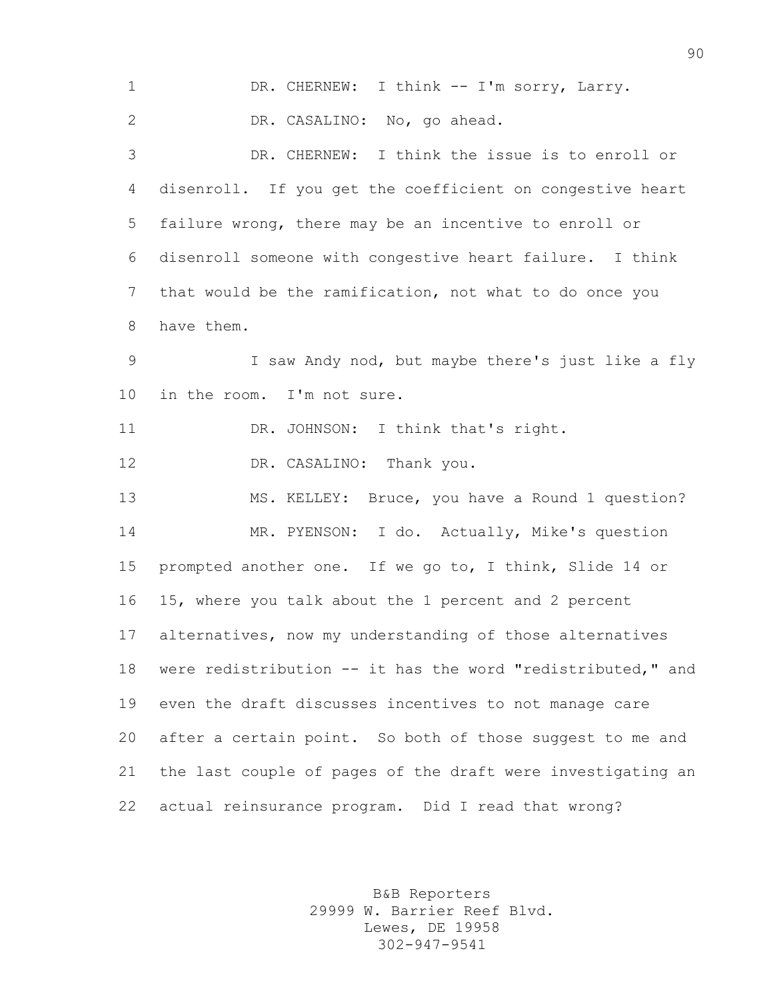1 DR. CHERNEW: I think -- I'm sorry, Larry. DR. CASALINO: No, go ahead. DR. CHERNEW: I think the issue is to enroll or disenroll. If you get the coefficient on congestive heart failure wrong, there may be an incentive to enroll or disenroll someone with congestive heart failure. I think that would be the ramification, not what to do once you have them. I saw Andy nod, but maybe there's just like a fly in the room. I'm not sure. 11 DR. JOHNSON: I think that's right. 12 DR. CASALINO: Thank you. MS. KELLEY: Bruce, you have a Round 1 question? MR. PYENSON: I do. Actually, Mike's question prompted another one. If we go to, I think, Slide 14 or 15, where you talk about the 1 percent and 2 percent alternatives, now my understanding of those alternatives were redistribution -- it has the word "redistributed," and even the draft discusses incentives to not manage care after a certain point. So both of those suggest to me and the last couple of pages of the draft were investigating an actual reinsurance program. Did I read that wrong?

> B&B Reporters 29999 W. Barrier Reef Blvd. Lewes, DE 19958 302-947-9541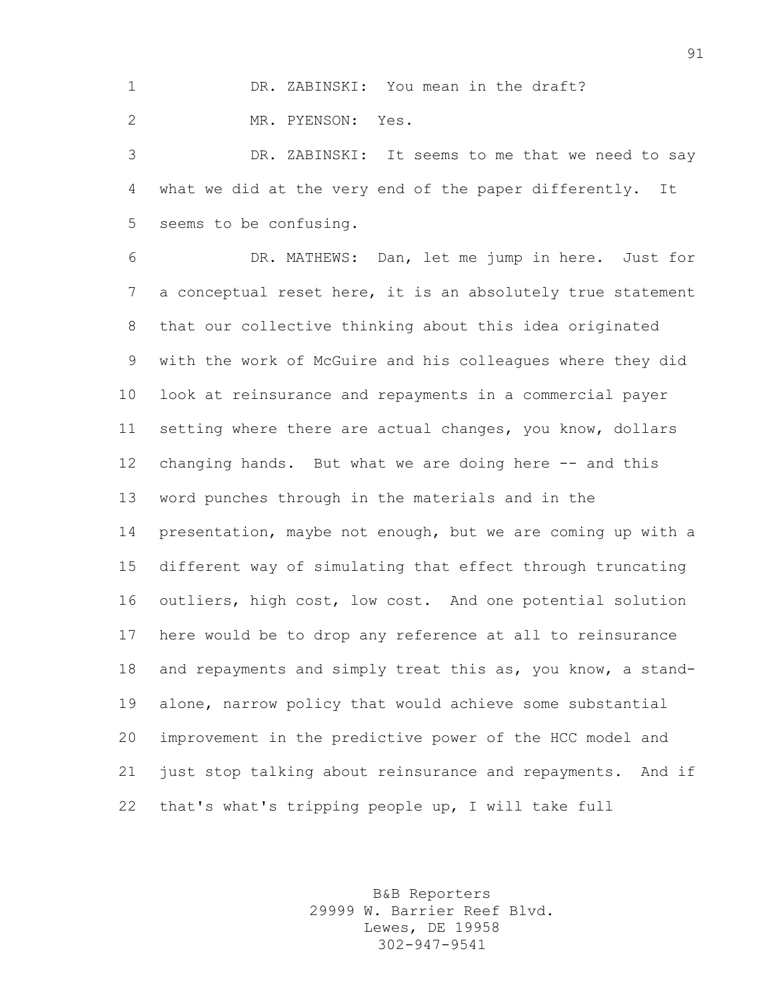DR. ZABINSKI: You mean in the draft?

MR. PYENSON: Yes.

 DR. ZABINSKI: It seems to me that we need to say what we did at the very end of the paper differently. It seems to be confusing.

 DR. MATHEWS: Dan, let me jump in here. Just for a conceptual reset here, it is an absolutely true statement that our collective thinking about this idea originated with the work of McGuire and his colleagues where they did look at reinsurance and repayments in a commercial payer setting where there are actual changes, you know, dollars changing hands. But what we are doing here -- and this word punches through in the materials and in the presentation, maybe not enough, but we are coming up with a different way of simulating that effect through truncating outliers, high cost, low cost. And one potential solution here would be to drop any reference at all to reinsurance and repayments and simply treat this as, you know, a stand- alone, narrow policy that would achieve some substantial improvement in the predictive power of the HCC model and just stop talking about reinsurance and repayments. And if that's what's tripping people up, I will take full

> B&B Reporters 29999 W. Barrier Reef Blvd. Lewes, DE 19958 302-947-9541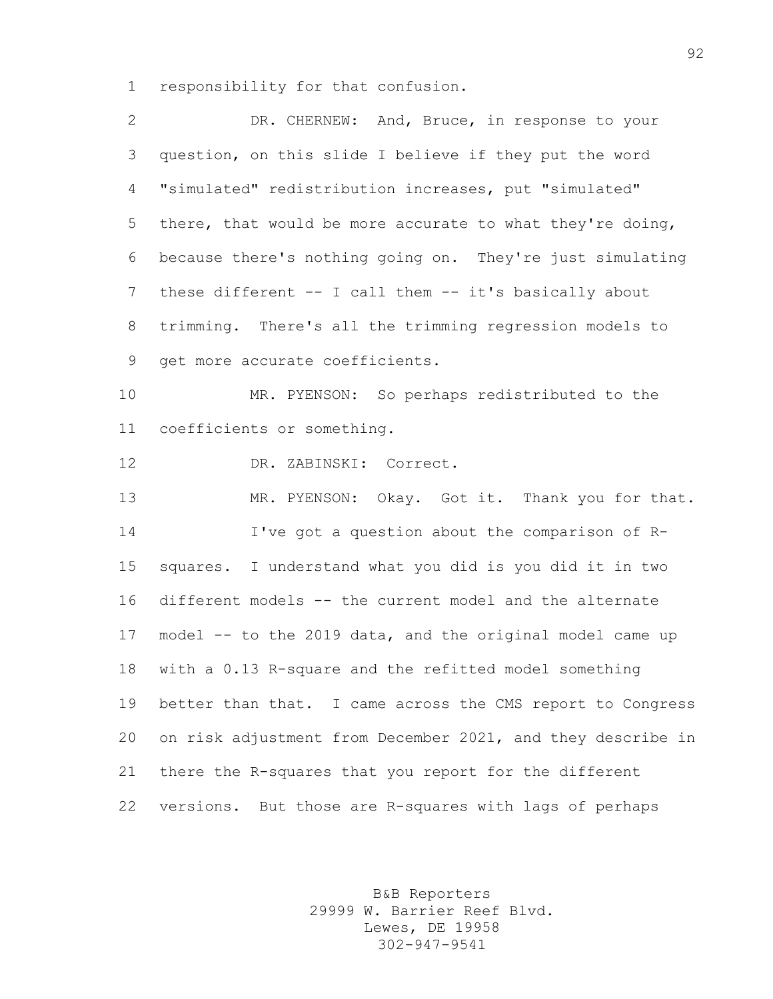responsibility for that confusion.

| $\mathbf{2}$ | DR. CHERNEW: And, Bruce, in response to your                |
|--------------|-------------------------------------------------------------|
| 3            | question, on this slide I believe if they put the word      |
| 4            | "simulated" redistribution increases, put "simulated"       |
| 5            | there, that would be more accurate to what they're doing,   |
| 6            | because there's nothing going on. They're just simulating   |
| 7            | these different -- I call them -- it's basically about      |
| 8            | trimming. There's all the trimming regression models to     |
| 9            | get more accurate coefficients.                             |
| 10           | MR. PYENSON: So perhaps redistributed to the                |
| 11           | coefficients or something.                                  |
| 12           | DR. ZABINSKI: Correct.                                      |
| 13           | MR. PYENSON: Okay. Got it. Thank you for that.              |
| 14           | I've got a question about the comparison of R-              |
| 15           | squares. I understand what you did is you did it in two     |
| 16           | different models -- the current model and the alternate     |
| 17           | model -- to the 2019 data, and the original model came up   |
| 18           | with a 0.13 R-square and the refitted model something       |
| 19           | better than that. I came across the CMS report to Congress  |
| 20           | on risk adjustment from December 2021, and they describe in |
| 21           | there the R-squares that you report for the different       |
| 22           | versions. But those are R-squares with lags of perhaps      |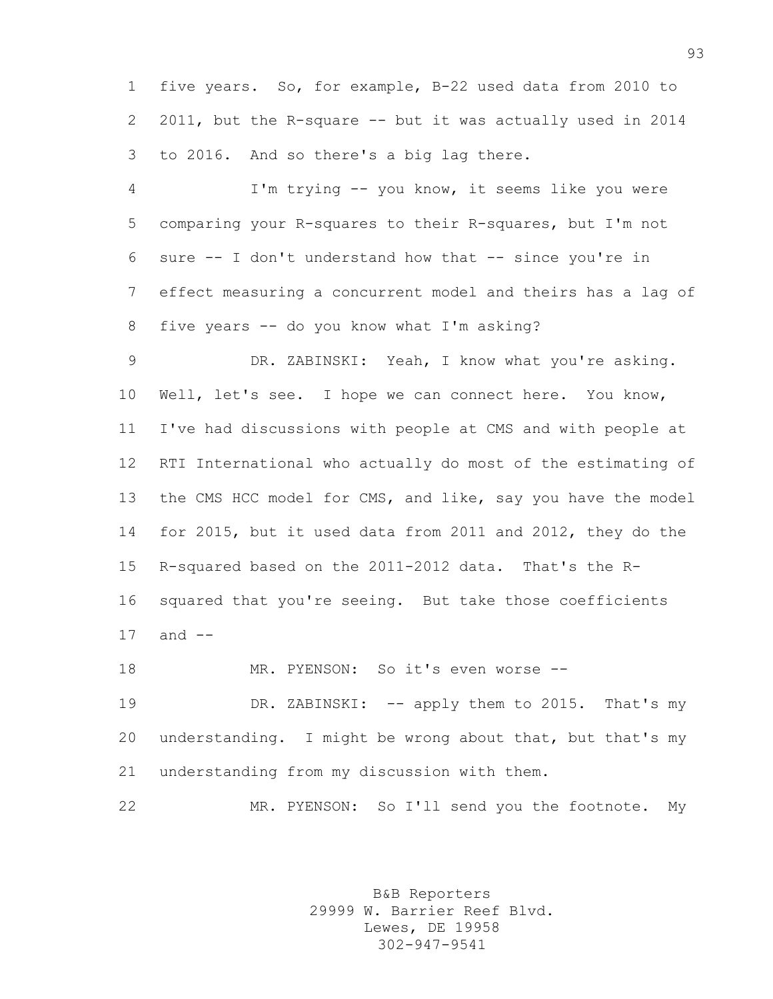five years. So, for example, B-22 used data from 2010 to 2011, but the R-square -- but it was actually used in 2014 to 2016. And so there's a big lag there.

 I'm trying -- you know, it seems like you were comparing your R-squares to their R-squares, but I'm not sure -- I don't understand how that -- since you're in effect measuring a concurrent model and theirs has a lag of five years -- do you know what I'm asking?

 DR. ZABINSKI: Yeah, I know what you're asking. Well, let's see. I hope we can connect here. You know, I've had discussions with people at CMS and with people at RTI International who actually do most of the estimating of the CMS HCC model for CMS, and like, say you have the model for 2015, but it used data from 2011 and 2012, they do the R-squared based on the 2011-2012 data. That's the R- squared that you're seeing. But take those coefficients and --

MR. PYENSON: So it's even worse --

19 DR. ZABINSKI: -- apply them to 2015. That's my understanding. I might be wrong about that, but that's my understanding from my discussion with them.

MR. PYENSON: So I'll send you the footnote. My

B&B Reporters 29999 W. Barrier Reef Blvd. Lewes, DE 19958 302-947-9541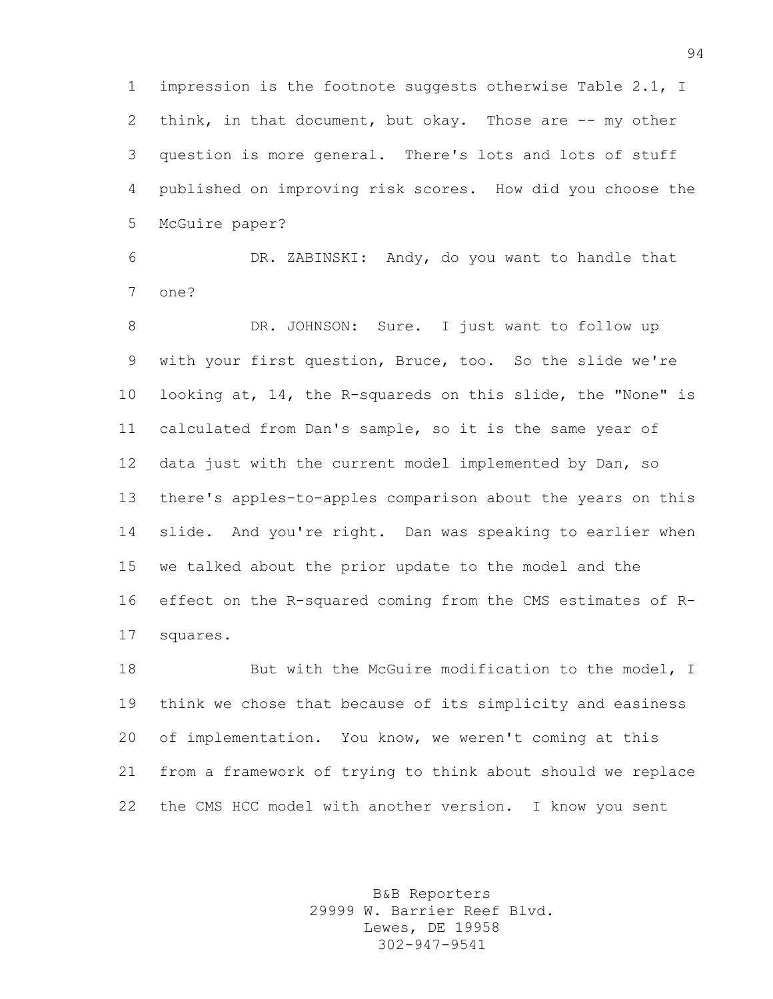impression is the footnote suggests otherwise Table 2.1, I think, in that document, but okay. Those are -- my other question is more general. There's lots and lots of stuff published on improving risk scores. How did you choose the McGuire paper?

 DR. ZABINSKI: Andy, do you want to handle that one?

8 DR. JOHNSON: Sure. I just want to follow up with your first question, Bruce, too. So the slide we're looking at, 14, the R-squareds on this slide, the "None" is calculated from Dan's sample, so it is the same year of data just with the current model implemented by Dan, so there's apples-to-apples comparison about the years on this slide. And you're right. Dan was speaking to earlier when we talked about the prior update to the model and the effect on the R-squared coming from the CMS estimates of R-squares.

18 But with the McGuire modification to the model, I think we chose that because of its simplicity and easiness of implementation. You know, we weren't coming at this from a framework of trying to think about should we replace the CMS HCC model with another version. I know you sent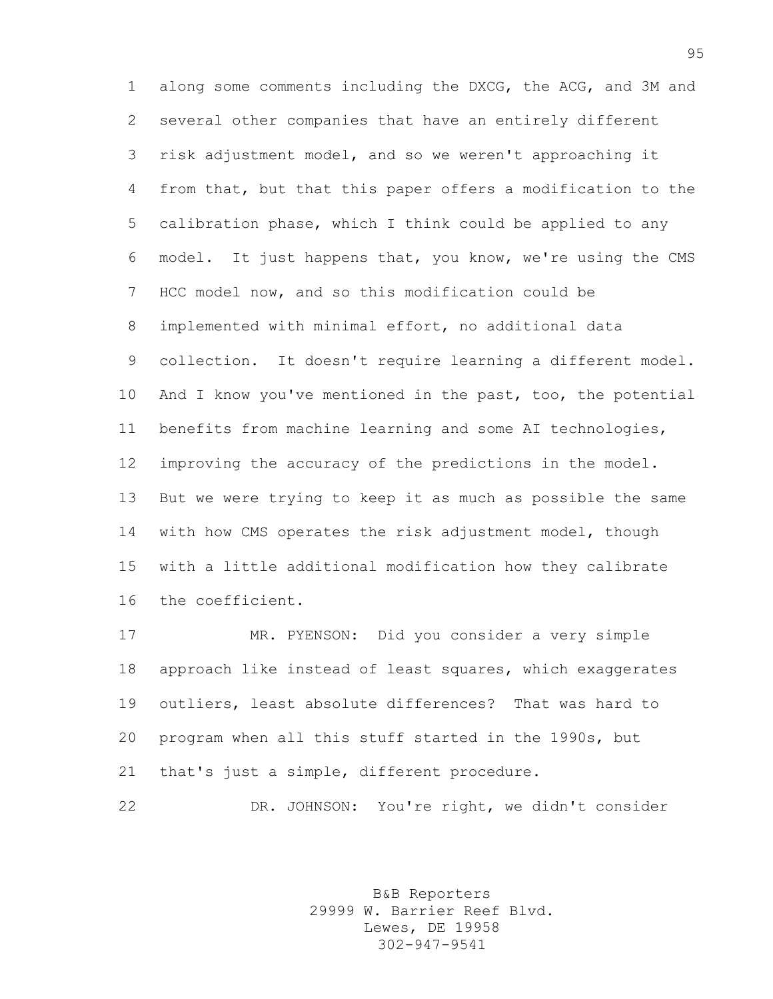along some comments including the DXCG, the ACG, and 3M and several other companies that have an entirely different risk adjustment model, and so we weren't approaching it from that, but that this paper offers a modification to the calibration phase, which I think could be applied to any model. It just happens that, you know, we're using the CMS HCC model now, and so this modification could be implemented with minimal effort, no additional data collection. It doesn't require learning a different model. And I know you've mentioned in the past, too, the potential benefits from machine learning and some AI technologies, improving the accuracy of the predictions in the model. But we were trying to keep it as much as possible the same with how CMS operates the risk adjustment model, though with a little additional modification how they calibrate the coefficient.

 MR. PYENSON: Did you consider a very simple approach like instead of least squares, which exaggerates outliers, least absolute differences? That was hard to program when all this stuff started in the 1990s, but that's just a simple, different procedure.

DR. JOHNSON: You're right, we didn't consider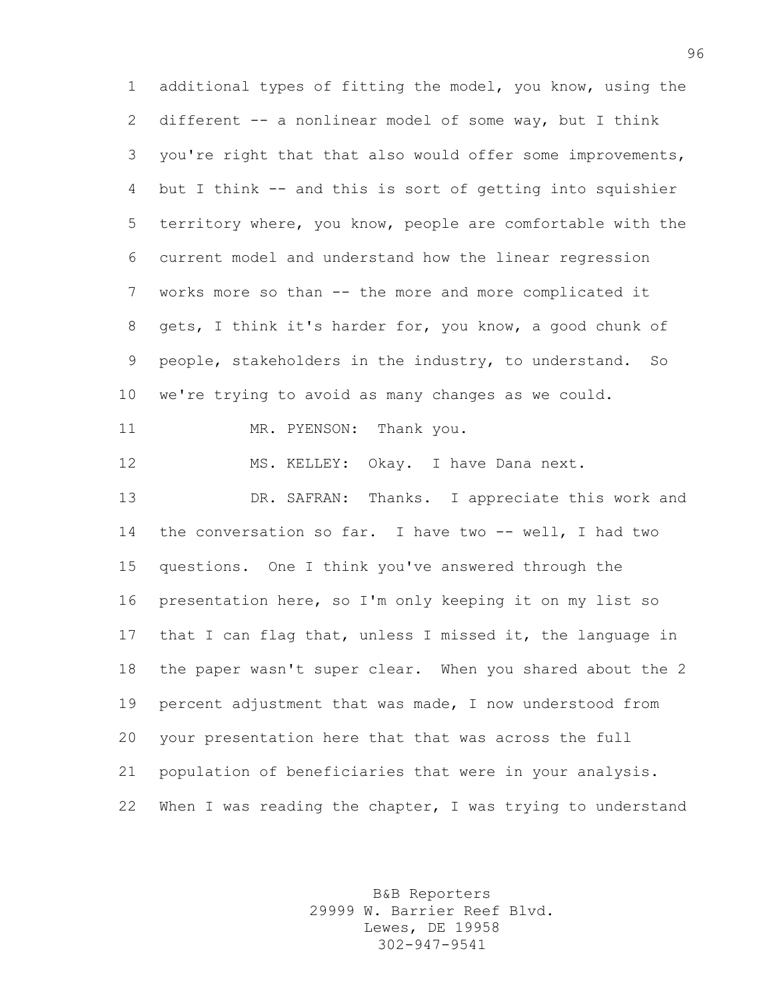additional types of fitting the model, you know, using the different -- a nonlinear model of some way, but I think you're right that that also would offer some improvements, but I think -- and this is sort of getting into squishier territory where, you know, people are comfortable with the current model and understand how the linear regression works more so than -- the more and more complicated it gets, I think it's harder for, you know, a good chunk of people, stakeholders in the industry, to understand. So we're trying to avoid as many changes as we could. 11 MR. PYENSON: Thank you. MS. KELLEY: Okay. I have Dana next. DR. SAFRAN: Thanks. I appreciate this work and the conversation so far. I have two -- well, I had two questions. One I think you've answered through the presentation here, so I'm only keeping it on my list so that I can flag that, unless I missed it, the language in the paper wasn't super clear. When you shared about the 2 percent adjustment that was made, I now understood from your presentation here that that was across the full population of beneficiaries that were in your analysis. When I was reading the chapter, I was trying to understand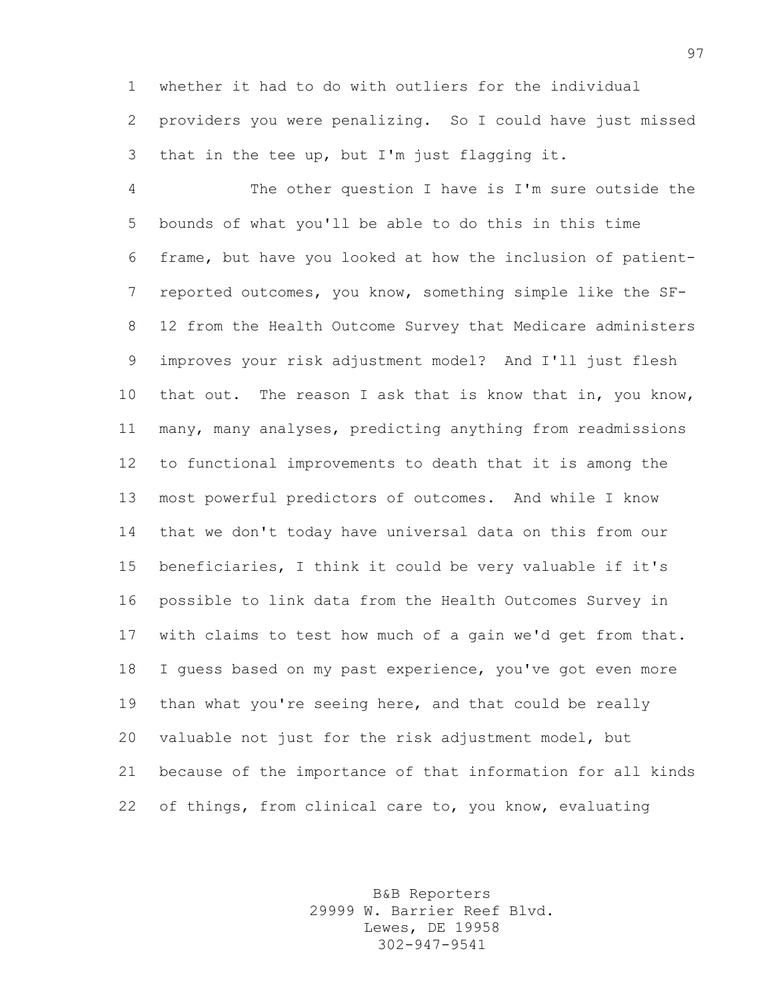whether it had to do with outliers for the individual providers you were penalizing. So I could have just missed that in the tee up, but I'm just flagging it.

 The other question I have is I'm sure outside the bounds of what you'll be able to do this in this time frame, but have you looked at how the inclusion of patient- reported outcomes, you know, something simple like the SF- 12 from the Health Outcome Survey that Medicare administers improves your risk adjustment model? And I'll just flesh that out. The reason I ask that is know that in, you know, many, many analyses, predicting anything from readmissions to functional improvements to death that it is among the most powerful predictors of outcomes. And while I know that we don't today have universal data on this from our beneficiaries, I think it could be very valuable if it's possible to link data from the Health Outcomes Survey in with claims to test how much of a gain we'd get from that. 18 I guess based on my past experience, you've got even more than what you're seeing here, and that could be really valuable not just for the risk adjustment model, but because of the importance of that information for all kinds of things, from clinical care to, you know, evaluating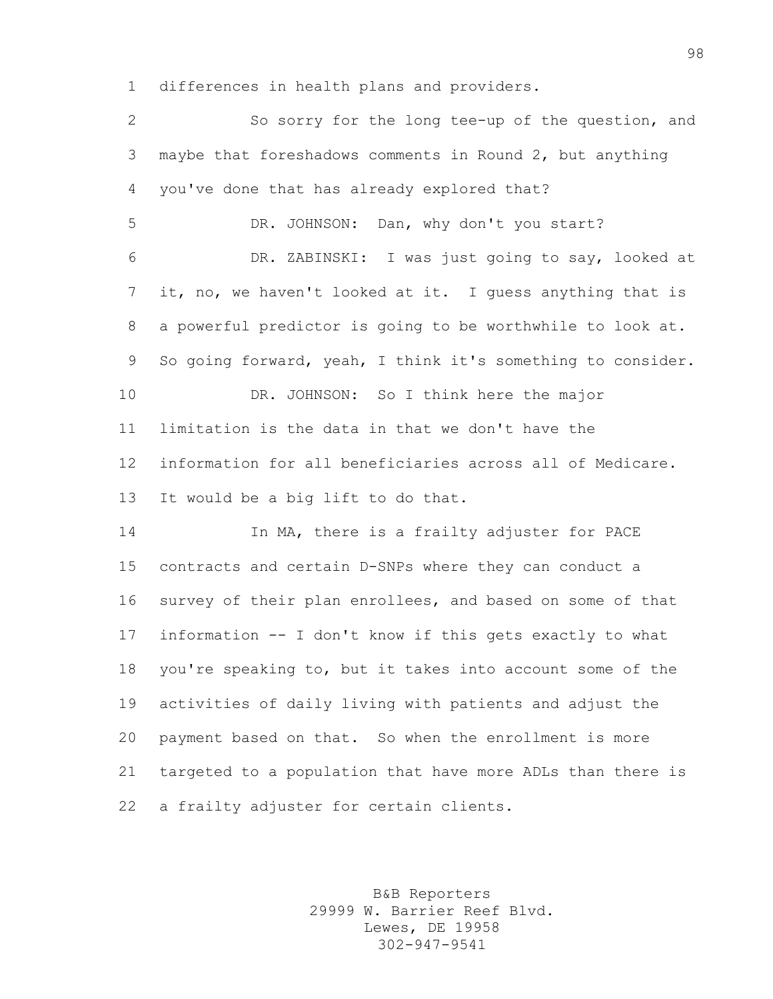differences in health plans and providers.

 So sorry for the long tee-up of the question, and maybe that foreshadows comments in Round 2, but anything you've done that has already explored that? DR. JOHNSON: Dan, why don't you start? DR. ZABINSKI: I was just going to say, looked at it, no, we haven't looked at it. I guess anything that is a powerful predictor is going to be worthwhile to look at. So going forward, yeah, I think it's something to consider. DR. JOHNSON: So I think here the major limitation is the data in that we don't have the information for all beneficiaries across all of Medicare. It would be a big lift to do that. In MA, there is a frailty adjuster for PACE

 contracts and certain D-SNPs where they can conduct a survey of their plan enrollees, and based on some of that information -- I don't know if this gets exactly to what you're speaking to, but it takes into account some of the activities of daily living with patients and adjust the payment based on that. So when the enrollment is more targeted to a population that have more ADLs than there is 22 a frailty adjuster for certain clients.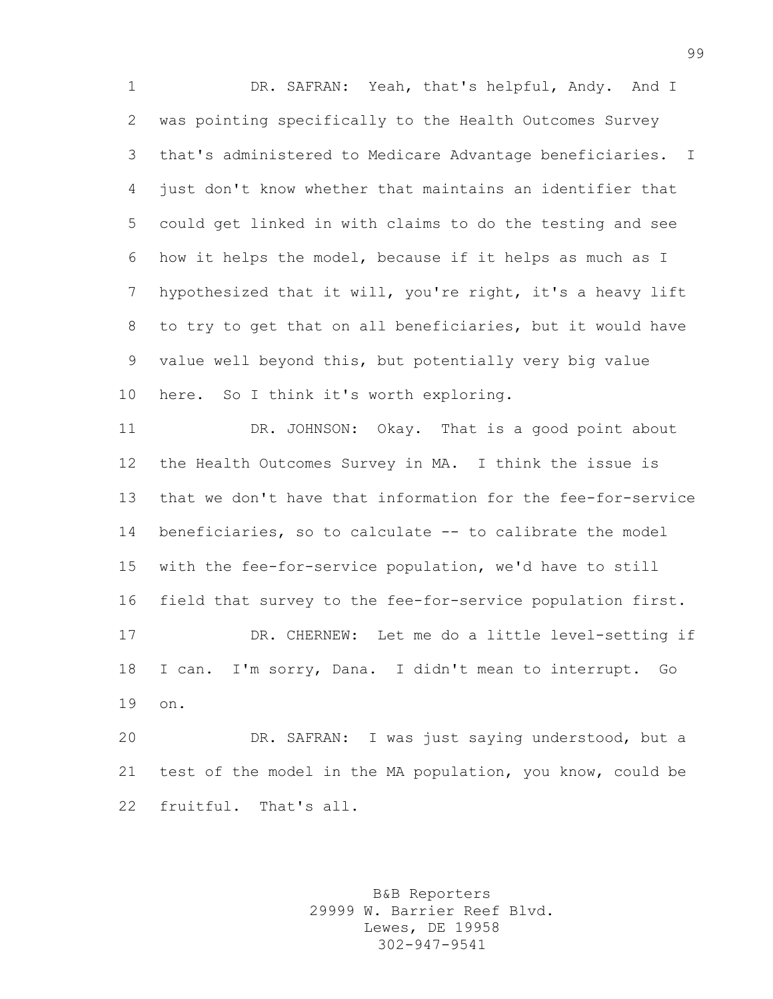DR. SAFRAN: Yeah, that's helpful, Andy. And I was pointing specifically to the Health Outcomes Survey that's administered to Medicare Advantage beneficiaries. I just don't know whether that maintains an identifier that could get linked in with claims to do the testing and see how it helps the model, because if it helps as much as I hypothesized that it will, you're right, it's a heavy lift to try to get that on all beneficiaries, but it would have value well beyond this, but potentially very big value here. So I think it's worth exploring.

 DR. JOHNSON: Okay. That is a good point about the Health Outcomes Survey in MA. I think the issue is that we don't have that information for the fee-for-service beneficiaries, so to calculate -- to calibrate the model with the fee-for-service population, we'd have to still field that survey to the fee-for-service population first. DR. CHERNEW: Let me do a little level-setting if I can. I'm sorry, Dana. I didn't mean to interrupt. Go on.

 DR. SAFRAN: I was just saying understood, but a test of the model in the MA population, you know, could be fruitful. That's all.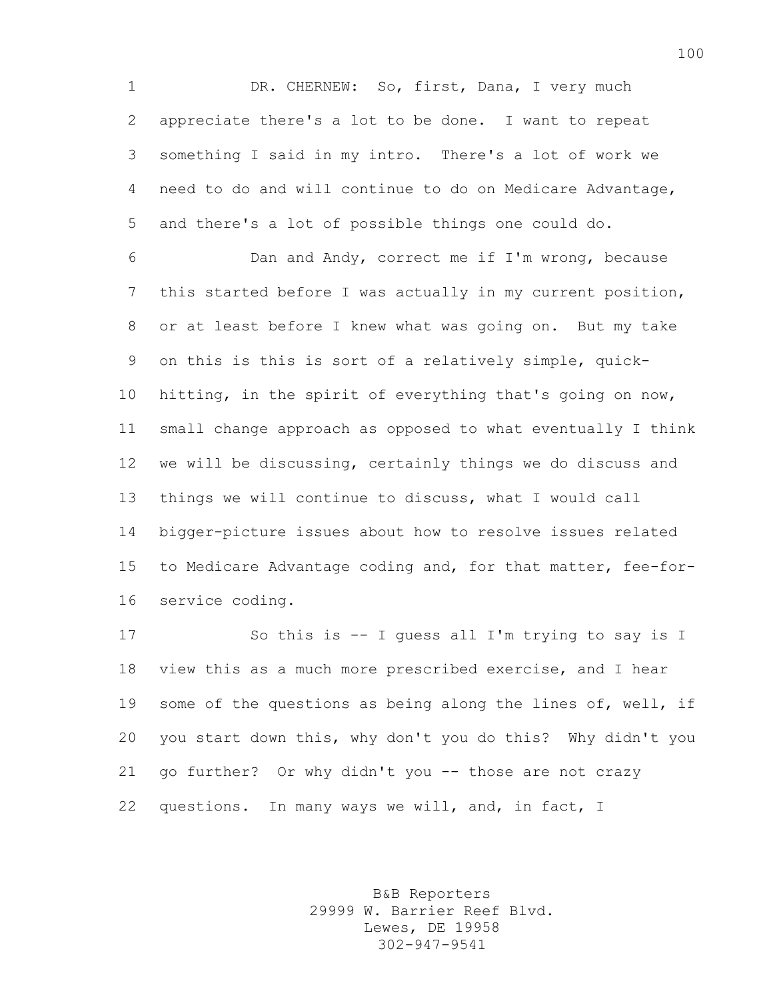1 DR. CHERNEW: So, first, Dana, I very much appreciate there's a lot to be done. I want to repeat something I said in my intro. There's a lot of work we need to do and will continue to do on Medicare Advantage, and there's a lot of possible things one could do.

 Dan and Andy, correct me if I'm wrong, because this started before I was actually in my current position, or at least before I knew what was going on. But my take on this is this is sort of a relatively simple, quick- hitting, in the spirit of everything that's going on now, small change approach as opposed to what eventually I think we will be discussing, certainly things we do discuss and things we will continue to discuss, what I would call bigger-picture issues about how to resolve issues related to Medicare Advantage coding and, for that matter, fee-for-service coding.

 So this is -- I guess all I'm trying to say is I view this as a much more prescribed exercise, and I hear 19 some of the questions as being along the lines of, well, if you start down this, why don't you do this? Why didn't you go further? Or why didn't you -- those are not crazy questions. In many ways we will, and, in fact, I

> B&B Reporters 29999 W. Barrier Reef Blvd. Lewes, DE 19958 302-947-9541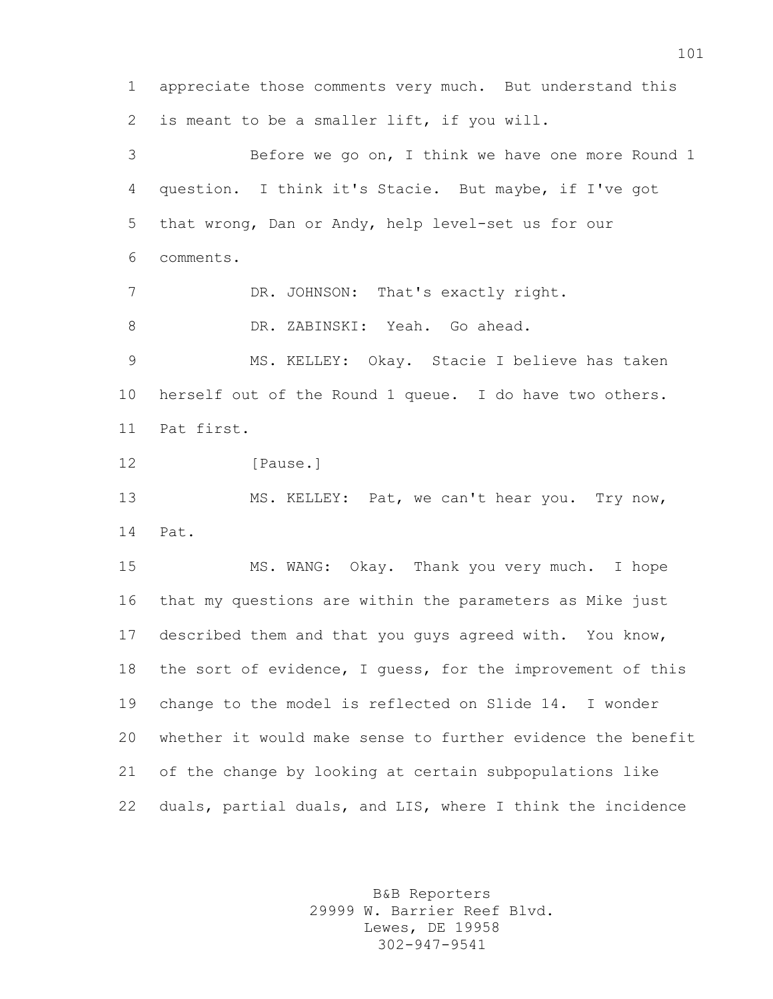appreciate those comments very much. But understand this is meant to be a smaller lift, if you will. Before we go on, I think we have one more Round 1 question. I think it's Stacie. But maybe, if I've got that wrong, Dan or Andy, help level-set us for our comments. 7 DR. JOHNSON: That's exactly right. DR. ZABINSKI: Yeah. Go ahead. MS. KELLEY: Okay. Stacie I believe has taken herself out of the Round 1 queue. I do have two others. Pat first. 12 [Pause.] MS. KELLEY: Pat, we can't hear you. Try now, Pat. MS. WANG: Okay. Thank you very much. I hope that my questions are within the parameters as Mike just described them and that you guys agreed with. You know, the sort of evidence, I guess, for the improvement of this change to the model is reflected on Slide 14. I wonder whether it would make sense to further evidence the benefit of the change by looking at certain subpopulations like duals, partial duals, and LIS, where I think the incidence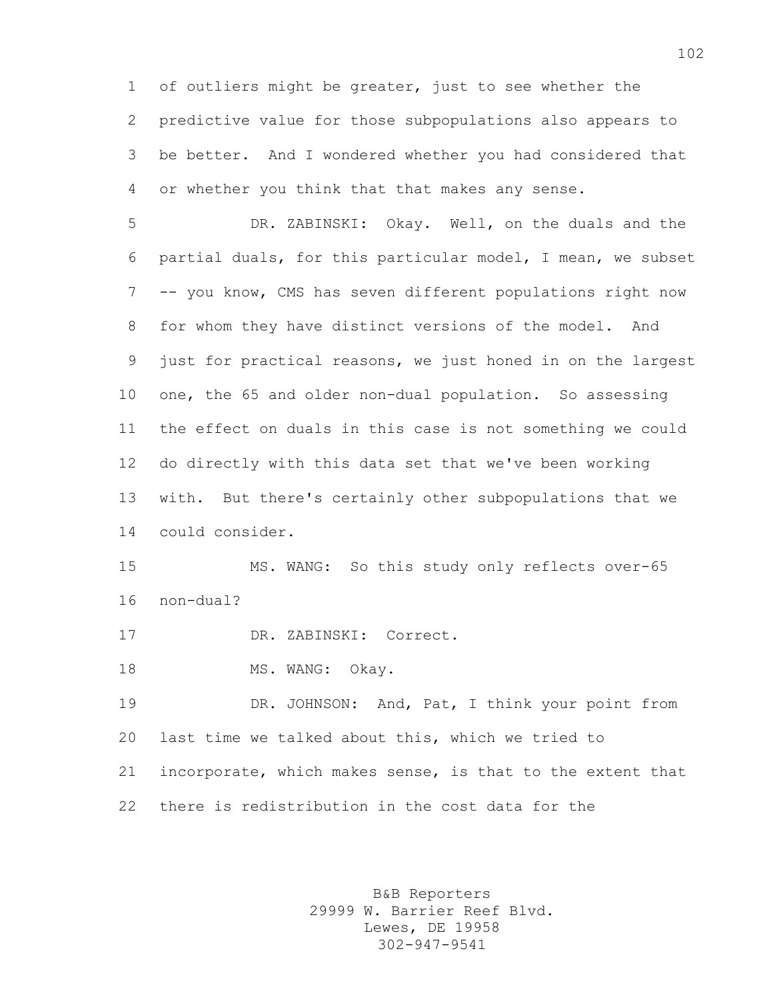of outliers might be greater, just to see whether the predictive value for those subpopulations also appears to be better. And I wondered whether you had considered that or whether you think that that makes any sense.

 DR. ZABINSKI: Okay. Well, on the duals and the partial duals, for this particular model, I mean, we subset -- you know, CMS has seven different populations right now for whom they have distinct versions of the model. And just for practical reasons, we just honed in on the largest one, the 65 and older non-dual population. So assessing the effect on duals in this case is not something we could do directly with this data set that we've been working with. But there's certainly other subpopulations that we could consider.

 MS. WANG: So this study only reflects over-65 non-dual?

DR. ZABINSKI: Correct.

18 MS. WANG: Okay.

 DR. JOHNSON: And, Pat, I think your point from last time we talked about this, which we tried to incorporate, which makes sense, is that to the extent that there is redistribution in the cost data for the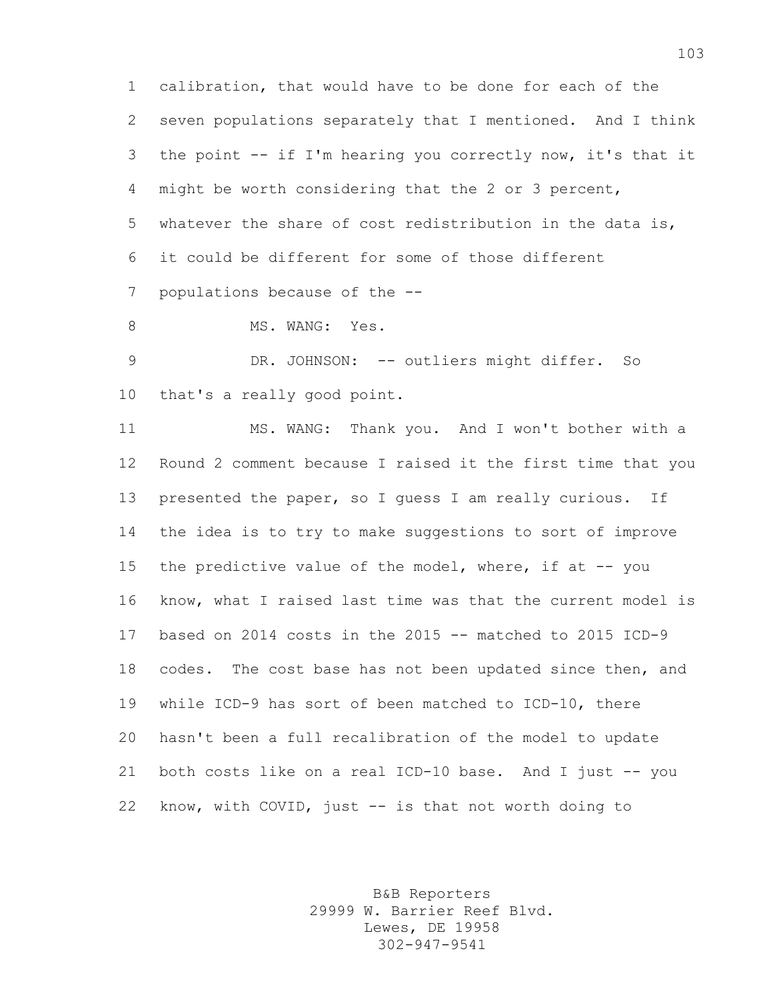calibration, that would have to be done for each of the seven populations separately that I mentioned. And I think the point -- if I'm hearing you correctly now, it's that it might be worth considering that the 2 or 3 percent, whatever the share of cost redistribution in the data is, it could be different for some of those different populations because of the --

8 MS. WANG: Yes.

9 DR. JOHNSON: -- outliers might differ. So that's a really good point.

 MS. WANG: Thank you. And I won't bother with a Round 2 comment because I raised it the first time that you 13 presented the paper, so I quess I am really curious. If the idea is to try to make suggestions to sort of improve 15 the predictive value of the model, where, if at -- you know, what I raised last time was that the current model is based on 2014 costs in the 2015 -- matched to 2015 ICD-9 codes. The cost base has not been updated since then, and while ICD-9 has sort of been matched to ICD-10, there hasn't been a full recalibration of the model to update both costs like on a real ICD-10 base. And I just -- you know, with COVID, just -- is that not worth doing to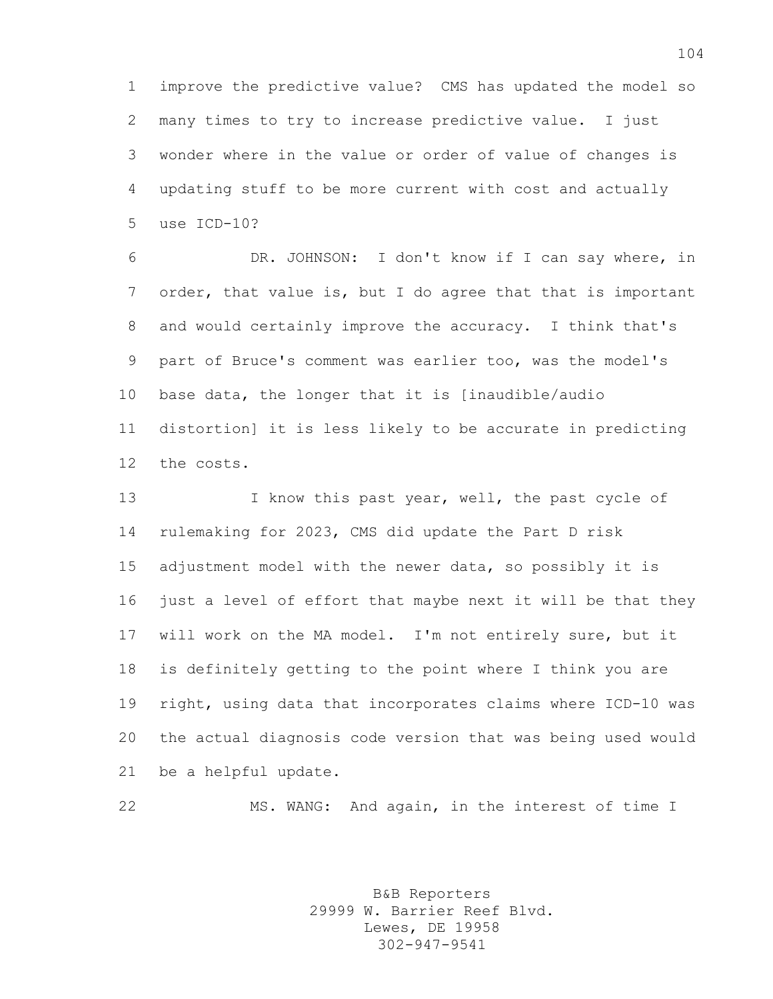improve the predictive value? CMS has updated the model so many times to try to increase predictive value. I just wonder where in the value or order of value of changes is updating stuff to be more current with cost and actually use ICD-10?

 DR. JOHNSON: I don't know if I can say where, in order, that value is, but I do agree that that is important and would certainly improve the accuracy. I think that's part of Bruce's comment was earlier too, was the model's base data, the longer that it is [inaudible/audio distortion] it is less likely to be accurate in predicting the costs.

13 13 I know this past year, well, the past cycle of rulemaking for 2023, CMS did update the Part D risk adjustment model with the newer data, so possibly it is just a level of effort that maybe next it will be that they will work on the MA model. I'm not entirely sure, but it is definitely getting to the point where I think you are right, using data that incorporates claims where ICD-10 was the actual diagnosis code version that was being used would be a helpful update.

MS. WANG: And again, in the interest of time I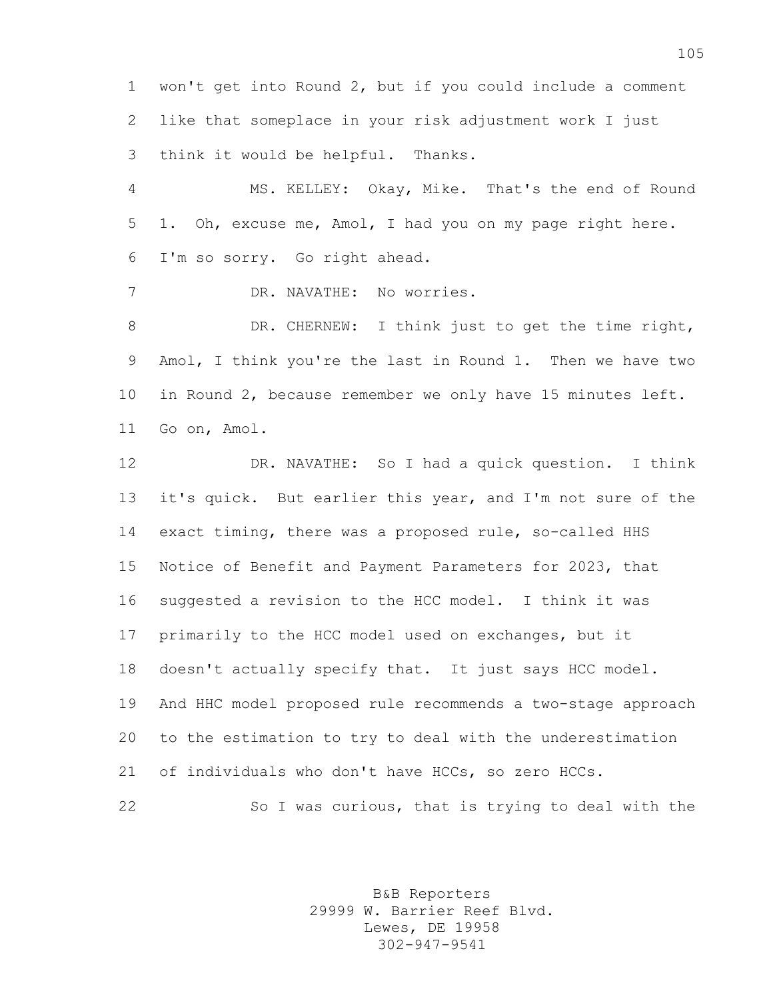won't get into Round 2, but if you could include a comment like that someplace in your risk adjustment work I just think it would be helpful. Thanks.

 MS. KELLEY: Okay, Mike. That's the end of Round 1. Oh, excuse me, Amol, I had you on my page right here. I'm so sorry. Go right ahead.

DR. NAVATHE: No worries.

8 DR. CHERNEW: I think just to get the time right, Amol, I think you're the last in Round 1. Then we have two in Round 2, because remember we only have 15 minutes left. Go on, Amol.

 DR. NAVATHE: So I had a quick question. I think it's quick. But earlier this year, and I'm not sure of the exact timing, there was a proposed rule, so-called HHS Notice of Benefit and Payment Parameters for 2023, that suggested a revision to the HCC model. I think it was primarily to the HCC model used on exchanges, but it doesn't actually specify that. It just says HCC model. And HHC model proposed rule recommends a two-stage approach to the estimation to try to deal with the underestimation of individuals who don't have HCCs, so zero HCCs. So I was curious, that is trying to deal with the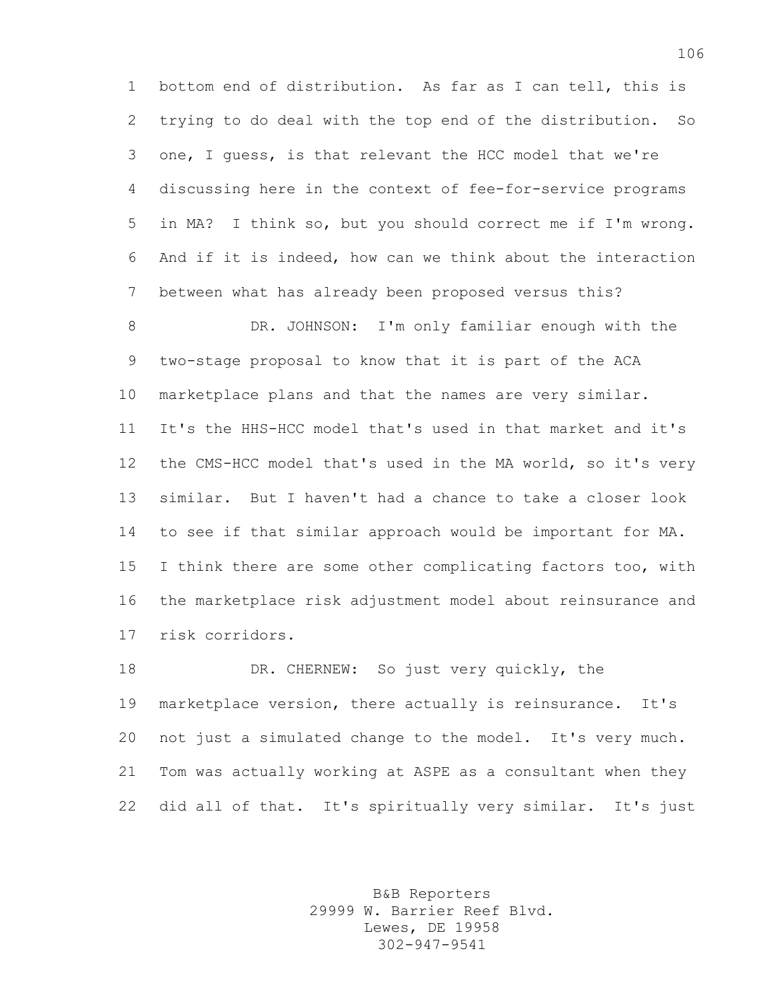bottom end of distribution. As far as I can tell, this is trying to do deal with the top end of the distribution. So one, I guess, is that relevant the HCC model that we're discussing here in the context of fee-for-service programs in MA? I think so, but you should correct me if I'm wrong. And if it is indeed, how can we think about the interaction between what has already been proposed versus this?

 DR. JOHNSON: I'm only familiar enough with the two-stage proposal to know that it is part of the ACA marketplace plans and that the names are very similar. It's the HHS-HCC model that's used in that market and it's the CMS-HCC model that's used in the MA world, so it's very similar. But I haven't had a chance to take a closer look to see if that similar approach would be important for MA. I think there are some other complicating factors too, with the marketplace risk adjustment model about reinsurance and risk corridors.

 DR. CHERNEW: So just very quickly, the marketplace version, there actually is reinsurance. It's not just a simulated change to the model. It's very much. Tom was actually working at ASPE as a consultant when they did all of that. It's spiritually very similar. It's just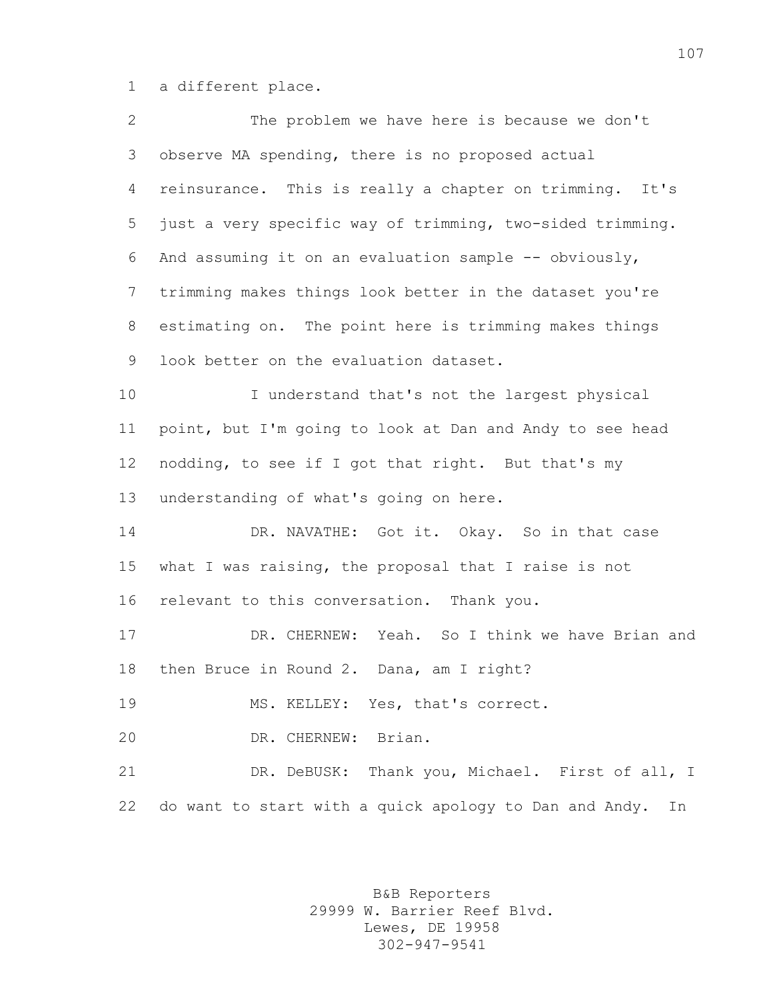a different place.

| $\mathbf{2}$ | The problem we have here is because we don't                 |
|--------------|--------------------------------------------------------------|
| 3            | observe MA spending, there is no proposed actual             |
| 4            | reinsurance. This is really a chapter on trimming. It's      |
| 5            | just a very specific way of trimming, two-sided trimming.    |
| 6            | And assuming it on an evaluation sample -- obviously,        |
| 7            | trimming makes things look better in the dataset you're      |
| 8            | estimating on. The point here is trimming makes things       |
| 9            | look better on the evaluation dataset.                       |
| 10           | I understand that's not the largest physical                 |
| 11           | point, but I'm going to look at Dan and Andy to see head     |
| 12           | nodding, to see if I got that right. But that's my           |
| 13           | understanding of what's going on here.                       |
| 14           | DR. NAVATHE: Got it. Okay. So in that case                   |
| 15           | what I was raising, the proposal that I raise is not         |
| 16           | relevant to this conversation. Thank you.                    |
| 17           | Yeah. So I think we have Brian and<br>DR. CHERNEW:           |
| 18           | then Bruce in Round 2. Dana, am I right?                     |
| 19           | MS. KELLEY: Yes, that's correct.                             |
| 20           | Brian.<br>DR. CHERNEW:                                       |
| 21           | DR. DeBUSK: Thank you, Michael. First of all, I              |
| 22           | do want to start with a quick apology to Dan and Andy.<br>In |
|              |                                                              |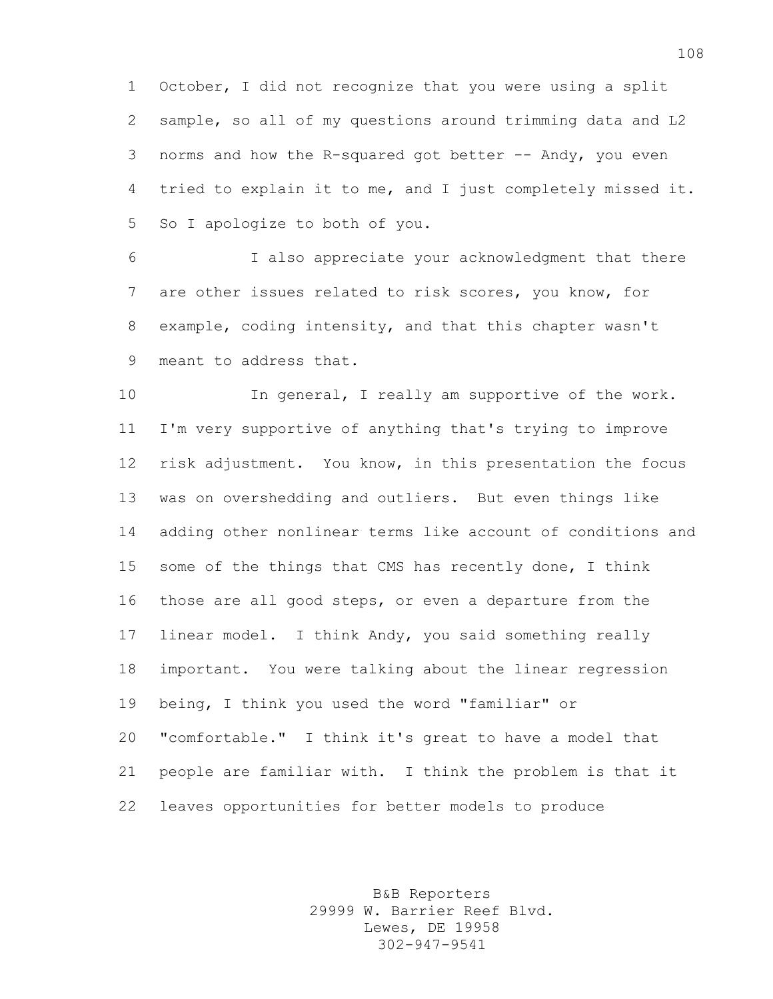October, I did not recognize that you were using a split sample, so all of my questions around trimming data and L2 norms and how the R-squared got better -- Andy, you even tried to explain it to me, and I just completely missed it. So I apologize to both of you.

 I also appreciate your acknowledgment that there are other issues related to risk scores, you know, for example, coding intensity, and that this chapter wasn't meant to address that.

10 In general, I really am supportive of the work. I'm very supportive of anything that's trying to improve risk adjustment. You know, in this presentation the focus was on overshedding and outliers. But even things like adding other nonlinear terms like account of conditions and some of the things that CMS has recently done, I think those are all good steps, or even a departure from the linear model. I think Andy, you said something really important. You were talking about the linear regression being, I think you used the word "familiar" or "comfortable." I think it's great to have a model that people are familiar with. I think the problem is that it leaves opportunities for better models to produce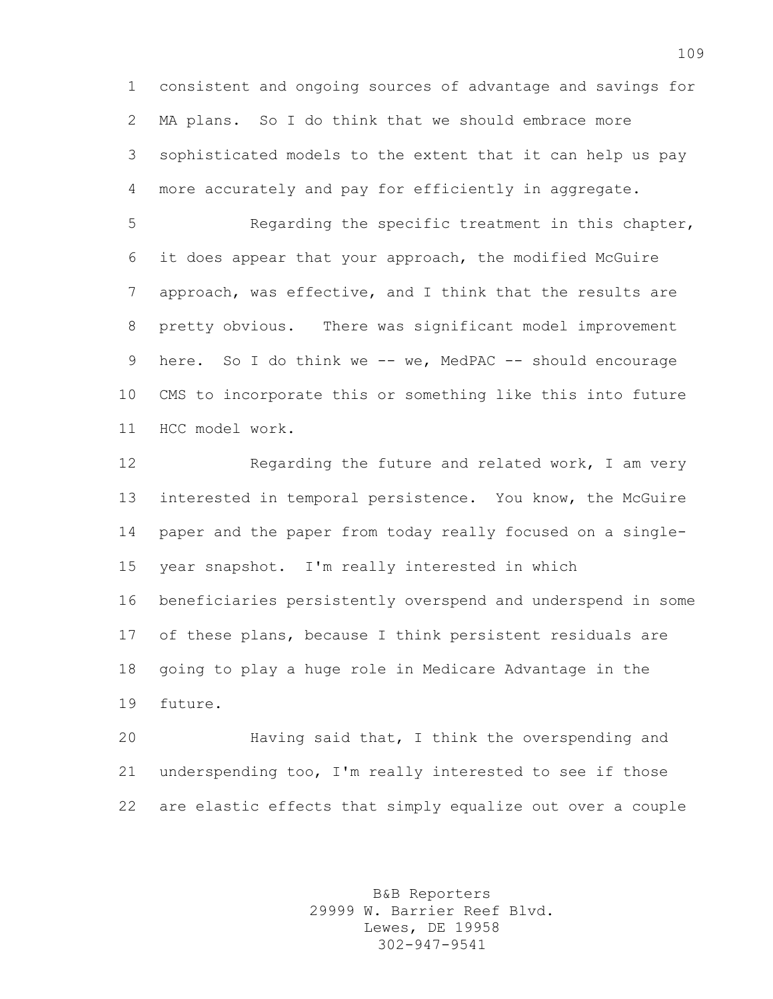consistent and ongoing sources of advantage and savings for MA plans. So I do think that we should embrace more sophisticated models to the extent that it can help us pay more accurately and pay for efficiently in aggregate.

 Regarding the specific treatment in this chapter, it does appear that your approach, the modified McGuire approach, was effective, and I think that the results are pretty obvious. There was significant model improvement 9 here. So I do think we -- we, MedPAC -- should encourage CMS to incorporate this or something like this into future HCC model work.

12 Regarding the future and related work, I am very interested in temporal persistence. You know, the McGuire paper and the paper from today really focused on a single- year snapshot. I'm really interested in which beneficiaries persistently overspend and underspend in some of these plans, because I think persistent residuals are going to play a huge role in Medicare Advantage in the future.

 Having said that, I think the overspending and underspending too, I'm really interested to see if those are elastic effects that simply equalize out over a couple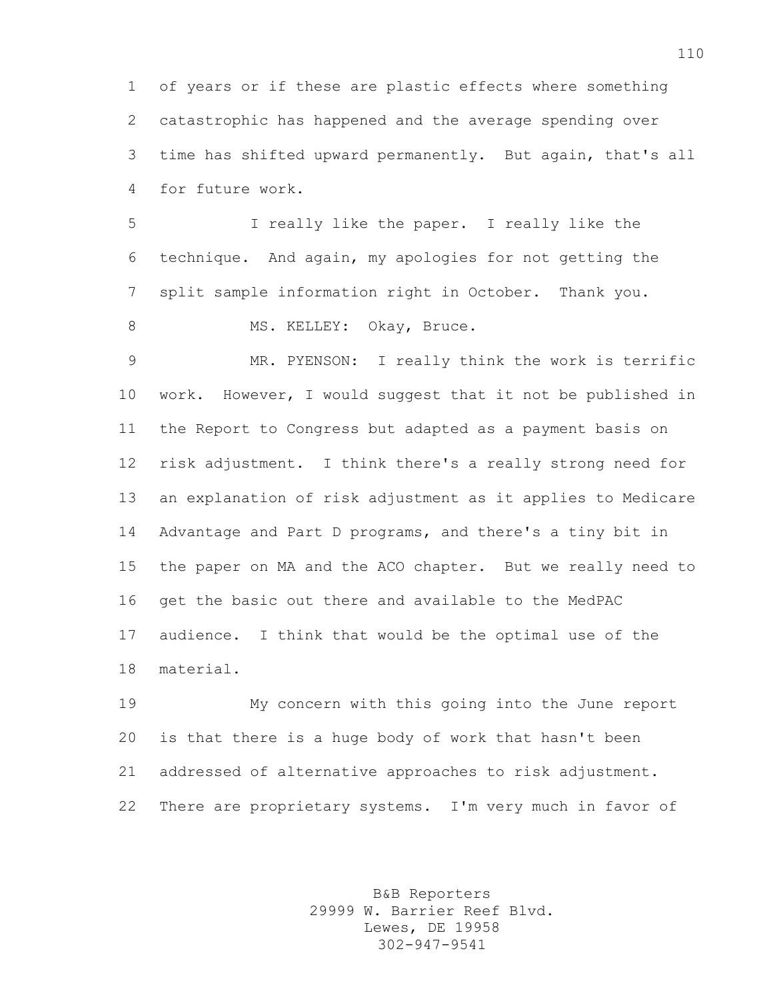of years or if these are plastic effects where something catastrophic has happened and the average spending over time has shifted upward permanently. But again, that's all for future work.

 I really like the paper. I really like the technique. And again, my apologies for not getting the split sample information right in October. Thank you. 8 MS. KELLEY: Okay, Bruce.

 MR. PYENSON: I really think the work is terrific work. However, I would suggest that it not be published in the Report to Congress but adapted as a payment basis on risk adjustment. I think there's a really strong need for an explanation of risk adjustment as it applies to Medicare Advantage and Part D programs, and there's a tiny bit in the paper on MA and the ACO chapter. But we really need to get the basic out there and available to the MedPAC audience. I think that would be the optimal use of the material.

 My concern with this going into the June report is that there is a huge body of work that hasn't been addressed of alternative approaches to risk adjustment. There are proprietary systems. I'm very much in favor of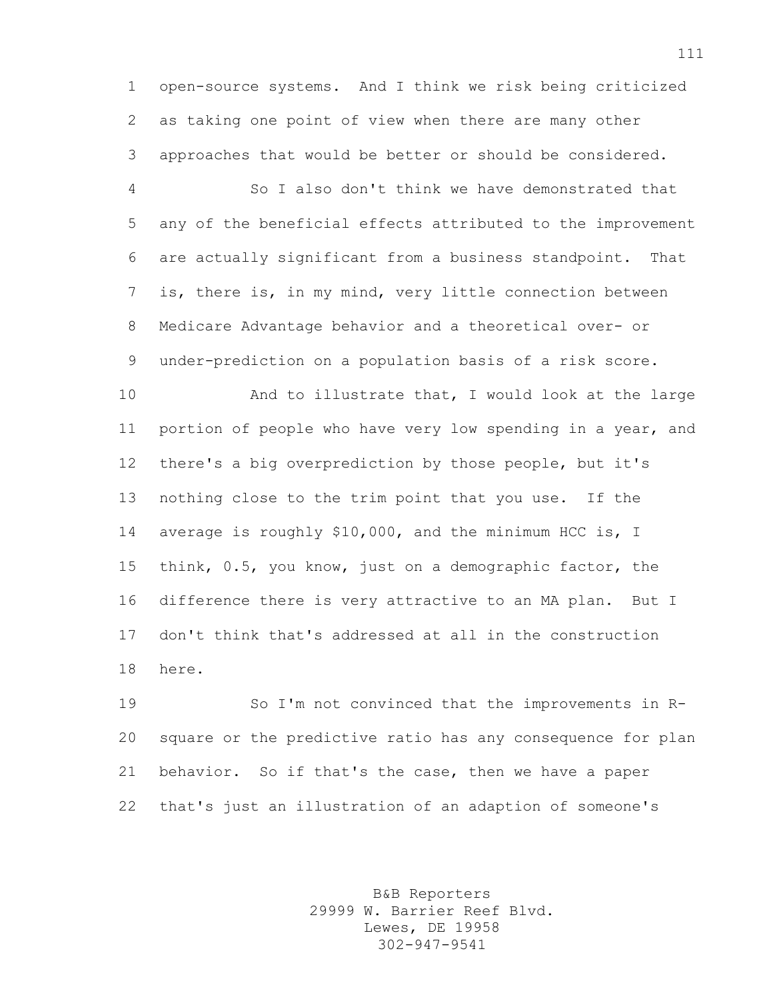open-source systems. And I think we risk being criticized as taking one point of view when there are many other approaches that would be better or should be considered.

 So I also don't think we have demonstrated that any of the beneficial effects attributed to the improvement are actually significant from a business standpoint. That is, there is, in my mind, very little connection between Medicare Advantage behavior and a theoretical over- or under-prediction on a population basis of a risk score.

10 And to illustrate that, I would look at the large portion of people who have very low spending in a year, and there's a big overprediction by those people, but it's nothing close to the trim point that you use. If the average is roughly \$10,000, and the minimum HCC is, I think, 0.5, you know, just on a demographic factor, the difference there is very attractive to an MA plan. But I don't think that's addressed at all in the construction here.

 So I'm not convinced that the improvements in R- square or the predictive ratio has any consequence for plan behavior. So if that's the case, then we have a paper that's just an illustration of an adaption of someone's

> B&B Reporters 29999 W. Barrier Reef Blvd. Lewes, DE 19958 302-947-9541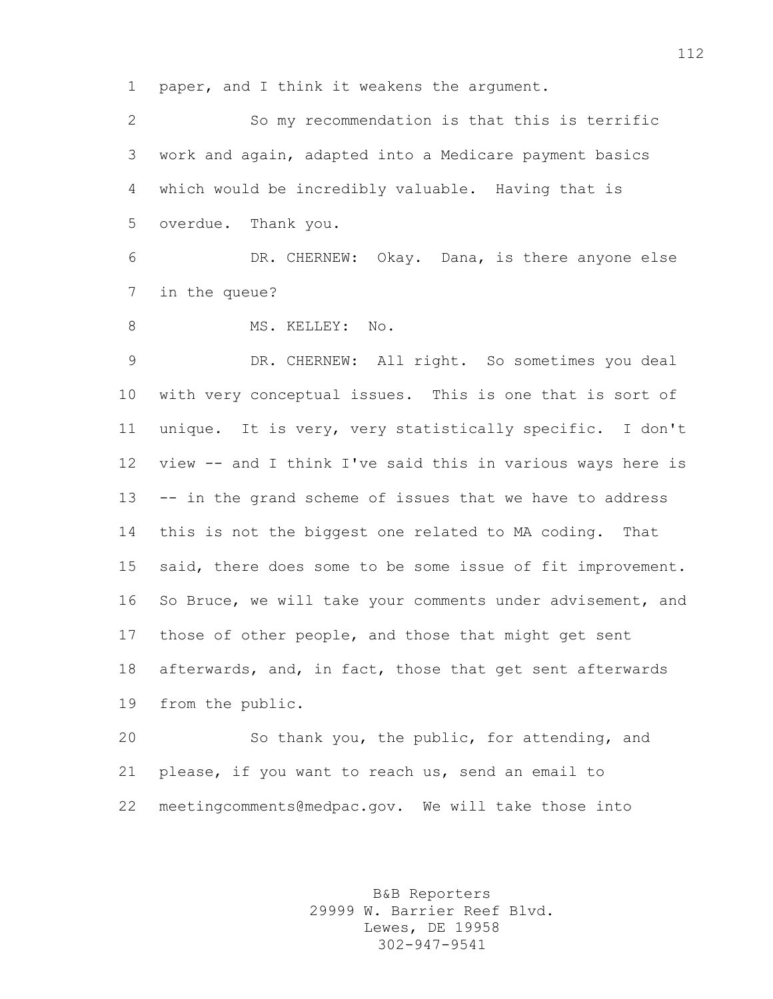paper, and I think it weakens the argument.

 So my recommendation is that this is terrific work and again, adapted into a Medicare payment basics which would be incredibly valuable. Having that is overdue. Thank you.

 DR. CHERNEW: Okay. Dana, is there anyone else in the queue?

8 MS. KELLEY: No.

 DR. CHERNEW: All right. So sometimes you deal with very conceptual issues. This is one that is sort of unique. It is very, very statistically specific. I don't view -- and I think I've said this in various ways here is -- in the grand scheme of issues that we have to address this is not the biggest one related to MA coding. That 15 said, there does some to be some issue of fit improvement. So Bruce, we will take your comments under advisement, and those of other people, and those that might get sent afterwards, and, in fact, those that get sent afterwards from the public.

 So thank you, the public, for attending, and please, if you want to reach us, send an email to meetingcomments@medpac.gov. We will take those into

> B&B Reporters 29999 W. Barrier Reef Blvd. Lewes, DE 19958 302-947-9541